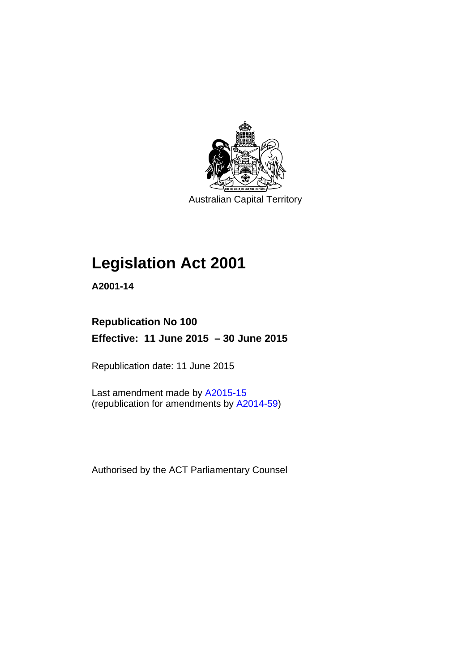

Australian Capital Territory

# **Legislation Act 2001**

**A2001-14** 

# **Republication No 100 Effective: 11 June 2015 – 30 June 2015**

Republication date: 11 June 2015

Last amendment made by [A2015-15](http://www.legislation.act.gov.au/a/2015-15) (republication for amendments by [A2014-59](http://www.legislation.act.gov.au/a/2014-59))

Authorised by the ACT Parliamentary Counsel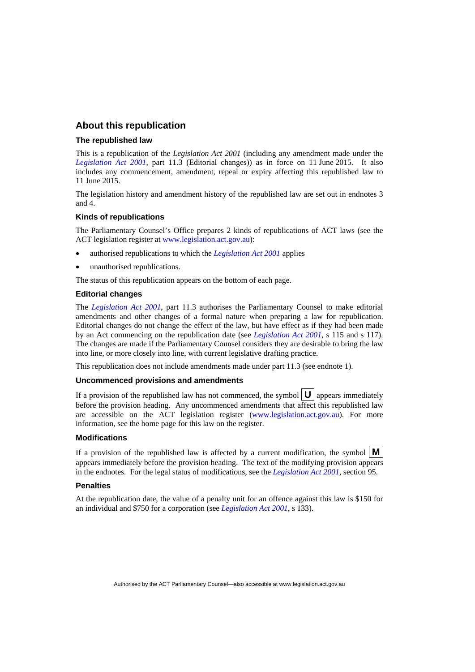## **About this republication**

#### **The republished law**

This is a republication of the *Legislation Act 2001* (including any amendment made under the *[Legislation Act 2001](http://www.legislation.act.gov.au/a/2001-14)*, part 11.3 (Editorial changes)) as in force on 11 June 2015*.* It also includes any commencement, amendment, repeal or expiry affecting this republished law to 11 June 2015.

The legislation history and amendment history of the republished law are set out in endnotes 3 and 4.

#### **Kinds of republications**

The Parliamentary Counsel's Office prepares 2 kinds of republications of ACT laws (see the ACT legislation register at [www.legislation.act.gov.au](http://www.legislation.act.gov.au/)):

- authorised republications to which the *[Legislation Act 2001](http://www.legislation.act.gov.au/a/2001-14)* applies
- unauthorised republications.

The status of this republication appears on the bottom of each page.

#### **Editorial changes**

The *[Legislation Act 2001](http://www.legislation.act.gov.au/a/2001-14)*, part 11.3 authorises the Parliamentary Counsel to make editorial amendments and other changes of a formal nature when preparing a law for republication. Editorial changes do not change the effect of the law, but have effect as if they had been made by an Act commencing on the republication date (see *[Legislation Act 2001](http://www.legislation.act.gov.au/a/2001-14)*, s 115 and s 117). The changes are made if the Parliamentary Counsel considers they are desirable to bring the law into line, or more closely into line, with current legislative drafting practice.

This republication does not include amendments made under part 11.3 (see endnote 1).

#### **Uncommenced provisions and amendments**

If a provision of the republished law has not commenced, the symbol  $\mathbf{U}$  appears immediately before the provision heading. Any uncommenced amendments that affect this republished law are accessible on the ACT legislation register [\(www.legislation.act.gov.au](http://www.legislation.act.gov.au/)). For more information, see the home page for this law on the register.

#### **Modifications**

If a provision of the republished law is affected by a current modification, the symbol  $\mathbf{M}$ appears immediately before the provision heading. The text of the modifying provision appears in the endnotes. For the legal status of modifications, see the *[Legislation Act 2001](http://www.legislation.act.gov.au/a/2001-14)*, section 95.

#### **Penalties**

At the republication date, the value of a penalty unit for an offence against this law is \$150 for an individual and \$750 for a corporation (see *[Legislation Act 2001](http://www.legislation.act.gov.au/a/2001-14)*, s 133).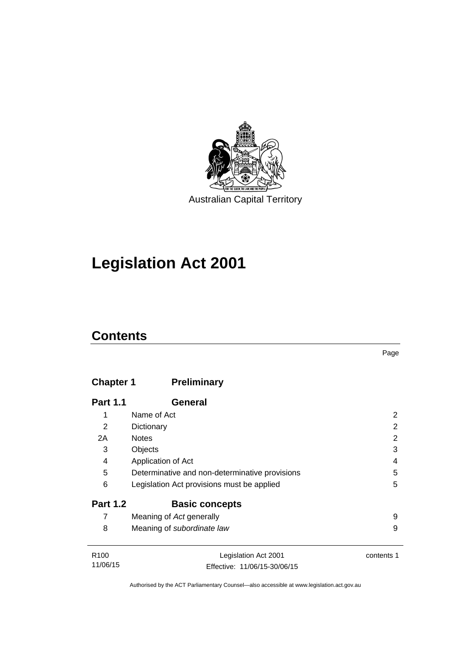

# **Legislation Act 2001**

# **Contents**

## **Chapter 1 [Preliminary](#page-17-0)**

| <b>Part 1.1</b> | General                                        |   |
|-----------------|------------------------------------------------|---|
| 1               | Name of Act                                    | 2 |
| 2               | Dictionary                                     | 2 |
| 2A              | <b>Notes</b>                                   | 2 |
| 3               | Objects                                        | 3 |
| 4               | Application of Act                             | 4 |
| 5               | Determinative and non-determinative provisions | 5 |
| 6               | Legislation Act provisions must be applied     | 5 |
| <b>Part 1.2</b> | <b>Basic concepts</b>                          |   |
| 7               | Meaning of Act generally                       | 9 |
| 8               | Meaning of subordinate law                     | 9 |
| ----            | $\cdots$ $\cdots$                              |   |

R100 11/06/15 Legislation Act 2001 Effective: 11/06/15-30/06/15 contents 1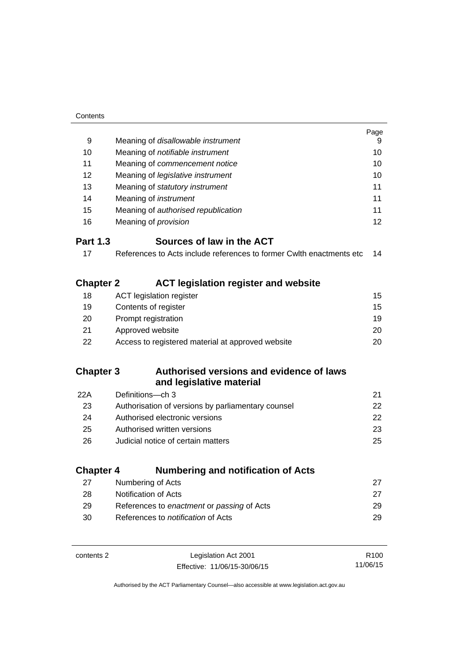| Contents                  |                                                                      |                  |
|---------------------------|----------------------------------------------------------------------|------------------|
|                           |                                                                      | Page             |
| 9                         | Meaning of disallowable instrument                                   | 9                |
| 10                        | Meaning of notifiable instrument                                     | 10               |
| 11                        | Meaning of commencement notice                                       |                  |
| 12                        | Meaning of legislative instrument                                    | 10               |
| 13                        | Meaning of statutory instrument                                      | 11               |
| 14                        | Meaning of <i>instrument</i>                                         | 11               |
| 15                        | Meaning of authorised republication                                  | 11               |
| 16                        | Meaning of <i>provision</i>                                          | 12               |
| <b>Part 1.3</b>           | Sources of law in the ACT                                            |                  |
| 17                        | References to Acts include references to former Cwith enactments etc | 14               |
|                           |                                                                      |                  |
| <b>Chapter 2</b>          | <b>ACT legislation register and website</b>                          |                  |
| 18                        | <b>ACT legislation register</b>                                      | 15               |
| 19                        | Contents of register                                                 | 15               |
| 20<br>Prompt registration |                                                                      | 19               |
| 21                        | Approved website                                                     | 20               |
| 22                        | Access to registered material at approved website                    | 20               |
|                           |                                                                      |                  |
| <b>Chapter 3</b>          | Authorised versions and evidence of laws                             |                  |
|                           | and legislative material                                             |                  |
| 22A                       | Definitions-ch 3                                                     | 21               |
| 23                        | Authorisation of versions by parliamentary counsel                   | 22               |
| 24                        | Authorised electronic versions                                       | 22               |
| 25                        | Authorised written versions                                          | 23               |
| 26                        | Judicial notice of certain matters                                   | 25               |
|                           |                                                                      |                  |
| <b>Chapter 4</b>          | <b>Numbering and notification of Acts</b>                            |                  |
| 27                        | Numbering of Acts                                                    | 27               |
| 28                        | Notification of Acts                                                 | 27               |
| 29                        | References to enactment or passing of Acts                           | 29               |
| 30                        | References to notification of Acts                                   | 29               |
|                           |                                                                      |                  |
| contents 2                | Legislation Act 2001                                                 | R <sub>100</sub> |
|                           | Effective: 11/06/15-30/06/15                                         | 11/06/15         |

Effective: 11/06/15-30/06/15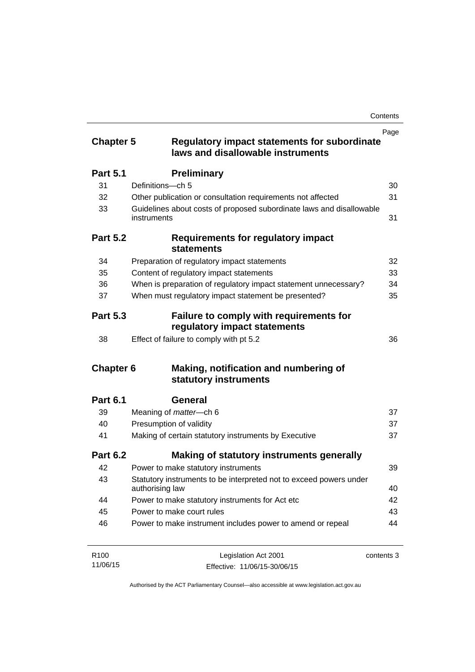| <b>Chapter 5</b>      | <b>Regulatory impact statements for subordinate</b><br>laws and disallowable instruments                           | Page       |
|-----------------------|--------------------------------------------------------------------------------------------------------------------|------------|
| <b>Part 5.1</b>       | <b>Preliminary</b>                                                                                                 |            |
| 31                    | Definitions-ch 5                                                                                                   | 30         |
| 32                    | Other publication or consultation requirements not affected                                                        | 31         |
| 33                    | Guidelines about costs of proposed subordinate laws and disallowable<br>instruments                                | 31         |
| <b>Part 5.2</b>       | Requirements for regulatory impact<br><b>statements</b>                                                            |            |
| 34                    | Preparation of regulatory impact statements                                                                        | 32         |
| 35                    | Content of regulatory impact statements                                                                            | 33         |
| 36                    | When is preparation of regulatory impact statement unnecessary?                                                    | 34         |
| 37                    | When must regulatory impact statement be presented?                                                                | 35         |
| <b>Part 5.3</b><br>38 | Failure to comply with requirements for<br>regulatory impact statements<br>Effect of failure to comply with pt 5.2 | 36         |
| <b>Chapter 6</b>      | Making, notification and numbering of                                                                              |            |
|                       | statutory instruments                                                                                              |            |
| <b>Part 6.1</b>       | General                                                                                                            |            |
| 39                    | Meaning of <i>matter</i> -ch 6                                                                                     | 37         |
| 40                    | Presumption of validity                                                                                            | 37         |
| 41                    | Making of certain statutory instruments by Executive                                                               | 37         |
| <b>Part 6.2</b>       | Making of statutory instruments generally                                                                          |            |
| 42                    | Power to make statutory instruments                                                                                | 39         |
| 43                    | Statutory instruments to be interpreted not to exceed powers under<br>authorising law                              | 40         |
| 44                    | Power to make statutory instruments for Act etc                                                                    | 42         |
| 45                    | Power to make court rules                                                                                          | 43         |
| 46                    | Power to make instrument includes power to amend or repeal                                                         | 44         |
| R <sub>100</sub>      | Legislation Act 2001                                                                                               | contents 3 |

Effective: 11/06/15-30/06/15

11/06/15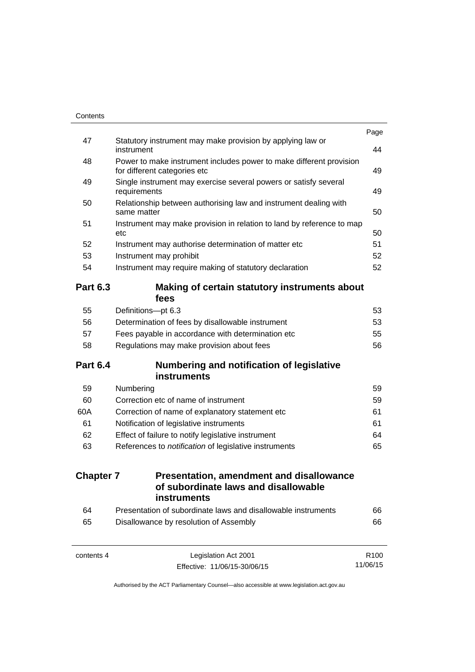| Contents         |                                                                                                     |                  |
|------------------|-----------------------------------------------------------------------------------------------------|------------------|
| 47               | Statutory instrument may make provision by applying law or                                          | Page             |
|                  | instrument                                                                                          | 44               |
| 48               | Power to make instrument includes power to make different provision<br>for different categories etc | 49               |
| 49               | Single instrument may exercise several powers or satisfy several<br>requirements                    | 49               |
| 50               | Relationship between authorising law and instrument dealing with<br>same matter                     | 50               |
| 51               | Instrument may make provision in relation to land by reference to map<br>etc                        | 50               |
| 52               | Instrument may authorise determination of matter etc                                                | 51               |
| 53               | Instrument may prohibit                                                                             | 52               |
| 54               | Instrument may require making of statutory declaration                                              | 52               |
| <b>Part 6.3</b>  | Making of certain statutory instruments about<br>fees                                               |                  |
| 55               | Definitions-pt 6.3                                                                                  | 53               |
| 56               | Determination of fees by disallowable instrument                                                    | 53               |
| 57               | Fees payable in accordance with determination etc                                                   | 55               |
| 58               | Regulations may make provision about fees                                                           | 56               |
| <b>Part 6.4</b>  | Numbering and notification of legislative                                                           |                  |
|                  | instruments                                                                                         |                  |
| 59               | Numbering                                                                                           | 59               |
| 60               | Correction etc of name of instrument                                                                | 59               |
| 60A              | Correction of name of explanatory statement etc                                                     | 61               |
| 61               | Notification of legislative instruments                                                             | 61               |
| 62               | Effect of failure to notify legislative instrument                                                  | 64               |
| 63               | References to notification of legislative instruments                                               | 65               |
| <b>Chapter 7</b> | <b>Presentation, amendment and disallowance</b><br>of subordinate laws and disallowable             |                  |
|                  | instruments                                                                                         |                  |
| 64               | Presentation of subordinate laws and disallowable instruments                                       | 66               |
| 65               | Disallowance by resolution of Assembly                                                              | 66               |
| contents 4       | Legislation Act 2001                                                                                | R <sub>100</sub> |

11/06/15

Effective: 11/06/15-30/06/15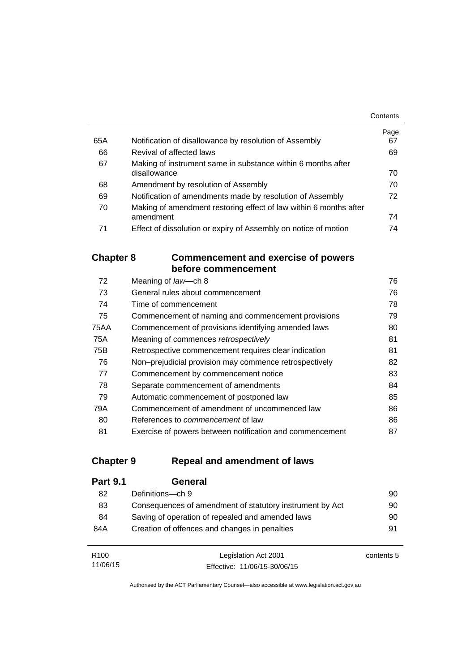|     |                                                                   | Contents |
|-----|-------------------------------------------------------------------|----------|
|     |                                                                   | Page     |
| 65A | Notification of disallowance by resolution of Assembly            | 67       |
| 66  | Revival of affected laws                                          | 69       |
| 67  | Making of instrument same in substance within 6 months after      |          |
|     | disallowance                                                      | 70       |
| 68  | Amendment by resolution of Assembly                               | 70       |
| 69  | Notification of amendments made by resolution of Assembly         | 72       |
| 70  | Making of amendment restoring effect of law within 6 months after |          |
|     | amendment                                                         | 74       |
| 71  | Effect of dissolution or expiry of Assembly on notice of motion   | 74       |

## **Chapter 8 [Commencement and exercise of powers](#page-91-0)  [before commencement](#page-91-0)**

| 72   | Meaning of law-ch 8                                      | 76 |
|------|----------------------------------------------------------|----|
| 73   | General rules about commencement                         | 76 |
| 74   | Time of commencement                                     | 78 |
| 75   | Commencement of naming and commencement provisions       | 79 |
| 75AA | Commencement of provisions identifying amended laws      | 80 |
| 75A  | Meaning of commences retrospectively                     | 81 |
| 75B  | Retrospective commencement requires clear indication     | 81 |
| 76   | Non-prejudicial provision may commence retrospectively   | 82 |
| 77   | Commencement by commencement notice                      | 83 |
| 78   | Separate commencement of amendments                      | 84 |
| 79   | Automatic commencement of postponed law                  | 85 |
| 79A  | Commencement of amendment of uncommenced law             | 86 |
| 80   | References to <i>commencement</i> of law                 | 86 |
| 81   | Exercise of powers between notification and commencement | 87 |

## **Chapter 9 [Repeal and amendment of laws](#page-105-0)**

| <b>Part 9.1</b> | General                                                  |    |
|-----------------|----------------------------------------------------------|----|
| 82              | Definitions-ch 9                                         | 90 |
| 83              | Consequences of amendment of statutory instrument by Act | 90 |
| 84              | Saving of operation of repealed and amended laws         | 90 |
| 84A             | Creation of offences and changes in penalties            | 91 |
|                 |                                                          |    |

| R <sub>100</sub> | Legislation Act 2001         | contents 5 |
|------------------|------------------------------|------------|
| 11/06/15         | Effective: 11/06/15-30/06/15 |            |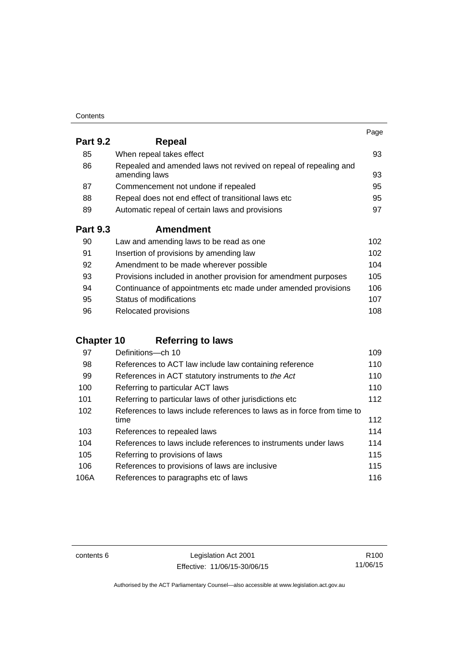| Contents |
|----------|
|----------|

|                 |                                                                                   | Page |
|-----------------|-----------------------------------------------------------------------------------|------|
| <b>Part 9.2</b> | Repeal                                                                            |      |
| 85              | When repeal takes effect                                                          | 93   |
| 86              | Repealed and amended laws not revived on repeal of repealing and<br>amending laws | 93   |
| 87              | Commencement not undone if repealed                                               | 95   |
| 88              | Repeal does not end effect of transitional laws etc                               | 95   |
| 89              | Automatic repeal of certain laws and provisions                                   | 97   |
| <b>Part 9.3</b> | <b>Amendment</b>                                                                  |      |
| 90              | Law and amending laws to be read as one                                           | 102  |
| 91              | Insertion of provisions by amending law                                           | 102  |
| 92              | Amendment to be made wherever possible                                            | 104  |
| 93              | Provisions included in another provision for amendment purposes                   | 105  |
| 94              | Continuance of appointments etc made under amended provisions                     | 106  |
| 95              | Status of modifications                                                           | 107  |

| -96 | Relocated provisions | 108 |
|-----|----------------------|-----|

# **Chapter 10 [Referring to laws](#page-124-0)**

| 97   | Definitions-ch 10                                                      | 109 |
|------|------------------------------------------------------------------------|-----|
| 98   | References to ACT law include law containing reference                 | 110 |
| 99   | References in ACT statutory instruments to the Act                     | 110 |
| 100  | Referring to particular ACT laws                                       | 110 |
| 101  | Referring to particular laws of other jurisdictions etc                | 112 |
| 102  | References to laws include references to laws as in force from time to |     |
|      | time                                                                   | 112 |
| 103  | References to repealed laws                                            | 114 |
| 104  | References to laws include references to instruments under laws        | 114 |
| 105  | Referring to provisions of laws                                        | 115 |
| 106  | References to provisions of laws are inclusive                         | 115 |
| 106A | References to paragraphs etc of laws                                   | 116 |

contents 6 Legislation Act 2001 Effective: 11/06/15-30/06/15

R100 11/06/15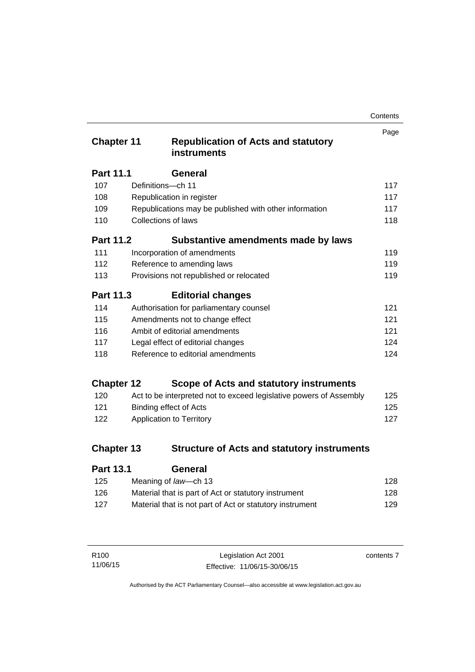| Contents |
|----------|
|----------|

| <b>Chapter 11</b> |                                 | <b>Republication of Acts and statutory</b><br><b>instruments</b>   | Page |
|-------------------|---------------------------------|--------------------------------------------------------------------|------|
| <b>Part 11.1</b>  |                                 | <b>General</b>                                                     |      |
| 107               | Definitions-ch 11               |                                                                    | 117  |
| 108               |                                 | Republication in register                                          | 117  |
| 109               |                                 | Republications may be published with other information             | 117  |
| 110               | <b>Collections of laws</b>      |                                                                    | 118  |
| <b>Part 11.2</b>  |                                 | Substantive amendments made by laws                                |      |
| 111               |                                 | Incorporation of amendments                                        | 119  |
| 112               |                                 | Reference to amending laws                                         | 119  |
| 113               |                                 | Provisions not republished or relocated                            | 119  |
| Part 11.3         |                                 | <b>Editorial changes</b>                                           |      |
| 114               |                                 | Authorisation for parliamentary counsel                            | 121  |
| 115               | Amendments not to change effect |                                                                    | 121  |
| 116               | Ambit of editorial amendments   |                                                                    | 121  |
| 117               |                                 | Legal effect of editorial changes                                  | 124  |
| 118               |                                 | Reference to editorial amendments                                  | 124  |
| <b>Chapter 12</b> |                                 | Scope of Acts and statutory instruments                            |      |
| 120               |                                 | Act to be interpreted not to exceed legislative powers of Assembly | 125  |
| 121               |                                 | <b>Binding effect of Acts</b>                                      | 125  |
| 122               |                                 | Application to Territory                                           | 127  |
| <b>Chapter 13</b> |                                 | <b>Structure of Acts and statutory instruments</b>                 |      |
| Part 13 1         |                                 | General                                                            |      |

| . a.l. v. l | ovnom                                                    |     |
|-------------|----------------------------------------------------------|-----|
| 125         | Meaning of law—ch 13                                     | 128 |
| 126         | Material that is part of Act or statutory instrument     | 128 |
| 127         | Material that is not part of Act or statutory instrument | 129 |
|             |                                                          |     |

| R100     | Legislation Act 2001         | contents 7 |
|----------|------------------------------|------------|
| 11/06/15 | Effective: 11/06/15-30/06/15 |            |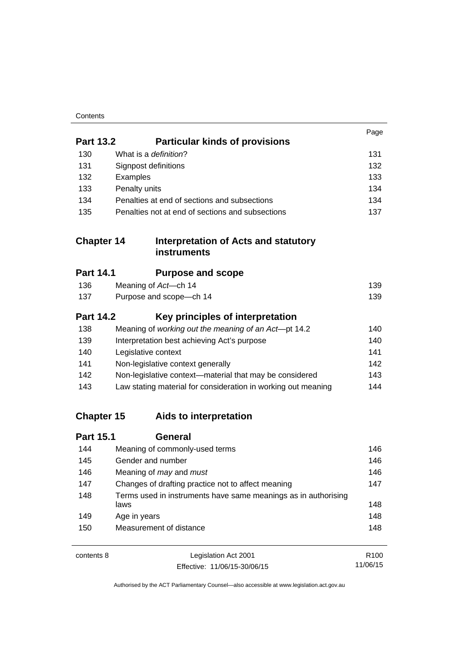| Contents |
|----------|
|----------|

|                   |                                                                        | Page             |
|-------------------|------------------------------------------------------------------------|------------------|
| <b>Part 13.2</b>  | <b>Particular kinds of provisions</b>                                  |                  |
| 130               | What is a definition?                                                  | 131              |
| 131               | Signpost definitions                                                   | 132              |
| 132               | Examples                                                               | 133              |
| 133               | Penalty units                                                          | 134              |
| 134               | Penalties at end of sections and subsections                           | 134              |
| 135               | Penalties not at end of sections and subsections                       | 137              |
| <b>Chapter 14</b> | <b>Interpretation of Acts and statutory</b><br><b>instruments</b>      |                  |
| <b>Part 14.1</b>  | <b>Purpose and scope</b>                                               |                  |
| 136               | Meaning of Act-ch 14                                                   | 139              |
| 137               | Purpose and scope-ch 14                                                | 139              |
| <b>Part 14.2</b>  | Key principles of interpretation                                       |                  |
| 138               | Meaning of working out the meaning of an Act-pt 14.2                   | 140              |
| 139               | Interpretation best achieving Act's purpose                            | 140              |
| 140               | Legislative context                                                    | 141              |
| 141               | Non-legislative context generally                                      | 142              |
| 142               | Non-legislative context-material that may be considered                | 143              |
| 143               | Law stating material for consideration in working out meaning          | 144              |
| <b>Chapter 15</b> | Aids to interpretation                                                 |                  |
| <b>Part 15.1</b>  | <b>General</b>                                                         |                  |
| 144               | Meaning of commonly-used terms                                         | 146              |
| 145               | Gender and number                                                      | 146              |
| 146               | Meaning of may and must                                                | 146              |
| 147               | Changes of drafting practice not to affect meaning                     | 147              |
| 148               | Terms used in instruments have same meanings as in authorising<br>laws | 148              |
| 149               | Age in years                                                           | 148              |
| 150               | Measurement of distance                                                | 148              |
| contents 8        | Legislation Act 2001                                                   | R <sub>100</sub> |

11/06/15

Effective: 11/06/15-30/06/15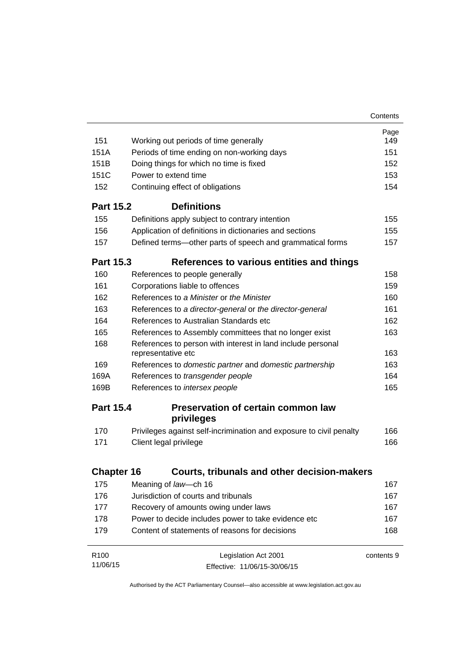|                   |                                                                                                       | Contents   |
|-------------------|-------------------------------------------------------------------------------------------------------|------------|
|                   |                                                                                                       | Page       |
| 151               | Working out periods of time generally                                                                 | 149        |
| 151A              | Periods of time ending on non-working days                                                            | 151        |
| 151 <sub>B</sub>  | Doing things for which no time is fixed                                                               | 152        |
| 151C              | Power to extend time                                                                                  | 153        |
| 152               | Continuing effect of obligations                                                                      | 154        |
| <b>Part 15.2</b>  | <b>Definitions</b>                                                                                    |            |
| 155               | Definitions apply subject to contrary intention                                                       | 155        |
| 156               | Application of definitions in dictionaries and sections                                               | 155        |
| 157               | Defined terms—other parts of speech and grammatical forms                                             | 157        |
| <b>Part 15.3</b>  | References to various entities and things                                                             |            |
| 160               | References to people generally                                                                        | 158        |
| 161               | Corporations liable to offences                                                                       | 159        |
| 162               | References to a Minister or the Minister                                                              | 160        |
| 163               | References to a director-general or the director-general                                              | 161        |
| 164               | References to Australian Standards etc                                                                | 162        |
| 165               | References to Assembly committees that no longer exist                                                | 163        |
| 168               | References to person with interest in land include personal<br>representative etc                     | 163        |
| 169               | References to domestic partner and domestic partnership                                               | 163        |
| 169A              | References to transgender people                                                                      | 164        |
| 169B              | References to intersex people                                                                         | 165        |
| <b>Part 15.4</b>  | <b>Preservation of certain common law</b>                                                             |            |
|                   | privileges                                                                                            |            |
| 170               | Privileges against self-incrimination and exposure to civil penalty                                   | 166        |
| 171               | Client legal privilege                                                                                | 166        |
| <b>Chapter 16</b> | <b>Courts, tribunals and other decision-makers</b>                                                    |            |
| 175               | Meaning of law-ch 16                                                                                  | 167        |
| 176               | Jurisdiction of courts and tribunals                                                                  | 167        |
| 177               |                                                                                                       | 167        |
|                   | Recovery of amounts owing under laws                                                                  | 167        |
| 178               | Power to decide includes power to take evidence etc<br>Content of statements of reasons for decisions | 168        |
| 179               |                                                                                                       |            |
| R <sub>100</sub>  | Legislation Act 2001                                                                                  | contents 9 |
| 11/06/15          | Effective: 11/06/15-30/06/15                                                                          |            |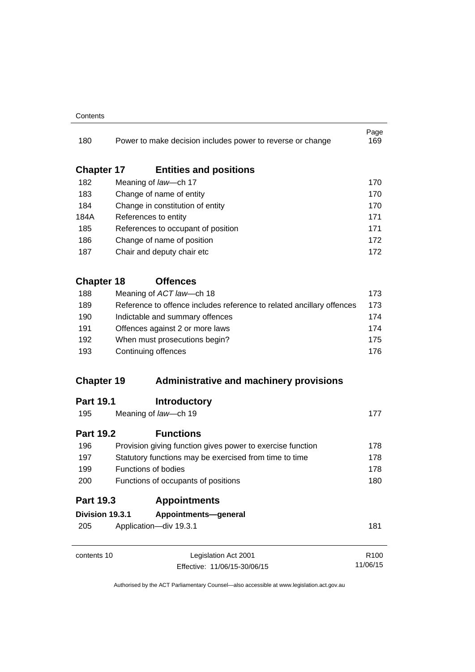#### **Contents**

| 180               | Power to make decision includes power to reverse or change                                          |                                                                       | Page<br>169      |
|-------------------|-----------------------------------------------------------------------------------------------------|-----------------------------------------------------------------------|------------------|
| <b>Chapter 17</b> | <b>Entities and positions</b>                                                                       |                                                                       |                  |
| 182               | Meaning of law-ch 17                                                                                |                                                                       | 170              |
| 183               | Change of name of entity                                                                            |                                                                       | 170              |
| 184               | Change in constitution of entity                                                                    |                                                                       | 170              |
| 184A              | References to entity                                                                                |                                                                       | 171              |
| 185               | References to occupant of position                                                                  |                                                                       | 171              |
| 186               | Change of name of position                                                                          |                                                                       | 172              |
| 187               | Chair and deputy chair etc                                                                          |                                                                       |                  |
| <b>Chapter 18</b> | <b>Offences</b>                                                                                     |                                                                       |                  |
| 188               | Meaning of ACT law-ch 18                                                                            |                                                                       | 173              |
| 189               |                                                                                                     | Reference to offence includes reference to related ancillary offences | 173              |
| 190               | Indictable and summary offences<br>Offences against 2 or more laws<br>When must prosecutions begin? |                                                                       | 174              |
| 191<br>192        |                                                                                                     |                                                                       | 174              |
|                   |                                                                                                     |                                                                       | 175              |
| 193               | Continuing offences                                                                                 |                                                                       |                  |
| <b>Chapter 19</b> |                                                                                                     | <b>Administrative and machinery provisions</b>                        |                  |
| <b>Part 19.1</b>  | <b>Introductory</b>                                                                                 |                                                                       |                  |
| 195               | Meaning of law-ch 19                                                                                |                                                                       | 177              |
| <b>Part 19.2</b>  | <b>Functions</b>                                                                                    |                                                                       |                  |
| 196               | Provision giving function gives power to exercise function                                          |                                                                       | 178              |
| 197               |                                                                                                     | Statutory functions may be exercised from time to time                | 178              |
| 199               | <b>Functions of bodies</b>                                                                          |                                                                       | 178              |
| 200               |                                                                                                     | Functions of occupants of positions                                   |                  |
| <b>Part 19.3</b>  | <b>Appointments</b>                                                                                 |                                                                       |                  |
| Division 19.3.1   | Appointments-general                                                                                |                                                                       |                  |
| 205               | Application-div 19.3.1                                                                              |                                                                       | 181              |
| contents 10       | Legislation Act 2001                                                                                |                                                                       | R <sub>100</sub> |
|                   | Effective: 11/06/15-30/06/15                                                                        |                                                                       | 11/06/15         |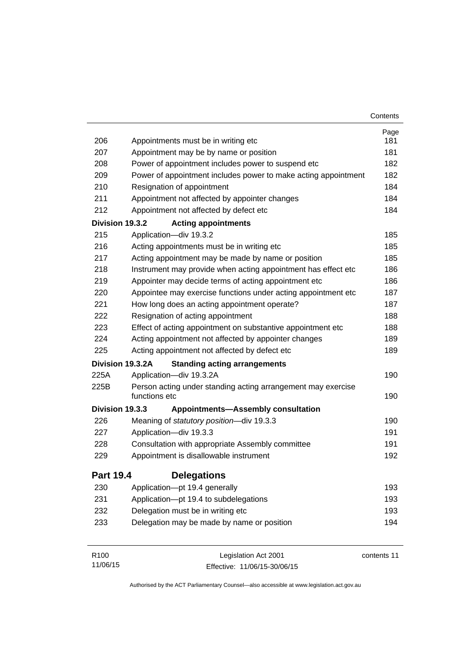|                  |                                                                               | Contents    |
|------------------|-------------------------------------------------------------------------------|-------------|
|                  |                                                                               | Page        |
| 206              | Appointments must be in writing etc                                           | 181         |
| 207              | Appointment may be by name or position                                        | 181         |
| 208              | Power of appointment includes power to suspend etc                            | 182         |
| 209              | Power of appointment includes power to make acting appointment                | 182         |
| 210              | Resignation of appointment                                                    | 184         |
| 211              | Appointment not affected by appointer changes                                 | 184         |
| 212              | Appointment not affected by defect etc                                        | 184         |
| Division 19.3.2  | <b>Acting appointments</b>                                                    |             |
| 215              | Application-div 19.3.2                                                        | 185         |
| 216              | Acting appointments must be in writing etc                                    | 185         |
| 217              | Acting appointment may be made by name or position                            | 185         |
| 218              | Instrument may provide when acting appointment has effect etc                 | 186         |
| 219              | Appointer may decide terms of acting appointment etc                          | 186         |
| 220              | Appointee may exercise functions under acting appointment etc                 | 187         |
| 221              | How long does an acting appointment operate?                                  | 187         |
| 222              | Resignation of acting appointment                                             | 188         |
| 223              | Effect of acting appointment on substantive appointment etc                   | 188         |
| 224              | Acting appointment not affected by appointer changes                          | 189         |
| 225              | Acting appointment not affected by defect etc                                 | 189         |
|                  | Division 19.3.2A<br><b>Standing acting arrangements</b>                       |             |
| 225A             | Application-div 19.3.2A                                                       | 190         |
| 225B             | Person acting under standing acting arrangement may exercise<br>functions etc | 190         |
| Division 19.3.3  | <b>Appointments-Assembly consultation</b>                                     |             |
| 226              | Meaning of statutory position-div 19.3.3                                      | 190         |
| 227              | Application-div 19.3.3                                                        | 191         |
| 228              | Consultation with appropriate Assembly committee                              | 191         |
| 229              | Appointment is disallowable instrument                                        | 192         |
| <b>Part 19.4</b> | <b>Delegations</b>                                                            |             |
| 230              | Application-pt 19.4 generally                                                 | 193         |
| 231              | Application-pt 19.4 to subdelegations                                         | 193         |
| 232              | Delegation must be in writing etc                                             | 193         |
| 233              | Delegation may be made by name or position                                    | 194         |
| R100             | Legislation Act 2001                                                          | contents 11 |

Effective: 11/06/15-30/06/15

11/06/15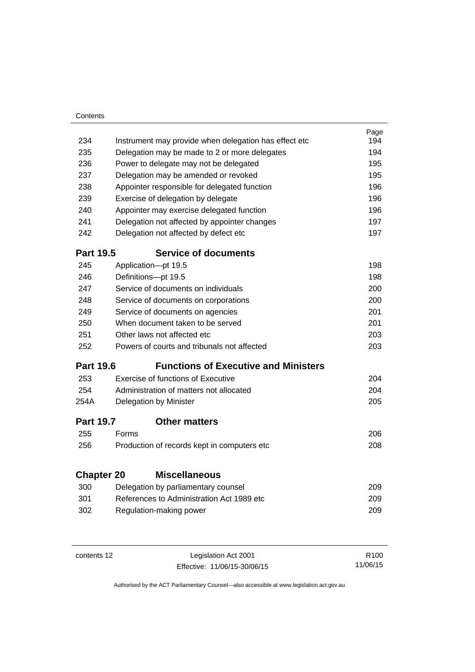| Contents          |                                                       |      |
|-------------------|-------------------------------------------------------|------|
|                   |                                                       | Page |
| 234               | Instrument may provide when delegation has effect etc | 194  |
| 235               | Delegation may be made to 2 or more delegates         | 194  |
| 236               | Power to delegate may not be delegated                | 195  |
| 237               | Delegation may be amended or revoked                  | 195  |
| 238               | Appointer responsible for delegated function          | 196  |
| 239               | Exercise of delegation by delegate                    | 196  |
| 240               | Appointer may exercise delegated function             | 196  |
| 241               | Delegation not affected by appointer changes          | 197  |
| 242               | Delegation not affected by defect etc                 | 197  |
| <b>Part 19.5</b>  | <b>Service of documents</b>                           |      |
| 245               | Application-pt 19.5                                   | 198  |
| 246               | Definitions-pt 19.5                                   | 198  |
| 247               | Service of documents on individuals                   | 200  |
| 248               | Service of documents on corporations                  | 200  |
| 249               | Service of documents on agencies                      | 201  |
| 250               | When document taken to be served                      | 201  |
| 251               | Other laws not affected etc                           | 203  |
| 252               | Powers of courts and tribunals not affected           | 203  |
| <b>Part 19.6</b>  | <b>Functions of Executive and Ministers</b>           |      |
| 253               | Exercise of functions of Executive                    | 204  |
| 254               | Administration of matters not allocated               | 204  |
| 254A              | Delegation by Minister                                | 205  |
| <b>Part 19.7</b>  | <b>Other matters</b>                                  |      |
| 255               | Forms                                                 | 206  |
| 256               | Production of records kept in computers etc           | 208  |
| <b>Chapter 20</b> | <b>Miscellaneous</b>                                  |      |
| 300               | Delegation by parliamentary counsel                   | 209  |
| 301               | References to Administration Act 1989 etc             | 209  |
| 302               | Regulation-making power                               | 209  |
|                   |                                                       |      |
|                   |                                                       |      |

contents 12 Legislation Act 2001

Effective: 11/06/15-30/06/15

R100 11/06/15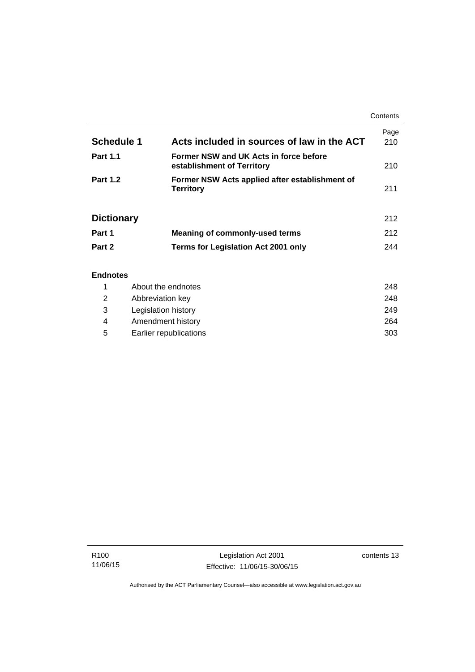|                   |                                                                      | Contents    |
|-------------------|----------------------------------------------------------------------|-------------|
| <b>Schedule 1</b> | Acts included in sources of law in the ACT                           | Page<br>210 |
| <b>Part 1.1</b>   | Former NSW and UK Acts in force before<br>establishment of Territory | 210         |
| <b>Part 1.2</b>   | Former NSW Acts applied after establishment of<br><b>Territory</b>   | 211         |
| <b>Dictionary</b> |                                                                      | 212         |
| Part 1            | Meaning of commonly-used terms                                       | 212         |
| Part 2            | <b>Terms for Legislation Act 2001 only</b>                           | 244         |
| <b>Endnotes</b>   |                                                                      |             |

## 1 [About the endnotes 248](#page-263-1) 2 [Abbreviation key 248](#page-263-2) 3 [Legislation history 249](#page-264-0) 4 [Amendment history 264](#page-279-0) 5 [Earlier republications 303](#page-318-0)

j.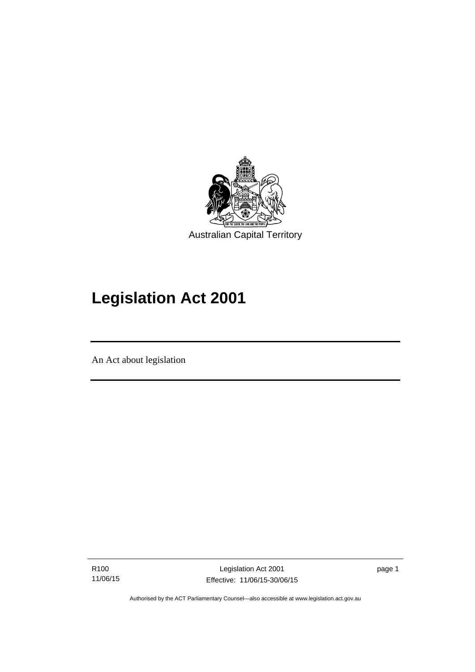

# **Legislation Act 2001**

An Act about legislation

Ī

R100 11/06/15 page 1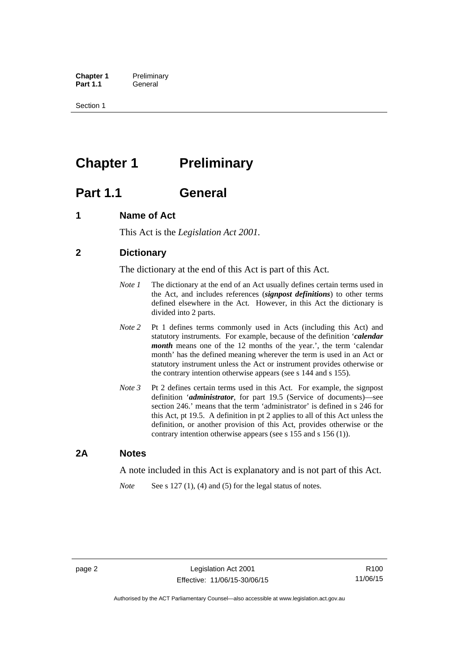**Chapter 1** Preliminary<br>**Part 1.1** General General

Section 1

# <span id="page-17-0"></span>**Chapter 1** Preliminary

# <span id="page-17-1"></span>**Part 1.1 General**

## <span id="page-17-2"></span>**1 Name of Act**

This Act is the *Legislation Act 2001.* 

## <span id="page-17-3"></span>**2 Dictionary**

The dictionary at the end of this Act is part of this Act.

- *Note 1* The dictionary at the end of an Act usually defines certain terms used in the Act, and includes references (*signpost definitions*) to other terms defined elsewhere in the Act. However, in this Act the dictionary is divided into 2 parts.
- *Note 2* Pt 1 defines terms commonly used in Acts (including this Act) and statutory instruments. For example, because of the definition '*calendar month* means one of the 12 months of the year.', the term 'calendar month' has the defined meaning wherever the term is used in an Act or statutory instrument unless the Act or instrument provides otherwise or the contrary intention otherwise appears (see s 144 and s 155).
- *Note 3* Pt 2 defines certain terms used in this Act. For example, the signpost definition '*administrator*, for part 19.5 (Service of documents)—see section 246.' means that the term 'administrator' is defined in s 246 for this Act, pt 19.5. A definition in pt 2 applies to all of this Act unless the definition, or another provision of this Act, provides otherwise or the contrary intention otherwise appears (see s 155 and s 156 (1)).

## <span id="page-17-4"></span>**2A Notes**

A note included in this Act is explanatory and is not part of this Act.

*Note* See s 127 (1), (4) and (5) for the legal status of notes.

R100 11/06/15

Authorised by the ACT Parliamentary Counsel—also accessible at www.legislation.act.gov.au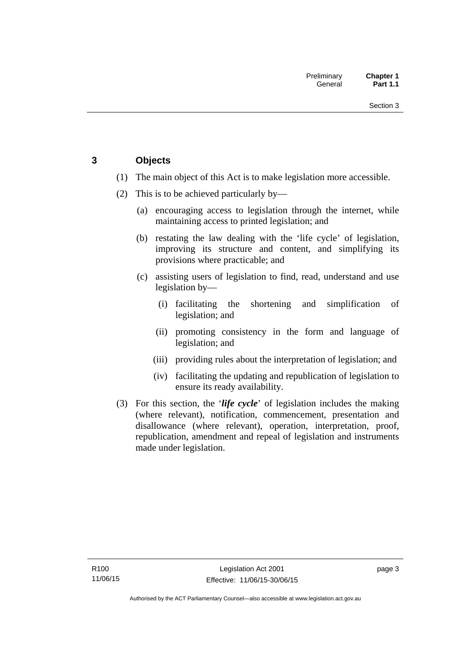## <span id="page-18-0"></span>**3 Objects**

- (1) The main object of this Act is to make legislation more accessible.
- (2) This is to be achieved particularly by—
	- (a) encouraging access to legislation through the internet, while maintaining access to printed legislation; and
	- (b) restating the law dealing with the 'life cycle' of legislation, improving its structure and content, and simplifying its provisions where practicable; and
	- (c) assisting users of legislation to find, read, understand and use legislation by—
		- (i) facilitating the shortening and simplification of legislation; and
		- (ii) promoting consistency in the form and language of legislation; and
		- (iii) providing rules about the interpretation of legislation; and
		- (iv) facilitating the updating and republication of legislation to ensure its ready availability.
- (3) For this section, the '*life cycle*' of legislation includes the making (where relevant), notification, commencement, presentation and disallowance (where relevant), operation, interpretation, proof, republication, amendment and repeal of legislation and instruments made under legislation.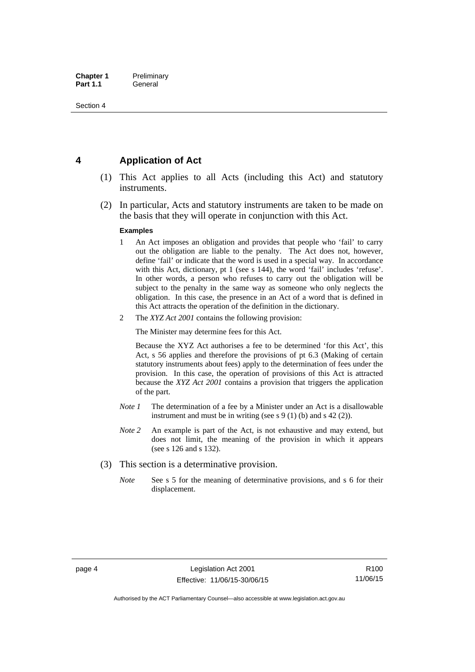## <span id="page-19-0"></span>**4 Application of Act**

- (1) This Act applies to all Acts (including this Act) and statutory instruments.
- (2) In particular, Acts and statutory instruments are taken to be made on the basis that they will operate in conjunction with this Act.

#### **Examples**

- 1 An Act imposes an obligation and provides that people who 'fail' to carry out the obligation are liable to the penalty. The Act does not, however, define 'fail' or indicate that the word is used in a special way. In accordance with this Act, dictionary, pt 1 (see s 144), the word 'fail' includes 'refuse'. In other words, a person who refuses to carry out the obligation will be subject to the penalty in the same way as someone who only neglects the obligation. In this case, the presence in an Act of a word that is defined in this Act attracts the operation of the definition in the dictionary.
- 2 The *XYZ Act 2001* contains the following provision:

The Minister may determine fees for this Act.

Because the XYZ Act authorises a fee to be determined 'for this Act', this Act, s 56 applies and therefore the provisions of pt 6.3 (Making of certain statutory instruments about fees) apply to the determination of fees under the provision. In this case, the operation of provisions of this Act is attracted because the *XYZ Act 2001* contains a provision that triggers the application of the part.

- *Note 1* The determination of a fee by a Minister under an Act is a disallowable instrument and must be in writing (see s 9 (1) (b) and s 42 (2)).
- *Note 2* An example is part of the Act, is not exhaustive and may extend, but does not limit, the meaning of the provision in which it appears (see s 126 and s 132).
- (3) This section is a determinative provision.
	- *Note* See s 5 for the meaning of determinative provisions, and s 6 for their displacement.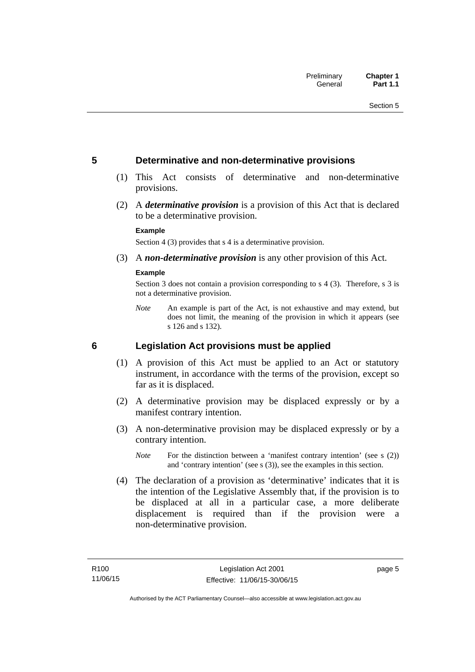## <span id="page-20-0"></span>**5 Determinative and non-determinative provisions**

- (1) This Act consists of determinative and non-determinative provisions.
- (2) A *determinative provision* is a provision of this Act that is declared to be a determinative provision.

#### **Example**

Section 4 (3) provides that s 4 is a determinative provision.

(3) A *non-determinative provision* is any other provision of this Act.

#### **Example**

Section 3 does not contain a provision corresponding to s 4 (3). Therefore, s 3 is not a determinative provision.

*Note* An example is part of the Act, is not exhaustive and may extend, but does not limit, the meaning of the provision in which it appears (see s 126 and s 132).

## <span id="page-20-1"></span>**6 Legislation Act provisions must be applied**

- (1) A provision of this Act must be applied to an Act or statutory instrument, in accordance with the terms of the provision, except so far as it is displaced.
- (2) A determinative provision may be displaced expressly or by a manifest contrary intention.
- (3) A non-determinative provision may be displaced expressly or by a contrary intention.
	- *Note* For the distinction between a 'manifest contrary intention' (see s (2)) and 'contrary intention' (see s (3)), see the examples in this section.
- (4) The declaration of a provision as 'determinative' indicates that it is the intention of the Legislative Assembly that, if the provision is to be displaced at all in a particular case, a more deliberate displacement is required than if the provision were a non-determinative provision.

page 5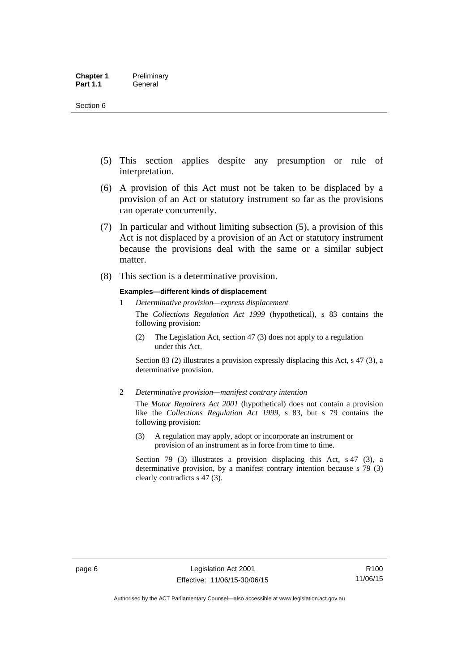- (5) This section applies despite any presumption or rule of interpretation.
- (6) A provision of this Act must not be taken to be displaced by a provision of an Act or statutory instrument so far as the provisions can operate concurrently.
- (7) In particular and without limiting subsection (5), a provision of this Act is not displaced by a provision of an Act or statutory instrument because the provisions deal with the same or a similar subject matter.
- (8) This section is a determinative provision.

#### **Examples—different kinds of displacement**

1 *Determinative provision—express displacement*

The *Collections Regulation Act 1999* (hypothetical), s 83 contains the following provision:

(2) The Legislation Act, section 47 (3) does not apply to a regulation under this Act.

Section 83 (2) illustrates a provision expressly displacing this Act, s 47 (3), a determinative provision.

2 *Determinative provision—manifest contrary intention*

The *Motor Repairers Act 2001* (hypothetical) does not contain a provision like the *Collections Regulation Act 1999*, s 83, but s 79 contains the following provision:

(3) A regulation may apply, adopt or incorporate an instrument or provision of an instrument as in force from time to time.

Section 79 (3) illustrates a provision displacing this Act, s 47 (3), a determinative provision, by a manifest contrary intention because s 79 (3) clearly contradicts s 47 (3).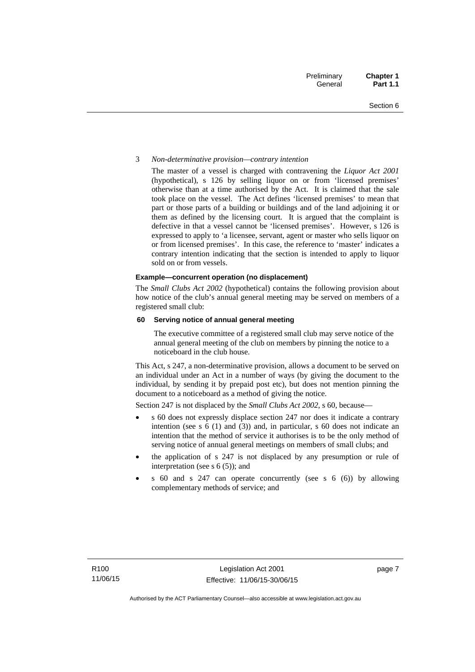#### 3 *Non-determinative provision—contrary intention*

The master of a vessel is charged with contravening the *Liquor Act 2001* (hypothetical), s 126 by selling liquor on or from 'licensed premises' otherwise than at a time authorised by the Act. It is claimed that the sale took place on the vessel. The Act defines 'licensed premises' to mean that part or those parts of a building or buildings and of the land adjoining it or them as defined by the licensing court. It is argued that the complaint is defective in that a vessel cannot be 'licensed premises'. However, s 126 is expressed to apply to 'a licensee, servant, agent or master who sells liquor on or from licensed premises'. In this case, the reference to 'master' indicates a contrary intention indicating that the section is intended to apply to liquor sold on or from vessels.

#### **Example—concurrent operation (no displacement)**

The *Small Clubs Act 2002* (hypothetical) contains the following provision about how notice of the club's annual general meeting may be served on members of a registered small club:

#### **60 Serving notice of annual general meeting**

The executive committee of a registered small club may serve notice of the annual general meeting of the club on members by pinning the notice to a noticeboard in the club house.

This Act, s 247, a non-determinative provision, allows a document to be served on an individual under an Act in a number of ways (by giving the document to the individual, by sending it by prepaid post etc), but does not mention pinning the document to a noticeboard as a method of giving the notice.

Section 247 is not displaced by the *Small Clubs Act 2002*, s 60, because—

- s 60 does not expressly displace section 247 nor does it indicate a contrary intention (see s 6 (1) and (3)) and, in particular, s 60 does not indicate an intention that the method of service it authorises is to be the only method of serving notice of annual general meetings on members of small clubs; and
- the application of s 247 is not displaced by any presumption or rule of interpretation (see s  $6(5)$ ); and
- s 60 and s 247 can operate concurrently (see s 6 (6)) by allowing complementary methods of service; and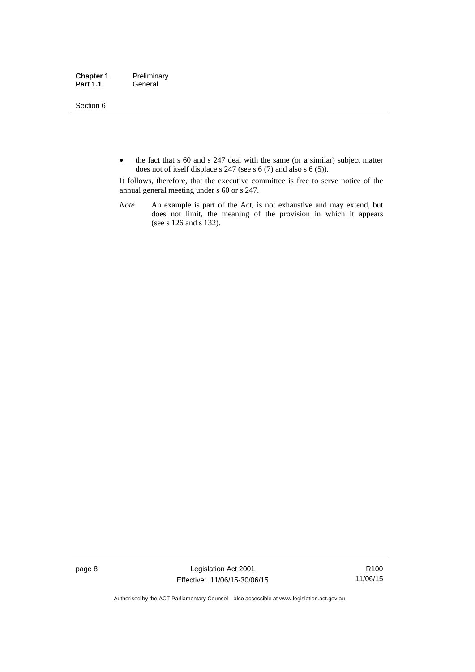Section 6

• the fact that s 60 and s 247 deal with the same (or a similar) subject matter does not of itself displace s 247 (see s 6 (7) and also s 6 (5)).

It follows, therefore, that the executive committee is free to serve notice of the annual general meeting under s 60 or s 247.

*Note* An example is part of the Act, is not exhaustive and may extend, but does not limit, the meaning of the provision in which it appears (see s 126 and s 132).

page 8 Legislation Act 2001 Effective: 11/06/15-30/06/15

R100 11/06/15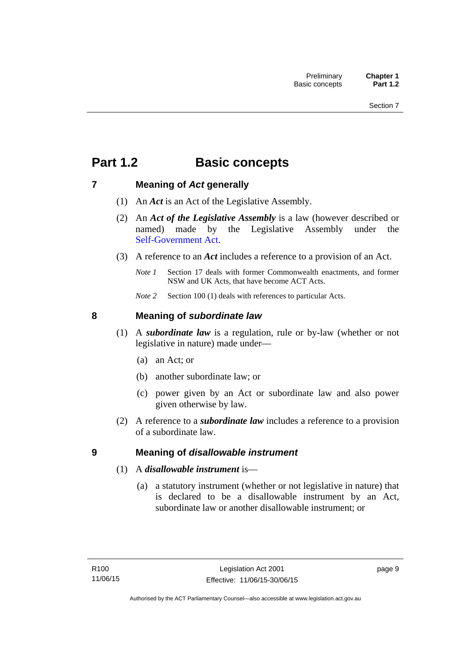# <span id="page-24-0"></span>**Part 1.2 Basic concepts**

## <span id="page-24-1"></span>**7 Meaning of** *Act* **generally**

- (1) An *Act* is an Act of the Legislative Assembly.
- (2) An *Act of the Legislative Assembly* is a law (however described or named) made by the Legislative Assembly under the [Self-Government Act.](http://www.comlaw.gov.au/Series/C2004A03699)
- (3) A reference to an *Act* includes a reference to a provision of an Act.
	- *Note 1* Section 17 deals with former Commonwealth enactments, and former NSW and UK Acts, that have become ACT Acts.
	- *Note 2* Section 100 (1) deals with references to particular Acts.

## <span id="page-24-2"></span>**8 Meaning of** *subordinate law*

- (1) A *subordinate law* is a regulation, rule or by-law (whether or not legislative in nature) made under—
	- (a) an Act; or
	- (b) another subordinate law; or
	- (c) power given by an Act or subordinate law and also power given otherwise by law.
- (2) A reference to a *subordinate law* includes a reference to a provision of a subordinate law.

## <span id="page-24-3"></span>**9 Meaning of** *disallowable instrument*

- (1) A *disallowable instrument* is—
	- (a) a statutory instrument (whether or not legislative in nature) that is declared to be a disallowable instrument by an Act, subordinate law or another disallowable instrument; or

page 9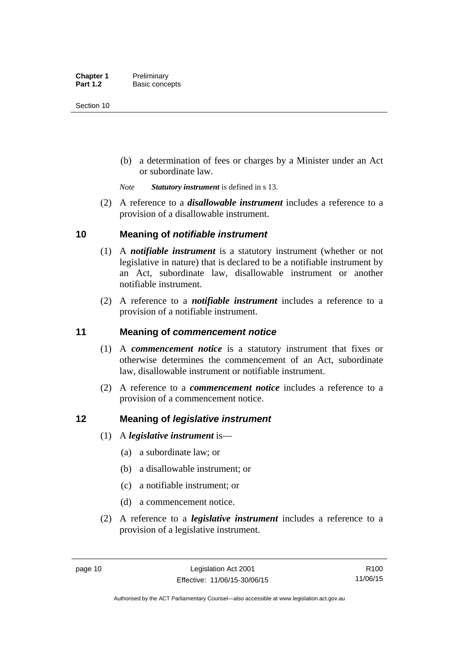(b) a determination of fees or charges by a Minister under an Act or subordinate law.

*Note Statutory instrument* is defined in s 13.

 (2) A reference to a *disallowable instrument* includes a reference to a provision of a disallowable instrument.

## <span id="page-25-0"></span>**10 Meaning of** *notifiable instrument*

- (1) A *notifiable instrument* is a statutory instrument (whether or not legislative in nature) that is declared to be a notifiable instrument by an Act, subordinate law, disallowable instrument or another notifiable instrument.
- (2) A reference to a *notifiable instrument* includes a reference to a provision of a notifiable instrument.

## <span id="page-25-1"></span>**11 Meaning of** *commencement notice*

- (1) A *commencement notice* is a statutory instrument that fixes or otherwise determines the commencement of an Act, subordinate law, disallowable instrument or notifiable instrument.
- (2) A reference to a *commencement notice* includes a reference to a provision of a commencement notice.

## <span id="page-25-2"></span>**12 Meaning of** *legislative instrument*

- (1) A *legislative instrument* is—
	- (a) a subordinate law; or
	- (b) a disallowable instrument; or
	- (c) a notifiable instrument; or
	- (d) a commencement notice.
- (2) A reference to a *legislative instrument* includes a reference to a provision of a legislative instrument.

R100 11/06/15

Authorised by the ACT Parliamentary Counsel—also accessible at www.legislation.act.gov.au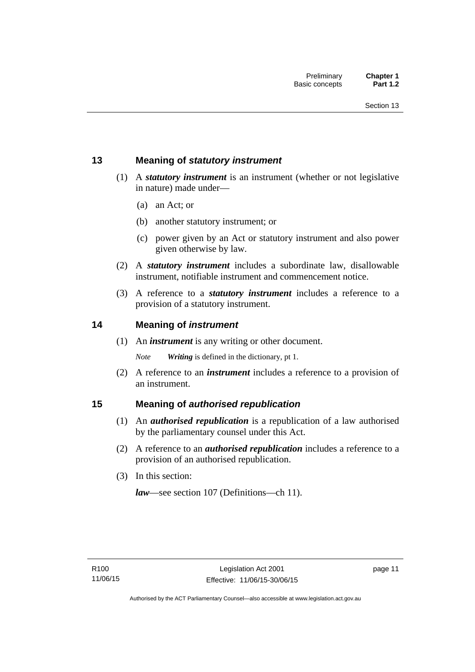## <span id="page-26-0"></span>**13 Meaning of** *statutory instrument*

- (1) A *statutory instrument* is an instrument (whether or not legislative in nature) made under—
	- (a) an Act; or
	- (b) another statutory instrument; or
	- (c) power given by an Act or statutory instrument and also power given otherwise by law.
- (2) A *statutory instrument* includes a subordinate law, disallowable instrument, notifiable instrument and commencement notice.
- (3) A reference to a *statutory instrument* includes a reference to a provision of a statutory instrument.

## <span id="page-26-1"></span>**14 Meaning of** *instrument*

(1) An *instrument* is any writing or other document.

*Note Writing* is defined in the dictionary, pt 1.

 (2) A reference to an *instrument* includes a reference to a provision of an instrument.

## <span id="page-26-2"></span>**15 Meaning of** *authorised republication*

- (1) An *authorised republication* is a republication of a law authorised by the parliamentary counsel under this Act.
- (2) A reference to an *authorised republication* includes a reference to a provision of an authorised republication.
- (3) In this section:

*law*—see section 107 (Definitions—ch 11).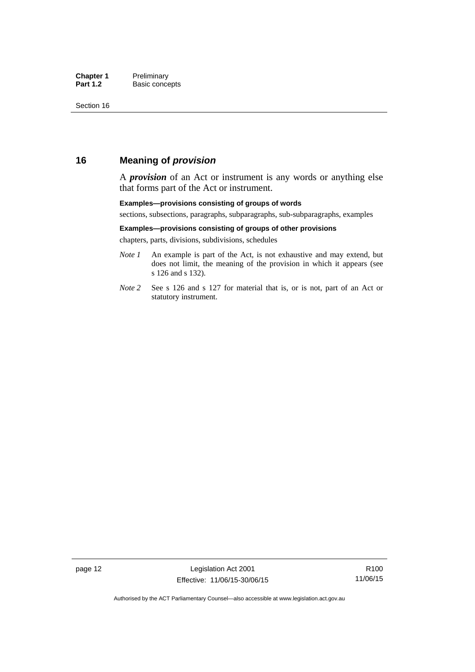## <span id="page-27-0"></span>**16 Meaning of** *provision*

A *provision* of an Act or instrument is any words or anything else that forms part of the Act or instrument.

#### **Examples—provisions consisting of groups of words**

sections, subsections, paragraphs, subparagraphs, sub-subparagraphs, examples

#### **Examples—provisions consisting of groups of other provisions**

chapters, parts, divisions, subdivisions, schedules

- *Note 1* An example is part of the Act, is not exhaustive and may extend, but does not limit, the meaning of the provision in which it appears (see s 126 and s 132).
- *Note 2* See s 126 and s 127 for material that is, or is not, part of an Act or statutory instrument.

R100 11/06/15

Authorised by the ACT Parliamentary Counsel—also accessible at www.legislation.act.gov.au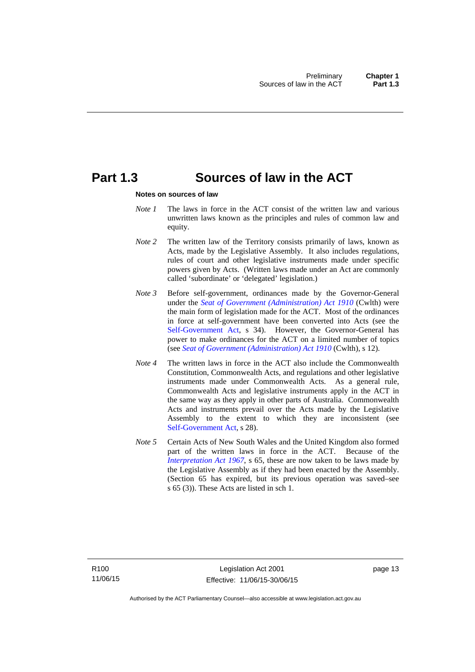## <span id="page-28-0"></span>**Part 1.3 Sources of law in the ACT**

#### **Notes on sources of law**

- *Note 1* The laws in force in the ACT consist of the written law and various unwritten laws known as the principles and rules of common law and equity.
- *Note* 2 The written law of the Territory consists primarily of laws, known as Acts, made by the Legislative Assembly. It also includes regulations, rules of court and other legislative instruments made under specific powers given by Acts. (Written laws made under an Act are commonly called 'subordinate' or 'delegated' legislation.)
- *Note 3* Before self-government, ordinances made by the Governor-General under the *[Seat of Government \(Administration\) Act 1910](http://www.comlaw.gov.au/Series/C2004A07446)* (Cwlth) were the main form of legislation made for the ACT. Most of the ordinances in force at self-government have been converted into Acts (see the [Self-Government Act,](http://www.comlaw.gov.au/Series/C2004A03699) s 34). However, the Governor-General has power to make ordinances for the ACT on a limited number of topics (see *[Seat of Government \(Administration\) Act 1910](http://www.comlaw.gov.au/Series/C2004A07446)* (Cwlth), s 12).
- *Note 4* The written laws in force in the ACT also include the Commonwealth Constitution, Commonwealth Acts, and regulations and other legislative instruments made under Commonwealth Acts. As a general rule, Commonwealth Acts and legislative instruments apply in the ACT in the same way as they apply in other parts of Australia. Commonwealth Acts and instruments prevail over the Acts made by the Legislative Assembly to the extent to which they are inconsistent (see [Self-Government Act](http://www.comlaw.gov.au/Series/C2004A03699), s 28).
- *Note 5* Certain Acts of New South Wales and the United Kingdom also formed part of the written laws in force in the ACT. Because of the *[Interpretation Act 1967](http://www.legislation.act.gov.au/a/1967-48)*, s 65, these are now taken to be laws made by the Legislative Assembly as if they had been enacted by the Assembly. (Section 65 has expired, but its previous operation was saved–see s 65 (3)). These Acts are listed in sch 1.

page 13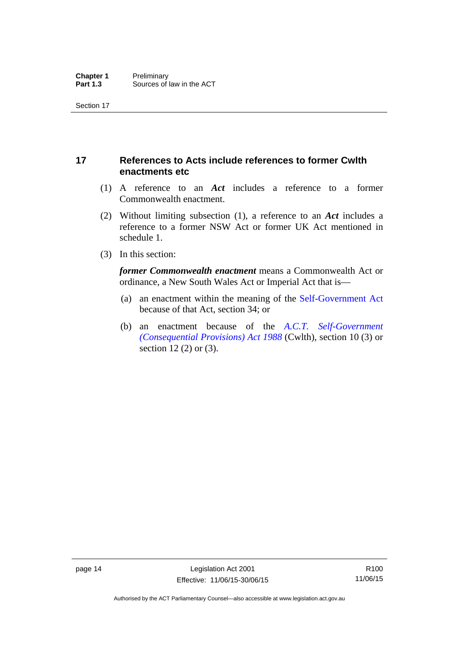## <span id="page-29-0"></span>**17 References to Acts include references to former Cwlth enactments etc**

- (1) A reference to an *Act* includes a reference to a former Commonwealth enactment.
- (2) Without limiting subsection (1), a reference to an *Act* includes a reference to a former NSW Act or former UK Act mentioned in schedule 1.
- (3) In this section:

*former Commonwealth enactment* means a Commonwealth Act or ordinance, a New South Wales Act or Imperial Act that is—

- (a) an enactment within the meaning of the [Self-Government Act](http://www.comlaw.gov.au/Series/C2004A03699) because of that Act, section 34; or
- (b) an enactment because of the *[A.C.T. Self-Government](http://www.comlaw.gov.au/Series/C2004A03702)  [\(Consequential Provisions\) Act 1988](http://www.comlaw.gov.au/Series/C2004A03702)* (Cwlth), section 10 (3) or section 12 (2) or (3).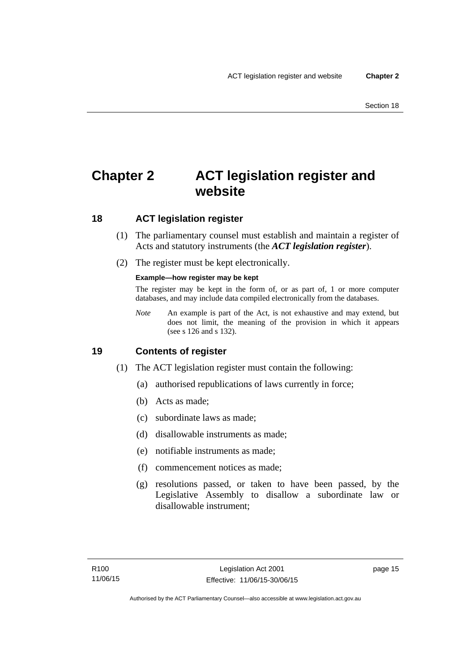# <span id="page-30-0"></span>**Chapter 2 ACT legislation register and website**

## <span id="page-30-1"></span>**18 ACT legislation register**

- (1) The parliamentary counsel must establish and maintain a register of Acts and statutory instruments (the *ACT legislation register*).
- (2) The register must be kept electronically.

### **Example—how register may be kept**

The register may be kept in the form of, or as part of, 1 or more computer databases, and may include data compiled electronically from the databases.

*Note* An example is part of the Act, is not exhaustive and may extend, but does not limit, the meaning of the provision in which it appears (see s 126 and s 132).

## <span id="page-30-2"></span>**19 Contents of register**

- (1) The ACT legislation register must contain the following:
	- (a) authorised republications of laws currently in force;
	- (b) Acts as made;
	- (c) subordinate laws as made;
	- (d) disallowable instruments as made;
	- (e) notifiable instruments as made;
	- (f) commencement notices as made;
	- (g) resolutions passed, or taken to have been passed, by the Legislative Assembly to disallow a subordinate law or disallowable instrument;

page 15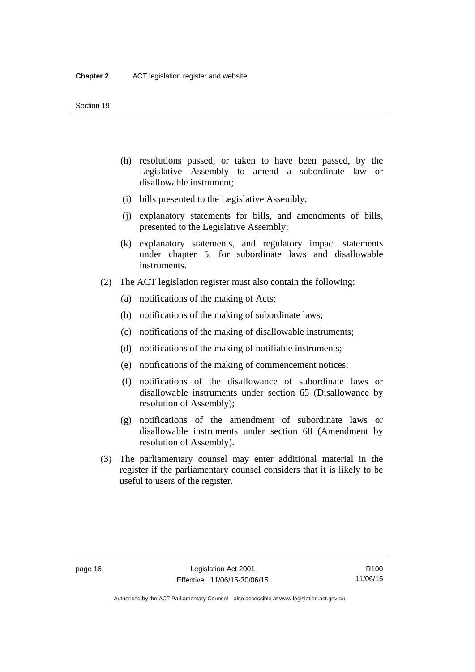- (h) resolutions passed, or taken to have been passed, by the Legislative Assembly to amend a subordinate law or disallowable instrument;
- (i) bills presented to the Legislative Assembly;
- (j) explanatory statements for bills, and amendments of bills, presented to the Legislative Assembly;
- (k) explanatory statements, and regulatory impact statements under chapter 5, for subordinate laws and disallowable instruments.
- (2) The ACT legislation register must also contain the following:
	- (a) notifications of the making of Acts;
	- (b) notifications of the making of subordinate laws;
	- (c) notifications of the making of disallowable instruments;
	- (d) notifications of the making of notifiable instruments;
	- (e) notifications of the making of commencement notices;
	- (f) notifications of the disallowance of subordinate laws or disallowable instruments under section 65 (Disallowance by resolution of Assembly);
	- (g) notifications of the amendment of subordinate laws or disallowable instruments under section 68 (Amendment by resolution of Assembly).
- (3) The parliamentary counsel may enter additional material in the register if the parliamentary counsel considers that it is likely to be useful to users of the register.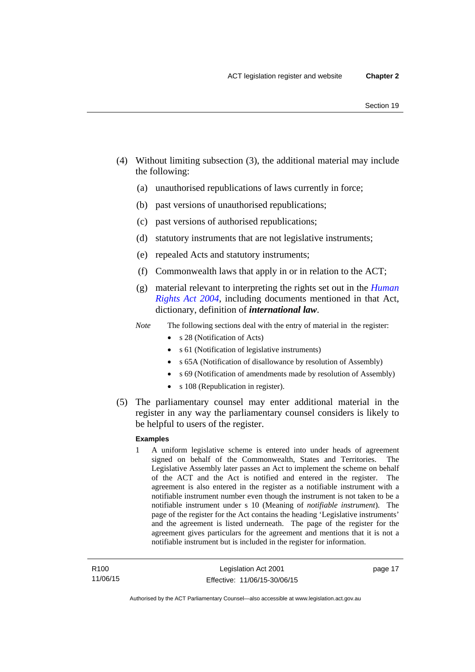- (4) Without limiting subsection (3), the additional material may include the following:
	- (a) unauthorised republications of laws currently in force;
	- (b) past versions of unauthorised republications;
	- (c) past versions of authorised republications;
	- (d) statutory instruments that are not legislative instruments;
	- (e) repealed Acts and statutory instruments;
	- (f) Commonwealth laws that apply in or in relation to the ACT;
	- (g) material relevant to interpreting the rights set out in the *[Human](http://www.legislation.act.gov.au/a/2004-5)  [Rights Act 2004](http://www.legislation.act.gov.au/a/2004-5)*, including documents mentioned in that Act, dictionary, definition of *international law*.
	- *Note* The following sections deal with the entry of material in the register:
		- s 28 (Notification of Acts)
		- s 61 (Notification of legislative instruments)
		- s 65A (Notification of disallowance by resolution of Assembly)
		- s 69 (Notification of amendments made by resolution of Assembly)
		- s 108 (Republication in register).
- (5) The parliamentary counsel may enter additional material in the register in any way the parliamentary counsel considers is likely to be helpful to users of the register.

#### **Examples**

1 A uniform legislative scheme is entered into under heads of agreement signed on behalf of the Commonwealth, States and Territories. The Legislative Assembly later passes an Act to implement the scheme on behalf of the ACT and the Act is notified and entered in the register. The agreement is also entered in the register as a notifiable instrument with a notifiable instrument number even though the instrument is not taken to be a notifiable instrument under s 10 (Meaning of *notifiable instrument*). The page of the register for the Act contains the heading 'Legislative instruments' and the agreement is listed underneath. The page of the register for the agreement gives particulars for the agreement and mentions that it is not a notifiable instrument but is included in the register for information.

page 17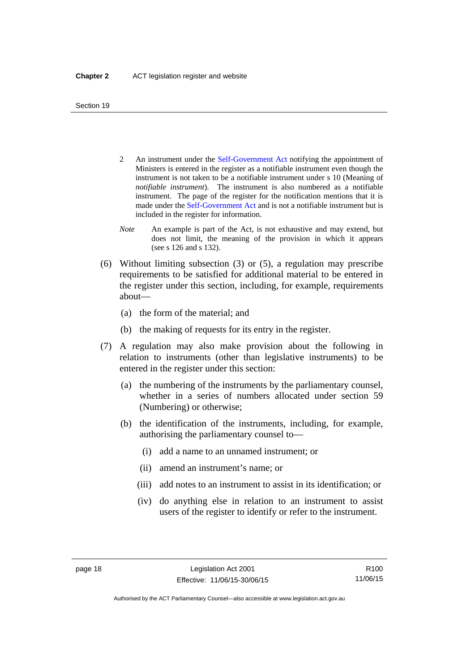- 2 An instrument under the [Self-Government Act](http://www.comlaw.gov.au/Series/C2004A03699) notifying the appointment of Ministers is entered in the register as a notifiable instrument even though the instrument is not taken to be a notifiable instrument under s 10 (Meaning of *notifiable instrument*). The instrument is also numbered as a notifiable instrument. The page of the register for the notification mentions that it is made under the [Self-Government Act](http://www.comlaw.gov.au/Series/C2004A03699) and is not a notifiable instrument but is included in the register for information.
- *Note* An example is part of the Act, is not exhaustive and may extend, but does not limit, the meaning of the provision in which it appears (see s 126 and s 132).
- (6) Without limiting subsection (3) or (5), a regulation may prescribe requirements to be satisfied for additional material to be entered in the register under this section, including, for example, requirements about—
	- (a) the form of the material; and
	- (b) the making of requests for its entry in the register.
- (7) A regulation may also make provision about the following in relation to instruments (other than legislative instruments) to be entered in the register under this section:
	- (a) the numbering of the instruments by the parliamentary counsel, whether in a series of numbers allocated under section 59 (Numbering) or otherwise;
	- (b) the identification of the instruments, including, for example, authorising the parliamentary counsel to—
		- (i) add a name to an unnamed instrument; or
		- (ii) amend an instrument's name; or
		- (iii) add notes to an instrument to assist in its identification; or
		- (iv) do anything else in relation to an instrument to assist users of the register to identify or refer to the instrument.

R100 11/06/15

Authorised by the ACT Parliamentary Counsel—also accessible at www.legislation.act.gov.au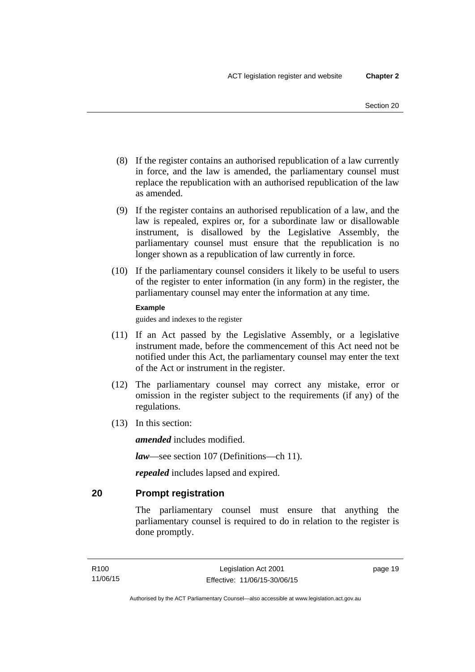- (8) If the register contains an authorised republication of a law currently in force, and the law is amended, the parliamentary counsel must replace the republication with an authorised republication of the law as amended.
- (9) If the register contains an authorised republication of a law, and the law is repealed, expires or, for a subordinate law or disallowable instrument, is disallowed by the Legislative Assembly, the parliamentary counsel must ensure that the republication is no longer shown as a republication of law currently in force.
- (10) If the parliamentary counsel considers it likely to be useful to users of the register to enter information (in any form) in the register, the parliamentary counsel may enter the information at any time.

#### **Example**

guides and indexes to the register

- (11) If an Act passed by the Legislative Assembly, or a legislative instrument made, before the commencement of this Act need not be notified under this Act, the parliamentary counsel may enter the text of the Act or instrument in the register.
- (12) The parliamentary counsel may correct any mistake, error or omission in the register subject to the requirements (if any) of the regulations.
- (13) In this section:

*amended* includes modified.

*law*—see section 107 (Definitions—ch 11).

*repealed* includes lapsed and expired.

## <span id="page-34-0"></span>**20 Prompt registration**

The parliamentary counsel must ensure that anything the parliamentary counsel is required to do in relation to the register is done promptly.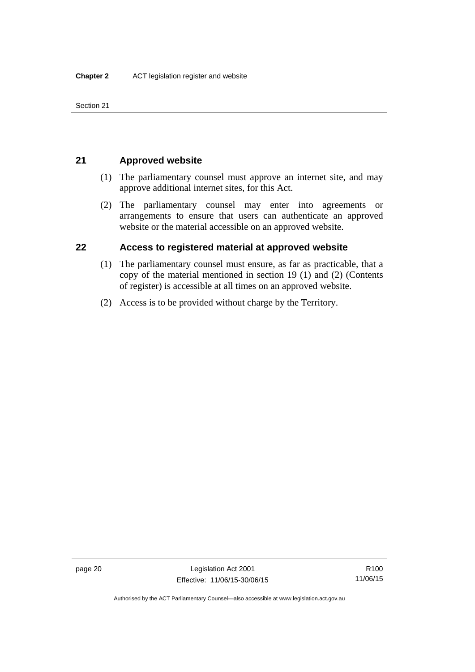Section 21

## <span id="page-35-0"></span>**21 Approved website**

- (1) The parliamentary counsel must approve an internet site, and may approve additional internet sites, for this Act.
- (2) The parliamentary counsel may enter into agreements or arrangements to ensure that users can authenticate an approved website or the material accessible on an approved website.

## <span id="page-35-1"></span>**22 Access to registered material at approved website**

- (1) The parliamentary counsel must ensure, as far as practicable, that a copy of the material mentioned in section 19 (1) and (2) (Contents of register) is accessible at all times on an approved website.
- (2) Access is to be provided without charge by the Territory.

R100 11/06/15

Authorised by the ACT Parliamentary Counsel—also accessible at www.legislation.act.gov.au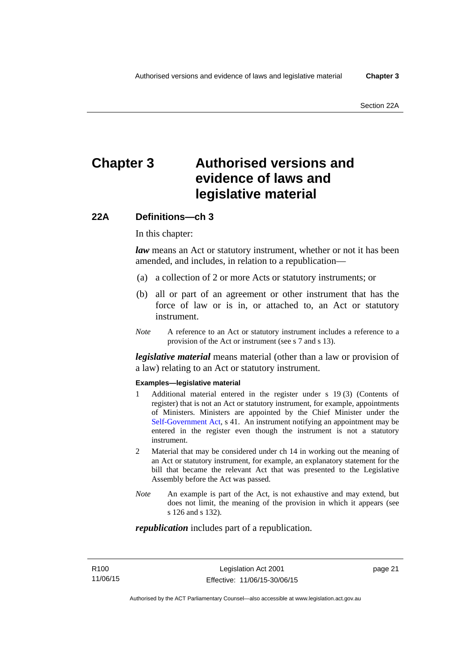# **Chapter 3 Authorised versions and evidence of laws and legislative material**

### **22A Definitions—ch 3**

In this chapter:

*law* means an Act or statutory instrument, whether or not it has been amended, and includes, in relation to a republication—

- (a) a collection of 2 or more Acts or statutory instruments; or
- (b) all or part of an agreement or other instrument that has the force of law or is in, or attached to, an Act or statutory instrument.
- *Note* A reference to an Act or statutory instrument includes a reference to a provision of the Act or instrument (see s 7 and s 13).

*legislative material* means material (other than a law or provision of a law) relating to an Act or statutory instrument.

#### **Examples—legislative material**

- 1 Additional material entered in the register under s 19 (3) (Contents of register) that is not an Act or statutory instrument, for example, appointments of Ministers. Ministers are appointed by the Chief Minister under the [Self-Government Act,](http://www.comlaw.gov.au/Series/C2004A03699) s 41. An instrument notifying an appointment may be entered in the register even though the instrument is not a statutory instrument.
- 2 Material that may be considered under ch 14 in working out the meaning of an Act or statutory instrument, for example, an explanatory statement for the bill that became the relevant Act that was presented to the Legislative Assembly before the Act was passed.
- *Note* An example is part of the Act, is not exhaustive and may extend, but does not limit, the meaning of the provision in which it appears (see s 126 and s 132).

#### *republication* includes part of a republication.

page 21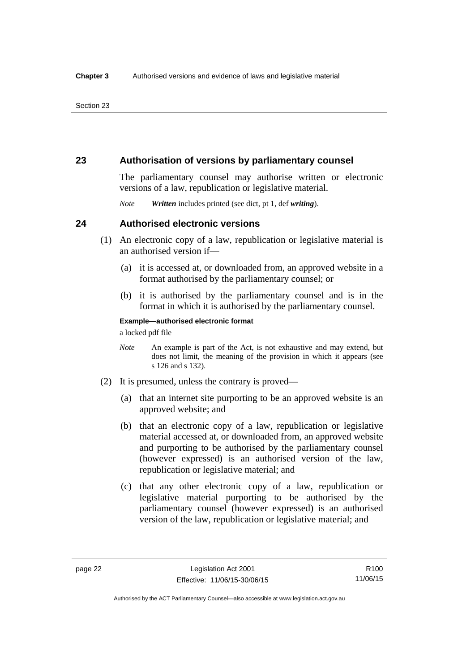### **23 Authorisation of versions by parliamentary counsel**

The parliamentary counsel may authorise written or electronic versions of a law, republication or legislative material.

*Note Written* includes printed (see dict, pt 1, def *writing*).

### **24 Authorised electronic versions**

- (1) An electronic copy of a law, republication or legislative material is an authorised version if—
	- (a) it is accessed at, or downloaded from, an approved website in a format authorised by the parliamentary counsel; or
	- (b) it is authorised by the parliamentary counsel and is in the format in which it is authorised by the parliamentary counsel.

**Example—authorised electronic format**  a locked pdf file

*Note* An example is part of the Act, is not exhaustive and may extend, but does not limit, the meaning of the provision in which it appears (see s 126 and s 132).

- (2) It is presumed, unless the contrary is proved—
	- (a) that an internet site purporting to be an approved website is an approved website; and
	- (b) that an electronic copy of a law, republication or legislative material accessed at, or downloaded from, an approved website and purporting to be authorised by the parliamentary counsel (however expressed) is an authorised version of the law, republication or legislative material; and
	- (c) that any other electronic copy of a law, republication or legislative material purporting to be authorised by the parliamentary counsel (however expressed) is an authorised version of the law, republication or legislative material; and

Authorised by the ACT Parliamentary Counsel—also accessible at www.legislation.act.gov.au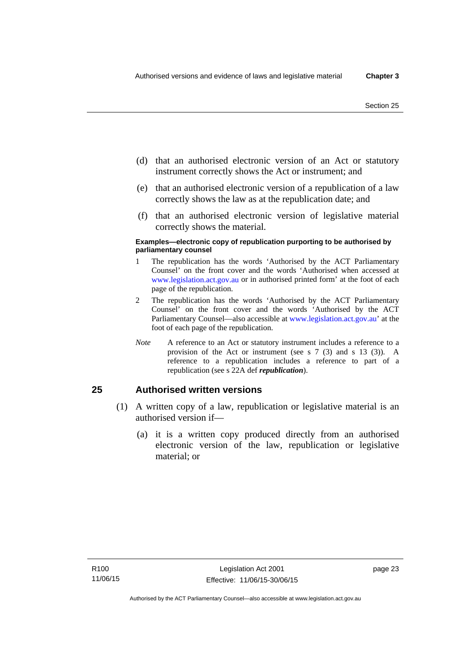- (d) that an authorised electronic version of an Act or statutory instrument correctly shows the Act or instrument; and
- (e) that an authorised electronic version of a republication of a law correctly shows the law as at the republication date; and
- (f) that an authorised electronic version of legislative material correctly shows the material.

#### **Examples—electronic copy of republication purporting to be authorised by parliamentary counsel**

- 1 The republication has the words 'Authorised by the ACT Parliamentary Counsel' on the front cover and the words 'Authorised when accessed at [www.legislation.act.gov.au](http://www.legislation.act.gov.au/) or in authorised printed form' at the foot of each page of the republication.
- 2 The republication has the words 'Authorised by the ACT Parliamentary Counsel' on the front cover and the words 'Authorised by the ACT Parliamentary Counsel—also accessible at [www.legislation.act.gov.au](http://www.legislation.act.gov.au/)' at the foot of each page of the republication.
- *Note* A reference to an Act or statutory instrument includes a reference to a provision of the Act or instrument (see s 7 (3) and s 13 (3)). A reference to a republication includes a reference to part of a republication (see s 22A def *republication*).

### **25 Authorised written versions**

- (1) A written copy of a law, republication or legislative material is an authorised version if—
	- (a) it is a written copy produced directly from an authorised electronic version of the law, republication or legislative material; or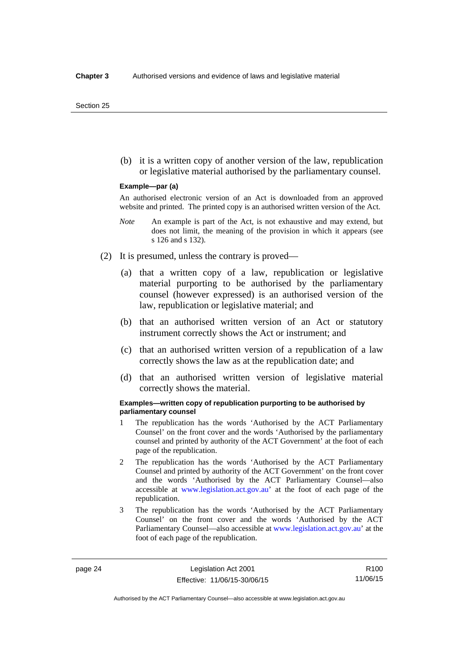(b) it is a written copy of another version of the law, republication or legislative material authorised by the parliamentary counsel.

#### **Example—par (a)**

An authorised electronic version of an Act is downloaded from an approved website and printed. The printed copy is an authorised written version of the Act.

- *Note* An example is part of the Act, is not exhaustive and may extend, but does not limit, the meaning of the provision in which it appears (see s 126 and s 132).
- (2) It is presumed, unless the contrary is proved—
	- (a) that a written copy of a law, republication or legislative material purporting to be authorised by the parliamentary counsel (however expressed) is an authorised version of the law, republication or legislative material; and
	- (b) that an authorised written version of an Act or statutory instrument correctly shows the Act or instrument; and
	- (c) that an authorised written version of a republication of a law correctly shows the law as at the republication date; and
	- (d) that an authorised written version of legislative material correctly shows the material.

#### **Examples—written copy of republication purporting to be authorised by parliamentary counsel**

- 1 The republication has the words 'Authorised by the ACT Parliamentary Counsel' on the front cover and the words 'Authorised by the parliamentary counsel and printed by authority of the ACT Government' at the foot of each page of the republication.
- 2 The republication has the words 'Authorised by the ACT Parliamentary Counsel and printed by authority of the ACT Government' on the front cover and the words 'Authorised by the ACT Parliamentary Counsel—also accessible at [www.legislation.act.gov.au'](http://www.legislation.act.gov.au/) at the foot of each page of the republication.
- 3 The republication has the words 'Authorised by the ACT Parliamentary Counsel' on the front cover and the words 'Authorised by the ACT Parliamentary Counsel—also accessible at [www.legislation.act.gov.au](http://www.legislation.act.gov.au/)' at the foot of each page of the republication.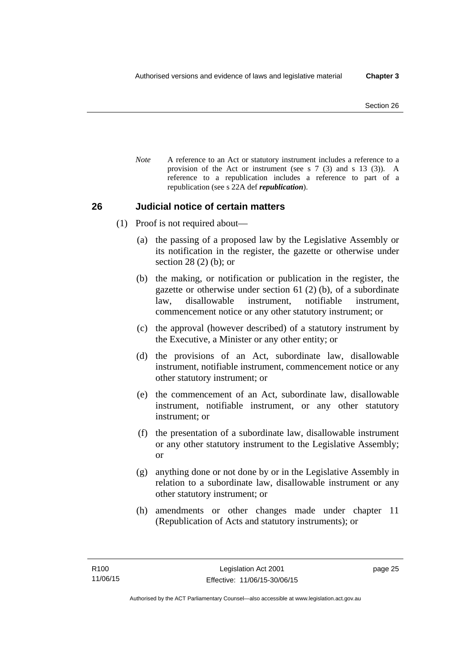*Note* A reference to an Act or statutory instrument includes a reference to a provision of the Act or instrument (see s 7 (3) and s 13 (3)). A reference to a republication includes a reference to part of a republication (see s 22A def *republication*).

### **26 Judicial notice of certain matters**

- (1) Proof is not required about—
	- (a) the passing of a proposed law by the Legislative Assembly or its notification in the register, the gazette or otherwise under section 28 (2) (b); or
	- (b) the making, or notification or publication in the register, the gazette or otherwise under section 61 (2) (b), of a subordinate law, disallowable instrument, notifiable instrument, commencement notice or any other statutory instrument; or
	- (c) the approval (however described) of a statutory instrument by the Executive, a Minister or any other entity; or
	- (d) the provisions of an Act, subordinate law, disallowable instrument, notifiable instrument, commencement notice or any other statutory instrument; or
	- (e) the commencement of an Act, subordinate law, disallowable instrument, notifiable instrument, or any other statutory instrument; or
	- (f) the presentation of a subordinate law, disallowable instrument or any other statutory instrument to the Legislative Assembly; or
	- (g) anything done or not done by or in the Legislative Assembly in relation to a subordinate law, disallowable instrument or any other statutory instrument; or
	- (h) amendments or other changes made under chapter 11 (Republication of Acts and statutory instruments); or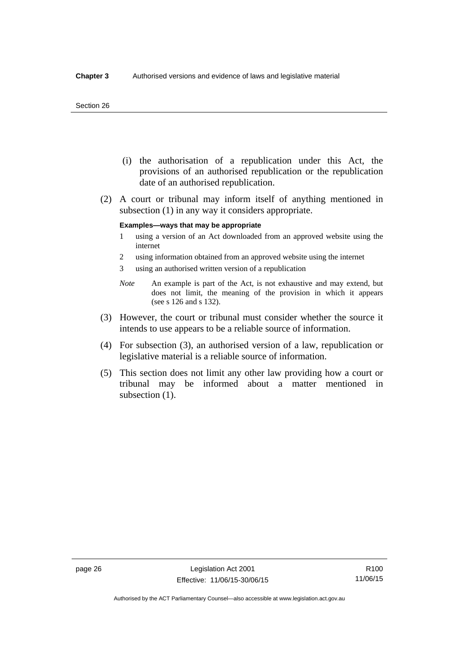#### Section 26

- (i) the authorisation of a republication under this Act, the provisions of an authorised republication or the republication date of an authorised republication.
- (2) A court or tribunal may inform itself of anything mentioned in subsection (1) in any way it considers appropriate.

#### **Examples—ways that may be appropriate**

- 1 using a version of an Act downloaded from an approved website using the internet
- 2 using information obtained from an approved website using the internet
- 3 using an authorised written version of a republication
- *Note* An example is part of the Act, is not exhaustive and may extend, but does not limit, the meaning of the provision in which it appears (see s 126 and s 132).
- (3) However, the court or tribunal must consider whether the source it intends to use appears to be a reliable source of information.
- (4) For subsection (3), an authorised version of a law, republication or legislative material is a reliable source of information.
- (5) This section does not limit any other law providing how a court or tribunal may be informed about a matter mentioned in subsection  $(1)$ .

R100 11/06/15

Authorised by the ACT Parliamentary Counsel—also accessible at www.legislation.act.gov.au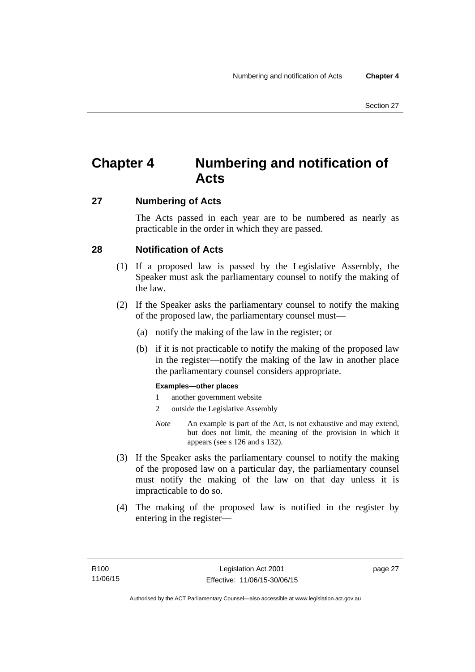# **Chapter 4 Numbering and notification of Acts**

### **27 Numbering of Acts**

The Acts passed in each year are to be numbered as nearly as practicable in the order in which they are passed.

### **28 Notification of Acts**

- (1) If a proposed law is passed by the Legislative Assembly, the Speaker must ask the parliamentary counsel to notify the making of the law.
- (2) If the Speaker asks the parliamentary counsel to notify the making of the proposed law, the parliamentary counsel must—
	- (a) notify the making of the law in the register; or
	- (b) if it is not practicable to notify the making of the proposed law in the register—notify the making of the law in another place the parliamentary counsel considers appropriate.

### **Examples—other places**

- 1 another government website
- 2 outside the Legislative Assembly
- *Note* An example is part of the Act, is not exhaustive and may extend, but does not limit, the meaning of the provision in which it appears (see s 126 and s 132).
- (3) If the Speaker asks the parliamentary counsel to notify the making of the proposed law on a particular day, the parliamentary counsel must notify the making of the law on that day unless it is impracticable to do so.
- (4) The making of the proposed law is notified in the register by entering in the register—

page 27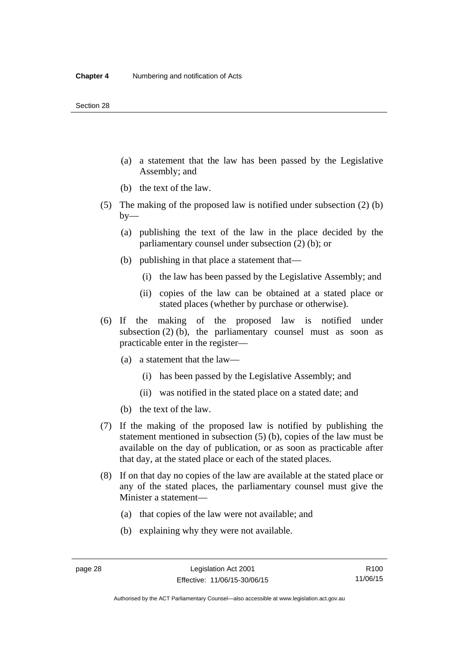- (a) a statement that the law has been passed by the Legislative Assembly; and
- (b) the text of the law.
- (5) The making of the proposed law is notified under subsection (2) (b)  $by-$ 
	- (a) publishing the text of the law in the place decided by the parliamentary counsel under subsection (2) (b); or
	- (b) publishing in that place a statement that—
		- (i) the law has been passed by the Legislative Assembly; and
		- (ii) copies of the law can be obtained at a stated place or stated places (whether by purchase or otherwise).
- (6) If the making of the proposed law is notified under subsection  $(2)$  (b), the parliamentary counsel must as soon as practicable enter in the register—
	- (a) a statement that the law—
		- (i) has been passed by the Legislative Assembly; and
		- (ii) was notified in the stated place on a stated date; and
	- (b) the text of the law.
- (7) If the making of the proposed law is notified by publishing the statement mentioned in subsection (5) (b), copies of the law must be available on the day of publication, or as soon as practicable after that day, at the stated place or each of the stated places.
- (8) If on that day no copies of the law are available at the stated place or any of the stated places, the parliamentary counsel must give the Minister a statement—
	- (a) that copies of the law were not available; and
	- (b) explaining why they were not available.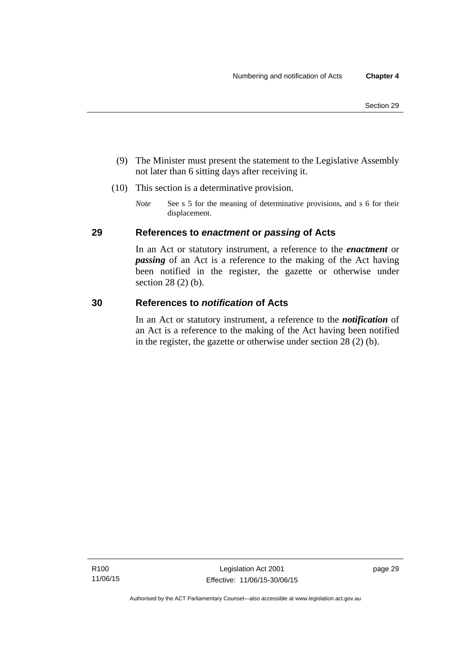- (9) The Minister must present the statement to the Legislative Assembly not later than 6 sitting days after receiving it.
- (10) This section is a determinative provision.
	- *Note* See s 5 for the meaning of determinative provisions, and s 6 for their displacement.

### **29 References to** *enactment* **or** *passing* **of Acts**

In an Act or statutory instrument, a reference to the *enactment* or *passing* of an Act is a reference to the making of the Act having been notified in the register, the gazette or otherwise under section 28 (2) (b).

### **30 References to** *notification* **of Acts**

In an Act or statutory instrument, a reference to the *notification* of an Act is a reference to the making of the Act having been notified in the register, the gazette or otherwise under section 28 (2) (b).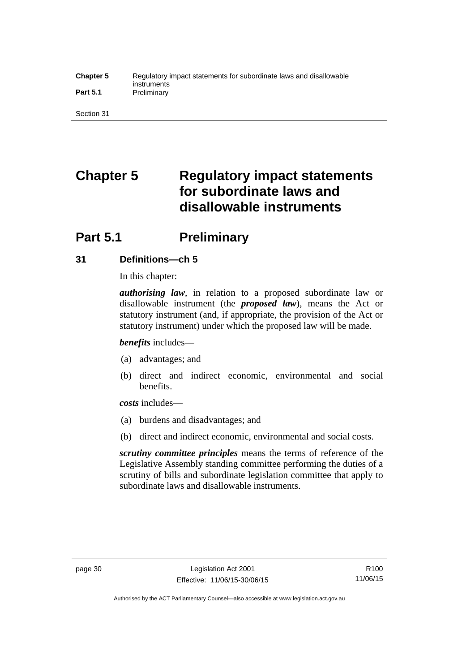#### **Chapter 5** Regulatory impact statements for subordinate laws and disallowable instruments Part 5.1 **Preliminary**

Section 31

# **Chapter 5 Regulatory impact statements for subordinate laws and disallowable instruments**

# **Part 5.1** Preliminary

### **31 Definitions—ch 5**

In this chapter:

*authorising law*, in relation to a proposed subordinate law or disallowable instrument (the *proposed law*), means the Act or statutory instrument (and, if appropriate, the provision of the Act or statutory instrument) under which the proposed law will be made.

*benefits* includes—

- (a) advantages; and
- (b) direct and indirect economic, environmental and social benefits.

*costs* includes—

- (a) burdens and disadvantages; and
- (b) direct and indirect economic, environmental and social costs.

*scrutiny committee principles* means the terms of reference of the Legislative Assembly standing committee performing the duties of a scrutiny of bills and subordinate legislation committee that apply to subordinate laws and disallowable instruments.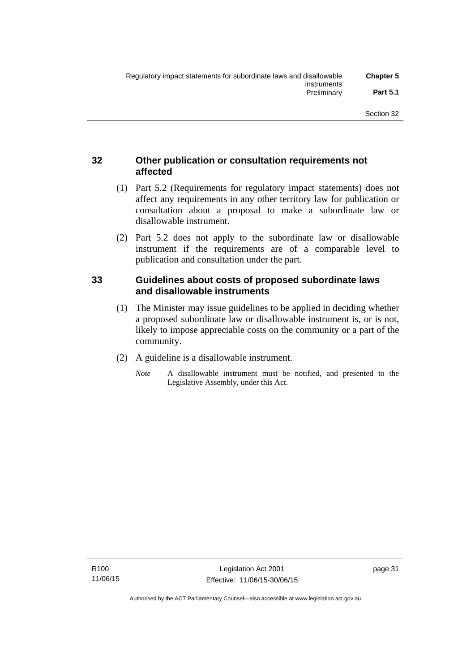### **32 Other publication or consultation requirements not affected**

- (1) Part 5.2 (Requirements for regulatory impact statements) does not affect any requirements in any other territory law for publication or consultation about a proposal to make a subordinate law or disallowable instrument.
- (2) Part 5.2 does not apply to the subordinate law or disallowable instrument if the requirements are of a comparable level to publication and consultation under the part.

### **33 Guidelines about costs of proposed subordinate laws and disallowable instruments**

- (1) The Minister may issue guidelines to be applied in deciding whether a proposed subordinate law or disallowable instrument is, or is not, likely to impose appreciable costs on the community or a part of the community.
- (2) A guideline is a disallowable instrument.
	- *Note* A disallowable instrument must be notified, and presented to the Legislative Assembly, under this Act.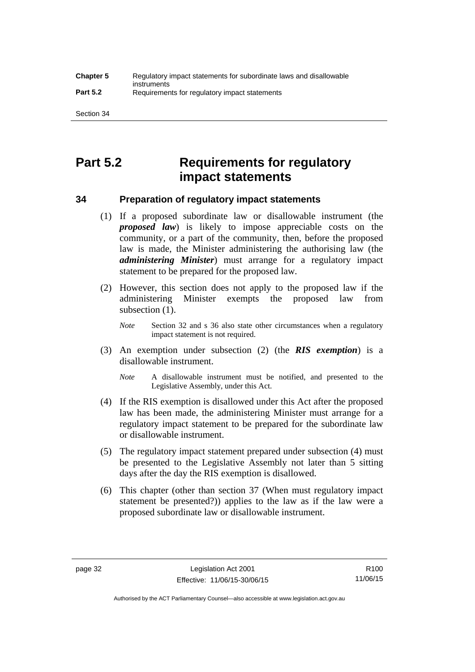# **Part 5.2 Requirements for regulatory impact statements**

### **34 Preparation of regulatory impact statements**

- (1) If a proposed subordinate law or disallowable instrument (the *proposed law*) is likely to impose appreciable costs on the community, or a part of the community, then, before the proposed law is made, the Minister administering the authorising law (the *administering Minister*) must arrange for a regulatory impact statement to be prepared for the proposed law.
- (2) However, this section does not apply to the proposed law if the administering Minister exempts the proposed law from subsection  $(1)$ .

*Note* Section 32 and s 36 also state other circumstances when a regulatory impact statement is not required.

- (3) An exemption under subsection (2) (the *RIS exemption*) is a disallowable instrument.
	- *Note* A disallowable instrument must be notified, and presented to the Legislative Assembly, under this Act.
- (4) If the RIS exemption is disallowed under this Act after the proposed law has been made, the administering Minister must arrange for a regulatory impact statement to be prepared for the subordinate law or disallowable instrument.
- (5) The regulatory impact statement prepared under subsection (4) must be presented to the Legislative Assembly not later than 5 sitting days after the day the RIS exemption is disallowed.
- (6) This chapter (other than section 37 (When must regulatory impact statement be presented?)) applies to the law as if the law were a proposed subordinate law or disallowable instrument.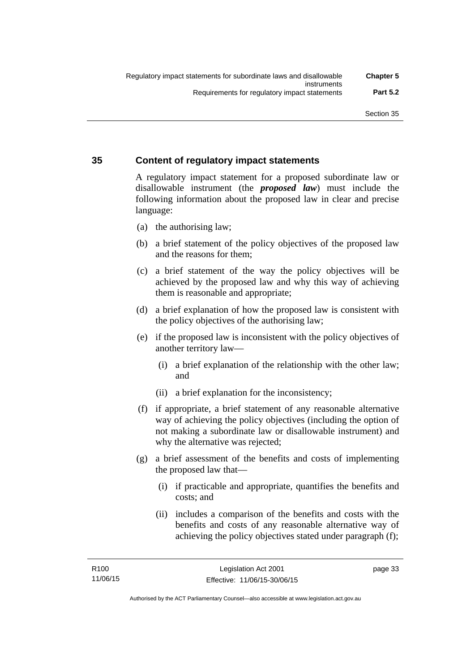### **35 Content of regulatory impact statements**

A regulatory impact statement for a proposed subordinate law or disallowable instrument (the *proposed law*) must include the following information about the proposed law in clear and precise language:

- (a) the authorising law;
- (b) a brief statement of the policy objectives of the proposed law and the reasons for them;
- (c) a brief statement of the way the policy objectives will be achieved by the proposed law and why this way of achieving them is reasonable and appropriate;
- (d) a brief explanation of how the proposed law is consistent with the policy objectives of the authorising law;
- (e) if the proposed law is inconsistent with the policy objectives of another territory law—
	- (i) a brief explanation of the relationship with the other law; and
	- (ii) a brief explanation for the inconsistency;
- (f) if appropriate, a brief statement of any reasonable alternative way of achieving the policy objectives (including the option of not making a subordinate law or disallowable instrument) and why the alternative was rejected;
- (g) a brief assessment of the benefits and costs of implementing the proposed law that—
	- (i) if practicable and appropriate, quantifies the benefits and costs; and
	- (ii) includes a comparison of the benefits and costs with the benefits and costs of any reasonable alternative way of achieving the policy objectives stated under paragraph (f);

page 33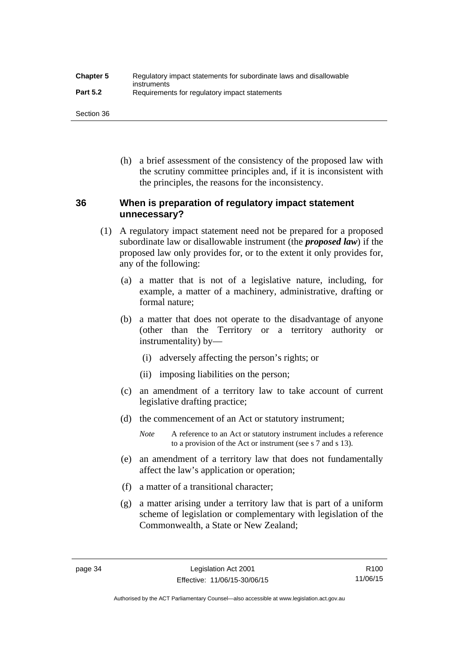| <b>Chapter 5</b> | Regulatory impact statements for subordinate laws and disallowable |
|------------------|--------------------------------------------------------------------|
| <b>Part 5.2</b>  | instruments<br>Requirements for regulatory impact statements       |

Section 36

 (h) a brief assessment of the consistency of the proposed law with the scrutiny committee principles and, if it is inconsistent with the principles, the reasons for the inconsistency.

### **36 When is preparation of regulatory impact statement unnecessary?**

- (1) A regulatory impact statement need not be prepared for a proposed subordinate law or disallowable instrument (the *proposed law*) if the proposed law only provides for, or to the extent it only provides for, any of the following:
	- (a) a matter that is not of a legislative nature, including, for example, a matter of a machinery, administrative, drafting or formal nature;
	- (b) a matter that does not operate to the disadvantage of anyone (other than the Territory or a territory authority or instrumentality) by—
		- (i) adversely affecting the person's rights; or
		- (ii) imposing liabilities on the person;
	- (c) an amendment of a territory law to take account of current legislative drafting practice;
	- (d) the commencement of an Act or statutory instrument;
		- *Note* A reference to an Act or statutory instrument includes a reference to a provision of the Act or instrument (see s 7 and s 13).
	- (e) an amendment of a territory law that does not fundamentally affect the law's application or operation;
	- (f) a matter of a transitional character;
	- (g) a matter arising under a territory law that is part of a uniform scheme of legislation or complementary with legislation of the Commonwealth, a State or New Zealand;

Authorised by the ACT Parliamentary Counsel—also accessible at www.legislation.act.gov.au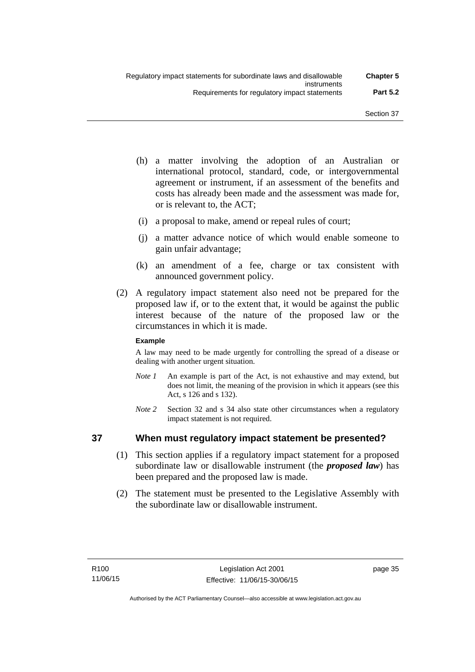- (h) a matter involving the adoption of an Australian or international protocol, standard, code, or intergovernmental agreement or instrument, if an assessment of the benefits and costs has already been made and the assessment was made for, or is relevant to, the ACT;
- (i) a proposal to make, amend or repeal rules of court;
- (j) a matter advance notice of which would enable someone to gain unfair advantage;
- (k) an amendment of a fee, charge or tax consistent with announced government policy.
- (2) A regulatory impact statement also need not be prepared for the proposed law if, or to the extent that, it would be against the public interest because of the nature of the proposed law or the circumstances in which it is made.

### **Example**

A law may need to be made urgently for controlling the spread of a disease or dealing with another urgent situation.

- *Note 1* An example is part of the Act, is not exhaustive and may extend, but does not limit, the meaning of the provision in which it appears (see this Act, s 126 and s 132).
- *Note* 2 Section 32 and s 34 also state other circumstances when a regulatory impact statement is not required.

### **37 When must regulatory impact statement be presented?**

- (1) This section applies if a regulatory impact statement for a proposed subordinate law or disallowable instrument (the *proposed law*) has been prepared and the proposed law is made.
- (2) The statement must be presented to the Legislative Assembly with the subordinate law or disallowable instrument.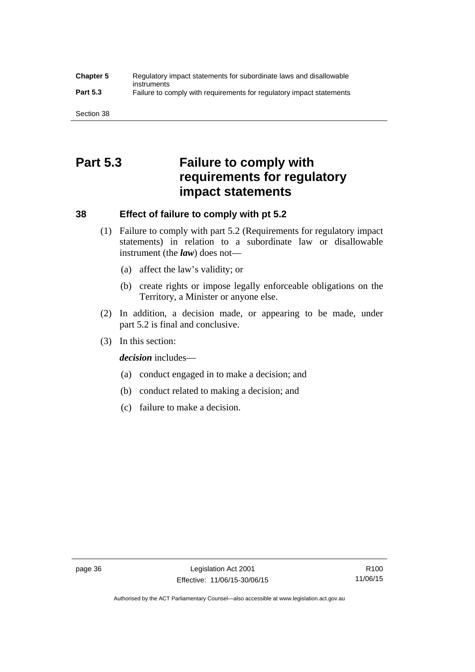#### **Chapter 5** Regulatory impact statements for subordinate laws and disallowable instruments **Part 5.3** Failure to comply with requirements for regulatory impact statements

Section 38

# **Part 5.3 Failure to comply with requirements for regulatory impact statements**

### **38 Effect of failure to comply with pt 5.2**

- (1) Failure to comply with part 5.2 (Requirements for regulatory impact statements) in relation to a subordinate law or disallowable instrument (the *law*) does not—
	- (a) affect the law's validity; or
	- (b) create rights or impose legally enforceable obligations on the Territory, a Minister or anyone else.
- (2) In addition, a decision made, or appearing to be made, under part 5.2 is final and conclusive.
- (3) In this section:

*decision* includes—

- (a) conduct engaged in to make a decision; and
- (b) conduct related to making a decision; and
- (c) failure to make a decision.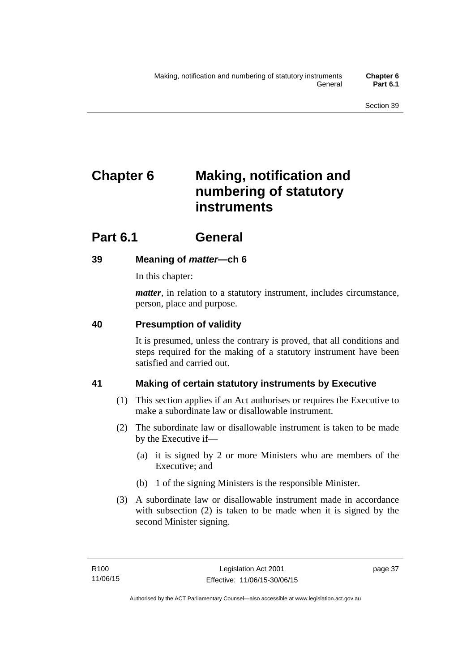# **Chapter 6 Making, notification and numbering of statutory instruments**

# **Part 6.1 General**

## **39 Meaning of** *matter***—ch 6**

In this chapter:

*matter*, in relation to a statutory instrument, includes circumstance, person, place and purpose.

## **40 Presumption of validity**

It is presumed, unless the contrary is proved, that all conditions and steps required for the making of a statutory instrument have been satisfied and carried out.

## **41 Making of certain statutory instruments by Executive**

- (1) This section applies if an Act authorises or requires the Executive to make a subordinate law or disallowable instrument.
- (2) The subordinate law or disallowable instrument is taken to be made by the Executive if—
	- (a) it is signed by 2 or more Ministers who are members of the Executive; and
	- (b) 1 of the signing Ministers is the responsible Minister.
- (3) A subordinate law or disallowable instrument made in accordance with subsection (2) is taken to be made when it is signed by the second Minister signing.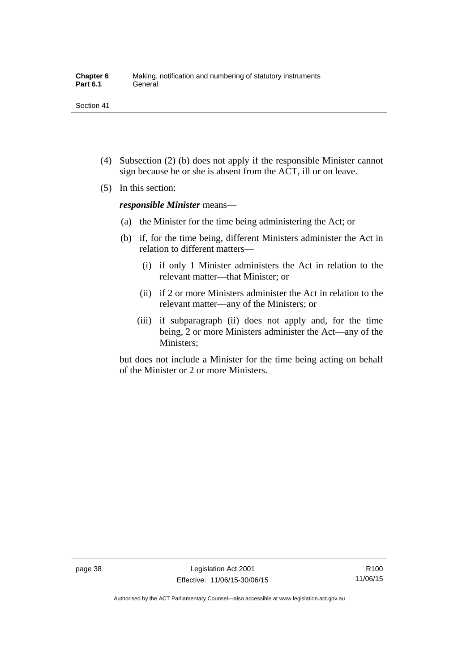- (4) Subsection (2) (b) does not apply if the responsible Minister cannot sign because he or she is absent from the ACT, ill or on leave.
- (5) In this section:

*responsible Minister* means—

- (a) the Minister for the time being administering the Act; or
- (b) if, for the time being, different Ministers administer the Act in relation to different matters—
	- (i) if only 1 Minister administers the Act in relation to the relevant matter—that Minister; or
	- (ii) if 2 or more Ministers administer the Act in relation to the relevant matter—any of the Ministers; or
	- (iii) if subparagraph (ii) does not apply and, for the time being, 2 or more Ministers administer the Act—any of the Ministers;

but does not include a Minister for the time being acting on behalf of the Minister or 2 or more Ministers.

R100 11/06/15

Authorised by the ACT Parliamentary Counsel—also accessible at www.legislation.act.gov.au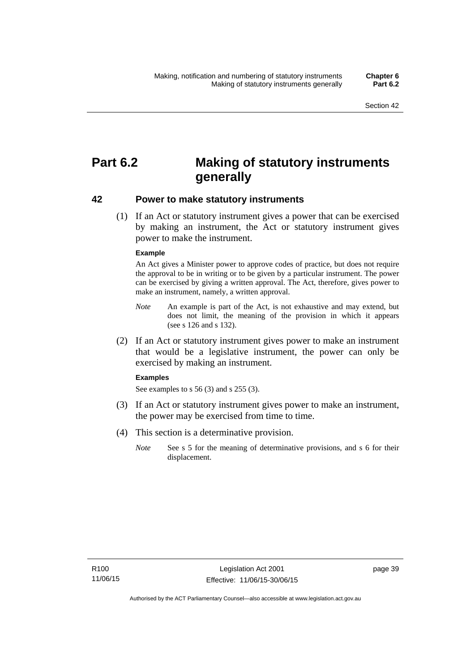# **Part 6.2 Making of statutory instruments generally**

### **42 Power to make statutory instruments**

 (1) If an Act or statutory instrument gives a power that can be exercised by making an instrument, the Act or statutory instrument gives power to make the instrument.

#### **Example**

An Act gives a Minister power to approve codes of practice, but does not require the approval to be in writing or to be given by a particular instrument. The power can be exercised by giving a written approval. The Act, therefore, gives power to make an instrument, namely, a written approval.

- *Note* An example is part of the Act, is not exhaustive and may extend, but does not limit, the meaning of the provision in which it appears (see s 126 and s 132).
- (2) If an Act or statutory instrument gives power to make an instrument that would be a legislative instrument, the power can only be exercised by making an instrument.

#### **Examples**

See examples to s 56 (3) and s 255 (3).

- (3) If an Act or statutory instrument gives power to make an instrument, the power may be exercised from time to time.
- (4) This section is a determinative provision.
	- *Note* See s 5 for the meaning of determinative provisions, and s 6 for their displacement.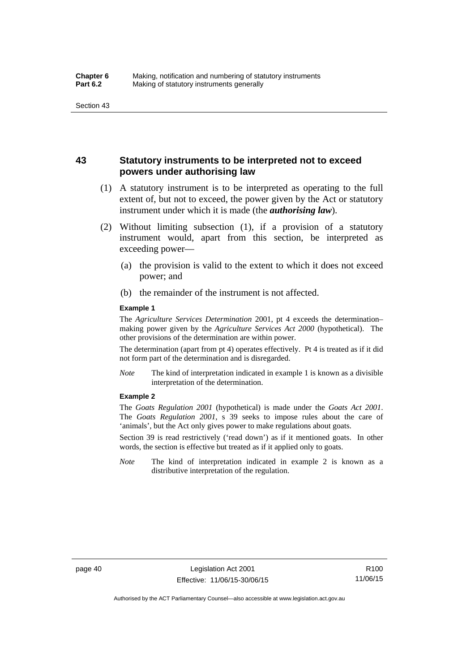### **43 Statutory instruments to be interpreted not to exceed powers under authorising law**

- (1) A statutory instrument is to be interpreted as operating to the full extent of, but not to exceed, the power given by the Act or statutory instrument under which it is made (the *authorising law*).
- (2) Without limiting subsection (1), if a provision of a statutory instrument would, apart from this section, be interpreted as exceeding power—
	- (a) the provision is valid to the extent to which it does not exceed power; and
	- (b) the remainder of the instrument is not affected.

#### **Example 1**

The *Agriculture Services Determination* 2001, pt 4 exceeds the determination– making power given by the *Agriculture Services Act 2000* (hypothetical). The other provisions of the determination are within power.

The determination (apart from pt 4) operates effectively. Pt 4 is treated as if it did not form part of the determination and is disregarded.

*Note* The kind of interpretation indicated in example 1 is known as a divisible interpretation of the determination.

#### **Example 2**

The *Goats Regulation 2001* (hypothetical) is made under the *Goats Act 2001*. The *Goats Regulation 2001*, s 39 seeks to impose rules about the care of 'animals', but the Act only gives power to make regulations about goats.

Section 39 is read restrictively ('read down') as if it mentioned goats. In other words, the section is effective but treated as if it applied only to goats.

*Note* The kind of interpretation indicated in example 2 is known as a distributive interpretation of the regulation.

R100 11/06/15

Authorised by the ACT Parliamentary Counsel—also accessible at www.legislation.act.gov.au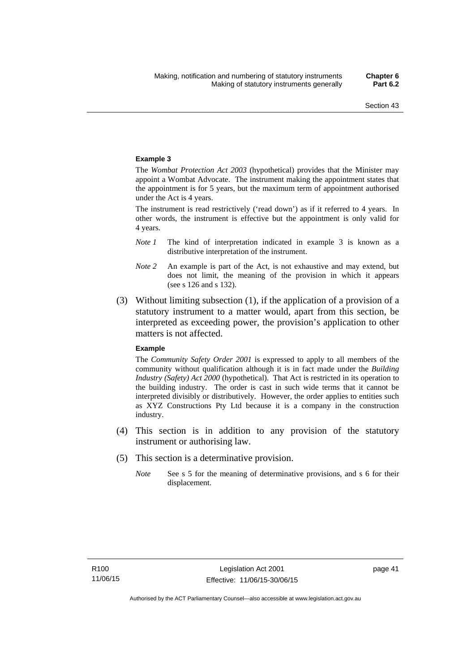#### **Example 3**

The *Wombat Protection Act 2003* (hypothetical) provides that the Minister may appoint a Wombat Advocate. The instrument making the appointment states that the appointment is for 5 years, but the maximum term of appointment authorised under the Act is 4 years.

The instrument is read restrictively ('read down') as if it referred to 4 years. In other words, the instrument is effective but the appointment is only valid for 4 years.

- *Note 1* The kind of interpretation indicated in example 3 is known as a distributive interpretation of the instrument.
- *Note 2* An example is part of the Act, is not exhaustive and may extend, but does not limit, the meaning of the provision in which it appears (see s 126 and s 132).
- (3) Without limiting subsection (1), if the application of a provision of a statutory instrument to a matter would, apart from this section, be interpreted as exceeding power, the provision's application to other matters is not affected.

#### **Example**

The *Community Safety Order 2001* is expressed to apply to all members of the community without qualification although it is in fact made under the *Building Industry (Safety) Act 2000* (hypothetical). That Act is restricted in its operation to the building industry. The order is cast in such wide terms that it cannot be interpreted divisibly or distributively. However, the order applies to entities such as XYZ Constructions Pty Ltd because it is a company in the construction industry.

- (4) This section is in addition to any provision of the statutory instrument or authorising law.
- (5) This section is a determinative provision.
	- *Note* See s 5 for the meaning of determinative provisions, and s 6 for their displacement.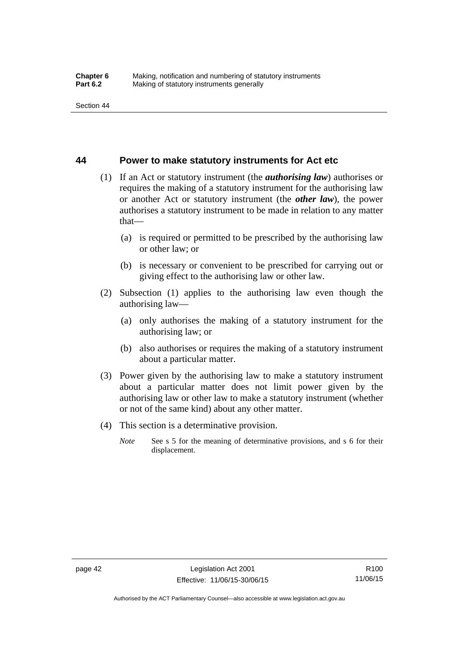### **44 Power to make statutory instruments for Act etc**

- (1) If an Act or statutory instrument (the *authorising law*) authorises or requires the making of a statutory instrument for the authorising law or another Act or statutory instrument (the *other law*), the power authorises a statutory instrument to be made in relation to any matter that—
	- (a) is required or permitted to be prescribed by the authorising law or other law; or
	- (b) is necessary or convenient to be prescribed for carrying out or giving effect to the authorising law or other law.
- (2) Subsection (1) applies to the authorising law even though the authorising law—
	- (a) only authorises the making of a statutory instrument for the authorising law; or
	- (b) also authorises or requires the making of a statutory instrument about a particular matter.
- (3) Power given by the authorising law to make a statutory instrument about a particular matter does not limit power given by the authorising law or other law to make a statutory instrument (whether or not of the same kind) about any other matter.
- (4) This section is a determinative provision.
	- *Note* See s 5 for the meaning of determinative provisions, and s 6 for their displacement.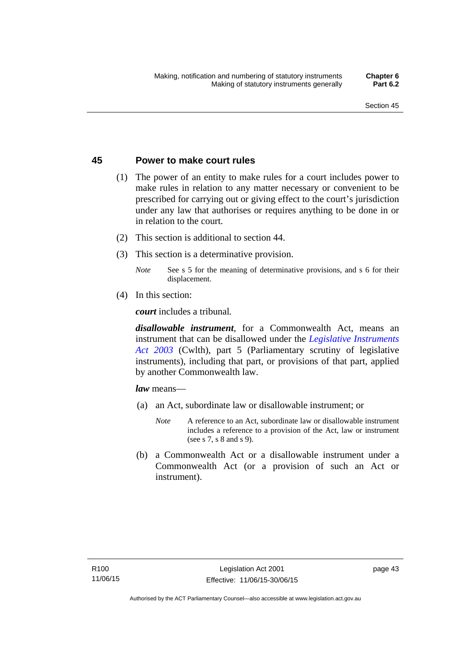### **45 Power to make court rules**

- (1) The power of an entity to make rules for a court includes power to make rules in relation to any matter necessary or convenient to be prescribed for carrying out or giving effect to the court's jurisdiction under any law that authorises or requires anything to be done in or in relation to the court.
- (2) This section is additional to section 44.
- (3) This section is a determinative provision.
	- *Note* See s 5 for the meaning of determinative provisions, and s 6 for their displacement.
- (4) In this section:

*court* includes a tribunal*.*

*disallowable instrument*, for a Commonwealth Act, means an instrument that can be disallowed under the *[Legislative Instruments](http://www.comlaw.gov.au/Series/C2004A01224)  [Act 2003](http://www.comlaw.gov.au/Series/C2004A01224)* (Cwlth), part 5 (Parliamentary scrutiny of legislative instruments), including that part, or provisions of that part, applied by another Commonwealth law.

*law* means—

- (a) an Act, subordinate law or disallowable instrument; or
	- *Note* A reference to an Act, subordinate law or disallowable instrument includes a reference to a provision of the Act, law or instrument (see s 7, s 8 and s 9).
- (b) a Commonwealth Act or a disallowable instrument under a Commonwealth Act (or a provision of such an Act or instrument).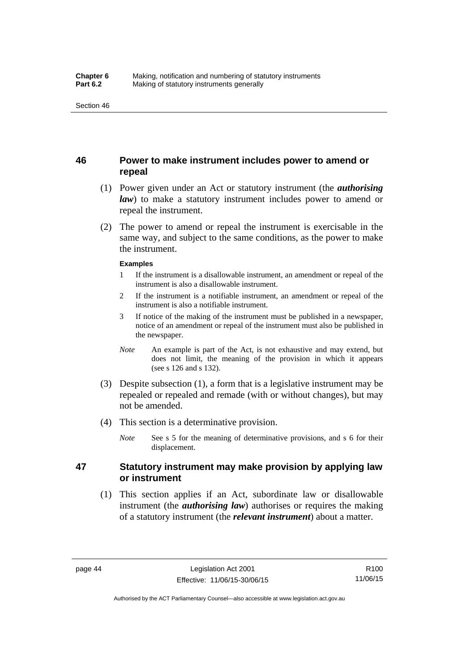### **46 Power to make instrument includes power to amend or repeal**

- (1) Power given under an Act or statutory instrument (the *authorising law*) to make a statutory instrument includes power to amend or repeal the instrument.
- (2) The power to amend or repeal the instrument is exercisable in the same way, and subject to the same conditions, as the power to make the instrument.

#### **Examples**

- 1 If the instrument is a disallowable instrument, an amendment or repeal of the instrument is also a disallowable instrument.
- 2 If the instrument is a notifiable instrument, an amendment or repeal of the instrument is also a notifiable instrument.
- 3 If notice of the making of the instrument must be published in a newspaper, notice of an amendment or repeal of the instrument must also be published in the newspaper.
- *Note* An example is part of the Act, is not exhaustive and may extend, but does not limit, the meaning of the provision in which it appears (see s 126 and s 132).
- (3) Despite subsection (1), a form that is a legislative instrument may be repealed or repealed and remade (with or without changes), but may not be amended.
- (4) This section is a determinative provision.
	- *Note* See s 5 for the meaning of determinative provisions, and s 6 for their displacement.

### **47 Statutory instrument may make provision by applying law or instrument**

 (1) This section applies if an Act, subordinate law or disallowable instrument (the *authorising law*) authorises or requires the making of a statutory instrument (the *relevant instrument*) about a matter.

Authorised by the ACT Parliamentary Counsel—also accessible at www.legislation.act.gov.au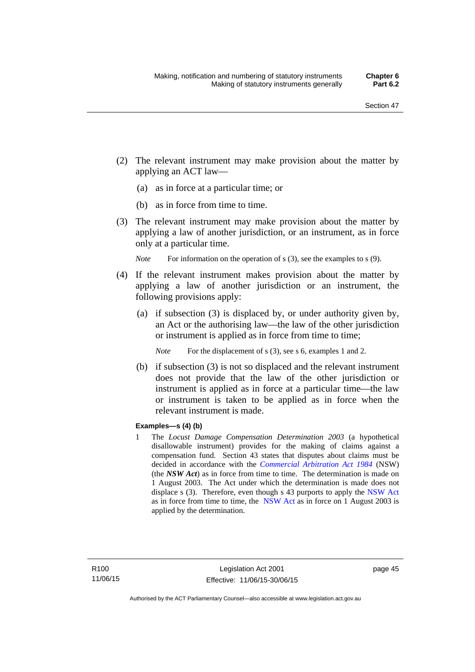- (2) The relevant instrument may make provision about the matter by applying an ACT law—
	- (a) as in force at a particular time; or
	- (b) as in force from time to time.
- (3) The relevant instrument may make provision about the matter by applying a law of another jurisdiction, or an instrument, as in force only at a particular time.

*Note* For information on the operation of s (3), see the examples to s (9).

- (4) If the relevant instrument makes provision about the matter by applying a law of another jurisdiction or an instrument, the following provisions apply:
	- (a) if subsection (3) is displaced by, or under authority given by, an Act or the authorising law—the law of the other jurisdiction or instrument is applied as in force from time to time;
		- *Note* For the displacement of s (3), see s 6, examples 1 and 2.
	- (b) if subsection (3) is not so displaced and the relevant instrument does not provide that the law of the other jurisdiction or instrument is applied as in force at a particular time—the law or instrument is taken to be applied as in force when the relevant instrument is made.

### **Examples—s (4) (b)**

1 The *Locust Damage Compensation Determination 2003* (a hypothetical disallowable instrument) provides for the making of claims against a compensation fund. Section 43 states that disputes about claims must be decided in accordance with the *[Commercial Arbitration Act 1984](http://www.legislation.nsw.gov.au/maintop/view/repealed/act+160+1984+cd+0+Y)* (NSW) (the *NSW Act*) as in force from time to time. The determination is made on 1 August 2003. The Act under which the determination is made does not displace s (3). Therefore, even though s 43 purports to apply the [NSW Act](http://www.legislation.nsw.gov.au/maintop/view/repealed/act+160+1984+cd+0+Y) as in force from time to time, the [NSW Act](http://www.legislation.nsw.gov.au/maintop/view/repealed/act+160+1984+cd+0+Y) as in force on 1 August 2003 is applied by the determination.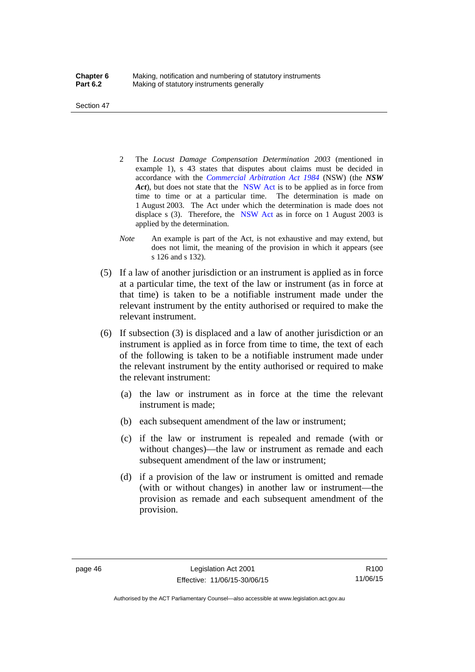Section 47

- 2 The *Locust Damage Compensation Determination 2003* (mentioned in example 1), s 43 states that disputes about claims must be decided in accordance with the *[Commercial Arbitration Act 1984](http://www.legislation.nsw.gov.au/maintop/view/repealed/act+160+1984+cd+0+Y)* (NSW) (the *NSW Act*), but does not state that the [NSW Act](http://www.legislation.nsw.gov.au/maintop/view/repealed/act+160+1984+cd+0+Y) is to be applied as in force from time to time or at a particular time. The determination is made on 1 August 2003. The Act under which the determination is made does not displace s (3). Therefore, the [NSW Act](http://www.legislation.nsw.gov.au/maintop/view/repealed/act+160+1984+cd+0+Y) as in force on 1 August 2003 is applied by the determination.
- *Note* An example is part of the Act, is not exhaustive and may extend, but does not limit, the meaning of the provision in which it appears (see s 126 and s 132).
- (5) If a law of another jurisdiction or an instrument is applied as in force at a particular time, the text of the law or instrument (as in force at that time) is taken to be a notifiable instrument made under the relevant instrument by the entity authorised or required to make the relevant instrument.
- (6) If subsection (3) is displaced and a law of another jurisdiction or an instrument is applied as in force from time to time, the text of each of the following is taken to be a notifiable instrument made under the relevant instrument by the entity authorised or required to make the relevant instrument:
	- (a) the law or instrument as in force at the time the relevant instrument is made;
	- (b) each subsequent amendment of the law or instrument;
	- (c) if the law or instrument is repealed and remade (with or without changes)—the law or instrument as remade and each subsequent amendment of the law or instrument;
	- (d) if a provision of the law or instrument is omitted and remade (with or without changes) in another law or instrument—the provision as remade and each subsequent amendment of the provision.

R100 11/06/15

Authorised by the ACT Parliamentary Counsel—also accessible at www.legislation.act.gov.au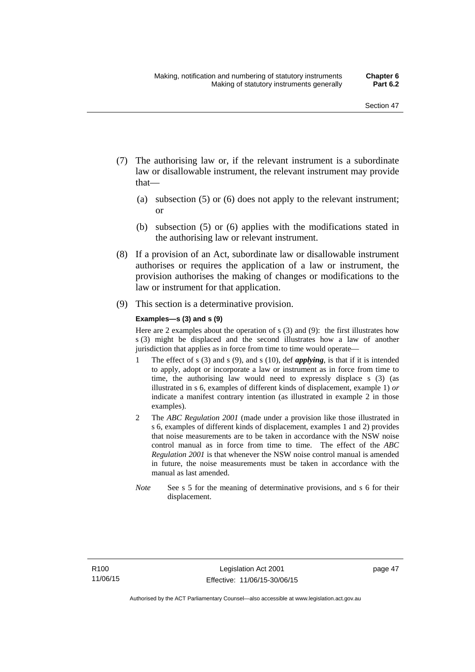- (7) The authorising law or, if the relevant instrument is a subordinate law or disallowable instrument, the relevant instrument may provide that—
	- (a) subsection (5) or (6) does not apply to the relevant instrument; or
	- (b) subsection (5) or (6) applies with the modifications stated in the authorising law or relevant instrument.
- (8) If a provision of an Act, subordinate law or disallowable instrument authorises or requires the application of a law or instrument, the provision authorises the making of changes or modifications to the law or instrument for that application.
- (9) This section is a determinative provision.

#### **Examples—s (3) and s (9)**

Here are 2 examples about the operation of s (3) and (9): the first illustrates how s (3) might be displaced and the second illustrates how a law of another jurisdiction that applies as in force from time to time would operate—

- 1 The effect of s (3) and s (9), and s (10), def *applying*, is that if it is intended to apply, adopt or incorporate a law or instrument as in force from time to time, the authorising law would need to expressly displace s (3) (as illustrated in s 6, examples of different kinds of displacement, example 1) *or* indicate a manifest contrary intention (as illustrated in example 2 in those examples).
- 2 The *ABC Regulation 2001* (made under a provision like those illustrated in s 6, examples of different kinds of displacement, examples 1 and 2) provides that noise measurements are to be taken in accordance with the NSW noise control manual as in force from time to time. The effect of the *ABC Regulation 2001* is that whenever the NSW noise control manual is amended in future, the noise measurements must be taken in accordance with the manual as last amended.
- *Note* See s 5 for the meaning of determinative provisions, and s 6 for their displacement.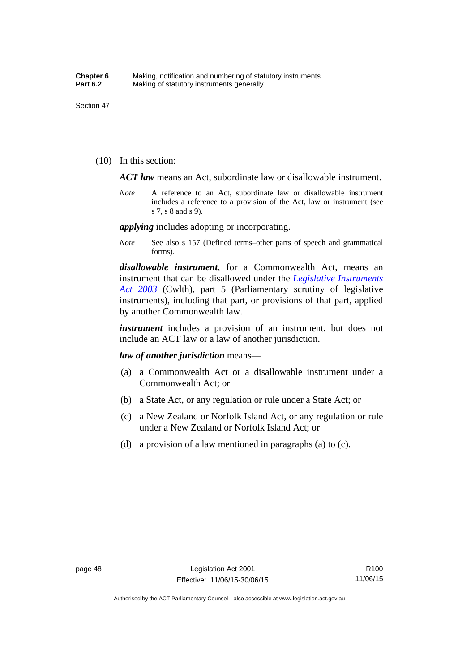(10) In this section:

*ACT law* means an Act, subordinate law or disallowable instrument.

*Note* A reference to an Act, subordinate law or disallowable instrument includes a reference to a provision of the Act, law or instrument (see s 7, s 8 and s 9).

*applying* includes adopting or incorporating.

*Note* See also s 157 (Defined terms–other parts of speech and grammatical forms).

*disallowable instrument*, for a Commonwealth Act, means an instrument that can be disallowed under the *[Legislative Instruments](http://www.comlaw.gov.au/Series/C2004A01224)  [Act 2003](http://www.comlaw.gov.au/Series/C2004A01224)* (Cwlth), part 5 (Parliamentary scrutiny of legislative instruments), including that part, or provisions of that part, applied by another Commonwealth law.

*instrument* includes a provision of an instrument, but does not include an ACT law or a law of another jurisdiction.

*law of another jurisdiction* means—

- (a) a Commonwealth Act or a disallowable instrument under a Commonwealth Act; or
- (b) a State Act, or any regulation or rule under a State Act; or
- (c) a New Zealand or Norfolk Island Act, or any regulation or rule under a New Zealand or Norfolk Island Act; or
- (d) a provision of a law mentioned in paragraphs (a) to (c).

Authorised by the ACT Parliamentary Counsel—also accessible at www.legislation.act.gov.au

R100 11/06/15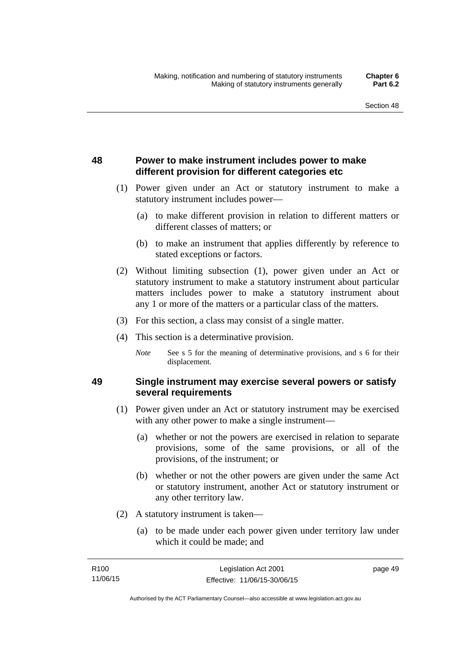## **48 Power to make instrument includes power to make different provision for different categories etc**

- (1) Power given under an Act or statutory instrument to make a statutory instrument includes power—
	- (a) to make different provision in relation to different matters or different classes of matters; or
	- (b) to make an instrument that applies differently by reference to stated exceptions or factors.
- (2) Without limiting subsection (1), power given under an Act or statutory instrument to make a statutory instrument about particular matters includes power to make a statutory instrument about any 1 or more of the matters or a particular class of the matters.
- (3) For this section, a class may consist of a single matter.
- (4) This section is a determinative provision.
	- *Note* See s 5 for the meaning of determinative provisions, and s 6 for their displacement.

### **49 Single instrument may exercise several powers or satisfy several requirements**

- (1) Power given under an Act or statutory instrument may be exercised with any other power to make a single instrument—
	- (a) whether or not the powers are exercised in relation to separate provisions, some of the same provisions, or all of the provisions, of the instrument; or
	- (b) whether or not the other powers are given under the same Act or statutory instrument, another Act or statutory instrument or any other territory law.
- (2) A statutory instrument is taken—
	- (a) to be made under each power given under territory law under which it could be made; and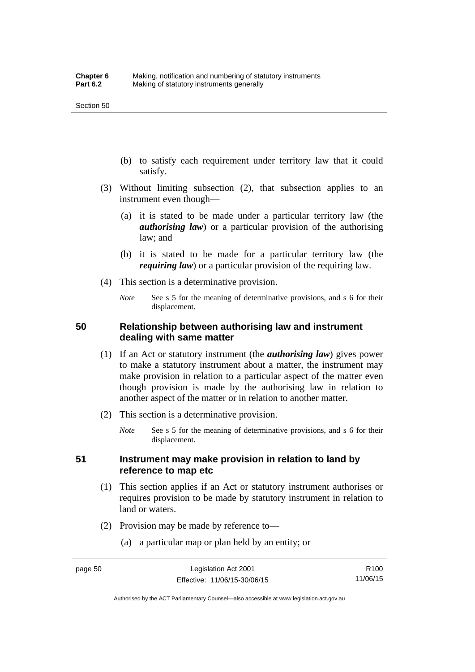- (b) to satisfy each requirement under territory law that it could satisfy.
- (3) Without limiting subsection (2), that subsection applies to an instrument even though—
	- (a) it is stated to be made under a particular territory law (the *authorising law*) or a particular provision of the authorising law; and
	- (b) it is stated to be made for a particular territory law (the *requiring law*) or a particular provision of the requiring law.
- (4) This section is a determinative provision.
	- *Note* See s 5 for the meaning of determinative provisions, and s 6 for their displacement.

### **50 Relationship between authorising law and instrument dealing with same matter**

- (1) If an Act or statutory instrument (the *authorising law*) gives power to make a statutory instrument about a matter, the instrument may make provision in relation to a particular aspect of the matter even though provision is made by the authorising law in relation to another aspect of the matter or in relation to another matter.
- (2) This section is a determinative provision.
	- *Note* See s 5 for the meaning of determinative provisions, and s 6 for their displacement.

### **51 Instrument may make provision in relation to land by reference to map etc**

- (1) This section applies if an Act or statutory instrument authorises or requires provision to be made by statutory instrument in relation to land or waters.
- (2) Provision may be made by reference to—
	- (a) a particular map or plan held by an entity; or

Authorised by the ACT Parliamentary Counsel—also accessible at www.legislation.act.gov.au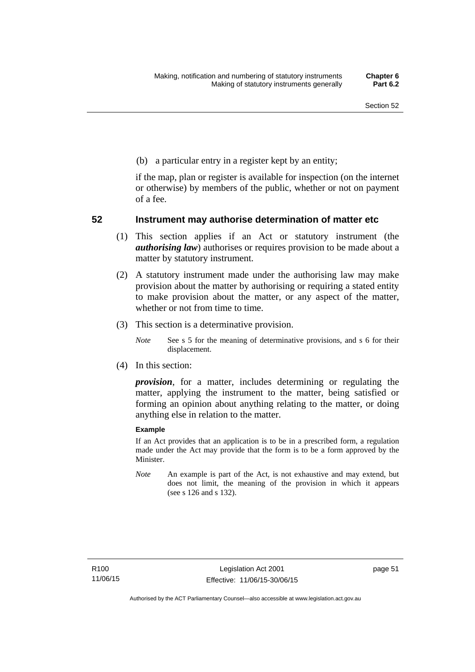(b) a particular entry in a register kept by an entity;

if the map, plan or register is available for inspection (on the internet or otherwise) by members of the public, whether or not on payment of a fee.

### **52 Instrument may authorise determination of matter etc**

- (1) This section applies if an Act or statutory instrument (the *authorising law*) authorises or requires provision to be made about a matter by statutory instrument.
- (2) A statutory instrument made under the authorising law may make provision about the matter by authorising or requiring a stated entity to make provision about the matter, or any aspect of the matter, whether or not from time to time.
- (3) This section is a determinative provision.
	- *Note* See s 5 for the meaning of determinative provisions, and s 6 for their displacement.
- (4) In this section:

*provision*, for a matter, includes determining or regulating the matter, applying the instrument to the matter, being satisfied or forming an opinion about anything relating to the matter, or doing anything else in relation to the matter.

#### **Example**

If an Act provides that an application is to be in a prescribed form, a regulation made under the Act may provide that the form is to be a form approved by the Minister.

*Note* An example is part of the Act, is not exhaustive and may extend, but does not limit, the meaning of the provision in which it appears (see s 126 and s 132).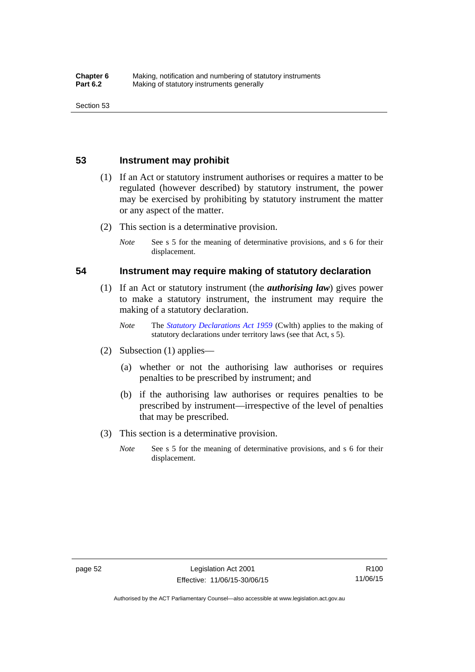### **53 Instrument may prohibit**

- (1) If an Act or statutory instrument authorises or requires a matter to be regulated (however described) by statutory instrument, the power may be exercised by prohibiting by statutory instrument the matter or any aspect of the matter.
- (2) This section is a determinative provision.
	- *Note* See s 5 for the meaning of determinative provisions, and s 6 for their displacement.

### **54 Instrument may require making of statutory declaration**

- (1) If an Act or statutory instrument (the *authorising law*) gives power to make a statutory instrument, the instrument may require the making of a statutory declaration.
	- *Note* The *[Statutory Declarations Act 1959](http://www.comlaw.gov.au/Series/C2004A07365)* (Cwlth) applies to the making of statutory declarations under territory laws (see that Act, s 5).
- (2) Subsection (1) applies—
	- (a) whether or not the authorising law authorises or requires penalties to be prescribed by instrument; and
	- (b) if the authorising law authorises or requires penalties to be prescribed by instrument—irrespective of the level of penalties that may be prescribed.
- (3) This section is a determinative provision.
	- *Note* See s 5 for the meaning of determinative provisions, and s 6 for their displacement.

R100 11/06/15

Authorised by the ACT Parliamentary Counsel—also accessible at www.legislation.act.gov.au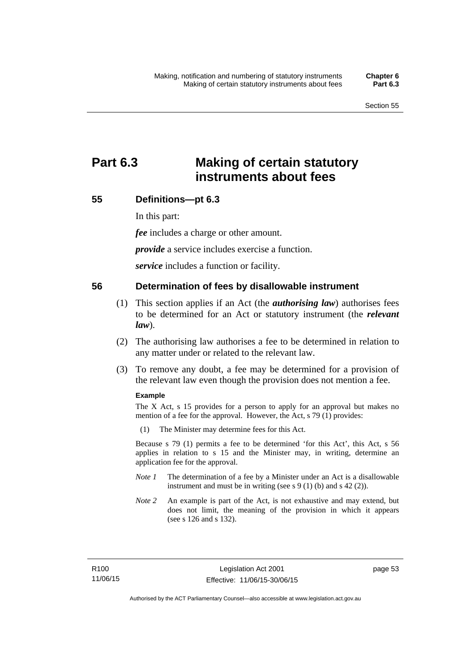# **Part 6.3 Making of certain statutory instruments about fees**

### **55 Definitions—pt 6.3**

In this part:

*fee* includes a charge or other amount.

*provide* a service includes exercise a function.

*service* includes a function or facility.

### **56 Determination of fees by disallowable instrument**

- (1) This section applies if an Act (the *authorising law*) authorises fees to be determined for an Act or statutory instrument (the *relevant law*).
- (2) The authorising law authorises a fee to be determined in relation to any matter under or related to the relevant law.
- (3) To remove any doubt, a fee may be determined for a provision of the relevant law even though the provision does not mention a fee.

#### **Example**

The X Act, s 15 provides for a person to apply for an approval but makes no mention of a fee for the approval. However, the Act, s 79 (1) provides:

(1) The Minister may determine fees for this Act.

Because s 79 (1) permits a fee to be determined 'for this Act', this Act, s 56 applies in relation to s 15 and the Minister may, in writing, determine an application fee for the approval.

- *Note 1* The determination of a fee by a Minister under an Act is a disallowable instrument and must be in writing (see s 9 (1) (b) and s 42 (2)).
- *Note 2* An example is part of the Act, is not exhaustive and may extend, but does not limit, the meaning of the provision in which it appears (see s 126 and s 132).

page 53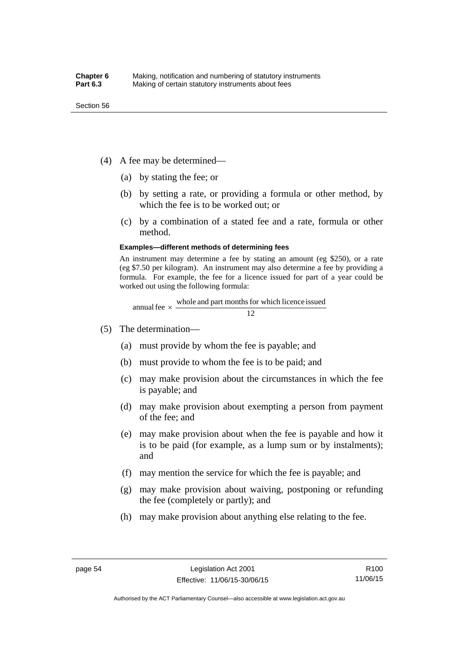- (4) A fee may be determined—
	- (a) by stating the fee; or
	- (b) by setting a rate, or providing a formula or other method, by which the fee is to be worked out; or
	- (c) by a combination of a stated fee and a rate, formula or other method.

#### **Examples—different methods of determining fees**

An instrument may determine a fee by stating an amount (eg \$250), or a rate (eg \$7.50 per kilogram). An instrument may also determine a fee by providing a formula. For example, the fee for a licence issued for part of a year could be worked out using the following formula:

annual fee  $\times$  whole and part months for which licence issued  $\frac{12}{\sqrt{12}}$ 

- (5) The determination—
	- (a) must provide by whom the fee is payable; and
	- (b) must provide to whom the fee is to be paid; and
	- (c) may make provision about the circumstances in which the fee is payable; and
	- (d) may make provision about exempting a person from payment of the fee; and
	- (e) may make provision about when the fee is payable and how it is to be paid (for example, as a lump sum or by instalments); and
	- (f) may mention the service for which the fee is payable; and
	- (g) may make provision about waiving, postponing or refunding the fee (completely or partly); and
	- (h) may make provision about anything else relating to the fee.

Authorised by the ACT Parliamentary Counsel—also accessible at www.legislation.act.gov.au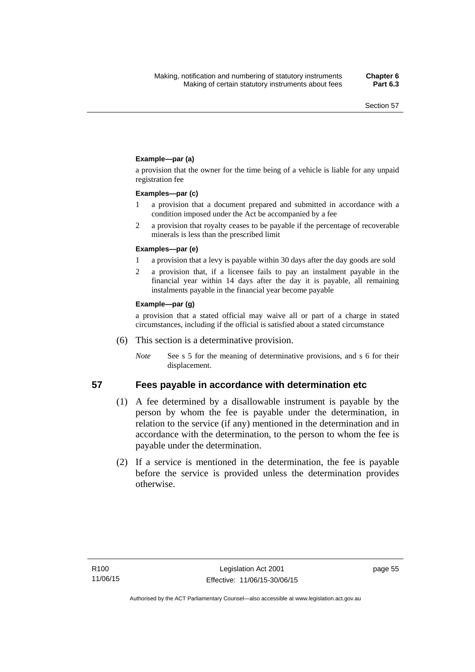### **Example—par (a)**

a provision that the owner for the time being of a vehicle is liable for any unpaid registration fee

#### **Examples—par (c)**

- 1 a provision that a document prepared and submitted in accordance with a condition imposed under the Act be accompanied by a fee
- 2 a provision that royalty ceases to be payable if the percentage of recoverable minerals is less than the prescribed limit

#### **Examples—par (e)**

- 1 a provision that a levy is payable within 30 days after the day goods are sold
- 2 a provision that, if a licensee fails to pay an instalment payable in the financial year within 14 days after the day it is payable, all remaining instalments payable in the financial year become payable

#### **Example—par (g)**

a provision that a stated official may waive all or part of a charge in stated circumstances, including if the official is satisfied about a stated circumstance

- (6) This section is a determinative provision.
	- *Note* See s 5 for the meaning of determinative provisions, and s 6 for their displacement.

- **57 Fees payable in accordance with determination etc**  (1) A fee determined by a disallowable instrument is payable by the
	- person by whom the fee is payable under the determination, in relation to the service (if any) mentioned in the determination and in accordance with the determination, to the person to whom the fee is payable under the determination.
	- (2) If a service is mentioned in the determination, the fee is payable before the service is provided unless the determination provides otherwise.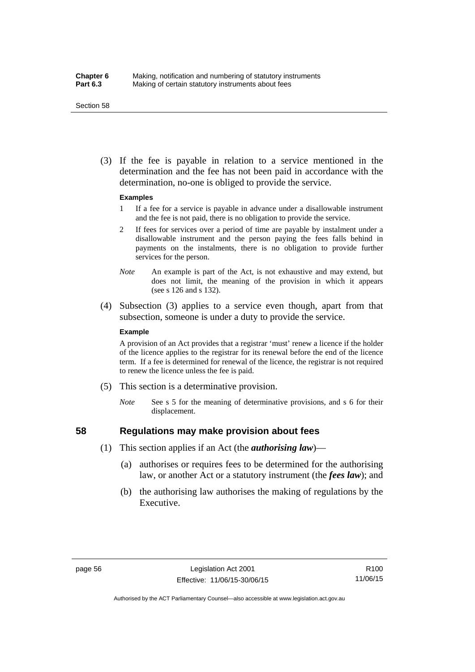#### Section 58

 (3) If the fee is payable in relation to a service mentioned in the determination and the fee has not been paid in accordance with the determination, no-one is obliged to provide the service.

#### **Examples**

- 1 If a fee for a service is payable in advance under a disallowable instrument and the fee is not paid, there is no obligation to provide the service.
- 2 If fees for services over a period of time are payable by instalment under a disallowable instrument and the person paying the fees falls behind in payments on the instalments, there is no obligation to provide further services for the person.
- *Note* An example is part of the Act, is not exhaustive and may extend, but does not limit, the meaning of the provision in which it appears (see s 126 and s 132).
- (4) Subsection (3) applies to a service even though, apart from that subsection, someone is under a duty to provide the service.

#### **Example**

A provision of an Act provides that a registrar 'must' renew a licence if the holder of the licence applies to the registrar for its renewal before the end of the licence term. If a fee is determined for renewal of the licence, the registrar is not required to renew the licence unless the fee is paid.

- (5) This section is a determinative provision.
	- *Note* See s 5 for the meaning of determinative provisions, and s 6 for their displacement.

## **58 Regulations may make provision about fees**

- (1) This section applies if an Act (the *authorising law*)—
	- (a) authorises or requires fees to be determined for the authorising law, or another Act or a statutory instrument (the *fees law*); and
	- (b) the authorising law authorises the making of regulations by the Executive.

Authorised by the ACT Parliamentary Counsel—also accessible at www.legislation.act.gov.au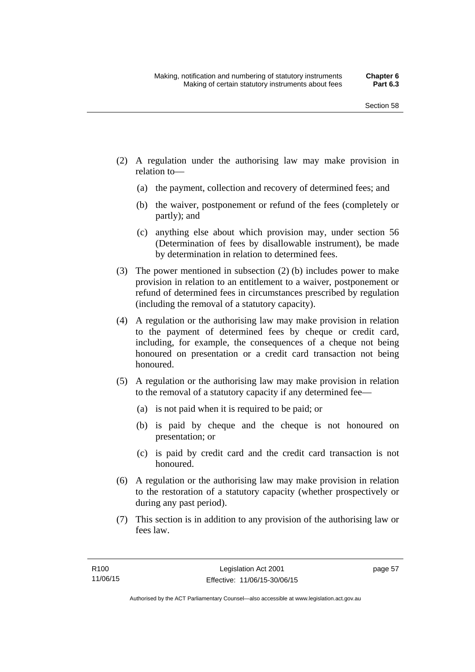- (2) A regulation under the authorising law may make provision in relation to—
	- (a) the payment, collection and recovery of determined fees; and
	- (b) the waiver, postponement or refund of the fees (completely or partly); and
	- (c) anything else about which provision may, under section 56 (Determination of fees by disallowable instrument), be made by determination in relation to determined fees.
- (3) The power mentioned in subsection (2) (b) includes power to make provision in relation to an entitlement to a waiver, postponement or refund of determined fees in circumstances prescribed by regulation (including the removal of a statutory capacity).
- (4) A regulation or the authorising law may make provision in relation to the payment of determined fees by cheque or credit card, including, for example, the consequences of a cheque not being honoured on presentation or a credit card transaction not being honoured.
- (5) A regulation or the authorising law may make provision in relation to the removal of a statutory capacity if any determined fee—
	- (a) is not paid when it is required to be paid; or
	- (b) is paid by cheque and the cheque is not honoured on presentation; or
	- (c) is paid by credit card and the credit card transaction is not honoured.
- (6) A regulation or the authorising law may make provision in relation to the restoration of a statutory capacity (whether prospectively or during any past period).
- (7) This section is in addition to any provision of the authorising law or fees law.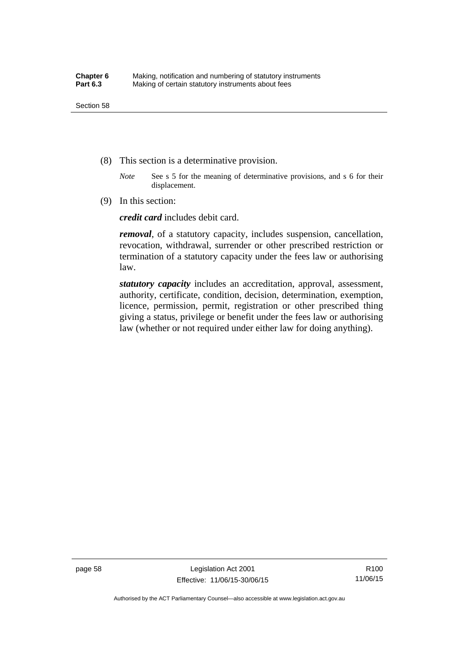- (8) This section is a determinative provision.
	- *Note* See s 5 for the meaning of determinative provisions, and s 6 for their displacement.
- (9) In this section:

*credit card* includes debit card.

*removal*, of a statutory capacity, includes suspension, cancellation, revocation, withdrawal, surrender or other prescribed restriction or termination of a statutory capacity under the fees law or authorising law.

*statutory capacity* includes an accreditation, approval, assessment, authority, certificate, condition, decision, determination, exemption, licence, permission, permit, registration or other prescribed thing giving a status, privilege or benefit under the fees law or authorising law (whether or not required under either law for doing anything).

page 58 Legislation Act 2001 Effective: 11/06/15-30/06/15

R100 11/06/15

Authorised by the ACT Parliamentary Counsel—also accessible at www.legislation.act.gov.au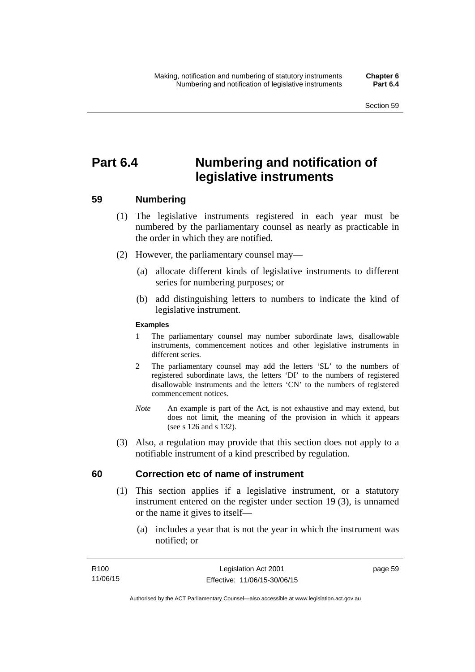# **Part 6.4 Numbering and notification of legislative instruments**

## **59 Numbering**

- (1) The legislative instruments registered in each year must be numbered by the parliamentary counsel as nearly as practicable in the order in which they are notified.
- (2) However, the parliamentary counsel may—
	- (a) allocate different kinds of legislative instruments to different series for numbering purposes; or
	- (b) add distinguishing letters to numbers to indicate the kind of legislative instrument.

## **Examples**

- 1 The parliamentary counsel may number subordinate laws, disallowable instruments, commencement notices and other legislative instruments in different series.
- 2 The parliamentary counsel may add the letters 'SL' to the numbers of registered subordinate laws, the letters 'DI' to the numbers of registered disallowable instruments and the letters 'CN' to the numbers of registered commencement notices.
- *Note* An example is part of the Act, is not exhaustive and may extend, but does not limit, the meaning of the provision in which it appears (see s 126 and s 132).
- (3) Also, a regulation may provide that this section does not apply to a notifiable instrument of a kind prescribed by regulation.

## **60 Correction etc of name of instrument**

- (1) This section applies if a legislative instrument, or a statutory instrument entered on the register under section 19 (3), is unnamed or the name it gives to itself—
	- (a) includes a year that is not the year in which the instrument was notified; or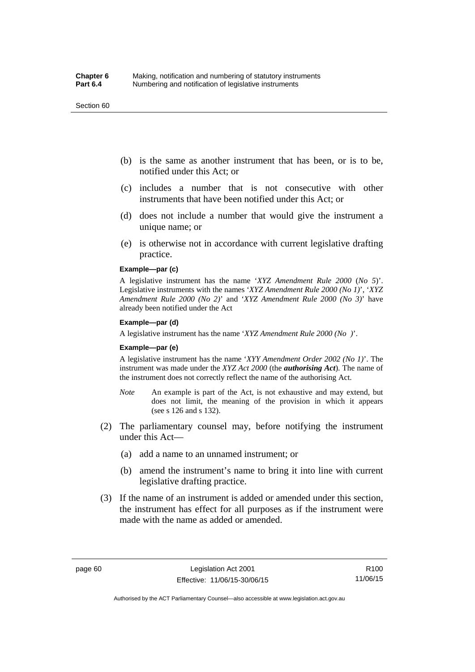#### Section 60

- (b) is the same as another instrument that has been, or is to be, notified under this Act; or
- (c) includes a number that is not consecutive with other instruments that have been notified under this Act; or
- (d) does not include a number that would give the instrument a unique name; or
- (e) is otherwise not in accordance with current legislative drafting practice.

## **Example—par (c)**

A legislative instrument has the name '*XYZ Amendment Rule 2000* (*No 5*)'. Legislative instruments with the names '*XYZ Amendment Rule 2000 (No 1)*', '*XYZ Amendment Rule 2000 (No 2)*' and '*XYZ Amendment Rule 2000 (No 3)*' have already been notified under the Act

#### **Example—par (d)**

A legislative instrument has the name '*XYZ Amendment Rule 2000 (No )*'.

#### **Example—par (e)**

A legislative instrument has the name '*XYY Amendment Order 2002 (No 1)*'. The instrument was made under the *XYZ Act 2000* (the *authorising Act*). The name of the instrument does not correctly reflect the name of the authorising Act.

- *Note* An example is part of the Act, is not exhaustive and may extend, but does not limit, the meaning of the provision in which it appears (see s 126 and s 132).
- (2) The parliamentary counsel may, before notifying the instrument under this Act—
	- (a) add a name to an unnamed instrument; or
	- (b) amend the instrument's name to bring it into line with current legislative drafting practice.
- (3) If the name of an instrument is added or amended under this section, the instrument has effect for all purposes as if the instrument were made with the name as added or amended.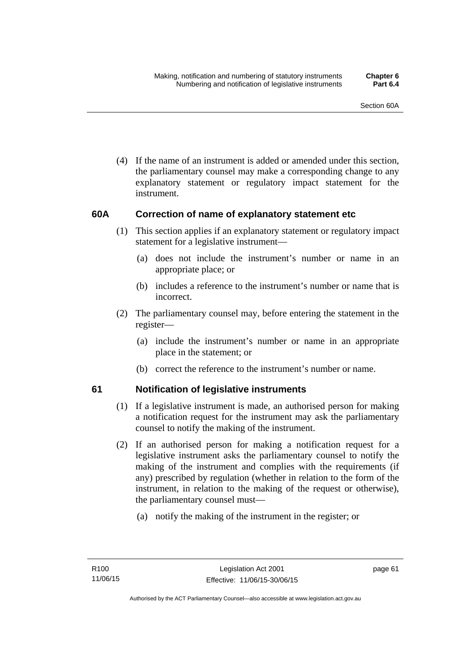(4) If the name of an instrument is added or amended under this section, the parliamentary counsel may make a corresponding change to any explanatory statement or regulatory impact statement for the instrument.

## **60A Correction of name of explanatory statement etc**

- (1) This section applies if an explanatory statement or regulatory impact statement for a legislative instrument—
	- (a) does not include the instrument's number or name in an appropriate place; or
	- (b) includes a reference to the instrument's number or name that is incorrect.
- (2) The parliamentary counsel may, before entering the statement in the register—
	- (a) include the instrument's number or name in an appropriate place in the statement; or
	- (b) correct the reference to the instrument's number or name.

## **61 Notification of legislative instruments**

- (1) If a legislative instrument is made, an authorised person for making a notification request for the instrument may ask the parliamentary counsel to notify the making of the instrument.
- (2) If an authorised person for making a notification request for a legislative instrument asks the parliamentary counsel to notify the making of the instrument and complies with the requirements (if any) prescribed by regulation (whether in relation to the form of the instrument, in relation to the making of the request or otherwise), the parliamentary counsel must—
	- (a) notify the making of the instrument in the register; or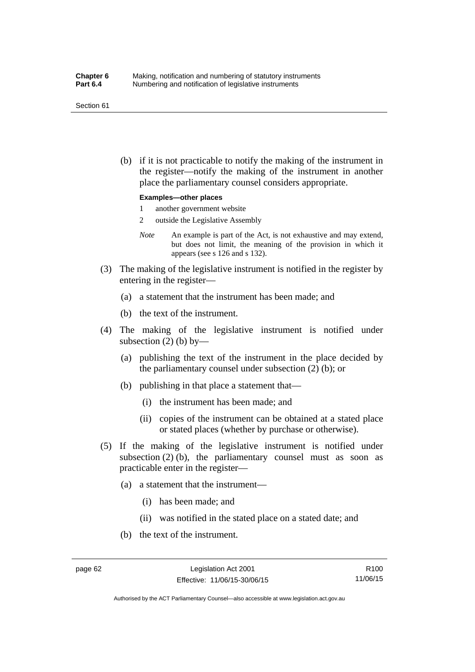#### Section 61

 (b) if it is not practicable to notify the making of the instrument in the register—notify the making of the instrument in another place the parliamentary counsel considers appropriate.

#### **Examples—other places**

- 1 another government website
- 2 outside the Legislative Assembly
- *Note* An example is part of the Act, is not exhaustive and may extend, but does not limit, the meaning of the provision in which it appears (see s 126 and s 132).
- (3) The making of the legislative instrument is notified in the register by entering in the register—
	- (a) a statement that the instrument has been made; and
	- (b) the text of the instrument.
- (4) The making of the legislative instrument is notified under subsection  $(2)$  (b) by—
	- (a) publishing the text of the instrument in the place decided by the parliamentary counsel under subsection (2) (b); or
	- (b) publishing in that place a statement that—
		- (i) the instrument has been made; and
		- (ii) copies of the instrument can be obtained at a stated place or stated places (whether by purchase or otherwise).
- (5) If the making of the legislative instrument is notified under subsection  $(2)$  (b), the parliamentary counsel must as soon as practicable enter in the register—
	- (a) a statement that the instrument—
		- (i) has been made; and
		- (ii) was notified in the stated place on a stated date; and
	- (b) the text of the instrument.

Authorised by the ACT Parliamentary Counsel—also accessible at www.legislation.act.gov.au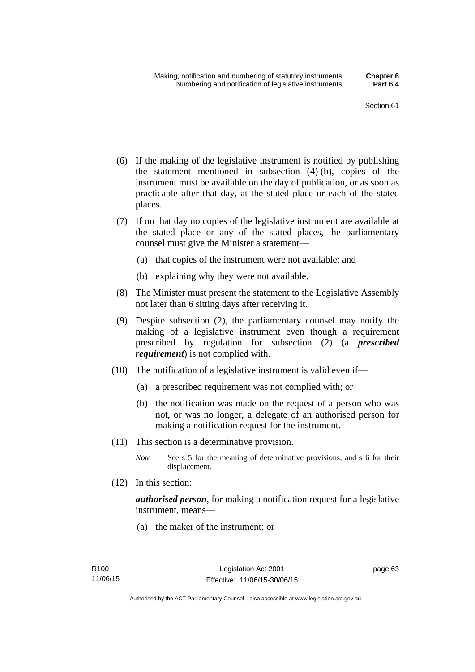- (6) If the making of the legislative instrument is notified by publishing the statement mentioned in subsection (4) (b), copies of the instrument must be available on the day of publication, or as soon as practicable after that day, at the stated place or each of the stated places.
- (7) If on that day no copies of the legislative instrument are available at the stated place or any of the stated places, the parliamentary counsel must give the Minister a statement—
	- (a) that copies of the instrument were not available; and
	- (b) explaining why they were not available.
- (8) The Minister must present the statement to the Legislative Assembly not later than 6 sitting days after receiving it.
- (9) Despite subsection (2), the parliamentary counsel may notify the making of a legislative instrument even though a requirement prescribed by regulation for subsection (2) (a *prescribed requirement*) is not complied with.
- (10) The notification of a legislative instrument is valid even if—
	- (a) a prescribed requirement was not complied with; or
	- (b) the notification was made on the request of a person who was not, or was no longer, a delegate of an authorised person for making a notification request for the instrument.
- (11) This section is a determinative provision.
	- *Note* See s 5 for the meaning of determinative provisions, and s 6 for their displacement.
- (12) In this section:

*authorised person*, for making a notification request for a legislative instrument, means—

(a) the maker of the instrument; or

page 63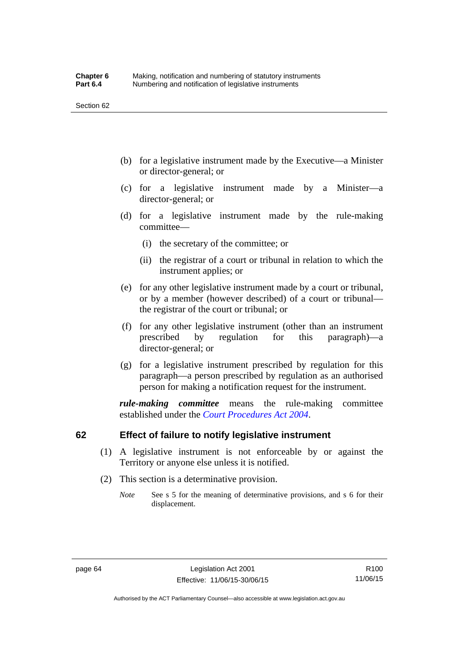- (b) for a legislative instrument made by the Executive—a Minister or director-general; or
- (c) for a legislative instrument made by a Minister—a director-general; or
- (d) for a legislative instrument made by the rule-making committee—
	- (i) the secretary of the committee; or
	- (ii) the registrar of a court or tribunal in relation to which the instrument applies; or
- (e) for any other legislative instrument made by a court or tribunal, or by a member (however described) of a court or tribunal the registrar of the court or tribunal; or
- (f) for any other legislative instrument (other than an instrument prescribed by regulation for this paragraph)—a director-general; or
- (g) for a legislative instrument prescribed by regulation for this paragraph—a person prescribed by regulation as an authorised person for making a notification request for the instrument.

*rule-making committee* means the rule-making committee established under the *[Court Procedures Act 2004](http://www.legislation.act.gov.au/a/2004-59)*.

## **62 Effect of failure to notify legislative instrument**

- (1) A legislative instrument is not enforceable by or against the Territory or anyone else unless it is notified.
- (2) This section is a determinative provision.
	- *Note* See s 5 for the meaning of determinative provisions, and s 6 for their displacement.

R100 11/06/15

Authorised by the ACT Parliamentary Counsel—also accessible at www.legislation.act.gov.au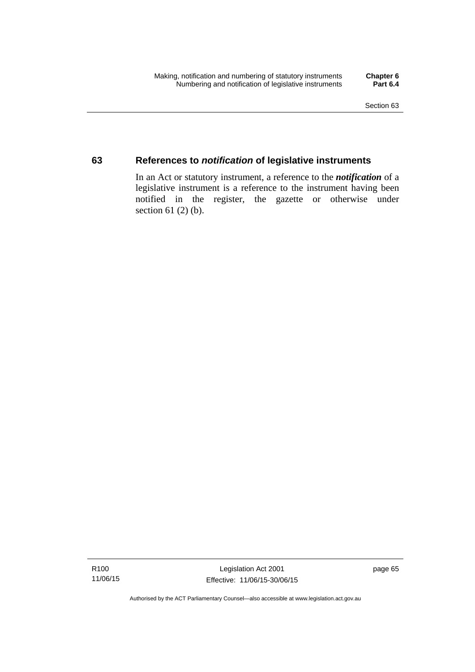## **63 References to** *notification* **of legislative instruments**

In an Act or statutory instrument, a reference to the *notification* of a legislative instrument is a reference to the instrument having been notified in the register, the gazette or otherwise under section  $61$  (2) (b).

Authorised by the ACT Parliamentary Counsel—also accessible at www.legislation.act.gov.au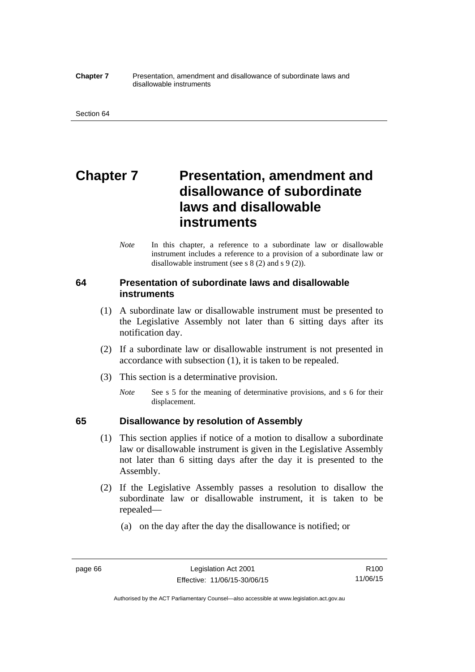#### **Chapter 7** Presentation, amendment and disallowance of subordinate laws and disallowable instruments

# **Chapter 7** Presentation, amendment and **disallowance of subordinate laws and disallowable instruments**

*Note* In this chapter, a reference to a subordinate law or disallowable instrument includes a reference to a provision of a subordinate law or disallowable instrument (see s 8 (2) and s 9 (2)).

## **64 Presentation of subordinate laws and disallowable instruments**

- (1) A subordinate law or disallowable instrument must be presented to the Legislative Assembly not later than 6 sitting days after its notification day.
- (2) If a subordinate law or disallowable instrument is not presented in accordance with subsection (1), it is taken to be repealed.
- (3) This section is a determinative provision.
	- *Note* See s 5 for the meaning of determinative provisions, and s 6 for their displacement.

## **65 Disallowance by resolution of Assembly**

- (1) This section applies if notice of a motion to disallow a subordinate law or disallowable instrument is given in the Legislative Assembly not later than 6 sitting days after the day it is presented to the Assembly.
- (2) If the Legislative Assembly passes a resolution to disallow the subordinate law or disallowable instrument, it is taken to be repealed—
	- (a) on the day after the day the disallowance is notified; or

Authorised by the ACT Parliamentary Counsel—also accessible at www.legislation.act.gov.au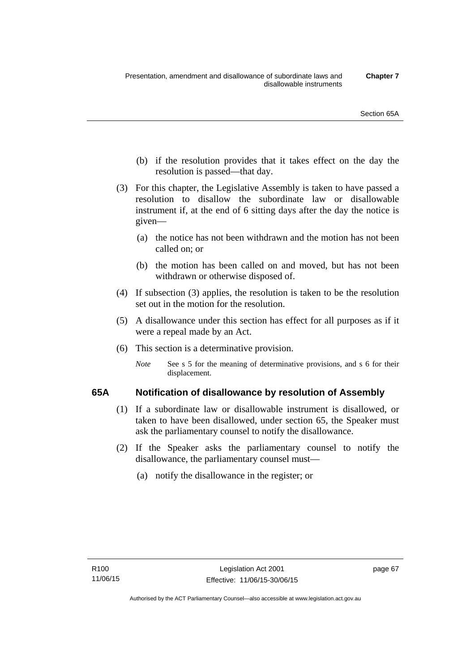- (b) if the resolution provides that it takes effect on the day the resolution is passed—that day.
- (3) For this chapter, the Legislative Assembly is taken to have passed a resolution to disallow the subordinate law or disallowable instrument if, at the end of 6 sitting days after the day the notice is given—
	- (a) the notice has not been withdrawn and the motion has not been called on; or
	- (b) the motion has been called on and moved, but has not been withdrawn or otherwise disposed of.
- (4) If subsection (3) applies, the resolution is taken to be the resolution set out in the motion for the resolution.
- (5) A disallowance under this section has effect for all purposes as if it were a repeal made by an Act.
- (6) This section is a determinative provision.
	- *Note* See s 5 for the meaning of determinative provisions, and s 6 for their displacement.

## **65A Notification of disallowance by resolution of Assembly**

- (1) If a subordinate law or disallowable instrument is disallowed, or taken to have been disallowed, under section 65, the Speaker must ask the parliamentary counsel to notify the disallowance.
- (2) If the Speaker asks the parliamentary counsel to notify the disallowance, the parliamentary counsel must—
	- (a) notify the disallowance in the register; or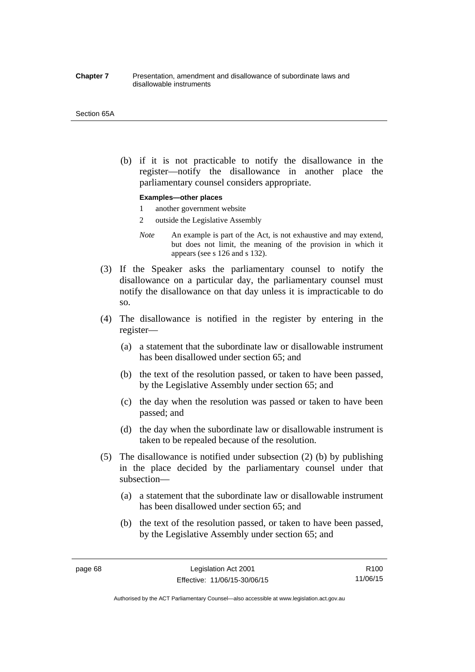#### **Chapter 7** Presentation, amendment and disallowance of subordinate laws and disallowable instruments

#### Section 65A

 (b) if it is not practicable to notify the disallowance in the register—notify the disallowance in another place the parliamentary counsel considers appropriate.

#### **Examples—other places**

- 1 another government website
- 2 outside the Legislative Assembly
- *Note* An example is part of the Act, is not exhaustive and may extend, but does not limit, the meaning of the provision in which it appears (see s 126 and s 132).
- (3) If the Speaker asks the parliamentary counsel to notify the disallowance on a particular day, the parliamentary counsel must notify the disallowance on that day unless it is impracticable to do so.
- (4) The disallowance is notified in the register by entering in the register—
	- (a) a statement that the subordinate law or disallowable instrument has been disallowed under section 65; and
	- (b) the text of the resolution passed, or taken to have been passed, by the Legislative Assembly under section 65; and
	- (c) the day when the resolution was passed or taken to have been passed; and
	- (d) the day when the subordinate law or disallowable instrument is taken to be repealed because of the resolution.
- (5) The disallowance is notified under subsection (2) (b) by publishing in the place decided by the parliamentary counsel under that subsection—
	- (a) a statement that the subordinate law or disallowable instrument has been disallowed under section 65; and
	- (b) the text of the resolution passed, or taken to have been passed, by the Legislative Assembly under section 65; and

R100 11/06/15

Authorised by the ACT Parliamentary Counsel—also accessible at www.legislation.act.gov.au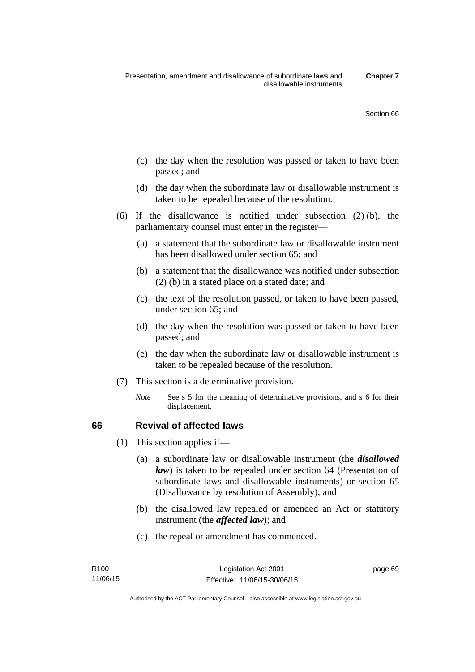- (c) the day when the resolution was passed or taken to have been passed; and
- (d) the day when the subordinate law or disallowable instrument is taken to be repealed because of the resolution.
- (6) If the disallowance is notified under subsection (2) (b), the parliamentary counsel must enter in the register—
	- (a) a statement that the subordinate law or disallowable instrument has been disallowed under section 65; and
	- (b) a statement that the disallowance was notified under subsection (2) (b) in a stated place on a stated date; and
	- (c) the text of the resolution passed, or taken to have been passed, under section 65; and
	- (d) the day when the resolution was passed or taken to have been passed; and
	- (e) the day when the subordinate law or disallowable instrument is taken to be repealed because of the resolution.
- (7) This section is a determinative provision.
	- *Note* See s 5 for the meaning of determinative provisions, and s 6 for their displacement.

## **66 Revival of affected laws**

- (1) This section applies if—
	- (a) a subordinate law or disallowable instrument (the *disallowed law*) is taken to be repealed under section 64 (Presentation of subordinate laws and disallowable instruments) or section 65 (Disallowance by resolution of Assembly); and
	- (b) the disallowed law repealed or amended an Act or statutory instrument (the *affected law*); and
	- (c) the repeal or amendment has commenced.

page 69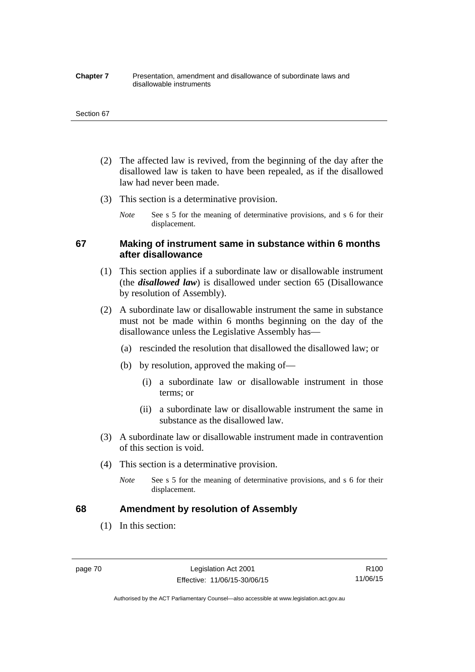#### **Chapter 7** Presentation, amendment and disallowance of subordinate laws and disallowable instruments

#### Section 67

- (2) The affected law is revived, from the beginning of the day after the disallowed law is taken to have been repealed, as if the disallowed law had never been made.
- (3) This section is a determinative provision.
	- *Note* See s 5 for the meaning of determinative provisions, and s 6 for their displacement.

## **67 Making of instrument same in substance within 6 months after disallowance**

- (1) This section applies if a subordinate law or disallowable instrument (the *disallowed law*) is disallowed under section 65 (Disallowance by resolution of Assembly).
- (2) A subordinate law or disallowable instrument the same in substance must not be made within 6 months beginning on the day of the disallowance unless the Legislative Assembly has—
	- (a) rescinded the resolution that disallowed the disallowed law; or
	- (b) by resolution, approved the making of—
		- (i) a subordinate law or disallowable instrument in those terms; or
		- (ii) a subordinate law or disallowable instrument the same in substance as the disallowed law.
- (3) A subordinate law or disallowable instrument made in contravention of this section is void.
- (4) This section is a determinative provision.
	- *Note* See s 5 for the meaning of determinative provisions, and s 6 for their displacement.

## **68 Amendment by resolution of Assembly**

(1) In this section:

page 70 Legislation Act 2001 Effective: 11/06/15-30/06/15

R100 11/06/15

Authorised by the ACT Parliamentary Counsel—also accessible at www.legislation.act.gov.au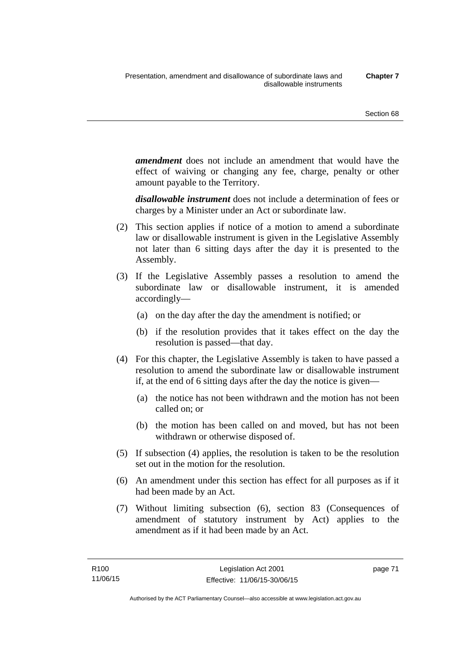*amendment* does not include an amendment that would have the effect of waiving or changing any fee, charge, penalty or other amount payable to the Territory.

*disallowable instrument* does not include a determination of fees or charges by a Minister under an Act or subordinate law.

- (2) This section applies if notice of a motion to amend a subordinate law or disallowable instrument is given in the Legislative Assembly not later than 6 sitting days after the day it is presented to the Assembly.
- (3) If the Legislative Assembly passes a resolution to amend the subordinate law or disallowable instrument, it is amended accordingly—
	- (a) on the day after the day the amendment is notified; or
	- (b) if the resolution provides that it takes effect on the day the resolution is passed—that day.
- (4) For this chapter, the Legislative Assembly is taken to have passed a resolution to amend the subordinate law or disallowable instrument if, at the end of 6 sitting days after the day the notice is given—
	- (a) the notice has not been withdrawn and the motion has not been called on; or
	- (b) the motion has been called on and moved, but has not been withdrawn or otherwise disposed of.
- (5) If subsection (4) applies, the resolution is taken to be the resolution set out in the motion for the resolution.
- (6) An amendment under this section has effect for all purposes as if it had been made by an Act.
- (7) Without limiting subsection (6), section 83 (Consequences of amendment of statutory instrument by Act) applies to the amendment as if it had been made by an Act.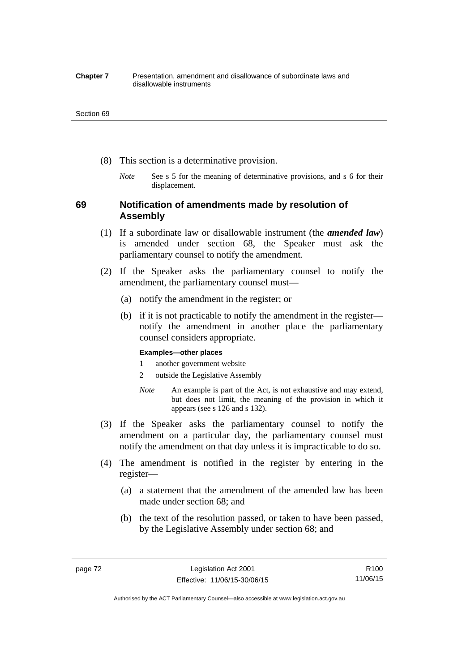#### **Chapter 7** Presentation, amendment and disallowance of subordinate laws and disallowable instruments

#### Section 69

- (8) This section is a determinative provision.
	- *Note* See s 5 for the meaning of determinative provisions, and s 6 for their displacement.

## **69 Notification of amendments made by resolution of Assembly**

- (1) If a subordinate law or disallowable instrument (the *amended law*) is amended under section 68, the Speaker must ask the parliamentary counsel to notify the amendment.
- (2) If the Speaker asks the parliamentary counsel to notify the amendment, the parliamentary counsel must—
	- (a) notify the amendment in the register; or
	- (b) if it is not practicable to notify the amendment in the register notify the amendment in another place the parliamentary counsel considers appropriate.

### **Examples—other places**

- 1 another government website
- 2 outside the Legislative Assembly
- *Note* An example is part of the Act, is not exhaustive and may extend, but does not limit, the meaning of the provision in which it appears (see s 126 and s 132).
- (3) If the Speaker asks the parliamentary counsel to notify the amendment on a particular day, the parliamentary counsel must notify the amendment on that day unless it is impracticable to do so.
- (4) The amendment is notified in the register by entering in the register—
	- (a) a statement that the amendment of the amended law has been made under section 68; and
	- (b) the text of the resolution passed, or taken to have been passed, by the Legislative Assembly under section 68; and

Authorised by the ACT Parliamentary Counsel—also accessible at www.legislation.act.gov.au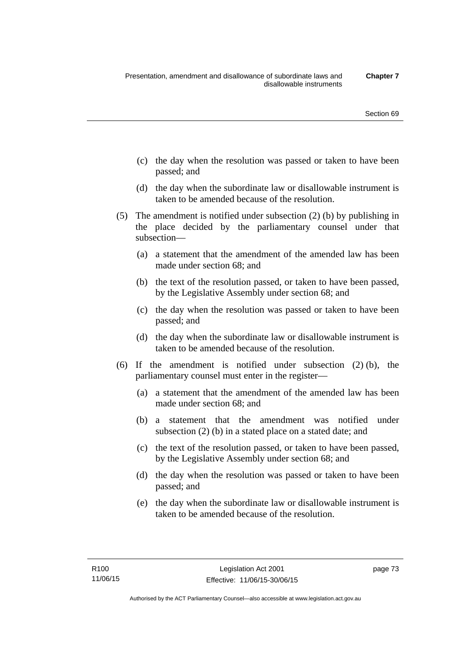- (c) the day when the resolution was passed or taken to have been passed; and
- (d) the day when the subordinate law or disallowable instrument is taken to be amended because of the resolution.
- (5) The amendment is notified under subsection (2) (b) by publishing in the place decided by the parliamentary counsel under that subsection—
	- (a) a statement that the amendment of the amended law has been made under section 68; and
	- (b) the text of the resolution passed, or taken to have been passed, by the Legislative Assembly under section 68; and
	- (c) the day when the resolution was passed or taken to have been passed; and
	- (d) the day when the subordinate law or disallowable instrument is taken to be amended because of the resolution.
- (6) If the amendment is notified under subsection (2) (b), the parliamentary counsel must enter in the register—
	- (a) a statement that the amendment of the amended law has been made under section 68; and
	- (b) a statement that the amendment was notified under subsection (2) (b) in a stated place on a stated date; and
	- (c) the text of the resolution passed, or taken to have been passed, by the Legislative Assembly under section 68; and
	- (d) the day when the resolution was passed or taken to have been passed; and
	- (e) the day when the subordinate law or disallowable instrument is taken to be amended because of the resolution.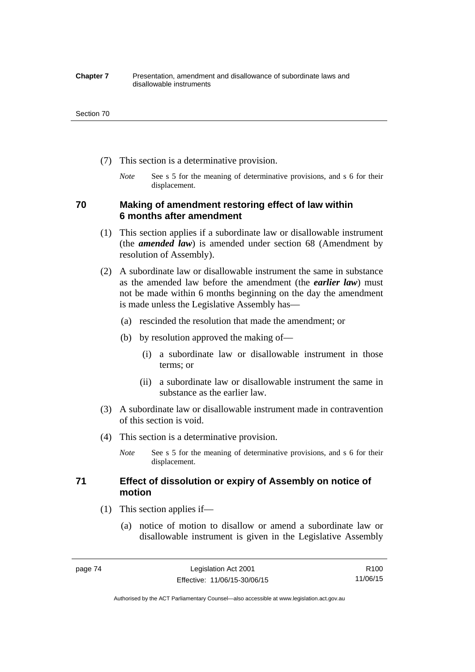#### **Chapter 7** Presentation, amendment and disallowance of subordinate laws and disallowable instruments

#### Section 70

- (7) This section is a determinative provision.
	- *Note* See s 5 for the meaning of determinative provisions, and s 6 for their displacement.

## **70 Making of amendment restoring effect of law within 6 months after amendment**

- (1) This section applies if a subordinate law or disallowable instrument (the *amended law*) is amended under section 68 (Amendment by resolution of Assembly).
- (2) A subordinate law or disallowable instrument the same in substance as the amended law before the amendment (the *earlier law*) must not be made within 6 months beginning on the day the amendment is made unless the Legislative Assembly has—
	- (a) rescinded the resolution that made the amendment; or
	- (b) by resolution approved the making of—
		- (i) a subordinate law or disallowable instrument in those terms; or
		- (ii) a subordinate law or disallowable instrument the same in substance as the earlier law.
- (3) A subordinate law or disallowable instrument made in contravention of this section is void.
- (4) This section is a determinative provision.
	- *Note* See s 5 for the meaning of determinative provisions, and s 6 for their displacement.

## **71 Effect of dissolution or expiry of Assembly on notice of motion**

- (1) This section applies if—
	- (a) notice of motion to disallow or amend a subordinate law or disallowable instrument is given in the Legislative Assembly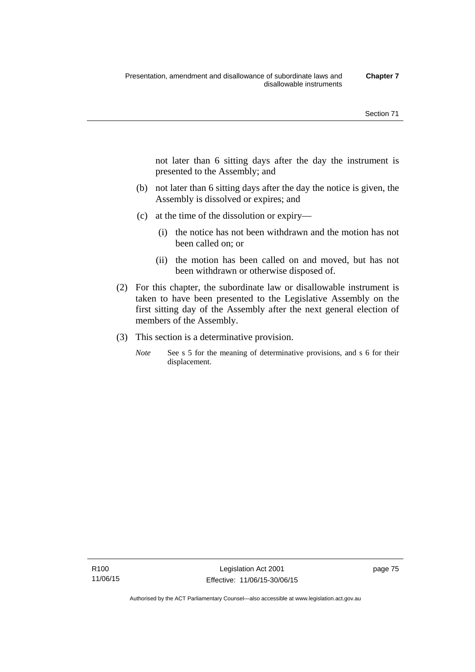not later than 6 sitting days after the day the instrument is presented to the Assembly; and

- (b) not later than 6 sitting days after the day the notice is given, the Assembly is dissolved or expires; and
- (c) at the time of the dissolution or expiry—
	- (i) the notice has not been withdrawn and the motion has not been called on; or
	- (ii) the motion has been called on and moved, but has not been withdrawn or otherwise disposed of.
- (2) For this chapter, the subordinate law or disallowable instrument is taken to have been presented to the Legislative Assembly on the first sitting day of the Assembly after the next general election of members of the Assembly.
- (3) This section is a determinative provision.
	- *Note* See s 5 for the meaning of determinative provisions, and s 6 for their displacement.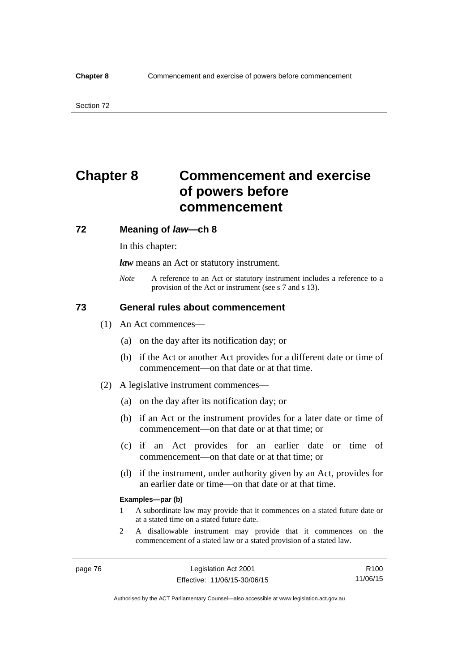# **Chapter 8 Commencement and exercise of powers before commencement**

### **72 Meaning of** *law***—ch 8**

In this chapter:

*law* means an Act or statutory instrument.

*Note* A reference to an Act or statutory instrument includes a reference to a provision of the Act or instrument (see s 7 and s 13).

## **73 General rules about commencement**

- (1) An Act commences—
	- (a) on the day after its notification day; or
	- (b) if the Act or another Act provides for a different date or time of commencement—on that date or at that time.
- (2) A legislative instrument commences—
	- (a) on the day after its notification day; or
	- (b) if an Act or the instrument provides for a later date or time of commencement—on that date or at that time; or
	- (c) if an Act provides for an earlier date or time of commencement—on that date or at that time; or
	- (d) if the instrument, under authority given by an Act, provides for an earlier date or time—on that date or at that time.

#### **Examples—par (b)**

- 1 A subordinate law may provide that it commences on a stated future date or at a stated time on a stated future date.
- 2 A disallowable instrument may provide that it commences on the commencement of a stated law or a stated provision of a stated law.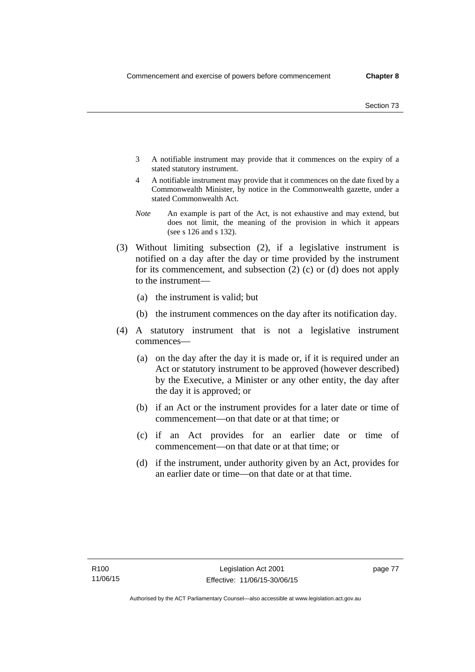- 3 A notifiable instrument may provide that it commences on the expiry of a stated statutory instrument.
- 4 A notifiable instrument may provide that it commences on the date fixed by a Commonwealth Minister, by notice in the Commonwealth gazette, under a stated Commonwealth Act.
- *Note* An example is part of the Act, is not exhaustive and may extend, but does not limit, the meaning of the provision in which it appears (see s 126 and s 132).
- (3) Without limiting subsection (2), if a legislative instrument is notified on a day after the day or time provided by the instrument for its commencement, and subsection (2) (c) or (d) does not apply to the instrument—
	- (a) the instrument is valid; but
	- (b) the instrument commences on the day after its notification day.
- (4) A statutory instrument that is not a legislative instrument commences—
	- (a) on the day after the day it is made or, if it is required under an Act or statutory instrument to be approved (however described) by the Executive, a Minister or any other entity, the day after the day it is approved; or
	- (b) if an Act or the instrument provides for a later date or time of commencement—on that date or at that time; or
	- (c) if an Act provides for an earlier date or time of commencement—on that date or at that time; or
	- (d) if the instrument, under authority given by an Act, provides for an earlier date or time—on that date or at that time.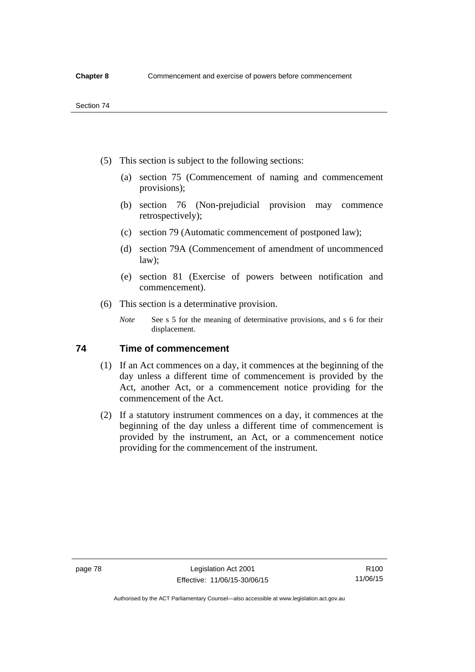- (5) This section is subject to the following sections:
	- (a) section 75 (Commencement of naming and commencement provisions);
	- (b) section 76 (Non-prejudicial provision may commence retrospectively);
	- (c) section 79 (Automatic commencement of postponed law);
	- (d) section 79A (Commencement of amendment of uncommenced law);
	- (e) section 81 (Exercise of powers between notification and commencement).
- (6) This section is a determinative provision.
	- *Note* See s 5 for the meaning of determinative provisions, and s 6 for their displacement.

## **74 Time of commencement**

- (1) If an Act commences on a day, it commences at the beginning of the day unless a different time of commencement is provided by the Act, another Act, or a commencement notice providing for the commencement of the Act.
- (2) If a statutory instrument commences on a day, it commences at the beginning of the day unless a different time of commencement is provided by the instrument, an Act, or a commencement notice providing for the commencement of the instrument.

Authorised by the ACT Parliamentary Counsel—also accessible at www.legislation.act.gov.au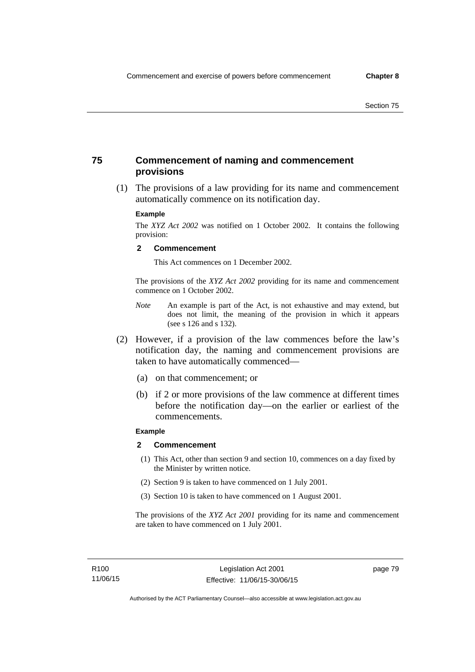## **75 Commencement of naming and commencement provisions**

 (1) The provisions of a law providing for its name and commencement automatically commence on its notification day.

#### **Example**

The *XYZ Act 2002* was notified on 1 October 2002. It contains the following provision:

#### **2 Commencement**

This Act commences on 1 December 2002.

The provisions of the *XYZ Act 2002* providing for its name and commencement commence on 1 October 2002.

- *Note* An example is part of the Act, is not exhaustive and may extend, but does not limit, the meaning of the provision in which it appears (see s 126 and s 132).
- (2) However, if a provision of the law commences before the law's notification day, the naming and commencement provisions are taken to have automatically commenced—
	- (a) on that commencement; or
	- (b) if 2 or more provisions of the law commence at different times before the notification day—on the earlier or earliest of the commencements.

## **Example**

#### **2 Commencement**

- (1) This Act, other than section 9 and section 10, commences on a day fixed by the Minister by written notice.
- (2) Section 9 is taken to have commenced on 1 July 2001.
- (3) Section 10 is taken to have commenced on 1 August 2001.

The provisions of the *XYZ Act 2001* providing for its name and commencement are taken to have commenced on 1 July 2001.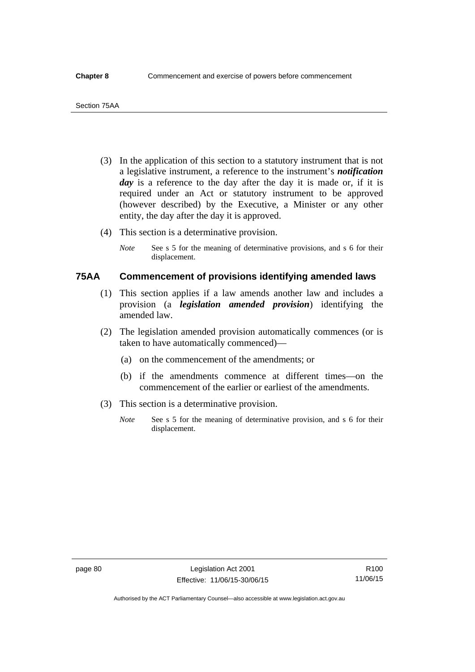- (3) In the application of this section to a statutory instrument that is not a legislative instrument, a reference to the instrument's *notification*  day is a reference to the day after the day it is made or, if it is required under an Act or statutory instrument to be approved (however described) by the Executive, a Minister or any other entity, the day after the day it is approved.
- (4) This section is a determinative provision.
	- *Note* See s 5 for the meaning of determinative provisions, and s 6 for their displacement.

## **75AA Commencement of provisions identifying amended laws**

- (1) This section applies if a law amends another law and includes a provision (a *legislation amended provision*) identifying the amended law.
- (2) The legislation amended provision automatically commences (or is taken to have automatically commenced)—
	- (a) on the commencement of the amendments; or
	- (b) if the amendments commence at different times—on the commencement of the earlier or earliest of the amendments.
- (3) This section is a determinative provision.
	- *Note* See s 5 for the meaning of determinative provision, and s 6 for their displacement.

R100 11/06/15

Authorised by the ACT Parliamentary Counsel—also accessible at www.legislation.act.gov.au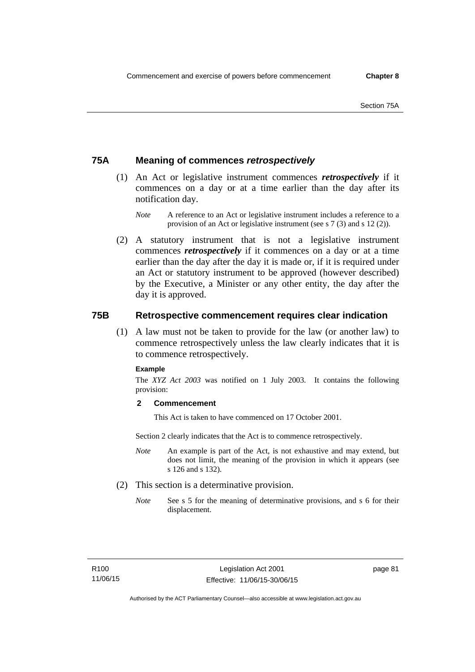## **75A Meaning of commences** *retrospectively*

- (1) An Act or legislative instrument commences *retrospectively* if it commences on a day or at a time earlier than the day after its notification day.
	- *Note* A reference to an Act or legislative instrument includes a reference to a provision of an Act or legislative instrument (see s 7 (3) and s 12 (2)).
- (2) A statutory instrument that is not a legislative instrument commences *retrospectively* if it commences on a day or at a time earlier than the day after the day it is made or, if it is required under an Act or statutory instrument to be approved (however described) by the Executive, a Minister or any other entity, the day after the day it is approved.

## **75B Retrospective commencement requires clear indication**

(1) A law must not be taken to provide for the law (or another law) to commence retrospectively unless the law clearly indicates that it is to commence retrospectively.

### **Example**

The *XYZ Act 2003* was notified on 1 July 2003. It contains the following provision:

### **2 Commencement**

This Act is taken to have commenced on 17 October 2001.

Section 2 clearly indicates that the Act is to commence retrospectively.

- *Note* An example is part of the Act, is not exhaustive and may extend, but does not limit, the meaning of the provision in which it appears (see s 126 and s 132).
- (2) This section is a determinative provision.
	- *Note* See s 5 for the meaning of determinative provisions, and s 6 for their displacement.

page 81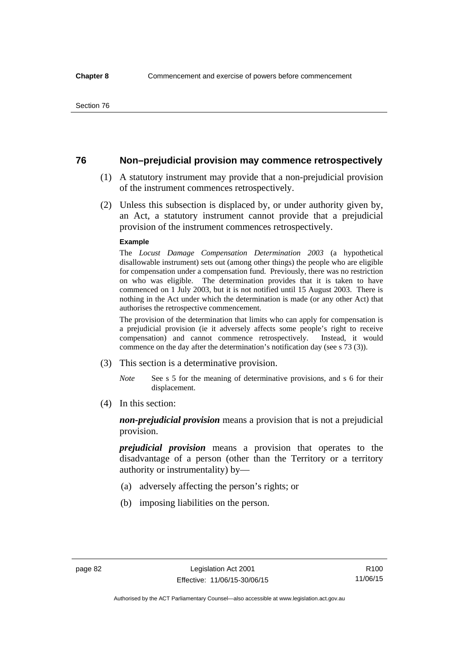## **76 Non–prejudicial provision may commence retrospectively**

- (1) A statutory instrument may provide that a non-prejudicial provision of the instrument commences retrospectively.
- (2) Unless this subsection is displaced by, or under authority given by, an Act, a statutory instrument cannot provide that a prejudicial provision of the instrument commences retrospectively.

#### **Example**

The *Locust Damage Compensation Determination 2003* (a hypothetical disallowable instrument) sets out (among other things) the people who are eligible for compensation under a compensation fund. Previously, there was no restriction on who was eligible. The determination provides that it is taken to have commenced on 1 July 2003, but it is not notified until 15 August 2003. There is nothing in the Act under which the determination is made (or any other Act) that authorises the retrospective commencement.

The provision of the determination that limits who can apply for compensation is a prejudicial provision (ie it adversely affects some people's right to receive compensation) and cannot commence retrospectively. Instead, it would commence on the day after the determination's notification day (see s 73 (3)).

- (3) This section is a determinative provision.
	- *Note* See s 5 for the meaning of determinative provisions, and s 6 for their displacement.
- (4) In this section:

*non-prejudicial provision* means a provision that is not a prejudicial provision.

*prejudicial provision* means a provision that operates to the disadvantage of a person (other than the Territory or a territory authority or instrumentality) by—

- (a) adversely affecting the person's rights; or
- (b) imposing liabilities on the person.

R100 11/06/15

Authorised by the ACT Parliamentary Counsel—also accessible at www.legislation.act.gov.au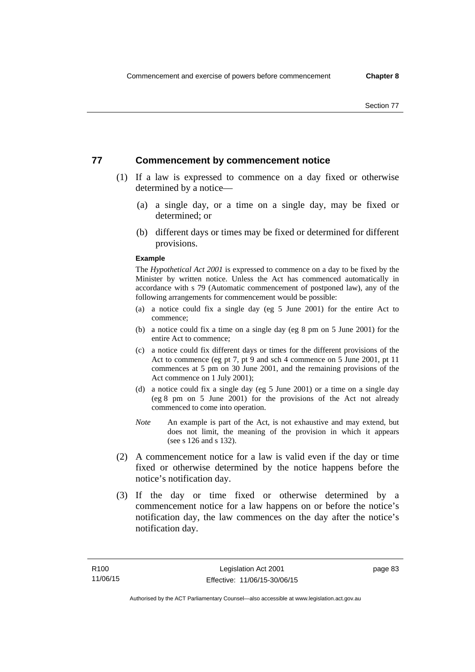## **77 Commencement by commencement notice**

- (1) If a law is expressed to commence on a day fixed or otherwise determined by a notice—
	- (a) a single day, or a time on a single day, may be fixed or determined; or
	- (b) different days or times may be fixed or determined for different provisions.

#### **Example**

The *Hypothetical Act 2001* is expressed to commence on a day to be fixed by the Minister by written notice. Unless the Act has commenced automatically in accordance with s 79 (Automatic commencement of postponed law), any of the following arrangements for commencement would be possible:

- (a) a notice could fix a single day (eg 5 June 2001) for the entire Act to commence;
- (b) a notice could fix a time on a single day (eg 8 pm on 5 June 2001) for the entire Act to commence;
- (c) a notice could fix different days or times for the different provisions of the Act to commence (eg pt 7, pt 9 and sch 4 commence on 5 June 2001, pt 11 commences at 5 pm on 30 June 2001, and the remaining provisions of the Act commence on 1 July 2001);
- (d) a notice could fix a single day (eg 5 June 2001) or a time on a single day (eg 8 pm on 5 June 2001) for the provisions of the Act not already commenced to come into operation.
- *Note* An example is part of the Act, is not exhaustive and may extend, but does not limit, the meaning of the provision in which it appears (see s 126 and s 132).
- (2) A commencement notice for a law is valid even if the day or time fixed or otherwise determined by the notice happens before the notice's notification day.
- (3) If the day or time fixed or otherwise determined by a commencement notice for a law happens on or before the notice's notification day, the law commences on the day after the notice's notification day.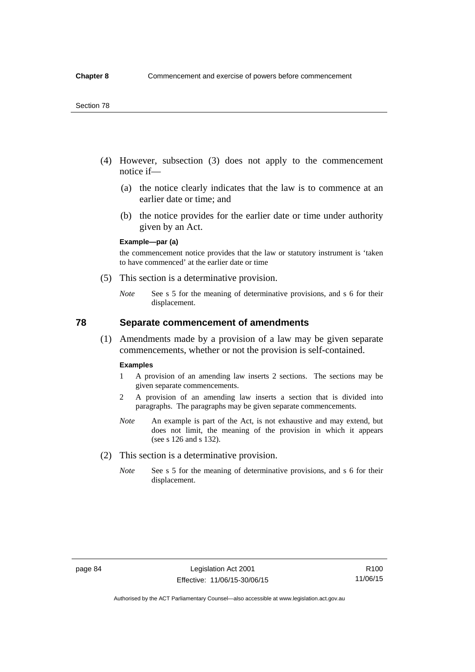- (4) However, subsection (3) does not apply to the commencement notice if—
	- (a) the notice clearly indicates that the law is to commence at an earlier date or time; and
	- (b) the notice provides for the earlier date or time under authority given by an Act.

### **Example—par (a)**

the commencement notice provides that the law or statutory instrument is 'taken to have commenced' at the earlier date or time

- (5) This section is a determinative provision.
	- *Note* See s 5 for the meaning of determinative provisions, and s 6 for their displacement.

## **78 Separate commencement of amendments**

 (1) Amendments made by a provision of a law may be given separate commencements, whether or not the provision is self-contained.

#### **Examples**

- 1 A provision of an amending law inserts 2 sections. The sections may be given separate commencements.
- 2 A provision of an amending law inserts a section that is divided into paragraphs. The paragraphs may be given separate commencements.
- *Note* An example is part of the Act, is not exhaustive and may extend, but does not limit, the meaning of the provision in which it appears (see s 126 and s 132).
- (2) This section is a determinative provision.
	- *Note* See s 5 for the meaning of determinative provisions, and s 6 for their displacement.

R100 11/06/15

Authorised by the ACT Parliamentary Counsel—also accessible at www.legislation.act.gov.au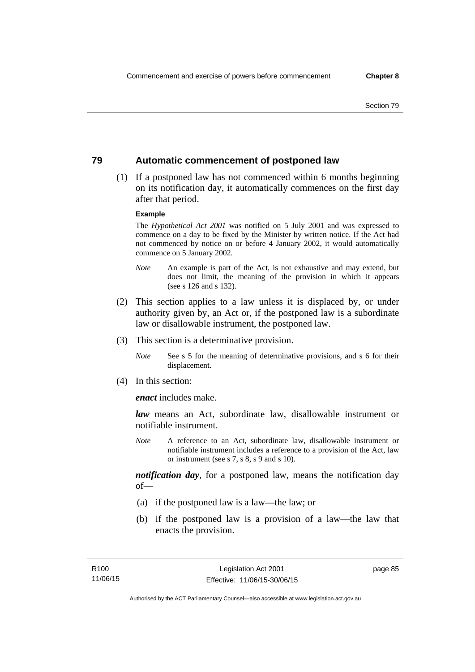## **79 Automatic commencement of postponed law**

 (1) If a postponed law has not commenced within 6 months beginning on its notification day, it automatically commences on the first day after that period.

#### **Example**

The *Hypothetical Act 2001* was notified on 5 July 2001 and was expressed to commence on a day to be fixed by the Minister by written notice. If the Act had not commenced by notice on or before 4 January 2002, it would automatically commence on 5 January 2002.

- *Note* An example is part of the Act, is not exhaustive and may extend, but does not limit, the meaning of the provision in which it appears (see s 126 and s 132).
- (2) This section applies to a law unless it is displaced by, or under authority given by, an Act or, if the postponed law is a subordinate law or disallowable instrument, the postponed law.
- (3) This section is a determinative provision.
	- *Note* See s 5 for the meaning of determinative provisions, and s 6 for their displacement.
- (4) In this section:

*enact* includes make.

*law* means an Act, subordinate law, disallowable instrument or notifiable instrument.

*Note* A reference to an Act, subordinate law, disallowable instrument or notifiable instrument includes a reference to a provision of the Act, law or instrument (see s 7, s 8, s 9 and s 10).

*notification day*, for a postponed law, means the notification day  $of$ 

- (a) if the postponed law is a law—the law; or
- (b) if the postponed law is a provision of a law—the law that enacts the provision.

page 85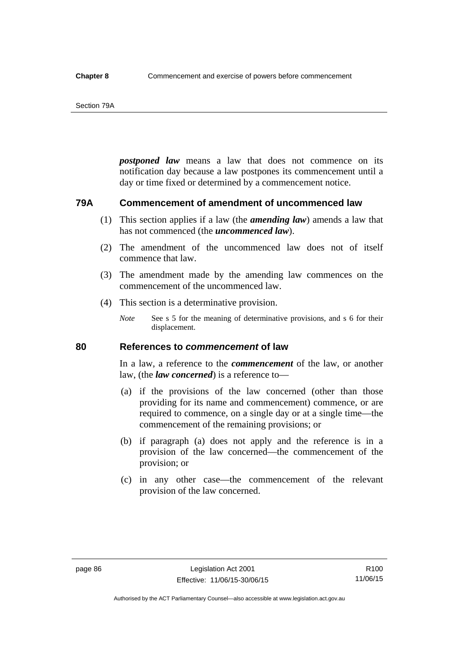#### Section 79A

*postponed law* means a law that does not commence on its notification day because a law postpones its commencement until a day or time fixed or determined by a commencement notice.

## **79A Commencement of amendment of uncommenced law**

- (1) This section applies if a law (the *amending law*) amends a law that has not commenced (the *uncommenced law*).
- (2) The amendment of the uncommenced law does not of itself commence that law.
- (3) The amendment made by the amending law commences on the commencement of the uncommenced law.
- (4) This section is a determinative provision.
	- *Note* See s 5 for the meaning of determinative provisions, and s 6 for their displacement.

## **80 References to** *commencement* **of law**

In a law, a reference to the *commencement* of the law, or another law, (the *law concerned*) is a reference to—

- (a) if the provisions of the law concerned (other than those providing for its name and commencement) commence, or are required to commence, on a single day or at a single time—the commencement of the remaining provisions; or
- (b) if paragraph (a) does not apply and the reference is in a provision of the law concerned—the commencement of the provision; or
- (c) in any other case—the commencement of the relevant provision of the law concerned.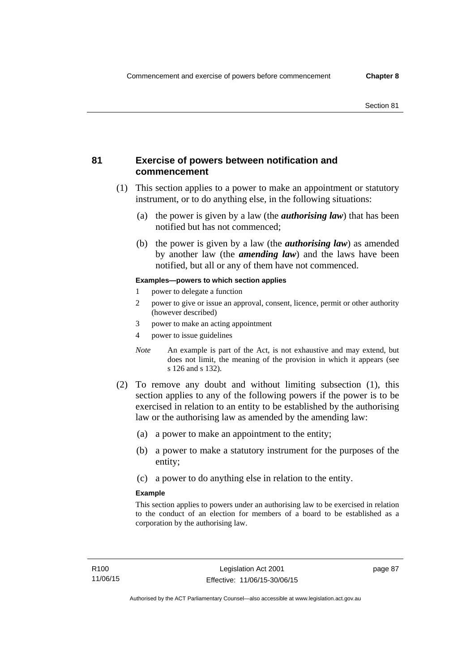## **81 Exercise of powers between notification and commencement**

- (1) This section applies to a power to make an appointment or statutory instrument, or to do anything else, in the following situations:
	- (a) the power is given by a law (the *authorising law*) that has been notified but has not commenced;
	- (b) the power is given by a law (the *authorising law*) as amended by another law (the *amending law*) and the laws have been notified, but all or any of them have not commenced.

### **Examples—powers to which section applies**

- 1 power to delegate a function
- 2 power to give or issue an approval, consent, licence, permit or other authority (however described)
- 3 power to make an acting appointment
- 4 power to issue guidelines
- *Note* An example is part of the Act, is not exhaustive and may extend, but does not limit, the meaning of the provision in which it appears (see s 126 and s 132).
- (2) To remove any doubt and without limiting subsection (1), this section applies to any of the following powers if the power is to be exercised in relation to an entity to be established by the authorising law or the authorising law as amended by the amending law:
	- (a) a power to make an appointment to the entity;
	- (b) a power to make a statutory instrument for the purposes of the entity;
	- (c) a power to do anything else in relation to the entity.

#### **Example**

This section applies to powers under an authorising law to be exercised in relation to the conduct of an election for members of a board to be established as a corporation by the authorising law.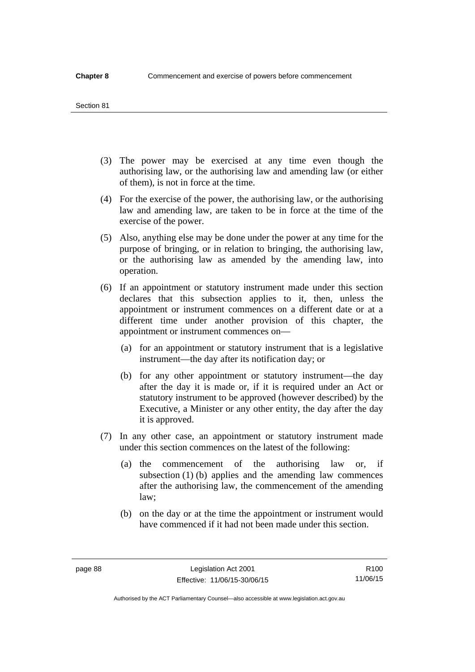#### Section 81

- (3) The power may be exercised at any time even though the authorising law, or the authorising law and amending law (or either of them), is not in force at the time.
- (4) For the exercise of the power, the authorising law, or the authorising law and amending law, are taken to be in force at the time of the exercise of the power.
- (5) Also, anything else may be done under the power at any time for the purpose of bringing, or in relation to bringing, the authorising law, or the authorising law as amended by the amending law, into operation.
- (6) If an appointment or statutory instrument made under this section declares that this subsection applies to it, then, unless the appointment or instrument commences on a different date or at a different time under another provision of this chapter, the appointment or instrument commences on—
	- (a) for an appointment or statutory instrument that is a legislative instrument—the day after its notification day; or
	- (b) for any other appointment or statutory instrument—the day after the day it is made or, if it is required under an Act or statutory instrument to be approved (however described) by the Executive, a Minister or any other entity, the day after the day it is approved.
- (7) In any other case, an appointment or statutory instrument made under this section commences on the latest of the following:
	- (a) the commencement of the authorising law or, if subsection (1) (b) applies and the amending law commences after the authorising law, the commencement of the amending law;
	- (b) on the day or at the time the appointment or instrument would have commenced if it had not been made under this section.

R100 11/06/15

Authorised by the ACT Parliamentary Counsel—also accessible at www.legislation.act.gov.au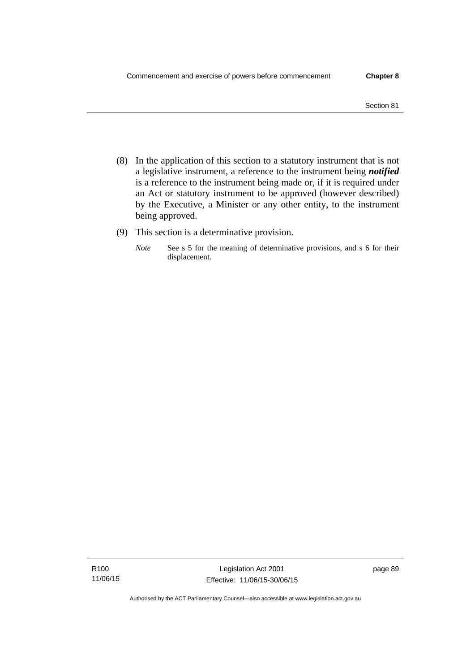- (8) In the application of this section to a statutory instrument that is not a legislative instrument, a reference to the instrument being *notified*  is a reference to the instrument being made or, if it is required under an Act or statutory instrument to be approved (however described) by the Executive, a Minister or any other entity, to the instrument being approved.
- (9) This section is a determinative provision.
	- *Note* See s 5 for the meaning of determinative provisions, and s 6 for their displacement.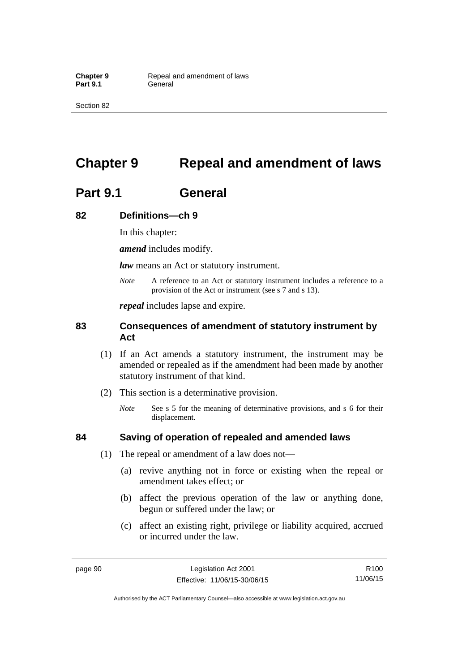Section 82

# **Chapter 9 Repeal and amendment of laws**

# **Part 9.1 General**

## **82 Definitions—ch 9**

In this chapter:

*amend* includes modify.

*law* means an Act or statutory instrument.

*Note* A reference to an Act or statutory instrument includes a reference to a provision of the Act or instrument (see s 7 and s 13).

*repeal* includes lapse and expire.

## **83 Consequences of amendment of statutory instrument by Act**

- (1) If an Act amends a statutory instrument, the instrument may be amended or repealed as if the amendment had been made by another statutory instrument of that kind.
- (2) This section is a determinative provision.
	- *Note* See s 5 for the meaning of determinative provisions, and s 6 for their displacement.

## **84 Saving of operation of repealed and amended laws**

- (1) The repeal or amendment of a law does not—
	- (a) revive anything not in force or existing when the repeal or amendment takes effect; or
	- (b) affect the previous operation of the law or anything done, begun or suffered under the law; or
	- (c) affect an existing right, privilege or liability acquired, accrued or incurred under the law.

page 90 Legislation Act 2001 Effective: 11/06/15-30/06/15

R100 11/06/15

Authorised by the ACT Parliamentary Counsel—also accessible at www.legislation.act.gov.au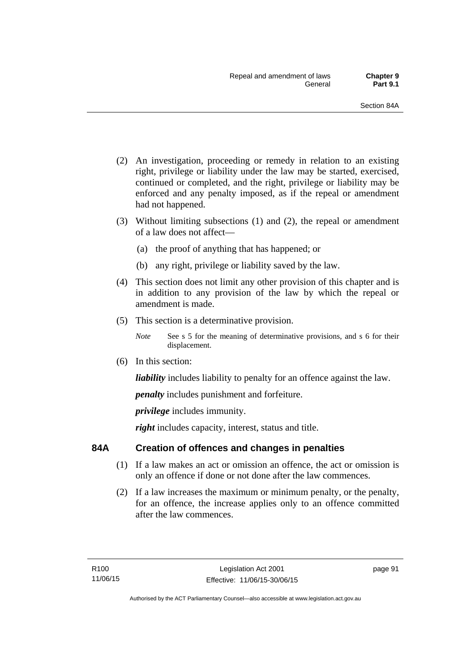- (2) An investigation, proceeding or remedy in relation to an existing right, privilege or liability under the law may be started, exercised, continued or completed, and the right, privilege or liability may be enforced and any penalty imposed, as if the repeal or amendment had not happened.
- (3) Without limiting subsections (1) and (2), the repeal or amendment of a law does not affect—
	- (a) the proof of anything that has happened; or
	- (b) any right, privilege or liability saved by the law.
- (4) This section does not limit any other provision of this chapter and is in addition to any provision of the law by which the repeal or amendment is made.
- (5) This section is a determinative provision.
	- *Note* See s 5 for the meaning of determinative provisions, and s 6 for their displacement.
- (6) In this section:

*liability* includes liability to penalty for an offence against the law.

*penalty* includes punishment and forfeiture.

*privilege* includes immunity.

right includes capacity, interest, status and title.

## **84A Creation of offences and changes in penalties**

- (1) If a law makes an act or omission an offence, the act or omission is only an offence if done or not done after the law commences.
- (2) If a law increases the maximum or minimum penalty, or the penalty, for an offence, the increase applies only to an offence committed after the law commences.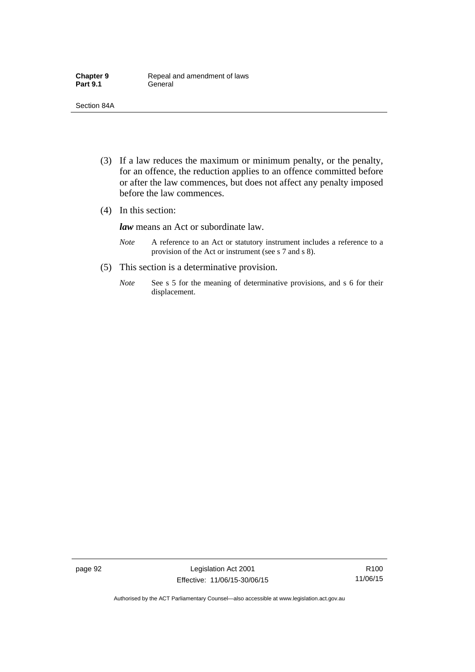- (3) If a law reduces the maximum or minimum penalty, or the penalty, for an offence, the reduction applies to an offence committed before or after the law commences, but does not affect any penalty imposed before the law commences.
- (4) In this section:

*law* means an Act or subordinate law.

- *Note* A reference to an Act or statutory instrument includes a reference to a provision of the Act or instrument (see s 7 and s 8).
- (5) This section is a determinative provision.
	- *Note* See s 5 for the meaning of determinative provisions, and s 6 for their displacement.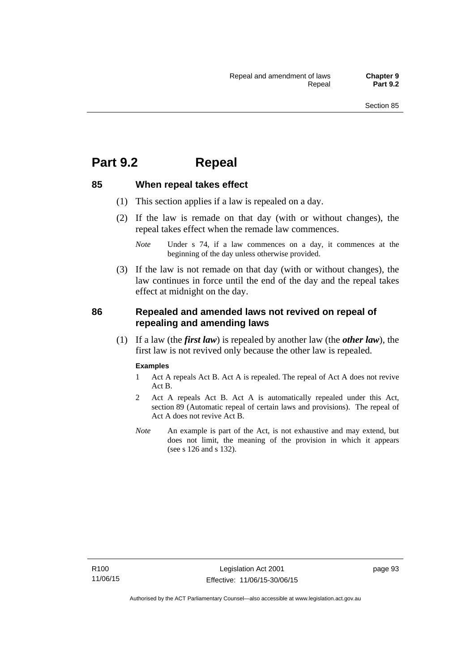## **Part 9.2 Repeal**

## **85 When repeal takes effect**

- (1) This section applies if a law is repealed on a day.
- (2) If the law is remade on that day (with or without changes), the repeal takes effect when the remade law commences.

 (3) If the law is not remade on that day (with or without changes), the law continues in force until the end of the day and the repeal takes effect at midnight on the day.

## **86 Repealed and amended laws not revived on repeal of repealing and amending laws**

 (1) If a law (the *first law*) is repealed by another law (the *other law*), the first law is not revived only because the other law is repealed.

#### **Examples**

- 1 Act A repeals Act B. Act A is repealed. The repeal of Act A does not revive Act B.
- 2 Act A repeals Act B. Act A is automatically repealed under this Act, section 89 (Automatic repeal of certain laws and provisions). The repeal of Act A does not revive Act B.
- *Note* An example is part of the Act, is not exhaustive and may extend, but does not limit, the meaning of the provision in which it appears (see s 126 and s 132).

*Note* Under s 74, if a law commences on a day, it commences at the beginning of the day unless otherwise provided.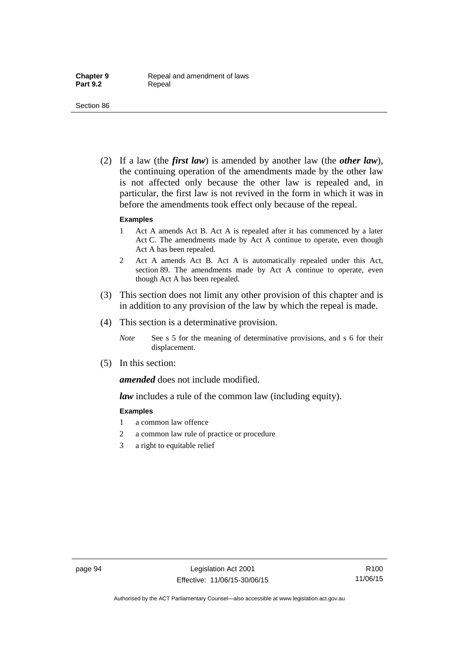(2) If a law (the *first law*) is amended by another law (the *other law*), the continuing operation of the amendments made by the other law is not affected only because the other law is repealed and, in particular, the first law is not revived in the form in which it was in before the amendments took effect only because of the repeal.

#### **Examples**

- 1 Act A amends Act B. Act A is repealed after it has commenced by a later Act C. The amendments made by Act A continue to operate, even though Act A has been repealed.
- 2 Act A amends Act B. Act A is automatically repealed under this Act, section 89. The amendments made by Act A continue to operate, even though Act A has been repealed.
- (3) This section does not limit any other provision of this chapter and is in addition to any provision of the law by which the repeal is made.
- (4) This section is a determinative provision.
	- *Note* See s 5 for the meaning of determinative provisions, and s 6 for their displacement.
- (5) In this section:

*amended* does not include modified.

*law* includes a rule of the common law (including equity).

#### **Examples**

- 1 a common law offence
- 2 a common law rule of practice or procedure
- 3 a right to equitable relief

R100 11/06/15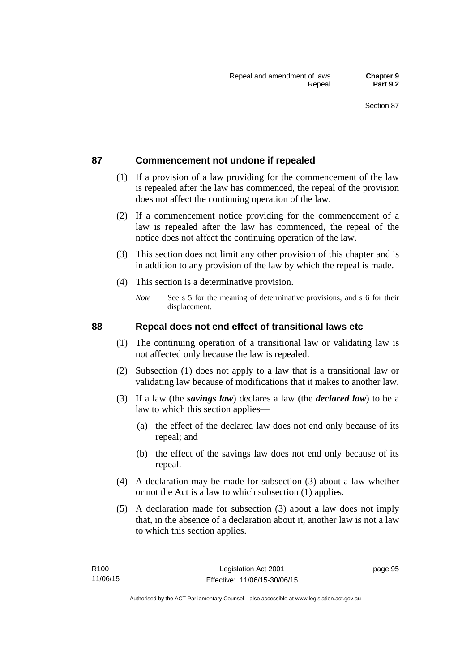## **87 Commencement not undone if repealed**

- (1) If a provision of a law providing for the commencement of the law is repealed after the law has commenced, the repeal of the provision does not affect the continuing operation of the law.
- (2) If a commencement notice providing for the commencement of a law is repealed after the law has commenced, the repeal of the notice does not affect the continuing operation of the law.
- (3) This section does not limit any other provision of this chapter and is in addition to any provision of the law by which the repeal is made.
- (4) This section is a determinative provision.
	- *Note* See s 5 for the meaning of determinative provisions, and s 6 for their displacement.

## **88 Repeal does not end effect of transitional laws etc**

- (1) The continuing operation of a transitional law or validating law is not affected only because the law is repealed.
- (2) Subsection (1) does not apply to a law that is a transitional law or validating law because of modifications that it makes to another law.
- (3) If a law (the *savings law*) declares a law (the *declared law*) to be a law to which this section applies—
	- (a) the effect of the declared law does not end only because of its repeal; and
	- (b) the effect of the savings law does not end only because of its repeal.
- (4) A declaration may be made for subsection (3) about a law whether or not the Act is a law to which subsection (1) applies.
- (5) A declaration made for subsection (3) about a law does not imply that, in the absence of a declaration about it, another law is not a law to which this section applies.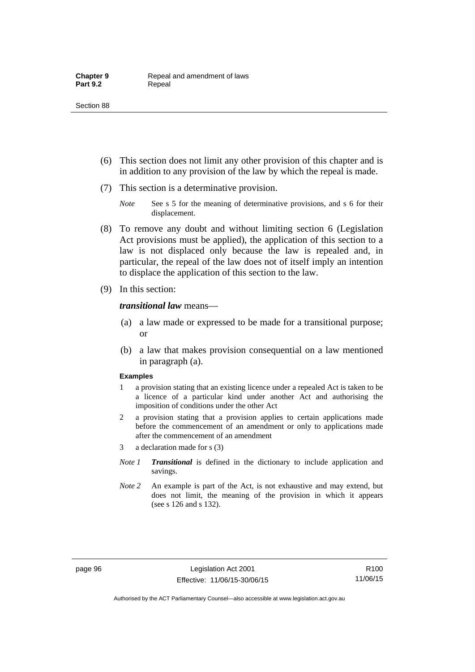- (6) This section does not limit any other provision of this chapter and is in addition to any provision of the law by which the repeal is made.
- (7) This section is a determinative provision.
	- *Note* See s 5 for the meaning of determinative provisions, and s 6 for their displacement.
- (8) To remove any doubt and without limiting section 6 (Legislation Act provisions must be applied), the application of this section to a law is not displaced only because the law is repealed and, in particular, the repeal of the law does not of itself imply an intention to displace the application of this section to the law.
- (9) In this section:

*transitional law* means—

- (a) a law made or expressed to be made for a transitional purpose; or
- (b) a law that makes provision consequential on a law mentioned in paragraph (a).

#### **Examples**

- 1 a provision stating that an existing licence under a repealed Act is taken to be a licence of a particular kind under another Act and authorising the imposition of conditions under the other Act
- 2 a provision stating that a provision applies to certain applications made before the commencement of an amendment or only to applications made after the commencement of an amendment
- 3 a declaration made for s (3)
- *Note 1 Transitional* is defined in the dictionary to include application and savings.
- *Note 2* An example is part of the Act, is not exhaustive and may extend, but does not limit, the meaning of the provision in which it appears (see s 126 and s 132).

R100 11/06/15

Authorised by the ACT Parliamentary Counsel—also accessible at www.legislation.act.gov.au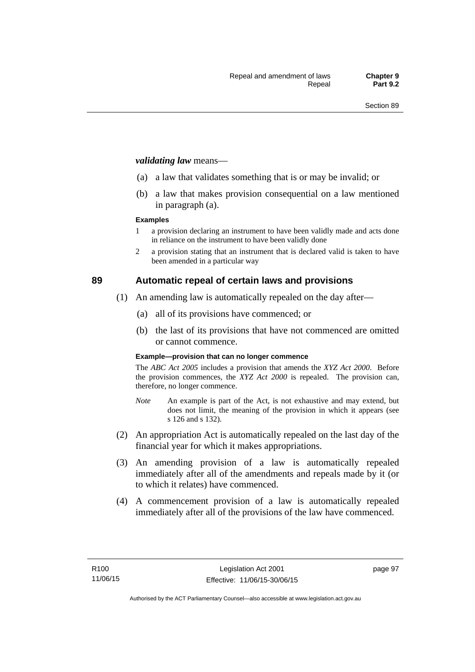#### *validating law* means—

- (a) a law that validates something that is or may be invalid; or
- (b) a law that makes provision consequential on a law mentioned in paragraph (a).

#### **Examples**

- 1 a provision declaring an instrument to have been validly made and acts done in reliance on the instrument to have been validly done
- 2 a provision stating that an instrument that is declared valid is taken to have been amended in a particular way

## **89 Automatic repeal of certain laws and provisions**

- (1) An amending law is automatically repealed on the day after—
	- (a) all of its provisions have commenced; or
	- (b) the last of its provisions that have not commenced are omitted or cannot commence.

#### **Example—provision that can no longer commence**

The *ABC Act 2005* includes a provision that amends the *XYZ Act 2000*. Before the provision commences, the *XYZ Act 2000* is repealed. The provision can, therefore, no longer commence.

- *Note* An example is part of the Act, is not exhaustive and may extend, but does not limit, the meaning of the provision in which it appears (see s 126 and s 132).
- (2) An appropriation Act is automatically repealed on the last day of the financial year for which it makes appropriations.
- (3) An amending provision of a law is automatically repealed immediately after all of the amendments and repeals made by it (or to which it relates) have commenced.
- (4) A commencement provision of a law is automatically repealed immediately after all of the provisions of the law have commenced.

page 97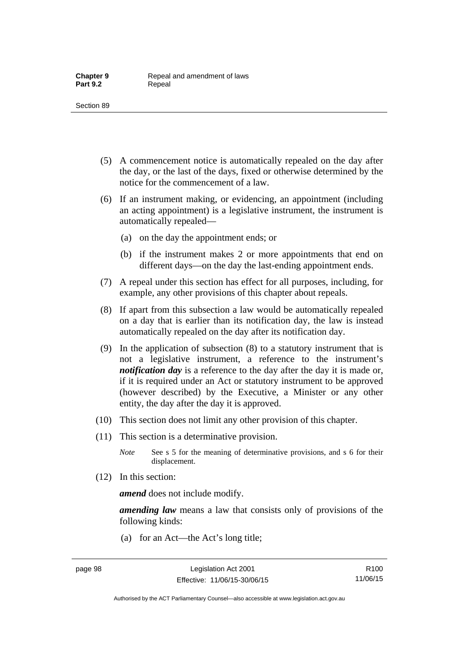- (5) A commencement notice is automatically repealed on the day after the day, or the last of the days, fixed or otherwise determined by the notice for the commencement of a law.
- (6) If an instrument making, or evidencing, an appointment (including an acting appointment) is a legislative instrument, the instrument is automatically repealed—
	- (a) on the day the appointment ends; or
	- (b) if the instrument makes 2 or more appointments that end on different days—on the day the last-ending appointment ends.
- (7) A repeal under this section has effect for all purposes, including, for example, any other provisions of this chapter about repeals.
- (8) If apart from this subsection a law would be automatically repealed on a day that is earlier than its notification day, the law is instead automatically repealed on the day after its notification day.
- (9) In the application of subsection (8) to a statutory instrument that is not a legislative instrument, a reference to the instrument's *notification day* is a reference to the day after the day it is made or, if it is required under an Act or statutory instrument to be approved (however described) by the Executive, a Minister or any other entity, the day after the day it is approved.
- (10) This section does not limit any other provision of this chapter.
- (11) This section is a determinative provision.
	- *Note* See s 5 for the meaning of determinative provisions, and s 6 for their displacement.
- (12) In this section:

*amend* does not include modify.

*amending law* means a law that consists only of provisions of the following kinds:

(a) for an Act—the Act's long title;

Authorised by the ACT Parliamentary Counsel—also accessible at www.legislation.act.gov.au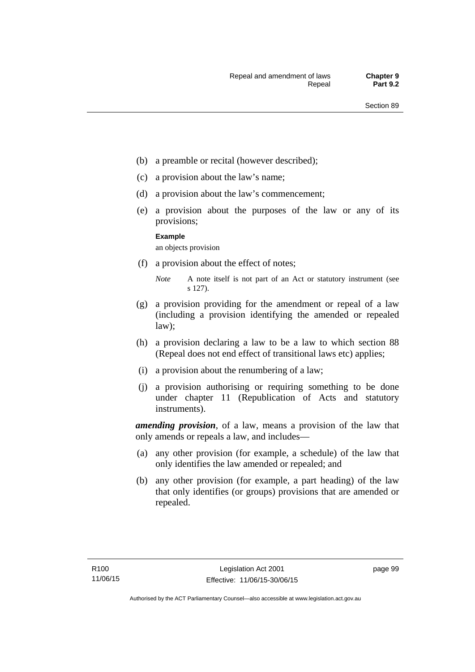- (b) a preamble or recital (however described);
- (c) a provision about the law's name;
- (d) a provision about the law's commencement;
- (e) a provision about the purposes of the law or any of its provisions;

#### **Example**

an objects provision

(f) a provision about the effect of notes;

- (g) a provision providing for the amendment or repeal of a law (including a provision identifying the amended or repealed law);
- (h) a provision declaring a law to be a law to which section 88 (Repeal does not end effect of transitional laws etc) applies;
- (i) a provision about the renumbering of a law;
- (j) a provision authorising or requiring something to be done under chapter 11 (Republication of Acts and statutory instruments).

*amending provision*, of a law, means a provision of the law that only amends or repeals a law, and includes—

- (a) any other provision (for example, a schedule) of the law that only identifies the law amended or repealed; and
- (b) any other provision (for example, a part heading) of the law that only identifies (or groups) provisions that are amended or repealed.

*Note* A note itself is not part of an Act or statutory instrument (see s 127).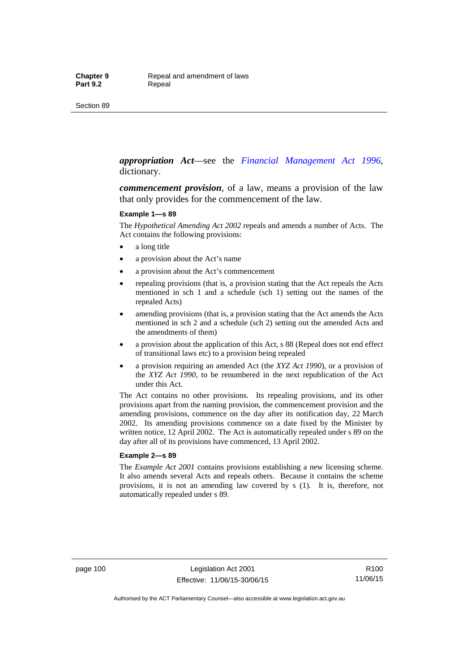#### *appropriation Act*—see the *[Financial Management Act 1996](http://www.legislation.act.gov.au/a/1996-22)*, dictionary.

*commencement provision*, of a law, means a provision of the law that only provides for the commencement of the law.

#### **Example 1—s 89**

The *Hypothetical Amending Act 2002* repeals and amends a number of Acts. The Act contains the following provisions:

- a long title
- a provision about the Act's name
- a provision about the Act's commencement
- repealing provisions (that is, a provision stating that the Act repeals the Acts mentioned in sch 1 and a schedule (sch 1) setting out the names of the repealed Acts)
- amending provisions (that is, a provision stating that the Act amends the Acts mentioned in sch 2 and a schedule (sch 2) setting out the amended Acts and the amendments of them)
- a provision about the application of this Act, s 88 (Repeal does not end effect of transitional laws etc) to a provision being repealed
- a provision requiring an amended Act (the *XYZ Act 1990*), or a provision of the *XYZ Act 1990*, to be renumbered in the next republication of the Act under this Act.

The Act contains no other provisions. Its repealing provisions, and its other provisions apart from the naming provision, the commencement provision and the amending provisions, commence on the day after its notification day, 22 March 2002. Its amending provisions commence on a date fixed by the Minister by written notice, 12 April 2002. The Act is automatically repealed under s 89 on the day after all of its provisions have commenced, 13 April 2002.

#### **Example 2—s 89**

The *Example Act 2001* contains provisions establishing a new licensing scheme. It also amends several Acts and repeals others. Because it contains the scheme provisions, it is not an amending law covered by s (1). It is, therefore, not automatically repealed under s 89.

page 100 Legislation Act 2001 Effective: 11/06/15-30/06/15

R100 11/06/15

Authorised by the ACT Parliamentary Counsel—also accessible at www.legislation.act.gov.au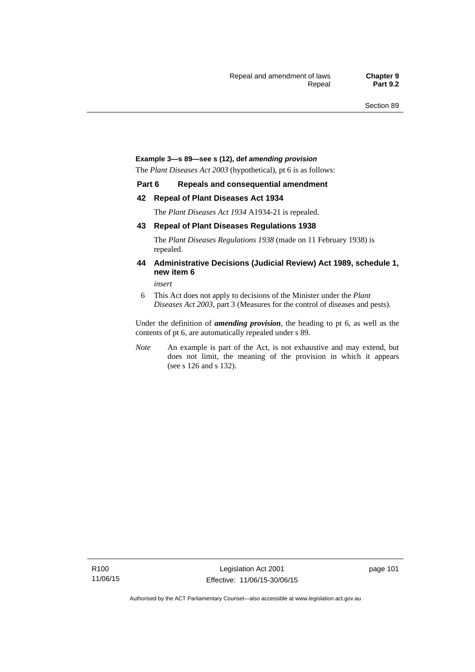#### **Example 3—s 89—see s (12), def** *amending provision*

The *Plant Diseases Act 2003* (hypothetical), pt 6 is as follows:

#### **Part 6 Repeals and consequential amendment**

#### **42 Repeal of Plant Diseases Act 1934**

The *Plant Diseases Act 1934* A1934-21 is repealed.

#### **43 Repeal of Plant Diseases Regulations 1938**

The *Plant Diseases Regulations 1938* (made on 11 February 1938) is repealed.

#### **44 Administrative Decisions (Judicial Review) Act 1989, schedule 1, new item 6**

*insert* 

6 This Act does not apply to decisions of the Minister under the *Plant Diseases Act 2003*, part 3 (Measures for the control of diseases and pests).

Under the definition of *amending provision*, the heading to pt 6, as well as the contents of pt 6, are automatically repealed under s 89.

*Note* An example is part of the Act, is not exhaustive and may extend, but does not limit, the meaning of the provision in which it appears (see s 126 and s 132).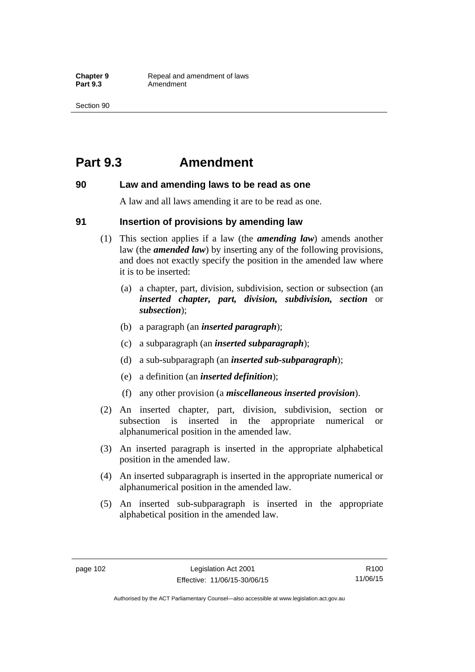## **Part 9.3 Amendment**

### **90 Law and amending laws to be read as one**

A law and all laws amending it are to be read as one.

### **91 Insertion of provisions by amending law**

- (1) This section applies if a law (the *amending law*) amends another law (the *amended law*) by inserting any of the following provisions, and does not exactly specify the position in the amended law where it is to be inserted:
	- (a) a chapter, part, division, subdivision, section or subsection (an *inserted chapter, part, division, subdivision, section* or *subsection*);
	- (b) a paragraph (an *inserted paragraph*);
	- (c) a subparagraph (an *inserted subparagraph*);
	- (d) a sub-subparagraph (an *inserted sub-subparagraph*);
	- (e) a definition (an *inserted definition*);
	- (f) any other provision (a *miscellaneous inserted provision*).
- (2) An inserted chapter, part, division, subdivision, section or subsection is inserted in the appropriate numerical or alphanumerical position in the amended law.
- (3) An inserted paragraph is inserted in the appropriate alphabetical position in the amended law.
- (4) An inserted subparagraph is inserted in the appropriate numerical or alphanumerical position in the amended law.
- (5) An inserted sub-subparagraph is inserted in the appropriate alphabetical position in the amended law.

Authorised by the ACT Parliamentary Counsel—also accessible at www.legislation.act.gov.au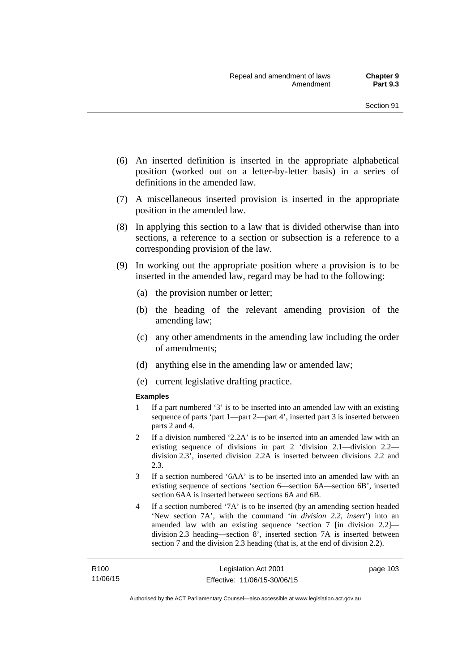- (6) An inserted definition is inserted in the appropriate alphabetical position (worked out on a letter-by-letter basis) in a series of definitions in the amended law.
- (7) A miscellaneous inserted provision is inserted in the appropriate position in the amended law.
- (8) In applying this section to a law that is divided otherwise than into sections, a reference to a section or subsection is a reference to a corresponding provision of the law.
- (9) In working out the appropriate position where a provision is to be inserted in the amended law, regard may be had to the following:
	- (a) the provision number or letter;
	- (b) the heading of the relevant amending provision of the amending law;
	- (c) any other amendments in the amending law including the order of amendments;
	- (d) anything else in the amending law or amended law;
	- (e) current legislative drafting practice.

#### **Examples**

- 1 If a part numbered '3' is to be inserted into an amended law with an existing sequence of parts 'part 1—part 2—part 4', inserted part 3 is inserted between parts 2 and 4.
- 2 If a division numbered '2.2A' is to be inserted into an amended law with an existing sequence of divisions in part 2 'division 2.1—division 2.2 division 2.3', inserted division 2.2A is inserted between divisions 2.2 and 2.3.
- 3 If a section numbered '6AA' is to be inserted into an amended law with an existing sequence of sections 'section 6—section 6A—section 6B', inserted section 6AA is inserted between sections 6A and 6B.
- 4 If a section numbered '7A' is to be inserted (by an amending section headed 'New section 7A', with the command '*in division 2.2, insert*') into an amended law with an existing sequence 'section 7 [in division 2.2] division 2.3 heading—section 8', inserted section 7A is inserted between section 7 and the division 2.3 heading (that is, at the end of division 2.2).

page 103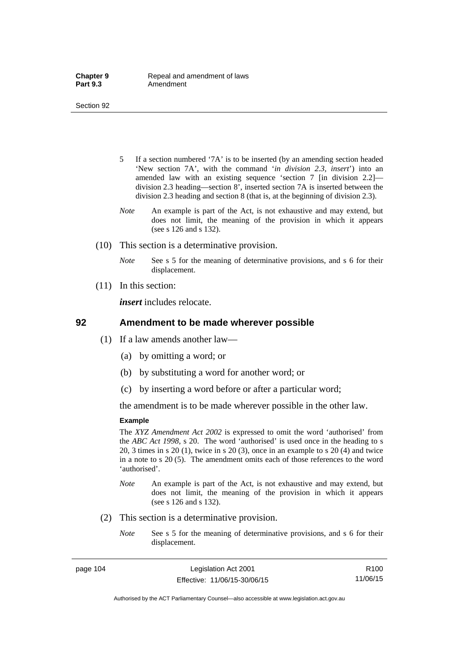- 5 If a section numbered '7A' is to be inserted (by an amending section headed 'New section 7A', with the command '*in division 2.3, insert*') into an amended law with an existing sequence 'section 7 [in division 2.2] division 2.3 heading—section 8', inserted section 7A is inserted between the division 2.3 heading and section 8 (that is, at the beginning of division 2.3).
- *Note* An example is part of the Act, is not exhaustive and may extend, but does not limit, the meaning of the provision in which it appears (see s 126 and s 132).
- (10) This section is a determinative provision.
	- *Note* See s 5 for the meaning of determinative provisions, and s 6 for their displacement.
- (11) In this section:

*insert* includes relocate.

#### **92 Amendment to be made wherever possible**

- (1) If a law amends another law—
	- (a) by omitting a word; or
	- (b) by substituting a word for another word; or
	- (c) by inserting a word before or after a particular word;

the amendment is to be made wherever possible in the other law.

#### **Example**

The *XYZ Amendment Act 2002* is expressed to omit the word 'authorised' from the *ABC Act 1998*, s 20. The word 'authorised' is used once in the heading to s 20, 3 times in s 20 (1), twice in s 20 (3), once in an example to s 20 (4) and twice in a note to s 20 (5). The amendment omits each of those references to the word 'authorised'.

- *Note* An example is part of the Act, is not exhaustive and may extend, but does not limit, the meaning of the provision in which it appears (see s 126 and s 132).
- (2) This section is a determinative provision.
	- *Note* See s 5 for the meaning of determinative provisions, and s 6 for their displacement.

page 104 Legislation Act 2001 Effective: 11/06/15-30/06/15

R100 11/06/15

Authorised by the ACT Parliamentary Counsel—also accessible at www.legislation.act.gov.au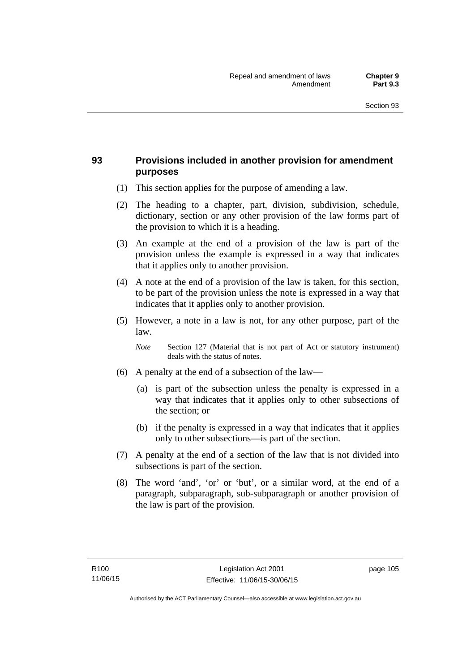## **93 Provisions included in another provision for amendment purposes**

- (1) This section applies for the purpose of amending a law.
- (2) The heading to a chapter, part, division, subdivision, schedule, dictionary, section or any other provision of the law forms part of the provision to which it is a heading.
- (3) An example at the end of a provision of the law is part of the provision unless the example is expressed in a way that indicates that it applies only to another provision.
- (4) A note at the end of a provision of the law is taken, for this section, to be part of the provision unless the note is expressed in a way that indicates that it applies only to another provision.
- (5) However, a note in a law is not, for any other purpose, part of the law.

*Note* Section 127 (Material that is not part of Act or statutory instrument) deals with the status of notes.

- (6) A penalty at the end of a subsection of the law—
	- (a) is part of the subsection unless the penalty is expressed in a way that indicates that it applies only to other subsections of the section; or
	- (b) if the penalty is expressed in a way that indicates that it applies only to other subsections—is part of the section.
- (7) A penalty at the end of a section of the law that is not divided into subsections is part of the section.
- (8) The word 'and', 'or' or 'but', or a similar word, at the end of a paragraph, subparagraph, sub-subparagraph or another provision of the law is part of the provision.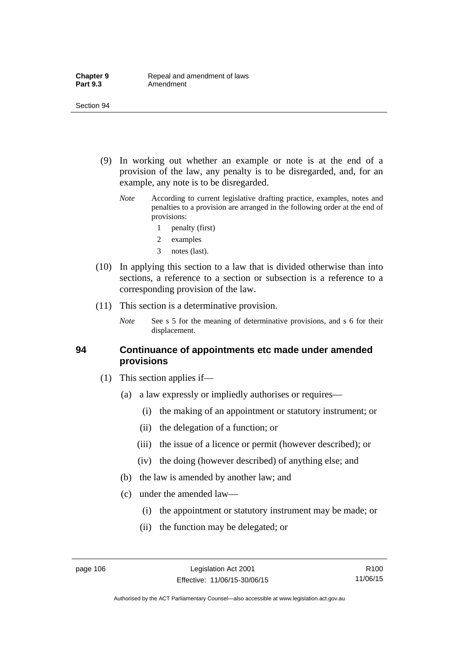- (9) In working out whether an example or note is at the end of a provision of the law, any penalty is to be disregarded, and, for an example, any note is to be disregarded.
	- *Note* According to current legislative drafting practice, examples, notes and penalties to a provision are arranged in the following order at the end of provisions:
		- 1 penalty (first)
		- 2 examples
		- 3 notes (last).
- (10) In applying this section to a law that is divided otherwise than into sections, a reference to a section or subsection is a reference to a corresponding provision of the law.
- (11) This section is a determinative provision.
	- *Note* See s 5 for the meaning of determinative provisions, and s 6 for their displacement.

### **94 Continuance of appointments etc made under amended provisions**

- (1) This section applies if—
	- (a) a law expressly or impliedly authorises or requires—
		- (i) the making of an appointment or statutory instrument; or
		- (ii) the delegation of a function; or
		- (iii) the issue of a licence or permit (however described); or
		- (iv) the doing (however described) of anything else; and
	- (b) the law is amended by another law; and
	- (c) under the amended law—
		- (i) the appointment or statutory instrument may be made; or
		- (ii) the function may be delegated; or

R100 11/06/15

Authorised by the ACT Parliamentary Counsel—also accessible at www.legislation.act.gov.au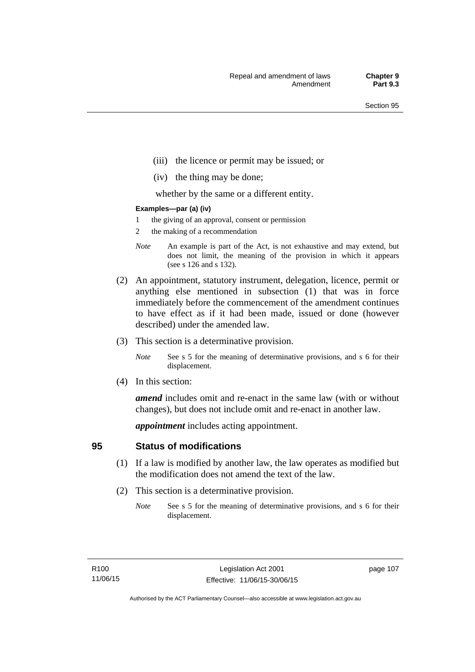- (iii) the licence or permit may be issued; or
- (iv) the thing may be done;

whether by the same or a different entity.

#### **Examples—par (a) (iv)**

- 1 the giving of an approval, consent or permission
- 2 the making of a recommendation
- *Note* An example is part of the Act, is not exhaustive and may extend, but does not limit, the meaning of the provision in which it appears (see s 126 and s 132).
- (2) An appointment, statutory instrument, delegation, licence, permit or anything else mentioned in subsection (1) that was in force immediately before the commencement of the amendment continues to have effect as if it had been made, issued or done (however described) under the amended law.
- (3) This section is a determinative provision.
	- *Note* See s 5 for the meaning of determinative provisions, and s 6 for their displacement.
- (4) In this section:

*amend* includes omit and re-enact in the same law (with or without changes), but does not include omit and re-enact in another law.

*appointment* includes acting appointment.

## **95 Status of modifications**

- (1) If a law is modified by another law, the law operates as modified but the modification does not amend the text of the law.
- (2) This section is a determinative provision.
	- *Note* See s 5 for the meaning of determinative provisions, and s 6 for their displacement.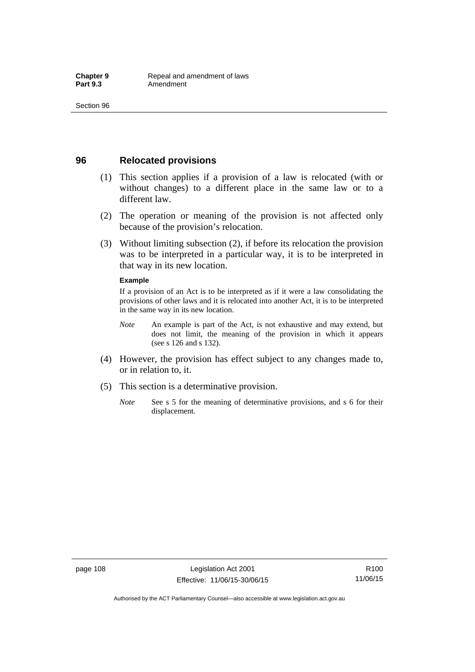## **96 Relocated provisions**

- (1) This section applies if a provision of a law is relocated (with or without changes) to a different place in the same law or to a different law.
- (2) The operation or meaning of the provision is not affected only because of the provision's relocation.
- (3) Without limiting subsection (2), if before its relocation the provision was to be interpreted in a particular way, it is to be interpreted in that way in its new location.

#### **Example**

If a provision of an Act is to be interpreted as if it were a law consolidating the provisions of other laws and it is relocated into another Act, it is to be interpreted in the same way in its new location.

- *Note* An example is part of the Act, is not exhaustive and may extend, but does not limit, the meaning of the provision in which it appears (see s 126 and s 132).
- (4) However, the provision has effect subject to any changes made to, or in relation to, it.
- (5) This section is a determinative provision.
	- *Note* See s 5 for the meaning of determinative provisions, and s 6 for their displacement.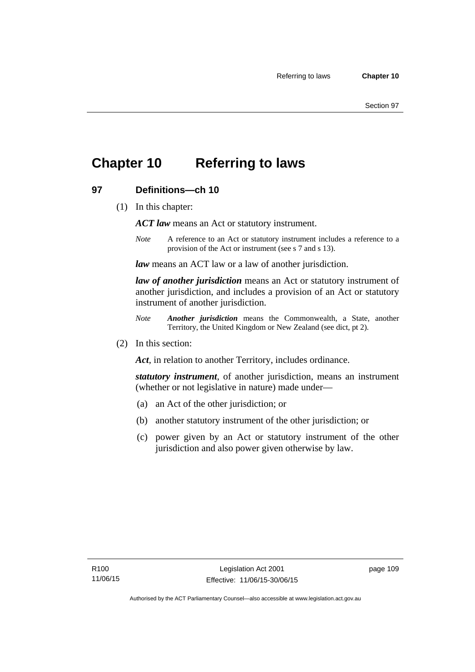## **Chapter 10 Referring to laws**

## **97 Definitions—ch 10**

(1) In this chapter:

*ACT law* means an Act or statutory instrument.

*Note* A reference to an Act or statutory instrument includes a reference to a provision of the Act or instrument (see s 7 and s 13).

*law* means an ACT law or a law of another jurisdiction.

*law of another jurisdiction* means an Act or statutory instrument of another jurisdiction, and includes a provision of an Act or statutory instrument of another jurisdiction.

- *Note Another jurisdiction* means the Commonwealth, a State, another Territory, the United Kingdom or New Zealand (see dict, pt 2).
- (2) In this section:

*Act*, in relation to another Territory, includes ordinance.

*statutory instrument*, of another jurisdiction, means an instrument (whether or not legislative in nature) made under—

- (a) an Act of the other jurisdiction; or
- (b) another statutory instrument of the other jurisdiction; or
- (c) power given by an Act or statutory instrument of the other jurisdiction and also power given otherwise by law.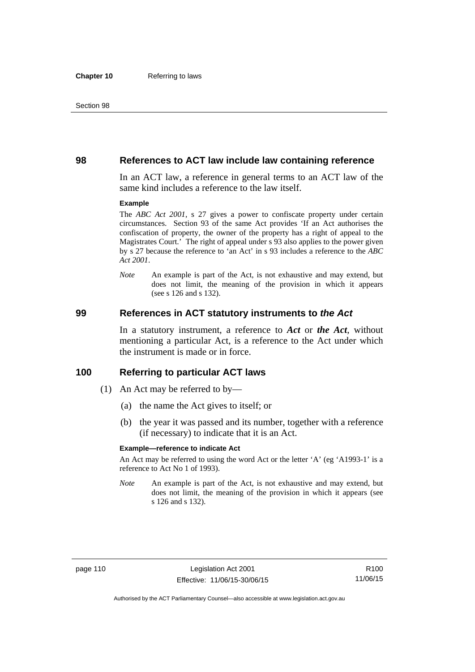### **98 References to ACT law include law containing reference**

In an ACT law, a reference in general terms to an ACT law of the same kind includes a reference to the law itself.

#### **Example**

The *ABC Act 2001*, s 27 gives a power to confiscate property under certain circumstances. Section 93 of the same Act provides 'If an Act authorises the confiscation of property, the owner of the property has a right of appeal to the Magistrates Court.' The right of appeal under s 93 also applies to the power given by s 27 because the reference to 'an Act' in s 93 includes a reference to the *ABC Act 2001*.

*Note* An example is part of the Act, is not exhaustive and may extend, but does not limit, the meaning of the provision in which it appears (see s 126 and s 132).

### **99 References in ACT statutory instruments to** *the Act*

In a statutory instrument, a reference to *Act* or *the Act*, without mentioning a particular Act, is a reference to the Act under which the instrument is made or in force.

### **100 Referring to particular ACT laws**

- (1) An Act may be referred to by—
	- (a) the name the Act gives to itself; or
	- (b) the year it was passed and its number, together with a reference (if necessary) to indicate that it is an Act.

#### **Example—reference to indicate Act**

An Act may be referred to using the word Act or the letter 'A' (eg 'A1993-1' is a reference to Act No 1 of 1993).

*Note* An example is part of the Act, is not exhaustive and may extend, but does not limit, the meaning of the provision in which it appears (see s 126 and s 132).

R100 11/06/15

Authorised by the ACT Parliamentary Counsel—also accessible at www.legislation.act.gov.au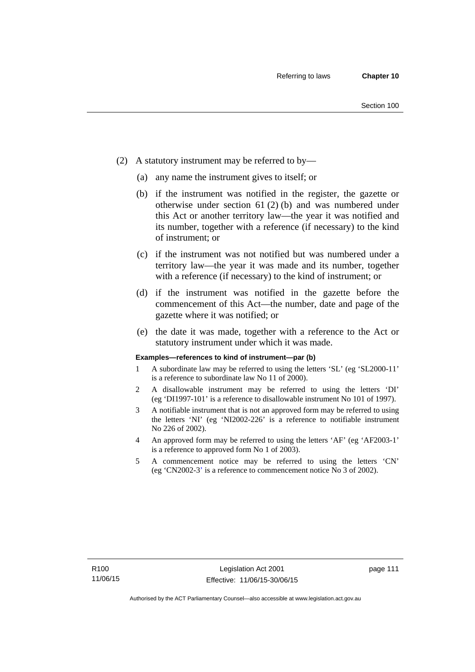- (2) A statutory instrument may be referred to by—
	- (a) any name the instrument gives to itself; or
	- (b) if the instrument was notified in the register, the gazette or otherwise under section 61 (2) (b) and was numbered under this Act or another territory law—the year it was notified and its number, together with a reference (if necessary) to the kind of instrument; or
	- (c) if the instrument was not notified but was numbered under a territory law—the year it was made and its number, together with a reference (if necessary) to the kind of instrument; or
	- (d) if the instrument was notified in the gazette before the commencement of this Act—the number, date and page of the gazette where it was notified; or
	- (e) the date it was made, together with a reference to the Act or statutory instrument under which it was made.

#### **Examples—references to kind of instrument—par (b)**

- 1 A subordinate law may be referred to using the letters 'SL' (eg 'SL2000-11' is a reference to subordinate law No 11 of 2000).
- 2 A disallowable instrument may be referred to using the letters 'DI' (eg 'DI1997-101' is a reference to disallowable instrument No 101 of 1997).
- 3 A notifiable instrument that is not an approved form may be referred to using the letters 'NI' (eg 'NI2002-226' is a reference to notifiable instrument No 226 of 2002).
- 4 An approved form may be referred to using the letters 'AF' (eg 'AF2003-1' is a reference to approved form No 1 of 2003).
- 5 A commencement notice may be referred to using the letters 'CN' (eg 'CN2002-3' is a reference to commencement notice No 3 of 2002).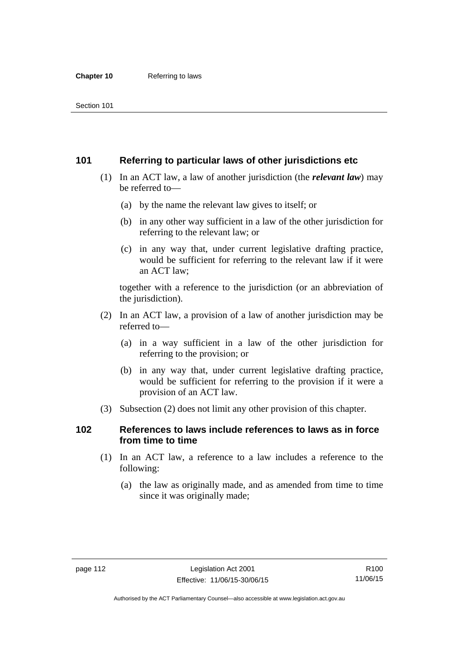## **101 Referring to particular laws of other jurisdictions etc**

- (1) In an ACT law, a law of another jurisdiction (the *relevant law*) may be referred to—
	- (a) by the name the relevant law gives to itself; or
	- (b) in any other way sufficient in a law of the other jurisdiction for referring to the relevant law; or
	- (c) in any way that, under current legislative drafting practice, would be sufficient for referring to the relevant law if it were an ACT law;

together with a reference to the jurisdiction (or an abbreviation of the jurisdiction).

- (2) In an ACT law, a provision of a law of another jurisdiction may be referred to—
	- (a) in a way sufficient in a law of the other jurisdiction for referring to the provision; or
	- (b) in any way that, under current legislative drafting practice, would be sufficient for referring to the provision if it were a provision of an ACT law.
- (3) Subsection (2) does not limit any other provision of this chapter.

## **102 References to laws include references to laws as in force from time to time**

- (1) In an ACT law, a reference to a law includes a reference to the following:
	- (a) the law as originally made, and as amended from time to time since it was originally made;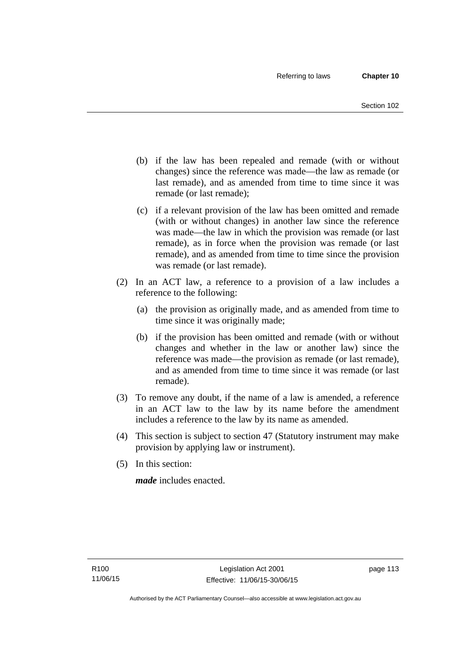- (b) if the law has been repealed and remade (with or without changes) since the reference was made—the law as remade (or last remade), and as amended from time to time since it was remade (or last remade);
- (c) if a relevant provision of the law has been omitted and remade (with or without changes) in another law since the reference was made—the law in which the provision was remade (or last remade), as in force when the provision was remade (or last remade), and as amended from time to time since the provision was remade (or last remade).
- (2) In an ACT law, a reference to a provision of a law includes a reference to the following:
	- (a) the provision as originally made, and as amended from time to time since it was originally made;
	- (b) if the provision has been omitted and remade (with or without changes and whether in the law or another law) since the reference was made—the provision as remade (or last remade), and as amended from time to time since it was remade (or last remade).
- (3) To remove any doubt, if the name of a law is amended, a reference in an ACT law to the law by its name before the amendment includes a reference to the law by its name as amended.
- (4) This section is subject to section 47 (Statutory instrument may make provision by applying law or instrument).
- (5) In this section:

*made* includes enacted.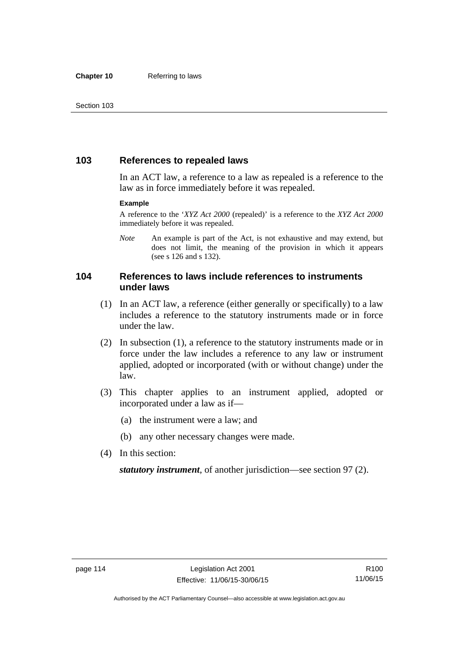## **103 References to repealed laws**

In an ACT law, a reference to a law as repealed is a reference to the law as in force immediately before it was repealed.

#### **Example**

A reference to the '*XYZ Act 2000* (repealed)' is a reference to the *XYZ Act 2000* immediately before it was repealed.

*Note* An example is part of the Act, is not exhaustive and may extend, but does not limit, the meaning of the provision in which it appears (see s 126 and s 132).

## **104 References to laws include references to instruments under laws**

- (1) In an ACT law, a reference (either generally or specifically) to a law includes a reference to the statutory instruments made or in force under the law.
- (2) In subsection (1), a reference to the statutory instruments made or in force under the law includes a reference to any law or instrument applied, adopted or incorporated (with or without change) under the law.
- (3) This chapter applies to an instrument applied, adopted or incorporated under a law as if—
	- (a) the instrument were a law; and
	- (b) any other necessary changes were made.
- (4) In this section:

*statutory instrument*, of another jurisdiction—see section 97 (2).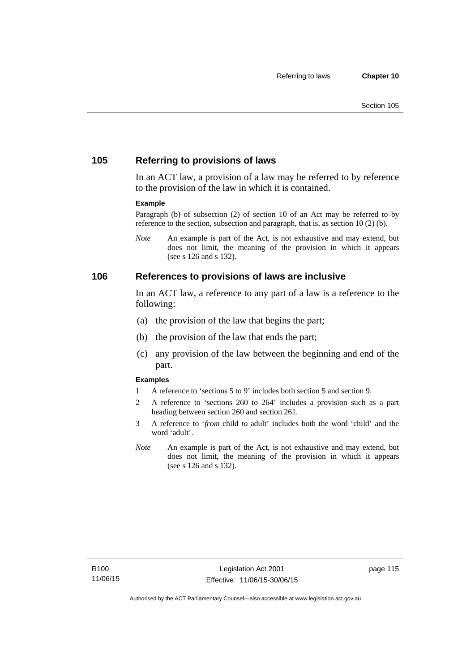## **105 Referring to provisions of laws**

In an ACT law, a provision of a law may be referred to by reference to the provision of the law in which it is contained.

#### **Example**

Paragraph (b) of subsection (2) of section 10 of an Act may be referred to by reference to the section, subsection and paragraph, that is, as section 10 (2) (b).

*Note* An example is part of the Act, is not exhaustive and may extend, but does not limit, the meaning of the provision in which it appears (see s 126 and s 132).

### **106 References to provisions of laws are inclusive**

In an ACT law, a reference to any part of a law is a reference to the following:

- (a) the provision of the law that begins the part;
- (b) the provision of the law that ends the part;
- (c) any provision of the law between the beginning and end of the part.

#### **Examples**

- 1 A reference to 'sections 5 to 9' includes both section 5 and section 9.
- 2 A reference to 'sections 260 to 264' includes a provision such as a part heading between section 260 and section 261.
- 3 A reference to '*from* child *to* adult' includes both the word 'child' and the word 'adult'.
- *Note* An example is part of the Act, is not exhaustive and may extend, but does not limit, the meaning of the provision in which it appears (see s 126 and s 132).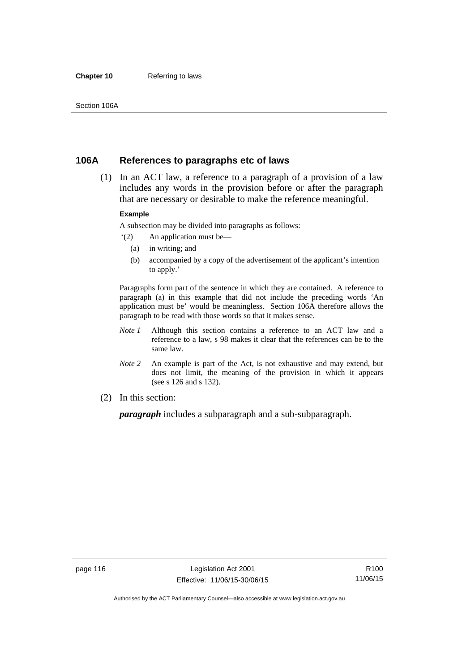#### **Chapter 10** Referring to laws

## **106A References to paragraphs etc of laws**

 (1) In an ACT law, a reference to a paragraph of a provision of a law includes any words in the provision before or after the paragraph that are necessary or desirable to make the reference meaningful.

#### **Example**

A subsection may be divided into paragraphs as follows:

- '(2) An application must be—
	- (a) in writing; and
	- (b) accompanied by a copy of the advertisement of the applicant's intention to apply.'

Paragraphs form part of the sentence in which they are contained. A reference to paragraph (a) in this example that did not include the preceding words 'An application must be' would be meaningless. Section 106A therefore allows the paragraph to be read with those words so that it makes sense.

- *Note 1* Although this section contains a reference to an ACT law and a reference to a law, s 98 makes it clear that the references can be to the same law.
- *Note 2* An example is part of the Act, is not exhaustive and may extend, but does not limit, the meaning of the provision in which it appears (see s 126 and s 132).
- (2) In this section:

*paragraph* includes a subparagraph and a sub-subparagraph.

R100 11/06/15

Authorised by the ACT Parliamentary Counsel—also accessible at www.legislation.act.gov.au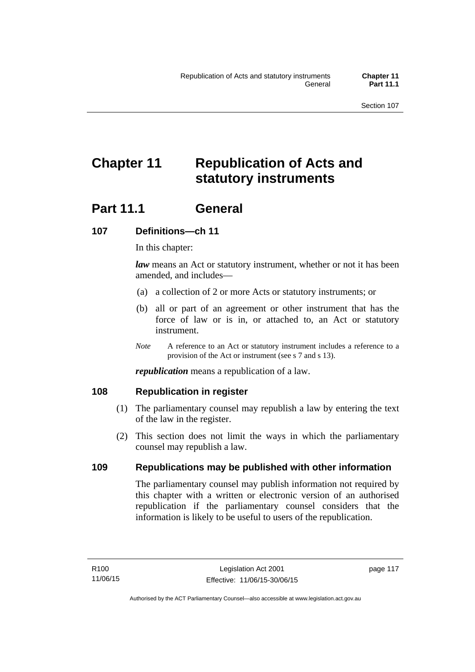# **Chapter 11 Republication of Acts and statutory instruments**

## Part 11.1 General

## **107 Definitions—ch 11**

In this chapter:

*law* means an Act or statutory instrument, whether or not it has been amended, and includes—

- (a) a collection of 2 or more Acts or statutory instruments; or
- (b) all or part of an agreement or other instrument that has the force of law or is in, or attached to, an Act or statutory instrument.
- *Note* A reference to an Act or statutory instrument includes a reference to a provision of the Act or instrument (see s 7 and s 13).

*republication* means a republication of a law.

## **108 Republication in register**

- (1) The parliamentary counsel may republish a law by entering the text of the law in the register.
- (2) This section does not limit the ways in which the parliamentary counsel may republish a law.

## **109 Republications may be published with other information**

The parliamentary counsel may publish information not required by this chapter with a written or electronic version of an authorised republication if the parliamentary counsel considers that the information is likely to be useful to users of the republication.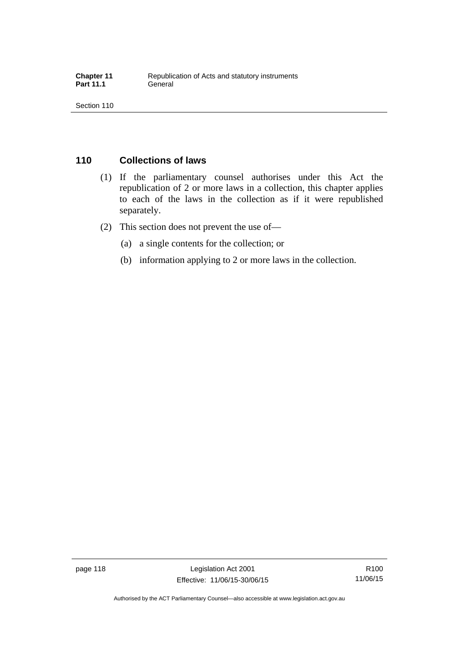## **110 Collections of laws**

- (1) If the parliamentary counsel authorises under this Act the republication of 2 or more laws in a collection, this chapter applies to each of the laws in the collection as if it were republished separately.
- (2) This section does not prevent the use of—
	- (a) a single contents for the collection; or
	- (b) information applying to 2 or more laws in the collection.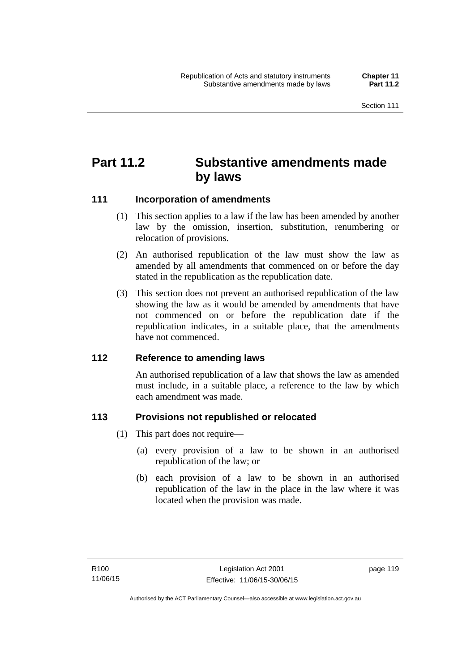## **Part 11.2 Substantive amendments made by laws**

## **111 Incorporation of amendments**

- (1) This section applies to a law if the law has been amended by another law by the omission, insertion, substitution, renumbering or relocation of provisions.
- (2) An authorised republication of the law must show the law as amended by all amendments that commenced on or before the day stated in the republication as the republication date.
- (3) This section does not prevent an authorised republication of the law showing the law as it would be amended by amendments that have not commenced on or before the republication date if the republication indicates, in a suitable place, that the amendments have not commenced.

## **112 Reference to amending laws**

An authorised republication of a law that shows the law as amended must include, in a suitable place, a reference to the law by which each amendment was made.

## **113 Provisions not republished or relocated**

- (1) This part does not require—
	- (a) every provision of a law to be shown in an authorised republication of the law; or
	- (b) each provision of a law to be shown in an authorised republication of the law in the place in the law where it was located when the provision was made.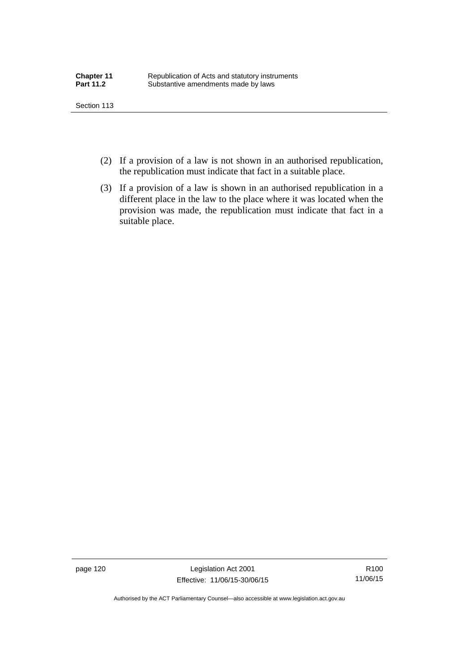- (2) If a provision of a law is not shown in an authorised republication, the republication must indicate that fact in a suitable place.
- (3) If a provision of a law is shown in an authorised republication in a different place in the law to the place where it was located when the provision was made, the republication must indicate that fact in a suitable place.

page 120 Legislation Act 2001 Effective: 11/06/15-30/06/15

R100 11/06/15

Authorised by the ACT Parliamentary Counsel—also accessible at www.legislation.act.gov.au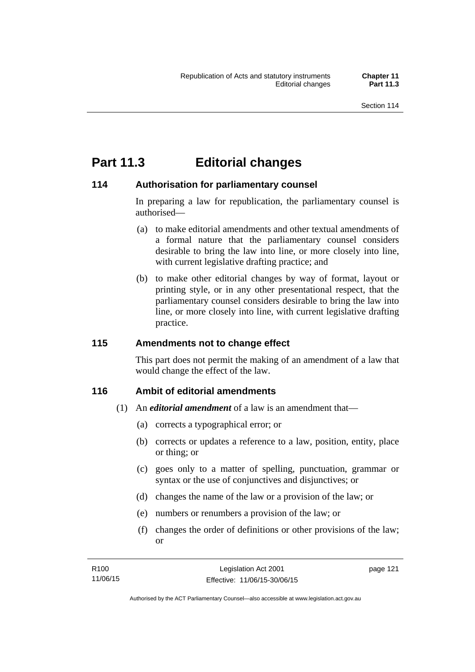## **Part 11.3 Editorial changes**

## **114 Authorisation for parliamentary counsel**

In preparing a law for republication, the parliamentary counsel is authorised—

- (a) to make editorial amendments and other textual amendments of a formal nature that the parliamentary counsel considers desirable to bring the law into line, or more closely into line, with current legislative drafting practice; and
- (b) to make other editorial changes by way of format, layout or printing style, or in any other presentational respect, that the parliamentary counsel considers desirable to bring the law into line, or more closely into line, with current legislative drafting practice.

## **115 Amendments not to change effect**

This part does not permit the making of an amendment of a law that would change the effect of the law.

## **116 Ambit of editorial amendments**

- (1) An *editorial amendment* of a law is an amendment that—
	- (a) corrects a typographical error; or
	- (b) corrects or updates a reference to a law, position, entity, place or thing; or
	- (c) goes only to a matter of spelling, punctuation, grammar or syntax or the use of conjunctives and disjunctives; or
	- (d) changes the name of the law or a provision of the law; or
	- (e) numbers or renumbers a provision of the law; or
	- (f) changes the order of definitions or other provisions of the law; or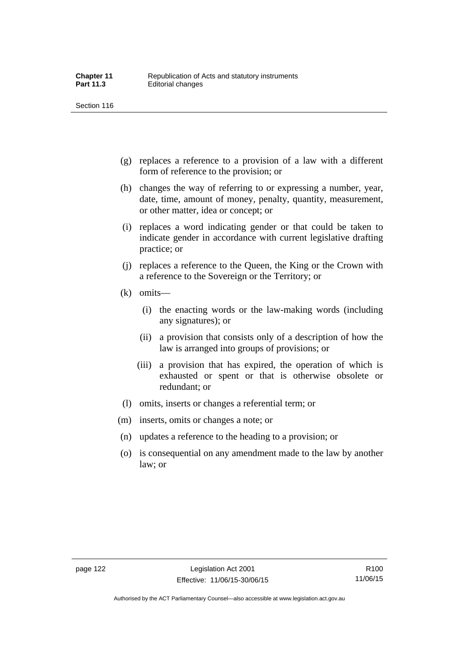- (g) replaces a reference to a provision of a law with a different form of reference to the provision; or
- (h) changes the way of referring to or expressing a number, year, date, time, amount of money, penalty, quantity, measurement, or other matter, idea or concept; or
- (i) replaces a word indicating gender or that could be taken to indicate gender in accordance with current legislative drafting practice; or
- (j) replaces a reference to the Queen, the King or the Crown with a reference to the Sovereign or the Territory; or
- (k) omits—
	- (i) the enacting words or the law-making words (including any signatures); or
	- (ii) a provision that consists only of a description of how the law is arranged into groups of provisions; or
	- (iii) a provision that has expired, the operation of which is exhausted or spent or that is otherwise obsolete or redundant; or
- (l) omits, inserts or changes a referential term; or
- (m) inserts, omits or changes a note; or
- (n) updates a reference to the heading to a provision; or
- (o) is consequential on any amendment made to the law by another law; or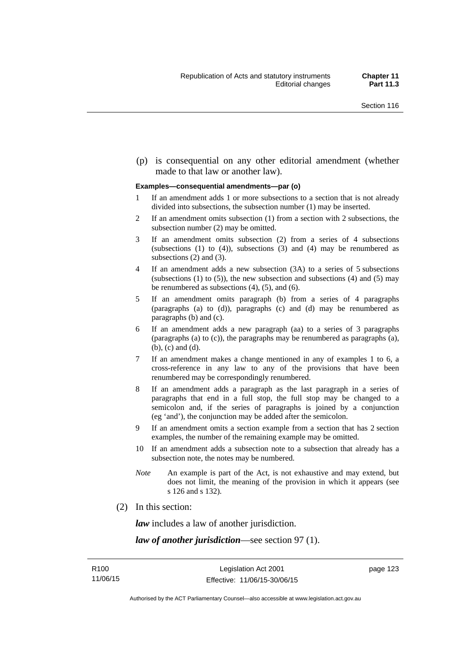(p) is consequential on any other editorial amendment (whether made to that law or another law).

#### **Examples—consequential amendments—par (o)**

- 1 If an amendment adds 1 or more subsections to a section that is not already divided into subsections, the subsection number (1) may be inserted.
- 2 If an amendment omits subsection (1) from a section with 2 subsections, the subsection number (2) may be omitted.
- 3 If an amendment omits subsection (2) from a series of 4 subsections (subsections  $(1)$  to  $(4)$ ), subsections  $(3)$  and  $(4)$  may be renumbered as subsections (2) and (3).
- 4 If an amendment adds a new subsection (3A) to a series of 5 subsections (subsections  $(1)$  to  $(5)$ ), the new subsection and subsections  $(4)$  and  $(5)$  may be renumbered as subsections (4), (5), and (6).
- 5 If an amendment omits paragraph (b) from a series of 4 paragraphs (paragraphs (a) to (d)), paragraphs (c) and (d) may be renumbered as paragraphs (b) and (c).
- 6 If an amendment adds a new paragraph (aa) to a series of 3 paragraphs (paragraphs (a) to (c)), the paragraphs may be renumbered as paragraphs (a), (b), (c) and (d).
- 7 If an amendment makes a change mentioned in any of examples 1 to 6, a cross-reference in any law to any of the provisions that have been renumbered may be correspondingly renumbered.
- 8 If an amendment adds a paragraph as the last paragraph in a series of paragraphs that end in a full stop, the full stop may be changed to a semicolon and, if the series of paragraphs is joined by a conjunction (eg 'and'), the conjunction may be added after the semicolon.
- 9 If an amendment omits a section example from a section that has 2 section examples, the number of the remaining example may be omitted.
- 10 If an amendment adds a subsection note to a subsection that already has a subsection note, the notes may be numbered.
- *Note* An example is part of the Act, is not exhaustive and may extend, but does not limit, the meaning of the provision in which it appears (see s 126 and s 132).
- (2) In this section:

*law* includes a law of another jurisdiction.

*law of another jurisdiction*—see section 97 (1).

page 123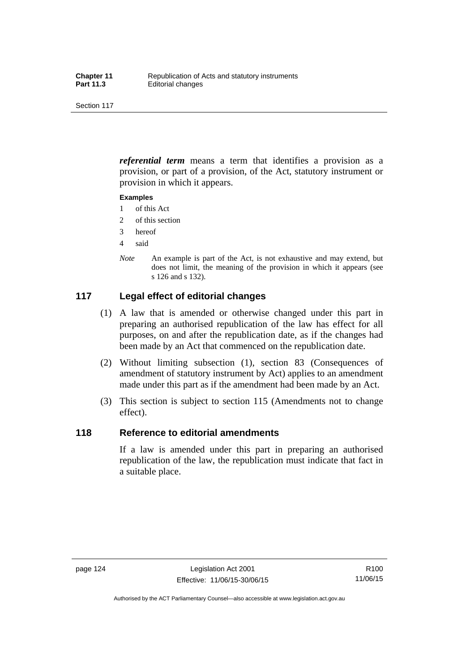*referential term* means a term that identifies a provision as a provision, or part of a provision, of the Act, statutory instrument or provision in which it appears.

#### **Examples**

- 1 of this Act
- 2 of this section
- 3 hereof
- 4 said
- *Note* An example is part of the Act, is not exhaustive and may extend, but does not limit, the meaning of the provision in which it appears (see s 126 and s 132).

## **117 Legal effect of editorial changes**

- (1) A law that is amended or otherwise changed under this part in preparing an authorised republication of the law has effect for all purposes, on and after the republication date, as if the changes had been made by an Act that commenced on the republication date.
- (2) Without limiting subsection (1), section 83 (Consequences of amendment of statutory instrument by Act) applies to an amendment made under this part as if the amendment had been made by an Act.
- (3) This section is subject to section 115 (Amendments not to change effect).

### **118 Reference to editorial amendments**

If a law is amended under this part in preparing an authorised republication of the law, the republication must indicate that fact in a suitable place.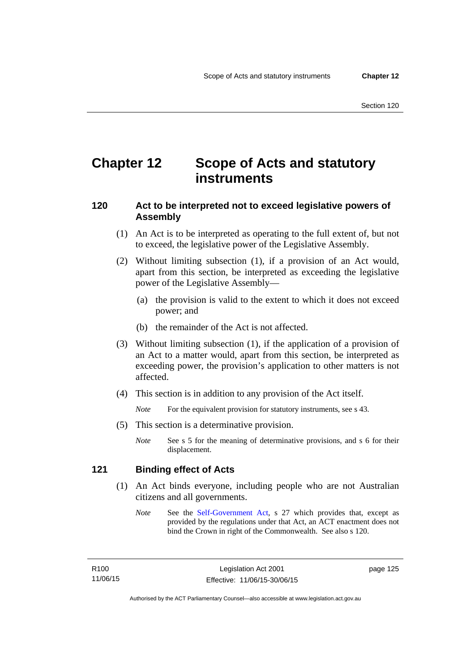## **Chapter 12 Scope of Acts and statutory instruments**

## **120 Act to be interpreted not to exceed legislative powers of Assembly**

- (1) An Act is to be interpreted as operating to the full extent of, but not to exceed, the legislative power of the Legislative Assembly.
- (2) Without limiting subsection (1), if a provision of an Act would, apart from this section, be interpreted as exceeding the legislative power of the Legislative Assembly—
	- (a) the provision is valid to the extent to which it does not exceed power; and
	- (b) the remainder of the Act is not affected.
- (3) Without limiting subsection (1), if the application of a provision of an Act to a matter would, apart from this section, be interpreted as exceeding power, the provision's application to other matters is not affected.
- (4) This section is in addition to any provision of the Act itself.

*Note* For the equivalent provision for statutory instruments, see s 43.

- (5) This section is a determinative provision.
	- *Note* See s 5 for the meaning of determinative provisions, and s 6 for their displacement.

## **121 Binding effect of Acts**

- (1) An Act binds everyone, including people who are not Australian citizens and all governments.
	- *Note* See the [Self-Government Act](http://www.comlaw.gov.au/Series/C2004A03699), s 27 which provides that, except as provided by the regulations under that Act, an ACT enactment does not bind the Crown in right of the Commonwealth. See also s 120.

page 125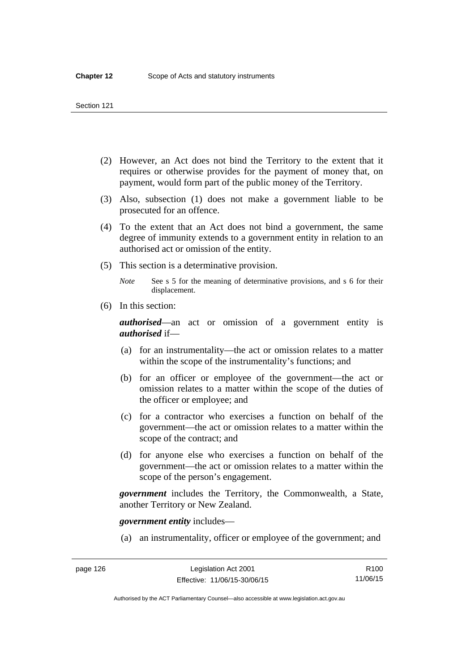- (2) However, an Act does not bind the Territory to the extent that it requires or otherwise provides for the payment of money that, on payment, would form part of the public money of the Territory.
- (3) Also, subsection (1) does not make a government liable to be prosecuted for an offence.
- (4) To the extent that an Act does not bind a government, the same degree of immunity extends to a government entity in relation to an authorised act or omission of the entity.
- (5) This section is a determinative provision.

*Note* See s 5 for the meaning of determinative provisions, and s 6 for their displacement.

(6) In this section:

*authorised*—an act or omission of a government entity is *authorised* if—

- (a) for an instrumentality—the act or omission relates to a matter within the scope of the instrumentality's functions; and
- (b) for an officer or employee of the government—the act or omission relates to a matter within the scope of the duties of the officer or employee; and
- (c) for a contractor who exercises a function on behalf of the government—the act or omission relates to a matter within the scope of the contract; and
- (d) for anyone else who exercises a function on behalf of the government—the act or omission relates to a matter within the scope of the person's engagement.

*government* includes the Territory, the Commonwealth, a State, another Territory or New Zealand.

*government entity* includes—

(a) an instrumentality, officer or employee of the government; and

Authorised by the ACT Parliamentary Counsel—also accessible at www.legislation.act.gov.au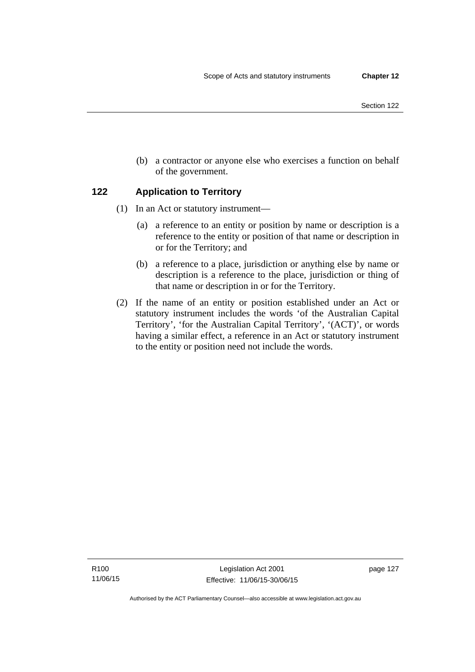- Section 122
- (b) a contractor or anyone else who exercises a function on behalf of the government.

## **122 Application to Territory**

- (1) In an Act or statutory instrument—
	- (a) a reference to an entity or position by name or description is a reference to the entity or position of that name or description in or for the Territory; and
	- (b) a reference to a place, jurisdiction or anything else by name or description is a reference to the place, jurisdiction or thing of that name or description in or for the Territory.
- (2) If the name of an entity or position established under an Act or statutory instrument includes the words 'of the Australian Capital Territory', 'for the Australian Capital Territory', '(ACT)', or words having a similar effect, a reference in an Act or statutory instrument to the entity or position need not include the words.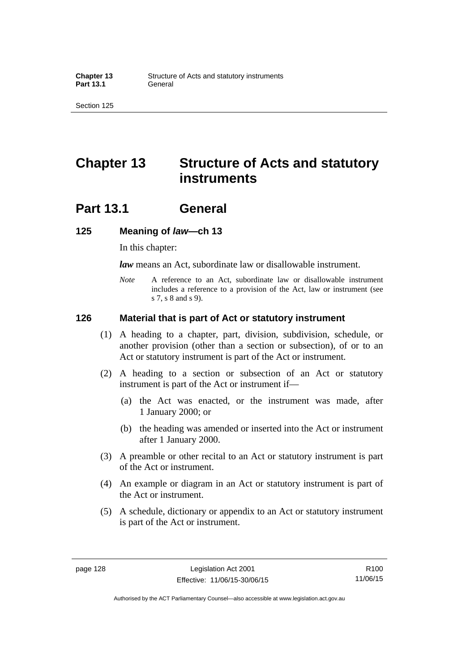## **Chapter 13 Structure of Acts and statutory instruments**

## **Part 13.1 General**

### **125 Meaning of** *law***—ch 13**

In this chapter:

*law* means an Act, subordinate law or disallowable instrument.

*Note* A reference to an Act, subordinate law or disallowable instrument includes a reference to a provision of the Act, law or instrument (see s 7, s 8 and s 9).

### **126 Material that is part of Act or statutory instrument**

- (1) A heading to a chapter, part, division, subdivision, schedule, or another provision (other than a section or subsection), of or to an Act or statutory instrument is part of the Act or instrument.
- (2) A heading to a section or subsection of an Act or statutory instrument is part of the Act or instrument if—
	- (a) the Act was enacted, or the instrument was made, after 1 January 2000; or
	- (b) the heading was amended or inserted into the Act or instrument after 1 January 2000.
- (3) A preamble or other recital to an Act or statutory instrument is part of the Act or instrument.
- (4) An example or diagram in an Act or statutory instrument is part of the Act or instrument.
- (5) A schedule, dictionary or appendix to an Act or statutory instrument is part of the Act or instrument.

R100 11/06/15

Authorised by the ACT Parliamentary Counsel—also accessible at www.legislation.act.gov.au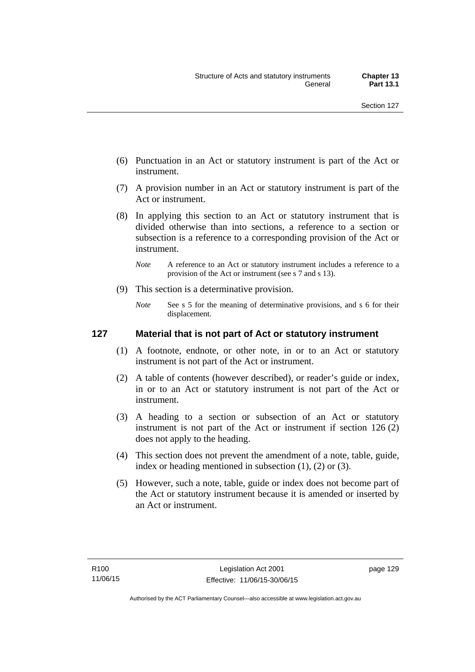- (6) Punctuation in an Act or statutory instrument is part of the Act or instrument.
- (7) A provision number in an Act or statutory instrument is part of the Act or instrument.
- (8) In applying this section to an Act or statutory instrument that is divided otherwise than into sections, a reference to a section or subsection is a reference to a corresponding provision of the Act or instrument.
	- *Note* A reference to an Act or statutory instrument includes a reference to a provision of the Act or instrument (see s 7 and s 13).
- (9) This section is a determinative provision.
	- *Note* See s 5 for the meaning of determinative provisions, and s 6 for their displacement.

### **127 Material that is not part of Act or statutory instrument**

- (1) A footnote, endnote, or other note, in or to an Act or statutory instrument is not part of the Act or instrument.
- (2) A table of contents (however described), or reader's guide or index, in or to an Act or statutory instrument is not part of the Act or instrument.
- (3) A heading to a section or subsection of an Act or statutory instrument is not part of the Act or instrument if section 126 (2) does not apply to the heading.
- (4) This section does not prevent the amendment of a note, table, guide, index or heading mentioned in subsection (1), (2) or (3).
- (5) However, such a note, table, guide or index does not become part of the Act or statutory instrument because it is amended or inserted by an Act or instrument.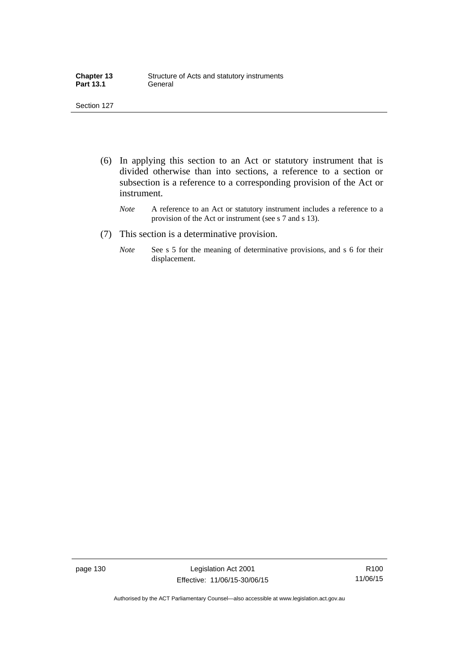| <b>Chapter 13</b> | Structure of Acts and statutory instruments |
|-------------------|---------------------------------------------|
| <b>Part 13.1</b>  | General                                     |

- (6) In applying this section to an Act or statutory instrument that is divided otherwise than into sections, a reference to a section or subsection is a reference to a corresponding provision of the Act or instrument.
	- *Note* A reference to an Act or statutory instrument includes a reference to a provision of the Act or instrument (see s 7 and s 13).
- (7) This section is a determinative provision.
	- *Note* See s 5 for the meaning of determinative provisions, and s 6 for their displacement.

page 130 Legislation Act 2001 Effective: 11/06/15-30/06/15

R100 11/06/15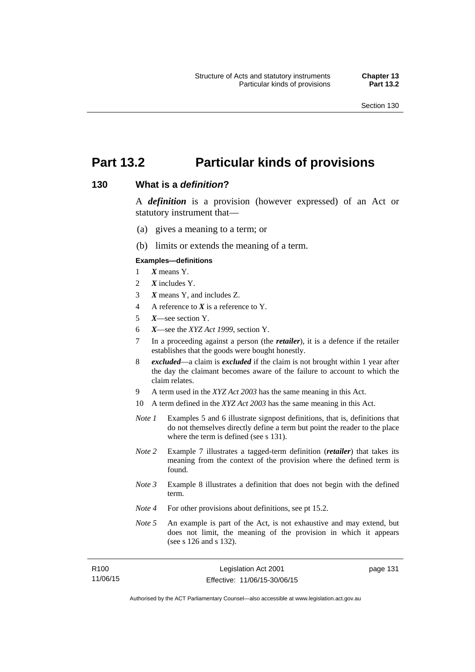page 131

## **Part 13.2 Particular kinds of provisions**

#### **130 What is a** *definition***?**

A *definition* is a provision (however expressed) of an Act or statutory instrument that—

- (a) gives a meaning to a term; or
- (b) limits or extends the meaning of a term.

#### **Examples—definitions**

- 1 *X* means Y.
- 2 *X* includes Y.
- 3 *X* means Y, and includes Z.
- 4 A reference to *X* is a reference to Y.
- 5 *X*—see section Y.
- 6 *X*—see the *XYZ Act 1999*, section Y.
- 7 In a proceeding against a person (the *retailer*), it is a defence if the retailer establishes that the goods were bought honestly.
- 8 *excluded*—a claim is *excluded* if the claim is not brought within 1 year after the day the claimant becomes aware of the failure to account to which the claim relates.
- 9 A term used in the *XYZ Act 2003* has the same meaning in this Act.
- 10 A term defined in the *XYZ Act 2003* has the same meaning in this Act.
- *Note 1* Examples 5 and 6 illustrate signpost definitions, that is, definitions that do not themselves directly define a term but point the reader to the place where the term is defined (see s 131).
- *Note 2* Example 7 illustrates a tagged-term definition (*retailer*) that takes its meaning from the context of the provision where the defined term is found.
- *Note 3* Example 8 illustrates a definition that does not begin with the defined term.
- *Note 4* For other provisions about definitions, see pt 15.2.
- *Note 5* An example is part of the Act, is not exhaustive and may extend, but does not limit, the meaning of the provision in which it appears (see s 126 and s 132).

| R100     | Legislation Act 2001         |
|----------|------------------------------|
| 11/06/15 | Effective: 11/06/15-30/06/15 |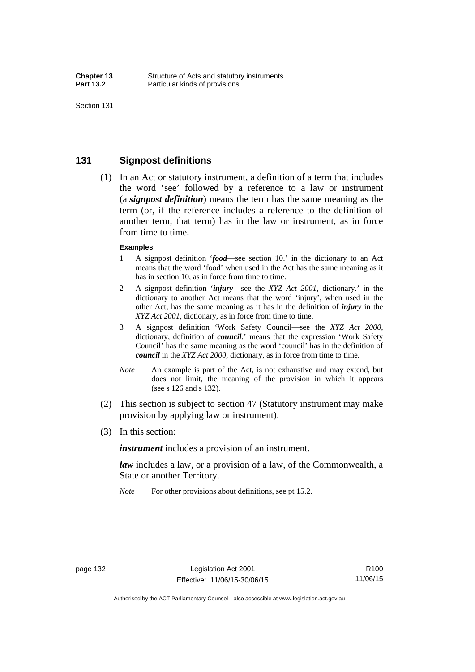### **131 Signpost definitions**

 (1) In an Act or statutory instrument, a definition of a term that includes the word 'see' followed by a reference to a law or instrument (a *signpost definition*) means the term has the same meaning as the term (or, if the reference includes a reference to the definition of another term, that term) has in the law or instrument, as in force from time to time.

#### **Examples**

- 1 A signpost definition '*food*—see section 10.' in the dictionary to an Act means that the word 'food' when used in the Act has the same meaning as it has in section 10, as in force from time to time.
- 2 A signpost definition '*injury*—see the *XYZ Act 2001*, dictionary.' in the dictionary to another Act means that the word 'injury', when used in the other Act, has the same meaning as it has in the definition of *injury* in the *XYZ Act 2001*, dictionary, as in force from time to time.
- 3 A signpost definition 'Work Safety Council—see the *XYZ Act 2000*, dictionary, definition of *council*.' means that the expression 'Work Safety Council' has the same meaning as the word 'council' has in the definition of *council* in the *XYZ Act 2000*, dictionary, as in force from time to time.
- *Note* An example is part of the Act, is not exhaustive and may extend, but does not limit, the meaning of the provision in which it appears (see s 126 and s 132).
- (2) This section is subject to section 47 (Statutory instrument may make provision by applying law or instrument).
- (3) In this section:

*instrument* includes a provision of an instrument.

*law* includes a law, or a provision of a law, of the Commonwealth, a State or another Territory.

*Note* For other provisions about definitions, see pt 15.2.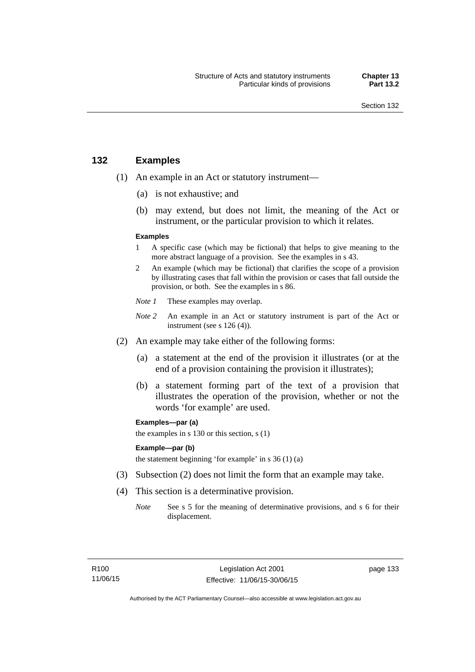### **132 Examples**

- (1) An example in an Act or statutory instrument—
	- (a) is not exhaustive; and
	- (b) may extend, but does not limit, the meaning of the Act or instrument, or the particular provision to which it relates.

#### **Examples**

- 1 A specific case (which may be fictional) that helps to give meaning to the more abstract language of a provision. See the examples in s 43.
- 2 An example (which may be fictional) that clarifies the scope of a provision by illustrating cases that fall within the provision or cases that fall outside the provision, or both. See the examples in s 86.
- *Note 1* These examples may overlap.
- *Note* 2 An example in an Act or statutory instrument is part of the Act or instrument (see s 126 (4)).
- (2) An example may take either of the following forms:
	- (a) a statement at the end of the provision it illustrates (or at the end of a provision containing the provision it illustrates);
	- (b) a statement forming part of the text of a provision that illustrates the operation of the provision, whether or not the words 'for example' are used.

**Examples—par (a)** 

the examples in s 130 or this section, s (1)

#### **Example—par (b)**

the statement beginning 'for example' in s 36 (1) (a)

- (3) Subsection (2) does not limit the form that an example may take.
- (4) This section is a determinative provision.
	- *Note* See s 5 for the meaning of determinative provisions, and s 6 for their displacement.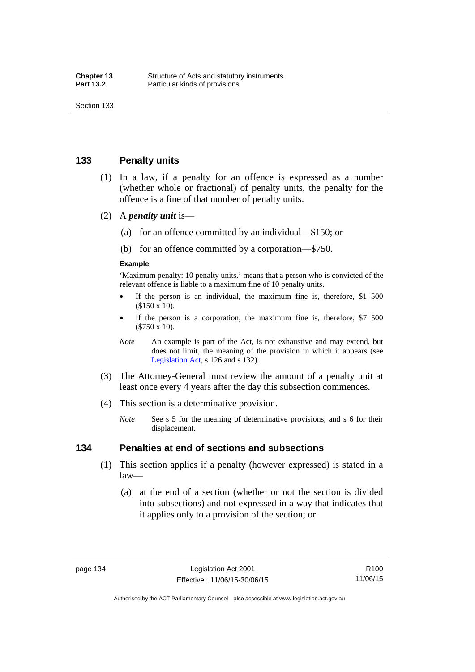### **133 Penalty units**

- (1) In a law, if a penalty for an offence is expressed as a number (whether whole or fractional) of penalty units, the penalty for the offence is a fine of that number of penalty units.
- (2) A *penalty unit* is—
	- (a) for an offence committed by an individual—\$150; or
	- (b) for an offence committed by a corporation—\$750.

#### **Example**

'Maximum penalty: 10 penalty units.' means that a person who is convicted of the relevant offence is liable to a maximum fine of 10 penalty units.

- If the person is an individual, the maximum fine is, therefore, \$1 500 (\$150 x 10).
- If the person is a corporation, the maximum fine is, therefore, \$7 500 (\$750 x 10).
- *Note* An example is part of the Act, is not exhaustive and may extend, but does not limit, the meaning of the provision in which it appears (see [Legislation Act,](http://www.legislation.act.gov.au/a/2001-14) s 126 and s 132).
- (3) The Attorney-General must review the amount of a penalty unit at least once every 4 years after the day this subsection commences.
- (4) This section is a determinative provision.
	- *Note* See s 5 for the meaning of determinative provisions, and s 6 for their displacement.

### **134 Penalties at end of sections and subsections**

- (1) This section applies if a penalty (however expressed) is stated in a law—
	- (a) at the end of a section (whether or not the section is divided into subsections) and not expressed in a way that indicates that it applies only to a provision of the section; or

Authorised by the ACT Parliamentary Counsel—also accessible at www.legislation.act.gov.au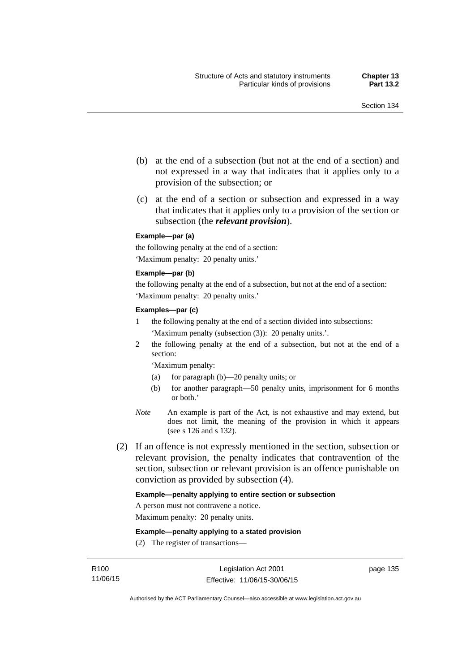- (b) at the end of a subsection (but not at the end of a section) and not expressed in a way that indicates that it applies only to a provision of the subsection; or
- (c) at the end of a section or subsection and expressed in a way that indicates that it applies only to a provision of the section or subsection (the *relevant provision*).

#### **Example—par (a)**

the following penalty at the end of a section: 'Maximum penalty: 20 penalty units.'

#### **Example—par (b)**

the following penalty at the end of a subsection, but not at the end of a section: 'Maximum penalty: 20 penalty units.'

#### **Examples—par (c)**

- 1 the following penalty at the end of a section divided into subsections: 'Maximum penalty (subsection (3)): 20 penalty units.'.
- 2 the following penalty at the end of a subsection, but not at the end of a section:

'Maximum penalty:

- (a) for paragraph (b)—20 penalty units; or
- (b) for another paragraph—50 penalty units, imprisonment for 6 months or both.'
- *Note* An example is part of the Act, is not exhaustive and may extend, but does not limit, the meaning of the provision in which it appears (see s 126 and s 132).
- (2) If an offence is not expressly mentioned in the section, subsection or relevant provision, the penalty indicates that contravention of the section, subsection or relevant provision is an offence punishable on conviction as provided by subsection (4).

#### **Example—penalty applying to entire section or subsection**

A person must not contravene a notice.

Maximum penalty: 20 penalty units.

**Example—penalty applying to a stated provision** 

(2) The register of transactions—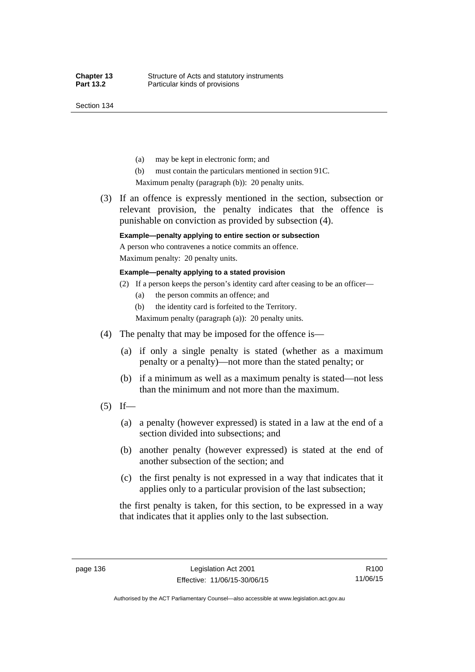Section 134

- (a) may be kept in electronic form; and
- (b) must contain the particulars mentioned in section 91C.

Maximum penalty (paragraph (b)): 20 penalty units.

 (3) If an offence is expressly mentioned in the section, subsection or relevant provision, the penalty indicates that the offence is punishable on conviction as provided by subsection (4).

### **Example—penalty applying to entire section or subsection**

A person who contravenes a notice commits an offence. Maximum penalty: 20 penalty units.

**Example—penalty applying to a stated provision** 

- (2) If a person keeps the person's identity card after ceasing to be an officer—
	- (a) the person commits an offence; and
	- (b) the identity card is forfeited to the Territory.

Maximum penalty (paragraph (a)): 20 penalty units.

- (4) The penalty that may be imposed for the offence is—
	- (a) if only a single penalty is stated (whether as a maximum penalty or a penalty)—not more than the stated penalty; or
	- (b) if a minimum as well as a maximum penalty is stated—not less than the minimum and not more than the maximum.
- $(5)$  If—
	- (a) a penalty (however expressed) is stated in a law at the end of a section divided into subsections; and
	- (b) another penalty (however expressed) is stated at the end of another subsection of the section; and
	- (c) the first penalty is not expressed in a way that indicates that it applies only to a particular provision of the last subsection;

the first penalty is taken, for this section, to be expressed in a way that indicates that it applies only to the last subsection.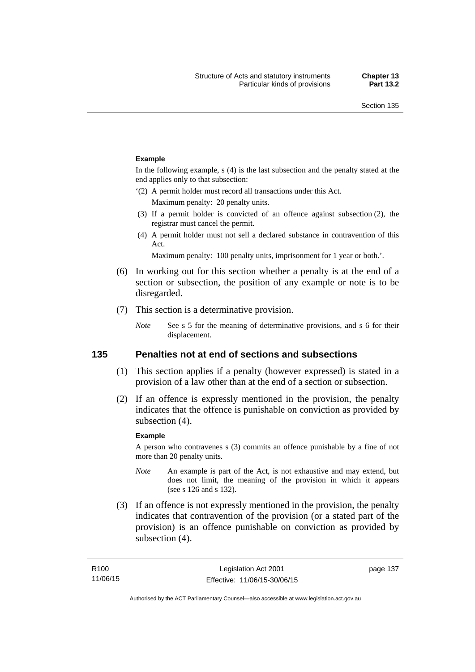#### **Example**

In the following example, s (4) is the last subsection and the penalty stated at the end applies only to that subsection:

'(2) A permit holder must record all transactions under this Act.

Maximum penalty: 20 penalty units.

- (3) If a permit holder is convicted of an offence against subsection (2), the registrar must cancel the permit.
- (4) A permit holder must not sell a declared substance in contravention of this Act.

Maximum penalty: 100 penalty units, imprisonment for 1 year or both.'.

- (6) In working out for this section whether a penalty is at the end of a section or subsection, the position of any example or note is to be disregarded.
- (7) This section is a determinative provision.
	- *Note* See s 5 for the meaning of determinative provisions, and s 6 for their displacement.

### **135 Penalties not at end of sections and subsections**

- (1) This section applies if a penalty (however expressed) is stated in a provision of a law other than at the end of a section or subsection.
- (2) If an offence is expressly mentioned in the provision, the penalty indicates that the offence is punishable on conviction as provided by subsection (4).

#### **Example**

A person who contravenes s (3) commits an offence punishable by a fine of not more than 20 penalty units.

- *Note* An example is part of the Act, is not exhaustive and may extend, but does not limit, the meaning of the provision in which it appears (see s 126 and s 132).
- (3) If an offence is not expressly mentioned in the provision, the penalty indicates that contravention of the provision (or a stated part of the provision) is an offence punishable on conviction as provided by subsection (4).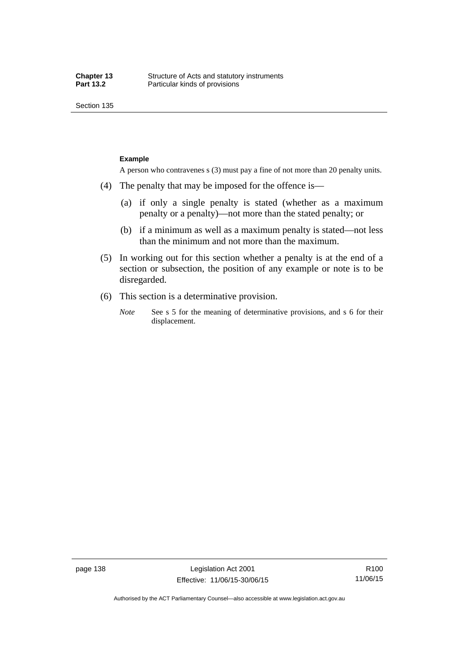Section 135

#### **Example**

A person who contravenes s (3) must pay a fine of not more than 20 penalty units.

- (4) The penalty that may be imposed for the offence is—
	- (a) if only a single penalty is stated (whether as a maximum penalty or a penalty)—not more than the stated penalty; or
	- (b) if a minimum as well as a maximum penalty is stated—not less than the minimum and not more than the maximum.
- (5) In working out for this section whether a penalty is at the end of a section or subsection, the position of any example or note is to be disregarded.
- (6) This section is a determinative provision.
	- *Note* See s 5 for the meaning of determinative provisions, and s 6 for their displacement.

R100 11/06/15

Authorised by the ACT Parliamentary Counsel—also accessible at www.legislation.act.gov.au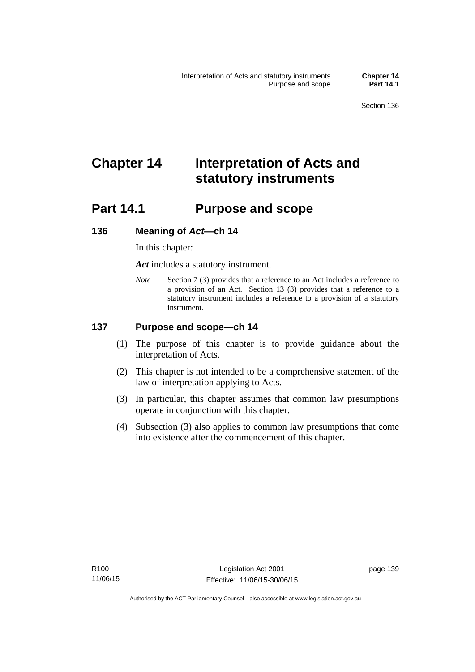# **Chapter 14 Interpretation of Acts and statutory instruments**

## **Part 14.1 Purpose and scope**

### **136 Meaning of** *Act***—ch 14**

In this chapter:

*Act* includes a statutory instrument.

*Note* Section 7 (3) provides that a reference to an Act includes a reference to a provision of an Act. Section 13 (3) provides that a reference to a statutory instrument includes a reference to a provision of a statutory instrument.

### **137 Purpose and scope—ch 14**

- (1) The purpose of this chapter is to provide guidance about the interpretation of Acts.
- (2) This chapter is not intended to be a comprehensive statement of the law of interpretation applying to Acts.
- (3) In particular, this chapter assumes that common law presumptions operate in conjunction with this chapter.
- (4) Subsection (3) also applies to common law presumptions that come into existence after the commencement of this chapter.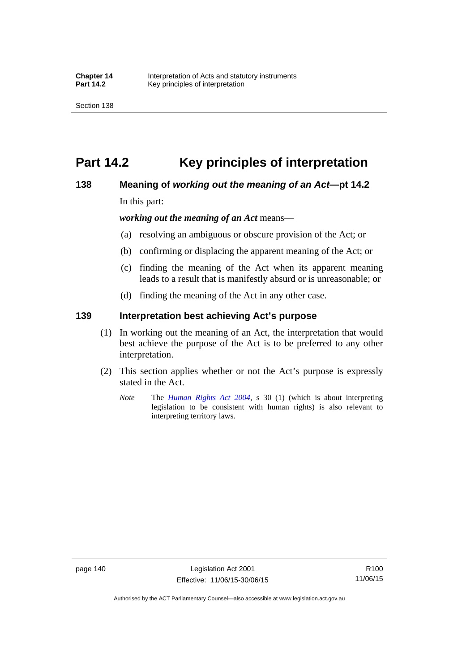## **Part 14.2 Key principles of interpretation**

### **138 Meaning of** *working out the meaning of an Act***—pt 14.2**

In this part:

*working out the meaning of an Act* means—

- (a) resolving an ambiguous or obscure provision of the Act; or
- (b) confirming or displacing the apparent meaning of the Act; or
- (c) finding the meaning of the Act when its apparent meaning leads to a result that is manifestly absurd or is unreasonable; or
- (d) finding the meaning of the Act in any other case.

### **139 Interpretation best achieving Act's purpose**

- (1) In working out the meaning of an Act, the interpretation that would best achieve the purpose of the Act is to be preferred to any other interpretation.
- (2) This section applies whether or not the Act's purpose is expressly stated in the Act.
	- *Note* The *[Human Rights Act 2004](http://www.legislation.act.gov.au/a/2004-5)*, s 30 (1) (which is about interpreting legislation to be consistent with human rights) is also relevant to interpreting territory laws.

R100 11/06/15

Authorised by the ACT Parliamentary Counsel—also accessible at www.legislation.act.gov.au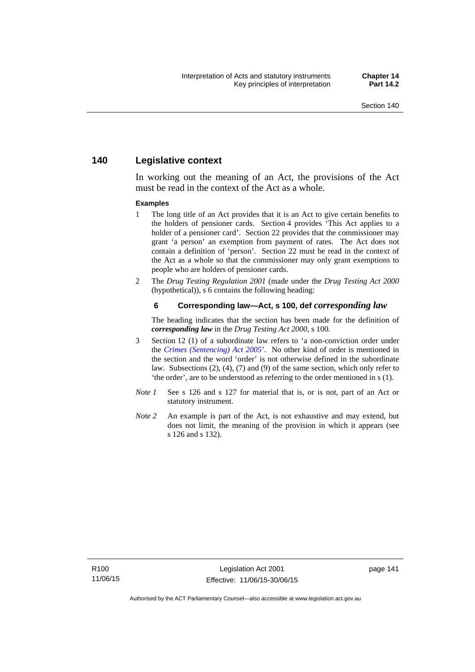### **140 Legislative context**

In working out the meaning of an Act, the provisions of the Act must be read in the context of the Act as a whole.

#### **Examples**

- 1 The long title of an Act provides that it is an Act to give certain benefits to the holders of pensioner cards. Section 4 provides 'This Act applies to a holder of a pensioner card'. Section 22 provides that the commissioner may grant 'a person' an exemption from payment of rates. The Act does not contain a definition of 'person'. Section 22 must be read in the context of the Act as a whole so that the commissioner may only grant exemptions to people who are holders of pensioner cards.
- 2 The *Drug Testing Regulation 2001* (made under the *Drug Testing Act 2000* (hypothetical)), s 6 contains the following heading:

#### **6 Corresponding law—Act, s 100, def** *corresponding law*

The heading indicates that the section has been made for the definition of *corresponding law* in the *Drug Testing Act 2000*, s 100.

- 3 Section 12 (1) of a subordinate law refers to 'a non-conviction order under the *[Crimes \(Sentencing\) Act 2005](http://www.legislation.act.gov.au/a/2005-58)*'. No other kind of order is mentioned in the section and the word 'order' is not otherwise defined in the subordinate law. Subsections (2), (4), (7) and (9) of the same section, which only refer to 'the order', are to be understood as referring to the order mentioned in s (1).
- *Note 1* See s 126 and s 127 for material that is, or is not, part of an Act or statutory instrument.
- *Note 2* An example is part of the Act, is not exhaustive and may extend, but does not limit, the meaning of the provision in which it appears (see s 126 and s 132).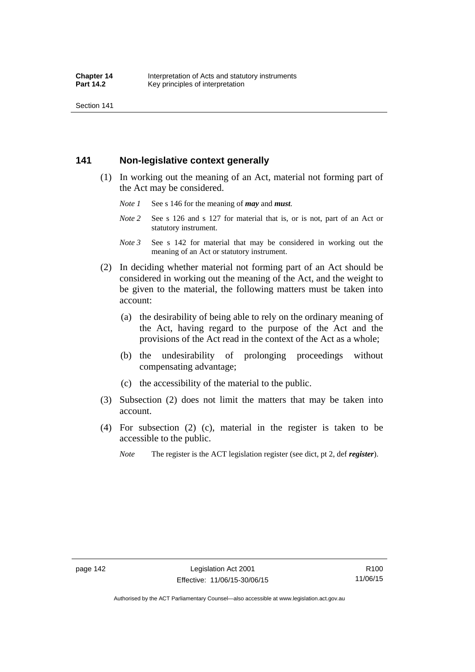Section 141

### **141 Non-legislative context generally**

- (1) In working out the meaning of an Act, material not forming part of the Act may be considered.
	- *Note 1* See s 146 for the meaning of *may* and *must*.
	- *Note* 2 See s 126 and s 127 for material that is, or is not, part of an Act or statutory instrument.
	- *Note 3* See s 142 for material that may be considered in working out the meaning of an Act or statutory instrument.
- (2) In deciding whether material not forming part of an Act should be considered in working out the meaning of the Act, and the weight to be given to the material, the following matters must be taken into account:
	- (a) the desirability of being able to rely on the ordinary meaning of the Act, having regard to the purpose of the Act and the provisions of the Act read in the context of the Act as a whole;
	- (b) the undesirability of prolonging proceedings without compensating advantage;
	- (c) the accessibility of the material to the public.
- (3) Subsection (2) does not limit the matters that may be taken into account.
- (4) For subsection (2) (c), material in the register is taken to be accessible to the public.
	- *Note* The register is the ACT legislation register (see dict, pt 2, def *register*).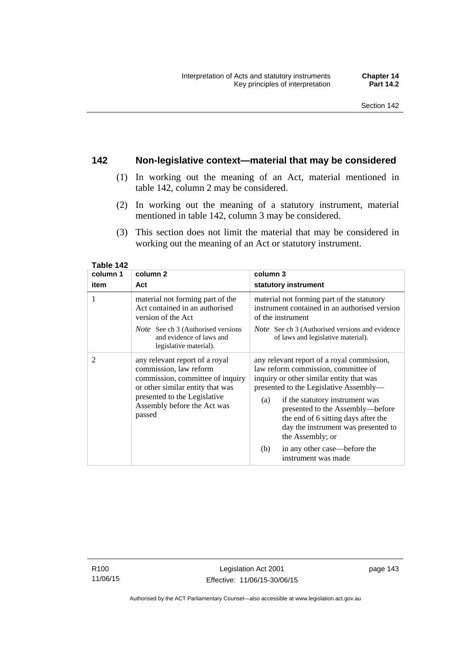### **142 Non-legislative context—material that may be considered**

- (1) In working out the meaning of an Act, material mentioned in table 142, column 2 may be considered.
- (2) In working out the meaning of a statutory instrument, material mentioned in table 142, column 3 may be considered.
- (3) This section does not limit the material that may be considered in working out the meaning of an Act or statutory instrument.

| column 1 | column 2                                                                                                                                                                                                  | column 3                                                                                                                                                                                                                                                                                                                                                |  |
|----------|-----------------------------------------------------------------------------------------------------------------------------------------------------------------------------------------------------------|---------------------------------------------------------------------------------------------------------------------------------------------------------------------------------------------------------------------------------------------------------------------------------------------------------------------------------------------------------|--|
| item     | Act                                                                                                                                                                                                       | statutory instrument                                                                                                                                                                                                                                                                                                                                    |  |
| 1        | material not forming part of the<br>Act contained in an authorised<br>version of the Act                                                                                                                  | material not forming part of the statutory<br>instrument contained in an authorised version<br>of the instrument                                                                                                                                                                                                                                        |  |
|          | <i>Note</i> See ch 3 (Authorised versions<br>and evidence of laws and<br>legislative material).                                                                                                           | <i>Note</i> See ch 3 (Authorised versions and evidence<br>of laws and legislative material).                                                                                                                                                                                                                                                            |  |
| 2        | any relevant report of a royal<br>commission, law reform<br>commission, committee of inquiry<br>or other similar entity that was<br>presented to the Legislative<br>Assembly before the Act was<br>passed | any relevant report of a royal commission,<br>law reform commission, committee of<br>inquiry or other similar entity that was<br>presented to the Legislative Assembly—<br>if the statutory instrument was<br>(a)<br>presented to the Assembly-before<br>the end of 6 sitting days after the<br>day the instrument was presented to<br>the Assembly; or |  |
|          |                                                                                                                                                                                                           | in any other case—before the<br>(b)<br>instrument was made                                                                                                                                                                                                                                                                                              |  |

**Table 142** 

R100 11/06/15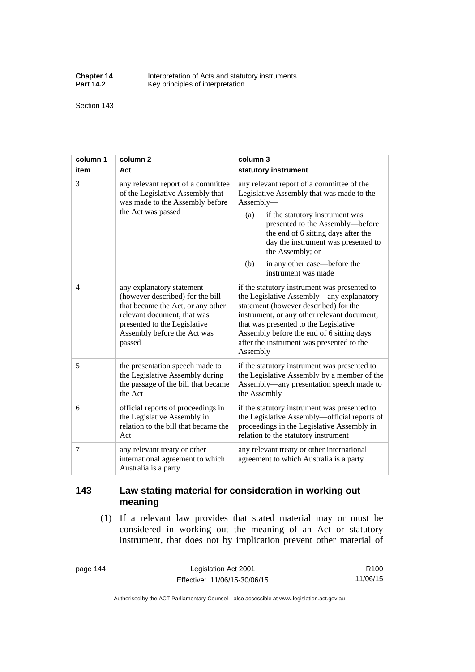**Chapter 14** Interpretation of Acts and statutory instruments<br>**Part 14.2** Key principles of interpretation Key principles of interpretation

Section 143

| column 1       | column <sub>2</sub>                                                                                                                                                                                        | column 3                                                                                                                                                                                                                                                                                                                                          |  |
|----------------|------------------------------------------------------------------------------------------------------------------------------------------------------------------------------------------------------------|---------------------------------------------------------------------------------------------------------------------------------------------------------------------------------------------------------------------------------------------------------------------------------------------------------------------------------------------------|--|
| item           | Act                                                                                                                                                                                                        | statutory instrument                                                                                                                                                                                                                                                                                                                              |  |
| 3              | any relevant report of a committee<br>of the Legislative Assembly that<br>was made to the Assembly before<br>the Act was passed                                                                            | any relevant report of a committee of the<br>Legislative Assembly that was made to the<br>Assembly-<br>(a)<br>if the statutory instrument was<br>presented to the Assembly-before<br>the end of 6 sitting days after the<br>day the instrument was presented to<br>the Assembly; or<br>in any other case—before the<br>(b)<br>instrument was made |  |
| $\overline{4}$ | any explanatory statement<br>(however described) for the bill<br>that became the Act, or any other<br>relevant document, that was<br>presented to the Legislative<br>Assembly before the Act was<br>passed | if the statutory instrument was presented to<br>the Legislative Assembly—any explanatory<br>statement (however described) for the<br>instrument, or any other relevant document,<br>that was presented to the Legislative<br>Assembly before the end of 6 sitting days<br>after the instrument was presented to the<br>Assembly                   |  |
| 5              | the presentation speech made to<br>the Legislative Assembly during<br>the passage of the bill that became<br>the Act                                                                                       | if the statutory instrument was presented to<br>the Legislative Assembly by a member of the<br>Assembly—any presentation speech made to<br>the Assembly                                                                                                                                                                                           |  |
| 6              | official reports of proceedings in<br>the Legislative Assembly in<br>relation to the bill that became the<br>Act                                                                                           | if the statutory instrument was presented to<br>the Legislative Assembly-official reports of<br>proceedings in the Legislative Assembly in<br>relation to the statutory instrument                                                                                                                                                                |  |
| 7              | any relevant treaty or other<br>international agreement to which<br>Australia is a party                                                                                                                   | any relevant treaty or other international<br>agreement to which Australia is a party                                                                                                                                                                                                                                                             |  |

## **143 Law stating material for consideration in working out meaning**

 (1) If a relevant law provides that stated material may or must be considered in working out the meaning of an Act or statutory instrument, that does not by implication prevent other material of

page 144 Legislation Act 2001 Effective: 11/06/15-30/06/15

R100 11/06/15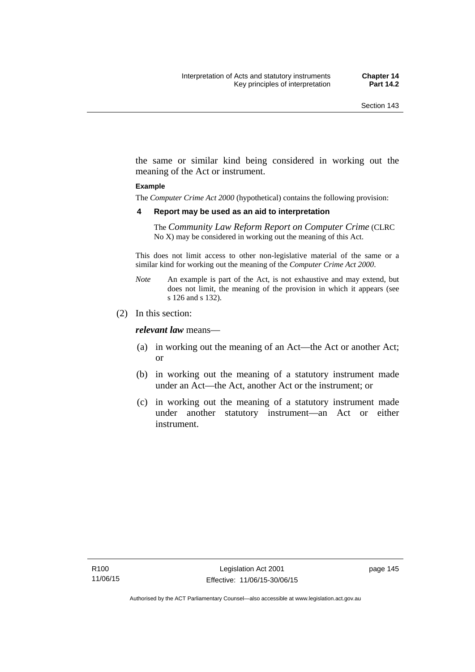the same or similar kind being considered in working out the meaning of the Act or instrument.

#### **Example**

The *Computer Crime Act 2000* (hypothetical) contains the following provision:

#### **4 Report may be used as an aid to interpretation**

The *Community Law Reform Report on Computer Crime* (CLRC No X) may be considered in working out the meaning of this Act.

This does not limit access to other non-legislative material of the same or a similar kind for working out the meaning of the *Computer Crime Act 2000*.

- *Note* An example is part of the Act, is not exhaustive and may extend, but does not limit, the meaning of the provision in which it appears (see s 126 and s 132).
- (2) In this section:

*relevant law* means—

- (a) in working out the meaning of an Act—the Act or another Act; or
- (b) in working out the meaning of a statutory instrument made under an Act—the Act, another Act or the instrument; or
- (c) in working out the meaning of a statutory instrument made under another statutory instrument—an Act or either instrument.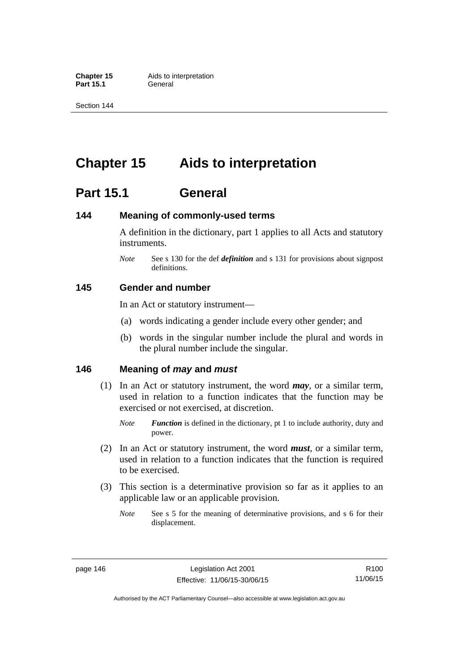**Part 15.1** 

Section 144

# **Chapter 15 Aids to interpretation**

## **Part 15.1 General**

### **144 Meaning of commonly-used terms**

A definition in the dictionary, part 1 applies to all Acts and statutory instruments.

*Note* See s 130 for the def *definition* and s 131 for provisions about signpost definitions.

### **145 Gender and number**

In an Act or statutory instrument—

- (a) words indicating a gender include every other gender; and
- (b) words in the singular number include the plural and words in the plural number include the singular.

### **146 Meaning of** *may* **and** *must*

- (1) In an Act or statutory instrument, the word *may*, or a similar term, used in relation to a function indicates that the function may be exercised or not exercised, at discretion.
	- *Note Function* is defined in the dictionary, pt 1 to include authority, duty and power.
- (2) In an Act or statutory instrument, the word *must*, or a similar term, used in relation to a function indicates that the function is required to be exercised.
- (3) This section is a determinative provision so far as it applies to an applicable law or an applicable provision.
	- *Note* See s 5 for the meaning of determinative provisions, and s 6 for their displacement.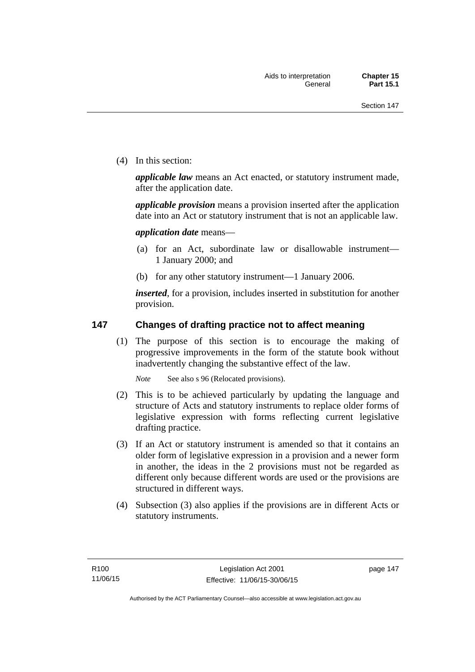(4) In this section:

*applicable law* means an Act enacted, or statutory instrument made, after the application date.

*applicable provision* means a provision inserted after the application date into an Act or statutory instrument that is not an applicable law.

*application date* means—

- (a) for an Act, subordinate law or disallowable instrument— 1 January 2000; and
- (b) for any other statutory instrument—1 January 2006.

*inserted*, for a provision, includes inserted in substitution for another provision.

### **147 Changes of drafting practice not to affect meaning**

(1) The purpose of this section is to encourage the making of progressive improvements in the form of the statute book without inadvertently changing the substantive effect of the law.

*Note* See also s 96 (Relocated provisions).

- (2) This is to be achieved particularly by updating the language and structure of Acts and statutory instruments to replace older forms of legislative expression with forms reflecting current legislative drafting practice.
- (3) If an Act or statutory instrument is amended so that it contains an older form of legislative expression in a provision and a newer form in another, the ideas in the 2 provisions must not be regarded as different only because different words are used or the provisions are structured in different ways.
- (4) Subsection (3) also applies if the provisions are in different Acts or statutory instruments.

page 147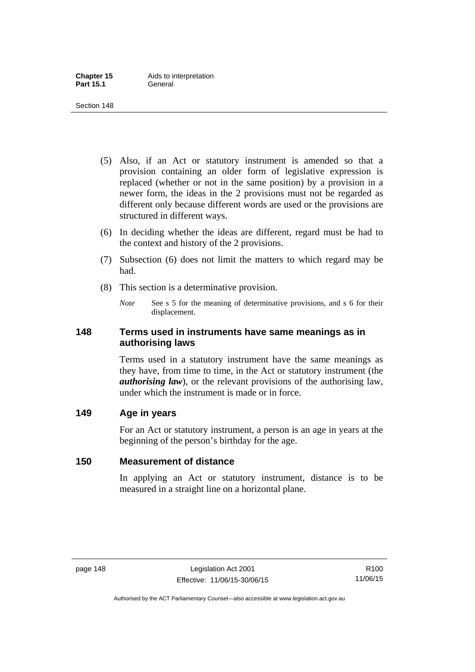- (5) Also, if an Act or statutory instrument is amended so that a provision containing an older form of legislative expression is replaced (whether or not in the same position) by a provision in a newer form, the ideas in the 2 provisions must not be regarded as different only because different words are used or the provisions are structured in different ways.
- (6) In deciding whether the ideas are different, regard must be had to the context and history of the 2 provisions.
- (7) Subsection (6) does not limit the matters to which regard may be had.
- (8) This section is a determinative provision.
	- *Note* See s 5 for the meaning of determinative provisions, and s 6 for their displacement.

### **148 Terms used in instruments have same meanings as in authorising laws**

Terms used in a statutory instrument have the same meanings as they have, from time to time, in the Act or statutory instrument (the *authorising law*), or the relevant provisions of the authorising law, under which the instrument is made or in force.

### **149 Age in years**

For an Act or statutory instrument, a person is an age in years at the beginning of the person's birthday for the age.

### **150 Measurement of distance**

In applying an Act or statutory instrument, distance is to be measured in a straight line on a horizontal plane.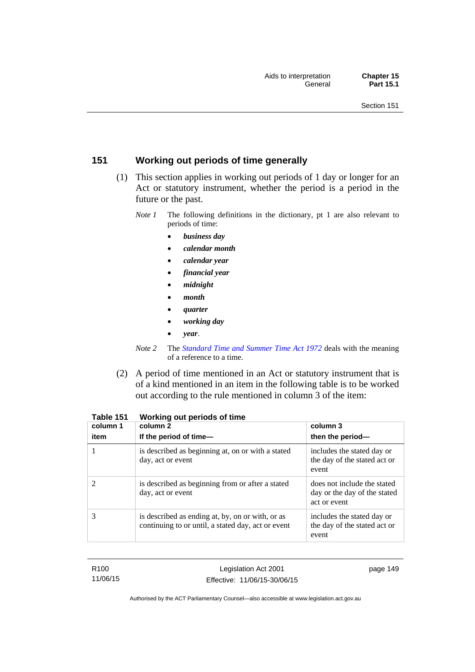### **151 Working out periods of time generally**

- (1) This section applies in working out periods of 1 day or longer for an Act or statutory instrument, whether the period is a period in the future or the past.
	- *Note 1* The following definitions in the dictionary, pt 1 are also relevant to periods of time:
		- *business day*
		- *calendar month*
		- *calendar year*
		- *financial year*
		- *midnight*
		- *month*
		- *quarter*
		- *working day*
		- *year*.
	- *Note 2* The *[Standard Time and Summer Time Act 1972](http://www.legislation.act.gov.au/a/1972-34)* deals with the meaning of a reference to a time.
- (2) A period of time mentioned in an Act or statutory instrument that is of a kind mentioned in an item in the following table is to be worked out according to the rule mentioned in column 3 of the item:

| column 1<br>item | column 2<br>If the period of time-                                                                     | column 3<br>then the period-                                                |
|------------------|--------------------------------------------------------------------------------------------------------|-----------------------------------------------------------------------------|
|                  | is described as beginning at, on or with a stated<br>day, act or event                                 | includes the stated day or<br>the day of the stated act or<br>event         |
|                  | is described as beginning from or after a stated<br>day, act or event                                  | does not include the stated<br>day or the day of the stated<br>act or event |
| 3                | is described as ending at, by, on or with, or as<br>continuing to or until, a stated day, act or event | includes the stated day or<br>the day of the stated act or<br>event         |

| Table 151 |  | Working out periods of time |
|-----------|--|-----------------------------|
|-----------|--|-----------------------------|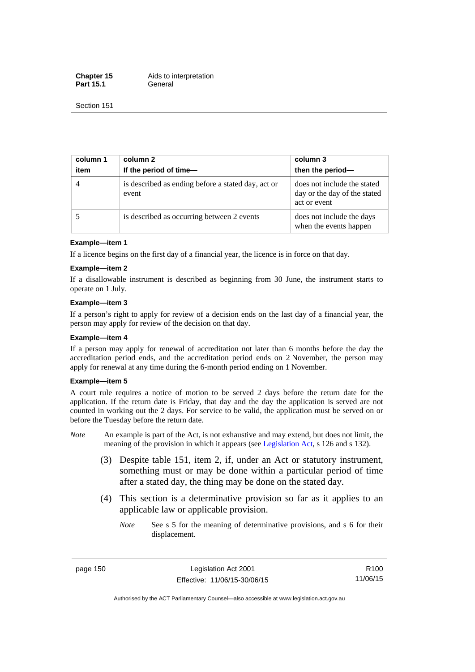**Chapter 15** Aids to interpretation Part 15.1 **General** 

Section 151

| column 1<br>item | column 2<br>If the period of time-                          | column 3<br>then the period-                                                |
|------------------|-------------------------------------------------------------|-----------------------------------------------------------------------------|
|                  | is described as ending before a stated day, act or<br>event | does not include the stated<br>day or the day of the stated<br>act or event |
|                  | is described as occurring between 2 events                  | does not include the days<br>when the events happen                         |

#### **Example—item 1**

If a licence begins on the first day of a financial year, the licence is in force on that day.

#### **Example—item 2**

If a disallowable instrument is described as beginning from 30 June, the instrument starts to operate on 1 July.

#### **Example—item 3**

If a person's right to apply for review of a decision ends on the last day of a financial year, the person may apply for review of the decision on that day.

#### **Example—item 4**

If a person may apply for renewal of accreditation not later than 6 months before the day the accreditation period ends, and the accreditation period ends on 2 November, the person may apply for renewal at any time during the 6-month period ending on 1 November.

#### **Example—item 5**

A court rule requires a notice of motion to be served 2 days before the return date for the application. If the return date is Friday, that day and the day the application is served are not counted in working out the 2 days. For service to be valid, the application must be served on or before the Tuesday before the return date.

- *Note* An example is part of the Act, is not exhaustive and may extend, but does not limit, the meaning of the provision in which it appears (see [Legislation Act](http://www.legislation.act.gov.au/a/2001-14), s 126 and s 132).
	- (3) Despite table 151, item 2, if, under an Act or statutory instrument, something must or may be done within a particular period of time after a stated day, the thing may be done on the stated day.
	- (4) This section is a determinative provision so far as it applies to an applicable law or applicable provision.
		- *Note* See s 5 for the meaning of determinative provisions, and s 6 for their displacement.

page 150 Legislation Act 2001 Effective: 11/06/15-30/06/15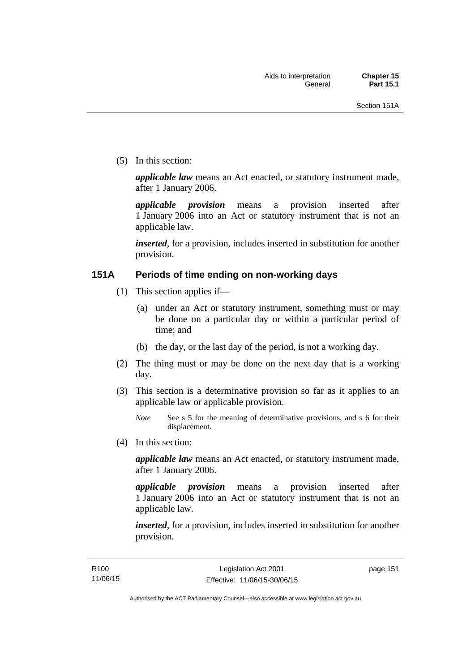(5) In this section:

*applicable law* means an Act enacted, or statutory instrument made, after 1 January 2006.

*applicable provision* means a provision inserted after 1 January 2006 into an Act or statutory instrument that is not an applicable law.

*inserted*, for a provision, includes inserted in substitution for another provision.

### **151A Periods of time ending on non-working days**

- (1) This section applies if—
	- (a) under an Act or statutory instrument, something must or may be done on a particular day or within a particular period of time; and
	- (b) the day, or the last day of the period, is not a working day.
- (2) The thing must or may be done on the next day that is a working day.
- (3) This section is a determinative provision so far as it applies to an applicable law or applicable provision.

(4) In this section:

*applicable law* means an Act enacted, or statutory instrument made, after 1 January 2006.

*applicable provision* means a provision inserted after 1 January 2006 into an Act or statutory instrument that is not an applicable law.

*inserted*, for a provision, includes inserted in substitution for another provision.

*Note* See s 5 for the meaning of determinative provisions, and s 6 for their displacement.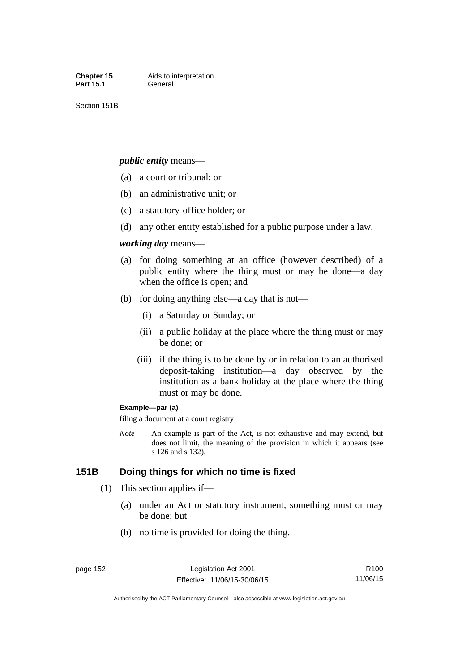Section 151B

#### *public entity* means—

- (a) a court or tribunal; or
- (b) an administrative unit; or
- (c) a statutory-office holder; or
- (d) any other entity established for a public purpose under a law.

#### *working day* means—

- (a) for doing something at an office (however described) of a public entity where the thing must or may be done—a day when the office is open; and
- (b) for doing anything else—a day that is not—
	- (i) a Saturday or Sunday; or
	- (ii) a public holiday at the place where the thing must or may be done; or
	- (iii) if the thing is to be done by or in relation to an authorised deposit-taking institution—a day observed by the institution as a bank holiday at the place where the thing must or may be done.

#### **Example—par (a)**

filing a document at a court registry

*Note* An example is part of the Act, is not exhaustive and may extend, but does not limit, the meaning of the provision in which it appears (see s 126 and s 132).

### **151B Doing things for which no time is fixed**

- (1) This section applies if—
	- (a) under an Act or statutory instrument, something must or may be done; but
	- (b) no time is provided for doing the thing.

R100 11/06/15

Authorised by the ACT Parliamentary Counsel—also accessible at www.legislation.act.gov.au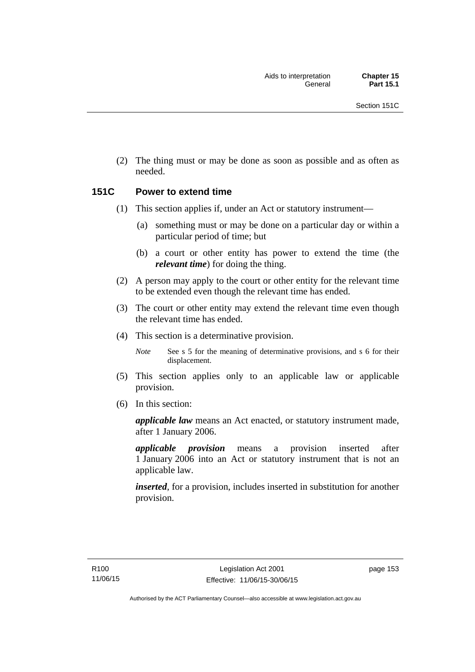(2) The thing must or may be done as soon as possible and as often as needed.

### **151C Power to extend time**

- (1) This section applies if, under an Act or statutory instrument—
	- (a) something must or may be done on a particular day or within a particular period of time; but
	- (b) a court or other entity has power to extend the time (the *relevant time*) for doing the thing.
- (2) A person may apply to the court or other entity for the relevant time to be extended even though the relevant time has ended.
- (3) The court or other entity may extend the relevant time even though the relevant time has ended.
- (4) This section is a determinative provision.

*Note* See s 5 for the meaning of determinative provisions, and s 6 for their displacement.

- (5) This section applies only to an applicable law or applicable provision.
- (6) In this section:

*applicable law* means an Act enacted, or statutory instrument made, after 1 January 2006.

*applicable provision* means a provision inserted after 1 January 2006 into an Act or statutory instrument that is not an applicable law.

*inserted*, for a provision, includes inserted in substitution for another provision.

page 153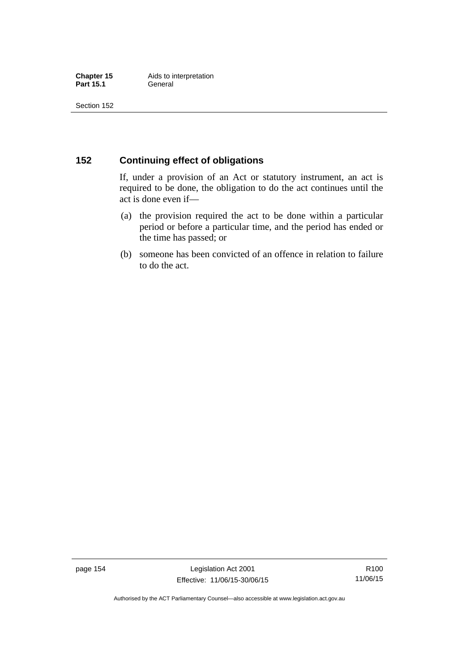### **152 Continuing effect of obligations**

If, under a provision of an Act or statutory instrument, an act is required to be done, the obligation to do the act continues until the act is done even if—

- (a) the provision required the act to be done within a particular period or before a particular time, and the period has ended or the time has passed; or
- (b) someone has been convicted of an offence in relation to failure to do the act.

page 154 Legislation Act 2001 Effective: 11/06/15-30/06/15

R100 11/06/15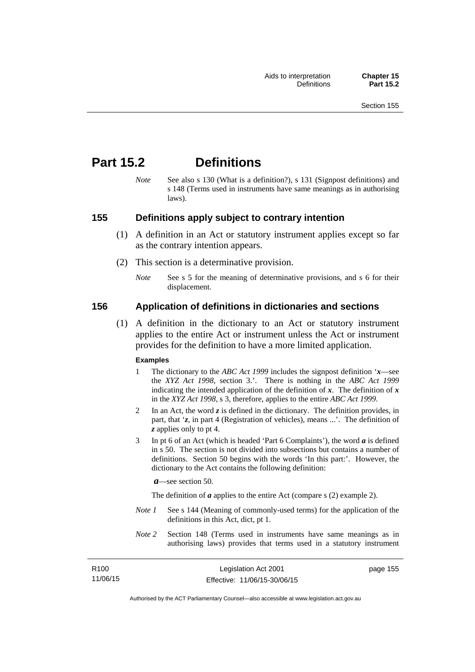## **Part 15.2 Definitions**

*Note* See also s 130 (What is a definition?), s 131 (Signpost definitions) and s 148 (Terms used in instruments have same meanings as in authorising laws).

### **155 Definitions apply subject to contrary intention**

- (1) A definition in an Act or statutory instrument applies except so far as the contrary intention appears.
- (2) This section is a determinative provision.
	- *Note* See s 5 for the meaning of determinative provisions, and s 6 for their displacement.

### **156 Application of definitions in dictionaries and sections**

 (1) A definition in the dictionary to an Act or statutory instrument applies to the entire Act or instrument unless the Act or instrument provides for the definition to have a more limited application.

#### **Examples**

- 1 The dictionary to the *ABC Act 1999* includes the signpost definition '*x*—see the *XYZ Act 1998*, section 3.'. There is nothing in the *ABC Act 1999* indicating the intended application of the definition of  $x$ . The definition of  $x$ in the *XYZ Act 1998*, s 3, therefore, applies to the entire *ABC Act 1999*.
- 2 In an Act, the word *z* is defined in the dictionary. The definition provides, in part, that '*z*, in part 4 (Registration of vehicles), means ...'. The definition of *z* applies only to pt 4.
- 3 In pt 6 of an Act (which is headed 'Part 6 Complaints'), the word *a* is defined in s 50. The section is not divided into subsections but contains a number of definitions. Section 50 begins with the words 'In this part:'. However, the dictionary to the Act contains the following definition:

*a*—see section 50.

The definition of *a* applies to the entire Act (compare s (2) example 2).

- *Note 1* See s 144 (Meaning of commonly-used terms) for the application of the definitions in this Act, dict, pt 1.
- *Note 2* Section 148 (Terms used in instruments have same meanings as in authorising laws) provides that terms used in a statutory instrument

| R100     | Legislation Act 2001         | page 155 |
|----------|------------------------------|----------|
| 11/06/15 | Effective: 11/06/15-30/06/15 |          |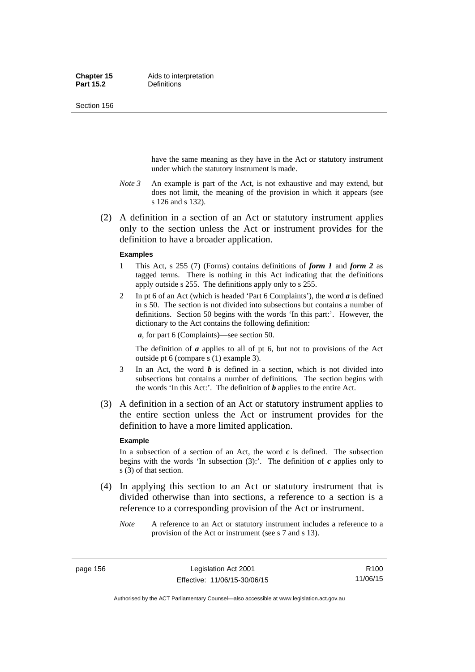Section 156

have the same meaning as they have in the Act or statutory instrument under which the statutory instrument is made.

- *Note 3* An example is part of the Act, is not exhaustive and may extend, but does not limit, the meaning of the provision in which it appears (see s 126 and s 132).
- (2) A definition in a section of an Act or statutory instrument applies only to the section unless the Act or instrument provides for the definition to have a broader application.

#### **Examples**

- 1 This Act, s 255 (7) (Forms) contains definitions of *form 1* and *form 2* as tagged terms. There is nothing in this Act indicating that the definitions apply outside s 255. The definitions apply only to s 255.
- 2 In pt 6 of an Act (which is headed 'Part 6 Complaints'), the word *a* is defined in s 50. The section is not divided into subsections but contains a number of definitions. Section 50 begins with the words 'In this part:'. However, the dictionary to the Act contains the following definition:

*a*, for part 6 (Complaints)—see section 50.

The definition of *a* applies to all of pt 6, but not to provisions of the Act outside pt 6 (compare s (1) example 3).

- 3 In an Act, the word *b* is defined in a section, which is not divided into subsections but contains a number of definitions. The section begins with the words 'In this Act:'. The definition of *b* applies to the entire Act.
- (3) A definition in a section of an Act or statutory instrument applies to the entire section unless the Act or instrument provides for the definition to have a more limited application.

#### **Example**

In a subsection of a section of an Act, the word  $c$  is defined. The subsection begins with the words 'In subsection  $(3)$ :'. The definition of  $c$  applies only to s (3) of that section.

- (4) In applying this section to an Act or statutory instrument that is divided otherwise than into sections, a reference to a section is a reference to a corresponding provision of the Act or instrument.
	- *Note* A reference to an Act or statutory instrument includes a reference to a provision of the Act or instrument (see s 7 and s 13).

page 156 Legislation Act 2001 Effective: 11/06/15-30/06/15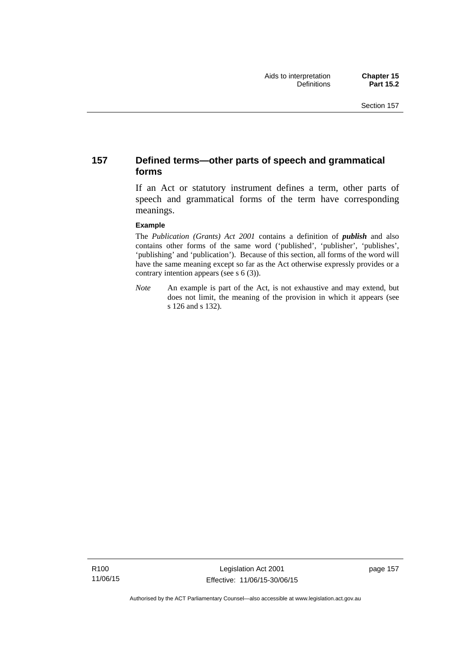### **157 Defined terms—other parts of speech and grammatical forms**

If an Act or statutory instrument defines a term, other parts of speech and grammatical forms of the term have corresponding meanings.

#### **Example**

The *Publication (Grants) Act 2001* contains a definition of *publish* and also contains other forms of the same word ('published', 'publisher', 'publishes', 'publishing' and 'publication'). Because of this section, all forms of the word will have the same meaning except so far as the Act otherwise expressly provides or a contrary intention appears (see s 6 (3)).

*Note* An example is part of the Act, is not exhaustive and may extend, but does not limit, the meaning of the provision in which it appears (see s 126 and s 132).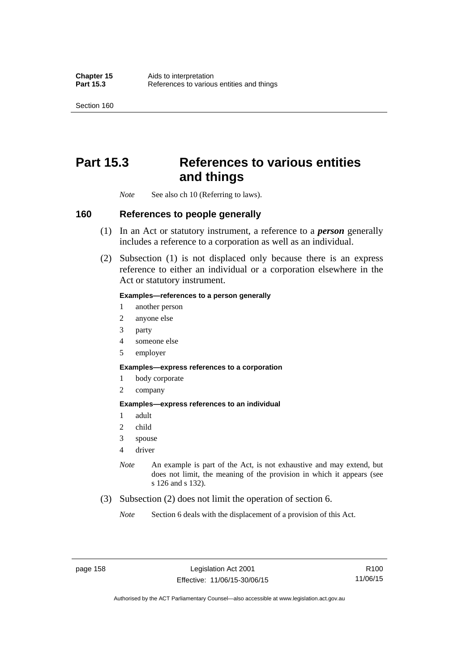Section 160

## **Part 15.3 References to various entities and things**

*Note* See also ch 10 (Referring to laws).

### **160 References to people generally**

- (1) In an Act or statutory instrument, a reference to a *person* generally includes a reference to a corporation as well as an individual.
- (2) Subsection (1) is not displaced only because there is an express reference to either an individual or a corporation elsewhere in the Act or statutory instrument.

#### **Examples—references to a person generally**

- 1 another person
- 2 anyone else
- 3 party
- 4 someone else
- 5 employer

#### **Examples—express references to a corporation**

- 1 body corporate
- 2 company

#### **Examples—express references to an individual**

- 1 adult
- 2 child
- 3 spouse
- 4 driver
- *Note* An example is part of the Act, is not exhaustive and may extend, but does not limit, the meaning of the provision in which it appears (see s 126 and s 132).
- (3) Subsection (2) does not limit the operation of section 6.
	- *Note* Section 6 deals with the displacement of a provision of this Act.

R100 11/06/15

Authorised by the ACT Parliamentary Counsel—also accessible at www.legislation.act.gov.au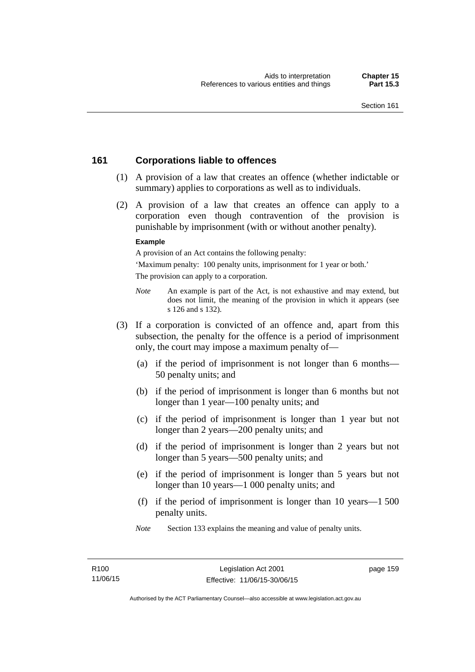### **161 Corporations liable to offences**

- (1) A provision of a law that creates an offence (whether indictable or summary) applies to corporations as well as to individuals.
- (2) A provision of a law that creates an offence can apply to a corporation even though contravention of the provision is punishable by imprisonment (with or without another penalty).

#### **Example**

A provision of an Act contains the following penalty:

'Maximum penalty: 100 penalty units, imprisonment for 1 year or both.' The provision can apply to a corporation.

- *Note* An example is part of the Act, is not exhaustive and may extend, but does not limit, the meaning of the provision in which it appears (see s 126 and s 132).
- (3) If a corporation is convicted of an offence and, apart from this subsection, the penalty for the offence is a period of imprisonment only, the court may impose a maximum penalty of—
	- (a) if the period of imprisonment is not longer than 6 months— 50 penalty units; and
	- (b) if the period of imprisonment is longer than 6 months but not longer than 1 year—100 penalty units; and
	- (c) if the period of imprisonment is longer than 1 year but not longer than 2 years—200 penalty units; and
	- (d) if the period of imprisonment is longer than 2 years but not longer than 5 years—500 penalty units; and
	- (e) if the period of imprisonment is longer than 5 years but not longer than 10 years—1 000 penalty units; and
	- (f) if the period of imprisonment is longer than 10 years—1 500 penalty units.
	- *Note* Section 133 explains the meaning and value of penalty units.

page 159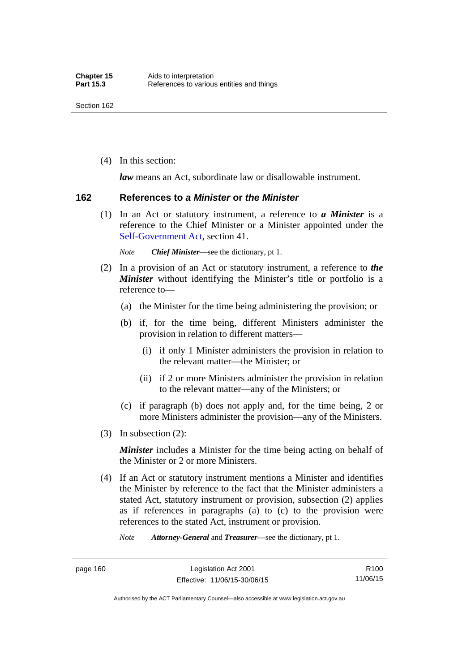(4) In this section:

*law* means an Act, subordinate law or disallowable instrument.

#### **162 References to** *a Minister* **or** *the Minister*

 (1) In an Act or statutory instrument, a reference to *a Minister* is a reference to the Chief Minister or a Minister appointed under the [Self-Government Act,](http://www.comlaw.gov.au/Series/C2004A03699) section 41.

*Note Chief Minister*—see the dictionary, pt 1.

- (2) In a provision of an Act or statutory instrument, a reference to *the Minister* without identifying the Minister's title or portfolio is a reference to—
	- (a) the Minister for the time being administering the provision; or
	- (b) if, for the time being, different Ministers administer the provision in relation to different matters—
		- (i) if only 1 Minister administers the provision in relation to the relevant matter—the Minister; or
		- (ii) if 2 or more Ministers administer the provision in relation to the relevant matter—any of the Ministers; or
	- (c) if paragraph (b) does not apply and, for the time being, 2 or more Ministers administer the provision—any of the Ministers.
- (3) In subsection (2):

*Minister* includes a Minister for the time being acting on behalf of the Minister or 2 or more Ministers.

 (4) If an Act or statutory instrument mentions a Minister and identifies the Minister by reference to the fact that the Minister administers a stated Act, statutory instrument or provision, subsection (2) applies as if references in paragraphs (a) to (c) to the provision were references to the stated Act, instrument or provision.

*Note Attorney-General* and *Treasurer*—see the dictionary, pt 1.

page 160 Legislation Act 2001 Effective: 11/06/15-30/06/15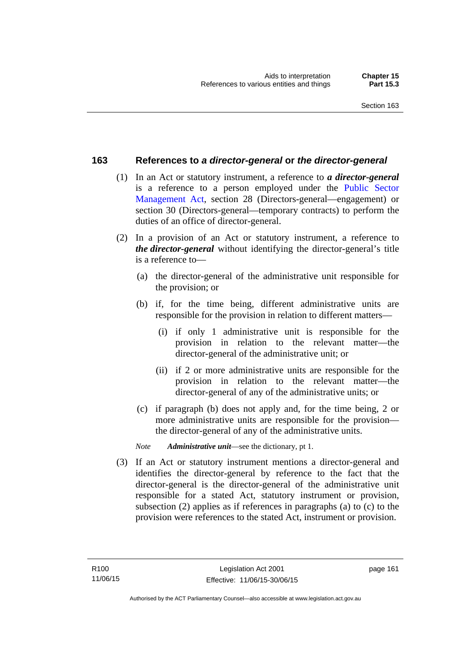### **163 References to** *a director-general* **or** *the director-general*

- (1) In an Act or statutory instrument, a reference to *a director-general* is a reference to a person employed under the [Public Sector](http://www.legislation.act.gov.au/a/1994-37)  [Management Act,](http://www.legislation.act.gov.au/a/1994-37) section 28 (Directors-general—engagement) or section 30 (Directors-general—temporary contracts) to perform the duties of an office of director-general.
- (2) In a provision of an Act or statutory instrument, a reference to *the director-general* without identifying the director-general's title is a reference to—
	- (a) the director-general of the administrative unit responsible for the provision; or
	- (b) if, for the time being, different administrative units are responsible for the provision in relation to different matters—
		- (i) if only 1 administrative unit is responsible for the provision in relation to the relevant matter—the director-general of the administrative unit; or
		- (ii) if 2 or more administrative units are responsible for the provision in relation to the relevant matter—the director-general of any of the administrative units; or
	- (c) if paragraph (b) does not apply and, for the time being, 2 or more administrative units are responsible for the provision the director-general of any of the administrative units.
	- *Note Administrative unit*—see the dictionary, pt 1.
- (3) If an Act or statutory instrument mentions a director-general and identifies the director-general by reference to the fact that the director-general is the director-general of the administrative unit responsible for a stated Act, statutory instrument or provision, subsection (2) applies as if references in paragraphs (a) to (c) to the provision were references to the stated Act, instrument or provision.

page 161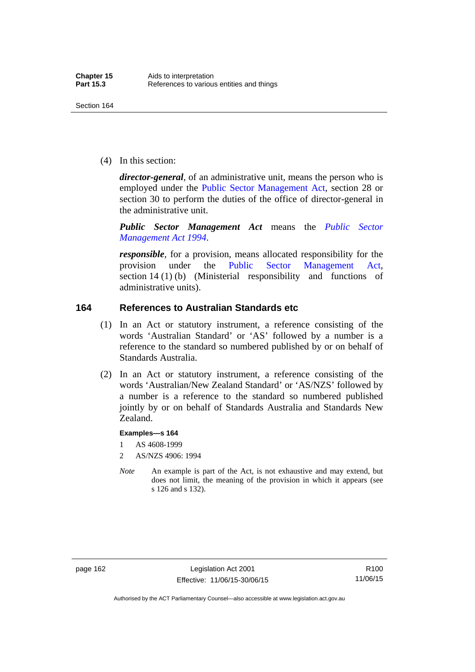(4) In this section:

*director-general*, of an administrative unit, means the person who is employed under the [Public Sector Management Act,](http://www.legislation.act.gov.au/a/1994-37) section 28 or section 30 to perform the duties of the office of director-general in the administrative unit.

*Public Sector Management Act* means the *[Public Sector](http://www.legislation.act.gov.au/a/1994-37)  [Management Act 1994](http://www.legislation.act.gov.au/a/1994-37)*.

*responsible*, for a provision, means allocated responsibility for the provision under the [Public Sector Management Act](http://www.legislation.act.gov.au/a/1994-37), section 14 (1) (b) (Ministerial responsibility and functions of administrative units).

### **164 References to Australian Standards etc**

- (1) In an Act or statutory instrument, a reference consisting of the words 'Australian Standard' or 'AS' followed by a number is a reference to the standard so numbered published by or on behalf of Standards Australia.
- (2) In an Act or statutory instrument, a reference consisting of the words 'Australian/New Zealand Standard' or 'AS/NZS' followed by a number is a reference to the standard so numbered published jointly by or on behalf of Standards Australia and Standards New Zealand.

#### **Examples—s 164**

- 1 AS 4608-1999
- 2 AS/NZS 4906: 1994
- *Note* An example is part of the Act, is not exhaustive and may extend, but does not limit, the meaning of the provision in which it appears (see s 126 and s 132).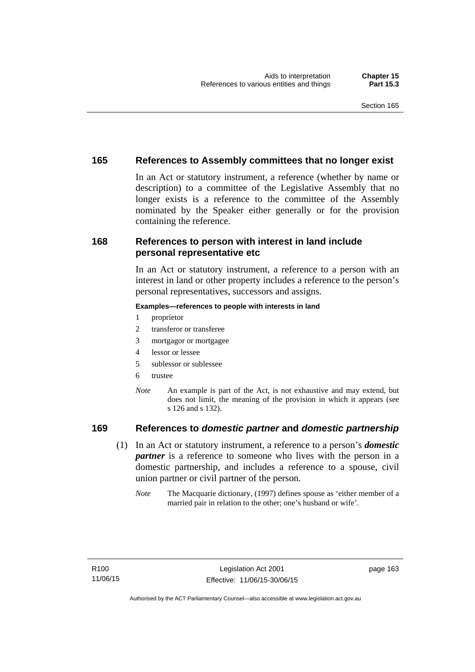### **165 References to Assembly committees that no longer exist**

In an Act or statutory instrument, a reference (whether by name or description) to a committee of the Legislative Assembly that no longer exists is a reference to the committee of the Assembly nominated by the Speaker either generally or for the provision containing the reference.

### **168 References to person with interest in land include personal representative etc**

In an Act or statutory instrument, a reference to a person with an interest in land or other property includes a reference to the person's personal representatives, successors and assigns.

#### **Examples—references to people with interests in land**

- 1 proprietor
- 2 transferor or transferee
- 3 mortgagor or mortgagee
- 4 lessor or lessee
- 5 sublessor or sublessee
- 6 trustee
- *Note* An example is part of the Act, is not exhaustive and may extend, but does not limit, the meaning of the provision in which it appears (see s 126 and s 132).

### **169 References to** *domestic partner* **and** *domestic partnership*

- (1) In an Act or statutory instrument, a reference to a person's *domestic partner* is a reference to someone who lives with the person in a domestic partnership, and includes a reference to a spouse, civil union partner or civil partner of the person.
	- *Note* The Macquarie dictionary, (1997) defines spouse as 'either member of a married pair in relation to the other; one's husband or wife'.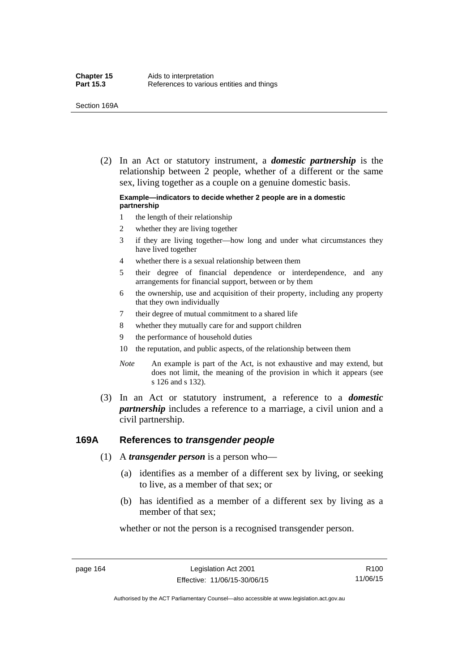(2) In an Act or statutory instrument, a *domestic partnership* is the relationship between 2 people, whether of a different or the same sex, living together as a couple on a genuine domestic basis.

#### **Example—indicators to decide whether 2 people are in a domestic partnership**

- 1 the length of their relationship
- 2 whether they are living together
- 3 if they are living together—how long and under what circumstances they have lived together
- 4 whether there is a sexual relationship between them
- 5 their degree of financial dependence or interdependence, and any arrangements for financial support, between or by them
- 6 the ownership, use and acquisition of their property, including any property that they own individually
- 7 their degree of mutual commitment to a shared life
- 8 whether they mutually care for and support children
- 9 the performance of household duties
- 10 the reputation, and public aspects, of the relationship between them
- *Note* An example is part of the Act, is not exhaustive and may extend, but does not limit, the meaning of the provision in which it appears (see s 126 and s 132).
- (3) In an Act or statutory instrument, a reference to a *domestic partnership* includes a reference to a marriage, a civil union and a civil partnership.

### **169A References to** *transgender people*

- (1) A *transgender person* is a person who—
	- (a) identifies as a member of a different sex by living, or seeking to live, as a member of that sex; or
	- (b) has identified as a member of a different sex by living as a member of that sex;

whether or not the person is a recognised transgender person.

page 164 Legislation Act 2001 Effective: 11/06/15-30/06/15

R100 11/06/15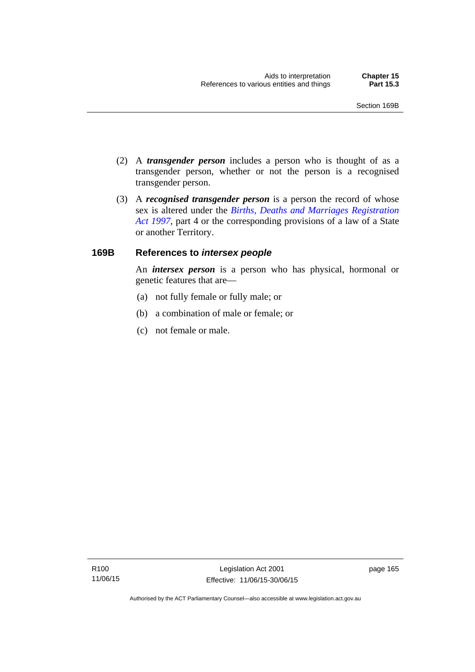- (2) A *transgender person* includes a person who is thought of as a transgender person, whether or not the person is a recognised transgender person.
- (3) A *recognised transgender person* is a person the record of whose sex is altered under the *[Births, Deaths and Marriages Registration](http://www.legislation.act.gov.au/a/1997-112)  [Act 1997](http://www.legislation.act.gov.au/a/1997-112)*, part 4 or the corresponding provisions of a law of a State or another Territory.

# **169B References to** *intersex people*

An *intersex person* is a person who has physical, hormonal or genetic features that are—

- (a) not fully female or fully male; or
- (b) a combination of male or female; or
- (c) not female or male.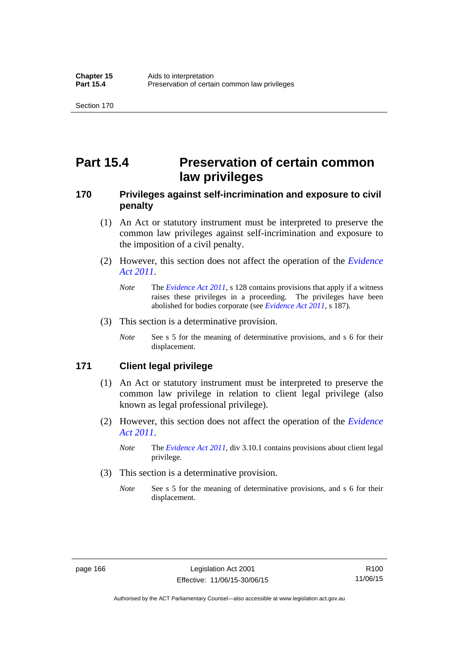# **Part 15.4 Preservation of certain common law privileges**

# **170 Privileges against self-incrimination and exposure to civil penalty**

- (1) An Act or statutory instrument must be interpreted to preserve the common law privileges against self-incrimination and exposure to the imposition of a civil penalty.
- (2) However, this section does not affect the operation of the *[Evidence](http://www.legislation.act.gov.au/a/2011-12)  [Act 2011](http://www.legislation.act.gov.au/a/2011-12)*.
	- *Note* The *[Evidence Act 2011](http://www.legislation.act.gov.au/a/2011-12)*, s 128 contains provisions that apply if a witness raises these privileges in a proceeding. The privileges have been abolished for bodies corporate (see *[Evidence Act 2011](http://www.legislation.act.gov.au/a/2011-12)*, s 187).
- (3) This section is a determinative provision.
	- *Note* See s 5 for the meaning of determinative provisions, and s 6 for their displacement.

# **171 Client legal privilege**

- (1) An Act or statutory instrument must be interpreted to preserve the common law privilege in relation to client legal privilege (also known as legal professional privilege).
- (2) However, this section does not affect the operation of the *[Evidence](http://www.legislation.act.gov.au/a/2011-12)  [Act 2011](http://www.legislation.act.gov.au/a/2011-12)*.
	- *Note* The *[Evidence Act 2011](http://www.legislation.act.gov.au/a/2011-12)*, div 3.10.1 contains provisions about client legal privilege.
- (3) This section is a determinative provision.
	- *Note* See s 5 for the meaning of determinative provisions, and s 6 for their displacement.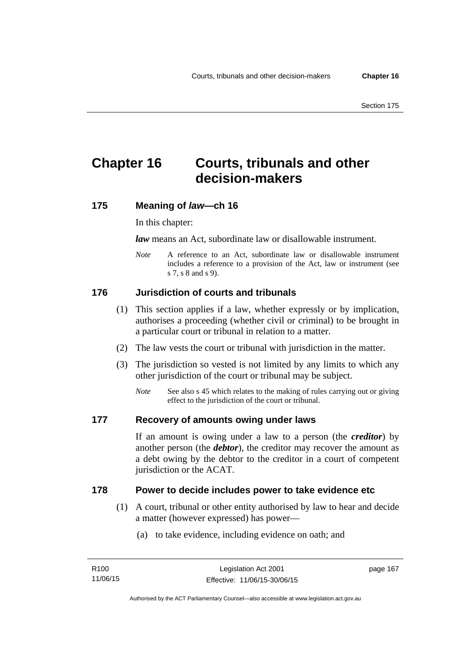# **Chapter 16 Courts, tribunals and other decision-makers**

# **175 Meaning of** *law***—ch 16**

In this chapter:

*law* means an Act, subordinate law or disallowable instrument.

*Note* A reference to an Act, subordinate law or disallowable instrument includes a reference to a provision of the Act, law or instrument (see s 7, s 8 and s 9).

# **176 Jurisdiction of courts and tribunals**

- (1) This section applies if a law, whether expressly or by implication, authorises a proceeding (whether civil or criminal) to be brought in a particular court or tribunal in relation to a matter.
- (2) The law vests the court or tribunal with jurisdiction in the matter.
- (3) The jurisdiction so vested is not limited by any limits to which any other jurisdiction of the court or tribunal may be subject.
	- *Note* See also s 45 which relates to the making of rules carrying out or giving effect to the jurisdiction of the court or tribunal.

#### **177 Recovery of amounts owing under laws**

If an amount is owing under a law to a person (the *creditor*) by another person (the *debtor*), the creditor may recover the amount as a debt owing by the debtor to the creditor in a court of competent jurisdiction or the ACAT.

### **178 Power to decide includes power to take evidence etc**

- (1) A court, tribunal or other entity authorised by law to hear and decide a matter (however expressed) has power—
	- (a) to take evidence, including evidence on oath; and

page 167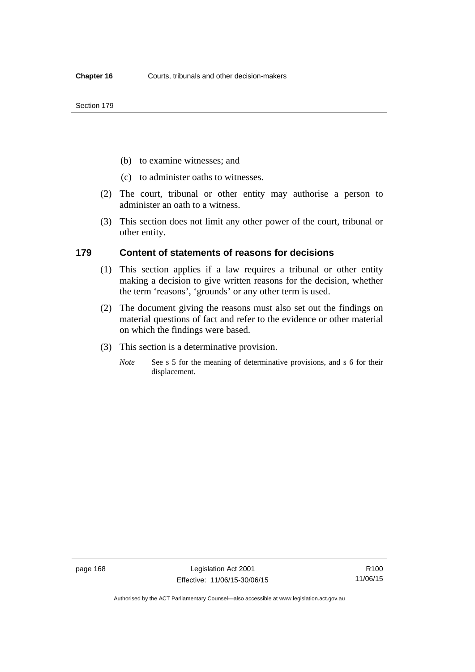- (b) to examine witnesses; and
- (c) to administer oaths to witnesses.
- (2) The court, tribunal or other entity may authorise a person to administer an oath to a witness.
- (3) This section does not limit any other power of the court, tribunal or other entity.

### **179 Content of statements of reasons for decisions**

- (1) This section applies if a law requires a tribunal or other entity making a decision to give written reasons for the decision, whether the term 'reasons', 'grounds' or any other term is used.
- (2) The document giving the reasons must also set out the findings on material questions of fact and refer to the evidence or other material on which the findings were based.
- (3) This section is a determinative provision.
	- *Note* See s 5 for the meaning of determinative provisions, and s 6 for their displacement.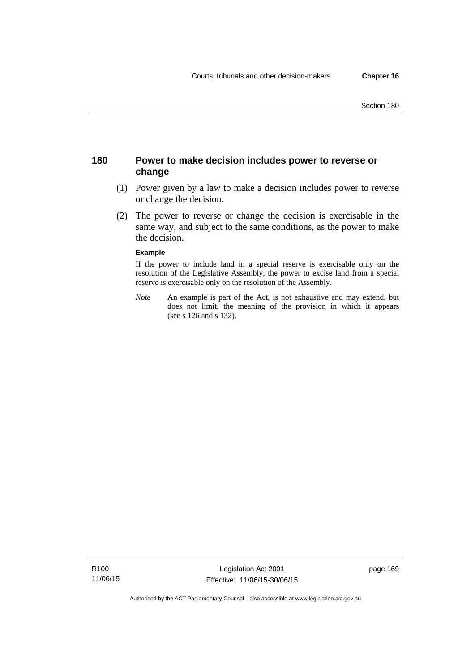# **180 Power to make decision includes power to reverse or change**

- (1) Power given by a law to make a decision includes power to reverse or change the decision.
- (2) The power to reverse or change the decision is exercisable in the same way, and subject to the same conditions, as the power to make the decision.

#### **Example**

If the power to include land in a special reserve is exercisable only on the resolution of the Legislative Assembly, the power to excise land from a special reserve is exercisable only on the resolution of the Assembly.

*Note* An example is part of the Act, is not exhaustive and may extend, but does not limit, the meaning of the provision in which it appears (see s 126 and s 132).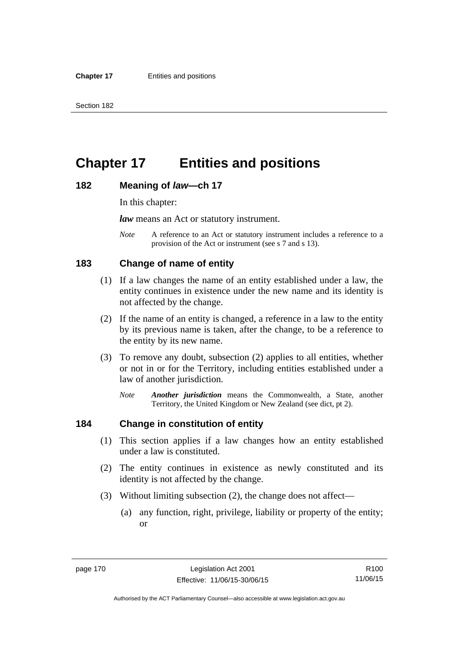# **Chapter 17 Entities and positions**

#### **182 Meaning of** *law***—ch 17**

In this chapter:

*law* means an Act or statutory instrument.

*Note* A reference to an Act or statutory instrument includes a reference to a provision of the Act or instrument (see s 7 and s 13).

# **183 Change of name of entity**

- (1) If a law changes the name of an entity established under a law, the entity continues in existence under the new name and its identity is not affected by the change.
- (2) If the name of an entity is changed, a reference in a law to the entity by its previous name is taken, after the change, to be a reference to the entity by its new name.
- (3) To remove any doubt, subsection (2) applies to all entities, whether or not in or for the Territory, including entities established under a law of another jurisdiction.
	- *Note Another jurisdiction* means the Commonwealth, a State, another Territory, the United Kingdom or New Zealand (see dict, pt 2).

# **184 Change in constitution of entity**

- (1) This section applies if a law changes how an entity established under a law is constituted.
- (2) The entity continues in existence as newly constituted and its identity is not affected by the change.
- (3) Without limiting subsection (2), the change does not affect—
	- (a) any function, right, privilege, liability or property of the entity; or

R100 11/06/15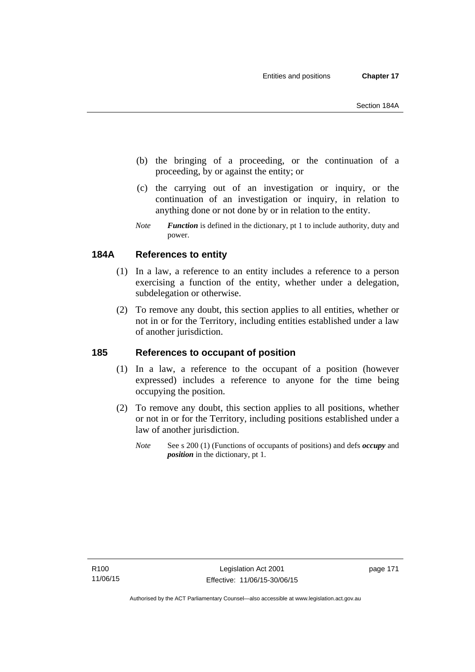- (b) the bringing of a proceeding, or the continuation of a proceeding, by or against the entity; or
- (c) the carrying out of an investigation or inquiry, or the continuation of an investigation or inquiry, in relation to anything done or not done by or in relation to the entity.
- *Note Function* is defined in the dictionary, pt 1 to include authority, duty and power.

# **184A References to entity**

- (1) In a law, a reference to an entity includes a reference to a person exercising a function of the entity, whether under a delegation, subdelegation or otherwise.
- (2) To remove any doubt, this section applies to all entities, whether or not in or for the Territory, including entities established under a law of another jurisdiction.

# **185 References to occupant of position**

- (1) In a law, a reference to the occupant of a position (however expressed) includes a reference to anyone for the time being occupying the position.
- (2) To remove any doubt, this section applies to all positions, whether or not in or for the Territory, including positions established under a law of another jurisdiction.
	- *Note* See s 200 (1) (Functions of occupants of positions) and defs *occupy* and *position* in the dictionary, pt 1.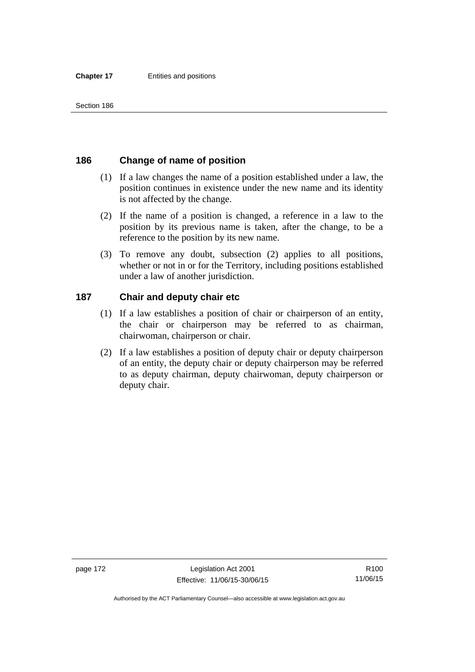# **186 Change of name of position**

- (1) If a law changes the name of a position established under a law, the position continues in existence under the new name and its identity is not affected by the change.
- (2) If the name of a position is changed, a reference in a law to the position by its previous name is taken, after the change, to be a reference to the position by its new name.
- (3) To remove any doubt, subsection (2) applies to all positions, whether or not in or for the Territory, including positions established under a law of another jurisdiction.

# **187 Chair and deputy chair etc**

- (1) If a law establishes a position of chair or chairperson of an entity, the chair or chairperson may be referred to as chairman, chairwoman, chairperson or chair.
- (2) If a law establishes a position of deputy chair or deputy chairperson of an entity, the deputy chair or deputy chairperson may be referred to as deputy chairman, deputy chairwoman, deputy chairperson or deputy chair.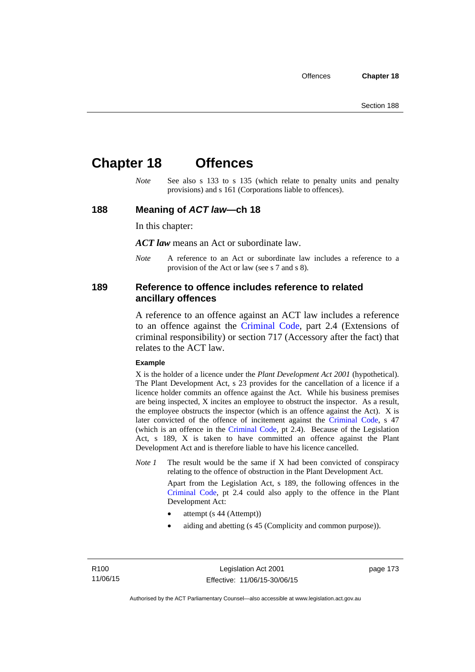# **Chapter 18 Offences**

*Note* See also s 133 to s 135 (which relate to penalty units and penalty provisions) and s 161 (Corporations liable to offences).

## **188 Meaning of** *ACT law***—ch 18**

In this chapter:

*ACT law* means an Act or subordinate law.

*Note* A reference to an Act or subordinate law includes a reference to a provision of the Act or law (see s 7 and s 8).

## **189 Reference to offence includes reference to related ancillary offences**

A reference to an offence against an ACT law includes a reference to an offence against the [Criminal Code,](http://www.legislation.act.gov.au/a/2002-51) part 2.4 (Extensions of criminal responsibility) or section 717 (Accessory after the fact) that relates to the ACT law.

#### **Example**

X is the holder of a licence under the *Plant Development Act 2001* (hypothetical). The Plant Development Act, s 23 provides for the cancellation of a licence if a licence holder commits an offence against the Act. While his business premises are being inspected, X incites an employee to obstruct the inspector. As a result, the employee obstructs the inspector (which is an offence against the Act). X is later convicted of the offence of incitement against the [Criminal Code](http://www.legislation.act.gov.au/a/2002-51), s 47 (which is an offence in the [Criminal Code,](http://www.legislation.act.gov.au/a/2002-51) pt 2.4). Because of the Legislation Act, s 189, X is taken to have committed an offence against the Plant Development Act and is therefore liable to have his licence cancelled.

*Note 1* The result would be the same if X had been convicted of conspiracy relating to the offence of obstruction in the Plant Development Act.

> Apart from the Legislation Act, s 189, the following offences in the [Criminal Code,](http://www.legislation.act.gov.au/a/2002-51) pt 2.4 could also apply to the offence in the Plant Development Act:

- attempt (s 44 (Attempt))
- aiding and abetting (s 45 (Complicity and common purpose)).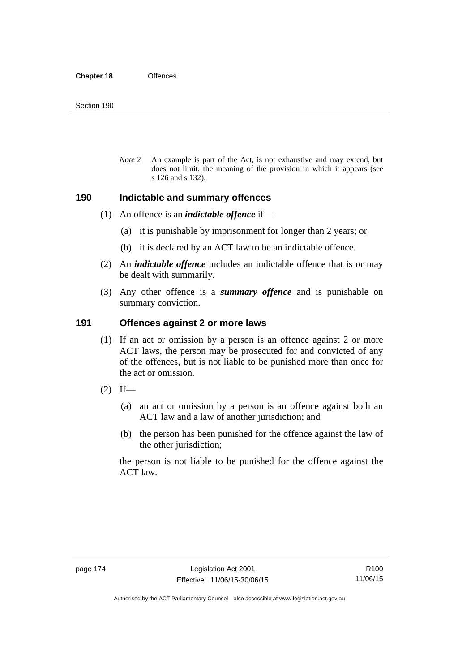*Note 2* An example is part of the Act, is not exhaustive and may extend, but does not limit, the meaning of the provision in which it appears (see s 126 and s 132).

#### **190 Indictable and summary offences**

- (1) An offence is an *indictable offence* if—
	- (a) it is punishable by imprisonment for longer than 2 years; or
	- (b) it is declared by an ACT law to be an indictable offence.
- (2) An *indictable offence* includes an indictable offence that is or may be dealt with summarily.
- (3) Any other offence is a *summary offence* and is punishable on summary conviction.

# **191 Offences against 2 or more laws**

- (1) If an act or omission by a person is an offence against 2 or more ACT laws, the person may be prosecuted for and convicted of any of the offences, but is not liable to be punished more than once for the act or omission.
- $(2)$  If—
	- (a) an act or omission by a person is an offence against both an ACT law and a law of another jurisdiction; and
	- (b) the person has been punished for the offence against the law of the other jurisdiction;

the person is not liable to be punished for the offence against the ACT law.

Authorised by the ACT Parliamentary Counsel—also accessible at www.legislation.act.gov.au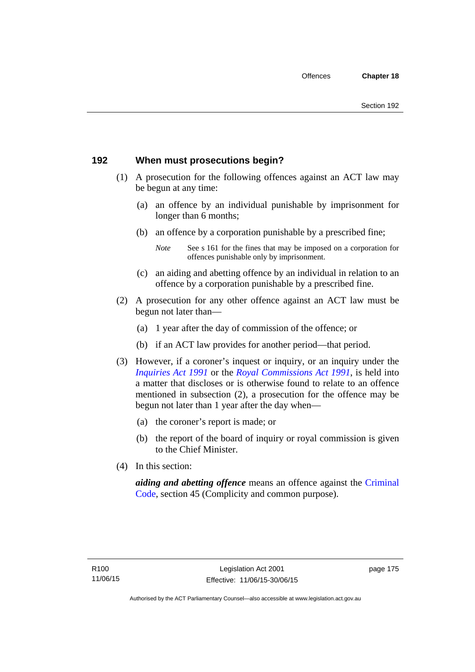# **192 When must prosecutions begin?**

- (1) A prosecution for the following offences against an ACT law may be begun at any time:
	- (a) an offence by an individual punishable by imprisonment for longer than 6 months;
	- (b) an offence by a corporation punishable by a prescribed fine;
		- *Note* See s 161 for the fines that may be imposed on a corporation for offences punishable only by imprisonment.
	- (c) an aiding and abetting offence by an individual in relation to an offence by a corporation punishable by a prescribed fine.
- (2) A prosecution for any other offence against an ACT law must be begun not later than—
	- (a) 1 year after the day of commission of the offence; or
	- (b) if an ACT law provides for another period—that period.
- (3) However, if a coroner's inquest or inquiry, or an inquiry under the *[Inquiries Act 1991](http://www.legislation.act.gov.au/a/1991-2)* or the *[Royal Commissions Act 1991](http://www.legislation.act.gov.au/a/1991-1)*, is held into a matter that discloses or is otherwise found to relate to an offence mentioned in subsection (2), a prosecution for the offence may be begun not later than 1 year after the day when—
	- (a) the coroner's report is made; or
	- (b) the report of the board of inquiry or royal commission is given to the Chief Minister.
- (4) In this section:

*aiding and abetting offence* means an offence against the [Criminal](http://www.legislation.act.gov.au/a/2002-51)  [Code](http://www.legislation.act.gov.au/a/2002-51), section 45 (Complicity and common purpose).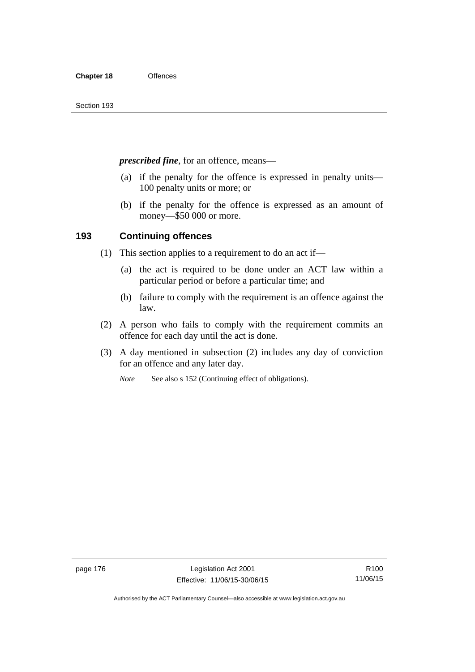*prescribed fine*, for an offence, means—

- (a) if the penalty for the offence is expressed in penalty units— 100 penalty units or more; or
- (b) if the penalty for the offence is expressed as an amount of money—\$50 000 or more.

# **193 Continuing offences**

- (1) This section applies to a requirement to do an act if—
	- (a) the act is required to be done under an ACT law within a particular period or before a particular time; and
	- (b) failure to comply with the requirement is an offence against the law.
- (2) A person who fails to comply with the requirement commits an offence for each day until the act is done.
- (3) A day mentioned in subsection (2) includes any day of conviction for an offence and any later day.

*Note* See also s 152 (Continuing effect of obligations).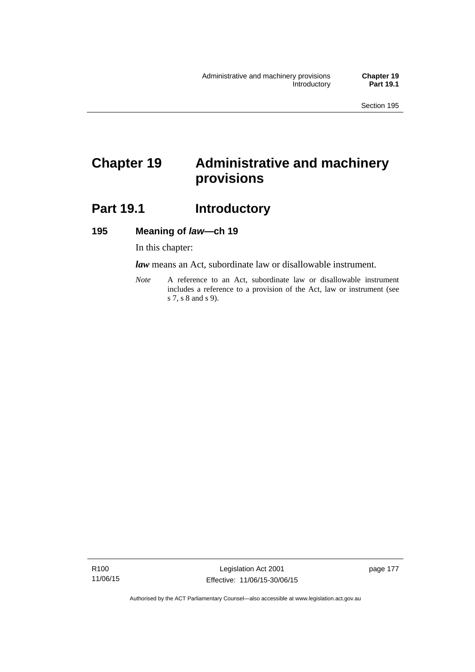# **Chapter 19 Administrative and machinery provisions**

# Part 19.1 **Introductory**

## **195 Meaning of** *law***—ch 19**

In this chapter:

*law* means an Act, subordinate law or disallowable instrument.

*Note* A reference to an Act, subordinate law or disallowable instrument includes a reference to a provision of the Act, law or instrument (see s 7, s 8 and s 9).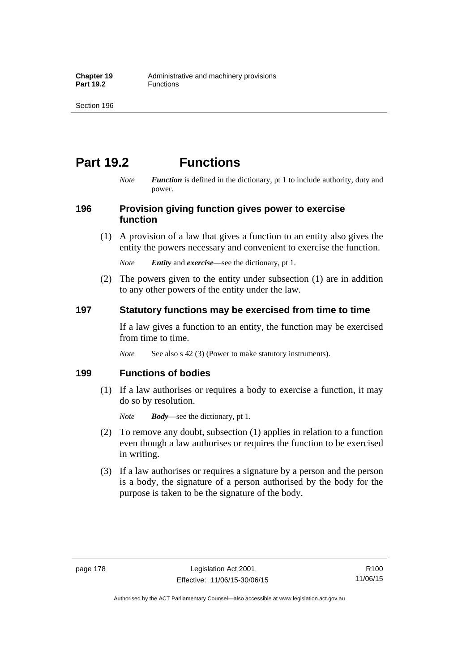# **Part 19.2 Functions**

*Note Function* is defined in the dictionary, pt 1 to include authority, duty and power.

# **196 Provision giving function gives power to exercise function**

 (1) A provision of a law that gives a function to an entity also gives the entity the powers necessary and convenient to exercise the function.

*Note Entity* and *exercise*—see the dictionary, pt 1.

 (2) The powers given to the entity under subsection (1) are in addition to any other powers of the entity under the law.

# **197 Statutory functions may be exercised from time to time**

If a law gives a function to an entity, the function may be exercised from time to time.

*Note* See also s 42 (3) (Power to make statutory instruments).

# **199 Functions of bodies**

 (1) If a law authorises or requires a body to exercise a function, it may do so by resolution.

*Note Body*—see the dictionary, pt 1.

- (2) To remove any doubt, subsection (1) applies in relation to a function even though a law authorises or requires the function to be exercised in writing.
- (3) If a law authorises or requires a signature by a person and the person is a body, the signature of a person authorised by the body for the purpose is taken to be the signature of the body.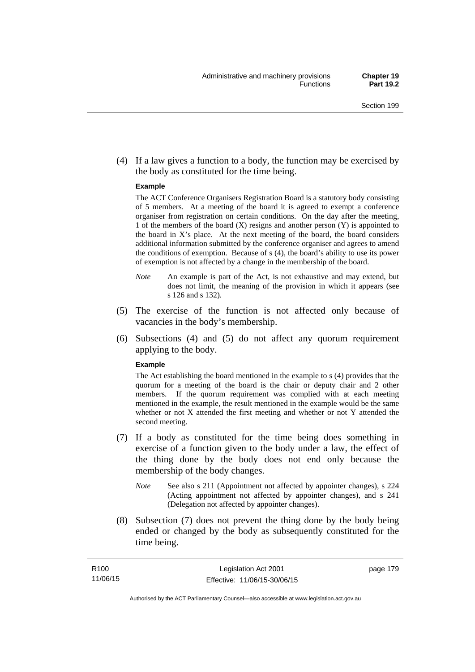(4) If a law gives a function to a body, the function may be exercised by the body as constituted for the time being.

#### **Example**

The ACT Conference Organisers Registration Board is a statutory body consisting of 5 members. At a meeting of the board it is agreed to exempt a conference organiser from registration on certain conditions. On the day after the meeting, 1 of the members of the board (X) resigns and another person (Y) is appointed to the board in  $X$ 's place. At the next meeting of the board, the board considers additional information submitted by the conference organiser and agrees to amend the conditions of exemption. Because of s (4), the board's ability to use its power of exemption is not affected by a change in the membership of the board.

- *Note* An example is part of the Act, is not exhaustive and may extend, but does not limit, the meaning of the provision in which it appears (see s 126 and s 132).
- (5) The exercise of the function is not affected only because of vacancies in the body's membership.
- (6) Subsections (4) and (5) do not affect any quorum requirement applying to the body.

#### **Example**

The Act establishing the board mentioned in the example to s (4) provides that the quorum for a meeting of the board is the chair or deputy chair and 2 other members. If the quorum requirement was complied with at each meeting mentioned in the example, the result mentioned in the example would be the same whether or not X attended the first meeting and whether or not Y attended the second meeting.

- (7) If a body as constituted for the time being does something in exercise of a function given to the body under a law, the effect of the thing done by the body does not end only because the membership of the body changes.
	- *Note* See also s 211 (Appointment not affected by appointer changes), s 224 (Acting appointment not affected by appointer changes), and s 241 (Delegation not affected by appointer changes).
- (8) Subsection (7) does not prevent the thing done by the body being ended or changed by the body as subsequently constituted for the time being.

page 179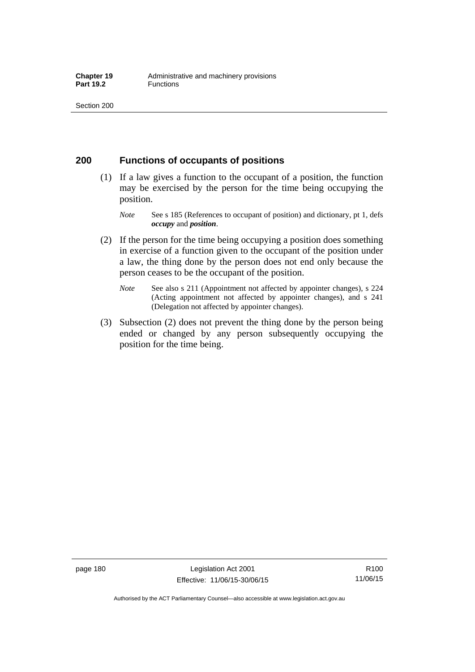# **200 Functions of occupants of positions**

- (1) If a law gives a function to the occupant of a position, the function may be exercised by the person for the time being occupying the position.
	- *Note* See s 185 (References to occupant of position) and dictionary, pt 1, defs *occupy* and *position*.
- (2) If the person for the time being occupying a position does something in exercise of a function given to the occupant of the position under a law, the thing done by the person does not end only because the person ceases to be the occupant of the position.
	- *Note* See also s 211 (Appointment not affected by appointer changes), s 224 (Acting appointment not affected by appointer changes), and s 241 (Delegation not affected by appointer changes).
- (3) Subsection (2) does not prevent the thing done by the person being ended or changed by any person subsequently occupying the position for the time being.

R100 11/06/15

Authorised by the ACT Parliamentary Counsel—also accessible at www.legislation.act.gov.au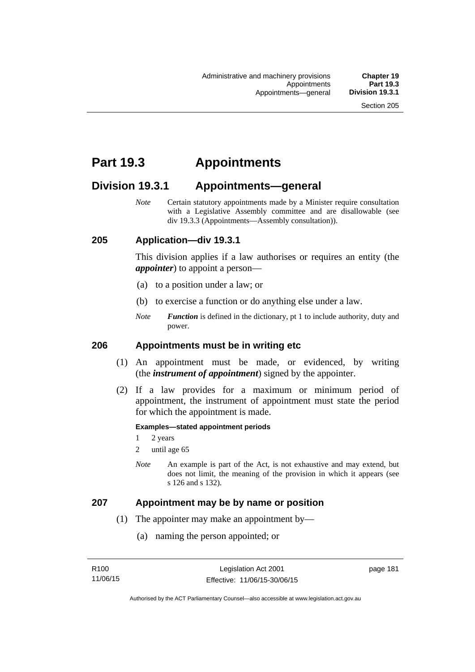# **Part 19.3 Appointments**

# **Division 19.3.1 Appointments—general**

*Note* Certain statutory appointments made by a Minister require consultation with a Legislative Assembly committee and are disallowable (see div 19.3.3 (Appointments—Assembly consultation)).

# **205 Application—div 19.3.1**

This division applies if a law authorises or requires an entity (the *appointer*) to appoint a person—

- (a) to a position under a law; or
- (b) to exercise a function or do anything else under a law.
- *Note Function* is defined in the dictionary, pt 1 to include authority, duty and power.

# **206 Appointments must be in writing etc**

- (1) An appointment must be made, or evidenced, by writing (the *instrument of appointment*) signed by the appointer.
- (2) If a law provides for a maximum or minimum period of appointment, the instrument of appointment must state the period for which the appointment is made.

#### **Examples—stated appointment periods**

- 1 2 years
- 2 until age 65
- *Note* An example is part of the Act, is not exhaustive and may extend, but does not limit, the meaning of the provision in which it appears (see s 126 and s 132).

### **207 Appointment may be by name or position**

- (1) The appointer may make an appointment by—
	- (a) naming the person appointed; or

page 181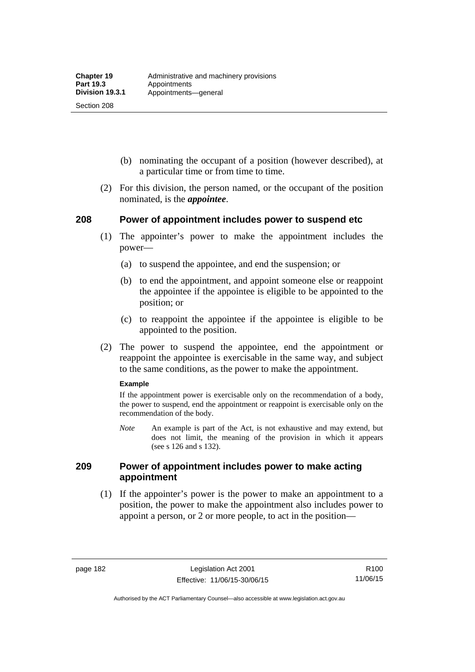Section 208

- (b) nominating the occupant of a position (however described), at a particular time or from time to time.
- (2) For this division, the person named, or the occupant of the position nominated, is the *appointee*.

# **208 Power of appointment includes power to suspend etc**

- (1) The appointer's power to make the appointment includes the power—
	- (a) to suspend the appointee, and end the suspension; or
	- (b) to end the appointment, and appoint someone else or reappoint the appointee if the appointee is eligible to be appointed to the position; or
	- (c) to reappoint the appointee if the appointee is eligible to be appointed to the position.
- (2) The power to suspend the appointee, end the appointment or reappoint the appointee is exercisable in the same way, and subject to the same conditions, as the power to make the appointment.

#### **Example**

If the appointment power is exercisable only on the recommendation of a body, the power to suspend, end the appointment or reappoint is exercisable only on the recommendation of the body.

*Note* An example is part of the Act, is not exhaustive and may extend, but does not limit, the meaning of the provision in which it appears (see s 126 and s 132).

# **209 Power of appointment includes power to make acting appointment**

 (1) If the appointer's power is the power to make an appointment to a position, the power to make the appointment also includes power to appoint a person, or 2 or more people, to act in the position—

page 182 Legislation Act 2001 Effective: 11/06/15-30/06/15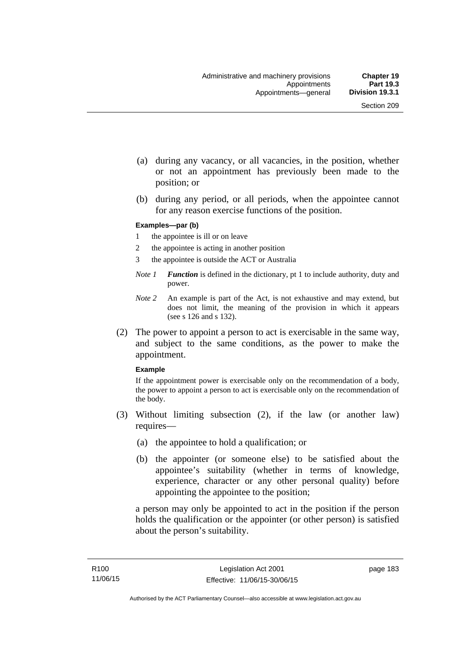- (a) during any vacancy, or all vacancies, in the position, whether or not an appointment has previously been made to the position; or
- (b) during any period, or all periods, when the appointee cannot for any reason exercise functions of the position.

#### **Examples—par (b)**

- 1 the appointee is ill or on leave
- 2 the appointee is acting in another position
- 3 the appointee is outside the ACT or Australia
- *Note 1 Function* is defined in the dictionary, pt 1 to include authority, duty and power.
- *Note 2* An example is part of the Act, is not exhaustive and may extend, but does not limit, the meaning of the provision in which it appears (see s 126 and s 132).
- (2) The power to appoint a person to act is exercisable in the same way, and subject to the same conditions, as the power to make the appointment.

#### **Example**

If the appointment power is exercisable only on the recommendation of a body, the power to appoint a person to act is exercisable only on the recommendation of the body.

- (3) Without limiting subsection (2), if the law (or another law) requires—
	- (a) the appointee to hold a qualification; or
	- (b) the appointer (or someone else) to be satisfied about the appointee's suitability (whether in terms of knowledge, experience, character or any other personal quality) before appointing the appointee to the position;

a person may only be appointed to act in the position if the person holds the qualification or the appointer (or other person) is satisfied about the person's suitability.

page 183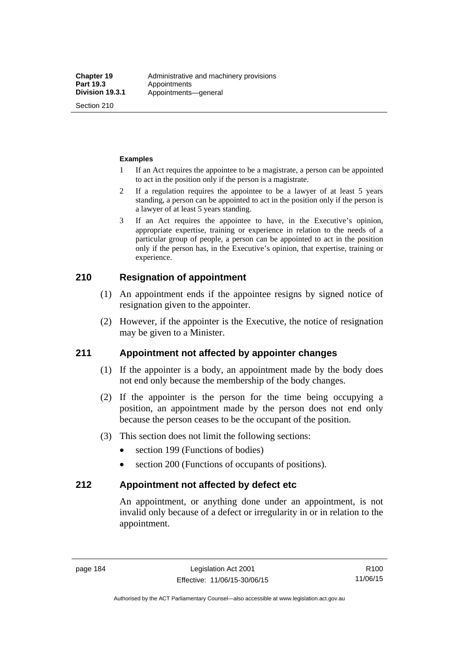Section 210

#### **Examples**

- 1 If an Act requires the appointee to be a magistrate, a person can be appointed to act in the position only if the person is a magistrate.
- 2 If a regulation requires the appointee to be a lawyer of at least 5 years standing, a person can be appointed to act in the position only if the person is a lawyer of at least 5 years standing.
- 3 If an Act requires the appointee to have, in the Executive's opinion, appropriate expertise, training or experience in relation to the needs of a particular group of people, a person can be appointed to act in the position only if the person has, in the Executive's opinion, that expertise, training or experience.

# **210 Resignation of appointment**

- (1) An appointment ends if the appointee resigns by signed notice of resignation given to the appointer.
- (2) However, if the appointer is the Executive, the notice of resignation may be given to a Minister.

# **211 Appointment not affected by appointer changes**

- (1) If the appointer is a body, an appointment made by the body does not end only because the membership of the body changes.
- (2) If the appointer is the person for the time being occupying a position, an appointment made by the person does not end only because the person ceases to be the occupant of the position.
- (3) This section does not limit the following sections:
	- section 199 (Functions of bodies)
	- section 200 (Functions of occupants of positions).

### **212 Appointment not affected by defect etc**

An appointment, or anything done under an appointment, is not invalid only because of a defect or irregularity in or in relation to the appointment.

page 184 Legislation Act 2001 Effective: 11/06/15-30/06/15

Authorised by the ACT Parliamentary Counsel—also accessible at www.legislation.act.gov.au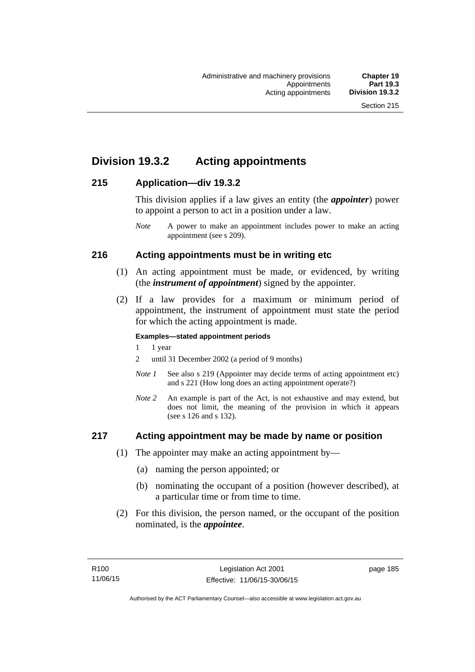# **Division 19.3.2 Acting appointments**

# **215 Application—div 19.3.2**

This division applies if a law gives an entity (the *appointer*) power to appoint a person to act in a position under a law.

# **216 Acting appointments must be in writing etc**

- (1) An acting appointment must be made, or evidenced, by writing (the *instrument of appointment*) signed by the appointer.
- (2) If a law provides for a maximum or minimum period of appointment, the instrument of appointment must state the period for which the acting appointment is made.

#### **Examples—stated appointment periods**

- 1 1 year
- 2 until 31 December 2002 (a period of 9 months)
- *Note 1* See also s 219 (Appointer may decide terms of acting appointment etc) and s 221 (How long does an acting appointment operate?)
- *Note 2* An example is part of the Act, is not exhaustive and may extend, but does not limit, the meaning of the provision in which it appears (see s 126 and s 132).

# **217 Acting appointment may be made by name or position**

- (1) The appointer may make an acting appointment by—
	- (a) naming the person appointed; or
	- (b) nominating the occupant of a position (however described), at a particular time or from time to time.
- (2) For this division, the person named, or the occupant of the position nominated, is the *appointee*.

*Note* A power to make an appointment includes power to make an acting appointment (see s 209).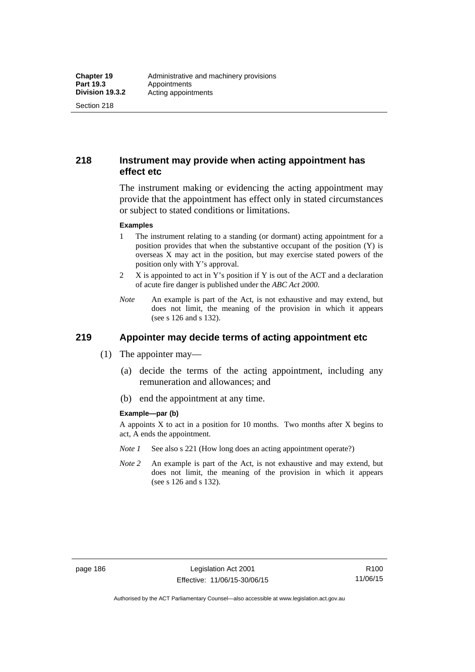Section 218

# **218 Instrument may provide when acting appointment has effect etc**

The instrument making or evidencing the acting appointment may provide that the appointment has effect only in stated circumstances or subject to stated conditions or limitations.

#### **Examples**

- 1 The instrument relating to a standing (or dormant) acting appointment for a position provides that when the substantive occupant of the position (Y) is overseas X may act in the position, but may exercise stated powers of the position only with Y's approval.
- 2 X is appointed to act in Y's position if Y is out of the ACT and a declaration of acute fire danger is published under the *ABC Act 2000*.
- *Note* An example is part of the Act, is not exhaustive and may extend, but does not limit, the meaning of the provision in which it appears (see s 126 and s 132).

# **219 Appointer may decide terms of acting appointment etc**

- (1) The appointer may—
	- (a) decide the terms of the acting appointment, including any remuneration and allowances; and
	- (b) end the appointment at any time.

#### **Example—par (b)**

A appoints  $X$  to act in a position for 10 months. Two months after  $X$  begins to act, A ends the appointment.

- *Note 1* See also s 221 (How long does an acting appointment operate?)
- *Note 2* An example is part of the Act, is not exhaustive and may extend, but does not limit, the meaning of the provision in which it appears (see s 126 and s 132).

R100 11/06/15

Authorised by the ACT Parliamentary Counsel—also accessible at www.legislation.act.gov.au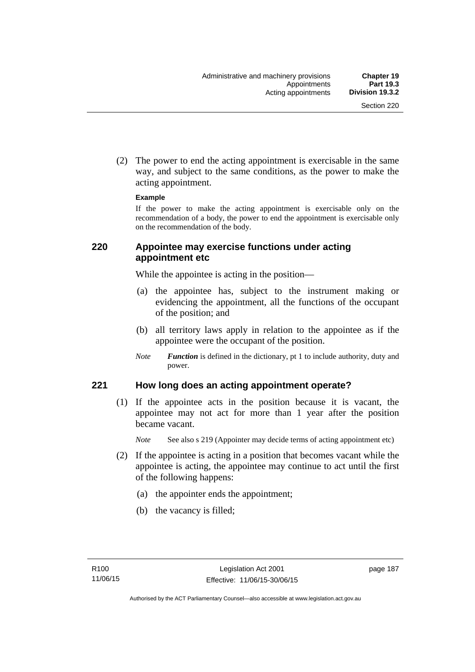(2) The power to end the acting appointment is exercisable in the same way, and subject to the same conditions, as the power to make the acting appointment.

#### **Example**

If the power to make the acting appointment is exercisable only on the recommendation of a body, the power to end the appointment is exercisable only on the recommendation of the body.

# **220 Appointee may exercise functions under acting appointment etc**

While the appointee is acting in the position—

- (a) the appointee has, subject to the instrument making or evidencing the appointment, all the functions of the occupant of the position; and
- (b) all territory laws apply in relation to the appointee as if the appointee were the occupant of the position.
- *Note Function* is defined in the dictionary, pt 1 to include authority, duty and power.

# **221 How long does an acting appointment operate?**

 (1) If the appointee acts in the position because it is vacant, the appointee may not act for more than 1 year after the position became vacant.

*Note* See also s 219 (Appointer may decide terms of acting appointment etc)

- (2) If the appointee is acting in a position that becomes vacant while the appointee is acting, the appointee may continue to act until the first of the following happens:
	- (a) the appointer ends the appointment;
	- (b) the vacancy is filled;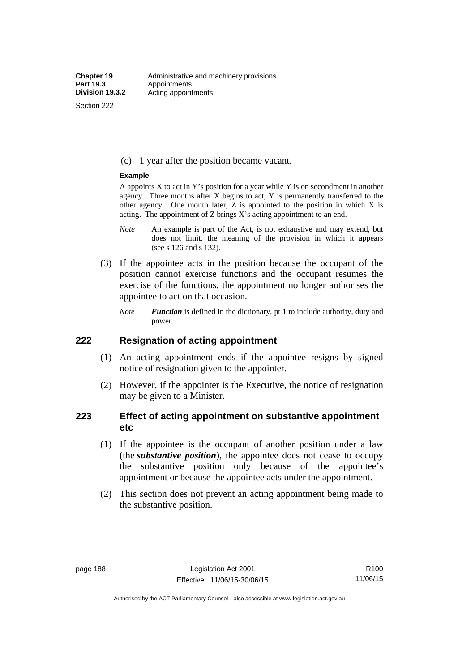Section 222

(c) 1 year after the position became vacant.

#### **Example**

A appoints  $X$  to act in Y's position for a year while Y is on secondment in another agency. Three months after X begins to act, Y is permanently transferred to the other agency. One month later,  $Z$  is appointed to the position in which  $X$  is acting. The appointment of Z brings X's acting appointment to an end.

- *Note* An example is part of the Act, is not exhaustive and may extend, but does not limit, the meaning of the provision in which it appears (see s 126 and s 132).
- (3) If the appointee acts in the position because the occupant of the position cannot exercise functions and the occupant resumes the exercise of the functions, the appointment no longer authorises the appointee to act on that occasion.
	- *Note Function* is defined in the dictionary, pt 1 to include authority, duty and power.

# **222 Resignation of acting appointment**

- (1) An acting appointment ends if the appointee resigns by signed notice of resignation given to the appointer.
- (2) However, if the appointer is the Executive, the notice of resignation may be given to a Minister.

# **223 Effect of acting appointment on substantive appointment etc**

- (1) If the appointee is the occupant of another position under a law (the *substantive position*), the appointee does not cease to occupy the substantive position only because of the appointee's appointment or because the appointee acts under the appointment.
- (2) This section does not prevent an acting appointment being made to the substantive position.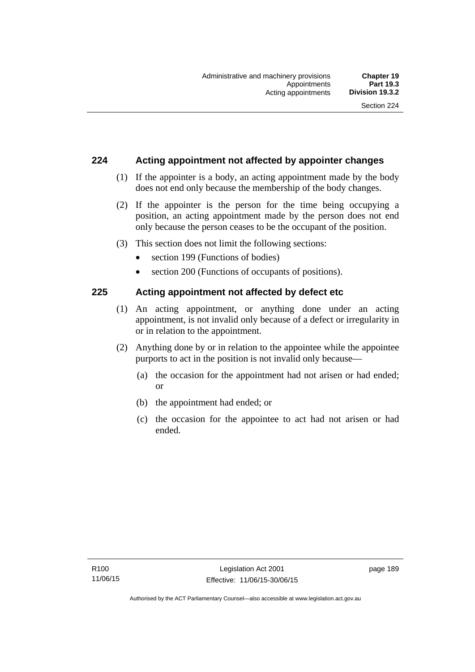# **224 Acting appointment not affected by appointer changes**

- (1) If the appointer is a body, an acting appointment made by the body does not end only because the membership of the body changes.
- (2) If the appointer is the person for the time being occupying a position, an acting appointment made by the person does not end only because the person ceases to be the occupant of the position.
- (3) This section does not limit the following sections:
	- section 199 (Functions of bodies)
	- section 200 (Functions of occupants of positions).

# **225 Acting appointment not affected by defect etc**

- (1) An acting appointment, or anything done under an acting appointment, is not invalid only because of a defect or irregularity in or in relation to the appointment.
- (2) Anything done by or in relation to the appointee while the appointee purports to act in the position is not invalid only because—
	- (a) the occasion for the appointment had not arisen or had ended; or
	- (b) the appointment had ended; or
	- (c) the occasion for the appointee to act had not arisen or had ended.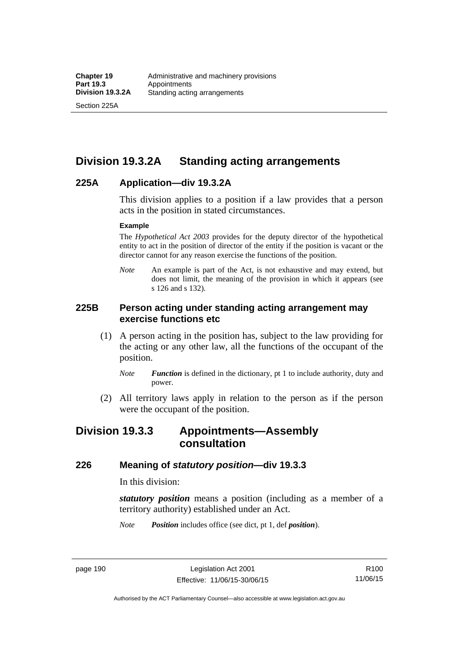Section 225A

# **Division 19.3.2A Standing acting arrangements**

# **225A Application—div 19.3.2A**

This division applies to a position if a law provides that a person acts in the position in stated circumstances.

#### **Example**

The *Hypothetical Act 2003* provides for the deputy director of the hypothetical entity to act in the position of director of the entity if the position is vacant or the director cannot for any reason exercise the functions of the position.

*Note* An example is part of the Act, is not exhaustive and may extend, but does not limit, the meaning of the provision in which it appears (see s 126 and s 132).

# **225B Person acting under standing acting arrangement may exercise functions etc**

- (1) A person acting in the position has, subject to the law providing for the acting or any other law, all the functions of the occupant of the position.
	- *Note Function* is defined in the dictionary, pt 1 to include authority, duty and power.
- (2) All territory laws apply in relation to the person as if the person were the occupant of the position.

# **Division 19.3.3 Appointments—Assembly consultation**

# **226 Meaning of** *statutory position***—div 19.3.3**

In this division:

*statutory position* means a position (including as a member of a territory authority) established under an Act.

*Note Position* includes office (see dict, pt 1, def *position*).

page 190 Legislation Act 2001 Effective: 11/06/15-30/06/15

R100 11/06/15

Authorised by the ACT Parliamentary Counsel—also accessible at www.legislation.act.gov.au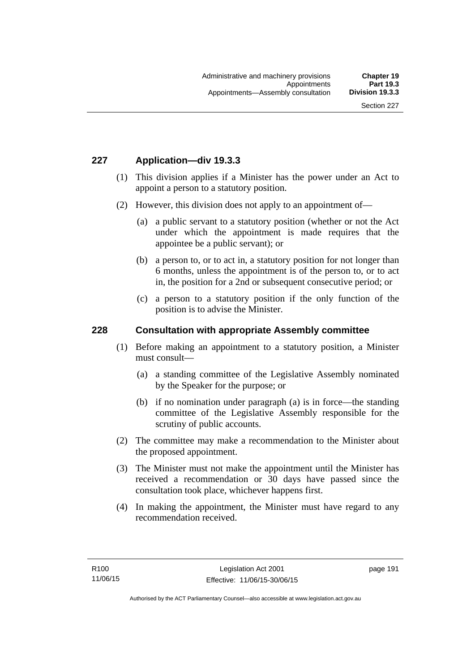# **227 Application—div 19.3.3**

- (1) This division applies if a Minister has the power under an Act to appoint a person to a statutory position.
- (2) However, this division does not apply to an appointment of—
	- (a) a public servant to a statutory position (whether or not the Act under which the appointment is made requires that the appointee be a public servant); or
	- (b) a person to, or to act in, a statutory position for not longer than 6 months, unless the appointment is of the person to, or to act in, the position for a 2nd or subsequent consecutive period; or
	- (c) a person to a statutory position if the only function of the position is to advise the Minister.

#### **228 Consultation with appropriate Assembly committee**

- (1) Before making an appointment to a statutory position, a Minister must consult—
	- (a) a standing committee of the Legislative Assembly nominated by the Speaker for the purpose; or
	- (b) if no nomination under paragraph (a) is in force—the standing committee of the Legislative Assembly responsible for the scrutiny of public accounts.
- (2) The committee may make a recommendation to the Minister about the proposed appointment.
- (3) The Minister must not make the appointment until the Minister has received a recommendation or 30 days have passed since the consultation took place, whichever happens first.
- (4) In making the appointment, the Minister must have regard to any recommendation received.

page 191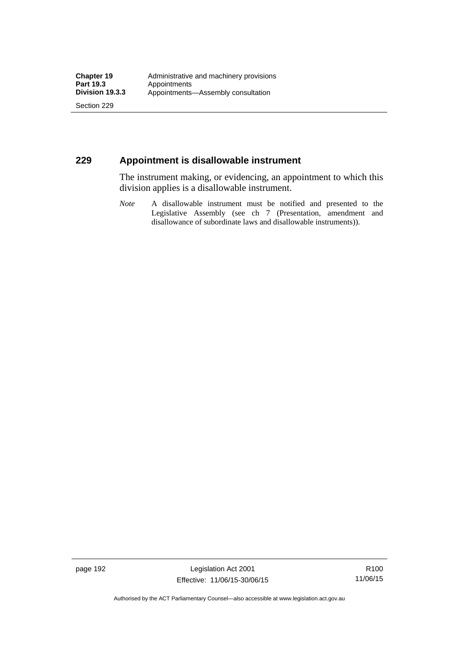Section 229

# **229 Appointment is disallowable instrument**

The instrument making, or evidencing, an appointment to which this division applies is a disallowable instrument.

*Note* A disallowable instrument must be notified and presented to the Legislative Assembly (see ch 7 (Presentation, amendment and disallowance of subordinate laws and disallowable instruments)).

page 192 Legislation Act 2001 Effective: 11/06/15-30/06/15

R100 11/06/15

Authorised by the ACT Parliamentary Counsel—also accessible at www.legislation.act.gov.au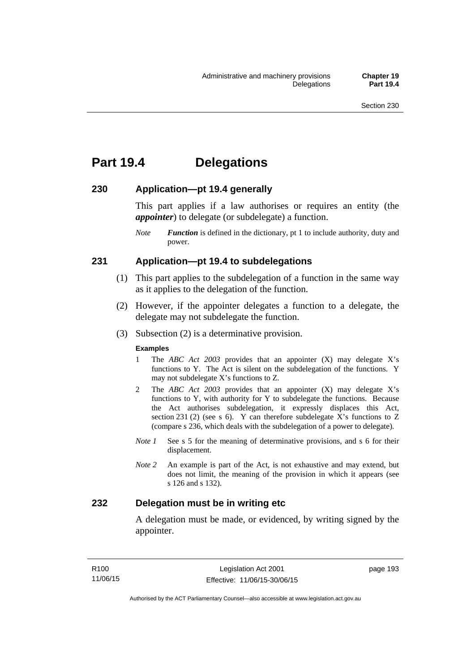# **Part 19.4 Delegations**

# **230 Application—pt 19.4 generally**

This part applies if a law authorises or requires an entity (the *appointer*) to delegate (or subdelegate) a function.

*Note Function* is defined in the dictionary, pt 1 to include authority, duty and power.

# **231 Application—pt 19.4 to subdelegations**

- (1) This part applies to the subdelegation of a function in the same way as it applies to the delegation of the function.
- (2) However, if the appointer delegates a function to a delegate, the delegate may not subdelegate the function.
- (3) Subsection (2) is a determinative provision.

#### **Examples**

- 1 The *ABC Act 2003* provides that an appointer (X) may delegate X's functions to Y. The Act is silent on the subdelegation of the functions. Y may not subdelegate X's functions to Z.
- 2 The *ABC Act 2003* provides that an appointer (X) may delegate X's functions to Y, with authority for Y to subdelegate the functions. Because the Act authorises subdelegation, it expressly displaces this Act, section 231 (2) (see s 6). Y can therefore subdelegate  $\overline{X}$ 's functions to Z (compare s 236, which deals with the subdelegation of a power to delegate)*.*
- *Note 1* See s 5 for the meaning of determinative provisions, and s 6 for their displacement.
- *Note 2* An example is part of the Act, is not exhaustive and may extend, but does not limit, the meaning of the provision in which it appears (see s 126 and s 132).

# **232 Delegation must be in writing etc**

A delegation must be made, or evidenced, by writing signed by the appointer.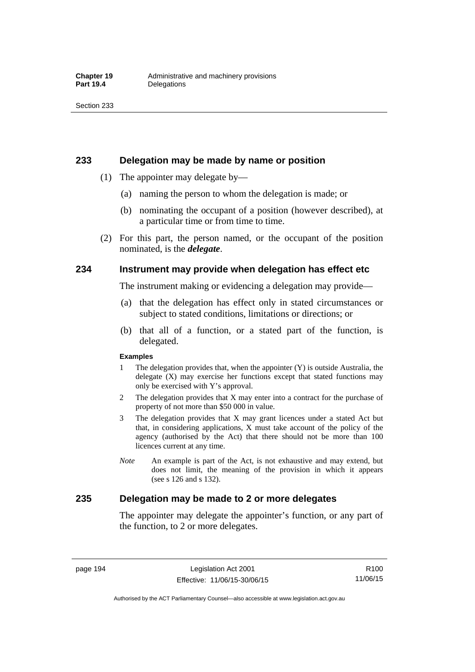### **233 Delegation may be made by name or position**

- (1) The appointer may delegate by—
	- (a) naming the person to whom the delegation is made; or
	- (b) nominating the occupant of a position (however described), at a particular time or from time to time.
- (2) For this part, the person named, or the occupant of the position nominated, is the *delegate*.

# **234 Instrument may provide when delegation has effect etc**

The instrument making or evidencing a delegation may provide—

- (a) that the delegation has effect only in stated circumstances or subject to stated conditions, limitations or directions; or
- (b) that all of a function, or a stated part of the function, is delegated.

#### **Examples**

- 1 The delegation provides that, when the appointer (Y) is outside Australia, the delegate (X) may exercise her functions except that stated functions may only be exercised with Y's approval.
- 2 The delegation provides that X may enter into a contract for the purchase of property of not more than \$50 000 in value.
- 3 The delegation provides that X may grant licences under a stated Act but that, in considering applications, X must take account of the policy of the agency (authorised by the Act) that there should not be more than 100 licences current at any time.
- *Note* An example is part of the Act, is not exhaustive and may extend, but does not limit, the meaning of the provision in which it appears (see s 126 and s 132).

# **235 Delegation may be made to 2 or more delegates**

The appointer may delegate the appointer's function, or any part of the function, to 2 or more delegates.

page 194 Legislation Act 2001 Effective: 11/06/15-30/06/15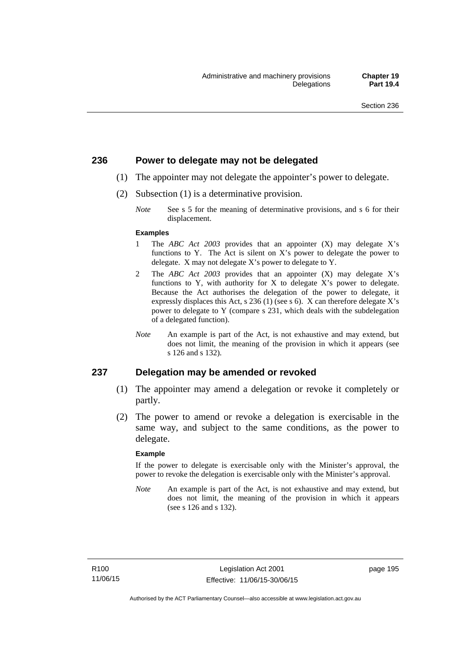# **236 Power to delegate may not be delegated**

- (1) The appointer may not delegate the appointer's power to delegate.
- (2) Subsection (1) is a determinative provision.
	- *Note* See s 5 for the meaning of determinative provisions, and s 6 for their displacement.

#### **Examples**

- 1 The *ABC Act 2003* provides that an appointer (X) may delegate X's functions to Y. The Act is silent on X's power to delegate the power to delegate. X may not delegate X's power to delegate to Y.
- 2 The *ABC Act 2003* provides that an appointer (X) may delegate X's functions to Y, with authority for X to delegate X's power to delegate. Because the Act authorises the delegation of the power to delegate, it expressly displaces this Act, s 236 (1) (see s 6). X can therefore delegate X's power to delegate to Y (compare s 231, which deals with the subdelegation of a delegated function).
- *Note* An example is part of the Act, is not exhaustive and may extend, but does not limit, the meaning of the provision in which it appears (see s 126 and s 132).

### **237 Delegation may be amended or revoked**

- (1) The appointer may amend a delegation or revoke it completely or partly.
- (2) The power to amend or revoke a delegation is exercisable in the same way, and subject to the same conditions, as the power to delegate.

#### **Example**

If the power to delegate is exercisable only with the Minister's approval, the power to revoke the delegation is exercisable only with the Minister's approval.

*Note* An example is part of the Act, is not exhaustive and may extend, but does not limit, the meaning of the provision in which it appears (see s 126 and s 132).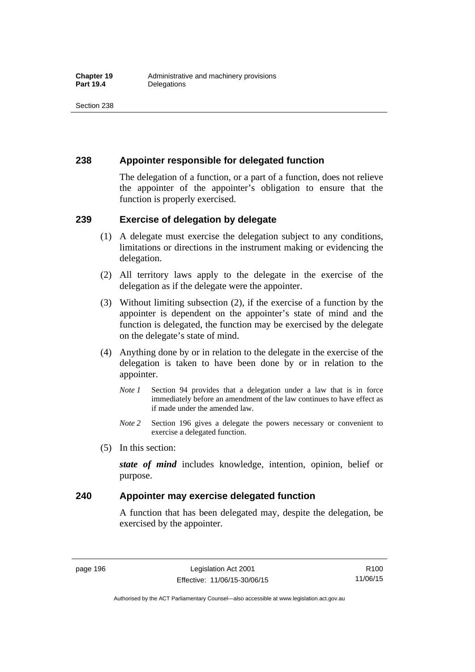# **238 Appointer responsible for delegated function**

The delegation of a function, or a part of a function, does not relieve the appointer of the appointer's obligation to ensure that the function is properly exercised.

# **239 Exercise of delegation by delegate**

- (1) A delegate must exercise the delegation subject to any conditions, limitations or directions in the instrument making or evidencing the delegation.
- (2) All territory laws apply to the delegate in the exercise of the delegation as if the delegate were the appointer.
- (3) Without limiting subsection (2), if the exercise of a function by the appointer is dependent on the appointer's state of mind and the function is delegated, the function may be exercised by the delegate on the delegate's state of mind.
- (4) Anything done by or in relation to the delegate in the exercise of the delegation is taken to have been done by or in relation to the appointer.
	- *Note 1* Section 94 provides that a delegation under a law that is in force immediately before an amendment of the law continues to have effect as if made under the amended law.
	- *Note 2* Section 196 gives a delegate the powers necessary or convenient to exercise a delegated function.
- (5) In this section:

*state of mind* includes knowledge, intention, opinion, belief or purpose.

# **240 Appointer may exercise delegated function**

A function that has been delegated may, despite the delegation, be exercised by the appointer.

page 196 Legislation Act 2001 Effective: 11/06/15-30/06/15

Authorised by the ACT Parliamentary Counsel—also accessible at www.legislation.act.gov.au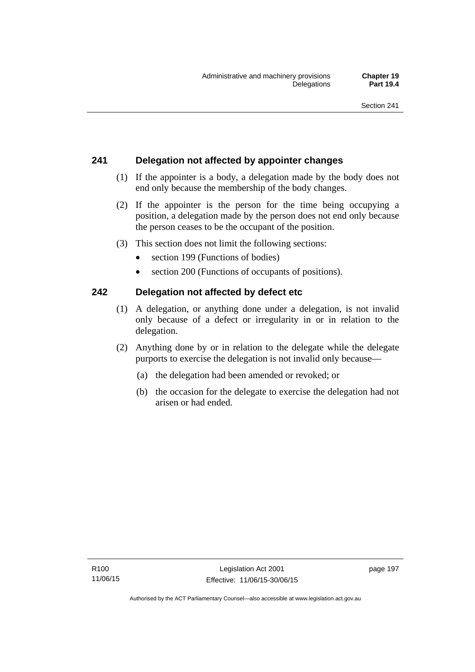# **241 Delegation not affected by appointer changes**

- (1) If the appointer is a body, a delegation made by the body does not end only because the membership of the body changes.
- (2) If the appointer is the person for the time being occupying a position, a delegation made by the person does not end only because the person ceases to be the occupant of the position.
- (3) This section does not limit the following sections:
	- section 199 (Functions of bodies)
	- section 200 (Functions of occupants of positions).

# **242 Delegation not affected by defect etc**

- (1) A delegation, or anything done under a delegation, is not invalid only because of a defect or irregularity in or in relation to the delegation.
- (2) Anything done by or in relation to the delegate while the delegate purports to exercise the delegation is not invalid only because—
	- (a) the delegation had been amended or revoked; or
	- (b) the occasion for the delegate to exercise the delegation had not arisen or had ended.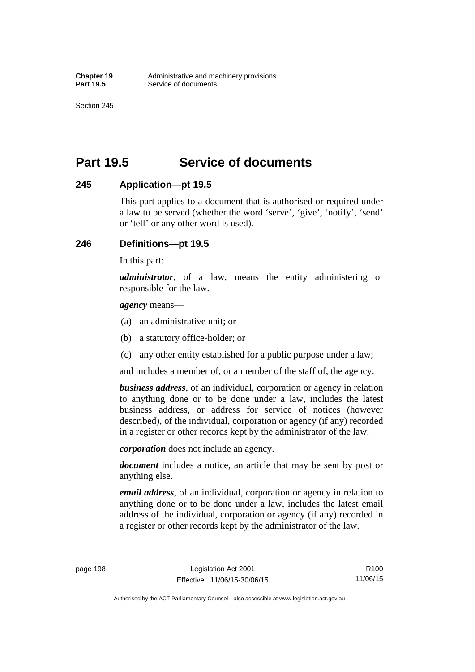Section 245

# **Part 19.5 Service of documents**

# **245 Application—pt 19.5**

This part applies to a document that is authorised or required under a law to be served (whether the word 'serve', 'give', 'notify', 'send' or 'tell' or any other word is used).

# **246 Definitions—pt 19.5**

In this part:

*administrator*, of a law, means the entity administering or responsible for the law.

*agency* means—

- (a) an administrative unit; or
- (b) a statutory office-holder; or
- (c) any other entity established for a public purpose under a law;

and includes a member of, or a member of the staff of, the agency.

*business address*, of an individual, corporation or agency in relation to anything done or to be done under a law, includes the latest business address, or address for service of notices (however described), of the individual, corporation or agency (if any) recorded in a register or other records kept by the administrator of the law.

*corporation* does not include an agency.

*document* includes a notice, an article that may be sent by post or anything else.

*email address*, of an individual, corporation or agency in relation to anything done or to be done under a law, includes the latest email address of the individual, corporation or agency (if any) recorded in a register or other records kept by the administrator of the law.

page 198 Legislation Act 2001 Effective: 11/06/15-30/06/15

Authorised by the ACT Parliamentary Counsel—also accessible at www.legislation.act.gov.au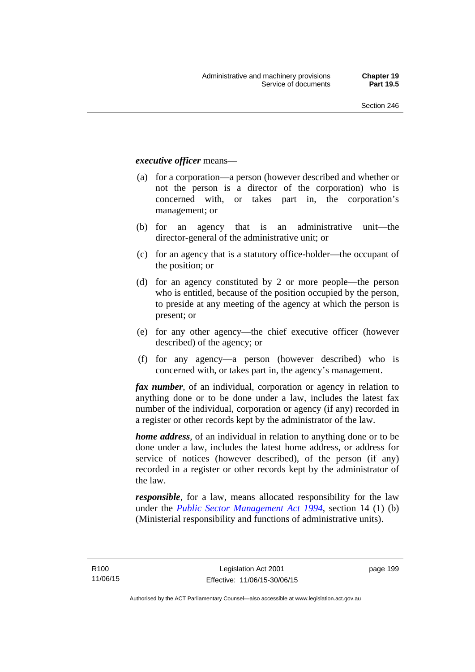## *executive officer* means—

- (a) for a corporation—a person (however described and whether or not the person is a director of the corporation) who is concerned with, or takes part in, the corporation's management; or
- (b) for an agency that is an administrative unit—the director-general of the administrative unit; or
- (c) for an agency that is a statutory office-holder—the occupant of the position; or
- (d) for an agency constituted by 2 or more people—the person who is entitled, because of the position occupied by the person, to preside at any meeting of the agency at which the person is present; or
- (e) for any other agency—the chief executive officer (however described) of the agency; or
- (f) for any agency—a person (however described) who is concerned with, or takes part in, the agency's management.

*fax number*, of an individual, corporation or agency in relation to anything done or to be done under a law, includes the latest fax number of the individual, corporation or agency (if any) recorded in a register or other records kept by the administrator of the law.

*home address*, of an individual in relation to anything done or to be done under a law, includes the latest home address, or address for service of notices (however described), of the person (if any) recorded in a register or other records kept by the administrator of the law.

*responsible*, for a law, means allocated responsibility for the law under the *[Public Sector Management Act 1994](http://www.legislation.act.gov.au/a/1994-37)*, section 14 (1) (b) (Ministerial responsibility and functions of administrative units).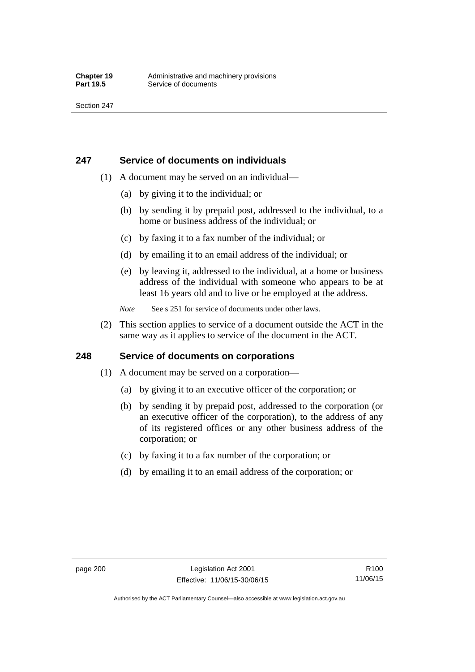# **247 Service of documents on individuals**

- (1) A document may be served on an individual—
	- (a) by giving it to the individual; or
	- (b) by sending it by prepaid post, addressed to the individual, to a home or business address of the individual; or
	- (c) by faxing it to a fax number of the individual; or
	- (d) by emailing it to an email address of the individual; or
	- (e) by leaving it, addressed to the individual, at a home or business address of the individual with someone who appears to be at least 16 years old and to live or be employed at the address.
	- *Note* See s 251 for service of documents under other laws.
- (2) This section applies to service of a document outside the ACT in the same way as it applies to service of the document in the ACT.

# **248 Service of documents on corporations**

- (1) A document may be served on a corporation—
	- (a) by giving it to an executive officer of the corporation; or
	- (b) by sending it by prepaid post, addressed to the corporation (or an executive officer of the corporation), to the address of any of its registered offices or any other business address of the corporation; or
	- (c) by faxing it to a fax number of the corporation; or
	- (d) by emailing it to an email address of the corporation; or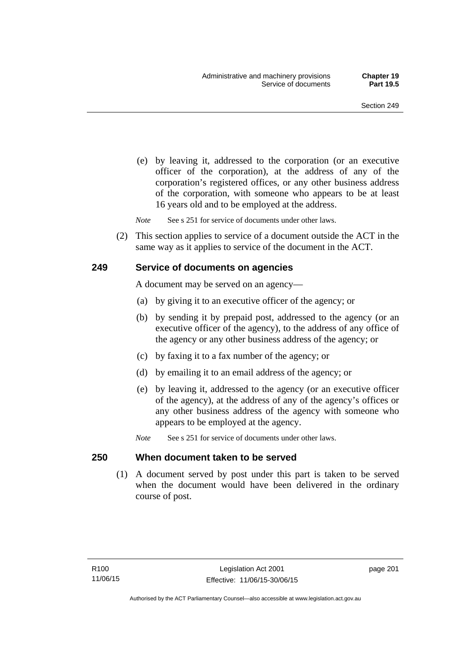(e) by leaving it, addressed to the corporation (or an executive officer of the corporation), at the address of any of the corporation's registered offices, or any other business address of the corporation, with someone who appears to be at least 16 years old and to be employed at the address.

*Note* See s 251 for service of documents under other laws.

 (2) This section applies to service of a document outside the ACT in the same way as it applies to service of the document in the ACT.

### **249 Service of documents on agencies**

A document may be served on an agency—

- (a) by giving it to an executive officer of the agency; or
- (b) by sending it by prepaid post, addressed to the agency (or an executive officer of the agency), to the address of any office of the agency or any other business address of the agency; or
- (c) by faxing it to a fax number of the agency; or
- (d) by emailing it to an email address of the agency; or
- (e) by leaving it, addressed to the agency (or an executive officer of the agency), at the address of any of the agency's offices or any other business address of the agency with someone who appears to be employed at the agency.
- *Note* See s 251 for service of documents under other laws.

#### **250 When document taken to be served**

 (1) A document served by post under this part is taken to be served when the document would have been delivered in the ordinary course of post.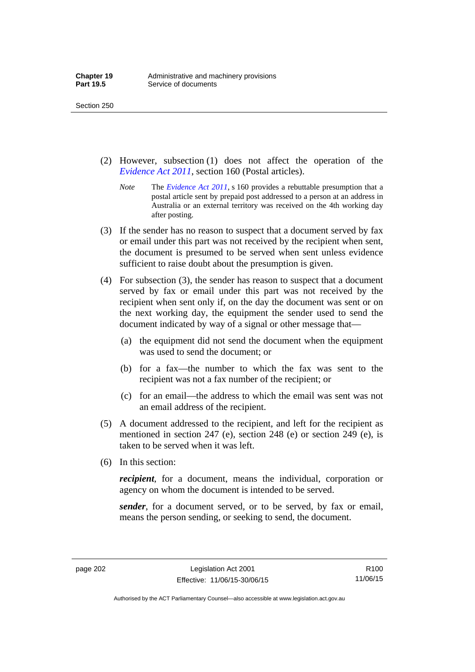Section 250

- (2) However, subsection (1) does not affect the operation of the *[Evidence Act 2011](http://www.legislation.act.gov.au/a/2011-12)*, section 160 (Postal articles).
	- *Note* The *[Evidence Act 2011](http://www.legislation.act.gov.au/a/2011-12)*, s 160 provides a rebuttable presumption that a postal article sent by prepaid post addressed to a person at an address in Australia or an external territory was received on the 4th working day after posting.
- (3) If the sender has no reason to suspect that a document served by fax or email under this part was not received by the recipient when sent, the document is presumed to be served when sent unless evidence sufficient to raise doubt about the presumption is given.
- (4) For subsection (3), the sender has reason to suspect that a document served by fax or email under this part was not received by the recipient when sent only if, on the day the document was sent or on the next working day, the equipment the sender used to send the document indicated by way of a signal or other message that—
	- (a) the equipment did not send the document when the equipment was used to send the document; or
	- (b) for a fax—the number to which the fax was sent to the recipient was not a fax number of the recipient; or
	- (c) for an email—the address to which the email was sent was not an email address of the recipient.
- (5) A document addressed to the recipient, and left for the recipient as mentioned in section 247 (e), section 248 (e) or section 249 (e), is taken to be served when it was left.
- (6) In this section:

*recipient*, for a document, means the individual, corporation or agency on whom the document is intended to be served.

*sender*, for a document served, or to be served, by fax or email, means the person sending, or seeking to send, the document.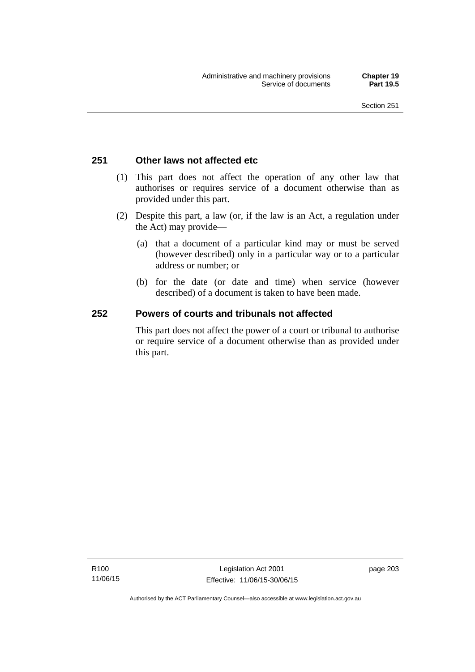# **251 Other laws not affected etc**

- (1) This part does not affect the operation of any other law that authorises or requires service of a document otherwise than as provided under this part.
- (2) Despite this part, a law (or, if the law is an Act, a regulation under the Act) may provide—
	- (a) that a document of a particular kind may or must be served (however described) only in a particular way or to a particular address or number; or
	- (b) for the date (or date and time) when service (however described) of a document is taken to have been made.

# **252 Powers of courts and tribunals not affected**

This part does not affect the power of a court or tribunal to authorise or require service of a document otherwise than as provided under this part.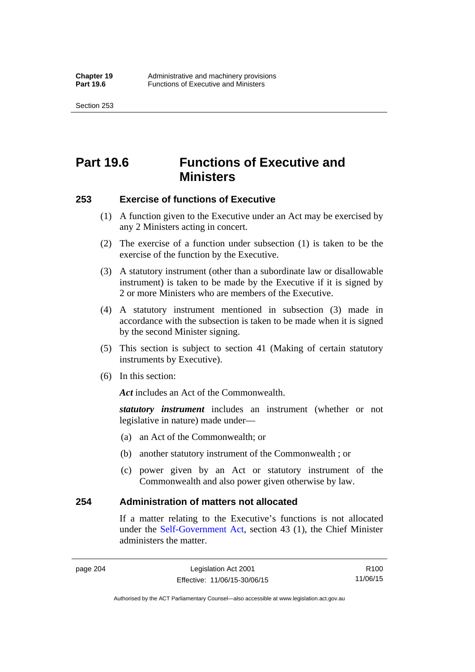Section 253

# **Part 19.6 Functions of Executive and Ministers**

### **253 Exercise of functions of Executive**

- (1) A function given to the Executive under an Act may be exercised by any 2 Ministers acting in concert.
- (2) The exercise of a function under subsection (1) is taken to be the exercise of the function by the Executive.
- (3) A statutory instrument (other than a subordinate law or disallowable instrument) is taken to be made by the Executive if it is signed by 2 or more Ministers who are members of the Executive.
- (4) A statutory instrument mentioned in subsection (3) made in accordance with the subsection is taken to be made when it is signed by the second Minister signing.
- (5) This section is subject to section 41 (Making of certain statutory instruments by Executive).
- (6) In this section:

Act includes an Act of the Commonwealth.

*statutory instrument* includes an instrument (whether or not legislative in nature) made under—

- (a) an Act of the Commonwealth; or
- (b) another statutory instrument of the Commonwealth ; or
- (c) power given by an Act or statutory instrument of the Commonwealth and also power given otherwise by law.

### **254 Administration of matters not allocated**

If a matter relating to the Executive's functions is not allocated under the [Self-Government Act,](http://www.comlaw.gov.au/Series/C2004A03699) section 43 (1), the Chief Minister administers the matter.

page 204 Legislation Act 2001 Effective: 11/06/15-30/06/15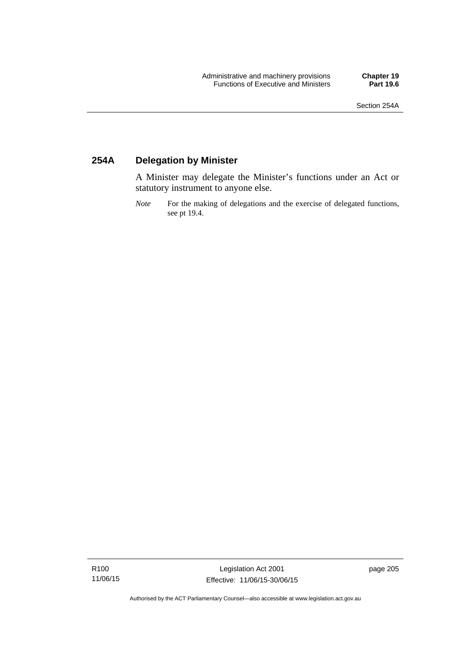# **254A Delegation by Minister**

A Minister may delegate the Minister's functions under an Act or statutory instrument to anyone else.

*Note* For the making of delegations and the exercise of delegated functions, see pt 19.4.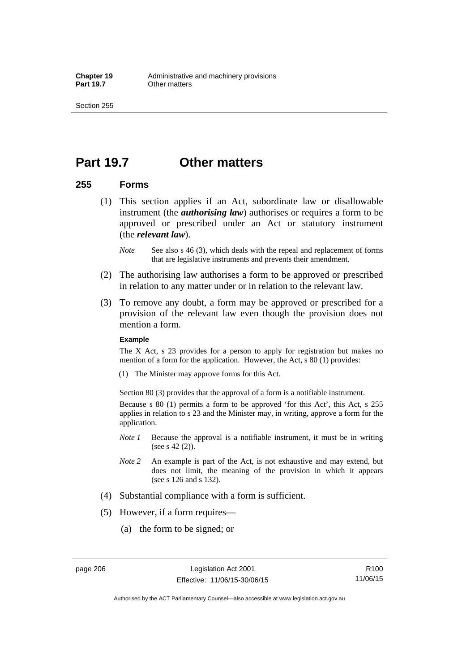# **Part 19.7 Other matters**

### **255 Forms**

- (1) This section applies if an Act, subordinate law or disallowable instrument (the *authorising law*) authorises or requires a form to be approved or prescribed under an Act or statutory instrument (the *relevant law*).
	- *Note* See also s 46 (3), which deals with the repeal and replacement of forms that are legislative instruments and prevents their amendment.
- (2) The authorising law authorises a form to be approved or prescribed in relation to any matter under or in relation to the relevant law.
- (3) To remove any doubt, a form may be approved or prescribed for a provision of the relevant law even though the provision does not mention a form.

#### **Example**

The X Act, s 23 provides for a person to apply for registration but makes no mention of a form for the application. However, the Act, s 80 (1) provides:

(1) The Minister may approve forms for this Act.

Section 80 (3) provides that the approval of a form is a notifiable instrument.

Because s 80 (1) permits a form to be approved 'for this Act', this Act, s 255 applies in relation to s 23 and the Minister may, in writing, approve a form for the application.

- *Note 1* Because the approval is a notifiable instrument, it must be in writing (see s 42 (2)).
- *Note 2* An example is part of the Act, is not exhaustive and may extend, but does not limit, the meaning of the provision in which it appears (see s 126 and s 132).
- (4) Substantial compliance with a form is sufficient.
- (5) However, if a form requires—
	- (a) the form to be signed; or

R100 11/06/15

Authorised by the ACT Parliamentary Counsel—also accessible at www.legislation.act.gov.au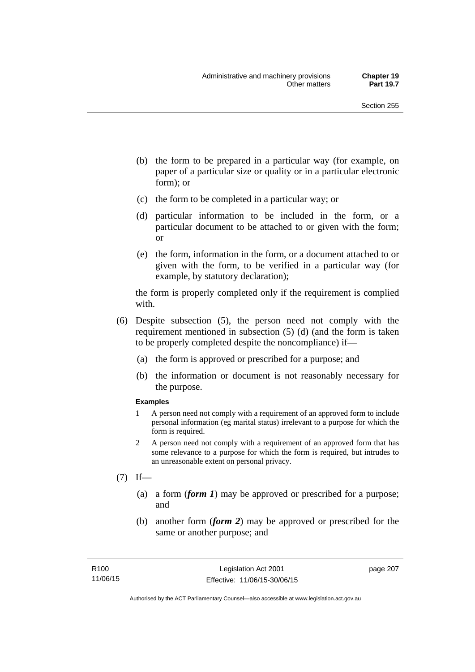- (b) the form to be prepared in a particular way (for example, on paper of a particular size or quality or in a particular electronic form); or
- (c) the form to be completed in a particular way; or
- (d) particular information to be included in the form, or a particular document to be attached to or given with the form; or
- (e) the form, information in the form, or a document attached to or given with the form, to be verified in a particular way (for example, by statutory declaration);

the form is properly completed only if the requirement is complied with.

- (6) Despite subsection (5), the person need not comply with the requirement mentioned in subsection (5) (d) (and the form is taken to be properly completed despite the noncompliance) if—
	- (a) the form is approved or prescribed for a purpose; and
	- (b) the information or document is not reasonably necessary for the purpose.

#### **Examples**

- 1 A person need not comply with a requirement of an approved form to include personal information (eg marital status) irrelevant to a purpose for which the form is required.
- 2 A person need not comply with a requirement of an approved form that has some relevance to a purpose for which the form is required, but intrudes to an unreasonable extent on personal privacy.
- $(7)$  If—
	- (a) a form (*form 1*) may be approved or prescribed for a purpose; and
	- (b) another form (*form 2*) may be approved or prescribed for the same or another purpose; and

page 207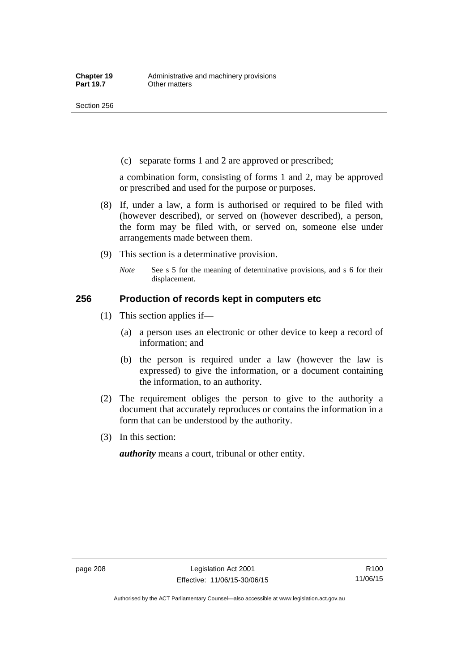(c) separate forms 1 and 2 are approved or prescribed;

a combination form, consisting of forms 1 and 2, may be approved or prescribed and used for the purpose or purposes.

- (8) If, under a law, a form is authorised or required to be filed with (however described), or served on (however described), a person, the form may be filed with, or served on, someone else under arrangements made between them.
- (9) This section is a determinative provision.
	- *Note* See s 5 for the meaning of determinative provisions, and s 6 for their displacement.

### **256 Production of records kept in computers etc**

- (1) This section applies if—
	- (a) a person uses an electronic or other device to keep a record of information; and
	- (b) the person is required under a law (however the law is expressed) to give the information, or a document containing the information, to an authority.
- (2) The requirement obliges the person to give to the authority a document that accurately reproduces or contains the information in a form that can be understood by the authority.
- (3) In this section:

*authority* means a court, tribunal or other entity.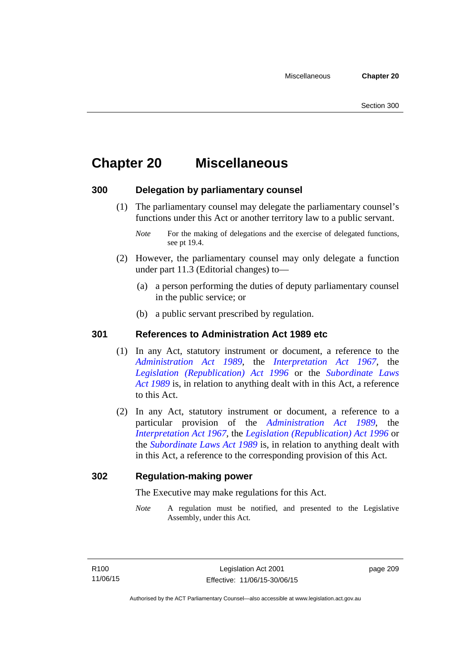# **Chapter 20 Miscellaneous**

# **300 Delegation by parliamentary counsel**

 (1) The parliamentary counsel may delegate the parliamentary counsel's functions under this Act or another territory law to a public servant.

- (2) However, the parliamentary counsel may only delegate a function under part 11.3 (Editorial changes) to—
	- (a) a person performing the duties of deputy parliamentary counsel in the public service; or
	- (b) a public servant prescribed by regulation.

# **301 References to Administration Act 1989 etc**

- (1) In any Act, statutory instrument or document, a reference to the *[Administration Act 1989](http://www.legislation.act.gov.au/a/alt_a1989-41co)*, the *[Interpretation Act 1967](http://www.legislation.act.gov.au/a/1967-48)*, the *[Legislation \(Republication\) Act 1996](http://www.legislation.act.gov.au/a/1996-51)* or the *[Subordinate Laws](http://www.legislation.act.gov.au/a/alt_a1989-24co)  [Act 1989](http://www.legislation.act.gov.au/a/alt_a1989-24co)* is, in relation to anything dealt with in this Act, a reference to this Act.
- (2) In any Act, statutory instrument or document, a reference to a particular provision of the *[Administration Act 1989](http://www.legislation.act.gov.au/a/alt_a1989-41co)*, the *[Interpretation Act 1967](http://www.legislation.act.gov.au/a/1967-48)*, the *[Legislation \(Republication\) Act 1996](http://www.legislation.act.gov.au/a/1996-51)* or the *[Subordinate Laws Act 1989](http://www.legislation.act.gov.au/a/alt_a1989-24co)* is, in relation to anything dealt with in this Act, a reference to the corresponding provision of this Act.

# **302 Regulation-making power**

The Executive may make regulations for this Act.

*Note* A regulation must be notified, and presented to the Legislative Assembly, under this Act.

page 209

*Note* For the making of delegations and the exercise of delegated functions, see pt 19.4.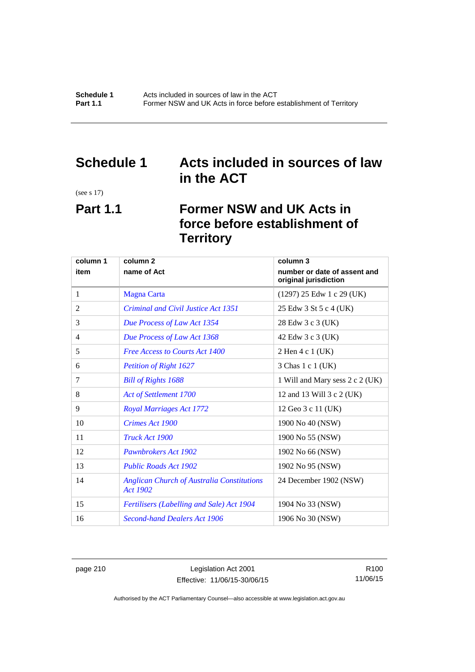# **Schedule 1 Acts included in sources of law in the ACT**

(see s 17)

# **Part 1.1 Former NSW and UK Acts in force before establishment of Territory**

| column 1 | column <sub>2</sub>                                                  | column 3                                              |
|----------|----------------------------------------------------------------------|-------------------------------------------------------|
| item     | name of Act                                                          | number or date of assent and<br>original jurisdiction |
| 1        | <b>Magna Carta</b>                                                   | $(1297)$ 25 Edw 1 c 29 (UK)                           |
| 2        | Criminal and Civil Justice Act 1351                                  | 25 Edw 3 St 5 c 4 (UK)                                |
| 3        | Due Process of Law Act 1354                                          | 28 Edw 3 c 3 (UK)                                     |
| 4        | Due Process of Law Act 1368                                          | 42 Edw 3 c 3 (UK)                                     |
| 5        | <b>Free Access to Courts Act 1400</b>                                | 2 Hen 4 c 1 (UK)                                      |
| 6        | <b>Petition of Right 1627</b>                                        | 3 Chas 1 c 1 (UK)                                     |
| 7        | <b>Bill of Rights 1688</b>                                           | 1 Will and Mary sess 2 c 2 (UK)                       |
| 8        | Act of Settlement 1700                                               | 12 and 13 Will 3 c 2 (UK)                             |
| 9        | <b>Royal Marriages Act 1772</b>                                      | 12 Geo 3 c 11 (UK)                                    |
| 10       | Crimes Act 1900                                                      | 1900 No 40 (NSW)                                      |
| 11       | Truck Act 1900                                                       | 1900 No 55 (NSW)                                      |
| 12       | Pawnbrokers Act 1902                                                 | 1902 No 66 (NSW)                                      |
| 13       | <b>Public Roads Act 1902</b>                                         | 1902 No 95 (NSW)                                      |
| 14       | <b>Anglican Church of Australia Constitutions</b><br><b>Act 1902</b> | 24 December 1902 (NSW)                                |
| 15       | Fertilisers (Labelling and Sale) Act 1904                            | 1904 No 33 (NSW)                                      |
| 16       | <b>Second-hand Dealers Act 1906</b>                                  | 1906 No 30 (NSW)                                      |

page 210 Legislation Act 2001 Effective: 11/06/15-30/06/15

R100 11/06/15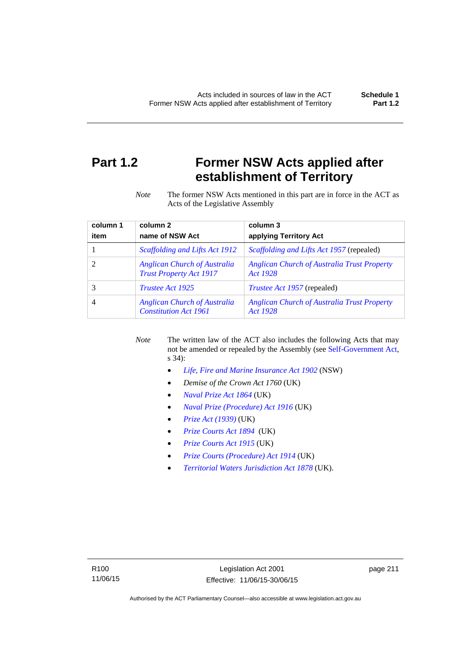# **Part 1.2 Former NSW Acts applied after establishment of Territory**

*Note* The former NSW Acts mentioned in this part are in force in the ACT as Acts of the Legislative Assembly

| column 1 | column <sub>2</sub>                                                   | column 3                                                       |
|----------|-----------------------------------------------------------------------|----------------------------------------------------------------|
| item     | name of NSW Act                                                       | applying Territory Act                                         |
|          | Scaffolding and Lifts Act 1912                                        | <i>Scaffolding and Lifts Act 1957</i> (repealed)               |
|          | <b>Anglican Church of Australia</b><br><b>Trust Property Act 1917</b> | <b>Anglican Church of Australia Trust Property</b><br>Act 1928 |
|          | <i>Trustee Act 1925</i>                                               | <i>Trustee Act 1957</i> (repealed)                             |
| 4        | <b>Anglican Church of Australia</b><br><b>Constitution Act 1961</b>   | <b>Anglican Church of Australia Trust Property</b><br>Act 1928 |

*Note* The written law of the ACT also includes the following Acts that may not be amended or repealed by the Assembly (see [Self-Government Act,](http://www.comlaw.gov.au/Series/C2004A03699) s 34):

- *[Life, Fire and Marine Insurance Act 1902](http://www.legislation.nsw.gov.au/maintop/scanact/sessional/NONE/0)* (NSW)
- *Demise of the Crown Act 1760* (UK)
- *[Naval Prize Act 1864](http://www.legislation.gov.uk/ukpga/Vict/27-28/25/contents)* (UK)
- *[Naval Prize \(Procedure\) Act 1916](http://www.legislation.gov.uk/ukpga/Geo5/6-7/2/contents)* (UK)
- *[Prize Act \(1939\)](http://www.legislation.gov.uk/ukpga/Geo6/2-3/65/contents)* (UK)
- *[Prize Courts Act 1894](http://www.legislation.gov.uk/ukpga/Vict/57-58/39/contents)* (UK)
- *[Prize Courts Act 1915](http://www.legislation.gov.uk/ukpga/Geo5/5-6/57/contents)* (UK)
- *[Prize Courts \(Procedure\) Act 1914](http://www.legislation.gov.uk/ukpga/Geo5/4-5/13/contents)* (UK)
- *[Territorial Waters Jurisdiction Act 1878](http://www.legislation.gov.uk/ukpga/Vict/41-42/73/contents)* (UK).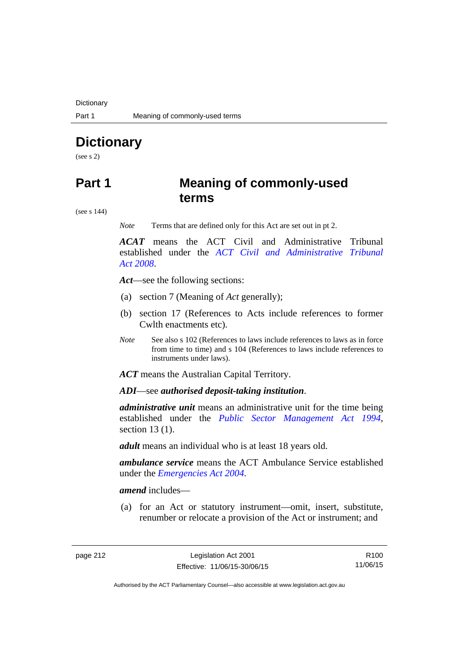**Dictionary** 

# **Dictionary**

(see s 2)

# **Part 1 Meaning of commonly-used terms**

(see s 144)

*Note* Terms that are defined only for this Act are set out in pt 2.

*ACAT* means the ACT Civil and Administrative Tribunal established under the *[ACT Civil and Administrative Tribunal](http://www.legislation.act.gov.au/a/2008-35)  [Act 2008](http://www.legislation.act.gov.au/a/2008-35)*.

*Act*—see the following sections:

- (a) section 7 (Meaning of *Act* generally);
- (b) section 17 (References to Acts include references to former Cwlth enactments etc).
- *Note* See also s 102 (References to laws include references to laws as in force from time to time) and s 104 (References to laws include references to instruments under laws).

*ACT* means the Australian Capital Territory.

*ADI*—see *authorised deposit-taking institution*.

*administrative unit* means an administrative unit for the time being established under the *[Public Sector Management Act 1994](http://www.legislation.act.gov.au/a/1994-37)*, section 13 (1).

*adult* means an individual who is at least 18 years old.

*ambulance service* means the ACT Ambulance Service established under the *[Emergencies Act 2004](http://www.legislation.act.gov.au/a/2004-28)*.

*amend* includes—

(a) for an Act or statutory instrument—omit, insert, substitute, renumber or relocate a provision of the Act or instrument; and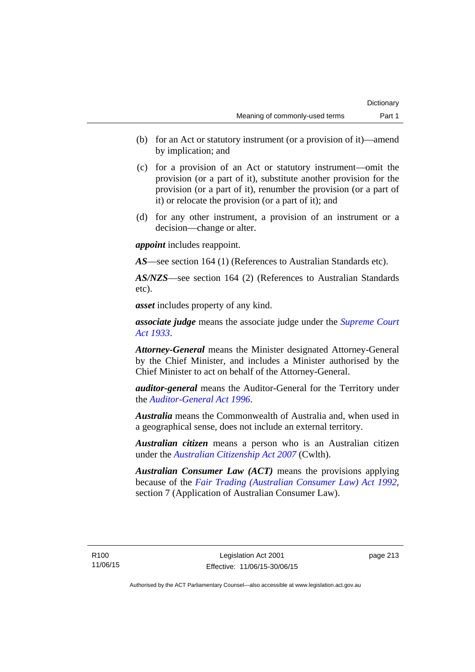- (b) for an Act or statutory instrument (or a provision of it)—amend by implication; and
- (c) for a provision of an Act or statutory instrument—omit the provision (or a part of it), substitute another provision for the provision (or a part of it), renumber the provision (or a part of it) or relocate the provision (or a part of it); and
- (d) for any other instrument, a provision of an instrument or a decision—change or alter.

*appoint* includes reappoint.

*AS*—see section 164 (1) (References to Australian Standards etc).

*AS/NZS*—see section 164 (2) (References to Australian Standards etc).

*asset* includes property of any kind.

*associate judge* means the associate judge under the *[Supreme Court](http://www.legislation.act.gov.au/a/1933-34)  [Act 1933](http://www.legislation.act.gov.au/a/1933-34)*.

*Attorney-General* means the Minister designated Attorney-General by the Chief Minister, and includes a Minister authorised by the Chief Minister to act on behalf of the Attorney-General.

*auditor-general* means the Auditor-General for the Territory under the *[Auditor-General Act 1996](http://www.legislation.act.gov.au/a/1996-23)*.

*Australia* means the Commonwealth of Australia and, when used in a geographical sense, does not include an external territory.

*Australian citizen* means a person who is an Australian citizen under the *[Australian Citizenship Act 2007](http://www.comlaw.gov.au/Series/C2007A00020)* (Cwlth).

*Australian Consumer Law (ACT)* means the provisions applying because of the *[Fair Trading \(Australian Consumer Law\) Act 1992](http://www.legislation.act.gov.au/a/1992-72)*, section 7 (Application of Australian Consumer Law).

R100 11/06/15 page 213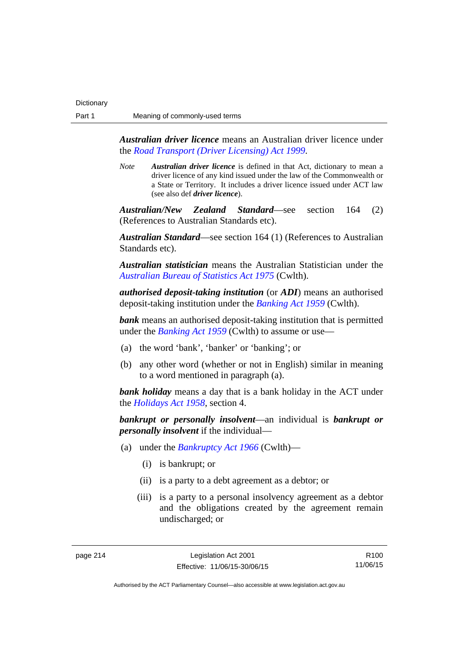*Australian driver licence* means an Australian driver licence under the *[Road Transport \(Driver Licensing\) Act 1999](http://www.legislation.act.gov.au/a/1999-78)*.

*Note Australian driver licence* is defined in that Act, dictionary to mean a driver licence of any kind issued under the law of the Commonwealth or a State or Territory. It includes a driver licence issued under ACT law (see also def *driver licence*).

*Australian/New Zealand Standard*—see section 164 (2) (References to Australian Standards etc).

*Australian Standard*—see section 164 (1) (References to Australian Standards etc).

*Australian statistician* means the Australian Statistician under the *[Australian Bureau of Statistics Act 1975](http://www.comlaw.gov.au/Series/C2004A00282)* (Cwlth).

*authorised deposit-taking institution* (or *ADI*) means an authorised deposit-taking institution under the *[Banking Act 1959](http://www.comlaw.gov.au/Series/C2004A07357)* (Cwlth).

**bank** means an authorised deposit-taking institution that is permitted under the *[Banking Act 1959](http://www.comlaw.gov.au/Series/C2004A07357)* (Cwlth) to assume or use—

- (a) the word 'bank', 'banker' or 'banking'; or
- (b) any other word (whether or not in English) similar in meaning to a word mentioned in paragraph (a).

*bank holiday* means a day that is a bank holiday in the ACT under the *[Holidays Act 1958](http://www.legislation.act.gov.au/a/1958-19)*, section 4.

*bankrupt or personally insolvent*—an individual is *bankrupt or personally insolvent* if the individual—

- (a) under the *[Bankruptcy Act 1966](http://www.comlaw.gov.au/Series/C2004A07422)* (Cwlth)—
	- (i) is bankrupt; or
	- (ii) is a party to a debt agreement as a debtor; or
	- (iii) is a party to a personal insolvency agreement as a debtor and the obligations created by the agreement remain undischarged; or

R100 11/06/15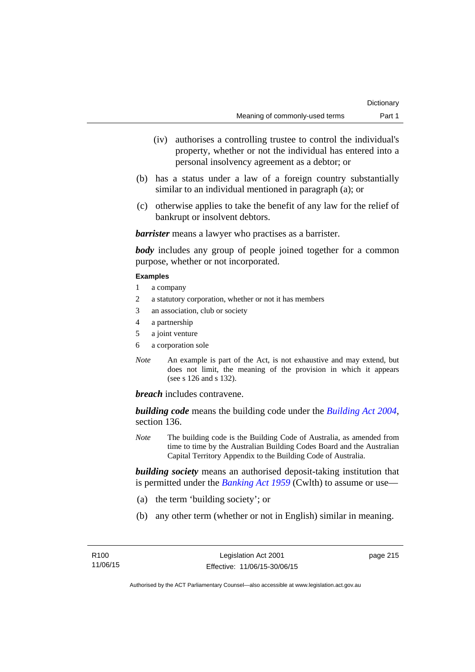- (iv) authorises a controlling trustee to control the individual's property, whether or not the individual has entered into a personal insolvency agreement as a debtor; or
- (b) has a status under a law of a foreign country substantially similar to an individual mentioned in paragraph (a); or
- (c) otherwise applies to take the benefit of any law for the relief of bankrupt or insolvent debtors.

*barrister* means a lawyer who practises as a barrister.

*body* includes any group of people joined together for a common purpose, whether or not incorporated.

#### **Examples**

- 1 a company
- 2 a statutory corporation, whether or not it has members
- 3 an association, club or society
- 4 a partnership
- 5 a joint venture
- 6 a corporation sole
- *Note* An example is part of the Act, is not exhaustive and may extend, but does not limit, the meaning of the provision in which it appears (see s 126 and s 132).

*breach* includes contravene.

*building code* means the building code under the *[Building Act 2004](http://www.legislation.act.gov.au/a/2004-11)*, section 136.

*Note* The building code is the Building Code of Australia, as amended from time to time by the Australian Building Codes Board and the Australian Capital Territory Appendix to the Building Code of Australia.

*building society* means an authorised deposit-taking institution that is permitted under the *[Banking Act 1959](http://www.comlaw.gov.au/Series/C2004A07357)* (Cwlth) to assume or use—

- (a) the term 'building society'; or
- (b) any other term (whether or not in English) similar in meaning.

page 215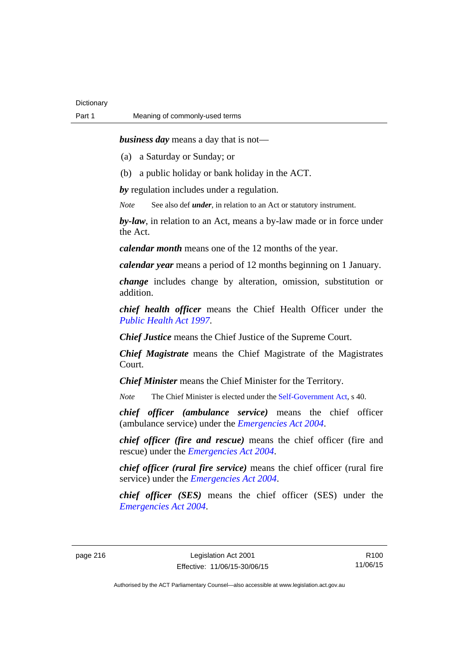*business day* means a day that is not—

(a) a Saturday or Sunday; or

(b) a public holiday or bank holiday in the ACT.

*by* regulation includes under a regulation.

*Note* See also def *under*, in relation to an Act or statutory instrument.

*by-law*, in relation to an Act, means a by-law made or in force under the Act.

*calendar month* means one of the 12 months of the year.

*calendar year* means a period of 12 months beginning on 1 January.

*change* includes change by alteration, omission, substitution or addition.

*chief health officer* means the Chief Health Officer under the *[Public Health Act 1997](http://www.legislation.act.gov.au/a/1997-69)*.

*Chief Justice* means the Chief Justice of the Supreme Court.

*Chief Magistrate* means the Chief Magistrate of the Magistrates Court.

*Chief Minister* means the Chief Minister for the Territory.

*Note* The Chief Minister is elected under the [Self-Government Act](http://www.comlaw.gov.au/Series/C2004A03699), s 40.

*chief officer (ambulance service)* means the chief officer (ambulance service) under the *[Emergencies Act 2004](http://www.legislation.act.gov.au/a/2004-28)*.

*chief officer (fire and rescue)* means the chief officer (fire and rescue) under the *[Emergencies Act 2004](http://www.legislation.act.gov.au/a/2004-28)*.

*chief officer (rural fire service)* means the chief officer (rural fire service) under the *[Emergencies Act 2004](http://www.legislation.act.gov.au/a/2004-28)*.

*chief officer (SES)* means the chief officer (SES) under the *[Emergencies Act 2004](http://www.legislation.act.gov.au/a/2004-28)*.

page 216 Legislation Act 2001 Effective: 11/06/15-30/06/15

R100 11/06/15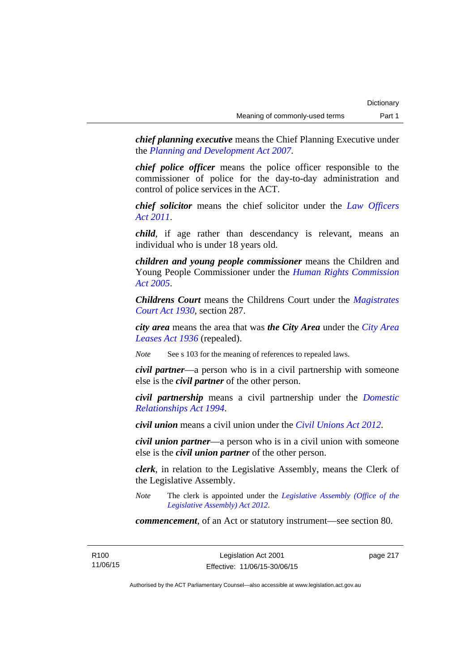*chief planning executive* means the Chief Planning Executive under the *[Planning and Development Act 2007](http://www.legislation.act.gov.au/a/2007-24)*.

*chief police officer* means the police officer responsible to the commissioner of police for the day-to-day administration and control of police services in the ACT.

*chief solicitor* means the chief solicitor under the *[Law Officers](http://www.legislation.act.gov.au/a/2011-30)  [Act 2011](http://www.legislation.act.gov.au/a/2011-30)*.

*child*, if age rather than descendancy is relevant, means an individual who is under 18 years old.

*children and young people commissioner* means the Children and Young People Commissioner under the *[Human Rights Commission](http://www.legislation.act.gov.au/a/2005-40)  [Act 2005](http://www.legislation.act.gov.au/a/2005-40)*.

*Childrens Court* means the Childrens Court under the *[Magistrates](http://www.legislation.act.gov.au/a/1930-21)  [Court Act 1930](http://www.legislation.act.gov.au/a/1930-21)*, section 287.

*city area* means the area that was *the City Area* under the *[City Area](http://www.legislation.act.gov.au/a/1936-31)  [Leases Act 1936](http://www.legislation.act.gov.au/a/1936-31)* (repealed).

*Note* See s 103 for the meaning of references to repealed laws.

*civil partner*—a person who is in a civil partnership with someone else is the *civil partner* of the other person.

*civil partnership* means a civil partnership under the *[Domestic](http://www.legislation.act.gov.au/a/1994-28)  [Relationships Act 1994](http://www.legislation.act.gov.au/a/1994-28)*.

*civil union* means a civil union under the *[Civil Unions Act 2012](http://www.legislation.act.gov.au/a/2012-40)*.

*civil union partner*—a person who is in a civil union with someone else is the *civil union partner* of the other person.

*clerk*, in relation to the Legislative Assembly, means the Clerk of the Legislative Assembly.

*Note* The clerk is appointed under the *[Legislative Assembly \(Office of the](http://www.legislation.act.gov.au/a/2012-26)  [Legislative Assembly\) Act 2012](http://www.legislation.act.gov.au/a/2012-26)*.

*commencement*, of an Act or statutory instrument—see section 80.

R100 11/06/15 page 217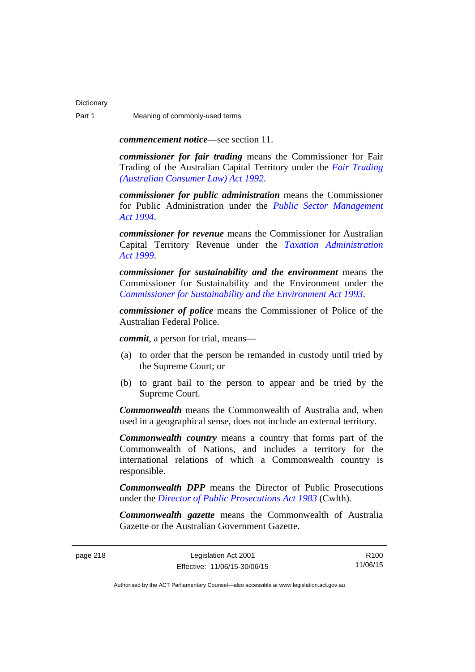*commencement notice*—see section 11.

*commissioner for fair trading* means the Commissioner for Fair Trading of the Australian Capital Territory under the *[Fair Trading](http://www.legislation.act.gov.au/a/1992-72)  [\(Australian Consumer Law\) Act 1992](http://www.legislation.act.gov.au/a/1992-72)*.

*commissioner for public administration* means the Commissioner for Public Administration under the *[Public Sector Management](http://www.legislation.act.gov.au/a/1994-37)  [Act 1994](http://www.legislation.act.gov.au/a/1994-37)*.

*commissioner for revenue* means the Commissioner for Australian Capital Territory Revenue under the *[Taxation Administration](http://www.legislation.act.gov.au/a/1999-4)  [Act 1999](http://www.legislation.act.gov.au/a/1999-4)*.

*commissioner for sustainability and the environment* means the Commissioner for Sustainability and the Environment under the *[Commissioner for Sustainability and the Environment Act 1993](http://www.legislation.act.gov.au/a/1993-37)*.

*commissioner of police* means the Commissioner of Police of the Australian Federal Police.

*commit*, a person for trial, means—

- (a) to order that the person be remanded in custody until tried by the Supreme Court; or
- (b) to grant bail to the person to appear and be tried by the Supreme Court.

*Commonwealth* means the Commonwealth of Australia and, when used in a geographical sense, does not include an external territory.

*Commonwealth country* means a country that forms part of the Commonwealth of Nations, and includes a territory for the international relations of which a Commonwealth country is responsible.

*Commonwealth DPP* means the Director of Public Prosecutions under the *[Director of Public Prosecutions Act 1983](http://www.comlaw.gov.au/Series/C2004A02830)* (Cwlth).

*Commonwealth gazette* means the Commonwealth of Australia Gazette or the Australian Government Gazette.

R100 11/06/15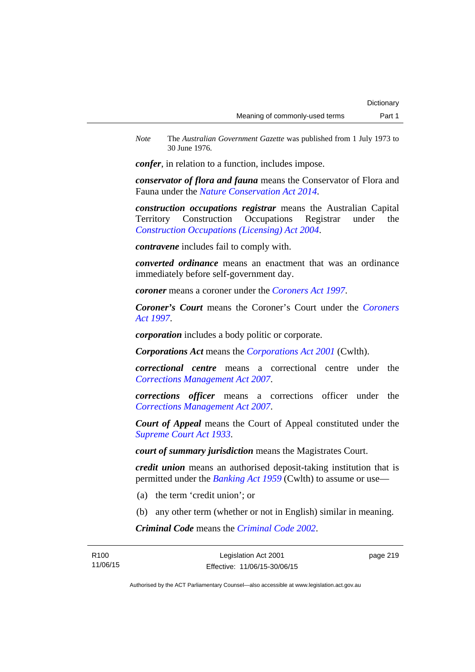*Note* The *Australian Government Gazette* was published from 1 July 1973 to 30 June 1976.

*confer*, in relation to a function, includes impose.

*conservator of flora and fauna* means the Conservator of Flora and Fauna under the *[Nature Conservation Act 2014](http://www.legislation.act.gov.au/a/2014-59)*.

*construction occupations registrar* means the Australian Capital Territory Construction Occupations Registrar under the *[Construction Occupations \(Licensing\) Act 2004](http://www.legislation.act.gov.au/a/2004-12)*.

*contravene* includes fail to comply with.

*converted ordinance* means an enactment that was an ordinance immediately before self-government day.

*coroner* means a coroner under the *[Coroners Act 1997](http://www.legislation.act.gov.au/a/1997-57)*.

*Coroner's Court* means the Coroner's Court under the *[Coroners](http://www.legislation.act.gov.au/a/1997-57)  [Act 1997](http://www.legislation.act.gov.au/a/1997-57)*.

*corporation* includes a body politic or corporate.

*Corporations Act* means the *[Corporations Act 2001](http://www.comlaw.gov.au/Series/C2004A00818)* (Cwlth).

*correctional centre* means a correctional centre under the *[Corrections Management Act 2007](http://www.legislation.act.gov.au/a/2007-15)*.

*corrections officer* means a corrections officer under the *[Corrections Management Act 2007](http://www.legislation.act.gov.au/a/2007-15)*.

*Court of Appeal* means the Court of Appeal constituted under the *[Supreme Court Act 1933](http://www.legislation.act.gov.au/a/1933-34)*.

*court of summary jurisdiction* means the Magistrates Court.

*credit union* means an authorised deposit-taking institution that is permitted under the *[Banking Act 1959](http://www.comlaw.gov.au/Series/C2004A07357)* (Cwlth) to assume or use—

- (a) the term 'credit union'; or
- (b) any other term (whether or not in English) similar in meaning.

*Criminal Code* means the *[Criminal Code 2002](http://www.legislation.act.gov.au/a/2002-51)*.

| R <sub>100</sub> | Legislation Act 2001         | page 219 |
|------------------|------------------------------|----------|
| 11/06/15         | Effective: 11/06/15-30/06/15 |          |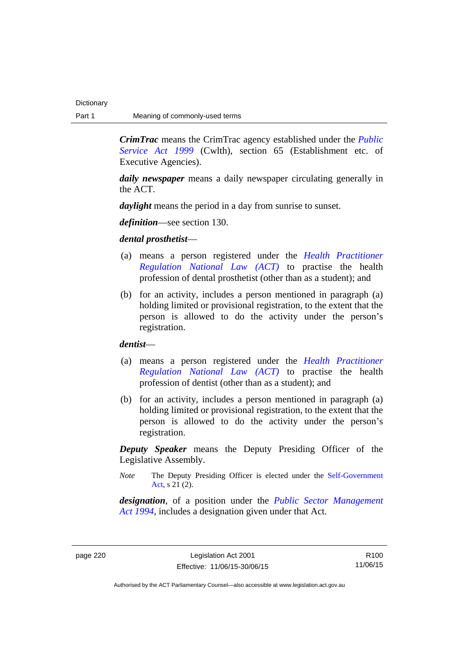*CrimTrac* means the CrimTrac agency established under the *[Public](http://www.comlaw.gov.au/Series/C2004A00538)  [Service Act 1999](http://www.comlaw.gov.au/Series/C2004A00538)* (Cwlth), section 65 (Establishment etc. of Executive Agencies).

*daily newspaper* means a daily newspaper circulating generally in the ACT.

*daylight* means the period in a day from sunrise to sunset.

*definition*—see section 130.

*dental prosthetist*—

- (a) means a person registered under the *[Health Practitioner](http://www.legislation.act.gov.au/a/db_39269/default.asp)  [Regulation National Law \(ACT\)](http://www.legislation.act.gov.au/a/db_39269/default.asp)* to practise the health profession of dental prosthetist (other than as a student); and
- (b) for an activity, includes a person mentioned in paragraph (a) holding limited or provisional registration, to the extent that the person is allowed to do the activity under the person's registration.

*dentist*—

- (a) means a person registered under the *[Health Practitioner](http://www.legislation.act.gov.au/a/db_39269/default.asp)  [Regulation National Law \(ACT\)](http://www.legislation.act.gov.au/a/db_39269/default.asp)* to practise the health profession of dentist (other than as a student); and
- (b) for an activity, includes a person mentioned in paragraph (a) holding limited or provisional registration, to the extent that the person is allowed to do the activity under the person's registration.

*Deputy Speaker* means the Deputy Presiding Officer of the Legislative Assembly.

*Note* The Deputy Presiding Officer is elected under the [Self-Government](http://www.comlaw.gov.au/Series/C2004A03699)  [Act](http://www.comlaw.gov.au/Series/C2004A03699). s 21 (2).

*designation*, of a position under the *[Public Sector Management](http://www.legislation.act.gov.au/a/1994-37)  [Act 1994](http://www.legislation.act.gov.au/a/1994-37)*, includes a designation given under that Act.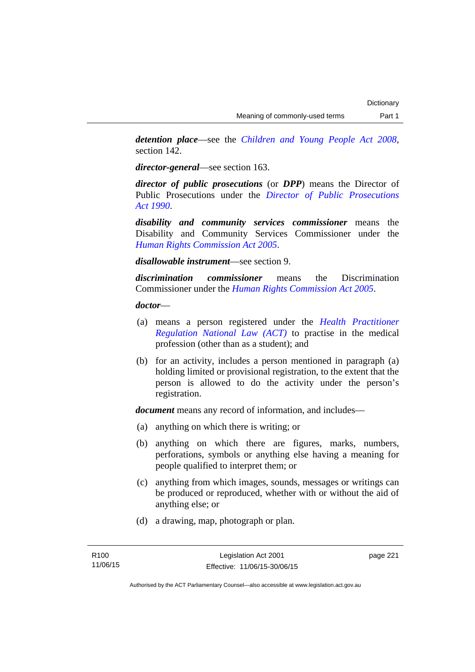*detention place*—see the *[Children and Young People Act 2008](http://www.legislation.act.gov.au/a/2008-19)*, section 142.

*director-general*—see section 163.

*director of public prosecutions* (or *DPP*) means the Director of Public Prosecutions under the *[Director of Public Prosecutions](http://www.legislation.act.gov.au/a/1990-22)  [Act 1990](http://www.legislation.act.gov.au/a/1990-22)*.

*disability and community services commissioner* means the Disability and Community Services Commissioner under the *[Human Rights Commission Act 2005](http://www.legislation.act.gov.au/a/2005-40)*.

*disallowable instrument*—see section 9.

*discrimination commissioner* means the Discrimination Commissioner under the *[Human Rights Commission Act 2005](http://www.legislation.act.gov.au/a/2005-40)*.

*doctor*—

- (a) means a person registered under the *[Health Practitioner](http://www.legislation.act.gov.au/a/db_39269/default.asp)  [Regulation National Law \(ACT\)](http://www.legislation.act.gov.au/a/db_39269/default.asp)* to practise in the medical profession (other than as a student); and
- (b) for an activity, includes a person mentioned in paragraph (a) holding limited or provisional registration, to the extent that the person is allowed to do the activity under the person's registration.

*document* means any record of information, and includes—

- (a) anything on which there is writing; or
- (b) anything on which there are figures, marks, numbers, perforations, symbols or anything else having a meaning for people qualified to interpret them; or
- (c) anything from which images, sounds, messages or writings can be produced or reproduced, whether with or without the aid of anything else; or
- (d) a drawing, map, photograph or plan.

page 221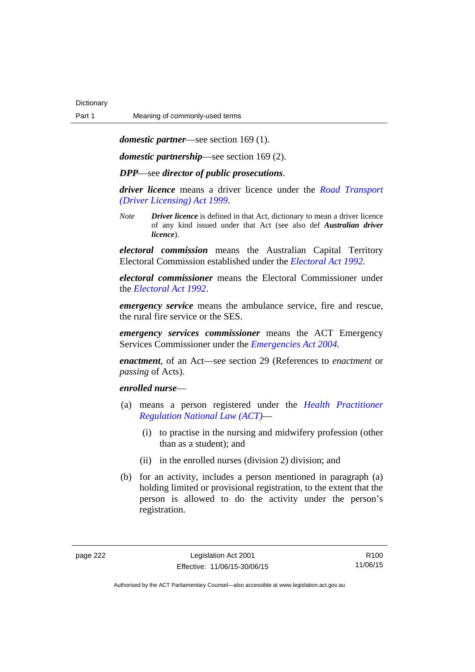*domestic partner*—see section 169 (1).

*domestic partnership*—see section 169 (2).

*DPP*—see *director of public prosecutions*.

*driver licence* means a driver licence under the *[Road Transport](http://www.legislation.act.gov.au/a/1999-78)  [\(Driver Licensing\) Act 1999](http://www.legislation.act.gov.au/a/1999-78)*.

*Note Driver licence* is defined in that Act, dictionary to mean a driver licence of any kind issued under that Act (see also def *Australian driver licence*).

*electoral commission* means the Australian Capital Territory Electoral Commission established under the *[Electoral Act 1992](http://www.legislation.act.gov.au/a/1992-71)*.

*electoral commissioner* means the Electoral Commissioner under the *[Electoral Act 1992](http://www.legislation.act.gov.au/a/1992-71)*.

*emergency service* means the ambulance service, fire and rescue, the rural fire service or the SES.

*emergency services commissioner* means the ACT Emergency Services Commissioner under the *[Emergencies Act 2004](http://www.legislation.act.gov.au/a/2004-28)*.

*enactment*, of an Act—see section 29 (References to *enactment* or *passing* of Acts).

### *enrolled nurse*—

- (a) means a person registered under the *[Health Practitioner](http://www.legislation.act.gov.au/a/db_39269/default.asp)  [Regulation National Law \(ACT\)](http://www.legislation.act.gov.au/a/db_39269/default.asp)*—
	- (i) to practise in the nursing and midwifery profession (other than as a student); and
	- (ii) in the enrolled nurses (division 2) division; and
- (b) for an activity, includes a person mentioned in paragraph (a) holding limited or provisional registration, to the extent that the person is allowed to do the activity under the person's registration.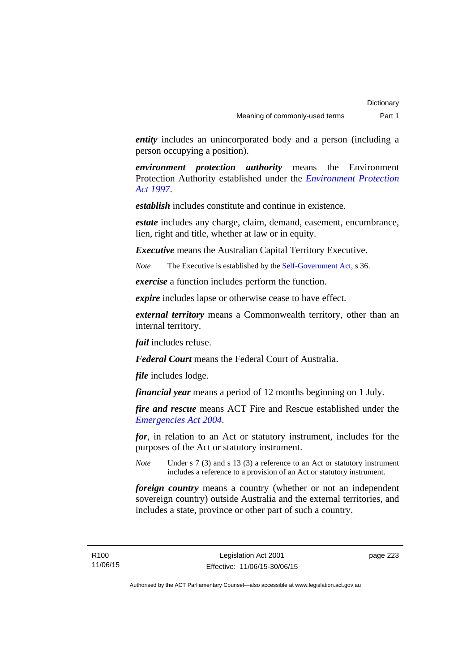*entity* includes an unincorporated body and a person (including a person occupying a position).

*environment protection authority* means the Environment Protection Authority established under the *[Environment Protection](http://www.legislation.act.gov.au/a/1997-92)  [Act 1997](http://www.legislation.act.gov.au/a/1997-92)*.

*establish* includes constitute and continue in existence.

*estate* includes any charge, claim, demand, easement, encumbrance, lien, right and title, whether at law or in equity.

*Executive* means the Australian Capital Territory Executive.

*Note* The Executive is established by the [Self-Government Act](http://www.comlaw.gov.au/Series/C2004A03699), s 36.

*exercise* a function includes perform the function.

*expire* includes lapse or otherwise cease to have effect.

*external territory* means a Commonwealth territory, other than an internal territory.

*fail* includes refuse.

*Federal Court* means the Federal Court of Australia.

*file* includes lodge.

*financial year* means a period of 12 months beginning on 1 July.

*fire and rescue* means ACT Fire and Rescue established under the *[Emergencies Act 2004](http://www.legislation.act.gov.au/a/2004-28)*.

*for*, in relation to an Act or statutory instrument, includes for the purposes of the Act or statutory instrument.

*Note* Under s 7 (3) and s 13 (3) a reference to an Act or statutory instrument includes a reference to a provision of an Act or statutory instrument.

*foreign country* means a country (whether or not an independent sovereign country) outside Australia and the external territories, and includes a state, province or other part of such a country.

page 223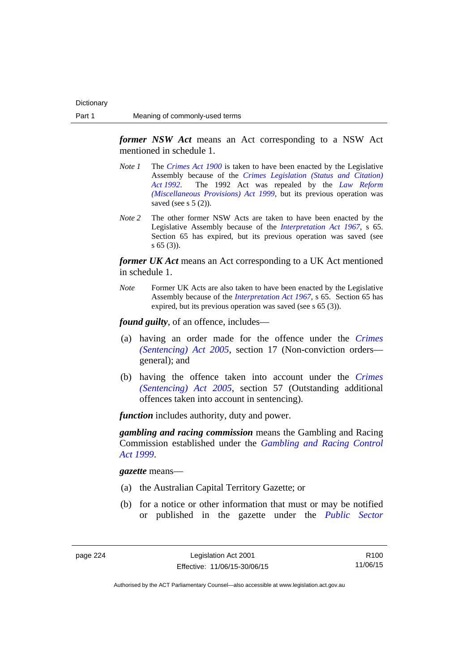*former NSW Act* means an Act corresponding to a NSW Act mentioned in schedule 1.

- *Note 1* The *[Crimes Act 1900](http://www.legislation.act.gov.au/a/1900-40)* is taken to have been enacted by the Legislative Assembly because of the *[Crimes Legislation \(Status and Citation\)](http://www.legislation.act.gov.au/a/1992-6)  [Act 1992](http://www.legislation.act.gov.au/a/1992-6)*. The 1992 Act was repealed by the *[Law Reform](http://www.legislation.act.gov.au/a/1999-66)  [\(Miscellaneous Provisions\) Act 1999](http://www.legislation.act.gov.au/a/1999-66)*, but its previous operation was saved (see s  $5(2)$ ).
- *Note 2* The other former NSW Acts are taken to have been enacted by the Legislative Assembly because of the *[Interpretation Act 1967](http://www.legislation.act.gov.au/a/1967-48)*, s 65. Section 65 has expired, but its previous operation was saved (see s 65 (3)).

*former UK Act* means an Act corresponding to a UK Act mentioned in schedule 1.

*Note* Former UK Acts are also taken to have been enacted by the Legislative Assembly because of the *[Interpretation Act 1967](http://www.legislation.act.gov.au/a/1967-48)*, s 65. Section 65 has expired, but its previous operation was saved (see s 65 (3)).

*found guilty*, of an offence, includes—

- (a) having an order made for the offence under the *[Crimes](http://www.legislation.act.gov.au/a/2005-58)  [\(Sentencing\) Act 2005](http://www.legislation.act.gov.au/a/2005-58)*, section 17 (Non-conviction orders general); and
- (b) having the offence taken into account under the *[Crimes](http://www.legislation.act.gov.au/a/2005-58)  [\(Sentencing\) Act 2005](http://www.legislation.act.gov.au/a/2005-58)*, section 57 (Outstanding additional offences taken into account in sentencing).

*function* includes authority, duty and power.

*gambling and racing commission* means the Gambling and Racing Commission established under the *[Gambling and Racing Control](http://www.legislation.act.gov.au/a/1999-46)  [Act 1999](http://www.legislation.act.gov.au/a/1999-46)*.

*gazette* means—

- (a) the Australian Capital Territory Gazette; or
- (b) for a notice or other information that must or may be notified or published in the gazette under the *[Public Sector](http://www.legislation.act.gov.au/a/1994-37)*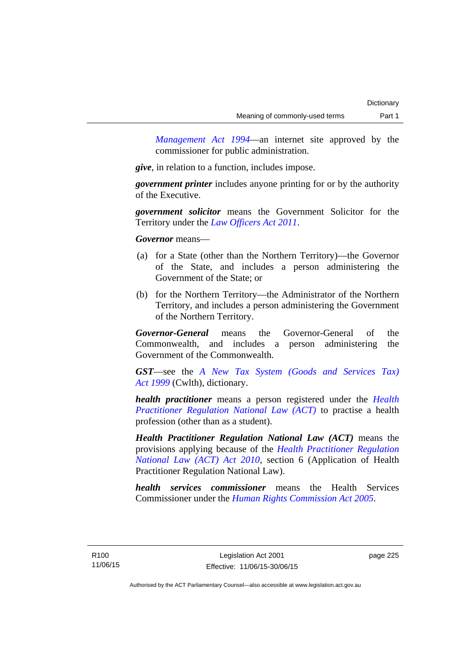*Management Act 1994*—an internet site approved by the commissioner for public administration.

*give*, in relation to a function, includes impose.

*government printer* includes anyone printing for or by the authority of the Executive.

*government solicitor* means the Government Solicitor for the Territory under the *[Law Officers Act 2011](http://www.legislation.act.gov.au/a/2011-30)*.

*Governor* means—

- (a) for a State (other than the Northern Territory)—the Governor of the State, and includes a person administering the Government of the State; or
- (b) for the Northern Territory—the Administrator of the Northern Territory, and includes a person administering the Government of the Northern Territory.

*Governor-General* means the Governor-General of the Commonwealth, and includes a person administering the Government of the Commonwealth.

*GST*—see the *[A New Tax System \(Goods and Services Tax\)](http://www.comlaw.gov.au/Series/C2004A00446)  [Act 1999](http://www.comlaw.gov.au/Series/C2004A00446)* (Cwlth), dictionary.

*health practitioner* means a person registered under the *[Health](http://www.legislation.act.gov.au/a/db_39269/default.asp)  [Practitioner Regulation National Law \(ACT\)](http://www.legislation.act.gov.au/a/db_39269/default.asp)* to practise a health profession (other than as a student).

*Health Practitioner Regulation National Law (ACT)* means the provisions applying because of the *[Health Practitioner Regulation](http://www.legislation.act.gov.au/a/2010-10)  [National Law \(ACT\) Act 2010](http://www.legislation.act.gov.au/a/2010-10)*, section 6 (Application of Health Practitioner Regulation National Law).

*health services commissioner* means the Health Services Commissioner under the *[Human Rights Commission Act 2005](http://www.legislation.act.gov.au/a/2005-40)*.

page 225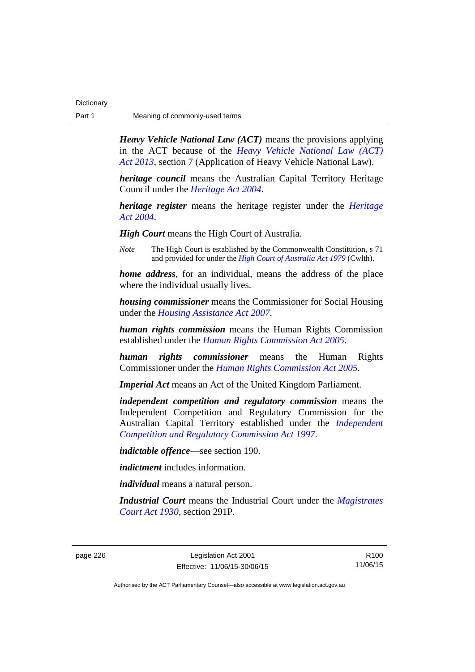| Dictionary |                                |
|------------|--------------------------------|
| Part 1     | Meaning of commonly-used terms |

*Heavy Vehicle National Law (ACT)* means the provisions applying in the ACT because of the *[Heavy Vehicle National Law \(ACT\)](http://www.legislation.act.gov.au/a/2013-51/default.asp)  [Act 2013](http://www.legislation.act.gov.au/a/2013-51/default.asp)*, section 7 (Application of Heavy Vehicle National Law).

*heritage council* means the Australian Capital Territory Heritage Council under the *[Heritage Act 2004](http://www.legislation.act.gov.au/a/2004-57)*.

*heritage register* means the heritage register under the *[Heritage](http://www.legislation.act.gov.au/a/2004-57)  [Act 2004](http://www.legislation.act.gov.au/a/2004-57)*.

*High Court* means the High Court of Australia.

*Note* The High Court is established by the Commonwealth Constitution, s 71 and provided for under the *[High Court of Australia Act 1979](http://www.comlaw.gov.au/Series/C2004A02147)* (Cwlth).

*home address*, for an individual, means the address of the place where the individual usually lives.

*housing commissioner* means the Commissioner for Social Housing under the *[Housing Assistance Act 2007](http://www.legislation.act.gov.au/a/2007-8)*.

*human rights commission* means the Human Rights Commission established under the *[Human Rights Commission Act 2005](http://www.legislation.act.gov.au/a/2005-40)*.

*human rights commissioner* means the Human Rights Commissioner under the *[Human Rights Commission Act 2005](http://www.legislation.act.gov.au/a/2005-40)*.

*Imperial Act* means an Act of the United Kingdom Parliament.

*independent competition and regulatory commission* means the Independent Competition and Regulatory Commission for the Australian Capital Territory established under the *[Independent](http://www.legislation.act.gov.au/a/1997-77)  [Competition and Regulatory Commission Act 1997](http://www.legislation.act.gov.au/a/1997-77)*.

*indictable offence*—see section 190.

*indictment* includes information.

*individual* means a natural person.

*Industrial Court* means the Industrial Court under the *[Magistrates](http://www.legislation.act.gov.au/a/1930-21)  [Court Act 1930](http://www.legislation.act.gov.au/a/1930-21)*, section 291P.

page 226 Legislation Act 2001 Effective: 11/06/15-30/06/15

R100 11/06/15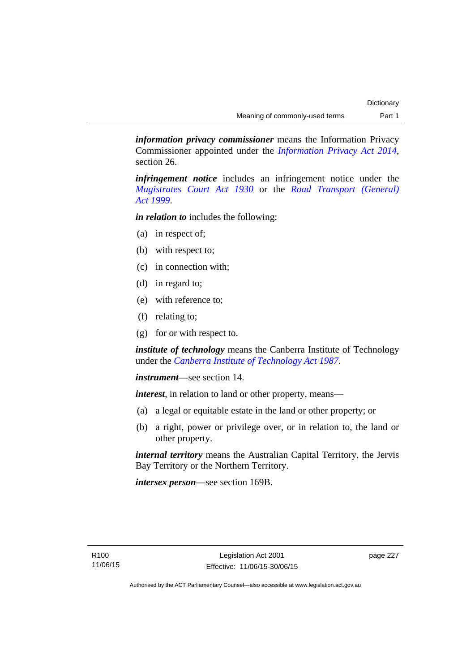*information privacy commissioner* means the Information Privacy Commissioner appointed under the *[Information Privacy Act 2014](http://www.legislation.act.gov.au/a/2014-24/default.asp)*, section 26.

*infringement notice* includes an infringement notice under the *[Magistrates Court Act 1930](http://www.legislation.act.gov.au/a/1930-21)* or the *[Road Transport \(General\)](http://www.legislation.act.gov.au/a/1999-77)  [Act 1999](http://www.legislation.act.gov.au/a/1999-77)*.

*in relation to* includes the following:

- (a) in respect of;
- (b) with respect to;
- (c) in connection with;
- (d) in regard to;
- (e) with reference to;
- (f) relating to;
- (g) for or with respect to.

*institute of technology* means the Canberra Institute of Technology under the *[Canberra Institute of Technology Act 1987](http://www.legislation.act.gov.au/a/1987-71)*.

*instrument*—see section 14.

*interest*, in relation to land or other property, means—

- (a) a legal or equitable estate in the land or other property; or
- (b) a right, power or privilege over, or in relation to, the land or other property.

*internal territory* means the Australian Capital Territory, the Jervis Bay Territory or the Northern Territory.

*intersex person*—see section 169B.

page 227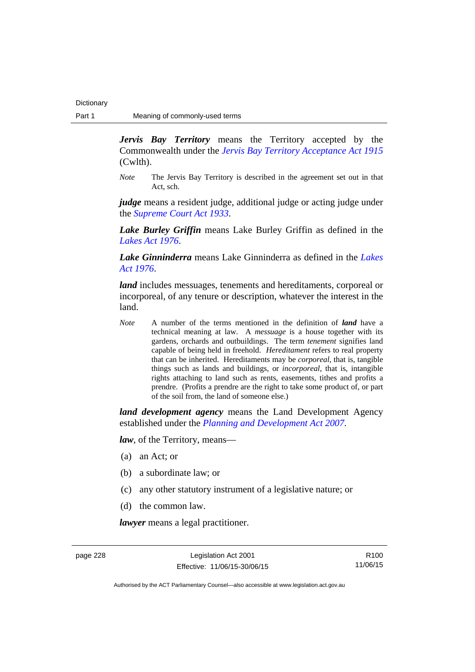*Jervis Bay Territory* means the Territory accepted by the Commonwealth under the *[Jervis Bay Territory Acceptance Act 1915](http://www.comlaw.gov.au/Series/C2004A07489)* (Cwlth).

*Note* The Jervis Bay Territory is described in the agreement set out in that Act, sch.

*judge* means a resident judge, additional judge or acting judge under the *[Supreme Court Act 1933](http://www.legislation.act.gov.au/a/1933-34)*.

*Lake Burley Griffin* means Lake Burley Griffin as defined in the *[Lakes Act 1976](http://www.legislation.act.gov.au/a/1976-65)*.

*Lake Ginninderra* means Lake Ginninderra as defined in the *[Lakes](http://www.legislation.act.gov.au/a/1976-65)  [Act 1976](http://www.legislation.act.gov.au/a/1976-65)*.

*land* includes messuages, tenements and hereditaments, corporeal or incorporeal, of any tenure or description, whatever the interest in the land.

*Note* A number of the terms mentioned in the definition of *land* have a technical meaning at law. A *messuage* is a house together with its gardens, orchards and outbuildings. The term *tenement* signifies land capable of being held in freehold. *Hereditament* refers to real property that can be inherited. Hereditaments may be *corporeal*, that is, tangible things such as lands and buildings, or *incorporeal*, that is, intangible rights attaching to land such as rents, easements, tithes and profits a prendre. (Profits a prendre are the right to take some product of, or part of the soil from, the land of someone else.)

*land development agency* means the Land Development Agency established under the *[Planning and Development Act 2007](http://www.legislation.act.gov.au/a/2007-24)*.

*law*, of the Territory, means—

- (a) an Act; or
- (b) a subordinate law; or
- (c) any other statutory instrument of a legislative nature; or
- (d) the common law.

*lawyer* means a legal practitioner.

page 228 Legislation Act 2001 Effective: 11/06/15-30/06/15

R100 11/06/15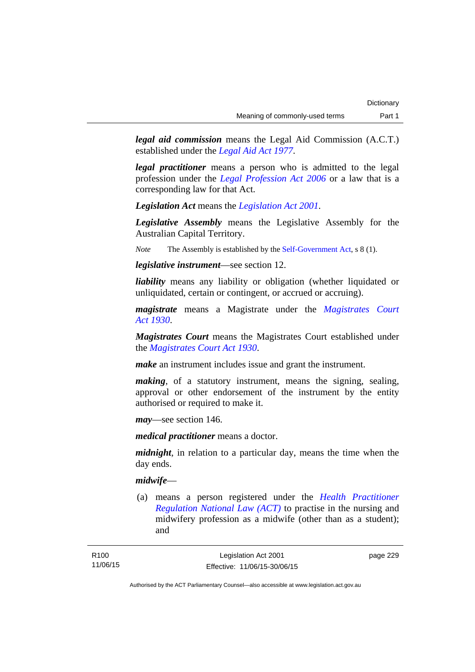*legal aid commission* means the Legal Aid Commission (A.C.T.) established under the *[Legal Aid Act 1977](http://www.legislation.act.gov.au/a/1977-31)*.

*legal practitioner* means a person who is admitted to the legal profession under the *[Legal Profession Act 2006](http://www.legislation.act.gov.au/a/2006-25)* or a law that is a corresponding law for that Act.

*Legislation Act* means the *[Legislation Act 2001](http://www.legislation.act.gov.au/a/2001-14)*.

*Legislative Assembly* means the Legislative Assembly for the Australian Capital Territory.

*Note* The Assembly is established by the [Self-Government Act](http://www.comlaw.gov.au/Series/C2004A03699), s 8 (1).

*legislative instrument*—see section 12.

*liability* means any liability or obligation (whether liquidated or unliquidated, certain or contingent, or accrued or accruing).

*magistrate* means a Magistrate under the *[Magistrates Court](http://www.legislation.act.gov.au/a/1930-21)  [Act 1930](http://www.legislation.act.gov.au/a/1930-21)*.

*Magistrates Court* means the Magistrates Court established under the *[Magistrates Court Act 1930](http://www.legislation.act.gov.au/a/1930-21)*.

*make* an instrument includes issue and grant the instrument.

*making*, of a statutory instrument, means the signing, sealing, approval or other endorsement of the instrument by the entity authorised or required to make it.

*may*—see section 146.

*medical practitioner* means a doctor.

*midnight*, in relation to a particular day, means the time when the day ends.

### *midwife*—

 (a) means a person registered under the *[Health Practitioner](http://www.legislation.act.gov.au/a/db_39269/default.asp)  [Regulation National Law \(ACT\)](http://www.legislation.act.gov.au/a/db_39269/default.asp)* to practise in the nursing and midwifery profession as a midwife (other than as a student); and

page 229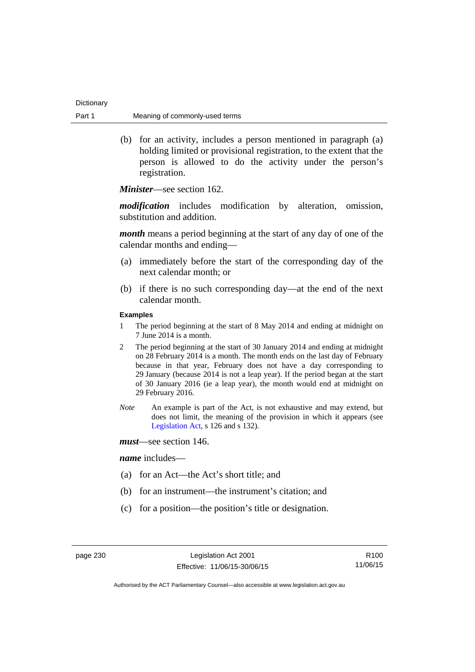| Dictionary |                                |
|------------|--------------------------------|
| Part 1     | Meaning of commonly-used terms |

 (b) for an activity, includes a person mentioned in paragraph (a) holding limited or provisional registration, to the extent that the person is allowed to do the activity under the person's registration.

*Minister*—see section 162.

*modification* includes modification by alteration, omission, substitution and addition.

*month* means a period beginning at the start of any day of one of the calendar months and ending—

- (a) immediately before the start of the corresponding day of the next calendar month; or
- (b) if there is no such corresponding day—at the end of the next calendar month.

### **Examples**

- 1 The period beginning at the start of 8 May 2014 and ending at midnight on 7 June 2014 is a month.
- 2 The period beginning at the start of 30 January 2014 and ending at midnight on 28 February 2014 is a month. The month ends on the last day of February because in that year, February does not have a day corresponding to 29 January (because 2014 is not a leap year). If the period began at the start of 30 January 2016 (ie a leap year), the month would end at midnight on 29 February 2016.
- *Note* An example is part of the Act, is not exhaustive and may extend, but does not limit, the meaning of the provision in which it appears (see [Legislation Act,](http://www.legislation.act.gov.au/a/2001-14) s 126 and s 132).
- *must*—see section 146.

#### *name* includes—

- (a) for an Act—the Act's short title; and
- (b) for an instrument—the instrument's citation; and
- (c) for a position—the position's title or designation.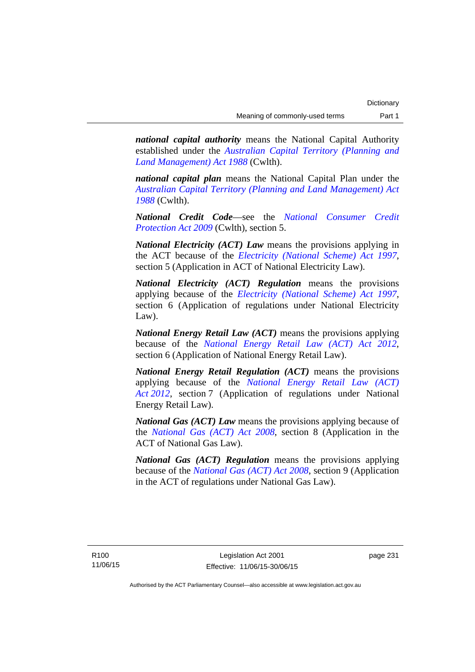*national capital authority* means the National Capital Authority established under the *[Australian Capital Territory \(Planning and](http://www.comlaw.gov.au/Series/C2004A03701)  [Land Management\) Act 1988](http://www.comlaw.gov.au/Series/C2004A03701)* (Cwlth).

*national capital plan* means the National Capital Plan under the *[Australian Capital Territory \(Planning and Land Management\) Act](http://www.comlaw.gov.au/Series/C2004A03701)  [1988](http://www.comlaw.gov.au/Series/C2004A03701)* (Cwlth).

*National Credit Code*—see the *[National Consumer Credit](http://www.comlaw.gov.au/Series/C2009A00134)  [Protection Act 2009](http://www.comlaw.gov.au/Series/C2009A00134)* (Cwlth), section 5.

*National Electricity (ACT) Law* means the provisions applying in the ACT because of the *[Electricity \(National Scheme\) Act 1997](http://www.legislation.act.gov.au/a/1997-79)*, section 5 (Application in ACT of National Electricity Law).

*National Electricity (ACT) Regulation* means the provisions applying because of the *[Electricity \(National Scheme\) Act 1997](http://www.legislation.act.gov.au/a/1997-79)*, section 6 (Application of regulations under National Electricity Law).

*National Energy Retail Law (ACT)* means the provisions applying because of the *[National Energy Retail Law \(ACT\) Act 2012](http://www.legislation.act.gov.au/a/2012-31)*, section 6 (Application of National Energy Retail Law).

*National Energy Retail Regulation (ACT)* means the provisions applying because of the *[National Energy Retail Law \(ACT\)](http://www.legislation.act.gov.au/a/2012-31)  [Act 2012](http://www.legislation.act.gov.au/a/2012-31)*, section 7 (Application of regulations under National Energy Retail Law).

*National Gas (ACT) Law* means the provisions applying because of the *[National Gas \(ACT\) Act 2008](http://www.legislation.act.gov.au/a/2008-15)*, section 8 (Application in the ACT of National Gas Law).

*National Gas (ACT) Regulation* means the provisions applying because of the *[National Gas \(ACT\) Act 2008](http://www.legislation.act.gov.au/a/2008-15)*, section 9 (Application in the ACT of regulations under National Gas Law).

page 231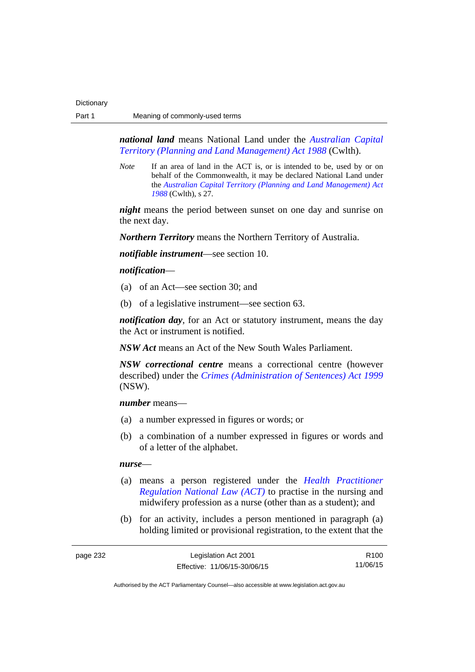*national land* means National Land under the *[Australian Capital](http://www.comlaw.gov.au/Series/C2004A03701)  [Territory \(Planning and Land Management\) Act 1988](http://www.comlaw.gov.au/Series/C2004A03701)* (Cwlth).

*Note* If an area of land in the ACT is, or is intended to be, used by or on behalf of the Commonwealth, it may be declared National Land under the *[Australian Capital Territory \(Planning and Land Management\) Act](http://www.comlaw.gov.au/Series/C2004A03701)  [1988](http://www.comlaw.gov.au/Series/C2004A03701)* (Cwlth), s 27.

*night* means the period between sunset on one day and sunrise on the next day.

*Northern Territory* means the Northern Territory of Australia.

*notifiable instrument*—see section 10.

### *notification*—

- (a) of an Act—see section 30; and
- (b) of a legislative instrument—see section 63.

*notification day*, for an Act or statutory instrument, means the day the Act or instrument is notified.

*NSW Act* means an Act of the New South Wales Parliament.

*NSW correctional centre* means a correctional centre (however described) under the *[Crimes \(Administration of Sentences\) Act 1999](http://www.legislation.nsw.gov.au/maintop/view/inforce/act+93+1999+cd+0+N)* (NSW).

*number* means—

- (a) a number expressed in figures or words; or
- (b) a combination of a number expressed in figures or words and of a letter of the alphabet.

#### *nurse*—

- (a) means a person registered under the *[Health Practitioner](http://www.legislation.act.gov.au/a/db_39269/default.asp)  [Regulation National Law \(ACT\)](http://www.legislation.act.gov.au/a/db_39269/default.asp)* to practise in the nursing and midwifery profession as a nurse (other than as a student); and
- (b) for an activity, includes a person mentioned in paragraph (a) holding limited or provisional registration, to the extent that the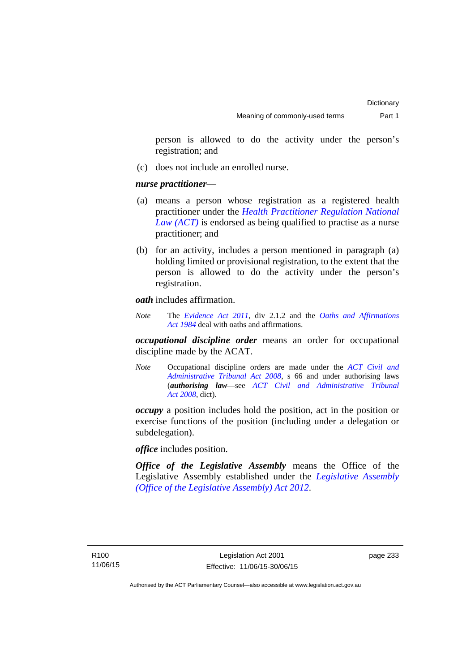person is allowed to do the activity under the person's registration; and

(c) does not include an enrolled nurse.

### *nurse practitioner*—

- (a) means a person whose registration as a registered health practitioner under the *[Health Practitioner Regulation National](http://www.legislation.act.gov.au/a/db_39269/default.asp)  [Law \(ACT\)](http://www.legislation.act.gov.au/a/db_39269/default.asp)* is endorsed as being qualified to practise as a nurse practitioner; and
- (b) for an activity, includes a person mentioned in paragraph (a) holding limited or provisional registration, to the extent that the person is allowed to do the activity under the person's registration.

*oath* includes affirmation.

*Note* The *[Evidence Act 2011](http://www.legislation.act.gov.au/a/2011-12)*, div 2.1.2 and the *[Oaths and Affirmations](http://www.legislation.act.gov.au/a/1984-79)  [Act 1984](http://www.legislation.act.gov.au/a/1984-79)* deal with oaths and affirmations.

*occupational discipline order* means an order for occupational discipline made by the ACAT.

*Note* Occupational discipline orders are made under the *[ACT Civil and](http://www.legislation.act.gov.au/a/2008-35)  [Administrative Tribunal Act 2008](http://www.legislation.act.gov.au/a/2008-35)*, s 66 and under authorising laws (*authorising law*—see *[ACT Civil and Administrative Tribunal](http://www.legislation.act.gov.au/a/2008-35)  [Act 2008](http://www.legislation.act.gov.au/a/2008-35)*, dict).

*occupy* a position includes hold the position, act in the position or exercise functions of the position (including under a delegation or subdelegation).

*office* includes position.

*Office of the Legislative Assembly* means the Office of the Legislative Assembly established under the *[Legislative Assembly](http://www.legislation.act.gov.au/a/2012-26)  [\(Office of the Legislative Assembly\) Act 2012](http://www.legislation.act.gov.au/a/2012-26)*.

page 233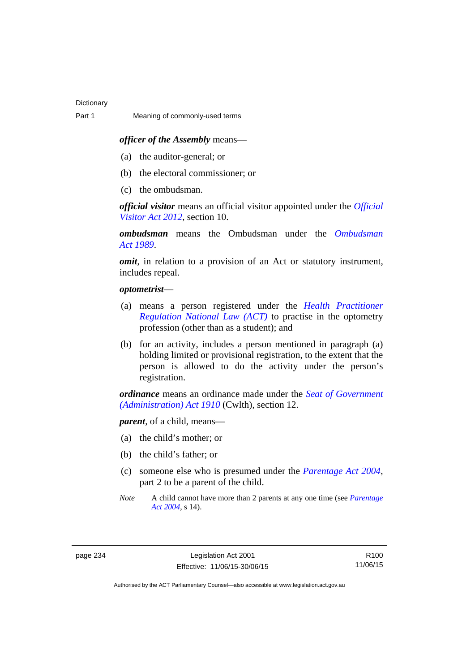### *officer of the Assembly* means—

- (a) the auditor-general; or
- (b) the electoral commissioner; or
- (c) the ombudsman.

*official visitor* means an official visitor appointed under the *[Official](http://www.legislation.act.gov.au/a/2012-33)  [Visitor Act 2012](http://www.legislation.act.gov.au/a/2012-33)*, section 10.

*ombudsman* means the Ombudsman under the *[Ombudsman](http://www.legislation.act.gov.au/a/alt_a1989-45co)  [Act 1989](http://www.legislation.act.gov.au/a/alt_a1989-45co)*.

*omit*, in relation to a provision of an Act or statutory instrument, includes repeal.

#### *optometrist*—

- (a) means a person registered under the *[Health Practitioner](http://www.legislation.act.gov.au/a/db_39269/default.asp)  [Regulation National Law \(ACT\)](http://www.legislation.act.gov.au/a/db_39269/default.asp)* to practise in the optometry profession (other than as a student); and
- (b) for an activity, includes a person mentioned in paragraph (a) holding limited or provisional registration, to the extent that the person is allowed to do the activity under the person's registration.

*ordinance* means an ordinance made under the *[Seat of Government](http://www.comlaw.gov.au/Series/C2004A07446)  [\(Administration\) Act 1910](http://www.comlaw.gov.au/Series/C2004A07446)* (Cwlth), section 12.

*parent*, of a child, means—

- (a) the child's mother; or
- (b) the child's father; or
- (c) someone else who is presumed under the *[Parentage Act 2004](http://www.legislation.act.gov.au/a/2004-1)*, part 2 to be a parent of the child.
- *Note* A child cannot have more than 2 parents at any one time (see *[Parentage](http://www.legislation.act.gov.au/a/2004-1)  [Act 2004](http://www.legislation.act.gov.au/a/2004-1)*, s 14).

R100 11/06/15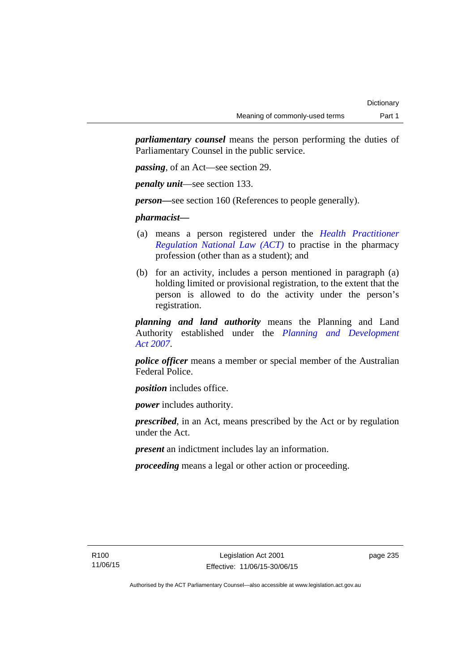*parliamentary counsel* means the person performing the duties of Parliamentary Counsel in the public service.

*passing*, of an Act—see section 29.

*penalty unit*—see section 133.

*person—*see section 160 (References to people generally).

*pharmacist***—**

- (a) means a person registered under the *[Health Practitioner](http://www.legislation.act.gov.au/a/db_39269/default.asp)  [Regulation National Law \(ACT\)](http://www.legislation.act.gov.au/a/db_39269/default.asp)* to practise in the pharmacy profession (other than as a student); and
- (b) for an activity, includes a person mentioned in paragraph (a) holding limited or provisional registration, to the extent that the person is allowed to do the activity under the person's registration.

*planning and land authority* means the Planning and Land Authority established under the *[Planning and Development](http://www.legislation.act.gov.au/a/2007-24)  [Act 2007](http://www.legislation.act.gov.au/a/2007-24)*.

*police officer* means a member or special member of the Australian Federal Police.

*position* includes office.

*power* includes authority.

*prescribed*, in an Act, means prescribed by the Act or by regulation under the Act.

*present* an indictment includes lay an information.

*proceeding* means a legal or other action or proceeding.

page 235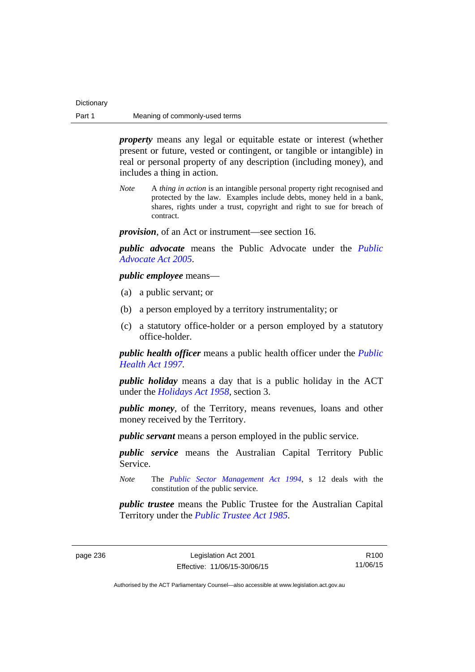| Dictionary |                                |
|------------|--------------------------------|
| Part 1     | Meaning of commonly-used terms |

*property* means any legal or equitable estate or interest (whether present or future, vested or contingent, or tangible or intangible) in real or personal property of any description (including money), and includes a thing in action.

*Note* A *thing in action* is an intangible personal property right recognised and protected by the law. Examples include debts, money held in a bank, shares, rights under a trust, copyright and right to sue for breach of contract.

*provision*, of an Act or instrument—see section 16.

*public advocate* means the Public Advocate under the *[Public](http://www.legislation.act.gov.au/a/2005-47)  [Advocate Act 2005](http://www.legislation.act.gov.au/a/2005-47)*.

*public employee* means—

- (a) a public servant; or
- (b) a person employed by a territory instrumentality; or
- (c) a statutory office-holder or a person employed by a statutory office-holder.

*public health officer* means a public health officer under the *[Public](http://www.legislation.act.gov.au/a/1997-69)  [Health Act 1997.](http://www.legislation.act.gov.au/a/1997-69)*

*public holiday* means a day that is a public holiday in the ACT under the *[Holidays Act 1958](http://www.legislation.act.gov.au/a/1958-19)*, section 3.

*public money*, of the Territory, means revenues, loans and other money received by the Territory.

*public servant* means a person employed in the public service.

*public service* means the Australian Capital Territory Public Service.

*Note* The *[Public Sector Management Act 1994](http://www.legislation.act.gov.au/a/1994-37)*, s 12 deals with the constitution of the public service.

*public trustee* means the Public Trustee for the Australian Capital Territory under the *[Public Trustee Act 1985](http://www.legislation.act.gov.au/a/1985-8)*.

R100 11/06/15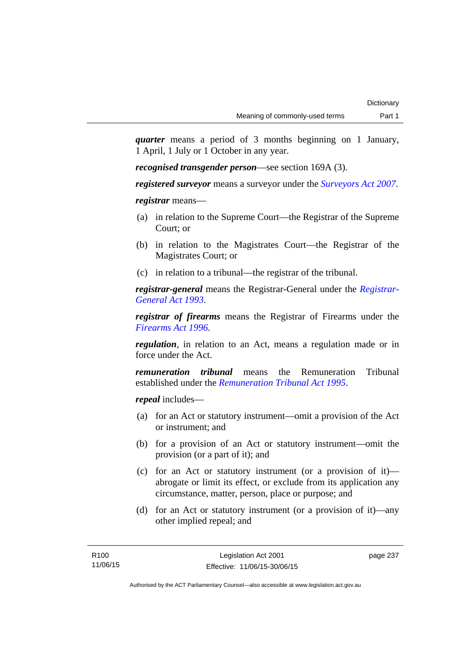*quarter* means a period of 3 months beginning on 1 January, 1 April, 1 July or 1 October in any year.

*recognised transgender person*—see section 169A (3).

*registered surveyor* means a surveyor under the *[Surveyors Act 2007](http://www.legislation.act.gov.au/a/2007-33)*.

*registrar* means—

- (a) in relation to the Supreme Court—the Registrar of the Supreme Court; or
- (b) in relation to the Magistrates Court—the Registrar of the Magistrates Court; or
- (c) in relation to a tribunal—the registrar of the tribunal.

*registrar-general* means the Registrar-General under the *[Registrar-](http://www.legislation.act.gov.au/a/1993-63)[General Act 1993](http://www.legislation.act.gov.au/a/1993-63)*.

*registrar of firearms* means the Registrar of Firearms under the *[Firearms Act 1996](http://www.legislation.act.gov.au/a/1996-74)*.

*regulation*, in relation to an Act, means a regulation made or in force under the Act.

*remuneration tribunal* means the Remuneration Tribunal established under the *[Remuneration Tribunal Act 1995](http://www.legislation.act.gov.au/a/1995-55)*.

*repeal* includes—

- (a) for an Act or statutory instrument—omit a provision of the Act or instrument; and
- (b) for a provision of an Act or statutory instrument—omit the provision (or a part of it); and
- (c) for an Act or statutory instrument (or a provision of it) abrogate or limit its effect, or exclude from its application any circumstance, matter, person, place or purpose; and
- (d) for an Act or statutory instrument (or a provision of it)—any other implied repeal; and

page 237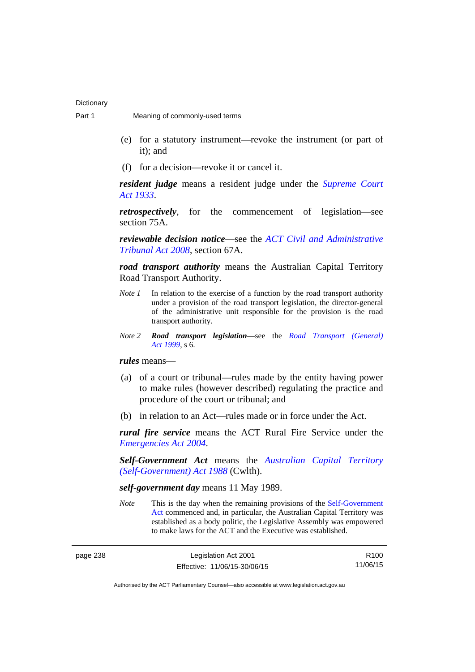- (e) for a statutory instrument—revoke the instrument (or part of it); and
- (f) for a decision—revoke it or cancel it.

*resident judge* means a resident judge under the *[Supreme Court](http://www.legislation.act.gov.au/a/1933-34)  [Act 1933](http://www.legislation.act.gov.au/a/1933-34)*.

*retrospectively*, for the commencement of legislation—see section 75A.

*reviewable decision notice*—see the *[ACT Civil and Administrative](http://www.legislation.act.gov.au/a/2008-35)  [Tribunal Act 2008](http://www.legislation.act.gov.au/a/2008-35)*, section 67A.

*road transport authority* means the Australian Capital Territory Road Transport Authority.

- *Note 1* In relation to the exercise of a function by the road transport authority under a provision of the road transport legislation, the director-general of the administrative unit responsible for the provision is the road transport authority.
- *Note 2 Road transport legislation––*see the *[Road Transport \(General\)](http://www.legislation.act.gov.au/a/1999-77)  [Act 1999](http://www.legislation.act.gov.au/a/1999-77)*, s 6.

*rules* means—

- (a) of a court or tribunal—rules made by the entity having power to make rules (however described) regulating the practice and procedure of the court or tribunal; and
- (b) in relation to an Act—rules made or in force under the Act.

*rural fire service* means the ACT Rural Fire Service under the *[Emergencies Act 2004](http://www.legislation.act.gov.au/a/2004-28)*.

*Self-Government Act* means the *[Australian Capital Territory](http://www.comlaw.gov.au/Series/C2004A03699)  [\(Self-Government\) Act 1988](http://www.comlaw.gov.au/Series/C2004A03699)* (Cwlth).

# *self-government day* means 11 May 1989.

*Note* This is the day when the remaining provisions of the Self-Government [Act](http://www.comlaw.gov.au/Series/C2004A03699) commenced and, in particular, the Australian Capital Territory was established as a body politic, the Legislative Assembly was empowered to make laws for the ACT and the Executive was established.

| page 238 | Legislation Act 2001         | R <sub>100</sub> |
|----------|------------------------------|------------------|
|          | Effective: 11/06/15-30/06/15 | 11/06/15         |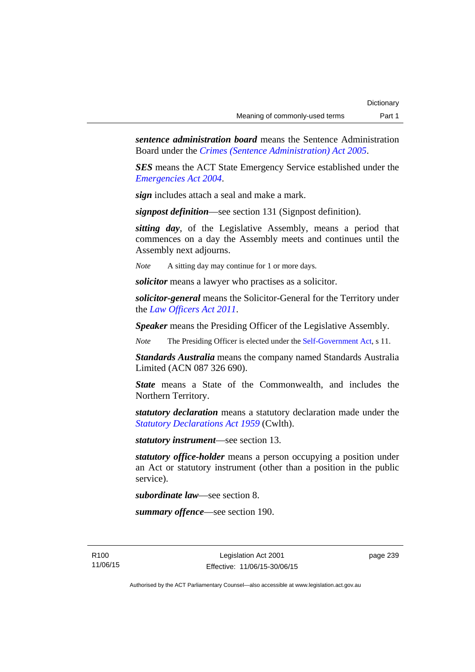*sentence administration board* means the Sentence Administration Board under the *[Crimes \(Sentence Administration\) Act 2005](http://www.legislation.act.gov.au/a/2005-59)*.

*SES* means the ACT State Emergency Service established under the *[Emergencies Act 2004](http://www.legislation.act.gov.au/a/2004-28)*.

*sign* includes attach a seal and make a mark.

*signpost definition*—see section 131 (Signpost definition).

*sitting day*, of the Legislative Assembly, means a period that commences on a day the Assembly meets and continues until the Assembly next adjourns.

*Note* A sitting day may continue for 1 or more days.

*solicitor* means a lawyer who practises as a solicitor.

*solicitor-general* means the Solicitor-General for the Territory under the *[Law Officers Act 2011](http://www.legislation.act.gov.au/a/2011-30)*.

*Speaker* means the Presiding Officer of the Legislative Assembly.

*Note* The Presiding Officer is elected under the [Self-Government Act](http://www.comlaw.gov.au/Series/C2004A03699), s 11.

*Standards Australia* means the company named Standards Australia Limited (ACN 087 326 690).

*State* means a State of the Commonwealth, and includes the Northern Territory.

*statutory declaration* means a statutory declaration made under the *[Statutory Declarations Act 1959](http://www.comlaw.gov.au/Series/C2004A07365)* (Cwlth).

*statutory instrument*—see section 13.

*statutory office-holder* means a person occupying a position under an Act or statutory instrument (other than a position in the public service).

*subordinate law*—see section 8.

*summary offence*—see section 190.

R100 11/06/15 page 239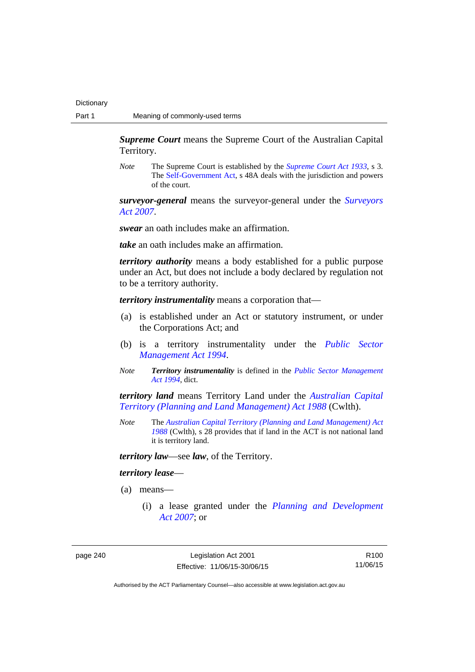*Supreme Court* means the Supreme Court of the Australian Capital Territory.

*Note* The Supreme Court is established by the *[Supreme Court Act 1933](http://www.legislation.act.gov.au/a/1933-34)*, s 3. The [Self-Government Act](http://www.comlaw.gov.au/Series/C2004A03699), s 48A deals with the jurisdiction and powers of the court.

*surveyor-general* means the surveyor-general under the *[Surveyors](http://www.legislation.act.gov.au/a/2007-33)  [Act 2007](http://www.legislation.act.gov.au/a/2007-33)*.

*swear* an oath includes make an affirmation.

*take* an oath includes make an affirmation.

*territory authority* means a body established for a public purpose under an Act, but does not include a body declared by regulation not to be a territory authority.

*territory instrumentality* means a corporation that—

- (a) is established under an Act or statutory instrument, or under the Corporations Act; and
- (b) is a territory instrumentality under the *[Public Sector](http://www.legislation.act.gov.au/a/1994-37)  [Management Act 1994](http://www.legislation.act.gov.au/a/1994-37)*.
- *Note Territory instrumentality* is defined in the *[Public Sector Management](http://www.legislation.act.gov.au/a/1994-37)  [Act 1994](http://www.legislation.act.gov.au/a/1994-37)*, dict.

*territory land* means Territory Land under the *[Australian Capital](http://www.comlaw.gov.au/Series/C2004A03701)  [Territory \(Planning and Land Management\) Act 1988](http://www.comlaw.gov.au/Series/C2004A03701)* (Cwlth).

*Note* The *[Australian Capital Territory \(Planning and Land Management\) Act](http://www.comlaw.gov.au/Series/C2004A03701)  [1988](http://www.comlaw.gov.au/Series/C2004A03701)* (Cwlth), s 28 provides that if land in the ACT is not national land it is territory land.

*territory law*—see *law*, of the Territory.

## *territory lease*—

- (a) means—
	- (i) a lease granted under the *[Planning and Development](http://www.legislation.act.gov.au/a/2007-24)  [Act 2007](http://www.legislation.act.gov.au/a/2007-24)*; or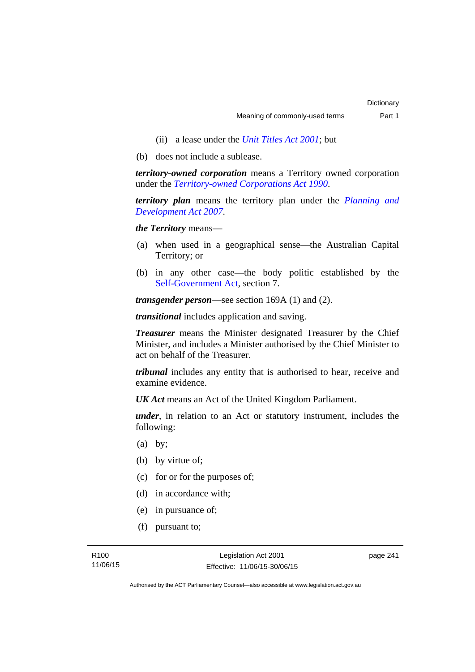- (ii) a lease under the *[Unit Titles Act 2001](http://www.legislation.act.gov.au/a/2001-16)*; but
- (b) does not include a sublease.

*territory-owned corporation* means a Territory owned corporation under the *[Territory-owned Corporations Act 1990](http://www.legislation.act.gov.au/a/1990-53)*.

*territory plan* means the territory plan under the *[Planning and](http://www.legislation.act.gov.au/a/2007-24)  [Development Act 2007](http://www.legislation.act.gov.au/a/2007-24)*.

*the Territory* means—

- (a) when used in a geographical sense—the Australian Capital Territory; or
- (b) in any other case—the body politic established by the [Self-Government Act,](http://www.comlaw.gov.au/Series/C2004A03699) section 7.

*transgender person*—see section 169A (1) and (2).

*transitional* includes application and saving.

*Treasurer* means the Minister designated Treasurer by the Chief Minister, and includes a Minister authorised by the Chief Minister to act on behalf of the Treasurer.

*tribunal* includes any entity that is authorised to hear, receive and examine evidence.

*UK Act* means an Act of the United Kingdom Parliament.

*under*, in relation to an Act or statutory instrument, includes the following:

- (a) by;
- (b) by virtue of;
- (c) for or for the purposes of;
- (d) in accordance with;
- (e) in pursuance of;
- (f) pursuant to;

page 241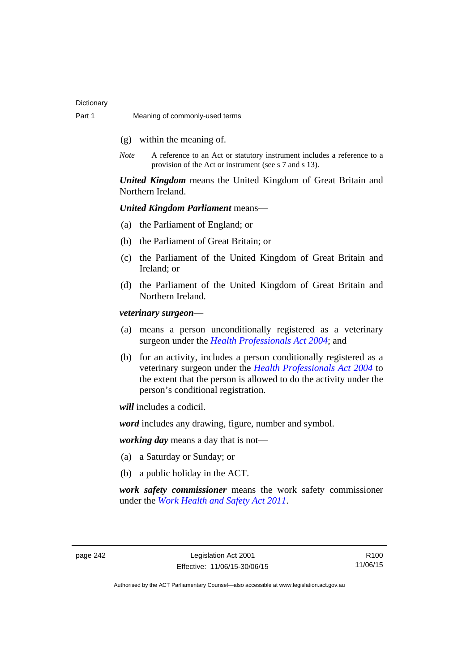- (g) within the meaning of.
- *Note* A reference to an Act or statutory instrument includes a reference to a provision of the Act or instrument (see s 7 and s 13).

*United Kingdom* means the United Kingdom of Great Britain and Northern Ireland.

# *United Kingdom Parliament* means—

- (a) the Parliament of England; or
- (b) the Parliament of Great Britain; or
- (c) the Parliament of the United Kingdom of Great Britain and Ireland; or
- (d) the Parliament of the United Kingdom of Great Britain and Northern Ireland.

*veterinary surgeon*—

- (a) means a person unconditionally registered as a veterinary surgeon under the *[Health Professionals Act 2004](http://www.legislation.act.gov.au/a/2004-38)*; and
- (b) for an activity, includes a person conditionally registered as a veterinary surgeon under the *[Health Professionals Act 2004](http://www.legislation.act.gov.au/a/2004-38)* to the extent that the person is allowed to do the activity under the person's conditional registration.

*will* includes a codicil.

*word* includes any drawing, figure, number and symbol.

*working day* means a day that is not—

- (a) a Saturday or Sunday; or
- (b) a public holiday in the ACT.

*work safety commissioner* means the work safety commissioner under the *[Work Health and Safety Act 2011](http://www.legislation.act.gov.au/a/2011-35)*.

R100 11/06/15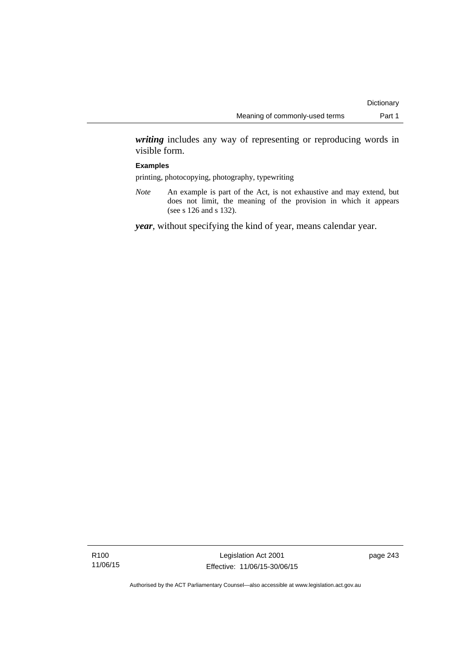*writing* includes any way of representing or reproducing words in visible form.

## **Examples**

printing, photocopying, photography, typewriting

*Note* An example is part of the Act, is not exhaustive and may extend, but does not limit, the meaning of the provision in which it appears (see s 126 and s 132).

*year*, without specifying the kind of year, means calendar year.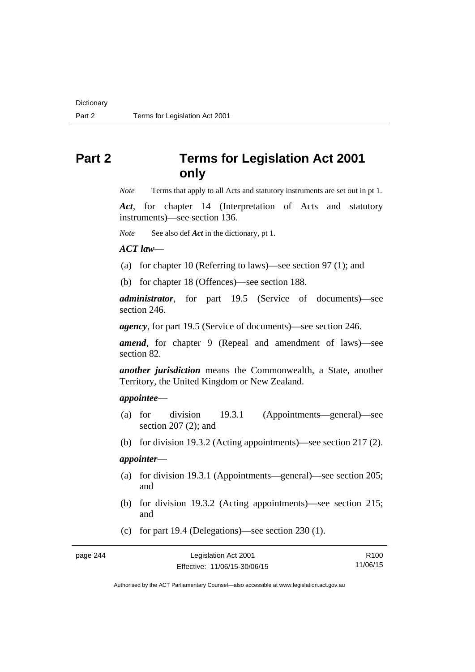# **Part 2 Terms for Legislation Act 2001 only**

*Note* Terms that apply to all Acts and statutory instruments are set out in pt 1.

*Act*, for chapter 14 (Interpretation of Acts and statutory instruments)—see section 136.

*Note* See also def *Act* in the dictionary, pt 1.

*ACT law*—

- (a) for chapter 10 (Referring to laws)—see section 97 (1); and
- (b) for chapter 18 (Offences)—see section 188.

*administrator*, for part 19.5 (Service of documents)—see section 246.

*agency*, for part 19.5 (Service of documents)—see section 246.

*amend*, for chapter 9 (Repeal and amendment of laws)—see section 82.

*another jurisdiction* means the Commonwealth, a State, another Territory, the United Kingdom or New Zealand.

# *appointee*—

- (a) for division 19.3.1 (Appointments—general)—see section 207 (2); and
- (b) for division 19.3.2 (Acting appointments)—see section 217 (2).

# *appointer*—

- (a) for division 19.3.1 (Appointments—general)—see section 205; and
- (b) for division 19.3.2 (Acting appointments)—see section 215; and
- (c) for part 19.4 (Delegations)—see section 230 (1).

| page 244 | Legislation Act 2001         | R <sub>100</sub> |
|----------|------------------------------|------------------|
|          | Effective: 11/06/15-30/06/15 | 11/06/15         |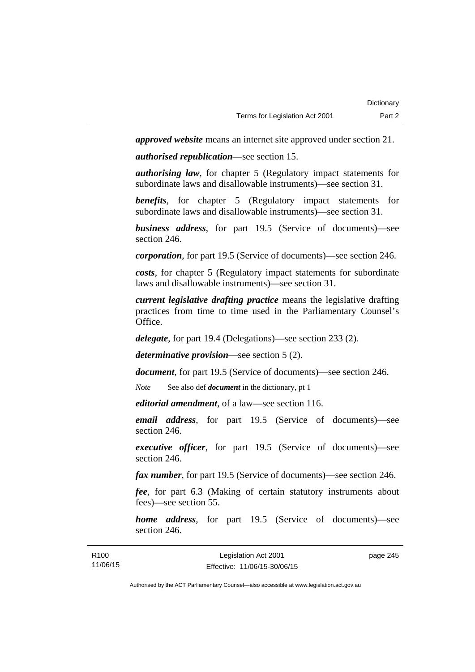*approved website* means an internet site approved under section 21.

*authorised republication*—see section 15.

*authorising law*, for chapter 5 (Regulatory impact statements for subordinate laws and disallowable instruments)—see section 31.

*benefits*, for chapter 5 (Regulatory impact statements for subordinate laws and disallowable instruments)—see section 31.

*business address*, for part 19.5 (Service of documents)—see section 246.

*corporation*, for part 19.5 (Service of documents)—see section 246.

*costs*, for chapter 5 (Regulatory impact statements for subordinate laws and disallowable instruments)—see section 31.

*current legislative drafting practice* means the legislative drafting practices from time to time used in the Parliamentary Counsel's Office.

*delegate*, for part 19.4 (Delegations)—see section 233 (2).

*determinative provision*—see section 5 (2).

*document*, for part 19.5 (Service of documents)—see section 246.

*Note* See also def *document* in the dictionary, pt 1

*editorial amendment*, of a law—see section 116.

*email address*, for part 19.5 (Service of documents)—see section 246.

*executive officer*, for part 19.5 (Service of documents)—see section 246.

*fax number*, for part 19.5 (Service of documents)—see section 246.

*fee*, for part 6.3 (Making of certain statutory instruments about fees)—see section 55.

*home address*, for part 19.5 (Service of documents)—see section 246.

| R <sub>100</sub> | Legislation Act 2001         | page 245 |
|------------------|------------------------------|----------|
| 11/06/15         | Effective: 11/06/15-30/06/15 |          |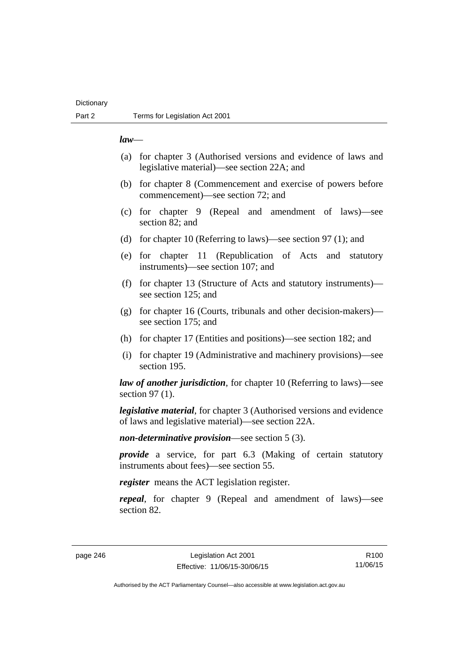# **Dictionary**

## *law*—

- (a) for chapter 3 (Authorised versions and evidence of laws and legislative material)—see section 22A; and
- (b) for chapter 8 (Commencement and exercise of powers before commencement)—see section 72; and
- (c) for chapter 9 (Repeal and amendment of laws)—see section 82; and
- (d) for chapter 10 (Referring to laws)—see section 97 (1); and
- (e) for chapter 11 (Republication of Acts and statutory instruments)—see section 107; and
- (f) for chapter 13 (Structure of Acts and statutory instruments) see section 125; and
- (g) for chapter 16 (Courts, tribunals and other decision-makers) see section 175; and
- (h) for chapter 17 (Entities and positions)—see section 182; and
- (i) for chapter 19 (Administrative and machinery provisions)—see section 195.

*law of another jurisdiction*, for chapter 10 (Referring to laws)—see section 97 (1).

*legislative material*, for chapter 3 (Authorised versions and evidence of laws and legislative material)—see section 22A.

*non-determinative provision*—see section 5 (3).

*provide* a service, for part 6.3 (Making of certain statutory instruments about fees)—see section 55.

*register* means the ACT legislation register.

*repeal*, for chapter 9 (Repeal and amendment of laws)—see section 82.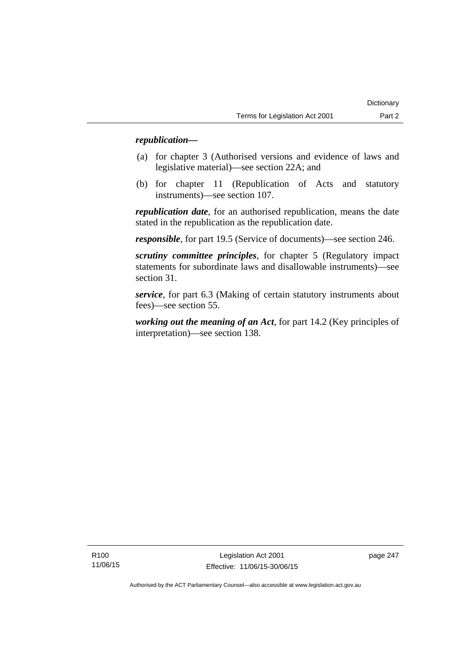# *republication—*

- (a) for chapter 3 (Authorised versions and evidence of laws and legislative material)—see section 22A; and
- (b) for chapter 11 (Republication of Acts and statutory instruments)—see section 107.

*republication date*, for an authorised republication, means the date stated in the republication as the republication date.

*responsible*, for part 19.5 (Service of documents)—see section 246.

*scrutiny committee principles*, for chapter 5 (Regulatory impact statements for subordinate laws and disallowable instruments)—see section 31.

*service*, for part 6.3 (Making of certain statutory instruments about fees)—see section 55.

*working out the meaning of an Act*, for part 14.2 (Key principles of interpretation)—see section 138.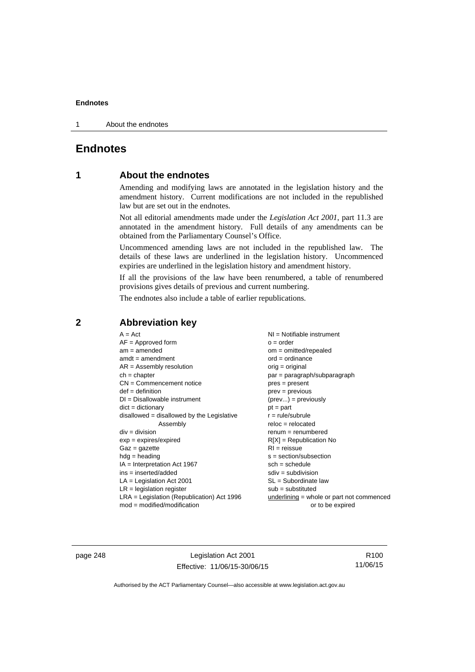1 About the endnotes

# **Endnotes**

# **1 About the endnotes**

Amending and modifying laws are annotated in the legislation history and the amendment history. Current modifications are not included in the republished law but are set out in the endnotes.

Not all editorial amendments made under the *Legislation Act 2001*, part 11.3 are annotated in the amendment history. Full details of any amendments can be obtained from the Parliamentary Counsel's Office.

Uncommenced amending laws are not included in the republished law. The details of these laws are underlined in the legislation history. Uncommenced expiries are underlined in the legislation history and amendment history.

If all the provisions of the law have been renumbered, a table of renumbered provisions gives details of previous and current numbering.

The endnotes also include a table of earlier republications.

| $A = Act$                                    | $NI =$ Notifiable instrument                |
|----------------------------------------------|---------------------------------------------|
| $AF =$ Approved form                         | $o = order$                                 |
| $am = amended$                               | $om = omitted/repealed$                     |
| $amdt = amendment$                           | $ord = ordinance$                           |
| $AR = Assembly resolution$                   | $orig = original$                           |
| $ch = chapter$                               | $par = paragraph/subparagraph$              |
| $CN =$ Commencement notice                   | $pres = present$                            |
| $def = definition$                           | $prev = previous$                           |
| $DI = Disallowable instrument$               | $(\text{prev}) = \text{previously}$         |
| $dict = dictionary$                          | $pt = part$                                 |
| $disallowed = disallowed by the Legislative$ | $r = rule/subrule$                          |
| Assembly                                     | $reloc = relocated$                         |
| $div =$ division                             | $renum = renumbered$                        |
| $exp = expires/expired$                      | $R[X]$ = Republication No                   |
| $Gaz = gazette$                              | $RI = reissue$                              |
| $hdg =$ heading                              | $s = section/subsection$                    |
| $IA = Interpretation Act 1967$               | $sch = schedule$                            |
| $ins = inserted/added$                       | $sdiv = subdivision$                        |
| $LA =$ Legislation Act 2001                  | $SL = Subordinate$ law                      |
| $LR =$ legislation register                  | $sub =$ substituted                         |
| $LRA =$ Legislation (Republication) Act 1996 | $underlining = whole or part not commenced$ |
| $mod = modified/modification$                | or to be expired                            |

**2 Abbreviation key** 

page 248 Legislation Act 2001 Effective: 11/06/15-30/06/15

R100 11/06/15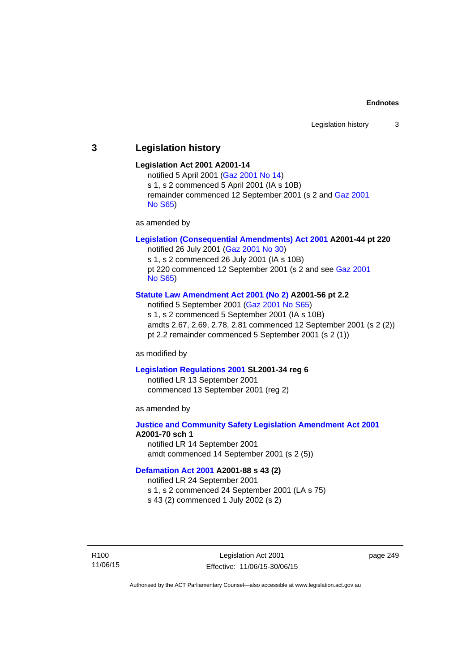# **3 Legislation history**

## **Legislation Act 2001 A2001-14**

notified 5 April 2001 ([Gaz 2001 No 14](http://www.legislation.act.gov.au/gaz/2001-14/default.asp)) s 1, s 2 commenced 5 April 2001 (IA s 10B) remainder commenced 12 September 2001 (s 2 and [Gaz 2001](http://www.legislation.act.gov.au/gaz/2001-S65/default.asp)  [No S65](http://www.legislation.act.gov.au/gaz/2001-S65/default.asp))

as amended by

# **[Legislation \(Consequential Amendments\) Act 2001](http://www.legislation.act.gov.au/a/2001-44) A2001-44 pt 220**

notified 26 July 2001 ([Gaz 2001 No 30\)](http://www.legislation.act.gov.au/gaz/2001-30/default.asp) s 1, s 2 commenced 26 July 2001 (IA s 10B) pt 220 commenced 12 September 2001 (s 2 and see [Gaz 2001](http://www.legislation.act.gov.au/gaz/2001-S65/default.asp)  [No S65](http://www.legislation.act.gov.au/gaz/2001-S65/default.asp))

## **[Statute Law Amendment Act 2001 \(No 2\)](http://www.legislation.act.gov.au/a/2001-56) A2001-56 pt 2.2**

notified 5 September 2001 [\(Gaz 2001 No S65\)](http://www.legislation.act.gov.au/gaz/2001-S65/default.asp) s 1, s 2 commenced 5 September 2001 (IA s 10B) amdts 2.67, 2.69, 2.78, 2.81 commenced 12 September 2001 (s 2 (2)) pt 2.2 remainder commenced 5 September 2001 (s 2 (1))

as modified by

#### **[Legislation Regulations 2001](http://www.legislation.act.gov.au/sl/2001-34) SL2001-34 reg 6**

notified LR 13 September 2001 commenced 13 September 2001 (reg 2)

as amended by

# **[Justice and Community Safety Legislation Amendment Act 2001](http://www.legislation.act.gov.au/a/2001-70) A2001-70 sch 1**  notified LR 14 September 2001

amdt commenced 14 September 2001 (s 2 (5))

## **[Defamation Act 2001](http://www.legislation.act.gov.au/a/2001-88) A2001-88 s 43 (2)**

notified LR 24 September 2001

s 1, s 2 commenced 24 September 2001 (LA s 75)

s 43 (2) commenced 1 July 2002 (s 2)

R100 11/06/15 page 249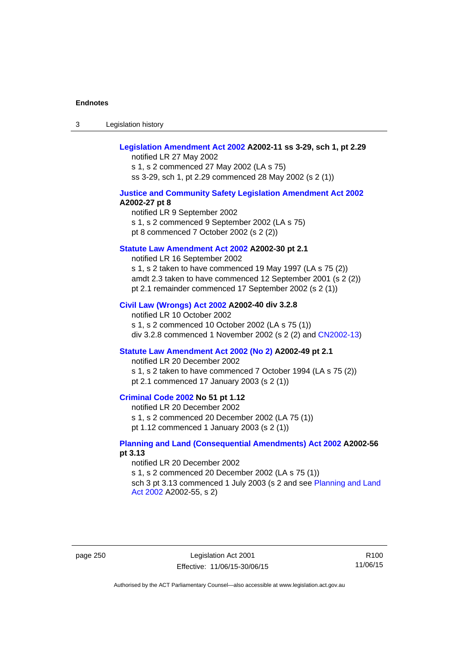3 Legislation history

# **[Legislation Amendment Act 2002](http://www.legislation.act.gov.au/a/2002-11) A2002-11 ss 3-29, sch 1, pt 2.29**

notified LR 27 May 2002 s 1, s 2 commenced 27 May 2002 (LA s 75) ss 3-29, sch 1, pt 2.29 commenced 28 May 2002 (s 2 (1))

## **[Justice and Community Safety Legislation Amendment Act 2002](http://www.legislation.act.gov.au/a/2002-27) A2002-27 pt 8**

notified LR 9 September 2002 s 1, s 2 commenced 9 September 2002 (LA s 75) pt 8 commenced 7 October 2002 (s 2 (2))

## **[Statute Law Amendment Act 2002](http://www.legislation.act.gov.au/a/2002-30) A2002-30 pt 2.1**

notified LR 16 September 2002 s 1, s 2 taken to have commenced 19 May 1997 (LA s 75 (2)) amdt 2.3 taken to have commenced 12 September 2001 (s 2 (2)) pt 2.1 remainder commenced 17 September 2002 (s 2 (1))

#### **[Civil Law \(Wrongs\) Act 2002](http://www.legislation.act.gov.au/a/2002-40) A2002-40 div 3.2.8**

notified LR 10 October 2002 s 1, s 2 commenced 10 October 2002 (LA s 75 (1)) div 3.2.8 commenced 1 November 2002 (s 2 (2) and [CN2002-13](http://www.legislation.act.gov.au/cn/2002-13/default.asp))

## **[Statute Law Amendment Act 2002 \(No 2\)](http://www.legislation.act.gov.au/a/2002-49) A2002-49 pt 2.1**

notified LR 20 December 2002 s 1, s 2 taken to have commenced 7 October 1994 (LA s 75 (2)) pt 2.1 commenced 17 January 2003 (s 2 (1))

# **[Criminal Code 2002](http://www.legislation.act.gov.au/a/2002-51) No 51 pt 1.12**

notified LR 20 December 2002 s 1, s 2 commenced 20 December 2002 (LA 75 (1)) pt 1.12 commenced 1 January 2003 (s 2 (1))

## **[Planning and Land \(Consequential Amendments\) Act 2002](http://www.legislation.act.gov.au/a/2002-56) A2002-56 pt 3.13**

notified LR 20 December 2002 s 1, s 2 commenced 20 December 2002 (LA s 75 (1)) sch 3 pt 3.13 commenced 1 July 2003 (s 2 and see Planning and Land [Act 2002](http://www.legislation.act.gov.au/a/2002-55) A2002-55, s 2)

page 250 Legislation Act 2001 Effective: 11/06/15-30/06/15

R100 11/06/15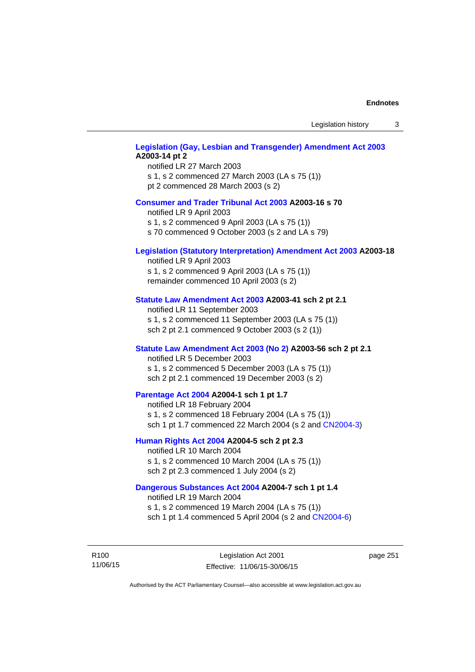Legislation history 3

# **[Legislation \(Gay, Lesbian and Transgender\) Amendment Act 2003](http://www.legislation.act.gov.au/a/2003-14) A2003-14 pt 2**

notified LR 27 March 2003 s 1, s 2 commenced 27 March 2003 (LA s 75 (1)) pt 2 commenced 28 March 2003 (s 2)

## **[Consumer and Trader Tribunal Act 2003](http://www.legislation.act.gov.au/a/2003-16) A2003-16 s 70**

notified LR 9 April 2003

s 1, s 2 commenced 9 April 2003 (LA s 75 (1))

s 70 commenced 9 October 2003 (s 2 and LA s 79)

## **[Legislation \(Statutory Interpretation\) Amendment Act 2003](http://www.legislation.act.gov.au/a/2003-18) A2003-18**

notified LR 9 April 2003 s 1, s 2 commenced 9 April 2003 (LA s 75 (1)) remainder commenced 10 April 2003 (s 2)

### **[Statute Law Amendment Act 2003](http://www.legislation.act.gov.au/a/2003-41) A2003-41 sch 2 pt 2.1**

notified LR 11 September 2003 s 1, s 2 commenced 11 September 2003 (LA s 75 (1)) sch 2 pt 2.1 commenced 9 October 2003 (s 2 (1))

## **[Statute Law Amendment Act 2003 \(No 2\)](http://www.legislation.act.gov.au/a/2003-56) A2003-56 sch 2 pt 2.1**

notified LR 5 December 2003 s 1, s 2 commenced 5 December 2003 (LA s 75 (1)) sch 2 pt 2.1 commenced 19 December 2003 (s 2)

## **[Parentage Act 2004](http://www.legislation.act.gov.au/a/2004-1) A2004-1 sch 1 pt 1.7**

notified LR 18 February 2004 s 1, s 2 commenced 18 February 2004 (LA s 75 (1)) sch 1 pt 1.7 commenced 22 March 2004 (s 2 and [CN2004-3\)](http://www.legislation.act.gov.au/cn/2004-3/default.asp)

## **[Human Rights Act 2004](http://www.legislation.act.gov.au/a/2004-5) A2004-5 sch 2 pt 2.3**

notified LR 10 March 2004 s 1, s 2 commenced 10 March 2004 (LA s 75 (1)) sch 2 pt 2.3 commenced 1 July 2004 (s 2)

## **[Dangerous Substances Act 2004](http://www.legislation.act.gov.au/a/2004-7) A2004-7 sch 1 pt 1.4**

notified LR 19 March 2004 s 1, s 2 commenced 19 March 2004 (LA s 75 (1)) sch 1 pt 1.4 commenced 5 April 2004 (s 2 and [CN2004-6](http://www.legislation.act.gov.au/cn/2004-6/default.asp))

R100 11/06/15 page 251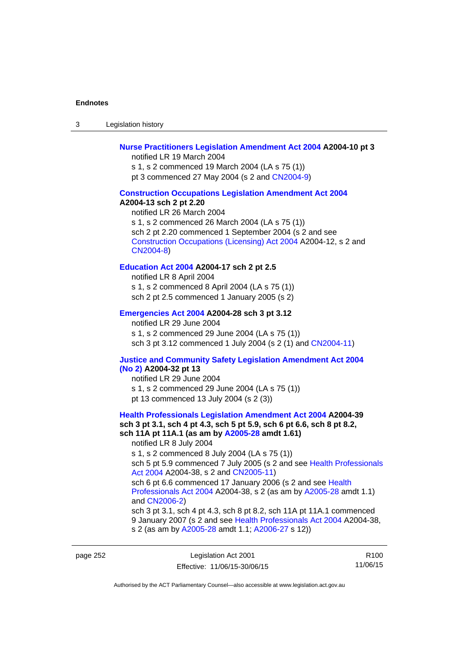3 Legislation history

## **[Nurse Practitioners Legislation Amendment Act 2004](http://www.legislation.act.gov.au/a/2004-10) A2004-10 pt 3**

notified LR 19 March 2004 s 1, s 2 commenced 19 March 2004 (LA s 75 (1)) pt 3 commenced 27 May 2004 (s 2 and [CN2004-9\)](http://www.legislation.act.gov.au/cn/2004-9/default.asp)

#### **[Construction Occupations Legislation Amendment Act 2004](http://www.legislation.act.gov.au/a/2004-13)**

#### **A2004-13 sch 2 pt 2.20**

notified LR 26 March 2004 s 1, s 2 commenced 26 March 2004 (LA s 75 (1)) sch 2 pt 2.20 commenced 1 September 2004 (s 2 and see [Construction Occupations \(Licensing\) Act 2004](http://www.legislation.act.gov.au/a/2004-12) A2004-12, s 2 and [CN2004-8\)](http://www.legislation.act.gov.au/cn/2004-8/default.asp)

## **[Education Act 2004](http://www.legislation.act.gov.au/a/2004-17) A2004-17 sch 2 pt 2.5**

notified LR 8 April 2004 s 1, s 2 commenced 8 April 2004 (LA s 75 (1)) sch 2 pt 2.5 commenced 1 January 2005 (s 2)

## **[Emergencies Act 2004](http://www.legislation.act.gov.au/a/2004-28) A2004-28 sch 3 pt 3.12**

notified LR 29 June 2004 s 1, s 2 commenced 29 June 2004 (LA s 75 (1)) sch 3 pt 3.12 commenced 1 July 2004 (s 2 (1) and [CN2004-11](http://www.legislation.act.gov.au/cn/2004-11/default.asp))

# **[Justice and Community Safety Legislation Amendment Act 2004](http://www.legislation.act.gov.au/a/2004-32)**

## **[\(No 2\)](http://www.legislation.act.gov.au/a/2004-32) A2004-32 pt 13**

notified LR 29 June 2004 s 1, s 2 commenced 29 June 2004 (LA s 75 (1)) pt 13 commenced 13 July 2004 (s 2 (3))

## **[Health Professionals Legislation Amendment Act 2004](http://www.legislation.act.gov.au/a/2004-39) A2004-39 sch 3 pt 3.1, sch 4 pt 4.3, sch 5 pt 5.9, sch 6 pt 6.6, sch 8 pt 8.2, sch 11A pt 11A.1 (as am by [A2005-28](http://www.legislation.act.gov.au/a/2005-28) amdt 1.61)**  notified LR 8 July 2004 s 1, s 2 commenced 8 July 2004 (LA s 75 (1))

sch 5 pt 5.9 commenced 7 July 2005 (s 2 and see Health Professionals [Act 2004](http://www.legislation.act.gov.au/a/2004-38) A2004-38, s 2 and [CN2005-11\)](http://www.legislation.act.gov.au/cn/2005-11/default.asp)

sch 6 pt 6.6 commenced 17 January 2006 (s 2 and see Health [Professionals Act 2004](http://www.legislation.act.gov.au/a/2004-38) A2004-38, s 2 (as am by [A2005-28](http://www.legislation.act.gov.au/a/2005-28) amdt 1.1) and [CN2006-2](http://www.legislation.act.gov.au/cn/2006-2/default.asp))

sch 3 pt 3.1, sch 4 pt 4.3, sch 8 pt 8.2, sch 11A pt 11A.1 commenced 9 January 2007 (s 2 and see [Health Professionals Act 2004](http://www.legislation.act.gov.au/a/2004-38) A2004-38, s 2 (as am by [A2005-28](http://www.legislation.act.gov.au/a/2005-28) amdt 1.1; [A2006-27](http://www.legislation.act.gov.au/a/2006-27) s 12))

page 252 Legislation Act 2001 Effective: 11/06/15-30/06/15

R100 11/06/15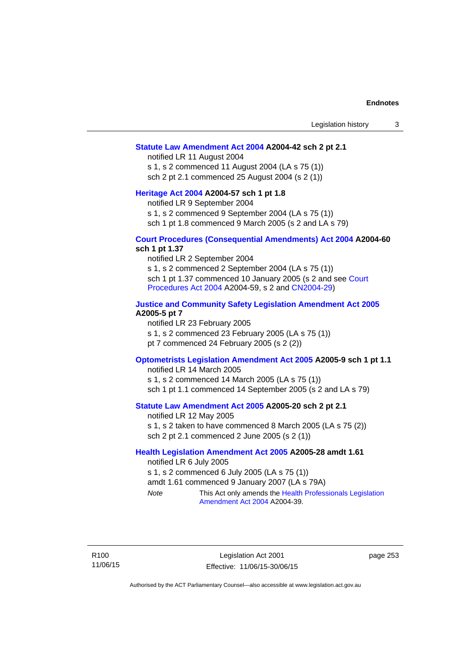## **[Statute Law Amendment Act 2004](http://www.legislation.act.gov.au/a/2004-42) A2004-42 sch 2 pt 2.1**

notified LR 11 August 2004 s 1, s 2 commenced 11 August 2004 (LA s 75 (1)) sch 2 pt 2.1 commenced 25 August 2004 (s 2 (1))

## **[Heritage Act 2004](http://www.legislation.act.gov.au/a/2004-57) A2004-57 sch 1 pt 1.8**

notified LR 9 September 2004

s 1, s 2 commenced 9 September 2004 (LA s 75 (1))

sch 1 pt 1.8 commenced 9 March 2005 (s 2 and LA s 79)

## **[Court Procedures \(Consequential Amendments\) Act 2004](http://www.legislation.act.gov.au/a/2004-60) A2004-60 sch 1 pt 1.37**

notified LR 2 September 2004 s 1, s 2 commenced 2 September 2004 (LA s 75 (1)) sch 1 pt 1.37 commenced 10 January 2005 (s 2 and see [Court](http://www.legislation.act.gov.au/a/2004-59)  [Procedures Act 2004](http://www.legislation.act.gov.au/a/2004-59) A2004-59, s 2 and [CN2004-29\)](http://www.legislation.act.gov.au/cn/2004-29/default.asp)

## **[Justice and Community Safety Legislation Amendment Act 2005](http://www.legislation.act.gov.au/a/2005-5) A2005-5 pt 7**

notified LR 23 February 2005 s 1, s 2 commenced 23 February 2005 (LA s 75 (1)) pt 7 commenced 24 February 2005 (s 2 (2))

## **[Optometrists Legislation Amendment Act 2005](http://www.legislation.act.gov.au/a/2005-9) A2005-9 sch 1 pt 1.1**

notified LR 14 March 2005 s 1, s 2 commenced 14 March 2005 (LA s 75 (1)) sch 1 pt 1.1 commenced 14 September 2005 (s 2 and LA s 79)

## **[Statute Law Amendment Act 2005](http://www.legislation.act.gov.au/a/2005-20) A2005-20 sch 2 pt 2.1**

notified LR 12 May 2005 s 1, s 2 taken to have commenced 8 March 2005 (LA s 75 (2)) sch 2 pt 2.1 commenced 2 June 2005 (s 2 (1))

## **[Health Legislation Amendment Act 2005](http://www.legislation.act.gov.au/a/2005-28) A2005-28 amdt 1.61**

notified LR 6 July 2005 s 1, s 2 commenced 6 July 2005 (LA s 75 (1)) amdt 1.61 commenced 9 January 2007 (LA s 79A) *Note* This Act only amends the [Health Professionals Legislation](http://www.legislation.act.gov.au/a/2004-39)  [Amendment Act 2004](http://www.legislation.act.gov.au/a/2004-39) A2004-39.

R100 11/06/15

Legislation Act 2001 Effective: 11/06/15-30/06/15 page 253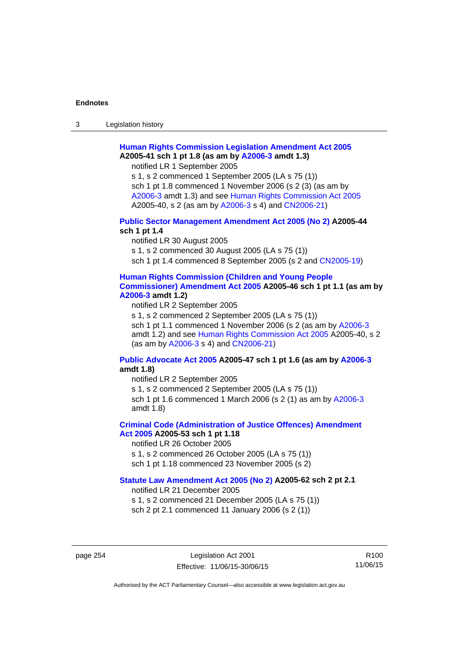3 Legislation history

# **[Human Rights Commission Legislation Amendment Act 2005](http://www.legislation.act.gov.au/a/2005-41) A2005-41 sch 1 pt 1.8 (as am by [A2006-3](http://www.legislation.act.gov.au/a/2006-3) amdt 1.3)**

notified LR 1 September 2005

s 1, s 2 commenced 1 September 2005 (LA s 75 (1)) sch 1 pt 1.8 commenced 1 November 2006 (s 2 (3) (as am by [A2006-3](http://www.legislation.act.gov.au/a/2006-3) amdt 1.3) and see [Human Rights Commission Act 2005](http://www.legislation.act.gov.au/a/2005-40) A2005-40, s 2 (as am by [A2006-3](http://www.legislation.act.gov.au/a/2006-3) s 4) and [CN2006-21](http://www.legislation.act.gov.au/cn/2006-21/default.asp))

## **[Public Sector Management Amendment Act 2005 \(No 2\)](http://www.legislation.act.gov.au/a/2005-44) A2005-44 sch 1 pt 1.4**

notified LR 30 August 2005 s 1, s 2 commenced 30 August 2005 (LA s 75 (1)) sch 1 pt 1.4 commenced 8 September 2005 (s 2 and [CN2005-19\)](http://www.legislation.act.gov.au/cn/2005-19/default.asp)

## **[Human Rights Commission \(Children and Young People](http://www.legislation.act.gov.au/a/2005-46)  [Commissioner\) Amendment Act 2005](http://www.legislation.act.gov.au/a/2005-46) A2005-46 sch 1 pt 1.1 (as am by [A2006-3](http://www.legislation.act.gov.au/a/2006-3) amdt 1.2)**

notified LR 2 September 2005

s 1, s 2 commenced 2 September 2005 (LA s 75 (1)) sch 1 pt 1.1 commenced 1 November 2006 (s 2 (as am by [A2006-3](http://www.legislation.act.gov.au/a/2006-3) amdt 1.2) and see [Human Rights Commission Act 2005](http://www.legislation.act.gov.au/a/2005-40) A2005-40, s 2 (as am by [A2006-3](http://www.legislation.act.gov.au/a/2006-3) s 4) and [CN2006-21](http://www.legislation.act.gov.au/cn/2006-21/default.asp))

## **[Public Advocate Act 2005](http://www.legislation.act.gov.au/a/2005-47) A2005-47 sch 1 pt 1.6 (as am by [A2006-3](http://www.legislation.act.gov.au/a/2006-3) amdt 1.8)**

notified LR 2 September 2005

s 1, s 2 commenced 2 September 2005 (LA s 75 (1)) sch 1 pt 1.6 commenced 1 March 2006 (s 2 (1) as am by [A2006-3](http://www.legislation.act.gov.au/a/2006-3) amdt 1.8)

## **[Criminal Code \(Administration of Justice Offences\) Amendment](http://www.legislation.act.gov.au/a/2005-53)**

**[Act 2005](http://www.legislation.act.gov.au/a/2005-53) A2005-53 sch 1 pt 1.18** 

notified LR 26 October 2005

s 1, s 2 commenced 26 October 2005 (LA s 75 (1))

sch 1 pt 1.18 commenced 23 November 2005 (s 2)

# **[Statute Law Amendment Act 2005 \(No 2\)](http://www.legislation.act.gov.au/a/2005-62) A2005-62 sch 2 pt 2.1**

notified LR 21 December 2005

s 1, s 2 commenced 21 December 2005 (LA s 75 (1)) sch 2 pt 2.1 commenced 11 January 2006 (s 2 (1))

page 254 Legislation Act 2001 Effective: 11/06/15-30/06/15

R100 11/06/15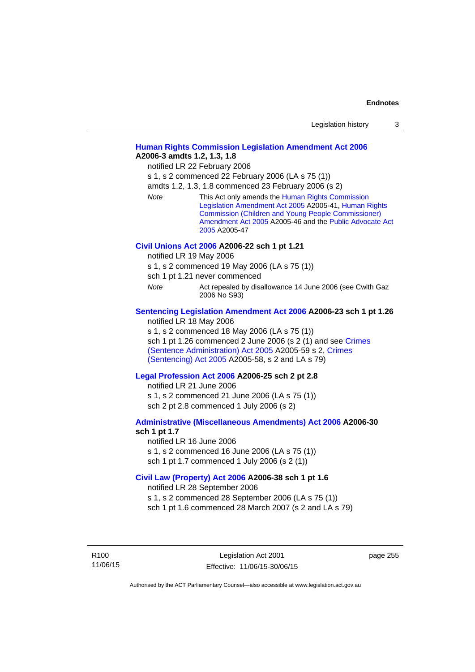| Legislation history |  |
|---------------------|--|
|---------------------|--|

## **[Human Rights Commission Legislation Amendment Act 2006](http://www.legislation.act.gov.au/a/2006-3) A2006-3 amdts 1.2, 1.3, 1.8**

notified LR 22 February 2006

s 1, s 2 commenced 22 February 2006 (LA s 75 (1))

amdts 1.2, 1.3, 1.8 commenced 23 February 2006 (s 2)

*Note* This Act only amends the [Human Rights Commission](http://www.legislation.act.gov.au/a/2005-41)  [Legislation Amendment Act 2005](http://www.legislation.act.gov.au/a/2005-41) A2005-41, [Human Rights](http://www.legislation.act.gov.au/a/2005-46)  [Commission \(Children and Young People Commissioner\)](http://www.legislation.act.gov.au/a/2005-46)  [Amendment Act 2005](http://www.legislation.act.gov.au/a/2005-46) A2005-46 and the [Public Advocate Act](http://www.legislation.act.gov.au/a/2005-47)  [2005](http://www.legislation.act.gov.au/a/2005-47) A2005-47

## **[Civil Unions Act 2006](http://www.legislation.act.gov.au/a/2006-22) A2006-22 sch 1 pt 1.21**

notified LR 19 May 2006

s 1, s 2 commenced 19 May 2006 (LA s 75 (1))

sch 1 pt 1.21 never commenced

*Note* **Act repealed by disallowance 14 June 2006 (see Cwlth Gaz** 2006 No S93)

# **[Sentencing Legislation Amendment Act 2006](http://www.legislation.act.gov.au/a/2006-23) A2006-23 sch 1 pt 1.26**

notified LR 18 May 2006

s 1, s 2 commenced 18 May 2006 (LA s 75 (1)) sch 1 pt 1.26 commenced 2 June 2006 (s 2 (1) and see [Crimes](http://www.legislation.act.gov.au/a/2005-59)  [\(Sentence Administration\) Act 2005](http://www.legislation.act.gov.au/a/2005-59) A2005-59 s 2, [Crimes](http://www.legislation.act.gov.au/a/2005-58)  [\(Sentencing\) Act 2005](http://www.legislation.act.gov.au/a/2005-58) A2005-58, s 2 and LA s 79)

## **[Legal Profession Act 2006](http://www.legislation.act.gov.au/a/2006-25) A2006-25 sch 2 pt 2.8**

notified LR 21 June 2006 s 1, s 2 commenced 21 June 2006 (LA s 75 (1)) sch 2 pt 2.8 commenced 1 July 2006 (s 2)

## **[Administrative \(Miscellaneous Amendments\) Act 2006](http://www.legislation.act.gov.au/a/2006-30) A2006-30 sch 1 pt 1.7**

notified LR 16 June 2006 s 1, s 2 commenced 16 June 2006 (LA s 75 (1)) sch 1 pt 1.7 commenced 1 July 2006 (s 2 (1))

## **[Civil Law \(Property\) Act 2006](http://www.legislation.act.gov.au/a/2006-38) A2006-38 sch 1 pt 1.6**

notified LR 28 September 2006

s 1, s 2 commenced 28 September 2006 (LA s 75 (1))

sch 1 pt 1.6 commenced 28 March 2007 (s 2 and LA s 79)

R100 11/06/15 page 255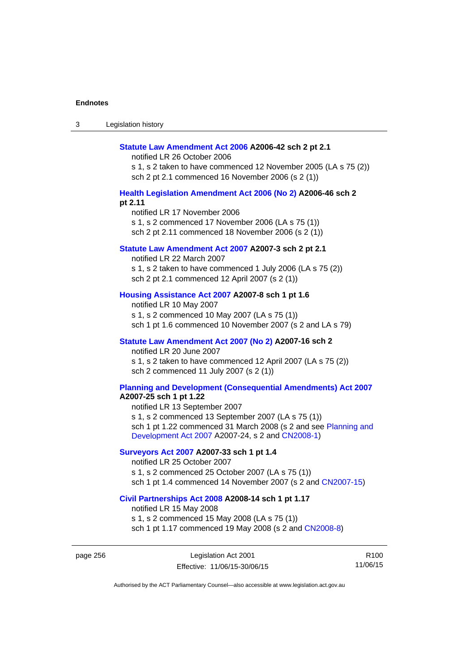| Legislation history<br>ు |
|--------------------------|
|--------------------------|

#### **[Statute Law Amendment Act 2006](http://www.legislation.act.gov.au/a/2006-42) A2006-42 sch 2 pt 2.1**

notified LR 26 October 2006

s 1, s 2 taken to have commenced 12 November 2005 (LA s 75 (2)) sch 2 pt 2.1 commenced 16 November 2006 (s 2 (1))

## **[Health Legislation Amendment Act 2006 \(No 2\)](http://www.legislation.act.gov.au/a/2006-46) A2006-46 sch 2 pt 2.11**

notified LR 17 November 2006 s 1, s 2 commenced 17 November 2006 (LA s 75 (1)) sch 2 pt 2.11 commenced 18 November 2006 (s 2 (1))

## **[Statute Law Amendment Act 2007](http://www.legislation.act.gov.au/a/2007-3) A2007-3 sch 2 pt 2.1**

notified LR 22 March 2007 s 1, s 2 taken to have commenced 1 July 2006 (LA s 75 (2)) sch 2 pt 2.1 commenced 12 April 2007 (s 2 (1))

## **[Housing Assistance Act 2007](http://www.legislation.act.gov.au/a/2007-8) A2007-8 sch 1 pt 1.6**

notified LR 10 May 2007 s 1, s 2 commenced 10 May 2007 (LA s 75 (1)) sch 1 pt 1.6 commenced 10 November 2007 (s 2 and LA s 79)

## **[Statute Law Amendment Act 2007 \(No 2\)](http://www.legislation.act.gov.au/a/2007-16) A2007-16 sch 2**

notified LR 20 June 2007 s 1, s 2 taken to have commenced 12 April 2007 (LA s 75 (2)) sch 2 commenced 11 July 2007 (s 2 (1))

# **[Planning and Development \(Consequential Amendments\) Act 2007](http://www.legislation.act.gov.au/a/2007-25)**

**A2007-25 sch 1 pt 1.22** 

notified LR 13 September 2007 s 1, s 2 commenced 13 September 2007 (LA s 75 (1)) sch 1 pt 1.22 commenced 31 March 2008 (s 2 and see [Planning and](http://www.legislation.act.gov.au/a/2007-24)  [Development Act 2007](http://www.legislation.act.gov.au/a/2007-24) A2007-24, s 2 and [CN2008-1](http://www.legislation.act.gov.au/cn/2008-1/default.asp))

## **[Surveyors Act 2007](http://www.legislation.act.gov.au/a/2007-33) A2007-33 sch 1 pt 1.4**

notified LR 25 October 2007 s 1, s 2 commenced 25 October 2007 (LA s 75 (1)) sch 1 pt 1.4 commenced 14 November 2007 (s 2 and [CN2007-15\)](http://www.legislation.act.gov.au/cn/2007-15/default.asp)

#### **[Civil Partnerships Act 2008](http://www.legislation.act.gov.au/a/2008-14) A2008-14 sch 1 pt 1.17**

notified LR 15 May 2008

s 1, s 2 commenced 15 May 2008 (LA s 75 (1)) sch 1 pt 1.17 commenced 19 May 2008 (s 2 and [CN2008-8](http://www.legislation.act.gov.au/cn/2008-8/default.asp))

page 256 Legislation Act 2001 Effective: 11/06/15-30/06/15

R100 11/06/15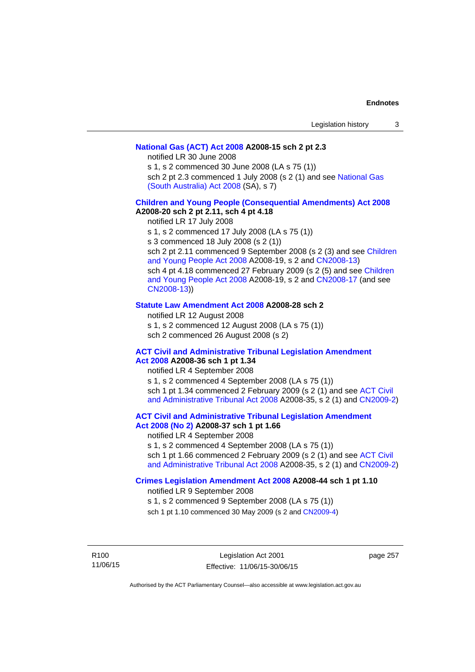## **[National Gas \(ACT\) Act 2008](http://www.legislation.act.gov.au/a/2008-15) A2008-15 sch 2 pt 2.3**

notified LR 30 June 2008

s 1, s 2 commenced 30 June 2008 (LA s 75 (1))

sch 2 pt 2.3 commenced 1 July 2008 (s 2 (1) and see [National Gas](http://www.legislation.sa.gov.au/LZ/C/A/NATIONAL GAS (SOUTH AUSTRALIA) ACT 2008.aspx)  [\(South Australia\) Act 2008](http://www.legislation.sa.gov.au/LZ/C/A/NATIONAL GAS (SOUTH AUSTRALIA) ACT 2008.aspx) (SA), s 7)

## **[Children and Young People \(Consequential Amendments\) Act 2008](http://www.legislation.act.gov.au/a/2008-20) A2008-20 sch 2 pt 2.11, sch 4 pt 4.18**

notified LR 17 July 2008

s 1, s 2 commenced 17 July 2008 (LA s 75 (1))

s 3 commenced 18 July 2008 (s 2 (1))

sch 2 pt 2.11 commenced 9 September 2008 (s 2 (3) and see [Children](http://www.legislation.act.gov.au/a/2008-19)  [and Young People Act 2008](http://www.legislation.act.gov.au/a/2008-19) A2008-19, s 2 and [CN2008-13](http://www.legislation.act.gov.au/cn/2008-13/default.asp)) sch 4 pt 4.18 commenced 27 February 2009 (s 2 (5) and see [Children](http://www.legislation.act.gov.au/a/2008-19)  [and Young People Act 2008](http://www.legislation.act.gov.au/a/2008-19) A2008-19, s 2 and [CN2008-17 \(](http://www.legislation.act.gov.au/cn/2008-17/default.asp)and see [CN2008-13](http://www.legislation.act.gov.au/cn/2008-13/default.asp)))

## **[Statute Law Amendment Act 2008](http://www.legislation.act.gov.au/a/2008-28) A2008-28 sch 2**

notified LR 12 August 2008 s 1, s 2 commenced 12 August 2008 (LA s 75 (1)) sch 2 commenced 26 August 2008 (s 2)

## **[ACT Civil and Administrative Tribunal Legislation Amendment](http://www.legislation.act.gov.au/a/2008-36)**

**[Act 2008](http://www.legislation.act.gov.au/a/2008-36) A2008-36 sch 1 pt 1.34**  notified LR 4 September 2008 s 1, s 2 commenced 4 September 2008 (LA s 75 (1)) sch 1 pt 1.34 commenced 2 February 2009 (s 2 (1) and see [ACT Civil](http://www.legislation.act.gov.au/a/2008-35)  [and Administrative Tribunal Act 2008](http://www.legislation.act.gov.au/a/2008-35) A2008-35, s 2 (1) and [CN2009-2](http://www.legislation.act.gov.au/cn/2009-2/default.asp))

**[ACT Civil and Administrative Tribunal Legislation Amendment](http://www.legislation.act.gov.au/a/2008-37)** 

# **[Act 2008 \(No 2\)](http://www.legislation.act.gov.au/a/2008-37) A2008-37 sch 1 pt 1.66**

notified LR 4 September 2008

s 1, s 2 commenced 4 September 2008 (LA s 75 (1))

sch 1 pt 1.66 commenced 2 February 2009 (s 2 (1) and see [ACT Civil](http://www.legislation.act.gov.au/a/2008-35)  [and Administrative Tribunal Act 2008](http://www.legislation.act.gov.au/a/2008-35) A2008-35, s 2 (1) and [CN2009-2](http://www.legislation.act.gov.au/cn/2009-2/default.asp))

## **[Crimes Legislation Amendment Act 2008](http://www.legislation.act.gov.au/a/2008-44) A2008-44 sch 1 pt 1.10**

notified LR 9 September 2008

s 1, s 2 commenced 9 September 2008 (LA s 75 (1))

sch 1 pt 1.10 commenced 30 May 2009 (s 2 and [CN2009-4](http://www.legislation.act.gov.au/cn/2009-4/default.asp))

R100 11/06/15 page 257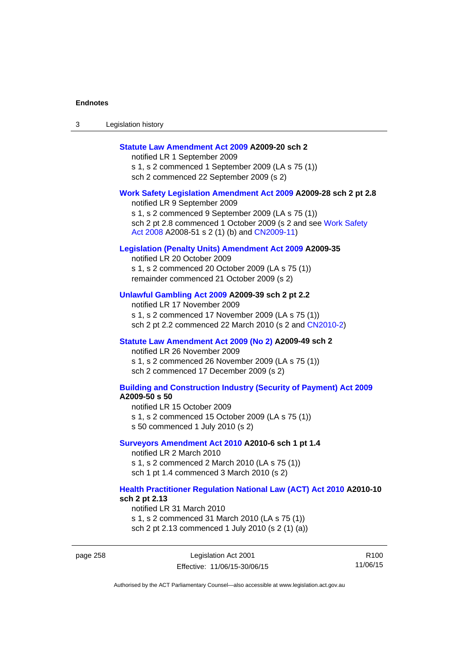| Legislation history<br>ు |
|--------------------------|
|--------------------------|

## **[Statute Law Amendment Act 2009](http://www.legislation.act.gov.au/a/2009-20) A2009-20 sch 2**

notified LR 1 September 2009 s 1, s 2 commenced 1 September 2009 (LA s 75 (1)) sch 2 commenced 22 September 2009 (s 2)

#### **[Work Safety Legislation Amendment Act 2009](http://www.legislation.act.gov.au/a/2009-28) A2009-28 sch 2 pt 2.8**

notified LR 9 September 2009 s 1, s 2 commenced 9 September 2009 (LA s 75 (1)) sch 2 pt 2.8 commenced 1 October 2009 (s 2 and see Work Safety [Act 2008](http://www.legislation.act.gov.au/a/2008-51) A2008-51 s 2 (1) (b) and [CN2009-11](http://www.legislation.act.gov.au/cn/2009-11/default.asp))

## **[Legislation \(Penalty Units\) Amendment Act 2009](http://www.legislation.act.gov.au/a/2009-35) A2009-35**

notified LR 20 October 2009 s 1, s 2 commenced 20 October 2009 (LA s 75 (1)) remainder commenced 21 October 2009 (s 2)

## **[Unlawful Gambling Act 2009](http://www.legislation.act.gov.au/a/2009-39) A2009-39 sch 2 pt 2.2**

notified LR 17 November 2009 s 1, s 2 commenced 17 November 2009 (LA s 75 (1)) sch 2 pt 2.2 commenced 22 March 2010 (s 2 and [CN2010-2\)](http://www.legislation.act.gov.au/cn/2010-2/default.asp)

#### **[Statute Law Amendment Act 2009 \(No 2\)](http://www.legislation.act.gov.au/a/2009-49) A2009-49 sch 2**

notified LR 26 November 2009 s 1, s 2 commenced 26 November 2009 (LA s 75 (1)) sch 2 commenced 17 December 2009 (s 2)

#### **[Building and Construction Industry \(Security of Payment\) Act 2009](http://www.legislation.act.gov.au/a/2009-50) A2009-50 s 50**

notified LR 15 October 2009 s 1, s 2 commenced 15 October 2009 (LA s 75 (1)) s 50 commenced 1 July 2010 (s 2)

#### **[Surveyors Amendment Act 2010](http://www.legislation.act.gov.au/a/2010-6) A2010-6 sch 1 pt 1.4**

notified LR 2 March 2010 s 1, s 2 commenced 2 March 2010 (LA s 75 (1)) sch 1 pt 1.4 commenced 3 March 2010 (s 2)

#### **[Health Practitioner Regulation National Law \(ACT\) Act 2010](http://www.legislation.act.gov.au/a/2010-10) A2010-10 sch 2 pt 2.13**

notified LR 31 March 2010 s 1, s 2 commenced 31 March 2010 (LA s 75 (1)) sch 2 pt 2.13 commenced 1 July 2010 (s 2 (1) (a))

page 258 Legislation Act 2001 Effective: 11/06/15-30/06/15

R100 11/06/15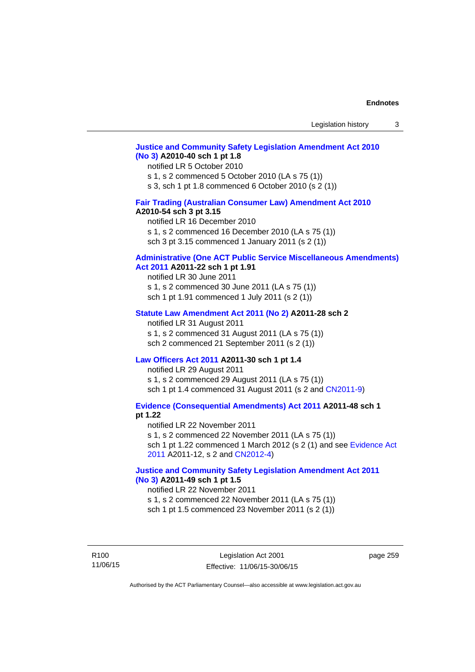## **[Justice and Community Safety Legislation Amendment Act 2010](http://www.legislation.act.gov.au/a/2010-40)  [\(No 3\)](http://www.legislation.act.gov.au/a/2010-40) A2010-40 sch 1 pt 1.8**

#### notified LR 5 October 2010

s 1, s 2 commenced 5 October 2010 (LA s 75 (1))

s 3, sch 1 pt 1.8 commenced 6 October 2010 (s 2 (1))

# **[Fair Trading \(Australian Consumer Law\) Amendment Act 2010](http://www.legislation.act.gov.au/a/2010-54)**

## **A2010-54 sch 3 pt 3.15**

notified LR 16 December 2010 s 1, s 2 commenced 16 December 2010 (LA s 75 (1)) sch 3 pt 3.15 commenced 1 January 2011 (s 2 (1))

# **[Administrative \(One ACT Public Service Miscellaneous Amendments\)](http://www.legislation.act.gov.au/a/2011-22)**

# **[Act 2011](http://www.legislation.act.gov.au/a/2011-22) A2011-22 sch 1 pt 1.91**

notified LR 30 June 2011 s 1, s 2 commenced 30 June 2011 (LA s 75 (1)) sch 1 pt 1.91 commenced 1 July 2011 (s 2 (1))

#### **[Statute Law Amendment Act 2011 \(No 2\)](http://www.legislation.act.gov.au/a/2011-28) A2011-28 sch 2**

notified LR 31 August 2011 s 1, s 2 commenced 31 August 2011 (LA s 75 (1)) sch 2 commenced 21 September 2011 (s 2 (1))

## **[Law Officers Act 2011](http://www.legislation.act.gov.au/a/2011-30) A2011-30 sch 1 pt 1.4**

notified LR 29 August 2011 s 1, s 2 commenced 29 August 2011 (LA s 75 (1)) sch 1 pt 1.4 commenced 31 August 2011 (s 2 and [CN2011-9](http://www.legislation.act.gov.au/cn/2011-9/default.asp))

**[Evidence \(Consequential Amendments\) Act 2011](http://www.legislation.act.gov.au/a/2011-48) A2011-48 sch 1 pt 1.22** 

notified LR 22 November 2011 s 1, s 2 commenced 22 November 2011 (LA s 75 (1)) sch 1 pt 1.22 commenced 1 March 2012 (s 2 (1) and see [Evidence Act](http://www.legislation.act.gov.au/a/2011-12) 

[2011](http://www.legislation.act.gov.au/a/2011-12) A2011-12, s 2 and [CN2012-4](http://www.legislation.act.gov.au/cn/2012-4/default.asp))

# **[Justice and Community Safety Legislation Amendment Act 2011](http://www.legislation.act.gov.au/a/2011-49)  [\(No 3\)](http://www.legislation.act.gov.au/a/2011-49) A2011-49 sch 1 pt 1.5**

## notified LR 22 November 2011

s 1, s 2 commenced 22 November 2011 (LA s 75 (1))

sch 1 pt 1.5 commenced 23 November 2011 (s 2 (1))

R100 11/06/15 page 259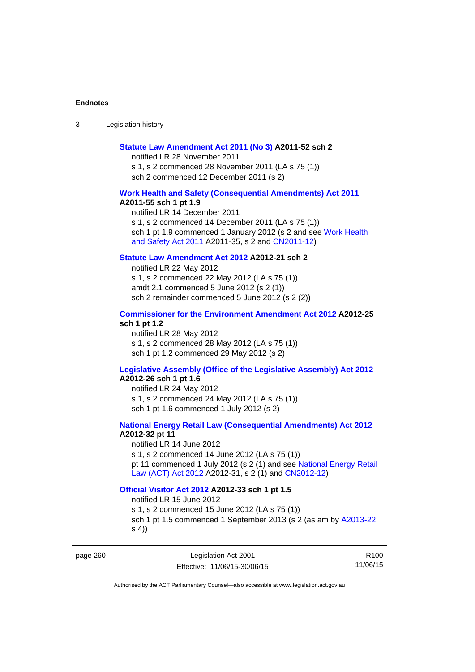3 Legislation history

## **[Statute Law Amendment Act 2011 \(No 3\)](http://www.legislation.act.gov.au/a/2011-52) A2011-52 sch 2**

notified LR 28 November 2011 s 1, s 2 commenced 28 November 2011 (LA s 75 (1)) sch 2 commenced 12 December 2011 (s 2)

## **[Work Health and Safety \(Consequential Amendments\) Act 2011](http://www.legislation.act.gov.au/a/2011-55)**

**A2011-55 sch 1 pt 1.9** 

notified LR 14 December 2011 s 1, s 2 commenced 14 December 2011 (LA s 75 (1)) sch 1 pt 1.9 commenced 1 January 2012 (s 2 and see Work Health [and Safety Act 2011](http://www.legislation.act.gov.au/a/2011-35) A2011-35, s 2 and [CN2011-12](http://www.legislation.act.gov.au/cn/2011-12/default.asp))

# **[Statute Law Amendment Act 2012](http://www.legislation.act.gov.au/a/2012-21) A2012-21 sch 2**

notified LR 22 May 2012 s 1, s 2 commenced 22 May 2012 (LA s 75 (1)) amdt 2.1 commenced 5 June 2012 (s 2 (1)) sch 2 remainder commenced 5 June 2012 (s 2 (2))

# **[Commissioner for the Environment Amendment Act 2012](http://www.legislation.act.gov.au/a/2012-25) A2012-25 sch 1 pt 1.2**

notified LR 28 May 2012 s 1, s 2 commenced 28 May 2012 (LA s 75 (1)) sch 1 pt 1.2 commenced 29 May 2012 (s 2)

# **[Legislative Assembly \(Office of the Legislative Assembly\) Act 2012](http://www.legislation.act.gov.au/a/2012-26)**

# **A2012-26 sch 1 pt 1.6**

notified LR 24 May 2012 s 1, s 2 commenced 24 May 2012 (LA s 75 (1)) sch 1 pt 1.6 commenced 1 July 2012 (s 2)

## **[National Energy Retail Law \(Consequential Amendments\) Act 2012](http://www.legislation.act.gov.au/a/2012-32) A2012-32 pt 11**

notified LR 14 June 2012 s 1, s 2 commenced 14 June 2012 (LA s 75 (1)) pt 11 commenced 1 July 2012 (s 2 (1) and see [National Energy Retail](http://www.legislation.act.gov.au/a/2012-31)  [Law \(ACT\) Act 2012](http://www.legislation.act.gov.au/a/2012-31) A2012-31, s 2 (1) and [CN2012-12](http://www.legislation.act.gov.au/cn/2012-12/default.asp))

# **[Official Visitor Act 2012](http://www.legislation.act.gov.au/a/2012-33) A2012-33 sch 1 pt 1.5**

notified LR 15 June 2012 s 1, s 2 commenced 15 June 2012 (LA s 75 (1)) sch 1 pt 1.5 commenced 1 September 2013 (s 2 (as am by [A2013-22](http://www.legislation.act.gov.au/a/2013-22) s 4))

page 260 Legislation Act 2001 Effective: 11/06/15-30/06/15

R100 11/06/15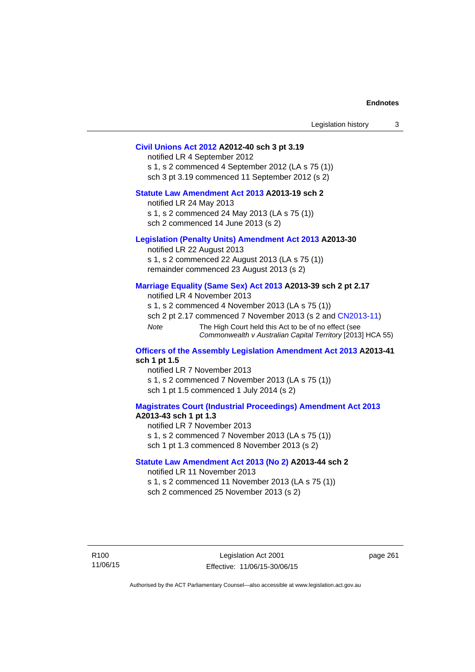| Legislation history |  |
|---------------------|--|
|---------------------|--|

## **[Civil Unions Act 2012](http://www.legislation.act.gov.au/a/2012-40) A2012-40 sch 3 pt 3.19**

notified LR 4 September 2012 s 1, s 2 commenced 4 September 2012 (LA s 75 (1)) sch 3 pt 3.19 commenced 11 September 2012 (s 2)

# **[Statute Law Amendment Act 2013](http://www.legislation.act.gov.au/a/2013-19) A2013-19 sch 2**

notified LR 24 May 2013 s 1, s 2 commenced 24 May 2013 (LA s 75 (1)) sch 2 commenced 14 June 2013 (s 2)

## **[Legislation \(Penalty Units\) Amendment Act 2013](http://www.legislation.act.gov.au/a/2013-30) A2013-30**

notified LR 22 August 2013 s 1, s 2 commenced 22 August 2013 (LA s 75 (1)) remainder commenced 23 August 2013 (s 2)

## **[Marriage Equality \(Same Sex\) Act 2013](http://www.legislation.act.gov.au/a/2013-39) A2013-39 sch 2 pt 2.17**

notified LR 4 November 2013 s 1, s 2 commenced 4 November 2013 (LA s 75 (1)) sch 2 pt 2.17 commenced 7 November 2013 (s 2 and [CN2013-11\)](http://www.legislation.act.gov.au/cn/2013-11) *Note* The High Court held this Act to be of no effect (see *Commonwealth v Australian Capital Territory* [2013] HCA 55)

### **[Officers of the Assembly Legislation Amendment Act 2013](http://www.legislation.act.gov.au/a/2013-41) A2013-41 sch 1 pt 1.5**

notified LR 7 November 2013 s 1, s 2 commenced 7 November 2013 (LA s 75 (1)) sch 1 pt 1.5 commenced 1 July 2014 (s 2)

## **[Magistrates Court \(Industrial Proceedings\) Amendment Act 2013](http://www.legislation.act.gov.au/a/2013-43) A2013-43 sch 1 pt 1.3**

notified LR 7 November 2013 s 1, s 2 commenced 7 November 2013 (LA s 75 (1)) sch 1 pt 1.3 commenced 8 November 2013 (s 2)

## **[Statute Law Amendment Act 2013 \(No 2\)](http://www.legislation.act.gov.au/a/2013-44) A2013-44 sch 2**  notified LR 11 November 2013

s 1, s 2 commenced 11 November 2013 (LA s 75 (1))

sch 2 commenced 25 November 2013 (s 2)

page 261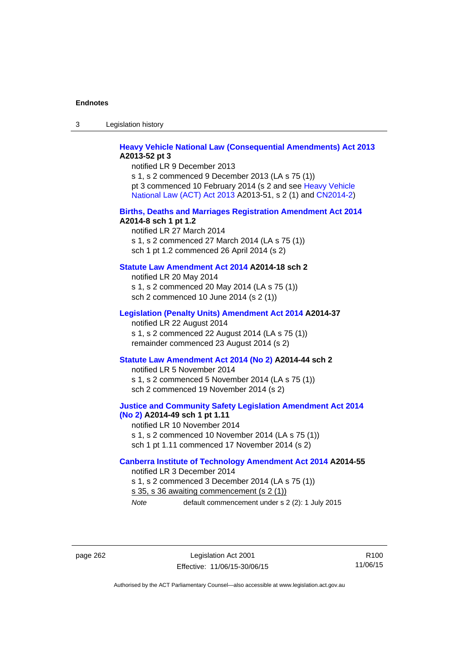3 Legislation history

# **[Heavy Vehicle National Law \(Consequential Amendments\) Act 2013](http://www.legislation.act.gov.au/a/2013-52) A2013-52 pt 3**

notified LR 9 December 2013 s 1, s 2 commenced 9 December 2013 (LA s 75 (1)) pt 3 commenced 10 February 2014 (s 2 and see [Heavy Vehicle](http://www.legislation.act.gov.au/a/2013-51/default.asp)  [National Law \(ACT\) Act 2013](http://www.legislation.act.gov.au/a/2013-51/default.asp) A2013-51, s 2 (1) and [CN2014-2](http://www.legislation.act.gov.au/cn/2014-2/default.asp))

#### **[Births, Deaths and Marriages Registration Amendment Act 2014](http://www.legislation.act.gov.au/a/2014-8) A2014-8 sch 1 pt 1.2**

notified LR 27 March 2014 s 1, s 2 commenced 27 March 2014 (LA s 75 (1)) sch 1 pt 1.2 commenced 26 April 2014 (s 2)

# **[Statute Law Amendment Act 2014](http://www.legislation.act.gov.au/a/2014-18) A2014-18 sch 2**

notified LR 20 May 2014 s 1, s 2 commenced 20 May 2014 (LA s 75 (1)) sch 2 commenced 10 June 2014 (s 2 (1))

## **[Legislation \(Penalty Units\) Amendment Act 2014](http://www.legislation.act.gov.au/a/2014-37) A2014-37**

notified LR 22 August 2014 s 1, s 2 commenced 22 August 2014 (LA s 75 (1)) remainder commenced 23 August 2014 (s 2)

#### **[Statute Law Amendment Act 2014 \(No 2\)](http://www.legislation.act.gov.au/a/2014-44) A2014-44 sch 2**

notified LR 5 November 2014 s 1, s 2 commenced 5 November 2014 (LA s 75 (1)) sch 2 commenced 19 November 2014 (s 2)

## **[Justice and Community Safety Legislation Amendment Act 2014](http://www.legislation.act.gov.au/a/2014-49)  [\(No 2\)](http://www.legislation.act.gov.au/a/2014-49) A2014-49 sch 1 pt 1.11**

notified LR 10 November 2014 s 1, s 2 commenced 10 November 2014 (LA s 75 (1)) sch 1 pt 1.11 commenced 17 November 2014 (s 2)

## **[Canberra Institute of Technology Amendment Act 2014](http://www.legislation.act.gov.au/a/2014-55/default.asp) A2014-55**  notified LR 3 December 2014

s 1, s 2 commenced 3 December 2014 (LA s 75 (1)) s 35, s 36 awaiting commencement (s 2 (1)) *Note* default commencement under s 2 (2): 1 July 2015

page 262 Legislation Act 2001 Effective: 11/06/15-30/06/15

R100 11/06/15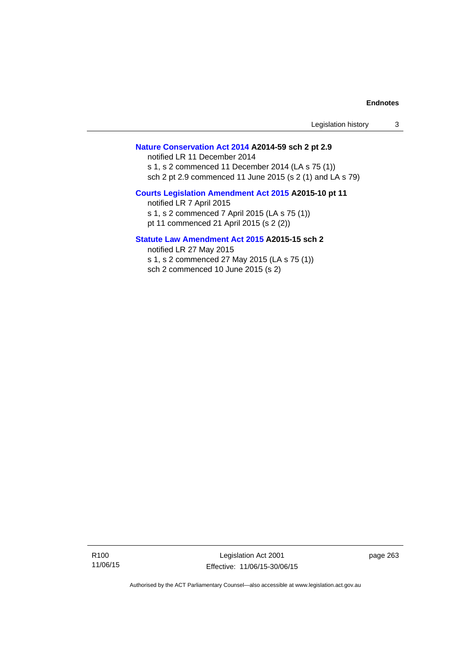| Legislation history |  |
|---------------------|--|
|---------------------|--|

## **[Nature Conservation Act 2014](http://www.legislation.act.gov.au/a/2014-59) A2014-59 sch 2 pt 2.9**

notified LR 11 December 2014 s 1, s 2 commenced 11 December 2014 (LA s 75 (1)) sch 2 pt 2.9 commenced 11 June 2015 (s 2 (1) and LA s 79)

# **[Courts Legislation Amendment Act 2015](http://www.legislation.act.gov.au/a/2015-10) A2015-10 pt 11**

notified LR 7 April 2015 s 1, s 2 commenced 7 April 2015 (LA s 75 (1)) pt 11 commenced 21 April 2015 (s 2 (2))

## **[Statute Law Amendment Act 2015](http://www.legislation.act.gov.au/a/2015-15) A2015-15 sch 2**

notified LR 27 May 2015 s 1, s 2 commenced 27 May 2015 (LA s 75 (1)) sch 2 commenced 10 June 2015 (s 2)

Legislation Act 2001 Effective: 11/06/15-30/06/15 page 263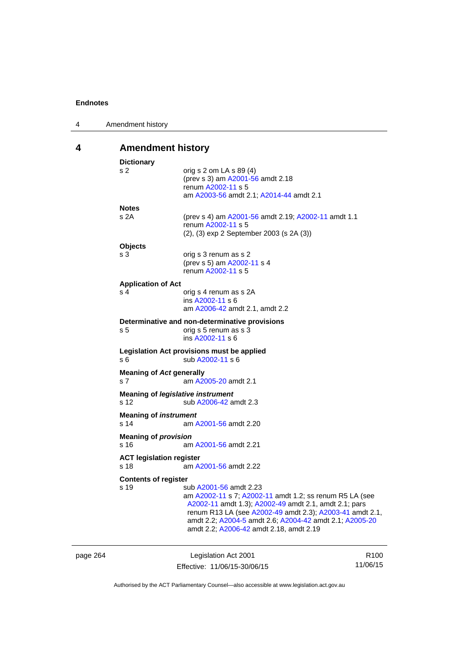| 4 | Amendment history                       |                                                                                                                                                                                                                                                                                                              |
|---|-----------------------------------------|--------------------------------------------------------------------------------------------------------------------------------------------------------------------------------------------------------------------------------------------------------------------------------------------------------------|
| 4 | <b>Amendment history</b>                |                                                                                                                                                                                                                                                                                                              |
|   | <b>Dictionary</b><br>s 2                | orig s 2 om LA s 89 (4)<br>(prev s 3) am A2001-56 amdt 2.18<br>renum A2002-11 s 5<br>am A2003-56 amdt 2.1; A2014-44 amdt 2.1                                                                                                                                                                                 |
|   | <b>Notes</b><br>s 2A                    | (prev s 4) am A2001-56 amdt 2.19; A2002-11 amdt 1.1<br>renum A2002-11 s 5<br>(2), (3) exp 2 September 2003 (s 2A (3))                                                                                                                                                                                        |
|   | <b>Objects</b><br>s <sub>3</sub>        | orig s 3 renum as s 2<br>(prev s 5) am A2002-11 s 4<br>renum A2002-11 s 5                                                                                                                                                                                                                                    |
|   | <b>Application of Act</b><br>s 4        | orig s 4 renum as s 2A<br>ins A2002-11 s 6<br>am A2006-42 amdt 2.1, amdt 2.2                                                                                                                                                                                                                                 |
|   | s 5                                     | Determinative and non-determinative provisions<br>orig s 5 renum as s 3<br>ins A2002-11 s 6                                                                                                                                                                                                                  |
|   | s 6                                     | Legislation Act provisions must be applied<br>sub A2002-11 s 6                                                                                                                                                                                                                                               |
|   | <b>Meaning of Act generally</b><br>s 7  | am A2005-20 amdt 2.1                                                                                                                                                                                                                                                                                         |
|   | s 12                                    | <b>Meaning of legislative instrument</b><br>sub A2006-42 amdt 2.3                                                                                                                                                                                                                                            |
|   | <b>Meaning of instrument</b><br>s 14    | am A2001-56 amdt 2.20                                                                                                                                                                                                                                                                                        |
|   | <b>Meaning of provision</b><br>s 16     | am A2001-56 amdt 2.21                                                                                                                                                                                                                                                                                        |
|   | <b>ACT legislation register</b><br>s 18 | am A2001-56 amdt 2.22                                                                                                                                                                                                                                                                                        |
|   | <b>Contents of register</b><br>s 19     | sub A2001-56 amdt 2.23<br>am A2002-11 s 7; A2002-11 amdt 1.2; ss renum R5 LA (see<br>A2002-11 amdt 1.3); A2002-49 amdt 2.1, amdt 2.1; pars<br>renum R13 LA (see A2002-49 amdt 2.3); A2003-41 amdt 2.1,<br>amdt 2.2; A2004-5 amdt 2.6; A2004-42 amdt 2.1; A2005-20<br>amdt 2.2; A2006-42 amdt 2.18, amdt 2.19 |

| page 264 | Legislation Act 2001         | R <sub>100</sub> |
|----------|------------------------------|------------------|
|          | Effective: 11/06/15-30/06/15 | 11/06/15         |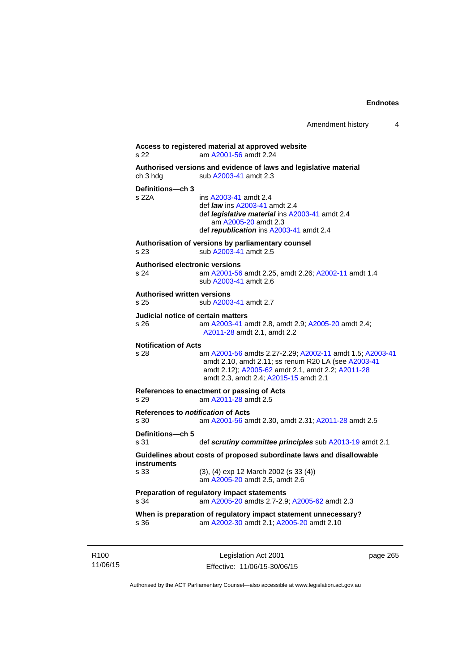```
Access to registered material at approved website 
s 22 am A2001-56 amdt 2.24
Authorised versions and evidence of laws and legislative material 
A2003-41 amdt 2.3
Definitions—ch 3 
                 A2003-41 amdt 2.4
                  def law ins A2003-41 amdt 2.4 
                  def legislative material ins A2003-41 amdt 2.4 
                     am A2005-20 amdt 2.3
                  def republication ins A2003-41 amdt 2.4
Authorisation of versions by parliamentary counsel 
s 23 sub A2003-41 amdt 2.5 
Authorised electronic versions 
s 24 am A2001-56 amdt 2.25, amdt 2.26; A2002-11 amdt 1.4
                  sub A2003-41 amdt 2.6 
Authorised written versions 
s 25 sub A2003-41 amdt 2.7 
Judicial notice of certain matters 
s 26 am A2003-41 amdt 2.8, amdt 2.9; A2005-20 amdt 2.4; 
                 A2011-28 amdt 2.1, amdt 2.2 
Notification of Acts 
s 28 am A2001-56 amdts 2.27-2.29; A2002-11 amdt 1.5; A2003-41
                 amdt 2.10, amdt 2.11; ss renum R20 LA (see A2003-41
                 amdt 2.12); A2005-62 amdt 2.1, amdt 2.2; A2011-28
                 amdt 2.3, amdt 2.4; A2015-15 amdt 2.1 
References to enactment or passing of Acts 
s 29 am A2011-28 amdt 2.5
References to notification of Acts 
s 30 am A2001-56 amdt 2.30, amdt 2.31; A2011-28 amdt 2.5
Definitions—ch 5 
s 31 def scrutiny committee principles sub A2013-19 amdt 2.1
Guidelines about costs of proposed subordinate laws and disallowable 
instruments 
s 33 (3), (4) exp 12 March 2002 (s 33 (4)) 
                  am A2005-20 amdt 2.5, amdt 2.6 
Preparation of regulatory impact statements 
s 34 am A2005-20 amdts 2.7-2.9; A2005-62 amdt 2.3 
When is preparation of regulatory impact statement unnecessary? 
s 36 am A2002-30 amdt 2.1; A2005-20 amdt 2.10
```
R100 11/06/15

Legislation Act 2001 Effective: 11/06/15-30/06/15 page 265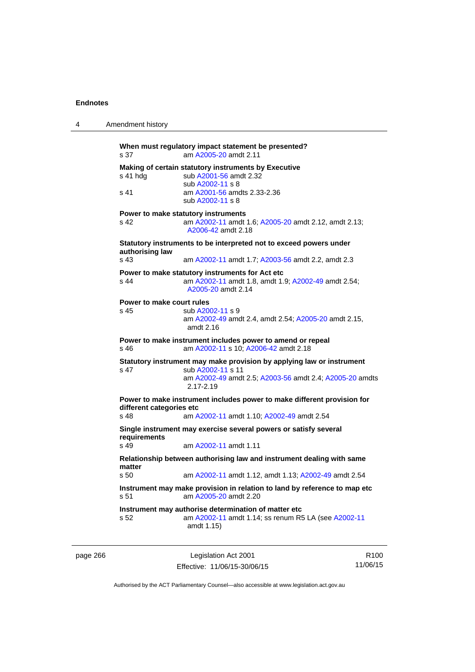| 4        | Amendment history                                                                     |                                                                                                                                                                    |                  |
|----------|---------------------------------------------------------------------------------------|--------------------------------------------------------------------------------------------------------------------------------------------------------------------|------------------|
|          | s 37                                                                                  | When must regulatory impact statement be presented?<br>am A2005-20 amdt 2.11                                                                                       |                  |
|          | s 41 hdg                                                                              | Making of certain statutory instruments by Executive<br>sub A2001-56 amdt 2.32<br>sub A2002-11 s 8                                                                 |                  |
|          | s 41                                                                                  | am A2001-56 amdts 2.33-2.36<br>sub A2002-11 s 8                                                                                                                    |                  |
|          | s 42                                                                                  | Power to make statutory instruments<br>am A2002-11 amdt 1.6; A2005-20 amdt 2.12, amdt 2.13;<br>A2006-42 amdt 2.18                                                  |                  |
|          | Statutory instruments to be interpreted not to exceed powers under<br>authorising law |                                                                                                                                                                    |                  |
|          | s 43                                                                                  | am A2002-11 amdt 1.7; A2003-56 amdt 2.2, amdt 2.3                                                                                                                  |                  |
|          | s 44                                                                                  | Power to make statutory instruments for Act etc<br>am A2002-11 amdt 1.8, amdt 1.9; A2002-49 amdt 2.54;<br>A2005-20 amdt 2.14                                       |                  |
|          | Power to make court rules<br>s 45                                                     | sub A2002-11 s 9<br>am A2002-49 amdt 2.4, amdt 2.54; A2005-20 amdt 2.15,<br>amdt 2.16                                                                              |                  |
|          | s 46                                                                                  | Power to make instrument includes power to amend or repeal<br>am A2002-11 s 10; A2006-42 amdt 2.18                                                                 |                  |
|          | s 47                                                                                  | Statutory instrument may make provision by applying law or instrument<br>sub A2002-11 s 11<br>am A2002-49 amdt 2.5; A2003-56 amdt 2.4; A2005-20 amdts<br>2.17-2.19 |                  |
|          | different categories etc<br>s 48                                                      | Power to make instrument includes power to make different provision for<br>am A2002-11 amdt 1.10; A2002-49 amdt 2.54                                               |                  |
|          | requirements                                                                          | Single instrument may exercise several powers or satisfy several                                                                                                   |                  |
|          | s 49                                                                                  | am A2002-11 amdt 1.11                                                                                                                                              |                  |
|          | matter                                                                                | Relationship between authorising law and instrument dealing with same                                                                                              |                  |
|          | s 50.<br>s 51                                                                         | am A2002-11 amdt 1.12, amdt 1.13; A2002-49 amdt 2.54<br>Instrument may make provision in relation to land by reference to map etc<br>am A2005-20 amdt 2.20         |                  |
|          | s 52                                                                                  | Instrument may authorise determination of matter etc<br>am A2002-11 amdt 1.14; ss renum R5 LA (see A2002-11<br>amdt 1.15)                                          |                  |
| page 266 |                                                                                       | Legislation Act 2001                                                                                                                                               | R <sub>100</sub> |

Effective: 11/06/15-30/06/15 11/06/15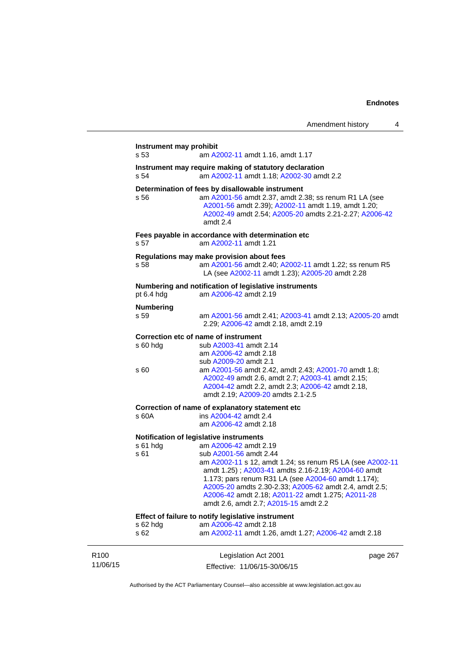|                              | Instrument may prohibit<br>s 53<br>am A2002-11 amdt 1.16, amdt 1.17                                        |                                                                                                                                                                                                                                                                                                                                                                                                                               |          |  |  |
|------------------------------|------------------------------------------------------------------------------------------------------------|-------------------------------------------------------------------------------------------------------------------------------------------------------------------------------------------------------------------------------------------------------------------------------------------------------------------------------------------------------------------------------------------------------------------------------|----------|--|--|
|                              | Instrument may require making of statutory declaration<br>s 54<br>am A2002-11 amdt 1.18; A2002-30 amdt 2.2 |                                                                                                                                                                                                                                                                                                                                                                                                                               |          |  |  |
|                              | s 56                                                                                                       | Determination of fees by disallowable instrument<br>am A2001-56 amdt 2.37, amdt 2.38; ss renum R1 LA (see<br>A2001-56 amdt 2.39); A2002-11 amdt 1.19, amdt 1.20;<br>A2002-49 amdt 2.54; A2005-20 amdts 2.21-2.27; A2006-42<br>amdt 2.4                                                                                                                                                                                        |          |  |  |
|                              | s 57                                                                                                       | Fees payable in accordance with determination etc<br>am A2002-11 amdt 1.21                                                                                                                                                                                                                                                                                                                                                    |          |  |  |
|                              | s 58                                                                                                       | Regulations may make provision about fees<br>am A2001-56 amdt 2.40; A2002-11 amdt 1.22; ss renum R5<br>LA (see A2002-11 amdt 1.23); A2005-20 amdt 2.28                                                                                                                                                                                                                                                                        |          |  |  |
|                              | pt 6.4 hdg                                                                                                 | Numbering and notification of legislative instruments<br>am A2006-42 amdt 2.19                                                                                                                                                                                                                                                                                                                                                |          |  |  |
|                              | <b>Numbering</b><br>s 59                                                                                   | am A2001-56 amdt 2.41; A2003-41 amdt 2.13; A2005-20 amdt<br>2.29; A2006-42 amdt 2.18, amdt 2.19                                                                                                                                                                                                                                                                                                                               |          |  |  |
|                              | $s60h$ dg<br>s 60                                                                                          | Correction etc of name of instrument<br>sub A2003-41 amdt 2.14<br>am A2006-42 amdt 2.18<br>sub A2009-20 amdt 2.1<br>am A2001-56 amdt 2.42, amdt 2.43; A2001-70 amdt 1.8;<br>A2002-49 amdt 2.6, amdt 2.7; A2003-41 amdt 2.15;                                                                                                                                                                                                  |          |  |  |
|                              |                                                                                                            | A2004-42 amdt 2.2, amdt 2.3; A2006-42 amdt 2.18,<br>amdt 2.19; A2009-20 amdts 2.1-2.5                                                                                                                                                                                                                                                                                                                                         |          |  |  |
|                              | s 60A                                                                                                      | Correction of name of explanatory statement etc<br>ins A2004-42 amdt 2.4<br>am A2006-42 amdt 2.18                                                                                                                                                                                                                                                                                                                             |          |  |  |
|                              | s 61 hdg<br>s 61                                                                                           | Notification of legislative instruments<br>am A2006-42 amdt 2.19<br>sub A2001-56 amdt 2.44<br>am A2002-11 s 12, amdt 1.24; ss renum R5 LA (see A2002-11<br>amdt 1.25); A2003-41 amdts 2.16-2.19; A2004-60 amdt<br>1.173; pars renum R31 LA (see A2004-60 amdt 1.174);<br>A2005-20 amdts 2.30-2.33; A2005-62 amdt 2.4, amdt 2.5;<br>A2006-42 amdt 2.18; A2011-22 amdt 1.275; A2011-28<br>amdt 2.6, amdt 2.7; A2015-15 amdt 2.2 |          |  |  |
|                              | s 62 hdg<br>s 62                                                                                           | Effect of failure to notify legislative instrument<br>am A2006-42 amdt 2.18<br>am A2002-11 amdt 1.26, amdt 1.27; A2006-42 amdt 2.18                                                                                                                                                                                                                                                                                           |          |  |  |
| R <sub>100</sub><br>11/06/15 |                                                                                                            | Legislation Act 2001<br>Effective: 11/06/15-30/06/15                                                                                                                                                                                                                                                                                                                                                                          | page 267 |  |  |

Authorised by the ACT Parliamentary Counsel—also accessible at www.legislation.act.gov.au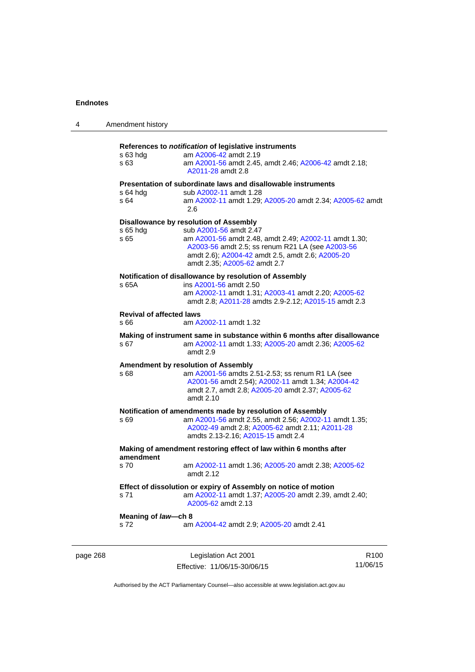| 4        | Amendment history                                                              |                                                                                                                                                                                                                                                                   |                  |  |
|----------|--------------------------------------------------------------------------------|-------------------------------------------------------------------------------------------------------------------------------------------------------------------------------------------------------------------------------------------------------------------|------------------|--|
|          | s 63 hdg<br>s 63                                                               | References to notification of legislative instruments<br>am A2006-42 amdt 2.19<br>am A2001-56 amdt 2.45, amdt 2.46; A2006-42 amdt 2.18;<br>A2011-28 amdt 2.8                                                                                                      |                  |  |
|          | s 64 hdg<br>s 64                                                               | Presentation of subordinate laws and disallowable instruments<br>sub A2002-11 amdt 1.28<br>am A2002-11 amdt 1.29; A2005-20 amdt 2.34; A2005-62 amdt<br>2.6                                                                                                        |                  |  |
|          | s 65 hdg<br>s 65                                                               | Disallowance by resolution of Assembly<br>sub A2001-56 amdt 2.47<br>am A2001-56 amdt 2.48, amdt 2.49; A2002-11 amdt 1.30;<br>A2003-56 amdt 2.5; ss renum R21 LA (see A2003-56<br>amdt 2.6), A2004-42 amdt 2.5, amdt 2.6; A2005-20<br>amdt 2.35; A2005-62 amdt 2.7 |                  |  |
|          | s 65A                                                                          | Notification of disallowance by resolution of Assembly<br>ins A2001-56 amdt 2.50<br>am A2002-11 amdt 1.31; A2003-41 amdt 2.20; A2005-62<br>amdt 2.8; A2011-28 amdts 2.9-2.12; A2015-15 amdt 2.3                                                                   |                  |  |
|          | <b>Revival of affected laws</b><br>s 66                                        | am A2002-11 amdt 1.32                                                                                                                                                                                                                                             |                  |  |
|          | s 67                                                                           | Making of instrument same in substance within 6 months after disallowance<br>am A2002-11 amdt 1.33; A2005-20 amdt 2.36; A2005-62<br>amdt 2.9                                                                                                                      |                  |  |
|          | s 68                                                                           | <b>Amendment by resolution of Assembly</b><br>am A2001-56 amdts 2.51-2.53; ss renum R1 LA (see<br>A2001-56 amdt 2.54); A2002-11 amdt 1.34; A2004-42<br>amdt 2.7, amdt 2.8; A2005-20 amdt 2.37; A2005-62<br>amdt 2.10                                              |                  |  |
|          | s 69                                                                           | Notification of amendments made by resolution of Assembly<br>am A2001-56 amdt 2.55, amdt 2.56; A2002-11 amdt 1.35;<br>A2002-49 amdt 2.8; A2005-62 amdt 2.11; A2011-28<br>amdts 2.13-2.16; A2015-15 amdt 2.4                                                       |                  |  |
|          | Making of amendment restoring effect of law within 6 months after<br>amendment |                                                                                                                                                                                                                                                                   |                  |  |
|          | s 70                                                                           | am A2002-11 amdt 1.36; A2005-20 amdt 2.38; A2005-62<br>amdt 2.12                                                                                                                                                                                                  |                  |  |
|          | s 71                                                                           | Effect of dissolution or expiry of Assembly on notice of motion<br>am A2002-11 amdt 1.37; A2005-20 amdt 2.39, amdt 2.40;<br>A2005-62 amdt 2.13                                                                                                                    |                  |  |
|          | Meaning of law-ch 8<br>s 72                                                    | am A2004-42 amdt 2.9; A2005-20 amdt 2.41                                                                                                                                                                                                                          |                  |  |
| page 268 |                                                                                | Legislation Act 2001                                                                                                                                                                                                                                              | R <sub>100</sub> |  |

Authorised by the ACT Parliamentary Counsel—also accessible at www.legislation.act.gov.au

11/06/15

Effective: 11/06/15-30/06/15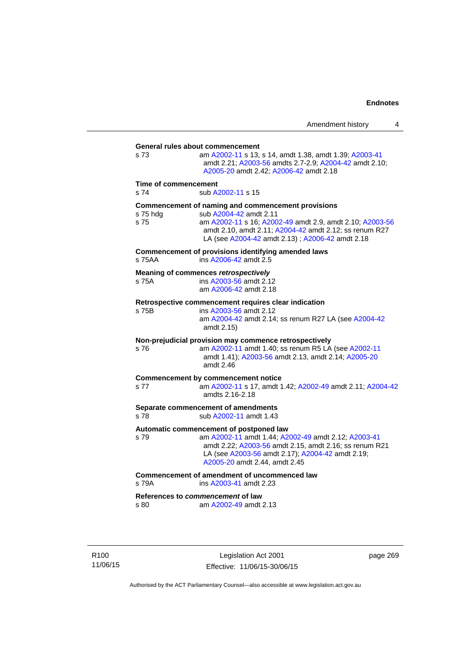**General rules about commencement**  s 73 am [A2002-11](http://www.legislation.act.gov.au/a/2002-11) s 13, s 14, amdt 1.38, amdt 1.39; [A2003-41](http://www.legislation.act.gov.au/a/2003-41) amdt 2.21; [A2003-56](http://www.legislation.act.gov.au/a/2003-56) amdts 2.7-2.9; [A2004-42](http://www.legislation.act.gov.au/a/2004-42) amdt 2.10; [A2005-20](http://www.legislation.act.gov.au/a/2005-20) amdt 2.42; [A2006-42](http://www.legislation.act.gov.au/a/2006-42) amdt 2.18 **Time of commencement**  s 74 sub [A2002-11](http://www.legislation.act.gov.au/a/2002-11) s 15 **Commencement of naming and commencement provisions**  s 75 hdg sub [A2004-42](http://www.legislation.act.gov.au/a/2004-42) amdt 2.11<br>s 75 straam A2002-11 s 16: A200 s 75 am [A2002-11](http://www.legislation.act.gov.au/a/2002-11) s 16; [A2002-49](http://www.legislation.act.gov.au/a/2002-49) amdt 2.9, amdt 2.10; [A2003-56](http://www.legislation.act.gov.au/a/2003-56) amdt 2.10, amdt 2.11; [A2004-42](http://www.legislation.act.gov.au/a/2004-42) amdt 2.12; ss renum R27 LA (see [A2004-42](http://www.legislation.act.gov.au/a/2004-42) amdt 2.13) ; [A2006-42](http://www.legislation.act.gov.au/a/2006-42) amdt 2.18 **Commencement of provisions identifying amended laws**  s 75AA ins [A2006-42](http://www.legislation.act.gov.au/a/2006-42) amdt 2.5 **Meaning of commences** *retrospectively*  s 75A ins [A2003-56](http://www.legislation.act.gov.au/a/2003-56) amdt 2.12 am [A2006-42](http://www.legislation.act.gov.au/a/2006-42) amdt 2.18 **Retrospective commencement requires clear indication**  s 75B ins [A2003-56](http://www.legislation.act.gov.au/a/2003-56) amdt 2.12 am [A2004-42](http://www.legislation.act.gov.au/a/2004-42) amdt 2.14; ss renum R27 LA (see [A2004-42](http://www.legislation.act.gov.au/a/2004-42) amdt 2.15) **Non-prejudicial provision may commence retrospectively**  s 76 am [A2002-11](http://www.legislation.act.gov.au/a/2002-11) amdt 1.40; ss renum R5 LA (see [A2002-11](http://www.legislation.act.gov.au/a/2002-11) amdt 1.41); [A2003-56](http://www.legislation.act.gov.au/a/2003-56) amdt 2.13, amdt 2.14; [A2005-20](http://www.legislation.act.gov.au/a/2005-20) amdt 2.46 **Commencement by commencement notice**  s 77 am [A2002-11](http://www.legislation.act.gov.au/a/2002-11) s 17, amdt 1.42; [A2002-49](http://www.legislation.act.gov.au/a/2002-49) amdt 2.11; [A2004-42](http://www.legislation.act.gov.au/a/2004-42) amdts 2.16-2.18 **Separate commencement of amendments**  s 78 sub [A2002-11](http://www.legislation.act.gov.au/a/2002-11) amdt 1.43 **Automatic commencement of postponed law**  s 79 am [A2002-11](http://www.legislation.act.gov.au/a/2002-11) amdt 1.44; [A2002-49](http://www.legislation.act.gov.au/a/2002-49) amdt 2.12; [A2003-41](http://www.legislation.act.gov.au/a/2003-41) amdt 2.22; [A2003-56](http://www.legislation.act.gov.au/a/2003-56) amdt 2.15, amdt 2.16; ss renum R21 LA (see [A2003-56](http://www.legislation.act.gov.au/a/2003-56) amdt 2.17); [A2004-42](http://www.legislation.act.gov.au/a/2004-42) amdt 2.19; [A2005-20](http://www.legislation.act.gov.au/a/2005-20) amdt 2.44, amdt 2.45 **Commencement of amendment of uncommenced law**  s 79A ins [A2003-41](http://www.legislation.act.gov.au/a/2003-41) amdt 2.23 **References to** *commencement* **of law**  s 80 am [A2002-49](http://www.legislation.act.gov.au/a/2002-49) amdt 2.13

R100 11/06/15

Legislation Act 2001 Effective: 11/06/15-30/06/15 page 269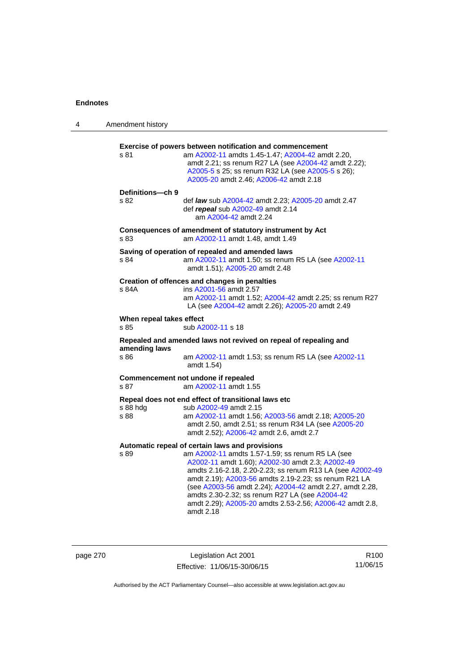| 4 | Amendment history                |                                                                                                                                                                                                                                                                                                                                                                                                                                                                      |
|---|----------------------------------|----------------------------------------------------------------------------------------------------------------------------------------------------------------------------------------------------------------------------------------------------------------------------------------------------------------------------------------------------------------------------------------------------------------------------------------------------------------------|
|   | s 81                             | <b>Exercise of powers between notification and commencement</b><br>am A2002-11 amdts 1.45-1.47; A2004-42 amdt 2.20,<br>amdt 2.21; ss renum R27 LA (see A2004-42 amdt 2.22);<br>A2005-5 s 25; ss renum R32 LA (see A2005-5 s 26);<br>A2005-20 amdt 2.46; A2006-42 amdt 2.18                                                                                                                                                                                           |
|   | Definitions-ch 9<br>s 82         | def law sub A2004-42 amdt 2.23; A2005-20 amdt 2.47<br>def repeal sub A2002-49 amdt 2.14<br>am A2004-42 amdt 2.24                                                                                                                                                                                                                                                                                                                                                     |
|   | s 83                             | Consequences of amendment of statutory instrument by Act<br>am A2002-11 amdt 1.48, amdt 1.49                                                                                                                                                                                                                                                                                                                                                                         |
|   | s 84                             | Saving of operation of repealed and amended laws<br>am A2002-11 amdt 1.50; ss renum R5 LA (see A2002-11<br>amdt 1.51); A2005-20 amdt 2.48                                                                                                                                                                                                                                                                                                                            |
|   | s 84A                            | Creation of offences and changes in penalties<br>ins A2001-56 amdt 2.57<br>am A2002-11 amdt 1.52; A2004-42 amdt 2.25; ss renum R27<br>LA (see A2004-42 amdt 2.26); A2005-20 amdt 2.49                                                                                                                                                                                                                                                                                |
|   | When repeal takes effect<br>s 85 | sub A2002-11 s 18                                                                                                                                                                                                                                                                                                                                                                                                                                                    |
|   |                                  | Repealed and amended laws not revived on repeal of repealing and                                                                                                                                                                                                                                                                                                                                                                                                     |
|   | amending laws<br>s 86            | am A2002-11 amdt 1.53; ss renum R5 LA (see A2002-11<br>amdt 1.54)                                                                                                                                                                                                                                                                                                                                                                                                    |
|   | s 87                             | Commencement not undone if repealed<br>am A2002-11 amdt 1.55                                                                                                                                                                                                                                                                                                                                                                                                         |
|   | s 88 hdg<br>s 88                 | Repeal does not end effect of transitional laws etc<br>sub A2002-49 amdt 2.15<br>am A2002-11 amdt 1.56; A2003-56 amdt 2.18; A2005-20<br>amdt 2.50, amdt 2.51; ss renum R34 LA (see A2005-20<br>amdt 2.52); A2006-42 amdt 2.6, amdt 2.7                                                                                                                                                                                                                               |
|   | s 89                             | Automatic repeal of certain laws and provisions<br>am A2002-11 amdts 1.57-1.59; ss renum R5 LA (see<br>A2002-11 amdt 1.60); A2002-30 amdt 2.3; A2002-49<br>amdts 2.16-2.18, 2.20-2.23; ss renum R13 LA (see A2002-49<br>amdt 2.19); A2003-56 amdts 2.19-2.23; ss renum R21 LA<br>(see A2003-56 amdt 2.24); A2004-42 amdt 2.27, amdt 2.28,<br>amdts 2.30-2.32; ss renum R27 LA (see A2004-42<br>amdt 2.29); A2005-20 amdts 2.53-2.56; A2006-42 amdt 2.8,<br>amdt 2.18 |

page 270 Legislation Act 2001 Effective: 11/06/15-30/06/15

R100 11/06/15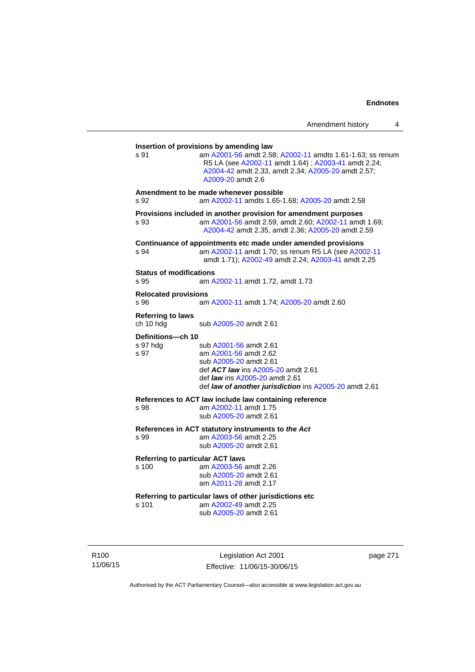| s 91                                    | am A2001-56 amdt 2.58; A2002-11 amdts 1.61-1.63; ss renum<br>R5 LA (see A2002-11 amdt 1.64); A2003-41 amdt 2.24;<br>A2004-42 amdt 2.33, amdt 2.34; A2005-20 amdt 2.57;<br>A2009-20 amdt 2.6                        |
|-----------------------------------------|--------------------------------------------------------------------------------------------------------------------------------------------------------------------------------------------------------------------|
| s 92                                    | Amendment to be made whenever possible<br>am A2002-11 amdts 1.65-1.68; A2005-20 amdt 2.58                                                                                                                          |
| s 93                                    | Provisions included in another provision for amendment purposes<br>am A2001-56 amdt 2.59, amdt 2.60; A2002-11 amdt 1.69;<br>A2004-42 amdt 2.35, amdt 2.36; A2005-20 amdt 2.59                                      |
| S.94                                    | Continuance of appointments etc made under amended provisions<br>am A2002-11 amdt 1.70; ss renum R5 LA (see A2002-11<br>amdt 1.71); A2002-49 amdt 2.24; A2003-41 amdt 2.25                                         |
| <b>Status of modifications</b><br>s 95  | am A2002-11 amdt 1.72, amdt 1.73                                                                                                                                                                                   |
| <b>Relocated provisions</b><br>s 96     | am A2002-11 amdt 1.74; A2005-20 amdt 2.60                                                                                                                                                                          |
| <b>Referring to laws</b><br>ch 10 hdg   | sub A2005-20 amdt 2.61                                                                                                                                                                                             |
| Definitions---ch 10<br>s 97 hdg<br>s 97 | sub A2001-56 amdt 2.61<br>am A2001-56 amdt 2.62<br>sub A2005-20 amdt 2.61<br>def <b>ACT law</b> ins A2005-20 amdt 2.61<br>def law ins A2005-20 amdt 2.61<br>def law of another jurisdiction ins A2005-20 amdt 2.61 |
| s 98                                    | References to ACT law include law containing reference<br>am A2002-11 amdt 1.75<br>sub A2005-20 amdt 2.61                                                                                                          |
| s 99                                    | References in ACT statutory instruments to the Act<br>am A2003-56 amdt 2.25<br>sub A2005-20 amdt 2.61                                                                                                              |
| s 100                                   | <b>Referring to particular ACT laws</b><br>am A2003-56 amdt 2.26<br>sub A2005-20 amdt 2.61<br>am A2011-28 amdt 2.17                                                                                                |
| s 101                                   | Referring to particular laws of other jurisdictions etc<br>am A2002-49 amdt 2.25<br>sub A2005-20 amdt 2.61                                                                                                         |

R100 11/06/15

Legislation Act 2001 Effective: 11/06/15-30/06/15 page 271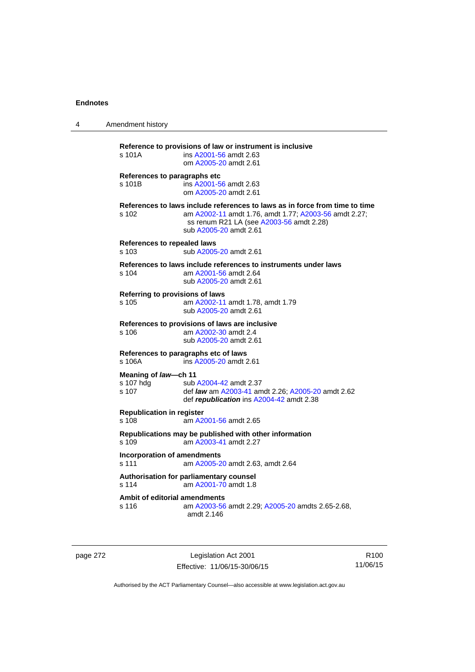| 4 | Amendment history                                                                                                                                                                                                   |
|---|---------------------------------------------------------------------------------------------------------------------------------------------------------------------------------------------------------------------|
|   | Reference to provisions of law or instrument is inclusive<br>s 101A<br>ins A2001-56 amdt 2.63<br>om A2005-20 amdt 2.61                                                                                              |
|   | References to paragraphs etc<br>ins A2001-56 amdt 2.63<br>s 101B<br>om A2005-20 amdt 2.61                                                                                                                           |
|   | References to laws include references to laws as in force from time to time<br>am A2002-11 amdt 1.76, amdt 1.77; A2003-56 amdt 2.27;<br>s 102<br>ss renum R21 LA (see A2003-56 amdt 2.28)<br>sub A2005-20 amdt 2.61 |
|   | References to repealed laws<br>sub A2005-20 amdt 2.61<br>s 103                                                                                                                                                      |
|   | References to laws include references to instruments under laws<br>am A2001-56 amdt 2.64<br>s 104<br>sub A2005-20 amdt 2.61                                                                                         |
|   | Referring to provisions of laws<br>am A2002-11 amdt 1.78, amdt 1.79<br>s 105<br>sub A2005-20 amdt 2.61                                                                                                              |
|   | References to provisions of laws are inclusive<br>s 106<br>am A2002-30 amdt 2.4<br>sub A2005-20 amdt 2.61                                                                                                           |
|   | References to paragraphs etc of laws<br>ins A2005-20 amdt 2.61<br>s 106A                                                                                                                                            |
|   | Meaning of law-ch 11<br>s 107 hdg<br>sub A2004-42 amdt 2.37<br>s 107<br>def <i>law</i> am A2003-41 amdt 2.26; A2005-20 amdt 2.62<br>def republication ins A2004-42 amdt 2.38                                        |
|   | <b>Republication in register</b><br>s 108<br>am A2001-56 amdt 2.65                                                                                                                                                  |
|   | Republications may be published with other information<br>s 109<br>am A2003-41 amdt 2.27                                                                                                                            |
|   | <b>Incorporation of amendments</b><br>s 111<br>am A2005-20 amdt 2.63, amdt 2.64                                                                                                                                     |
|   | Authorisation for parliamentary counsel<br>s 114<br>am A2001-70 amdt 1.8                                                                                                                                            |
|   | Ambit of editorial amendments<br>s 116<br>am A2003-56 amdt 2.29; A2005-20 amdts 2.65-2.68,<br>amdt 2.146                                                                                                            |

page 272 Legislation Act 2001 Effective: 11/06/15-30/06/15

R100 11/06/15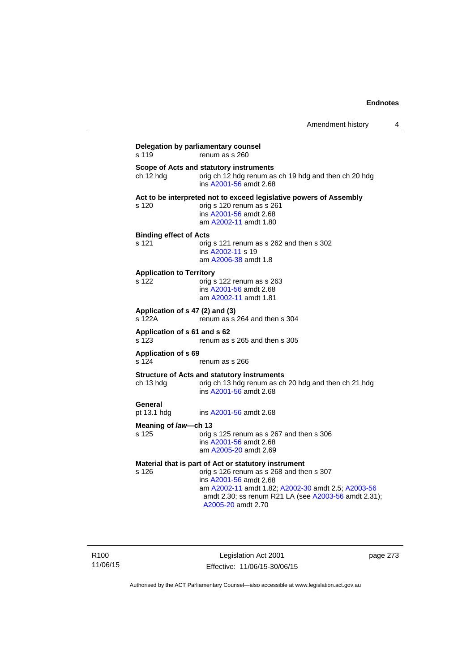| s 119                                    | Delegation by parliamentary counsel<br>renum as s 260                                                                                                                                                                                                          |
|------------------------------------------|----------------------------------------------------------------------------------------------------------------------------------------------------------------------------------------------------------------------------------------------------------------|
| ch 12 hdg                                | Scope of Acts and statutory instruments<br>orig ch 12 hdg renum as ch 19 hdg and then ch 20 hdg<br>ins A2001-56 amdt 2.68                                                                                                                                      |
| s 120                                    | Act to be interpreted not to exceed legislative powers of Assembly<br>orig s 120 renum as s 261<br>ins A2001-56 amdt 2.68<br>am A2002-11 amdt 1.80                                                                                                             |
| <b>Binding effect of Acts</b><br>s 121   | orig s 121 renum as s 262 and then s 302<br>ins A2002-11 s 19<br>am A2006-38 amdt 1.8                                                                                                                                                                          |
| <b>Application to Territory</b><br>s 122 | orig s 122 renum as s 263<br>ins A2001-56 amdt 2.68<br>am A2002-11 amdt 1.81                                                                                                                                                                                   |
| s 122A                                   | Application of s 47 (2) and (3)<br>renum as s 264 and then s 304                                                                                                                                                                                               |
| Application of s 61 and s 62<br>s 123    | renum as s 265 and then s 305                                                                                                                                                                                                                                  |
| <b>Application of s 69</b><br>s 124      | renum as s 266                                                                                                                                                                                                                                                 |
| ch 13 hdg                                | <b>Structure of Acts and statutory instruments</b><br>orig ch 13 hdg renum as ch 20 hdg and then ch 21 hdg<br>ins A2001-56 amdt 2.68                                                                                                                           |
| General<br>pt 13.1 hdg                   | ins A2001-56 amdt 2.68                                                                                                                                                                                                                                         |
| Meaning of law-ch 13                     |                                                                                                                                                                                                                                                                |
| s 125                                    | orig s 125 renum as s 267 and then s 306<br>ins A2001-56 amdt 2.68<br>am A2005-20 amdt 2.69                                                                                                                                                                    |
| s 126                                    | Material that is part of Act or statutory instrument<br>orig s 126 renum as s 268 and then s 307<br>ins A2001-56 amdt 2.68<br>am A2002-11 amdt 1.82; A2002-30 amdt 2.5; A2003-56<br>amdt 2.30; ss renum R21 LA (see A2003-56 amdt 2.31);<br>A2005-20 amdt 2.70 |

Legislation Act 2001 Effective: 11/06/15-30/06/15 page 273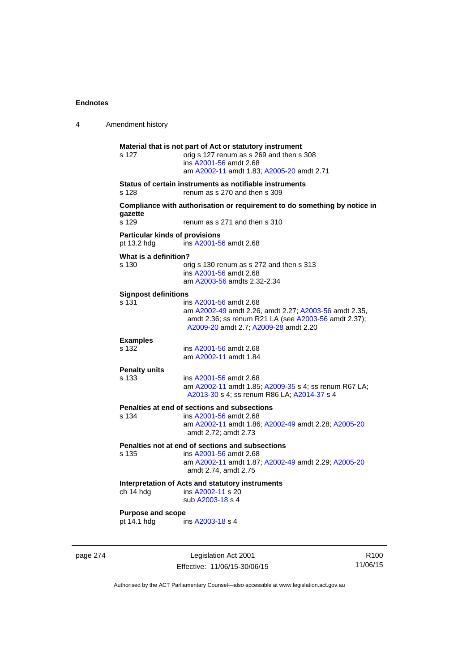| 4 | Amendment history                                    |                                                                                                                                                                                  |
|---|------------------------------------------------------|----------------------------------------------------------------------------------------------------------------------------------------------------------------------------------|
|   | s 127                                                | Material that is not part of Act or statutory instrument<br>orig s 127 renum as s 269 and then s 308<br>ins A2001-56 amdt 2.68<br>am A2002-11 amdt 1.83; A2005-20 amdt 2.71      |
|   | s 128                                                | Status of certain instruments as notifiable instruments<br>renum as s 270 and then s 309                                                                                         |
|   | gazette<br>s 129                                     | Compliance with authorisation or requirement to do something by notice in<br>renum as s 271 and then s 310                                                                       |
|   | <b>Particular kinds of provisions</b><br>pt 13.2 hdg | ins A2001-56 amdt 2.68                                                                                                                                                           |
|   | What is a definition?<br>s 130                       | orig s 130 renum as s 272 and then s 313<br>ins A2001-56 amdt 2.68<br>am A2003-56 amdts 2.32-2.34                                                                                |
|   | <b>Signpost definitions</b><br>s 131                 | ins A2001-56 amdt 2.68<br>am A2002-49 amdt 2.26, amdt 2.27; A2003-56 amdt 2.35,<br>amdt 2.36; ss renum R21 LA (see A2003-56 amdt 2.37);<br>A2009-20 amdt 2.7; A2009-28 amdt 2.20 |
|   | <b>Examples</b><br>s 132                             | ins A2001-56 amdt 2.68<br>am A2002-11 amdt 1.84                                                                                                                                  |
|   | <b>Penalty units</b><br>s 133                        | ins A2001-56 amdt 2.68<br>am A2002-11 amdt 1.85; A2009-35 s 4; ss renum R67 LA;<br>A2013-30 s 4; ss renum R86 LA; A2014-37 s 4                                                   |
|   | s 134                                                | Penalties at end of sections and subsections<br>ins A2001-56 amdt 2.68<br>am A2002-11 amdt 1.86; A2002-49 amdt 2.28; A2005-20<br>amdt 2.72; amdt 2.73                            |
|   | s 135                                                | Penalties not at end of sections and subsections<br>ins A2001-56 amdt 2.68<br>am A2002-11 amdt 1.87; A2002-49 amdt 2.29; A2005-20<br>amdt 2.74, amdt 2.75                        |
|   | ch 14 hdg                                            | Interpretation of Acts and statutory instruments<br>ins A2002-11 s 20<br>sub A2003-18 s 4                                                                                        |
|   | <b>Purpose and scope</b><br>pt 14.1 hdg              | ins A2003-18 s 4                                                                                                                                                                 |
|   |                                                      |                                                                                                                                                                                  |

page 274 Legislation Act 2001 Effective: 11/06/15-30/06/15

R100 11/06/15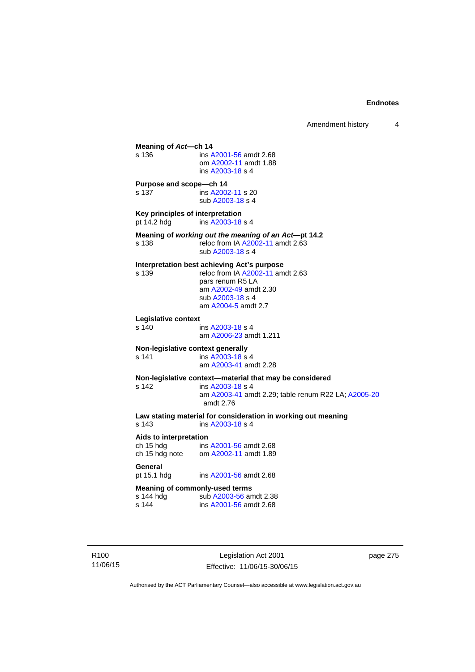**Meaning of** *Act***—ch 14**  s 136 ins [A2001-56](http://www.legislation.act.gov.au/a/2001-56) amdt 2.68 om [A2002-11](http://www.legislation.act.gov.au/a/2002-11) amdt 1.88 ins [A2003-18](http://www.legislation.act.gov.au/a/2003-18) s 4 **Purpose and scope—ch 14**  s 137 ins [A2002-11](http://www.legislation.act.gov.au/a/2002-11) s 20 sub [A2003-18](http://www.legislation.act.gov.au/a/2003-18) s 4 **Key principles of interpretation**<br>pt 14.2 hdg ins A2003-18 ins [A2003-18](http://www.legislation.act.gov.au/a/2003-18) s 4 **Meaning of** *working out the meaning of an Act***—pt 14.2**  s 138 reloc from IA [A2002-11](http://www.legislation.act.gov.au/a/2002-11) amdt 2.63 sub [A2003-18](http://www.legislation.act.gov.au/a/2003-18) s 4 **Interpretation best achieving Act's purpose**  s 139 reloc from IA [A2002-11](http://www.legislation.act.gov.au/a/2002-11) amdt 2.63 pars renum R5 LA am [A2002-49](http://www.legislation.act.gov.au/a/2002-49) amdt 2.30 sub [A2003-18](http://www.legislation.act.gov.au/a/2003-18) s 4 am [A2004-5](http://www.legislation.act.gov.au/a/2004-5) amdt 2.7 **Legislative context**  ins [A2003-18](http://www.legislation.act.gov.au/a/2003-18) s 4 am [A2006-23](http://www.legislation.act.gov.au/a/2006-23) amdt 1.211 **Non-legislative context generally**<br>s 141 **ins A2003-18 s** s 141 **ins [A2003-18](http://www.legislation.act.gov.au/a/2003-18) s** 4 am [A2003-41](http://www.legislation.act.gov.au/a/2003-41) amdt 2.28 **Non-legislative context—material that may be considered**  s 142 ins [A2003-18](http://www.legislation.act.gov.au/a/2003-18) s 4 am [A2003-41](http://www.legislation.act.gov.au/a/2003-41) amdt 2.29; table renum R22 LA; [A2005-20](http://www.legislation.act.gov.au/a/2005-20) amdt 2.76 **Law stating material for consideration in working out meaning**  ins [A2003-18](http://www.legislation.act.gov.au/a/2003-18) s 4 **Aids to interpretation**  ch 15 hdg ins [A2001-56](http://www.legislation.act.gov.au/a/2001-56) amdt 2.68 ch 15 hdg note om [A2002-11](http://www.legislation.act.gov.au/a/2002-11) amdt 1.89 General<br>pt 15.1 hdg ins [A2001-56](http://www.legislation.act.gov.au/a/2001-56) amdt 2.68 **Meaning of commonly-used terms**  s 144 hdg sub [A2003-56](http://www.legislation.act.gov.au/a/2003-56) amdt 2.38<br>s 144 ins A2001-56 amdt 2.68 ins [A2001-56](http://www.legislation.act.gov.au/a/2001-56) amdt 2.68

R100 11/06/15

Legislation Act 2001 Effective: 11/06/15-30/06/15 page 275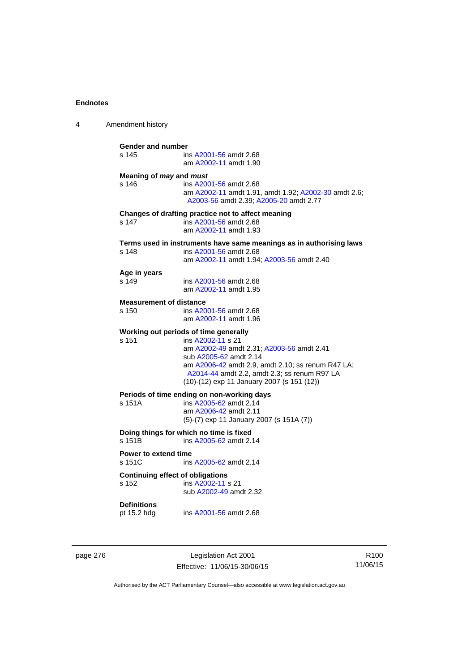| 4 | Amendment history                                                                                                                                                                                                                                                                             |
|---|-----------------------------------------------------------------------------------------------------------------------------------------------------------------------------------------------------------------------------------------------------------------------------------------------|
|   | Gender and number<br>s 145<br>ins A2001-56 amdt 2.68<br>am A2002-11 amdt 1.90                                                                                                                                                                                                                 |
|   | Meaning of <i>may</i> and <i>must</i><br>s 146<br>ins A2001-56 amdt 2.68<br>am A2002-11 amdt 1.91, amdt 1.92; A2002-30 amdt 2.6;<br>A2003-56 amdt 2.39; A2005-20 amdt 2.77                                                                                                                    |
|   | Changes of drafting practice not to affect meaning<br>s 147<br>ins A2001-56 amdt 2.68<br>am A2002-11 amdt 1.93                                                                                                                                                                                |
|   | Terms used in instruments have same meanings as in authorising laws<br>s 148<br>ins A2001-56 amdt 2.68<br>am A2002-11 amdt 1.94; A2003-56 amdt 2.40                                                                                                                                           |
|   | Age in years<br>s 149<br>ins A2001-56 amdt 2.68<br>am A2002-11 amdt 1.95                                                                                                                                                                                                                      |
|   | <b>Measurement of distance</b><br>s 150<br>ins A2001-56 amdt 2.68<br>am A2002-11 amdt 1.96                                                                                                                                                                                                    |
|   | Working out periods of time generally<br>s 151<br>ins A2002-11 s 21<br>am A2002-49 amdt 2.31; A2003-56 amdt 2.41<br>sub A2005-62 amdt 2.14<br>am A2006-42 amdt 2.9, amdt 2.10; ss renum R47 LA;<br>A2014-44 amdt 2.2, amdt 2.3; ss renum R97 LA<br>(10)-(12) exp 11 January 2007 (s 151 (12)) |
|   | Periods of time ending on non-working days<br>s 151A<br>ins A2005-62 amdt 2.14<br>am A2006-42 amdt 2.11<br>$(5)-(7)$ exp 11 January 2007 (s 151A $(7)$ )                                                                                                                                      |
|   | Doing things for which no time is fixed<br>s 151B<br>ins A2005-62 amdt 2.14                                                                                                                                                                                                                   |
|   | <b>Power to extend time</b><br>s 151C<br>ins A2005-62 amdt 2.14                                                                                                                                                                                                                               |
|   | <b>Continuing effect of obligations</b><br>s 152<br>ins A2002-11 s 21<br>sub A2002-49 amdt 2.32                                                                                                                                                                                               |
|   | <b>Definitions</b><br>pt 15.2 hdg<br>ins A2001-56 amdt 2.68                                                                                                                                                                                                                                   |
|   |                                                                                                                                                                                                                                                                                               |

page 276 **Legislation Act 2001** Effective: 11/06/15-30/06/15

R100 11/06/15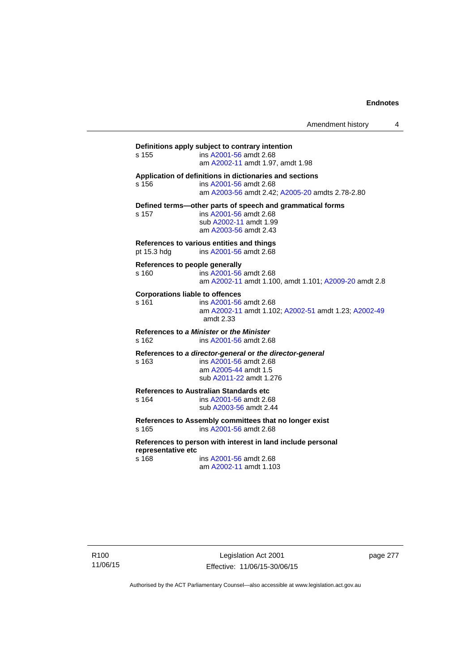Amendment history 4

**Definitions apply subject to contrary intention**  s 155 ins [A2001-56](http://www.legislation.act.gov.au/a/2001-56) amdt 2.68 am [A2002-11](http://www.legislation.act.gov.au/a/2002-11) amdt 1.97, amdt 1.98 **Application of definitions in dictionaries and sections**  s 156 ins [A2001-56](http://www.legislation.act.gov.au/a/2001-56) amdt 2.68 am [A2003-56](http://www.legislation.act.gov.au/a/2003-56) amdt 2.42; [A2005-20](http://www.legislation.act.gov.au/a/2005-20) amdts 2.78-2.80 **Defined terms—other parts of speech and grammatical forms**  s 157 ins [A2001-56](http://www.legislation.act.gov.au/a/2001-56) amdt 2.68 sub [A2002-11](http://www.legislation.act.gov.au/a/2002-11) amdt 1.99 am [A2003-56](http://www.legislation.act.gov.au/a/2003-56) amdt 2.43 **References to various entities and things**  pt 15.3 hdg ins [A2001-56](http://www.legislation.act.gov.au/a/2001-56) amdt 2.68 **References to people generally**  s 160 ins [A2001-56](http://www.legislation.act.gov.au/a/2001-56) amdt 2.68 am [A2002-11](http://www.legislation.act.gov.au/a/2002-11) amdt 1.100, amdt 1.101; [A2009-20](http://www.legislation.act.gov.au/a/2009-20) amdt 2.8 **Corporations liable to offences**  s 161 ins [A2001-56](http://www.legislation.act.gov.au/a/2001-56) amdt 2.68 am [A2002-11](http://www.legislation.act.gov.au/a/2002-11) amdt 1.102; [A2002-51](http://www.legislation.act.gov.au/a/2002-51) amdt 1.23; [A2002-49](http://www.legislation.act.gov.au/a/2002-49) amdt 2.33 **References to** *a Minister* **or** *the Minister* s 162 ins [A2001-56](http://www.legislation.act.gov.au/a/2001-56) amdt 2.68 **References to** *a director-general* **or** *the director-general* s 163 ins [A2001-56](http://www.legislation.act.gov.au/a/2001-56) amdt 2.68 am [A2005-44](http://www.legislation.act.gov.au/a/2005-44) amdt 1.5 sub [A2011-22](http://www.legislation.act.gov.au/a/2011-22) amdt 1.276 **References to Australian Standards etc**  ins [A2001-56](http://www.legislation.act.gov.au/a/2001-56) amdt 2.68 sub [A2003-56](http://www.legislation.act.gov.au/a/2003-56) amdt 2.44 **References to Assembly committees that no longer exist**  s 165 ins [A2001-56](http://www.legislation.act.gov.au/a/2001-56) amdt 2.68 **References to person with interest in land include personal representative etc**  s 168 ins [A2001-56](http://www.legislation.act.gov.au/a/2001-56) amdt 2.68 am [A2002-11](http://www.legislation.act.gov.au/a/2002-11) amdt 1.103

R100 11/06/15

Legislation Act 2001 Effective: 11/06/15-30/06/15 page 277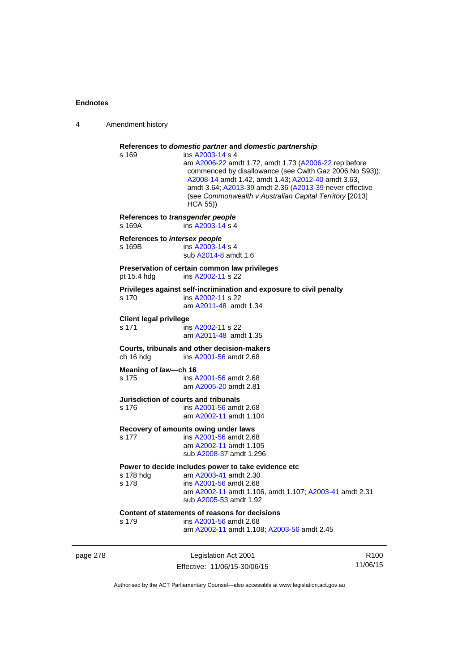| 4        | Amendment history                          |                                                                                                                                                                                                                                                                                                                                                                                                |                  |
|----------|--------------------------------------------|------------------------------------------------------------------------------------------------------------------------------------------------------------------------------------------------------------------------------------------------------------------------------------------------------------------------------------------------------------------------------------------------|------------------|
|          | s 169                                      | References to domestic partner and domestic partnership<br>ins A2003-14 s 4<br>am A2006-22 amdt 1.72, amdt 1.73 (A2006-22 rep before<br>commenced by disallowance (see Cwlth Gaz 2006 No S93));<br>A2008-14 amdt 1.42, amdt 1.43; A2012-40 amdt 3.63,<br>amdt 3.64; A2013-39 amdt 2.36 (A2013-39 never effective<br>(see Commonwealth v Australian Capital Territory [2013]<br><b>HCA 55))</b> |                  |
|          | References to transgender people<br>s 169A | ins A2003-14 s 4                                                                                                                                                                                                                                                                                                                                                                               |                  |
|          | References to intersex people<br>s 169B    | ins A2003-14 s 4<br>sub A2014-8 amdt 1.6                                                                                                                                                                                                                                                                                                                                                       |                  |
|          | pt 15.4 hdg                                | Preservation of certain common law privileges<br>ins A2002-11 s 22                                                                                                                                                                                                                                                                                                                             |                  |
|          | s 170                                      | Privileges against self-incrimination and exposure to civil penalty<br>ins A2002-11 s 22<br>am A2011-48 amdt 1.34                                                                                                                                                                                                                                                                              |                  |
|          | <b>Client legal privilege</b><br>s 171     | ins A2002-11 s 22<br>am A2011-48 amdt 1.35                                                                                                                                                                                                                                                                                                                                                     |                  |
|          | ch 16 hdg                                  | Courts, tribunals and other decision-makers<br>ins A2001-56 amdt 2.68                                                                                                                                                                                                                                                                                                                          |                  |
|          | Meaning of law-ch 16<br>s 175              | ins A2001-56 amdt 2.68<br>am A2005-20 amdt 2.81                                                                                                                                                                                                                                                                                                                                                |                  |
|          | s 176                                      | Jurisdiction of courts and tribunals<br>ins A2001-56 amdt 2.68<br>am A2002-11 amdt 1.104                                                                                                                                                                                                                                                                                                       |                  |
|          | s 177                                      | Recovery of amounts owing under laws<br>ins A2001-56 amdt 2.68<br>am A2002-11 amdt 1.105<br>sub A2008-37 amdt 1.296                                                                                                                                                                                                                                                                            |                  |
|          | s 178 hdg<br>s 178                         | Power to decide includes power to take evidence etc<br>am A2003-41 amdt 2.30<br>ins A2001-56 amdt 2.68<br>am A2002-11 amdt 1.106, amdt 1.107; A2003-41 amdt 2.31<br>sub A2005-53 amdt 1.92                                                                                                                                                                                                     |                  |
|          | s 179                                      | Content of statements of reasons for decisions<br>ins A2001-56 amdt 2.68<br>am A2002-11 amdt 1.108; A2003-56 amdt 2.45                                                                                                                                                                                                                                                                         |                  |
| page 278 |                                            | Legislation Act 2001                                                                                                                                                                                                                                                                                                                                                                           | R <sub>100</sub> |

Effective: 11/06/15-30/06/15

R100 11/06/15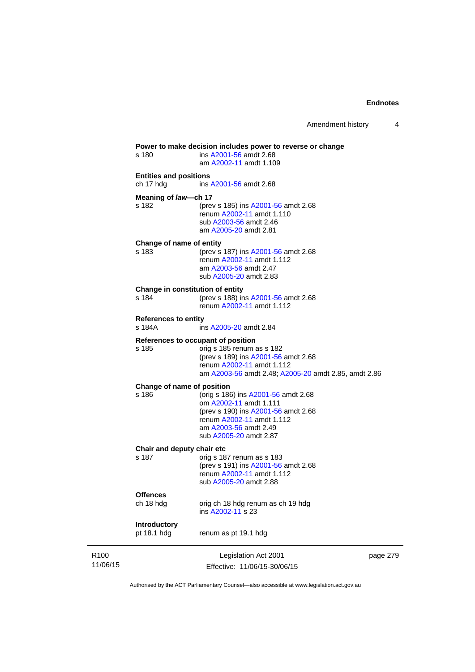|                                            | Legislation Act 2001<br>Effective: 11/06/15-30/06/15                                                                                                                                        | page 279 |
|--------------------------------------------|---------------------------------------------------------------------------------------------------------------------------------------------------------------------------------------------|----------|
| Introductory<br>pt 18.1 hdg                | renum as pt 19.1 hdg                                                                                                                                                                        |          |
| <b>Offences</b><br>ch 18 hdg               | orig ch 18 hdg renum as ch 19 hdg<br>ins A2002-11 s 23                                                                                                                                      |          |
| Chair and deputy chair etc<br>s 187        | orig s 187 renum as s 183<br>(prev s 191) ins A2001-56 amdt 2.68<br>renum A2002-11 amdt 1.112<br>sub A2005-20 amdt 2.88                                                                     |          |
| Change of name of position<br>s 186        | (orig s 186) ins A2001-56 amdt 2.68<br>om A2002-11 amdt 1.111<br>(prev s 190) ins A2001-56 amdt 2.68<br>renum A2002-11 amdt 1.112<br>am A2003-56 amdt 2.49<br>sub A2005-20 amdt 2.87        |          |
| s 185                                      | References to occupant of position<br>orig s 185 renum as s 182<br>(prev s 189) ins A2001-56 amdt 2.68<br>renum A2002-11 amdt 1.112<br>am A2003-56 amdt 2.48; A2005-20 amdt 2.85, amdt 2.86 |          |
| <b>References to entity</b><br>s 184A      | ins A2005-20 amdt 2.84                                                                                                                                                                      |          |
| s 184                                      | Change in constitution of entity<br>(prev s 188) ins A2001-56 amdt 2.68<br>renum A2002-11 amdt 1.112                                                                                        |          |
| Change of name of entity<br>s 183          | (prev s 187) ins A2001-56 amdt 2.68<br>renum A2002-11 amdt 1.112<br>am A2003-56 amdt 2.47<br>sub A2005-20 amdt 2.83                                                                         |          |
| Meaning of law-ch 17<br>s 182              | (prev s 185) ins A2001-56 amdt 2.68<br>renum A2002-11 amdt 1.110<br>sub A2003-56 amdt 2.46<br>am A2005-20 amdt 2.81                                                                         |          |
| <b>Entities and positions</b><br>ch 17 hdg | ins A2001-56 amdt 2.68                                                                                                                                                                      |          |
|                                            | am A2002-11 amdt 1.109                                                                                                                                                                      |          |

Authorised by the ACT Parliamentary Counsel—also accessible at www.legislation.act.gov.au

R100 11/06/15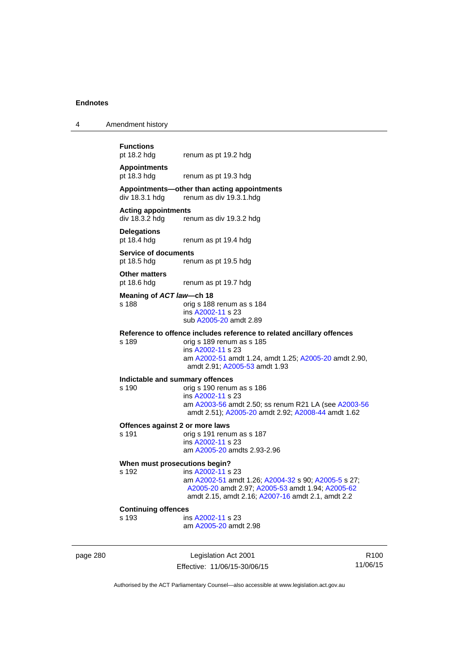| .                  |     |
|--------------------|-----|
|                    |     |
|                    |     |
| <b>Functions</b>   |     |
| $m+40.2$ $h$ d $g$ | . . |

4 Amendment history

pt 18.2 hdg renum as pt 19.2 hdg

### **Appointments**  pt 18.3 hdg renum as pt 19.3 hdg

### **Appointments—other than acting appointments**  renum as div 19.3.1 hdg

### **Acting appointments**

div 18.3.2 hdg renum as div 19.3.2 hdg

# **Delegations**

renum as pt 19.4 hdg

### **Service of documents**  pt 18.5 hdg renum as pt 19.5 hdg

**Other matters** 

pt 18.6 hdg renum as pt 19.7 hdg

### **Meaning of** *ACT law***—ch 18**

s 188 orig s 188 renum as s 184 ins [A2002-11](http://www.legislation.act.gov.au/a/2002-11) s 23 sub [A2005-20](http://www.legislation.act.gov.au/a/2005-20) amdt 2.89

### **Reference to offence includes reference to related ancillary offences**

s 189 orig s 189 renum as s 185 ins [A2002-11](http://www.legislation.act.gov.au/a/2002-11) s 23 am [A2002-51](http://www.legislation.act.gov.au/a/2002-51) amdt 1.24, amdt 1.25; [A2005-20](http://www.legislation.act.gov.au/a/2005-20) amdt 2.90, amdt 2.91; [A2005-53](http://www.legislation.act.gov.au/a/2005-53) amdt 1.93

# **Indictable and summary offences**

### orig s 190 renum as s 186 ins [A2002-11](http://www.legislation.act.gov.au/a/2002-11) s 23 am [A2003-56](http://www.legislation.act.gov.au/a/2003-56) amdt 2.50; ss renum R21 LA (see [A2003-56](http://www.legislation.act.gov.au/a/2003-56) amdt 2.51); [A2005-20](http://www.legislation.act.gov.au/a/2005-20) amdt 2.92; [A2008-44](http://www.legislation.act.gov.au/a/2008-44) amdt 1.62

### **Offences against 2 or more laws**

s 191 orig s 191 renum as s 187 ins [A2002-11](http://www.legislation.act.gov.au/a/2002-11) s 23 am [A2005-20](http://www.legislation.act.gov.au/a/2005-20) amdts 2.93-2.96

### **When must prosecutions begin?**

s 192 ins [A2002-11](http://www.legislation.act.gov.au/a/2002-11) s 23 am [A2002-51](http://www.legislation.act.gov.au/a/2002-51) amdt 1.26; [A2004-32](http://www.legislation.act.gov.au/a/2004-32) s 90; [A2005-5](http://www.legislation.act.gov.au/a/2005-5) s 27; [A2005-20](http://www.legislation.act.gov.au/a/2005-20) amdt 2.97; [A2005-53](http://www.legislation.act.gov.au/a/2005-53) amdt 1.94; [A2005-62](http://www.legislation.act.gov.au/a/2005-62) amdt 2.15, amdt 2.16; [A2007-16](http://www.legislation.act.gov.au/a/2007-16) amdt 2.1, amdt 2.2

### **Continuing offences**

s 193 ins [A2002-11](http://www.legislation.act.gov.au/a/2002-11) s 23

am [A2005-20](http://www.legislation.act.gov.au/a/2005-20) amdt 2.98

page 280 Legislation Act 2001 Effective: 11/06/15-30/06/15

R100 11/06/15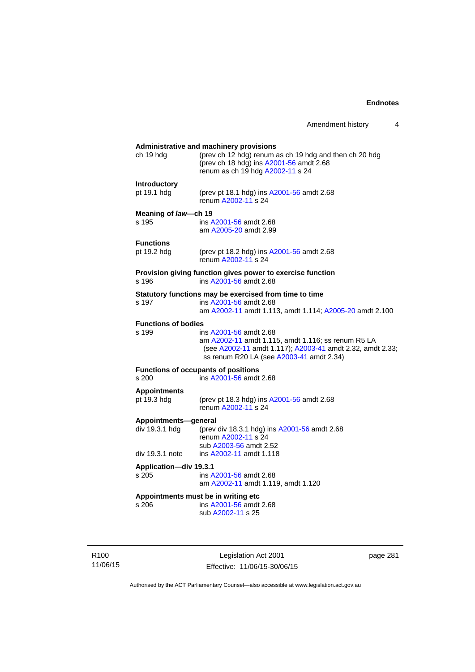# **Administrative and machinery provisions**  ch 19 hdg (prev ch 12 hdg) renum as ch 19 hdg and then ch 20 hdg (prev ch 18 hdg) ins [A2001-56](http://www.legislation.act.gov.au/a/2001-56) amdt 2.68 renum as ch 19 hdg [A2002-11](http://www.legislation.act.gov.au/a/2002-11) s 24 **Introductory**  pt 19.1 hdg (prev pt 18.1 hdg) ins [A2001-56](http://www.legislation.act.gov.au/a/2001-56) amdt 2.68 renum [A2002-11](http://www.legislation.act.gov.au/a/2002-11) s 24 **Meaning of** *law***—ch 19**  s 195 ins [A2001-56](http://www.legislation.act.gov.au/a/2001-56) amdt 2.68 am [A2005-20](http://www.legislation.act.gov.au/a/2005-20) amdt 2.99 **Functions**<br>pt 19.2 hdg (prev pt 18.2 hdg) ins [A2001-56](http://www.legislation.act.gov.au/a/2001-56) amdt 2.68 renum [A2002-11](http://www.legislation.act.gov.au/a/2002-11) s 24 **Provision giving function gives power to exercise function**  s 196 ins [A2001-56](http://www.legislation.act.gov.au/a/2001-56) amdt 2.68 **Statutory functions may be exercised from time to time**<br>s 197 ins A2001-56 amdt 2.68 ins [A2001-56](http://www.legislation.act.gov.au/a/2001-56) amdt 2.68 am [A2002-11](http://www.legislation.act.gov.au/a/2002-11) amdt 1.113, amdt 1.114; [A2005-20](http://www.legislation.act.gov.au/a/2005-20) amdt 2.100 **Functions of bodies**  s 199 ins [A2001-56](http://www.legislation.act.gov.au/a/2001-56) amdt 2.68 am [A2002-11](http://www.legislation.act.gov.au/a/2002-11) amdt 1.115, amdt 1.116; ss renum R5 LA (see [A2002-11](http://www.legislation.act.gov.au/a/2002-11) amdt 1.117); [A2003-41](http://www.legislation.act.gov.au/a/2003-41) amdt 2.32, amdt 2.33; ss renum R20 LA (see [A2003-41](http://www.legislation.act.gov.au/a/2003-41) amdt 2.34) **Functions of occupants of positions**  s 200 ins [A2001-56](http://www.legislation.act.gov.au/a/2001-56) amdt 2.68 **Appointments**  (prev pt 18.3 hdg) ins [A2001-56](http://www.legislation.act.gov.au/a/2001-56) amdt 2.68 renum [A2002-11](http://www.legislation.act.gov.au/a/2002-11) s 24 **Appointments—general**  div 19.3.1 hdg (prev div 18.3.1 hdg) ins [A2001-56](http://www.legislation.act.gov.au/a/2001-56) amdt 2.68 renum [A2002-11](http://www.legislation.act.gov.au/a/2002-11) s 24 sub [A2003-56](http://www.legislation.act.gov.au/a/2003-56) amdt 2.52 div 19.3.1 note ins [A2002-11](http://www.legislation.act.gov.au/a/2002-11) amdt 1.118 **Application—div 19.3.1**  s 205 ins [A2001-56](http://www.legislation.act.gov.au/a/2001-56) amdt 2.68 am [A2002-11](http://www.legislation.act.gov.au/a/2002-11) amdt 1.119, amdt 1.120 **Appointments must be in writing etc**  s 206 ins [A2001-56](http://www.legislation.act.gov.au/a/2001-56) amdt 2.68 sub [A2002-11](http://www.legislation.act.gov.au/a/2002-11) s 25

R100 11/06/15

Legislation Act 2001 Effective: 11/06/15-30/06/15 page 281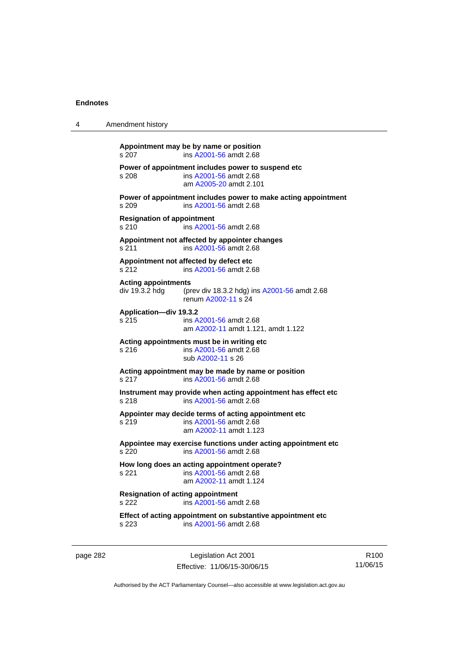| 4 | Amendment history                                 |                                                                                                          |
|---|---------------------------------------------------|----------------------------------------------------------------------------------------------------------|
|   | s 207                                             | Appointment may be by name or position<br>ins A2001-56 amdt 2.68                                         |
|   | s 208                                             | Power of appointment includes power to suspend etc<br>ins A2001-56 amdt 2.68<br>am A2005-20 amdt 2.101   |
|   | s.209                                             | Power of appointment includes power to make acting appointment<br>ins A2001-56 amdt 2.68                 |
|   | <b>Resignation of appointment</b><br>s 210        | ins A2001-56 amdt 2.68                                                                                   |
|   | s 211                                             | Appointment not affected by appointer changes<br>ins A2001-56 amdt 2.68                                  |
|   | s 212                                             | Appointment not affected by defect etc<br>ins A2001-56 amdt 2.68                                         |
|   | <b>Acting appointments</b><br>div 19.3.2 hdg      | (prev div 18.3.2 hdg) ins A2001-56 amdt 2.68<br>renum A2002-11 s 24                                      |
|   | Application-div 19.3.2<br>s 215                   | ins A2001-56 amdt 2.68<br>am A2002-11 amdt 1.121, amdt 1.122                                             |
|   | s 216                                             | Acting appointments must be in writing etc<br>ins A2001-56 amdt 2.68<br>sub A2002-11 s 26                |
|   | s 217                                             | Acting appointment may be made by name or position<br>ins A2001-56 amdt 2.68                             |
|   | s 218                                             | Instrument may provide when acting appointment has effect etc<br>ins A2001-56 amdt 2.68                  |
|   | s 219                                             | Appointer may decide terms of acting appointment etc<br>ins A2001-56 amdt 2.68<br>am A2002-11 amdt 1.123 |
|   | s 220                                             | Appointee may exercise functions under acting appointment etc<br>ins A2001-56 amdt 2.68                  |
|   | s 221                                             | How long does an acting appointment operate?<br>ins A2001-56 amdt 2.68<br>am A2002-11 amdt 1.124         |
|   | <b>Resignation of acting appointment</b><br>s 222 | ins A2001-56 amdt 2.68                                                                                   |
|   | s 223                                             | Effect of acting appointment on substantive appointment etc<br>ins A2001-56 amdt 2.68                    |

page 282 Legislation Act 2001 Effective: 11/06/15-30/06/15

R100 11/06/15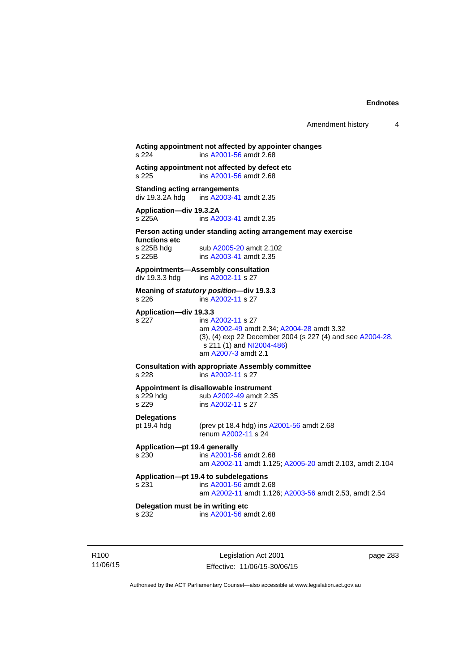# **Acting appointment not affected by appointer changes**  s 224 ins [A2001-56](http://www.legislation.act.gov.au/a/2001-56) amdt 2.68 **Acting appointment not affected by defect etc**  s 225 ins [A2001-56](http://www.legislation.act.gov.au/a/2001-56) amdt 2.68 **Standing acting arrangements**<br>div 19.3.2A hdg ins A2003-41 ins [A2003-41](http://www.legislation.act.gov.au/a/2003-41) amdt 2.35 **Application—div 19.3.2A**  s 225A ins [A2003-41](http://www.legislation.act.gov.au/a/2003-41) amdt 2.35 **Person acting under standing acting arrangement may exercise functions etc**  s 225B hdg sub [A2005-20](http://www.legislation.act.gov.au/a/2005-20) amdt 2.102<br>s 225B ins A2003-41 amdt 2.35 ins [A2003-41](http://www.legislation.act.gov.au/a/2003-41) amdt 2.35 **Appointments—Assembly consultation**  div 19.3.3 hdg ins [A2002-11](http://www.legislation.act.gov.au/a/2002-11) s 27 **Meaning of** *statutory position***—div 19.3.3**  s 226 ins [A2002-11](http://www.legislation.act.gov.au/a/2002-11) s 27 **Application—div 19.3.3**  s 227 ins [A2002-11](http://www.legislation.act.gov.au/a/2002-11) s 27 am [A2002-49](http://www.legislation.act.gov.au/a/2002-49) amdt 2.34; [A2004-28](http://www.legislation.act.gov.au/a/2004-28) amdt 3.32 (3), (4) exp 22 December 2004 (s 227 (4) and see [A2004-28](http://www.legislation.act.gov.au/a/2004-28),  $s$  211 (1) and [NI2004-486\)](http://www.legislation.act.gov.au/ni/2004-486/default.asp) am [A2007-3](http://www.legislation.act.gov.au/a/2007-3) amdt 2.1 **Consultation with appropriate Assembly committee**  s 228 ins [A2002-11](http://www.legislation.act.gov.au/a/2002-11) s 27 **Appointment is disallowable instrument**  s 229 hdg sub [A2002-49](http://www.legislation.act.gov.au/a/2002-49) amdt 2.35 s 229 ins [A2002-11](http://www.legislation.act.gov.au/a/2002-11) s 27 **Delegations**  pt 19.4 hdg (prev pt 18.4 hdg) ins [A2001-56](http://www.legislation.act.gov.au/a/2001-56) amdt 2.68 renum [A2002-11](http://www.legislation.act.gov.au/a/2002-11) s 24 **Application—pt 19.4 generally**  s 230 ins [A2001-56](http://www.legislation.act.gov.au/a/2001-56) amdt 2.68 am [A2002-11](http://www.legislation.act.gov.au/a/2002-11) amdt 1.125; [A2005-20](http://www.legislation.act.gov.au/a/2005-20) amdt 2.103, amdt 2.104 **Application—pt 19.4 to subdelegations**  s 231 ins [A2001-56](http://www.legislation.act.gov.au/a/2001-56) amdt 2.68 am [A2002-11](http://www.legislation.act.gov.au/a/2002-11) amdt 1.126; [A2003-56](http://www.legislation.act.gov.au/a/2003-56) amdt 2.53, amdt 2.54 **Delegation must be in writing etc**  s 232 ins [A2001-56](http://www.legislation.act.gov.au/a/2001-56) amdt 2.68

R100 11/06/15

Legislation Act 2001 Effective: 11/06/15-30/06/15 page 283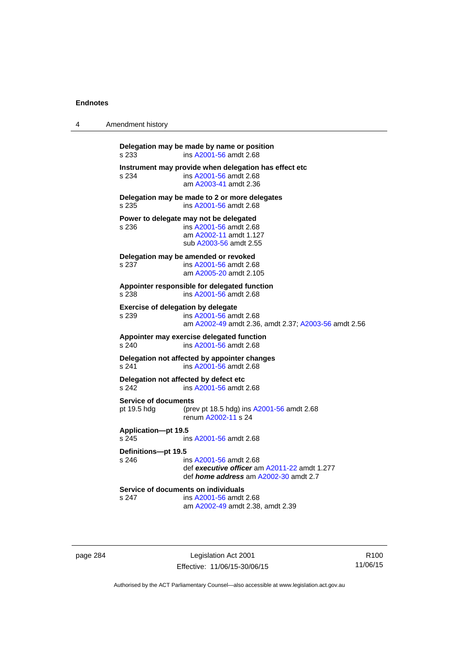| 4 | Amendment history                                      |                                                                                                                        |
|---|--------------------------------------------------------|------------------------------------------------------------------------------------------------------------------------|
|   | Delegation may be made by name or position<br>s 233    | ins A2001-56 amdt 2.68                                                                                                 |
|   | s 234                                                  | Instrument may provide when delegation has effect etc<br>ins A2001-56 amdt 2.68<br>am A2003-41 amdt 2.36               |
|   | Delegation may be made to 2 or more delegates<br>s 235 | ins A2001-56 amdt 2.68                                                                                                 |
|   | Power to delegate may not be delegated<br>s 236        | ins A2001-56 amdt 2.68<br>am A2002-11 amdt 1.127<br>sub A2003-56 amdt 2.55                                             |
|   | Delegation may be amended or revoked<br>s 237          | ins A2001-56 amdt 2.68<br>am A2005-20 amdt 2.105                                                                       |
|   | Appointer responsible for delegated function<br>s 238  | ins A2001-56 amdt 2.68                                                                                                 |
|   | <b>Exercise of delegation by delegate</b><br>s 239     | ins A2001-56 amdt 2.68<br>am A2002-49 amdt 2.36, amdt 2.37; A2003-56 amdt 2.56                                         |
|   | Appointer may exercise delegated function<br>s 240     | ins A2001-56 amdt 2.68                                                                                                 |
|   | Delegation not affected by appointer changes<br>s 241  | ins A2001-56 amdt 2.68                                                                                                 |
|   | Delegation not affected by defect etc<br>s 242         | ins A2001-56 amdt 2.68                                                                                                 |
|   | <b>Service of documents</b><br>pt 19.5 hdg             | (prev pt 18.5 hdg) ins A2001-56 amdt 2.68<br>renum A2002-11 s 24                                                       |
|   | Application-pt 19.5<br>s 245                           | ins A2001-56 amdt 2.68                                                                                                 |
|   | Definitions-pt 19.5<br>s 246                           | ins A2001-56 amdt 2.68<br>def executive officer am A2011-22 amdt 1.277<br>def <i>home address</i> am A2002-30 amdt 2.7 |
|   | Service of documents on individuals<br>s 247           | ins A2001-56 amdt 2.68<br>am A2002-49 amdt 2.38, amdt 2.39                                                             |

page 284 Legislation Act 2001 Effective: 11/06/15-30/06/15

R100 11/06/15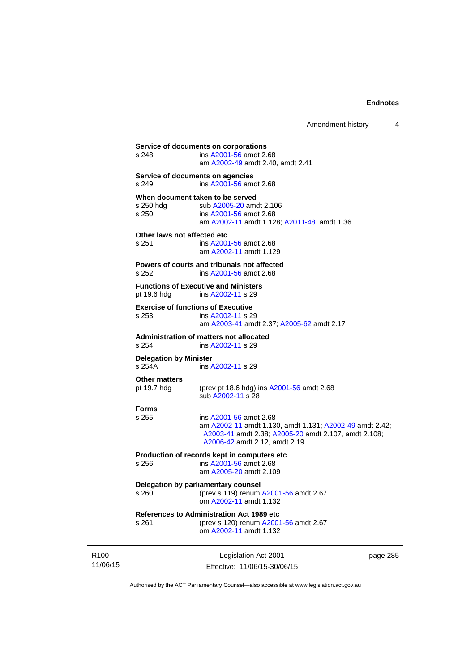|                                         |                                                                                                                                                                            | page 28 |
|-----------------------------------------|----------------------------------------------------------------------------------------------------------------------------------------------------------------------------|---------|
| s 261                                   | <b>References to Administration Act 1989 etc</b><br>(prev s 120) renum A2001-56 amdt 2.67<br>om A2002-11 amdt 1.132                                                        |         |
| s 260                                   | Delegation by parliamentary counsel<br>(prev s 119) renum A2001-56 amdt 2.67<br>om A2002-11 amdt 1.132                                                                     |         |
| s 256                                   | Production of records kept in computers etc<br>ins A2001-56 amdt 2.68<br>am A2005-20 amdt 2.109                                                                            |         |
| <b>Forms</b><br>s 255                   | ins A2001-56 amdt 2.68<br>am A2002-11 amdt 1.130, amdt 1.131; A2002-49 amdt 2.42;<br>A2003-41 amdt 2.38; A2005-20 amdt 2.107, amdt 2.108;<br>A2006-42 amdt 2.12, amdt 2.19 |         |
| <b>Other matters</b><br>pt 19.7 hdg     | (prev pt 18.6 hdg) ins A2001-56 amdt 2.68<br>sub A2002-11 s 28                                                                                                             |         |
| <b>Delegation by Minister</b><br>s 254A | ins A2002-11 s 29                                                                                                                                                          |         |
| s 254                                   | Administration of matters not allocated<br>ins A2002-11 s 29                                                                                                               |         |
| s 253                                   | <b>Exercise of functions of Executive</b><br>ins A2002-11 s 29<br>am A2003-41 amdt 2.37; A2005-62 amdt 2.17                                                                |         |
| pt 19.6 hdg                             | <b>Functions of Executive and Ministers</b><br>ins A2002-11 s 29                                                                                                           |         |
| s 252                                   | Powers of courts and tribunals not affected<br>ins A2001-56 amdt 2.68                                                                                                      |         |
| Other laws not affected etc<br>s 251    | ins A2001-56 amdt 2.68<br>am A2002-11 amdt 1.129                                                                                                                           |         |
| s 250 hdg<br>s 250                      | When document taken to be served<br>sub A2005-20 amdt 2.106<br>ins A2001-56 amdt 2.68<br>am A2002-11 amdt 1.128; A2011-48 amdt 1.36                                        |         |
| s 249                                   | Service of documents on agencies<br>ins A2001-56 amdt 2.68                                                                                                                 |         |
|                                         | am A2002-49 amdt 2.40, amdt 2.41                                                                                                                                           |         |

R100 11/06/15

Effective: 11/06/15-30/06/15

page 285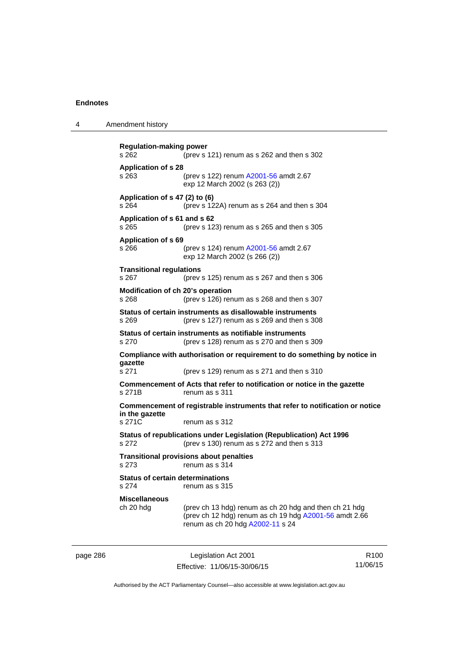4 Amendment history

page 286 Legislation Act 2001 **Regulation-making power**  s 262 (prev s 121) renum as s 262 and then s 302 **Application of s 28**  s 263 (prev s 122) renum [A2001-56](http://www.legislation.act.gov.au/a/2001-56) amdt 2.67 exp 12 March 2002 (s 263 (2)) **Application of s 47 (2) to (6)**  s 264 (prev s 122A) renum as s 264 and then s 304 **Application of s 61 and s 62**  s 265 (prev s 123) renum as s 265 and then s 305 **Application of s 69**  s 266 (prev s 124) renum [A2001-56](http://www.legislation.act.gov.au/a/2001-56) amdt 2.67 exp 12 March 2002 (s 266 (2)) **Transitional regulations**  s 267 (prev s 125) renum as s 267 and then s 306 **Modification of ch 20's operation**  s 268 (prev s 126) renum as s 268 and then s 307 **Status of certain instruments as disallowable instruments**  s 269 (prev s 127) renum as s 269 and then s 308 **Status of certain instruments as notifiable instruments**  s 270 (prev s 128) renum as s 270 and then s 309 **Compliance with authorisation or requirement to do something by notice in gazette**  s 271 (prev s 129) renum as s 271 and then s 310 **Commencement of Acts that refer to notification or notice in the gazette**  s 271B renum as s 311 **Commencement of registrable instruments that refer to notification or notice in the gazette**  s 271C renum as s 312 **Status of republications under Legislation (Republication) Act 1996**  s 272 (prev s 130) renum as s 272 and then s 313 **Transitional provisions about penalties** s 273 renum as s 314 **Status of certain determinations**  s 274 renum as s 315 **Miscellaneous**  ch 20 hdg (prev ch 13 hdg) renum as ch 20 hdg and then ch 21 hdg (prev ch 12 hdg) renum as ch 19 hdg [A2001-56](http://www.legislation.act.gov.au/a/2001-56) amdt 2.66 renum as ch 20 hdg [A2002-11](http://www.legislation.act.gov.au/a/2002-11) s 24

Effective: 11/06/15-30/06/15

R100 11/06/15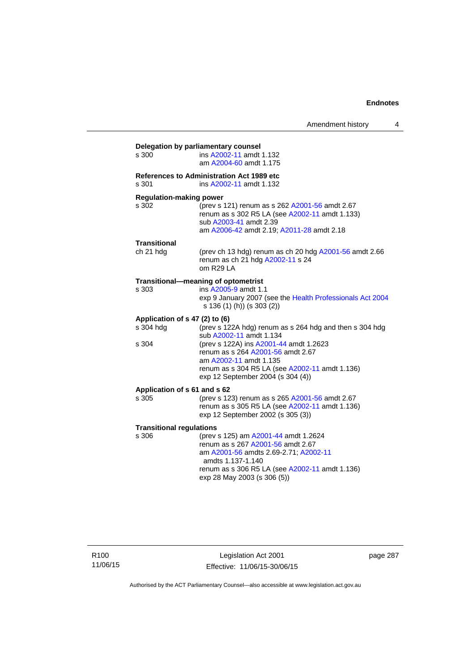| s 300                           | ins A2002-11 amdt 1.132                                                                                 |
|---------------------------------|---------------------------------------------------------------------------------------------------------|
|                                 | am A2004-60 amdt 1.175                                                                                  |
|                                 | <b>References to Administration Act 1989 etc</b>                                                        |
| s 301                           | ins A2002-11 amdt 1.132                                                                                 |
| <b>Regulation-making power</b>  |                                                                                                         |
| s 302                           | (prev s 121) renum as s 262 A2001-56 amdt 2.67<br>renum as s 302 R5 LA (see A2002-11 amdt 1.133)        |
|                                 | sub A2003-41 amdt 2.39                                                                                  |
|                                 | am A2006-42 amdt 2.19; A2011-28 amdt 2.18                                                               |
| Transitional                    |                                                                                                         |
| ch 21 hdg                       | (prev ch 13 hdg) renum as ch 20 hdg A2001-56 amdt 2.66<br>renum as ch 21 hdg A2002-11 s 24<br>om R29 LA |
|                                 | Transitional-meaning of optometrist                                                                     |
| s 303                           | ins A2005-9 amdt 1.1                                                                                    |
|                                 | exp 9 January 2007 (see the Health Professionals Act 2004<br>s 136 (1) (h)) (s 303 (2))                 |
| Application of s 47 (2) to (6)  |                                                                                                         |
| s 304 hdg                       | (prev s 122A hdg) renum as s 264 hdg and then s 304 hdg<br>sub A2002-11 amdt 1.134                      |
| s 304                           | (prev s 122A) ins A2001-44 amdt 1.2623                                                                  |
|                                 | renum as s 264 A2001-56 amdt 2.67                                                                       |
|                                 | am A2002-11 amdt 1.135                                                                                  |
|                                 | renum as s 304 R5 LA (see A2002-11 amdt 1.136)<br>exp 12 September 2004 (s 304 (4))                     |
| Application of s 61 and s 62    |                                                                                                         |
| s 305                           | (prev s 123) renum as s 265 A2001-56 amdt 2.67                                                          |
|                                 | renum as s 305 R5 LA (see A2002-11 amdt 1.136)<br>exp 12 September 2002 (s 305 (3))                     |
| <b>Transitional regulations</b> |                                                                                                         |
| s 306                           | (prev s 125) am A2001-44 amdt 1.2624                                                                    |
|                                 | renum as s 267 A2001-56 amdt 2.67                                                                       |
|                                 | am A2001-56 amdts 2.69-2.71; A2002-11<br>amdts 1.137-1.140                                              |
|                                 | renum as s 306 R5 LA (see A2002-11 amdt 1.136)                                                          |
|                                 |                                                                                                         |

R100 11/06/15

Legislation Act 2001 Effective: 11/06/15-30/06/15 page 287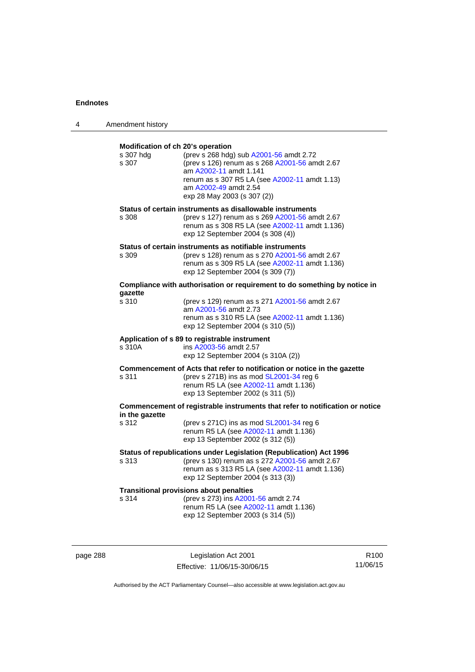| 4 | Amendment history                                       |                                                                                                                                                                                                                              |
|---|---------------------------------------------------------|------------------------------------------------------------------------------------------------------------------------------------------------------------------------------------------------------------------------------|
|   | Modification of ch 20's operation<br>s 307 hdg<br>s 307 | (prev s 268 hdg) sub A2001-56 amdt 2.72<br>(prev s 126) renum as s 268 A2001-56 amdt 2.67<br>am A2002-11 amdt 1.141<br>renum as s 307 R5 LA (see A2002-11 amdt 1.13)<br>am A2002-49 amdt 2.54<br>exp 28 May 2003 (s 307 (2)) |
|   | s 308                                                   | Status of certain instruments as disallowable instruments<br>(prev s 127) renum as s 269 A2001-56 amdt 2.67<br>renum as s 308 R5 LA (see A2002-11 amdt 1.136)<br>exp 12 September 2004 (s 308 (4))                           |
|   | s 309                                                   | Status of certain instruments as notifiable instruments<br>(prev s 128) renum as s 270 A2001-56 amdt 2.67<br>renum as s 309 R5 LA (see A2002-11 amdt 1.136)<br>exp 12 September 2004 (s 309 (7))                             |
|   |                                                         | Compliance with authorisation or requirement to do something by notice in                                                                                                                                                    |
|   | qazette<br>s 310                                        | (prev s 129) renum as s 271 A2001-56 amdt 2.67<br>am A2001-56 amdt 2.73<br>renum as s 310 R5 LA (see A2002-11 amdt 1.136)<br>exp 12 September 2004 (s 310 (5))                                                               |
|   | s 310A                                                  | Application of s 89 to registrable instrument<br>ins A2003-56 amdt 2.57<br>exp 12 September 2004 (s 310A (2))                                                                                                                |
|   | s 311                                                   | Commencement of Acts that refer to notification or notice in the gazette<br>(prev s 271B) ins as mod SL2001-34 reg 6<br>renum R5 LA (see A2002-11 amdt 1.136)<br>exp 13 September 2002 (s 311 (5))                           |
|   | in the gazette                                          | Commencement of registrable instruments that refer to notification or notice                                                                                                                                                 |
|   | s 312                                                   | (prev s 271C) ins as mod SL2001-34 reg 6<br>renum R5 LA (see A2002-11 amdt 1.136)<br>exp 13 September 2002 (s 312 (5))                                                                                                       |
|   | s 313                                                   | Status of republications under Legislation (Republication) Act 1996<br>(prev s 130) renum as s 272 A2001-56 amdt 2.67<br>renum as s 313 R5 LA (see A2002-11 amdt 1.136)<br>exp 12 September 2004 (s 313 (3))                 |
|   | s 314                                                   | <b>Transitional provisions about penalties</b><br>(prev s 273) ins A2001-56 amdt 2.74<br>renum R5 LA (see A2002-11 amdt 1.136)<br>exp 12 September 2003 (s 314 (5))                                                          |

page 288 Legislation Act 2001 Effective: 11/06/15-30/06/15

R100 11/06/15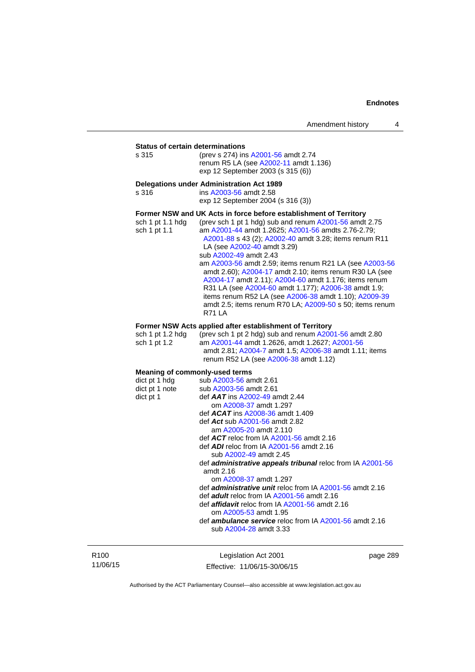**Status of certain determinations**<br>s 315 (prev s 274) ins (prev s 274) ins [A2001-56](http://www.legislation.act.gov.au/a/2001-56) amdt 2.74 renum R5 LA (see [A2002-11](http://www.legislation.act.gov.au/a/2002-11) amdt 1.136) exp 12 September 2003 (s 315 (6))

**Delegations under Administration Act 1989**  ins [A2003-56](http://www.legislation.act.gov.au/a/2003-56) amdt 2.58 exp 12 September 2004 (s 316 (3)) **Former NSW and UK Acts in force before establishment of Territory** 

| sch 1 pt 1.1 hdg | (prev sch 1 pt 1 hdg) sub and renum A2001-56 amdt 2.75   |
|------------------|----------------------------------------------------------|
| sch 1 pt 1.1     | am A2001-44 amdt 1.2625; A2001-56 amdts 2.76-2.79;       |
|                  | A2001-88 s 43 (2); A2002-40 amdt 3.28; items renum R11   |
|                  | LA (see A2002-40 amdt 3.29)                              |
|                  | sub A2002-49 amdt 2.43                                   |
|                  | am A2003-56 amdt 2.59; items renum R21 LA (see A2003-56  |
|                  | amdt 2.60); A2004-17 amdt 2.10; items renum R30 LA (see  |
|                  | A2004-17 amdt 2.11); A2004-60 amdt 1.176; items renum    |
|                  | R31 LA (see A2004-60 amdt 1.177); A2006-38 amdt 1.9;     |
|                  | items renum R52 LA (see A2006-38 amdt 1.10); A2009-39    |
|                  | amdt 2.5; items renum R70 LA; A2009-50 s 50; items renum |
|                  | <b>R71 LA</b>                                            |

### **Former NSW Acts applied after establishment of Territory**

| sch 1 pt 1.2 hda | (prev sch 1 pt 2 hdg) sub and renum $A2001-56$ amdt 2.80 |
|------------------|----------------------------------------------------------|
| sch 1 pt 1.2     | am A2001-44 amdt 1.2626. amdt 1.2627: A2001-56           |
|                  | amdt 2.81; A2004-7 amdt 1.5; A2006-38 amdt 1.11; items   |
|                  | renum R52 LA (see A2006-38 amdt 1.12)                    |

| <b>Meaning of commonly-used terms</b>                             |
|-------------------------------------------------------------------|
| $dict$ pt 1 hdg sub $A2003-56$ amdt 2.61                          |
| $dict$ pt 1 note sub $A2003-56$ amdt 2.61                         |
| def $AAT$ ins $A2002-49$ amdt 2.44                                |
| om A2008-37 amdt 1.297                                            |
| def $ACAT$ ins $A2008-36$ amdt 1.409                              |
| def Act sub A2001-56 amdt 2.82                                    |
| am A2005-20 amdt 2.110                                            |
| def $ACT$ reloc from IA $A2001-56$ amdt 2.16                      |
| def ADI reloc from IA A2001-56 amdt 2.16                          |
| sub A2002-49 amdt 2.45                                            |
| def <b>administrative appeals tribunal</b> reloc from IA A2001-56 |
| amdt $2.16$                                                       |
| om A2008-37 amdt 1.297                                            |
| def <i>administrative unit</i> reloc from IA A2001-56 amdt 2.16   |
| def adult reloc from IA A2001-56 amdt 2.16                        |
| def <i>affidavit</i> reloc from IA A2001-56 amdt 2.16             |
| om A2005-53 amdt 1.95                                             |
| def <b>ambulance service</b> reloc from IA A2001-56 amdt 2.16     |
| sub A2004-28 amdt 3.33                                            |
|                                                                   |

R100 11/06/15

Legislation Act 2001 Effective: 11/06/15-30/06/15 page 289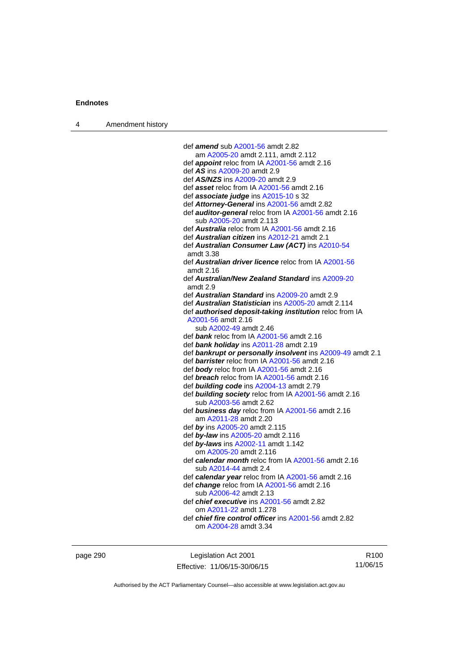| Amendment history<br>$\overline{4}$ |  |
|-------------------------------------|--|
|-------------------------------------|--|

| def amend sub A2001-56 amdt 2.82                               |
|----------------------------------------------------------------|
| am A2005-20 amdt 2.111, amdt 2.112                             |
| def appoint reloc from IA A2001-56 amdt 2.16                   |
| def AS ins A2009-20 amdt 2.9                                   |
| def AS/NZS ins A2009-20 amdt 2.9                               |
| def asset reloc from IA A2001-56 amdt 2.16                     |
| def associate judge ins A2015-10 s 32                          |
| def Attorney-General ins A2001-56 amdt 2.82                    |
| def <b>auditor-general</b> reloc from IA A2001-56 amdt 2.16    |
| sub A2005-20 amdt 2.113                                        |
| def <i>Australia</i> reloc from IA A2001-56 amdt 2.16          |
| def Australian citizen ins A2012-21 amdt 2.1                   |
|                                                                |
| def Australian Consumer Law (ACT) ins A2010-54                 |
| amdt 3.38                                                      |
| def <b>Australian driver licence</b> reloc from IA A2001-56    |
| amdt $2.16$                                                    |
| def Australian/New Zealand Standard ins A2009-20               |
| amdt 2.9                                                       |
| def Australian Standard ins A2009-20 amdt 2.9                  |
| def Australian Statistician ins A2005-20 amdt 2.114            |
| def <b>authorised deposit-taking institution</b> reloc from IA |
| A2001-56 amdt 2.16                                             |
| sub A2002-49 amdt 2.46                                         |
| def bank reloc from IA A2001-56 amdt 2.16                      |
| def bank holiday ins A2011-28 amdt 2.19                        |
| def bankrupt or personally insolvent ins A2009-49 amdt 2.1     |
| def <b>barrister</b> reloc from IA A2001-56 amdt 2.16          |
| def body reloc from IA A2001-56 amdt 2.16                      |
| def <b>breach</b> reloc from IA A2001-56 amdt 2.16             |
| def building code ins A2004-13 amdt 2.79                       |
| def building society reloc from IA A2001-56 amdt 2.16          |
| sub A2003-56 amdt 2.62                                         |
| def <b>business day</b> reloc from IA A2001-56 amdt 2.16       |
| am A2011-28 amdt 2.20                                          |
| def by ins A2005-20 amdt 2.115                                 |
| def by-law ins A2005-20 amdt 2.116                             |
| def by-laws ins A2002-11 amdt 1.142                            |
| om A2005-20 amdt 2.116                                         |
| def calendar month reloc from IA A2001-56 amdt 2.16            |
| sub A2014-44 amdt 2.4                                          |
| def calendar year reloc from IA A2001-56 amdt 2.16             |
| def change reloc from IA A2001-56 amdt 2.16                    |
| sub A2006-42 amdt 2.13                                         |
| def <i>chief executive</i> ins A2001-56 amdt 2.82              |
| om A2011-22 amdt 1.278                                         |
| def <i>chief fire control officer</i> ins A2001-56 amdt 2.82   |
| om A2004-28 amdt 3.34                                          |
|                                                                |
|                                                                |

page 290 **Legislation Act 2001** Effective: 11/06/15-30/06/15

R100 11/06/15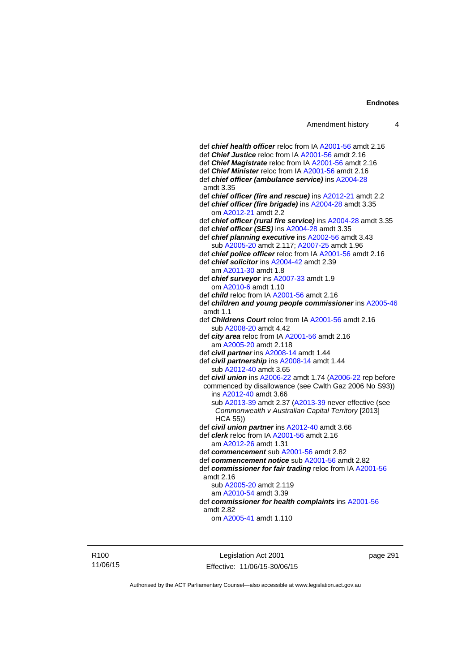def *chief health officer* reloc from IA [A2001-56](http://www.legislation.act.gov.au/a/2001-56) amdt 2.16 def *Chief Justice* reloc from IA [A2001-56](http://www.legislation.act.gov.au/a/2001-56) amdt 2.16 def *Chief Magistrate* reloc from IA [A2001-56](http://www.legislation.act.gov.au/a/2001-56) amdt 2.16 def *Chief Minister* reloc from IA [A2001-56](http://www.legislation.act.gov.au/a/2001-56) amdt 2.16 def *chief officer (ambulance service)* ins [A2004-28](http://www.legislation.act.gov.au/a/2004-28) amdt 3.35 def *chief officer (fire and rescue)* ins [A2012-21](http://www.legislation.act.gov.au/a/2012-21) amdt 2.2 def *chief officer (fire brigade)* ins [A2004-28](http://www.legislation.act.gov.au/a/2004-28) amdt 3.35 om [A2012-21](http://www.legislation.act.gov.au/a/2012-21) amdt 2.2 def *chief officer (rural fire service)* ins [A2004-28](http://www.legislation.act.gov.au/a/2004-28) amdt 3.35 def *chief officer (SES)* ins [A2004-28](http://www.legislation.act.gov.au/a/2004-28) amdt 3.35 def *chief planning executive* ins [A2002-56](http://www.legislation.act.gov.au/a/2002-56) amdt 3.43 sub [A2005-20](http://www.legislation.act.gov.au/a/2005-20) amdt 2.117; [A2007-25](http://www.legislation.act.gov.au/a/2007-25) amdt 1.96 def *chief police officer* reloc from IA [A2001-56](http://www.legislation.act.gov.au/a/2001-56) amdt 2.16 def *chief solicitor* ins [A2004-42](http://www.legislation.act.gov.au/a/2004-42) amdt 2.39 am [A2011-30](http://www.legislation.act.gov.au/a/2011-30) amdt 1.8 def *chief surveyor* ins [A2007-33](http://www.legislation.act.gov.au/a/2007-33) amdt 1.9 om [A2010-6](http://www.legislation.act.gov.au/a/2010-6) amdt 1.10 def *child* reloc from IA [A2001-56](http://www.legislation.act.gov.au/a/2001-56) amdt 2.16 def *children and young people commissioner* ins [A2005-46](http://www.legislation.act.gov.au/a/2005-46) amdt 1.1 def *Childrens Court* reloc from IA [A2001-56](http://www.legislation.act.gov.au/a/2001-56) amdt 2.16 sub [A2008-20](http://www.legislation.act.gov.au/a/2008-20) amdt 4.42 def *city area* reloc from IA [A2001-56](http://www.legislation.act.gov.au/a/2001-56) amdt 2.16 am [A2005-20](http://www.legislation.act.gov.au/a/2005-20) amdt 2.118 def *civil partner* ins [A2008-14](http://www.legislation.act.gov.au/a/2008-14) amdt 1.44 def *civil partnership* ins [A2008-14](http://www.legislation.act.gov.au/a/2008-14) amdt 1.44 sub [A2012-40](http://www.legislation.act.gov.au/a/2012-40) amdt 3.65 def *civil union* ins [A2006-22](http://www.legislation.act.gov.au/a/2006-22) amdt 1.74 [\(A2006-22](http://www.legislation.act.gov.au/a/2006-22) rep before commenced by disallowance (see Cwlth Gaz 2006 No S93)) ins [A2012-40](http://www.legislation.act.gov.au/a/2012-40) amdt 3.66 sub [A2013-39](http://www.legislation.act.gov.au/a/2013-39) amdt 2.37 [\(A2013-39](http://www.legislation.act.gov.au/a/2013-39) never effective (see *Commonwealth v Australian Capital Territory* [2013] HCA 55)) def *civil union partner* ins [A2012-40](http://www.legislation.act.gov.au/a/2012-40) amdt 3.66 def *clerk* reloc from IA [A2001-56](http://www.legislation.act.gov.au/a/2001-56) amdt 2.16 am [A2012-26](http://www.legislation.act.gov.au/a/2012-26) amdt 1.31 def *commencement* sub [A2001-56](http://www.legislation.act.gov.au/a/2001-56) amdt 2.82 def *commencement notice* sub [A2001-56](http://www.legislation.act.gov.au/a/2001-56) amdt 2.82 def *commissioner for fair trading* reloc from IA [A2001-56](http://www.legislation.act.gov.au/a/2001-56) amdt 2.16 sub [A2005-20](http://www.legislation.act.gov.au/a/2005-20) amdt 2.119 am [A2010-54](http://www.legislation.act.gov.au/a/2010-54) amdt 3.39 def *commissioner for health complaints* ins [A2001-56](http://www.legislation.act.gov.au/a/2001-56) amdt 2.82 om [A2005-41](http://www.legislation.act.gov.au/a/2005-41) amdt 1.110

R100 11/06/15

Legislation Act 2001 Effective: 11/06/15-30/06/15 page 291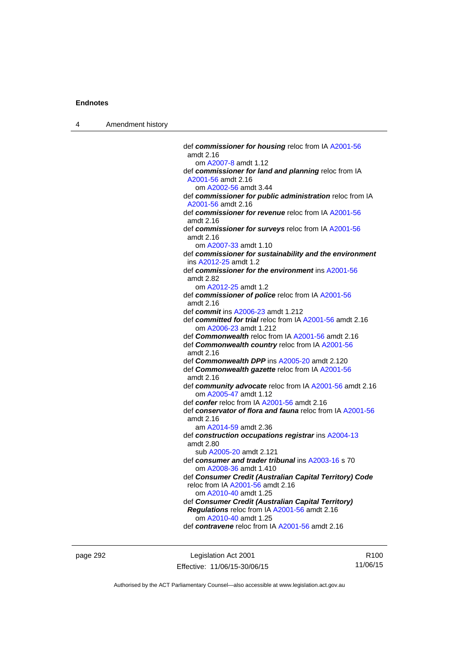| Amendment history<br>$\overline{4}$ |  |
|-------------------------------------|--|
|-------------------------------------|--|

| def commissioner for housing reloc from IA A2001-56<br>amdt 2.16      |
|-----------------------------------------------------------------------|
| om A2007-8 amdt 1.12                                                  |
| def commissioner for land and planning reloc from IA                  |
| A2001-56 amdt 2.16                                                    |
| om A2002-56 amdt 3.44                                                 |
| def commissioner for public administration reloc from IA              |
| A2001-56 amdt 2.16                                                    |
| def commissioner for revenue reloc from IA A2001-56                   |
| amdt 2.16                                                             |
| def commissioner for surveys reloc from IA A2001-56                   |
|                                                                       |
| amdt 2.16                                                             |
| om A2007-33 amdt 1.10                                                 |
| def commissioner for sustainability and the environment               |
| ins A2012-25 amdt 1.2                                                 |
| def commissioner for the environment ins A2001-56                     |
| amdt 2.82                                                             |
| om A2012-25 amdt 1.2                                                  |
| def commissioner of police reloc from IA A2001-56                     |
| amdt 2.16                                                             |
| def commit ins A2006-23 amdt 1.212                                    |
| def committed for trial reloc from IA A2001-56 amdt 2.16              |
| om A2006-23 amdt 1.212                                                |
| def Commonwealth reloc from IA A2001-56 amdt 2.16                     |
| def Commonwealth country reloc from IA A2001-56                       |
| amdt 2.16                                                             |
| def <b>Commonwealth DPP</b> ins A2005-20 amdt 2.120                   |
| def Commonwealth gazette reloc from IA A2001-56                       |
| amdt 2.16                                                             |
| def community advocate reloc from IA A2001-56 amdt 2.16               |
| om A2005-47 amdt 1.12                                                 |
| def confer reloc from IA A2001-56 amdt 2.16                           |
| def conservator of flora and fauna reloc from IA A2001-56             |
| amdt 2.16                                                             |
| am A2014-59 amdt 2.36                                                 |
| def construction occupations registrar ins A2004-13                   |
| amdt 2.80                                                             |
| sub A2005-20 amdt 2.121                                               |
| def consumer and trader tribunal ins A2003-16 s 70                    |
| om A2008-36 amdt 1.410                                                |
| def Consumer Credit (Australian Capital Territory) Code               |
| reloc from IA A2001-56 amdt 2.16                                      |
| om A2010-40 amdt 1.25                                                 |
|                                                                       |
| def Consumer Credit (Australian Capital Territory)                    |
| Regulations reloc from IA A2001-56 amdt 2.16<br>om A2010-40 amdt 1.25 |
|                                                                       |
| def contravene reloc from IA A2001-56 amdt 2.16                       |
|                                                                       |

page 292 **Legislation Act 2001** Effective: 11/06/15-30/06/15

R100 11/06/15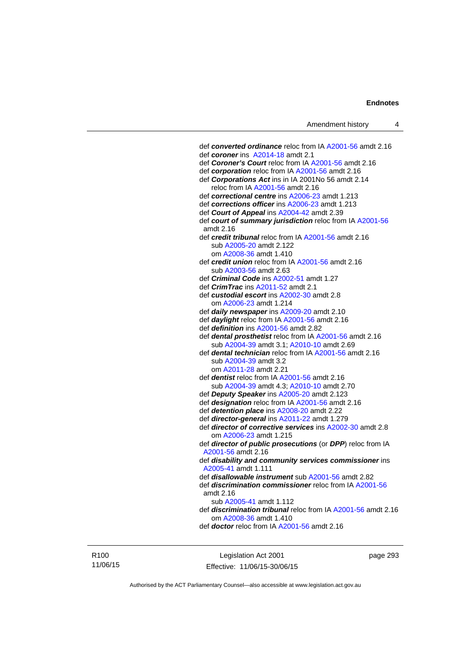def *converted ordinance* reloc from IA [A2001-56](http://www.legislation.act.gov.au/a/2001-56) amdt 2.16 def *coroner* ins [A2014-18](http://www.legislation.act.gov.au/a/2014-18) amdt 2.1 def *Coroner's Court* reloc from IA [A2001-56](http://www.legislation.act.gov.au/a/2001-56) amdt 2.16 def *corporation* reloc from IA [A2001-56](http://www.legislation.act.gov.au/a/2001-56) amdt 2.16 def *Corporations Act* ins in IA 2001No 56 amdt 2.14 reloc from IA [A2001-56](http://www.legislation.act.gov.au/a/2001-56) amdt 2.16 def *correctional centre* ins [A2006-23](http://www.legislation.act.gov.au/a/2006-23) amdt 1.213 def *corrections officer* ins [A2006-23](http://www.legislation.act.gov.au/a/2006-23) amdt 1.213 def *Court of Appeal* ins [A2004-42](http://www.legislation.act.gov.au/a/2004-42) amdt 2.39 def *court of summary jurisdiction* reloc from IA [A2001-56](http://www.legislation.act.gov.au/a/2001-56) amdt 2.16 def *credit tribunal* reloc from IA [A2001-56](http://www.legislation.act.gov.au/a/2001-56) amdt 2.16 sub [A2005-20](http://www.legislation.act.gov.au/a/2005-20) amdt 2.122 om [A2008-36](http://www.legislation.act.gov.au/a/2008-36) amdt 1.410 def *credit union* reloc from IA [A2001-56](http://www.legislation.act.gov.au/a/2001-56) amdt 2.16 sub [A2003-56](http://www.legislation.act.gov.au/a/2003-56) amdt 2.63 def *Criminal Code* ins [A2002-51](http://www.legislation.act.gov.au/a/2002-51) amdt 1.27 def *CrimTrac* ins [A2011-52](http://www.legislation.act.gov.au/a/2011-52) amdt 2.1 def *custodial escort* ins [A2002-30](http://www.legislation.act.gov.au/a/2002-30) amdt 2.8 om [A2006-23](http://www.legislation.act.gov.au/a/2006-23) amdt 1.214 def *daily newspaper* ins [A2009-20](http://www.legislation.act.gov.au/a/2009-20) amdt 2.10 def *daylight* reloc from IA [A2001-56](http://www.legislation.act.gov.au/a/2001-56) amdt 2.16 def *definition* ins [A2001-56](http://www.legislation.act.gov.au/a/2001-56) amdt 2.82 def *dental prosthetist* reloc from IA [A2001-56](http://www.legislation.act.gov.au/a/2001-56) amdt 2.16 sub [A2004-39](http://www.legislation.act.gov.au/a/2004-39) amdt 3.1; [A2010-10](http://www.legislation.act.gov.au/a/2010-10) amdt 2.69 def *dental technician* reloc from IA [A2001-56](http://www.legislation.act.gov.au/a/2001-56) amdt 2.16 sub [A2004-39](http://www.legislation.act.gov.au/a/2004-39) amdt 3.2 om [A2011-28](http://www.legislation.act.gov.au/a/2011-28) amdt 2.21 def *dentist* reloc from IA [A2001-56](http://www.legislation.act.gov.au/a/2001-56) amdt 2.16 sub [A2004-39](http://www.legislation.act.gov.au/a/2004-39) amdt 4.3; [A2010-10](http://www.legislation.act.gov.au/a/2010-10) amdt 2.70 def *Deputy Speaker* ins [A2005-20](http://www.legislation.act.gov.au/a/2005-20) amdt 2.123 def *designation* reloc from IA [A2001-56](http://www.legislation.act.gov.au/a/2001-56) amdt 2.16 def *detention place* ins [A2008-20](http://www.legislation.act.gov.au/a/2008-20) amdt 2.22 def *director-general* ins [A2011-22](http://www.legislation.act.gov.au/a/2011-22) amdt 1.279 def *director of corrective services* ins [A2002-30](http://www.legislation.act.gov.au/a/2002-30) amdt 2.8 om [A2006-23](http://www.legislation.act.gov.au/a/2006-23) amdt 1.215 def *director of public prosecutions* (or *DPP*) reloc from IA [A2001-56](http://www.legislation.act.gov.au/a/2001-56) amdt 2.16 def *disability and community services commissioner* ins [A2005-41](http://www.legislation.act.gov.au/a/2005-41) amdt 1.111 def *disallowable instrument* sub [A2001-56](http://www.legislation.act.gov.au/a/2001-56) amdt 2.82 def *discrimination commissioner* reloc from IA [A2001-56](http://www.legislation.act.gov.au/a/2001-56) amdt 2.16 sub [A2005-41](http://www.legislation.act.gov.au/a/2005-41) amdt 1.112 def *discrimination tribunal* reloc from IA [A2001-56](http://www.legislation.act.gov.au/a/2001-56) amdt 2.16 om [A2008-36](http://www.legislation.act.gov.au/a/2008-36) amdt 1.410 def *doctor* reloc from IA [A2001-56](http://www.legislation.act.gov.au/a/2001-56) amdt 2.16

R100 11/06/15

Legislation Act 2001 Effective: 11/06/15-30/06/15 page 293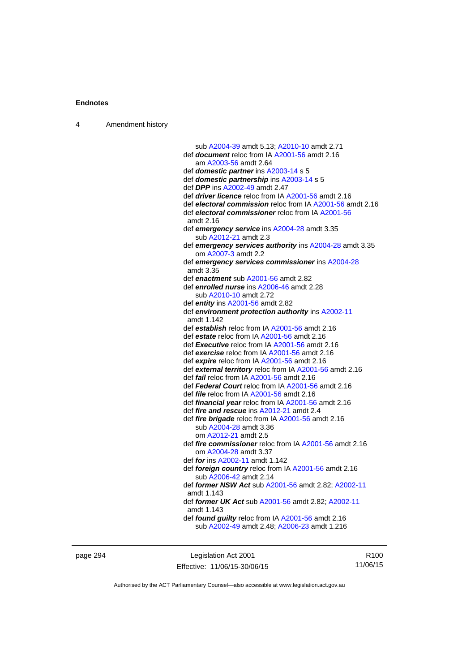| 4 | Amendment history |                                                                                 |
|---|-------------------|---------------------------------------------------------------------------------|
|   |                   |                                                                                 |
|   |                   | sub A2004-39 amdt 5.13; A2010-10 amdt 2.71                                      |
|   |                   | def document reloc from IA A2001-56 amdt 2.16                                   |
|   |                   | am A2003-56 amdt 2.64                                                           |
|   |                   | def domestic partner ins A2003-14 s 5                                           |
|   |                   | def domestic partnership ins A2003-14 s 5                                       |
|   |                   | def DPP ins A2002-49 amdt 2.47                                                  |
|   |                   | def <i>driver licence</i> reloc from IA A2001-56 amdt 2.16                      |
|   |                   | def electoral commission reloc from IA A2001-56 amdt 2.16                       |
|   |                   | def electoral commissioner reloc from IA A2001-56<br>amdt 2.16                  |
|   |                   | def emergency service ins A2004-28 amdt 3.35<br>sub A2012-21 amdt 2.3           |
|   |                   | def emergency services authority ins A2004-28 amdt 3.35<br>om A2007-3 amdt 2.2  |
|   |                   | def emergency services commissioner ins A2004-28                                |
|   |                   | amdt 3.35                                                                       |
|   |                   | def enactment sub A2001-56 amdt 2.82                                            |
|   |                   | def enrolled nurse ins A2006-46 amdt 2.28                                       |
|   |                   | sub A2010-10 amdt 2.72                                                          |
|   |                   | def entity ins A2001-56 amdt 2.82                                               |
|   |                   | def environment protection authority ins A2002-11<br>amdt 1.142                 |
|   |                   | def establish reloc from IA A2001-56 amdt 2.16                                  |
|   |                   | def estate reloc from IA A2001-56 amdt 2.16                                     |
|   |                   | def <b>Executive</b> reloc from IA A2001-56 amdt 2.16                           |
|   |                   | def exercise reloc from IA A2001-56 amdt 2.16                                   |
|   |                   | def expire reloc from IA A2001-56 amdt 2.16                                     |
|   |                   | def external territory reloc from IA A2001-56 amdt 2.16                         |
|   |                   | def <i>fail</i> reloc from IA A2001-56 amdt 2.16                                |
|   |                   | def Federal Court reloc from IA A2001-56 amdt 2.16                              |
|   |                   | def file reloc from IA A2001-56 amdt 2.16                                       |
|   |                   | def <i>financial year</i> reloc from IA A2001-56 amdt 2.16                      |
|   |                   | def fire and rescue ins A2012-21 amdt 2.4                                       |
|   |                   | def fire brigade reloc from IA A2001-56 amdt 2.16                               |
|   |                   | sub A2004-28 amdt 3.36                                                          |
|   |                   | om A2012-21 amdt 2.5                                                            |
|   |                   | def fire commissioner reloc from IA A2001-56 amdt 2.16<br>om A2004-28 amdt 3.37 |
|   |                   | def for ins A2002-11 amdt 1.142                                                 |
|   |                   | def foreign country reloc from IA A2001-56 amdt 2.16<br>sub A2006-42 amdt 2.14  |
|   |                   | def former NSW Act sub A2001-56 amdt 2.82; A2002-11<br>amdt 1.143               |
|   |                   | def former UK Act sub A2001-56 amdt 2.82; A2002-11<br>amdt 1.143                |
|   |                   | def found guilty reloc from IA A2001-56 amdt 2.16                               |
|   |                   | sub A2002-49 amdt 2.48; A2006-23 amdt 1.216                                     |
|   |                   |                                                                                 |
|   |                   |                                                                                 |

page 294 **Legislation Act 2001** Effective: 11/06/15-30/06/15

R100 11/06/15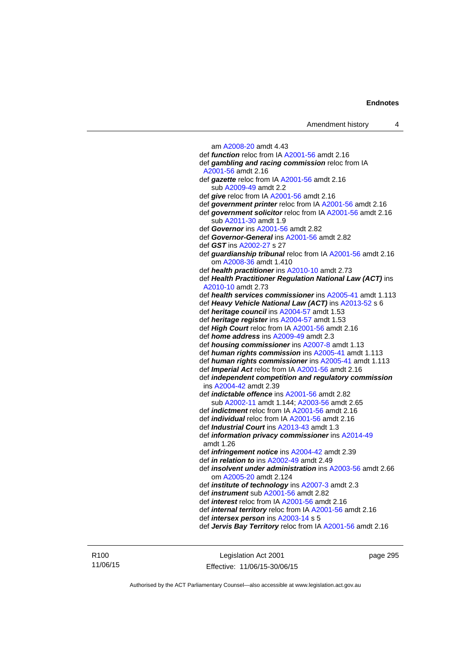am [A2008-20](http://www.legislation.act.gov.au/a/2008-20) amdt 4.43 def *function* reloc from IA [A2001-56](http://www.legislation.act.gov.au/a/2001-56) amdt 2.16 def *gambling and racing commission* reloc from IA [A2001-56](http://www.legislation.act.gov.au/a/2001-56) amdt 2.16 def *gazette* reloc from IA [A2001-56](http://www.legislation.act.gov.au/a/2001-56) amdt 2.16 sub [A2009-49](http://www.legislation.act.gov.au/a/2009-49) amdt 2.2 def *give* reloc from IA [A2001-56](http://www.legislation.act.gov.au/a/2001-56) amdt 2.16 def *government printer* reloc from IA [A2001-56](http://www.legislation.act.gov.au/a/2001-56) amdt 2.16 def *government solicitor* reloc from IA [A2001-56](http://www.legislation.act.gov.au/a/2001-56) amdt 2.16 sub [A2011-30](http://www.legislation.act.gov.au/a/2011-30) amdt 1.9 def *Governor* ins [A2001-56](http://www.legislation.act.gov.au/a/2001-56) amdt 2.82 def *Governor-General* ins [A2001-56](http://www.legislation.act.gov.au/a/2001-56) amdt 2.82 def *GST* ins [A2002-27](http://www.legislation.act.gov.au/a/2002-27) s 27 def *guardianship tribunal* reloc from IA [A2001-56](http://www.legislation.act.gov.au/a/2001-56) amdt 2.16 om [A2008-36](http://www.legislation.act.gov.au/a/2008-36) amdt 1.410 def *health practitioner* ins [A2010-10](http://www.legislation.act.gov.au/a/2010-10) amdt 2.73 def *Health Practitioner Regulation National Law (ACT)* ins [A2010-10](http://www.legislation.act.gov.au/a/2010-10) amdt 2.73 def *health services commissioner* ins [A2005-41](http://www.legislation.act.gov.au/a/2005-41) amdt 1.113 def *Heavy Vehicle National Law (ACT)* ins [A2013-52](http://www.legislation.act.gov.au/a/2013-52) s 6 def *heritage council* ins [A2004-57](http://www.legislation.act.gov.au/a/2004-57) amdt 1.53 def *heritage register* ins [A2004-57](http://www.legislation.act.gov.au/a/2004-57) amdt 1.53 def *High Court* reloc from IA [A2001-56](http://www.legislation.act.gov.au/a/2001-56) amdt 2.16 def *home address* ins [A2009-49](http://www.legislation.act.gov.au/a/2009-49) amdt 2.3 def *housing commissioner* ins [A2007-8](http://www.legislation.act.gov.au/a/2007-8) amdt 1.13 def *human rights commission* ins [A2005-41](http://www.legislation.act.gov.au/a/2005-41) amdt 1.113 def *human rights commissioner* ins [A2005-41](http://www.legislation.act.gov.au/a/2005-41) amdt 1.113 def *Imperial Act* reloc from IA [A2001-56](http://www.legislation.act.gov.au/a/2001-56) amdt 2.16 def *independent competition and regulatory commission* ins [A2004-42](http://www.legislation.act.gov.au/a/2004-42) amdt 2.39 def *indictable offence* ins [A2001-56](http://www.legislation.act.gov.au/a/2001-56) amdt 2.82 sub [A2002-11](http://www.legislation.act.gov.au/a/2002-11) amdt 1.144; [A2003-56](http://www.legislation.act.gov.au/a/2003-56) amdt 2.65 def *indictment* reloc from IA [A2001-56](http://www.legislation.act.gov.au/a/2001-56) amdt 2.16 def *individual* reloc from IA [A2001-56](http://www.legislation.act.gov.au/a/2001-56) amdt 2.16 def *Industrial Court* ins [A2013-43](http://www.legislation.act.gov.au/a/2013-43) amdt 1.3 def *information privacy commissioner* ins [A2014-49](http://www.legislation.act.gov.au/a/2014-49) amdt 1.26 def *infringement notice* ins [A2004-42](http://www.legislation.act.gov.au/a/2004-42) amdt 2.39 def *in relation to* ins [A2002-49](http://www.legislation.act.gov.au/a/2002-49) amdt 2.49 def *insolvent under administration* ins [A2003-56](http://www.legislation.act.gov.au/a/2003-56) amdt 2.66 om [A2005-20](http://www.legislation.act.gov.au/a/2005-20) amdt 2.124 def *institute of technology* ins [A2007-3](http://www.legislation.act.gov.au/a/2007-3) amdt 2.3 def *instrument* sub [A2001-56](http://www.legislation.act.gov.au/a/2001-56) amdt 2.82 def *interest* reloc from IA [A2001-56](http://www.legislation.act.gov.au/a/2001-56) amdt 2.16 def *internal territory* reloc from IA [A2001-56](http://www.legislation.act.gov.au/a/2001-56) amdt 2.16 def *intersex person* ins [A2003-14](http://www.legislation.act.gov.au/a/2003-14) s 5 def *Jervis Bay Territory* reloc from IA [A2001-56](http://www.legislation.act.gov.au/a/2001-56) amdt 2.16

page 295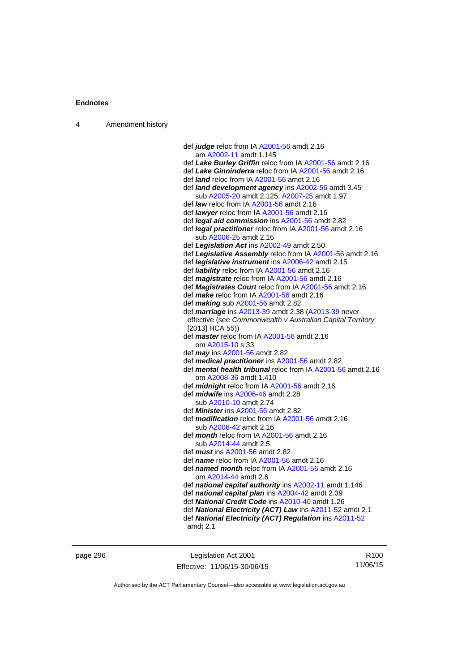| 4 | Amendment history |                                                                |
|---|-------------------|----------------------------------------------------------------|
|   |                   |                                                                |
|   |                   | def <i>judge</i> reloc from IA $A2001-56$ amdt 2.16            |
|   |                   | am A2002-11 amdt 1.145                                         |
|   |                   | def Lake Burley Griffin reloc from IA A2001-56 amdt 2.16       |
|   |                   | def Lake Ginninderra reloc from IA A2001-56 amdt 2.16          |
|   |                   | def <i>land</i> reloc from IA A2001-56 amdt 2.16               |
|   |                   | def <b>land development agency</b> ins A2002-56 amdt 3.45      |
|   |                   | sub A2005-20 amdt 2.125; A2007-25 amdt 1.97                    |
|   |                   | def <i>law</i> reloc from IA $A2001-56$ amdt 2.16              |
|   |                   | def <i>lawyer</i> reloc from IA A2001-56 amdt 2.16             |
|   |                   | def <i>legal aid commission</i> ins A2001-56 amdt 2.82         |
|   |                   | def <i>legal practitioner</i> reloc from IA A2001-56 amdt 2.16 |
|   |                   | sub A2006-25 amdt 2.16                                         |
|   |                   | def Legislation Act ins A2002-49 amdt 2.50                     |
|   |                   | def Legislative Assembly reloc from IA A2001-56 amdt 2.        |
|   |                   | def <i>legislative instrument</i> ins A2006-42 amdt 2.15       |
|   |                   |                                                                |

-56 amdt 2.16 def *Legislative Assembly* reloc from IA [A2001-56](http://www.legislation.act.gov.au/a/2001-56) amdt 2.16 amdt 2.15 def *liability* reloc from IA [A2001-56](http://www.legislation.act.gov.au/a/2001-56) amdt 2.16 def *magistrate* reloc from IA [A2001-56](http://www.legislation.act.gov.au/a/2001-56) amdt 2.16 def *Magistrates Court* reloc from IA [A2001-56](http://www.legislation.act.gov.au/a/2001-56) amdt 2.16 def *make* reloc from IA [A2001-56](http://www.legislation.act.gov.au/a/2001-56) amdt 2.16 def *making* sub [A2001-56](http://www.legislation.act.gov.au/a/2001-56) amdt 2.82 def *marriage* ins [A2013-39](http://www.legislation.act.gov.au/a/2013-39) amdt 2.38 ([A2013-39](http://www.legislation.act.gov.au/a/2013-39) never effective (see *Commonwealth v Australian Capital Territory* [2013] HCA 55)) def *master* reloc from IA [A2001-56](http://www.legislation.act.gov.au/a/2001-56) amdt 2.16 om [A2015-10](http://www.legislation.act.gov.au/a/2015-10) s 33 def *may* ins [A2001-56](http://www.legislation.act.gov.au/a/2001-56) amdt 2.82 def *medical practitioner* ins [A2001-56](http://www.legislation.act.gov.au/a/2001-56) amdt 2.82 def *mental health tribunal* reloc from IA [A2001-56](http://www.legislation.act.gov.au/a/2001-56) amdt 2.16 om [A2008-36](http://www.legislation.act.gov.au/a/2008-36) amdt 1.410 def *midnight* reloc from IA [A2001-56](http://www.legislation.act.gov.au/a/2001-56) amdt 2.16 def *midwife* ins [A2006-46](http://www.legislation.act.gov.au/a/2006-46) amdt 2.28 sub [A2010-10](http://www.legislation.act.gov.au/a/2010-10) amdt 2.74 def *Minister* ins [A2001-56](http://www.legislation.act.gov.au/a/2001-56) amdt 2.82 def *modification* reloc from IA [A2001-56](http://www.legislation.act.gov.au/a/2001-56) amdt 2.16 sub [A2006-42](http://www.legislation.act.gov.au/a/2006-42) amdt 2.16 def *month* reloc from IA [A2001-56](http://www.legislation.act.gov.au/a/2001-56) amdt 2.16 sub [A2014-44](http://www.legislation.act.gov.au/a/2014-44) amdt 2.5 def *must* ins [A2001-56](http://www.legislation.act.gov.au/a/2001-56) amdt 2.82 def *name* reloc from IA [A2001-56](http://www.legislation.act.gov.au/a/2001-56) amdt 2.16 def *named month* reloc from IA [A2001-56](http://www.legislation.act.gov.au/a/2001-56) amdt 2.16 om [A2014-44](http://www.legislation.act.gov.au/a/2014-44) amdt 2.6 def *national capital authority* ins [A2002-11](http://www.legislation.act.gov.au/a/2002-11) amdt 1.146 def *national capital plan* ins [A2004-42](http://www.legislation.act.gov.au/a/2004-42) amdt 2.39 def *National Credit Code* ins [A2010-40](http://www.legislation.act.gov.au/a/2010-40) amdt 1.26

- def *National Electricity (ACT) Law* ins [A2011-52](http://www.legislation.act.gov.au/a/2011-52) amdt 2.1
- def *National Electricity (ACT) Regulation* ins [A2011-52](http://www.legislation.act.gov.au/a/2011-52) amdt 2.1

page 296 Legislation Act 2001 Effective: 11/06/15-30/06/15

R100 11/06/15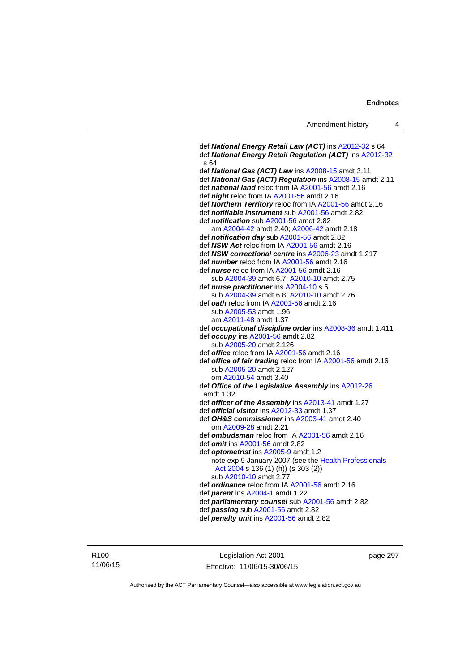```
 def National Energy Retail Law (ACT) ins A2012-32 s 64 
 def National Energy Retail Regulation (ACT) ins A2012-32
 s 64 
 def National Gas (ACT) Law ins A2008-15 amdt 2.11 
 def National Gas (ACT) Regulation ins A2008-15 amdt 2.11 
 def national land reloc from IA A2001-56 amdt 2.16 
 def night reloc from IA A2001-56 amdt 2.16 
 def Northern Territory reloc from IA A2001-56 amdt 2.16 
 def notifiable instrument sub A2001-56 amdt 2.82 
 def notification sub A2001-56 amdt 2.82
    am A2004-42 amdt 2.40; A2006-42 amdt 2.18 
 def notification day sub A2001-56 amdt 2.82 
 def NSW Act reloc from IA A2001-56 amdt 2.16
 def NSW correctional centre ins A2006-23 amdt 1.217 
 def number reloc from IA A2001-56 amdt 2.16
 def nurse reloc from IA A2001-56 amdt 2.16 
    sub A2004-39 amdt 6.7; A2010-10 amdt 2.75 
 def nurse practitioner ins A2004-10 s 6 
    sub A2004-39 amdt 6.8; A2010-10 amdt 2.76 
 def oath reloc from IA A2001-56 amdt 2.16 
    sub A2005-53 amdt 1.96 
    am A2011-48 amdt 1.37
 def occupational discipline order ins A2008-36 amdt 1.411 
 def occupy ins A2001-56 amdt 2.82 
    sub A2005-20 amdt 2.126 
 def office reloc from IA A2001-56 amdt 2.16
 def office of fair trading reloc from IA A2001-56 amdt 2.16 
    sub A2005-20 amdt 2.127 
    om A2010-54 amdt 3.40
 def Office of the Legislative Assembly ins A2012-26
 amdt 1.32
 def officer of the Assembly ins A2013-41 amdt 1.27 
def official visitorA2012-33 amdt 1.37
 def OH&S commissioner ins A2003-41 amdt 2.40 
    om A2009-28 amdt 2.21
 def ombudsman reloc from IA A2001-56 amdt 2.16 
 def omit ins A2001-56 amdt 2.82 
 def optometrist ins A2005-9 amdt 1.2
   note exp 9 January 2007 (see the Health Professionals 
    Act 2004 s 136 (1) (h)) (s 303 (2)) 
    sub A2010-10 amdt 2.77 
 def ordinance reloc from IA A2001-56 amdt 2.16 
 def parent ins A2004-1 amdt 1.22 
 def parliamentary counsel sub A2001-56 amdt 2.82 
 def passing sub A2001-56 amdt 2.82 
 def penalty unit ins A2001-56 amdt 2.82
```
Legislation Act 2001 Effective: 11/06/15-30/06/15 page 297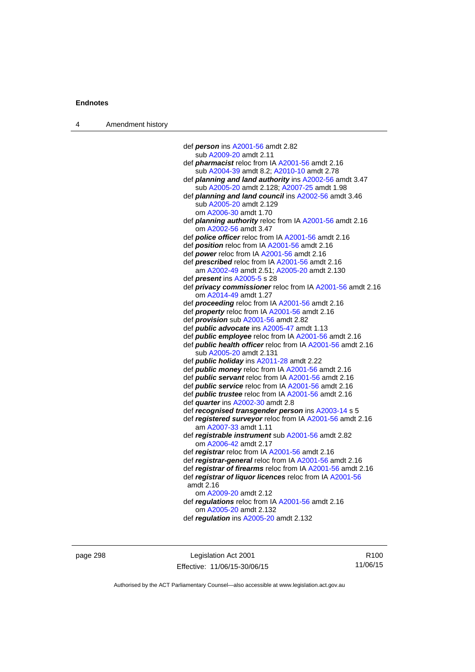| 4 | Amendment history |                                                                                                  |
|---|-------------------|--------------------------------------------------------------------------------------------------|
|   |                   |                                                                                                  |
|   |                   | def <i>person</i> ins A2001-56 amdt 2.82                                                         |
|   |                   | sub A2009-20 amdt 2.11                                                                           |
|   |                   | def <i>pharmacist</i> reloc from IA A2001-56 amdt 2.16                                           |
|   |                   | sub A2004-39 amdt 8.2; A2010-10 amdt 2.78                                                        |
|   |                   | def planning and land authority ins A2002-56 amdt 3.47                                           |
|   |                   | sub A2005-20 amdt 2.128; A2007-25 amdt 1.98                                                      |
|   |                   | def planning and land council ins A2002-56 amdt 3.46                                             |
|   |                   | sub A2005-20 amdt 2.129                                                                          |
|   |                   | om A2006-30 amdt 1.70                                                                            |
|   |                   | def <i>planning authority</i> reloc from IA A2001-56 amdt 2.16                                   |
|   |                   | om A2002-56 amdt 3.47                                                                            |
|   |                   | def <b>police officer</b> reloc from IA A2001-56 amdt 2.16                                       |
|   |                   | def <b>position</b> reloc from IA A2001-56 amdt 2.16                                             |
|   |                   | def power reloc from IA A2001-56 amdt 2.16                                                       |
|   |                   | def <b>prescribed</b> reloc from IA A2001-56 amdt 2.16                                           |
|   |                   | am A2002-49 amdt 2.51; A2005-20 amdt 2.130                                                       |
|   |                   | def <i>present</i> ins A2005-5 s 28                                                              |
|   |                   | def <i>privacy commissioner</i> reloc from IA A2001-56 amdt 2.16                                 |
|   |                   | om A2014-49 amdt 1.27                                                                            |
|   |                   | def <b>proceeding</b> reloc from IA A2001-56 amdt 2.16                                           |
|   |                   | def <b>property</b> reloc from IA A2001-56 amdt 2.16                                             |
|   |                   | def <i>provision</i> sub A2001-56 amdt 2.82<br>def <b>public advocate</b> ins A2005-47 amdt 1.13 |
|   |                   | def <i>public</i> employee reloc from IA A2001-56 amdt 2.16                                      |
|   |                   | def <b>public health officer</b> reloc from IA A2001-56 amdt 2.16                                |
|   |                   | sub A2005-20 amdt 2.131                                                                          |
|   |                   | def <i>public holiday</i> ins A2011-28 amdt 2.22                                                 |
|   |                   | def <i>public money</i> reloc from IA A2001-56 amdt 2.16                                         |
|   |                   | def <i>public</i> servant reloc from IA A2001-56 amdt 2.16                                       |
|   |                   | def <i>public</i> service reloc from IA A2001-56 amdt 2.16                                       |
|   |                   | def <i>public trustee</i> reloc from IA A2001-56 amdt 2.16                                       |
|   |                   | def <i>quarter</i> ins A2002-30 amdt 2.8                                                         |
|   |                   | def recognised transgender person ins A2003-14 s 5                                               |
|   |                   | def registered surveyor reloc from IA A2001-56 amdt 2.16                                         |
|   |                   | am A2007-33 amdt 1.11                                                                            |
|   |                   | def registrable instrument sub A2001-56 amdt 2.82                                                |
|   |                   | om A2006-42 amdt 2.17                                                                            |
|   |                   | def registrar reloc from IA A2001-56 amdt 2.16                                                   |
|   |                   | def registrar-general reloc from IA A2001-56 amdt 2.16                                           |
|   |                   | def registrar of firearms reloc from IA A2001-56 amdt 2.16                                       |
|   |                   | def registrar of liquor licences reloc from IA A2001-56                                          |
|   |                   | amdt 2.16                                                                                        |
|   |                   | om A2009-20 amdt 2.12                                                                            |
|   |                   | def regulations reloc from IA A2001-56 amdt 2.16                                                 |
|   |                   | om A2005-20 amdt 2.132                                                                           |
|   |                   | def regulation ins A2005-20 amdt 2.132                                                           |
|   |                   |                                                                                                  |

page 298 Legislation Act 2001 Effective: 11/06/15-30/06/15

R100 11/06/15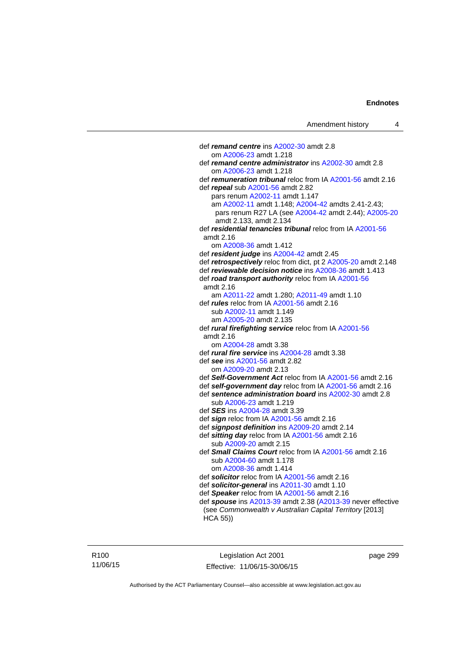def *remand centre* ins [A2002-30](http://www.legislation.act.gov.au/a/2002-30) amdt 2.8 om [A2006-23](http://www.legislation.act.gov.au/a/2006-23) amdt 1.218 def *remand centre administrator* ins [A2002-30](http://www.legislation.act.gov.au/a/2002-30) amdt 2.8 om [A2006-23](http://www.legislation.act.gov.au/a/2006-23) amdt 1.218 def *remuneration tribunal* reloc from IA [A2001-56](http://www.legislation.act.gov.au/a/2001-56) amdt 2.16 def *repeal* sub [A2001-56](http://www.legislation.act.gov.au/a/2001-56) amdt 2.82 pars renum [A2002-11](http://www.legislation.act.gov.au/a/2002-11) amdt 1.147 am [A2002-11](http://www.legislation.act.gov.au/a/2002-11) amdt 1.148; [A2004-42](http://www.legislation.act.gov.au/a/2004-42) amdts 2.41-2.43; pars renum R27 LA (see [A2004-42](http://www.legislation.act.gov.au/a/2004-42) amdt 2.44); [A2005-20](http://www.legislation.act.gov.au/a/2005-20) amdt 2.133, amdt 2.134 def *residential tenancies tribunal* reloc from IA [A2001-56](http://www.legislation.act.gov.au/a/2001-56) amdt 2.16 om [A2008-36](http://www.legislation.act.gov.au/a/2008-36) amdt 1.412 def *resident judge* ins [A2004-42](http://www.legislation.act.gov.au/a/2004-42) amdt 2.45 def *retrospectively* reloc from dict, pt 2 [A2005-20](http://www.legislation.act.gov.au/a/2005-20) amdt 2.148 def *reviewable decision notice* ins [A2008-36](http://www.legislation.act.gov.au/a/2008-36) amdt 1.413 def *road transport authority* reloc from IA [A2001-56](http://www.legislation.act.gov.au/a/2001-56) amdt 2.16 am [A2011-22](http://www.legislation.act.gov.au/a/2011-22) amdt 1.280; [A2011-49](http://www.legislation.act.gov.au/a/2011-49) amdt 1.10 def *rules* reloc from IA [A2001-56](http://www.legislation.act.gov.au/a/2001-56) amdt 2.16 sub [A2002-11](http://www.legislation.act.gov.au/a/2002-11) amdt 1.149 am [A2005-20](http://www.legislation.act.gov.au/a/2005-20) amdt 2.135 def *rural firefighting service* reloc from IA [A2001-56](http://www.legislation.act.gov.au/a/2001-56) amdt 2.16 om [A2004-28](http://www.legislation.act.gov.au/a/2004-28) amdt 3.38 def *rural fire service* ins [A2004-28](http://www.legislation.act.gov.au/a/2004-28) amdt 3.38 def *see* ins [A2001-56](http://www.legislation.act.gov.au/a/2001-56) amdt 2.82 om [A2009-20](http://www.legislation.act.gov.au/a/2009-20) amdt 2.13 def *Self-Government Act* reloc from IA [A2001-56](http://www.legislation.act.gov.au/a/2001-56) amdt 2.16 def *self-government day* reloc from IA [A2001-56](http://www.legislation.act.gov.au/a/2001-56) amdt 2.16 def *sentence administration board* ins [A2002-30](http://www.legislation.act.gov.au/a/2002-30) amdt 2.8 sub [A2006-23](http://www.legislation.act.gov.au/a/2006-23) amdt 1.219 def *SES* ins [A2004-28](http://www.legislation.act.gov.au/a/2004-28) amdt 3.39 def *sign* reloc from IA [A2001-56](http://www.legislation.act.gov.au/a/2001-56) amdt 2.16 def *signpost definition* ins [A2009-20](http://www.legislation.act.gov.au/a/2009-20) amdt 2.14 def *sitting day* reloc from IA [A2001-56](http://www.legislation.act.gov.au/a/2001-56) amdt 2.16 sub [A2009-20](http://www.legislation.act.gov.au/a/2009-20) amdt 2.15 def *Small Claims Court* reloc from IA [A2001-56](http://www.legislation.act.gov.au/a/2001-56) amdt 2.16 sub [A2004-60](http://www.legislation.act.gov.au/a/2004-60) amdt 1.178 om [A2008-36](http://www.legislation.act.gov.au/a/2008-36) amdt 1.414 def *solicitor* reloc from IA [A2001-56](http://www.legislation.act.gov.au/a/2001-56) amdt 2.16 def *solicitor-general* ins [A2011-30](http://www.legislation.act.gov.au/a/2011-30) amdt 1.10 def *Speaker* reloc from IA [A2001-56](http://www.legislation.act.gov.au/a/2001-56) amdt 2.16 def *spouse* ins [A2013-39](http://www.legislation.act.gov.au/a/2013-39) amdt 2.38 [\(A2013-39](http://www.legislation.act.gov.au/a/2013-39) never effective (see *Commonwealth v Australian Capital Territory* [2013] HCA 55))

R100 11/06/15

Legislation Act 2001 Effective: 11/06/15-30/06/15 page 299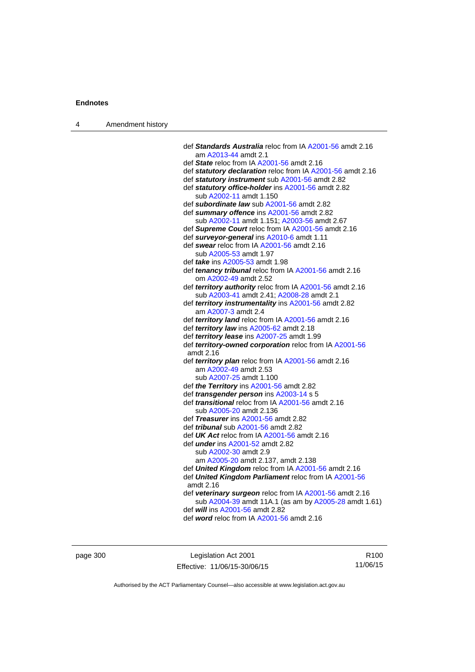| 4 | Amendment history |                                                                                                       |
|---|-------------------|-------------------------------------------------------------------------------------------------------|
|   |                   |                                                                                                       |
|   |                   | def Standards Australia reloc from IA A2001-56 amdt 2.16                                              |
|   |                   | am A2013-44 amdt 2.1                                                                                  |
|   |                   | def State reloc from IA A2001-56 amdt 2.16                                                            |
|   |                   | def statutory declaration reloc from IA A2001-56 amdt 2.16                                            |
|   |                   | def statutory instrument sub A2001-56 amdt 2.82<br>def statutory office-holder ins A2001-56 amdt 2.82 |
|   |                   | sub A2002-11 amdt 1.150                                                                               |
|   |                   | def subordinate law sub A2001-56 amdt 2.82                                                            |
|   |                   | def summary offence ins A2001-56 amdt 2.82                                                            |
|   |                   | sub A2002-11 amdt 1.151; A2003-56 amdt 2.67                                                           |
|   |                   | def Supreme Court reloc from IA A2001-56 amdt 2.16                                                    |
|   |                   | def surveyor-general ins A2010-6 amdt 1.11                                                            |
|   |                   | def swear reloc from IA A2001-56 amdt 2.16                                                            |
|   |                   | sub A2005-53 amdt 1.97                                                                                |
|   |                   | def <i>take</i> ins A2005-53 amdt 1.98                                                                |
|   |                   | def tenancy tribunal reloc from IA A2001-56 amdt 2.16                                                 |
|   |                   | om A2002-49 amdt 2.52                                                                                 |
|   |                   | def territory authority reloc from IA A2001-56 amdt 2.16                                              |
|   |                   | sub A2003-41 amdt 2.41; A2008-28 amdt 2.1                                                             |
|   |                   | def territory instrumentality ins A2001-56 amdt 2.82<br>am A2007-3 amdt 2.4                           |
|   |                   | def territory land reloc from IA A2001-56 amdt 2.16                                                   |
|   |                   | def territory law ins A2005-62 amdt 2.18                                                              |
|   |                   | def territory lease ins A2007-25 amdt 1.99                                                            |
|   |                   | def territory-owned corporation reloc from IA A2001-56                                                |
|   |                   | amdt 2.16                                                                                             |
|   |                   | def territory plan reloc from IA A2001-56 amdt 2.16                                                   |
|   |                   | am A2002-49 amdt 2.53                                                                                 |
|   |                   | sub A2007-25 amdt 1.100                                                                               |
|   |                   | def <i>the Territory</i> ins A2001-56 amdt 2.82                                                       |
|   |                   | def transgender person ins A2003-14 s 5<br>def <i>transitional</i> reloc from IA A2001-56 amdt 2.16   |
|   |                   | sub A2005-20 amdt 2.136                                                                               |
|   |                   | def Treasurer ins A2001-56 amdt 2.82                                                                  |
|   |                   | def <i>tribunal</i> sub A2001-56 amdt 2.82                                                            |
|   |                   | def $UK$ Act reloc from IA $A2001-56$ amdt 2.16                                                       |
|   |                   | def <i>under</i> ins A2001-52 amdt 2.82                                                               |
|   |                   | sub A2002-30 amdt 2.9                                                                                 |
|   |                   | am A2005-20 amdt 2.137, amdt 2.138                                                                    |
|   |                   | def United Kingdom reloc from IA A2001-56 amdt 2.16                                                   |
|   |                   | def United Kingdom Parliament reloc from IA A2001-56<br>amdt 2.16                                     |
|   |                   | def veterinary surgeon reloc from IA A2001-56 amdt 2.16                                               |
|   |                   | sub A2004-39 amdt 11A.1 (as am by A2005-28 amdt 1.61)                                                 |
|   |                   | def will ins A2001-56 amdt 2.82                                                                       |
|   |                   | def word reloc from IA A2001-56 amdt 2.16                                                             |

page 300 **Legislation Act 2001** Effective: 11/06/15-30/06/15

R100 11/06/15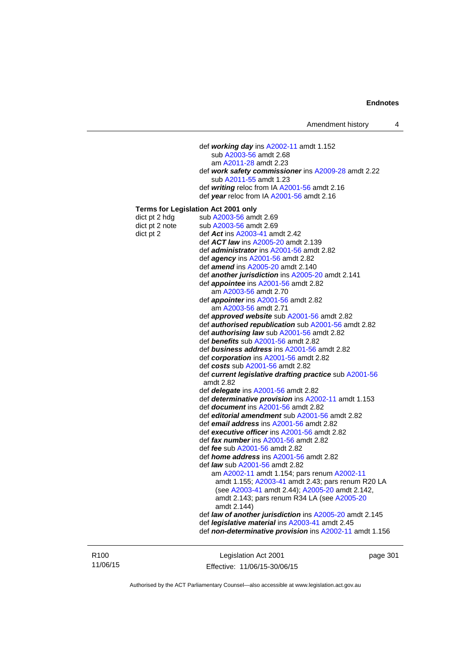| Amendment history |  |  |
|-------------------|--|--|
|-------------------|--|--|

 def *working day* ins [A2002-11](http://www.legislation.act.gov.au/a/2002-11) amdt 1.152 sub [A2003-56](http://www.legislation.act.gov.au/a/2003-56) amdt 2.68 am [A2011-28](http://www.legislation.act.gov.au/a/2011-28) amdt 2.23 def *work safety commissioner* ins [A2009-28](http://www.legislation.act.gov.au/a/2009-28) amdt 2.22 sub [A2011-55](http://www.legislation.act.gov.au/a/2011-55) amdt 1.23 def *writing* reloc from IA [A2001-56](http://www.legislation.act.gov.au/a/2001-56) amdt 2.16 def *year* reloc from IA [A2001-56](http://www.legislation.act.gov.au/a/2001-56) amdt 2.16 **Terms for Legislation Act 2001 only**  dict pt 2 hdg sub  $A2003-56$  amdt 2.69 dict pt 2 note sub  $A2003-56$  amdt  $2.69$ dict pt 2 def *Act* ins [A2003-41](http://www.legislation.act.gov.au/a/2003-41) amdt 2.42 def *ACT law* ins [A2005-20](http://www.legislation.act.gov.au/a/2005-20) amdt 2.139 def *administrator* ins [A2001-56](http://www.legislation.act.gov.au/a/2001-56) amdt 2.82 def *agency* ins [A2001-56](http://www.legislation.act.gov.au/a/2001-56) amdt 2.82 def *amend* ins [A2005-20](http://www.legislation.act.gov.au/a/2005-20) amdt 2.140 def *another jurisdiction* ins [A2005-20](http://www.legislation.act.gov.au/a/2005-20) amdt 2.141 def *appointee* ins [A2001-56](http://www.legislation.act.gov.au/a/2001-56) amdt 2.82 am [A2003-56](http://www.legislation.act.gov.au/a/2003-56) amdt 2.70 def *appointer* ins [A2001-56](http://www.legislation.act.gov.au/a/2001-56) amdt 2.82 am [A2003-56](http://www.legislation.act.gov.au/a/2003-56) amdt 2.71 def *approved website* sub [A2001-56](http://www.legislation.act.gov.au/a/2001-56) amdt 2.82 def *authorised republication* sub [A2001-56](http://www.legislation.act.gov.au/a/2001-56) amdt 2.82 def *authorising law* sub [A2001-56](http://www.legislation.act.gov.au/a/2001-56) amdt 2.82 def *benefits* sub [A2001-56](http://www.legislation.act.gov.au/a/2001-56) amdt 2.82 def *business address* ins [A2001-56](http://www.legislation.act.gov.au/a/2001-56) amdt 2.82 def *corporation* ins [A2001-56](http://www.legislation.act.gov.au/a/2001-56) amdt 2.82 def *costs* sub [A2001-56](http://www.legislation.act.gov.au/a/2001-56) amdt 2.82 def *current legislative drafting practice* sub [A2001-56](http://www.legislation.act.gov.au/a/2001-56) amdt 2.82 def *delegate* ins [A2001-56](http://www.legislation.act.gov.au/a/2001-56) amdt 2.82 def *determinative provision* ins [A2002-11](http://www.legislation.act.gov.au/a/2002-11) amdt 1.153 def *document* ins [A2001-56](http://www.legislation.act.gov.au/a/2001-56) amdt 2.82 def *editorial amendment* sub [A2001-56](http://www.legislation.act.gov.au/a/2001-56) amdt 2.82 def *email address* ins [A2001-56](http://www.legislation.act.gov.au/a/2001-56) amdt 2.82 def *executive officer* ins [A2001-56](http://www.legislation.act.gov.au/a/2001-56) amdt 2.82 def *fax number* ins [A2001-56](http://www.legislation.act.gov.au/a/2001-56) amdt 2.82 def *fee* sub [A2001-56](http://www.legislation.act.gov.au/a/2001-56) amdt 2.82 def *home address* ins [A2001-56](http://www.legislation.act.gov.au/a/2001-56) amdt 2.82 def *law* sub [A2001-56](http://www.legislation.act.gov.au/a/2001-56) amdt 2.82 am [A2002-11](http://www.legislation.act.gov.au/a/2002-11) amdt 1.154; pars renum [A2002-11](http://www.legislation.act.gov.au/a/2002-11) amdt 1.155; [A2003-41](http://www.legislation.act.gov.au/a/2003-41) amdt 2.43; pars renum R20 LA (see [A2003-41](http://www.legislation.act.gov.au/a/2003-41) amdt 2.44); [A2005-20](http://www.legislation.act.gov.au/a/2005-20) amdt 2.142, amdt 2.143; pars renum R34 LA (see [A2005-20](http://www.legislation.act.gov.au/a/2005-20) amdt 2.144) def *law of another jurisdiction* ins [A2005-20](http://www.legislation.act.gov.au/a/2005-20) amdt 2.145 def *legislative material* ins [A2003-41](http://www.legislation.act.gov.au/a/2003-41) amdt 2.45 def *non-determinative provision* ins [A2002-11](http://www.legislation.act.gov.au/a/2002-11) amdt 1.156

R100 11/06/15

Legislation Act 2001 Effective: 11/06/15-30/06/15 page 301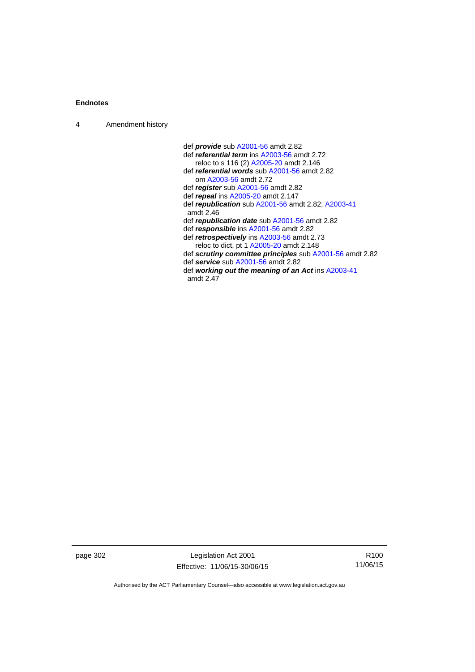| $\boldsymbol{\Lambda}$ | Amendment history |
|------------------------|-------------------|
|------------------------|-------------------|

 def *provide* sub [A2001-56](http://www.legislation.act.gov.au/a/2001-56) amdt 2.82 def *referential term* ins [A2003-56](http://www.legislation.act.gov.au/a/2003-56) amdt 2.72 reloc to s 116 (2) [A2005-20](http://www.legislation.act.gov.au/a/2005-20) amdt 2.146 def *referential words* sub [A2001-56](http://www.legislation.act.gov.au/a/2001-56) amdt 2.82 om [A2003-56](http://www.legislation.act.gov.au/a/2003-56) amdt 2.72 def *register* sub [A2001-56](http://www.legislation.act.gov.au/a/2001-56) amdt 2.82 def *repeal* ins [A2005-20](http://www.legislation.act.gov.au/a/2005-20) amdt 2.147 def *republication* sub [A2001-56](http://www.legislation.act.gov.au/a/2001-56) amdt 2.82; [A2003-41](http://www.legislation.act.gov.au/a/2003-41) amdt 2.46 def *republication date* sub [A2001-56](http://www.legislation.act.gov.au/a/2001-56) amdt 2.82 def *responsible* ins [A2001-56](http://www.legislation.act.gov.au/a/2001-56) amdt 2.82 def *retrospectively* ins [A2003-56](http://www.legislation.act.gov.au/a/2003-56) amdt 2.73 reloc to dict, pt 1 [A2005-20](http://www.legislation.act.gov.au/a/2005-20) amdt 2.148 def *scrutiny committee principles* sub [A2001-56](http://www.legislation.act.gov.au/a/2001-56) amdt 2.82 def *service* sub [A2001-56](http://www.legislation.act.gov.au/a/2001-56) amdt 2.82 def *working out the meaning of an Act* ins [A2003-41](http://www.legislation.act.gov.au/a/2003-41) amdt 2.47

page 302 Legislation Act 2001 Effective: 11/06/15-30/06/15

R100 11/06/15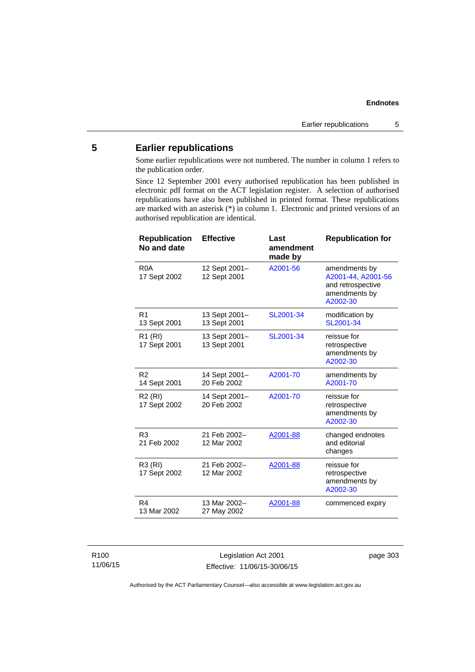# **5 Earlier republications**

Some earlier republications were not numbered. The number in column 1 refers to the publication order.

Since 12 September 2001 every authorised republication has been published in electronic pdf format on the ACT legislation register. A selection of authorised republications have also been published in printed format. These republications are marked with an asterisk (\*) in column 1. Electronic and printed versions of an authorised republication are identical.

| <b>Republication</b><br>No and date | <b>Effective</b>              | Last<br>amendment<br>made by | <b>Republication for</b>                                                              |
|-------------------------------------|-------------------------------|------------------------------|---------------------------------------------------------------------------------------|
| R <sub>0</sub> A<br>17 Sept 2002    | 12 Sept 2001-<br>12 Sept 2001 | A2001-56                     | amendments by<br>A2001-44, A2001-56<br>and retrospective<br>amendments by<br>A2002-30 |
| R <sub>1</sub><br>13 Sept 2001      | 13 Sept 2001-<br>13 Sept 2001 | SL2001-34                    | modification by<br>SL2001-34                                                          |
| R1 (RI)<br>17 Sept 2001             | 13 Sept 2001-<br>13 Sept 2001 | SL2001-34                    | reissue for<br>retrospective<br>amendments by<br>A2002-30                             |
| R <sub>2</sub><br>14 Sept 2001      | 14 Sept 2001-<br>20 Feb 2002  | A2001-70                     | amendments by<br>A2001-70                                                             |
| R <sub>2</sub> (RI)<br>17 Sept 2002 | 14 Sept 2001-<br>20 Feb 2002  | A2001-70                     | reissue for<br>retrospective<br>amendments by<br>A2002-30                             |
| R <sub>3</sub><br>21 Feb 2002       | 21 Feb 2002-<br>12 Mar 2002   | A2001-88                     | changed endnotes<br>and editorial<br>changes                                          |
| R3 (RI)<br>17 Sept 2002             | 21 Feb 2002-<br>12 Mar 2002   | A2001-88                     | reissue for<br>retrospective<br>amendments by<br>A2002-30                             |
| R <sub>4</sub><br>13 Mar 2002       | 13 Mar 2002-<br>27 May 2002   | A2001-88                     | commenced expiry                                                                      |

Legislation Act 2001 Effective: 11/06/15-30/06/15 page 303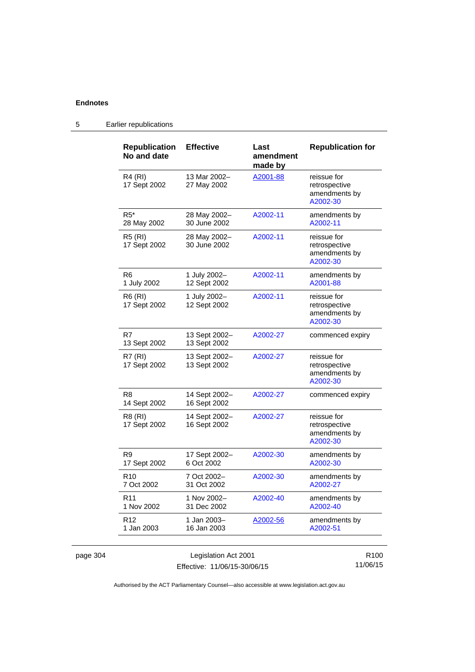5 Earlier republications

| <b>Republication</b><br>No and date | <b>Effective</b>              | Last<br>amendment<br>made by | <b>Republication for</b>                                  |
|-------------------------------------|-------------------------------|------------------------------|-----------------------------------------------------------|
| R4 (RI)<br>17 Sept 2002             | 13 Mar 2002-<br>27 May 2002   | A2001-88                     | reissue for<br>retrospective<br>amendments by<br>A2002-30 |
| $R5*$<br>28 May 2002                | 28 May 2002-<br>30 June 2002  | A2002-11                     | amendments by<br>A2002-11                                 |
| R5 (RI)<br>17 Sept 2002             | 28 May 2002-<br>30 June 2002  | A2002-11                     | reissue for<br>retrospective<br>amendments by<br>A2002-30 |
| R6<br>1 July 2002                   | 1 July 2002-<br>12 Sept 2002  | A2002-11                     | amendments by<br>A2001-88                                 |
| <b>R6 (RI)</b><br>17 Sept 2002      | 1 July 2002-<br>12 Sept 2002  | A2002-11                     | reissue for<br>retrospective<br>amendments by<br>A2002-30 |
| R7<br>13 Sept 2002                  | 13 Sept 2002-<br>13 Sept 2002 | A2002-27                     | commenced expiry                                          |
| <b>R7 (RI)</b><br>17 Sept 2002      | 13 Sept 2002-<br>13 Sept 2002 | A2002-27                     | reissue for<br>retrospective<br>amendments by<br>A2002-30 |
| R <sub>8</sub><br>14 Sept 2002      | 14 Sept 2002-<br>16 Sept 2002 | A2002-27                     | commenced expiry                                          |
| R8 (RI)<br>17 Sept 2002             | 14 Sept 2002-<br>16 Sept 2002 | A2002-27                     | reissue for<br>retrospective<br>amendments by<br>A2002-30 |
| R9<br>17 Sept 2002                  | 17 Sept 2002-<br>6 Oct 2002   | A2002-30                     | amendments by<br>A2002-30                                 |
| R <sub>10</sub><br>7 Oct 2002       | 7 Oct 2002-<br>31 Oct 2002    | A2002-30                     | amendments by<br>A2002-27                                 |
| R <sub>11</sub><br>1 Nov 2002       | 1 Nov 2002-<br>31 Dec 2002    | A2002-40                     | amendments by<br>A2002-40                                 |
| R <sub>12</sub><br>1 Jan 2003       | 1 Jan 2003-<br>16 Jan 2003    | A2002-56                     | amendments by<br>A2002-51                                 |

Authorised by the ACT Parliamentary Counsel—also accessible at www.legislation.act.gov.au

11/06/15

Effective: 11/06/15-30/06/15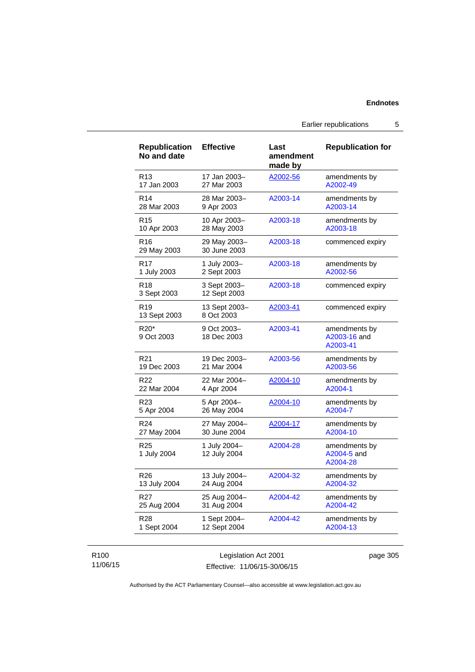Earlier republications 5

| <b>Republication</b><br>No and date | <b>Effective</b>             | Last<br>amendment<br>made by | <b>Republication for</b>                  |
|-------------------------------------|------------------------------|------------------------------|-------------------------------------------|
| R <sub>13</sub>                     | 17 Jan 2003–                 | A2002-56                     | amendments by                             |
| 17 Jan 2003                         | 27 Mar 2003                  |                              | A2002-49                                  |
| R <sub>14</sub>                     | 28 Mar 2003-                 | A2003-14                     | amendments by                             |
| 28 Mar 2003                         | 9 Apr 2003                   |                              | A2003-14                                  |
| R <sub>15</sub>                     | 10 Apr 2003-                 | A2003-18                     | amendments by                             |
| 10 Apr 2003                         | 28 May 2003                  |                              | A2003-18                                  |
| R16<br>29 May 2003                  | 29 May 2003-<br>30 June 2003 | A2003-18                     | commenced expiry                          |
| R17                                 | 1 July 2003-                 | A2003-18                     | amendments by                             |
| 1 July 2003                         | 2 Sept 2003                  |                              | A2002-56                                  |
| R <sub>18</sub><br>3 Sept 2003      | 3 Sept 2003-<br>12 Sept 2003 | A2003-18                     | commenced expiry                          |
| R <sub>19</sub><br>13 Sept 2003     | 13 Sept 2003-<br>8 Oct 2003  | A2003-41                     | commenced expiry                          |
| R20*<br>9 Oct 2003                  | 9 Oct 2003-<br>18 Dec 2003   | A2003-41                     | amendments by<br>A2003-16 and<br>A2003-41 |
| R <sub>21</sub>                     | 19 Dec 2003-                 | A2003-56                     | amendments by                             |
| 19 Dec 2003                         | 21 Mar 2004                  |                              | A2003-56                                  |
| R <sub>22</sub>                     | 22 Mar 2004-                 | A2004-10                     | amendments by                             |
| 22 Mar 2004                         | 4 Apr 2004                   |                              | A2004-1                                   |
| R <sub>23</sub>                     | 5 Apr 2004-                  | A2004-10                     | amendments by                             |
| 5 Apr 2004                          | 26 May 2004                  |                              | A2004-7                                   |
| R <sub>24</sub>                     | 27 May 2004-                 | A2004-17                     | amendments by                             |
| 27 May 2004                         | 30 June 2004                 |                              | A2004-10                                  |
| R <sub>25</sub><br>1 July 2004      | 1 July 2004-<br>12 July 2004 | A2004-28                     | amendments by<br>A2004-5 and<br>A2004-28  |
| R26                                 | 13 July 2004-                | A2004-32                     | amendments by                             |
| 13 July 2004                        | 24 Aug 2004                  |                              | A2004-32                                  |
| R27                                 | 25 Aug 2004-                 | A2004-42                     | amendments by                             |
| 25 Aug 2004                         | 31 Aug 2004                  |                              | A2004-42                                  |
| R28                                 | 1 Sept 2004-                 | A2004-42                     | amendments by                             |
| 1 Sept 2004                         | 12 Sept 2004                 |                              | A2004-13                                  |

# R100 11/06/15

Legislation Act 2001 Effective: 11/06/15-30/06/15 page 305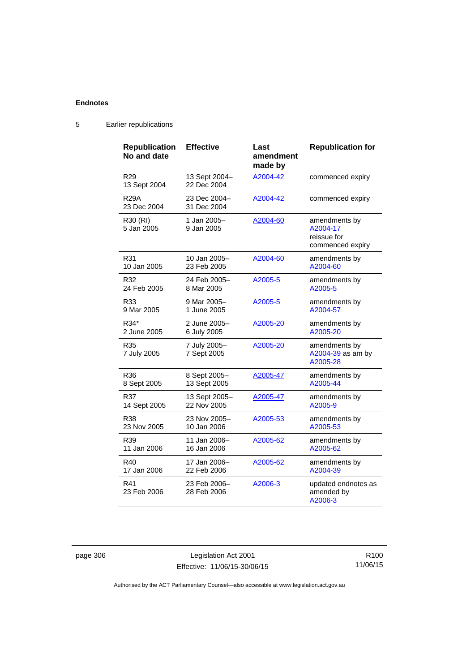| <b>Republication</b><br>No and date | <b>Effective</b>             | Last<br>amendment<br>made by | <b>Republication for</b>                                     |
|-------------------------------------|------------------------------|------------------------------|--------------------------------------------------------------|
| R <sub>29</sub><br>13 Sept 2004     | 13 Sept 2004-<br>22 Dec 2004 | A2004-42                     | commenced expiry                                             |
| <b>R29A</b><br>23 Dec 2004          | 23 Dec 2004-<br>31 Dec 2004  | A2004-42                     | commenced expiry                                             |
| R30 (RI)<br>5 Jan 2005              | 1 Jan 2005-<br>9 Jan 2005    | A2004-60                     | amendments by<br>A2004-17<br>reissue for<br>commenced expiry |
| R31                                 | 10 Jan 2005-                 | A2004-60                     | amendments by                                                |
| 10 Jan 2005                         | 23 Feb 2005                  |                              | A2004-60                                                     |
| R32                                 | 24 Feb 2005-                 | A2005-5                      | amendments by                                                |
| 24 Feb 2005                         | 8 Mar 2005                   |                              | A2005-5                                                      |
| R33                                 | 9 Mar 2005-                  | A2005-5                      | amendments by                                                |
| 9 Mar 2005                          | 1 June 2005                  |                              | A2004-57                                                     |
| R34*                                | 2 June 2005-                 | A2005-20                     | amendments by                                                |
| 2 June 2005                         | 6 July 2005                  |                              | A2005-20                                                     |
| R35<br>7 July 2005                  | 7 July 2005-<br>7 Sept 2005  | A2005-20                     | amendments by<br>A2004-39 as am by<br>A2005-28               |
| R36                                 | 8 Sept 2005-                 | A2005-47                     | amendments by                                                |
| 8 Sept 2005                         | 13 Sept 2005                 |                              | A2005-44                                                     |
| R37                                 | 13 Sept 2005-                | A2005-47                     | amendments by                                                |
| 14 Sept 2005                        | 22 Nov 2005                  |                              | A2005-9                                                      |
| R38                                 | 23 Nov 2005-                 | A2005-53                     | amendments by                                                |
| 23 Nov 2005                         | 10 Jan 2006                  |                              | A2005-53                                                     |
| R39                                 | 11 Jan 2006-                 | A2005-62                     | amendments by                                                |
| 11 Jan 2006                         | 16 Jan 2006                  |                              | A2005-62                                                     |
| R40                                 | 17 Jan 2006–                 | A2005-62                     | amendments by                                                |
| 17 Jan 2006                         | 22 Feb 2006                  |                              | A2004-39                                                     |
| R41<br>23 Feb 2006                  | 23 Feb 2006-<br>28 Feb 2006  | A2006-3                      | updated endnotes as<br>amended by<br>A2006-3                 |

5 Earlier republications

page 306 Legislation Act 2001 Effective: 11/06/15-30/06/15

R100 11/06/15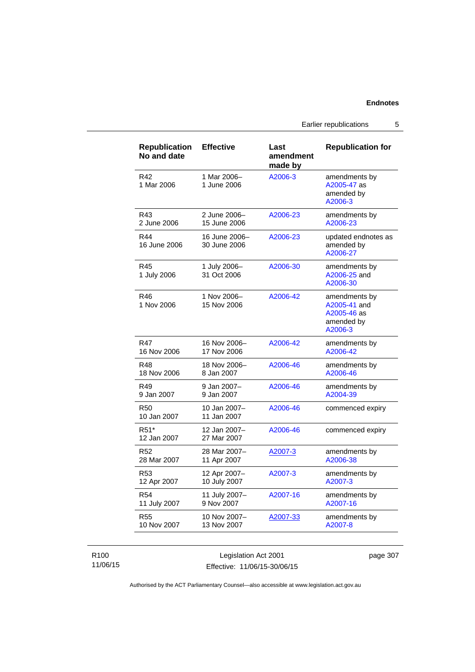Earlier republications 5

| <b>Republication</b><br>No and date | <b>Effective</b>              | Last<br>amendment<br>made by | <b>Republication for</b>                                              |
|-------------------------------------|-------------------------------|------------------------------|-----------------------------------------------------------------------|
| R42<br>1 Mar 2006                   | 1 Mar 2006-<br>1 June 2006    | A2006-3                      | amendments by<br>A2005-47 as<br>amended by<br>A2006-3                 |
| R43                                 | 2 June 2006-                  | A2006-23                     | amendments by                                                         |
| 2 June 2006                         | 15 June 2006                  |                              | A2006-23                                                              |
| R44<br>16 June 2006                 | 16 June 2006-<br>30 June 2006 | A2006-23                     | updated endnotes as<br>amended by<br>A2006-27                         |
| R45<br>1 July 2006                  | 1 July 2006-<br>31 Oct 2006   | A2006-30                     | amendments by<br>A2006-25 and<br>A2006-30                             |
| R46<br>1 Nov 2006                   | 1 Nov 2006-<br>15 Nov 2006    | A2006-42                     | amendments by<br>A2005-41 and<br>A2005-46 as<br>amended by<br>A2006-3 |
| R47                                 | 16 Nov 2006-                  | A2006-42                     | amendments by                                                         |
| 16 Nov 2006                         | 17 Nov 2006                   |                              | A2006-42                                                              |
| R48                                 | 18 Nov 2006-                  | A2006-46                     | amendments by                                                         |
| 18 Nov 2006                         | 8 Jan 2007                    |                              | A2006-46                                                              |
| R49                                 | 9 Jan 2007-                   | A2006-46                     | amendments by                                                         |
| 9 Jan 2007                          | 9 Jan 2007                    |                              | A2004-39                                                              |
| <b>R50</b><br>10 Jan 2007           | 10 Jan 2007-<br>11 Jan 2007   | A2006-46                     | commenced expiry                                                      |
| R <sub>51</sub> *<br>12 Jan 2007    | 12 Jan 2007-<br>27 Mar 2007   | A2006-46                     | commenced expiry                                                      |
| R52                                 | 28 Mar 2007-                  | A2007-3                      | amendments by                                                         |
| 28 Mar 2007                         | 11 Apr 2007                   |                              | A2006-38                                                              |
| R <sub>53</sub>                     | 12 Apr 2007-                  | A2007-3                      | amendments by                                                         |
| 12 Apr 2007                         | 10 July 2007                  |                              | A2007-3                                                               |
| R <sub>54</sub>                     | 11 July 2007-                 | A2007-16                     | amendments by                                                         |
| 11 July 2007                        | 9 Nov 2007                    |                              | A2007-16                                                              |
| R55                                 | 10 Nov 2007-                  | A2007-33                     | amendments by                                                         |
| 10 Nov 2007                         | 13 Nov 2007                   |                              | A2007-8                                                               |

# R100 11/06/15

Legislation Act 2001 Effective: 11/06/15-30/06/15 page 307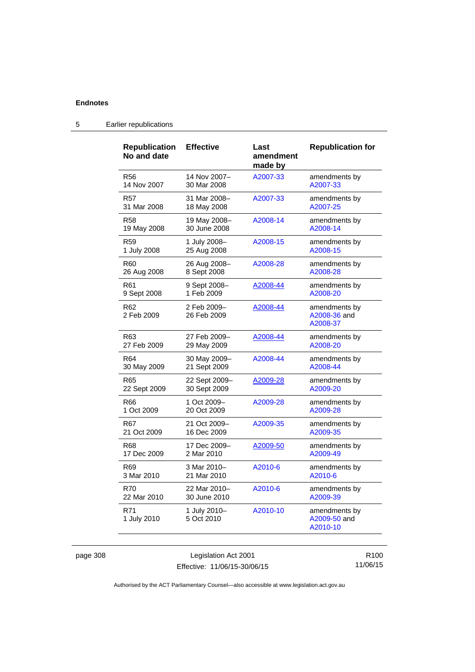| <b>Republication</b><br>No and date | <b>Effective</b>           | Last<br>amendment<br>made by | <b>Republication for</b>                  |
|-------------------------------------|----------------------------|------------------------------|-------------------------------------------|
| <b>R56</b>                          | 14 Nov 2007-               | A2007-33                     | amendments by                             |
| 14 Nov 2007                         | 30 Mar 2008                |                              | A2007-33                                  |
| R57                                 | 31 Mar 2008-               | A2007-33                     | amendments by                             |
| 31 Mar 2008                         | 18 May 2008                |                              | A2007-25                                  |
| R58                                 | 19 May 2008-               | A2008-14                     | amendments by                             |
| 19 May 2008                         | 30 June 2008               |                              | A2008-14                                  |
| R59                                 | 1 July 2008-               | A2008-15                     | amendments by                             |
| 1 July 2008                         | 25 Aug 2008                |                              | A2008-15                                  |
| R60                                 | 26 Aug 2008-               | A2008-28                     | amendments by                             |
| 26 Aug 2008                         | 8 Sept 2008                |                              | A2008-28                                  |
| R61                                 | 9 Sept 2008-               | A2008-44                     | amendments by                             |
| 9 Sept 2008                         | 1 Feb 2009                 |                              | A2008-20                                  |
| R62<br>2 Feb 2009                   | 2 Feb 2009-<br>26 Feb 2009 | A2008-44                     | amendments by<br>A2008-36 and<br>A2008-37 |
| R63                                 | 27 Feb 2009-               | A2008-44                     | amendments by                             |
| 27 Feb 2009                         | 29 May 2009                |                              | A2008-20                                  |
| R64                                 | 30 May 2009-               | A2008-44                     | amendments by                             |
| 30 May 2009                         | 21 Sept 2009               |                              | A2008-44                                  |
| R65                                 | 22 Sept 2009-              | A2009-28                     | amendments by                             |
| 22 Sept 2009                        | 30 Sept 2009               |                              | A2009-20                                  |
| R66                                 | 1 Oct 2009-                | A2009-28                     | amendments by                             |
| 1 Oct 2009                          | 20 Oct 2009                |                              | A2009-28                                  |
| R67                                 | 21 Oct 2009-               | A2009-35                     | amendments by                             |
| 21 Oct 2009                         | 16 Dec 2009                |                              | A2009-35                                  |
| R68                                 | 17 Dec 2009-               | A2009-50                     | amendments by                             |
| 17 Dec 2009                         | 2 Mar 2010                 |                              | A2009-49                                  |
| R69                                 | 3 Mar 2010-                | A2010-6                      | amendments by                             |
| 3 Mar 2010                          | 21 Mar 2010                |                              | A2010-6                                   |
| R70                                 | 22 Mar 2010-               | A2010-6                      | amendments by                             |
| 22 Mar 2010                         | 30 June 2010               |                              | A2009-39                                  |
| R71<br>1 July 2010                  | 1 July 2010-<br>5 Oct 2010 | A2010-10                     | amendments by<br>A2009-50 and<br>A2010-10 |

# 5 Earlier republications

page 308 Legislation Act 2001 Effective: 11/06/15-30/06/15

R100 11/06/15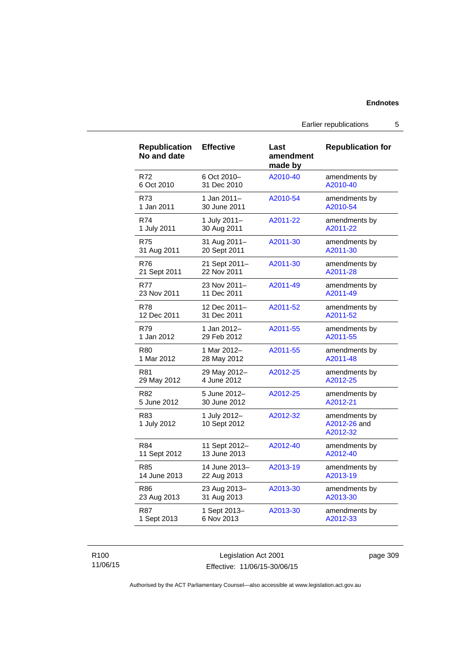### **Endnotes**

Earlier republications 5

| <b>Republication</b><br>No and date | <b>Effective</b>             | Last<br>amendment<br>made by | <b>Republication for</b>                  |
|-------------------------------------|------------------------------|------------------------------|-------------------------------------------|
| R72                                 | 6 Oct 2010-                  | A2010-40                     | amendments by                             |
| 6 Oct 2010                          | 31 Dec 2010                  |                              | A2010-40                                  |
| R73                                 | 1 Jan 2011-                  | A2010-54                     | amendments by                             |
| 1 Jan 2011                          | 30 June 2011                 |                              | A2010-54                                  |
| R74                                 | 1 July 2011-                 | A2011-22                     | amendments by                             |
| 1 July 2011                         | 30 Aug 2011                  |                              | A2011-22                                  |
| <b>R75</b>                          | 31 Aug 2011-                 | A2011-30                     | amendments by                             |
| 31 Aug 2011                         | 20 Sept 2011                 |                              | A2011-30                                  |
| <b>R76</b>                          | 21 Sept 2011-                | A2011-30                     | amendments by                             |
| 21 Sept 2011                        | 22 Nov 2011                  |                              | A2011-28                                  |
| <b>R77</b>                          | 23 Nov 2011-                 | A2011-49                     | amendments by                             |
| 23 Nov 2011                         | 11 Dec 2011                  |                              | A2011-49                                  |
| <b>R78</b>                          | 12 Dec 2011-                 | A2011-52                     | amendments by                             |
| 12 Dec 2011                         | 31 Dec 2011                  |                              | A2011-52                                  |
| R79                                 | 1 Jan 2012-                  | A2011-55                     | amendments by                             |
| 1 Jan 2012                          | 29 Feb 2012                  |                              | A2011-55                                  |
| R80                                 | 1 Mar 2012-                  | A2011-55                     | amendments by                             |
| 1 Mar 2012                          | 28 May 2012                  |                              | A2011-48                                  |
| R81                                 | 29 May 2012-                 | A2012-25                     | amendments by                             |
| 29 May 2012                         | 4 June 2012                  |                              | A2012-25                                  |
| R82                                 | 5 June 2012-                 | A2012-25                     | amendments by                             |
| 5 June 2012                         | 30 June 2012                 |                              | A2012-21                                  |
| R83<br>1 July 2012                  | 1 July 2012-<br>10 Sept 2012 | A2012-32                     | amendments by<br>A2012-26 and<br>A2012-32 |
| R84                                 | 11 Sept 2012-                | A2012-40                     | amendments by                             |
| 11 Sept 2012                        | 13 June 2013                 |                              | A2012-40                                  |
| R85                                 | 14 June 2013-                | A2013-19                     | amendments by                             |
| 14 June 2013                        | 22 Aug 2013                  |                              | A2013-19                                  |
| <b>R86</b>                          | 23 Aug 2013-                 | A2013-30                     | amendments by                             |
| 23 Aug 2013                         | 31 Aug 2013                  |                              | A2013-30                                  |
| <b>R87</b>                          | 1 Sept 2013-                 | A2013-30                     | amendments by                             |
| 1 Sept 2013                         | 6 Nov 2013                   |                              | A2012-33                                  |

### R100 11/06/15

Legislation Act 2001 Effective: 11/06/15-30/06/15 page 309

Authorised by the ACT Parliamentary Counsel—also accessible at www.legislation.act.gov.au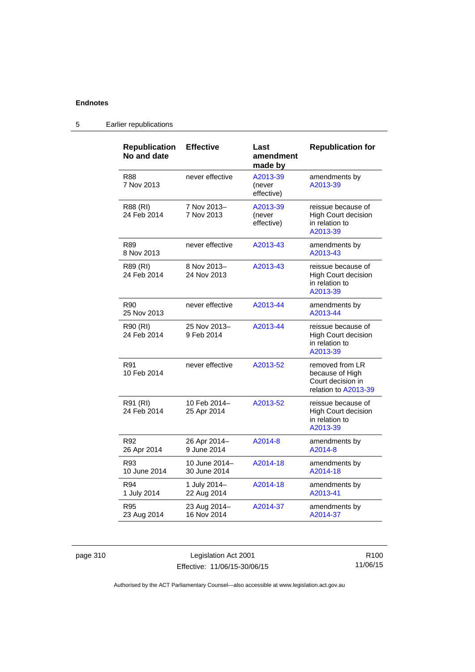## **Endnotes**

| <b>Republication</b><br>No and date | <b>Effective</b>              | Last<br>amendment<br>made by     | <b>Republication for</b>                                                        |
|-------------------------------------|-------------------------------|----------------------------------|---------------------------------------------------------------------------------|
| R88<br>7 Nov 2013                   | never effective               | A2013-39<br>(never<br>effective) | amendments by<br>A2013-39                                                       |
| R88 (RI)<br>24 Feb 2014             | 7 Nov 2013-<br>7 Nov 2013     | A2013-39<br>(never<br>effective) | reissue because of<br><b>High Court decision</b><br>in relation to<br>A2013-39  |
| <b>R89</b><br>8 Nov 2013            | never effective               | A2013-43                         | amendments by<br>A2013-43                                                       |
| R89 (RI)<br>24 Feb 2014             | 8 Nov 2013-<br>24 Nov 2013    | A2013-43                         | reissue because of<br><b>High Court decision</b><br>in relation to<br>A2013-39  |
| R90<br>25 Nov 2013                  | never effective               | A2013-44                         | amendments by<br>A2013-44                                                       |
| R90 (RI)<br>24 Feb 2014             | 25 Nov 2013-<br>9 Feb 2014    | A2013-44                         | reissue because of<br><b>High Court decision</b><br>in relation to<br>A2013-39  |
| R91<br>10 Feb 2014                  | never effective               | A2013-52                         | removed from LR<br>because of High<br>Court decision in<br>relation to A2013-39 |
| R91 (RI)<br>24 Feb 2014             | 10 Feb 2014–<br>25 Apr 2014   | A2013-52                         | reissue because of<br><b>High Court decision</b><br>in relation to<br>A2013-39  |
| R92<br>26 Apr 2014                  | 26 Apr 2014-<br>9 June 2014   | A2014-8                          | amendments by<br>A2014-8                                                        |
| R93<br>10 June 2014                 | 10 June 2014-<br>30 June 2014 | A2014-18                         | amendments by<br>A2014-18                                                       |
| R94<br>1 July 2014                  | 1 July 2014-<br>22 Aug 2014   | A2014-18                         | amendments by<br>A2013-41                                                       |
| R95<br>23 Aug 2014                  | 23 Aug 2014-<br>16 Nov 2014   | A2014-37                         | amendments by<br>A2014-37                                                       |

# 5 Earlier republications

page 310 Legislation Act 2001 Effective: 11/06/15-30/06/15

R100 11/06/15

Authorised by the ACT Parliamentary Counsel—also accessible at www.legislation.act.gov.au